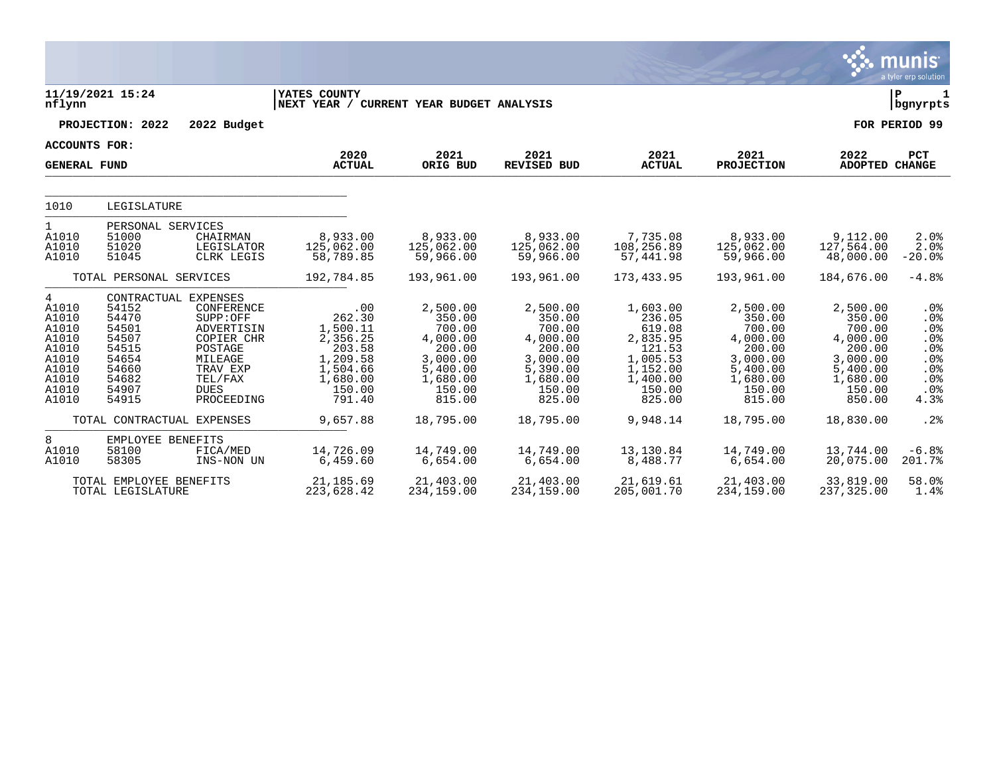|                                                                                             |                                                                                        |                                                                                                                                                      |                                                                                                         |                                                                                                            |                                                                                                            |                                                                                                            |                                                                                                            |                                                                                                            | munis<br>a tyler erp solution                                                |
|---------------------------------------------------------------------------------------------|----------------------------------------------------------------------------------------|------------------------------------------------------------------------------------------------------------------------------------------------------|---------------------------------------------------------------------------------------------------------|------------------------------------------------------------------------------------------------------------|------------------------------------------------------------------------------------------------------------|------------------------------------------------------------------------------------------------------------|------------------------------------------------------------------------------------------------------------|------------------------------------------------------------------------------------------------------------|------------------------------------------------------------------------------|
| nflynn                                                                                      | 11/19/2021 15:24                                                                       |                                                                                                                                                      | YATES COUNTY<br>NEXT YEAR / CURRENT YEAR BUDGET ANALYSIS                                                |                                                                                                            |                                                                                                            |                                                                                                            |                                                                                                            |                                                                                                            | l P<br>  bgnyrpts                                                            |
|                                                                                             | PROJECTION: 2022                                                                       | 2022 Budget                                                                                                                                          |                                                                                                         |                                                                                                            |                                                                                                            |                                                                                                            |                                                                                                            |                                                                                                            | FOR PERIOD 99                                                                |
| <b>ACCOUNTS FOR:</b>                                                                        |                                                                                        |                                                                                                                                                      |                                                                                                         |                                                                                                            |                                                                                                            |                                                                                                            |                                                                                                            |                                                                                                            |                                                                              |
| <b>GENERAL FUND</b>                                                                         |                                                                                        |                                                                                                                                                      | 2020<br><b>ACTUAL</b>                                                                                   | 2021<br>ORIG BUD                                                                                           | 2021<br><b>REVISED BUD</b>                                                                                 | 2021<br><b>ACTUAL</b>                                                                                      | 2021<br><b>PROJECTION</b>                                                                                  | 2022<br>ADOPTED CHANGE                                                                                     | <b>PCT</b>                                                                   |
|                                                                                             |                                                                                        |                                                                                                                                                      |                                                                                                         |                                                                                                            |                                                                                                            |                                                                                                            |                                                                                                            |                                                                                                            |                                                                              |
| 1010                                                                                        | LEGISLATURE                                                                            |                                                                                                                                                      |                                                                                                         |                                                                                                            |                                                                                                            |                                                                                                            |                                                                                                            |                                                                                                            |                                                                              |
| 1<br>A1010<br>A1010<br>A1010                                                                | PERSONAL SERVICES<br>51000<br>51020<br>51045                                           | CHAIRMAN<br>LEGISLATOR<br>CLRK LEGIS                                                                                                                 | 8,933.00<br>125,062.00<br>58,789.85                                                                     | 8,933.00<br>125,062.00<br>59,966.00                                                                        | 8,933.00<br>125,062.00<br>59,966.00                                                                        | 7,735.08<br>108,256.89<br>57,441.98                                                                        | 8,933.00<br>125,062.00<br>59,966.00                                                                        | 9,112.00<br>127,564.00<br>48,000.00                                                                        | 2.0%<br>2.0%<br>$-20.0%$                                                     |
|                                                                                             | TOTAL PERSONAL SERVICES                                                                |                                                                                                                                                      | 192,784.85                                                                                              | 193,961.00                                                                                                 | 193,961.00                                                                                                 | 173,433.95                                                                                                 | 193,961.00                                                                                                 | 184,676.00                                                                                                 | $-4.8%$                                                                      |
| 4<br>A1010<br>A1010<br>A1010<br>A1010<br>A1010<br>A1010<br>A1010<br>A1010<br>A1010<br>A1010 | 54152<br>54470<br>54501<br>54507<br>54515<br>54654<br>54660<br>54682<br>54907<br>54915 | CONTRACTUAL EXPENSES<br>CONFERENCE<br>SUPP:OFF<br>ADVERTISIN<br>COPIER CHR<br>POSTAGE<br>MILEAGE<br>TRAV EXP<br>TEL/FAX<br><b>DUES</b><br>PROCEEDING | .00<br>262.30<br>1,500.11<br>2,356.25<br>203.58<br>1,209.58<br>1,504.66<br>1,680.00<br>150.00<br>791.40 | 2,500.00<br>350.00<br>700.00<br>4,000.00<br>200.00<br>3,000.00<br>5,400.00<br>1,680.00<br>150.00<br>815.00 | 2,500.00<br>350.00<br>700.00<br>4,000.00<br>200.00<br>3,000.00<br>5,390.00<br>1,680.00<br>150.00<br>825.00 | 1,603.00<br>236.05<br>619.08<br>2,835.95<br>121.53<br>1,005.53<br>1,152.00<br>1,400.00<br>150.00<br>825.00 | 2,500.00<br>350.00<br>700.00<br>4,000.00<br>200.00<br>3,000.00<br>5,400.00<br>1,680.00<br>150.00<br>815.00 | 2,500.00<br>350.00<br>700.00<br>4,000.00<br>200.00<br>3,000.00<br>5,400.00<br>1,680.00<br>150.00<br>850.00 | $.0\%$<br>.0%<br>$.0\%$<br>.0%<br>.0%<br>.0%<br>.0%<br>$.0\%$<br>.0%<br>4.3% |
|                                                                                             |                                                                                        | TOTAL CONTRACTUAL EXPENSES                                                                                                                           | 9,657.88                                                                                                | 18,795.00                                                                                                  | 18,795.00                                                                                                  | 9,948.14                                                                                                   | 18,795.00                                                                                                  | 18,830.00                                                                                                  | .2%                                                                          |
| 8<br>A1010<br>A1010                                                                         | EMPLOYEE BENEFITS<br>58100<br>58305                                                    | FICA/MED<br>INS-NON UN                                                                                                                               | 14,726.09<br>6,459.60                                                                                   | 14,749.00<br>6,654.00                                                                                      | 14,749.00<br>6,654.00                                                                                      | 13,130.84<br>8,488.77                                                                                      | 14,749.00<br>6,654.00                                                                                      | 13,744.00<br>20,075.00                                                                                     | $-6.8%$<br>201.7%                                                            |
|                                                                                             | TOTAL EMPLOYEE BENEFITS<br>TOTAL LEGISLATURE                                           |                                                                                                                                                      | 21,185.69<br>223,628.42                                                                                 | 21,403.00<br>234,159.00                                                                                    | 21,403.00<br>234,159.00                                                                                    | 21,619.61<br>205,001.70                                                                                    | 21,403.00<br>234,159.00                                                                                    | 33,819.00<br>237,325.00                                                                                    | 58.0%<br>1.4%                                                                |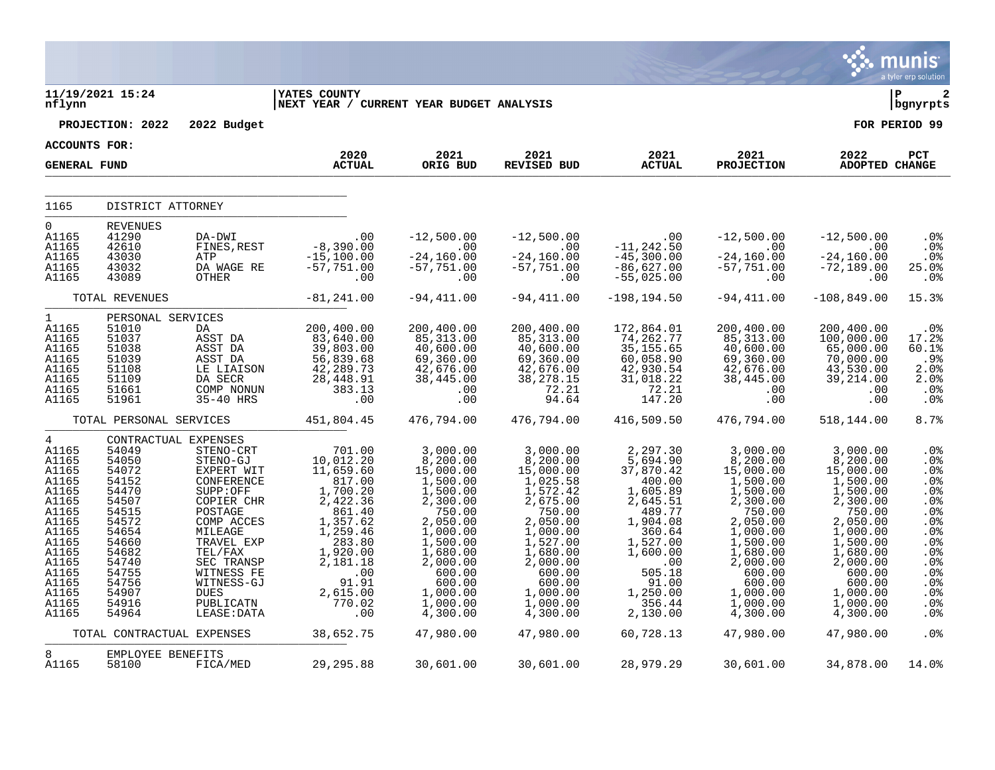|                                                                                                                                                                         |                                                                                                                                                                               |                                                                                                                                                                                                                               |                                                                                                                                                                                         |                                                                                                                                                                                                     |                                                                                                                                                                                                     |                                                                                                                                                                                               |                                                                                                                                                                                                     |                                                                                                                                                                                                     | munis<br>a tyler erp solution                                                                                                               |
|-------------------------------------------------------------------------------------------------------------------------------------------------------------------------|-------------------------------------------------------------------------------------------------------------------------------------------------------------------------------|-------------------------------------------------------------------------------------------------------------------------------------------------------------------------------------------------------------------------------|-----------------------------------------------------------------------------------------------------------------------------------------------------------------------------------------|-----------------------------------------------------------------------------------------------------------------------------------------------------------------------------------------------------|-----------------------------------------------------------------------------------------------------------------------------------------------------------------------------------------------------|-----------------------------------------------------------------------------------------------------------------------------------------------------------------------------------------------|-----------------------------------------------------------------------------------------------------------------------------------------------------------------------------------------------------|-----------------------------------------------------------------------------------------------------------------------------------------------------------------------------------------------------|---------------------------------------------------------------------------------------------------------------------------------------------|
| nflynn                                                                                                                                                                  | 11/19/2021 15:24                                                                                                                                                              |                                                                                                                                                                                                                               | <b>YATES COUNTY</b><br>NEXT YEAR / CURRENT YEAR BUDGET ANALYSIS                                                                                                                         |                                                                                                                                                                                                     |                                                                                                                                                                                                     |                                                                                                                                                                                               |                                                                                                                                                                                                     |                                                                                                                                                                                                     | l P<br>2<br>  bgnyrpts                                                                                                                      |
|                                                                                                                                                                         | PROJECTION: 2022                                                                                                                                                              | 2022 Budget                                                                                                                                                                                                                   |                                                                                                                                                                                         |                                                                                                                                                                                                     |                                                                                                                                                                                                     |                                                                                                                                                                                               |                                                                                                                                                                                                     |                                                                                                                                                                                                     | FOR PERIOD 99                                                                                                                               |
| <b>ACCOUNTS FOR:</b>                                                                                                                                                    |                                                                                                                                                                               |                                                                                                                                                                                                                               |                                                                                                                                                                                         |                                                                                                                                                                                                     |                                                                                                                                                                                                     |                                                                                                                                                                                               |                                                                                                                                                                                                     |                                                                                                                                                                                                     |                                                                                                                                             |
| <b>GENERAL FUND</b>                                                                                                                                                     |                                                                                                                                                                               |                                                                                                                                                                                                                               | 2020<br><b>ACTUAL</b>                                                                                                                                                                   | 2021<br>ORIG BUD                                                                                                                                                                                    | 2021<br>REVISED BUD                                                                                                                                                                                 | 2021<br><b>ACTUAL</b>                                                                                                                                                                         | 2021<br><b>PROJECTION</b>                                                                                                                                                                           | 2022<br>ADOPTED CHANGE                                                                                                                                                                              | <b>PCT</b>                                                                                                                                  |
| 1165                                                                                                                                                                    | DISTRICT ATTORNEY                                                                                                                                                             |                                                                                                                                                                                                                               |                                                                                                                                                                                         |                                                                                                                                                                                                     |                                                                                                                                                                                                     |                                                                                                                                                                                               |                                                                                                                                                                                                     |                                                                                                                                                                                                     |                                                                                                                                             |
| $\overline{0}$<br>A1165<br>A1165<br>A1165<br>A1165<br>A1165                                                                                                             | <b>REVENUES</b><br>41290<br>42610<br>43030<br>43032<br>43089                                                                                                                  | DA-DWI<br>FINES, REST<br>ATP<br>DA WAGE RE<br>OTHER                                                                                                                                                                           | $-8,390.00$<br>-8,390.00<br>$-15,100.00$<br>$-57,751.00$<br>.00                                                                                                                         | $-12,500.00$<br>$\sim 00$<br>$-24,160.00$<br>$-57,751.00$<br>.00                                                                                                                                    | $-12,500.00$<br>$\sim 00$<br>$-24,160.00$<br>$-57,751.00$<br>.00                                                                                                                                    | $.00 \,$<br>$-11, 242.50$<br>$-45,300.00$<br>$-86,627.00$<br>$-55,025.00$                                                                                                                     | $-12,500.00$<br>$\sim$ 00<br>$-24,160.00$<br>$-57,751.00$<br>.00                                                                                                                                    | $-12,500.00$<br>$\overline{00}$<br>$-24, 160.00$<br>$-72,189.00$<br>.00                                                                                                                             | $.0\%$<br>.0%<br>.0%<br>25.0%<br>.0%                                                                                                        |
|                                                                                                                                                                         | TOTAL REVENUES                                                                                                                                                                |                                                                                                                                                                                                                               | $-81, 241.00$                                                                                                                                                                           | $-94, 411.00$                                                                                                                                                                                       | $-94, 411.00$                                                                                                                                                                                       | $-198, 194.50$                                                                                                                                                                                | $-94, 411.00$                                                                                                                                                                                       | $-108, 849.00$                                                                                                                                                                                      | 15.3%                                                                                                                                       |
| $\mathbf{1}$<br>A1165<br>A1165<br>A1165<br>A1165<br>A1165<br>A1165<br>A1165<br>A1165                                                                                    | PERSONAL SERVICES<br>51010<br>51037<br>51038<br>51039<br>51108<br>51109<br>51661<br>51961                                                                                     | DA<br>ASST DA<br>ASST DA<br>ASST DA<br>LE LIAISON<br>DA SECR<br>COMP NONUN<br>35-40 HRS                                                                                                                                       | 200,400.00<br>83,640.00<br>39,803.00<br>56,839.68<br>42,289.73<br>28, 448.91<br>383.13<br>.00                                                                                           | 200,400.00<br>85,313.00<br>40,600.00<br>69,360.00<br>42,676.00<br>38,445.00<br>.00<br>.00                                                                                                           | 200,400.00<br>85, 313.00<br>40,600.00<br>69,360.00<br>42,676.00<br>38, 278.15<br>72.21<br>94.64                                                                                                     | 172,864.01<br>74,262.77<br>35, 155.65<br>60,058.90<br>42,930.54<br>31,018.22<br>72.21<br>147.20                                                                                               | 200,400.00<br>85, 313.00<br>40,600.00<br>69,360.00<br>42,676.00<br>38,445.00<br>.00<br>.00                                                                                                          | 200,400.00<br>100,000.00<br>65,000.00<br>70,000.00<br>43,530.00<br>39, 214.00<br>.00<br>.00                                                                                                         | $.0\%$<br>17.2%<br>60.1%<br>.9%<br>2.0%<br>2.0%<br>.0%<br>.0%                                                                               |
|                                                                                                                                                                         | TOTAL PERSONAL SERVICES                                                                                                                                                       |                                                                                                                                                                                                                               | 451,804.45                                                                                                                                                                              | 476,794.00                                                                                                                                                                                          | 476,794.00                                                                                                                                                                                          | 416,509.50                                                                                                                                                                                    | 476,794.00                                                                                                                                                                                          | 518,144.00                                                                                                                                                                                          | 8.7%                                                                                                                                        |
| $\overline{4}$<br>A1165<br>A1165<br>A1165<br>A1165<br>A1165<br>A1165<br>A1165<br>A1165<br>A1165<br>A1165<br>A1165<br>A1165<br>A1165<br>A1165<br>A1165<br>A1165<br>A1165 | CONTRACTUAL EXPENSES<br>54049<br>54050<br>54072<br>54152<br>54470<br>54507<br>54515<br>54572<br>54654<br>54660<br>54682<br>54740<br>54755<br>54756<br>54907<br>54916<br>54964 | STENO-CRT<br>STENO-GJ<br>EXPERT WIT<br>CONFERENCE<br>SUPP:OFF<br>COPIER CHR<br>POSTAGE<br>COMP ACCES<br>MILEAGE<br>TRAVEL EXP<br>TEL/FAX<br>SEC TRANSP<br>WITNESS FE<br>WITNESS-GJ<br><b>DUES</b><br>PUBLICATN<br>LEASE: DATA | 701.00<br>10,012.20<br>11,659.60<br>817.00<br>1,700.20<br>2,422.36<br>861.40<br>1, 357.62<br>1, 259.46<br>283.80<br>1,920.00<br>2,181.18<br>91.00<br>91.91<br>2,615.00<br>770.02<br>.00 | 3,000.00<br>8,200.00<br>15,000.00<br>1,500.00<br>1,500.00<br>2,300.00<br>750.00<br>2,050.00<br>1,000.00<br>1,500.00<br>1,680.00<br>2,000.00<br>600.00<br>600.00<br>1,000.00<br>1,000.00<br>4,300.00 | 3,000.00<br>8,200.00<br>15,000.00<br>1,025.58<br>1,572.42<br>2,675.00<br>750.00<br>2,050.00<br>1,000.00<br>1,527.00<br>1,680.00<br>2,000.00<br>600.00<br>600.00<br>1,000.00<br>1,000.00<br>4,300.00 | 2,297.30<br>5,694.90<br>37,870.42<br>400.00<br>1,605.89<br>2,645.51<br>489.77<br>1,904.08<br>360.64<br>1,527.00<br>1,600.00<br>$\sim 00$<br>505.18<br>91.00<br>1,250.00<br>356.44<br>2,130.00 | 3,000.00<br>8,200.00<br>15,000.00<br>1,500.00<br>1,500.00<br>2,300.00<br>750.00<br>2,050.00<br>1,000.00<br>1,500.00<br>1,680.00<br>2,000.00<br>600.00<br>600.00<br>1,000.00<br>1,000.00<br>4,300.00 | 3,000.00<br>8,200.00<br>15,000.00<br>1,500.00<br>1,500.00<br>2,300.00<br>750.00<br>2,050.00<br>1,000.00<br>1,500.00<br>1,680.00<br>2,000.00<br>600.00<br>600.00<br>1,000.00<br>1,000.00<br>4,300.00 | .0%<br>.0%<br>.0%<br>.0%<br>.0%<br>.0%<br>.0%<br>.0%<br>.0%<br>.0%<br>.0%<br>.0 <sub>8</sub><br>.0%<br>.0%<br>.0%<br>.0%<br>.0 <sub>8</sub> |
|                                                                                                                                                                         | TOTAL CONTRACTUAL EXPENSES                                                                                                                                                    |                                                                                                                                                                                                                               | 38,652.75                                                                                                                                                                               | 47,980.00                                                                                                                                                                                           | 47,980.00                                                                                                                                                                                           | 60,728.13                                                                                                                                                                                     | 47,980.00                                                                                                                                                                                           | 47,980.00                                                                                                                                                                                           | .0%                                                                                                                                         |
| 8<br>A1165                                                                                                                                                              | EMPLOYEE BENEFITS<br>58100                                                                                                                                                    | FICA/MED                                                                                                                                                                                                                      | 29,295.88                                                                                                                                                                               | 30,601.00                                                                                                                                                                                           | 30,601.00                                                                                                                                                                                           | 28,979.29                                                                                                                                                                                     | 30,601.00                                                                                                                                                                                           | 34,878.00                                                                                                                                                                                           | 14.0%                                                                                                                                       |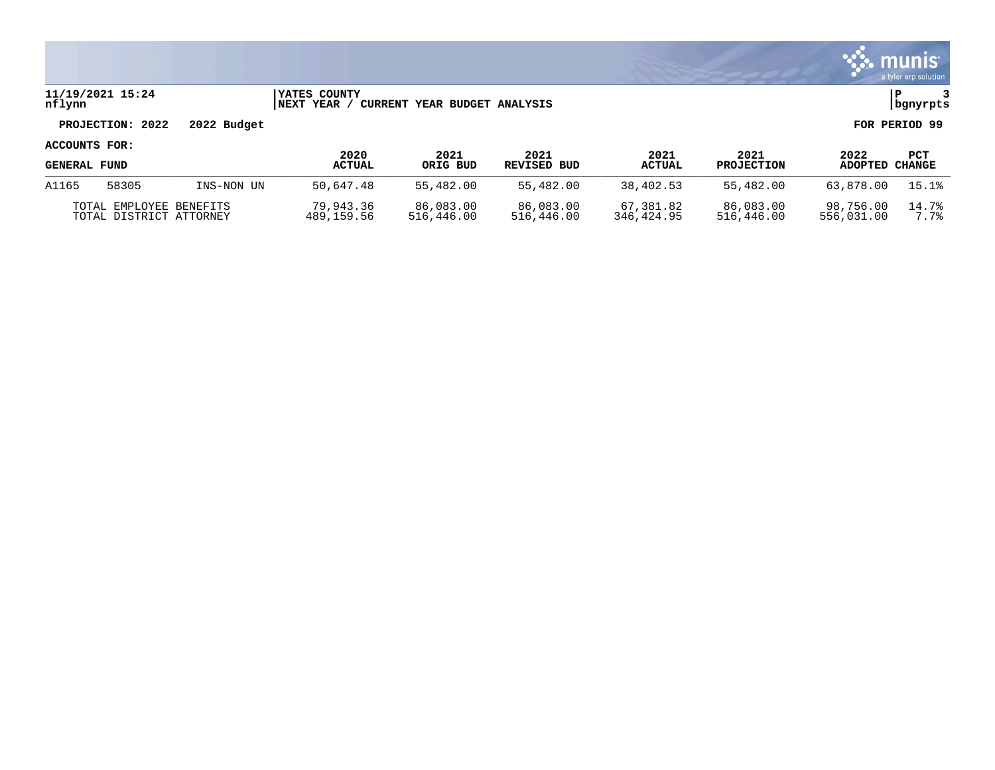|                     |                                                    |             |                                      |                              |                         |                         |                         |                         | <b>munis</b><br>a tyler erp solution |
|---------------------|----------------------------------------------------|-------------|--------------------------------------|------------------------------|-------------------------|-------------------------|-------------------------|-------------------------|--------------------------------------|
| nflynn              | 11/19/2021 15:24                                   |             | <b>IYATES COUNTY</b><br> NEXT YEAR / | CURRENT YEAR BUDGET ANALYSIS |                         |                         |                         |                         | l P<br>bgnyrpts                      |
|                     | PROJECTION: 2022                                   | 2022 Budget |                                      |                              |                         |                         |                         |                         | FOR PERIOD 99                        |
| ACCOUNTS FOR:       |                                                    |             | 2020                                 | 2021                         | 2021                    | 2021                    | 2021                    | 2022                    | <b>PCT</b>                           |
| <b>GENERAL FUND</b> |                                                    |             | <b>ACTUAL</b>                        | ORIG BUD                     | <b>REVISED BUD</b>      | <b>ACTUAL</b>           | <b>PROJECTION</b>       | ADOPTED CHANGE          |                                      |
| A1165               | 58305                                              | INS-NON UN  | 50,647.48                            | 55,482.00                    | 55,482.00               | 38,402.53               | 55,482.00               | 63,878.00               | 15.1%                                |
|                     | TOTAL EMPLOYEE BENEFITS<br>TOTAL DISTRICT ATTORNEY |             | 79,943.36<br>489,159.56              | 86,083.00<br>516,446.00      | 86,083.00<br>516,446.00 | 67,381.82<br>346,424.95 | 86,083.00<br>516,446.00 | 98,756.00<br>556,031.00 | 14.7%<br>7.7%                        |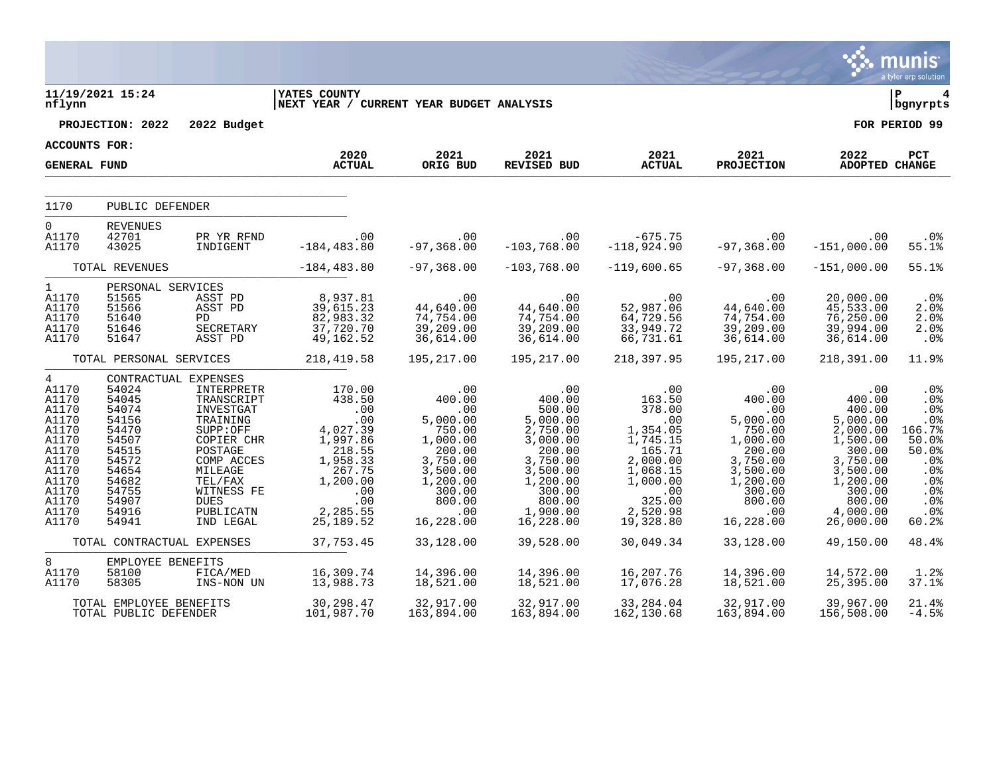|                                                                                                                                               |                                                                                                                            |                                                                                                                                                                                                           |                                                                                                                                             |                                                                                                                                              |                                                                                                                                                        |                                                                                                                                                            |                                                                                                                                                      |                                                                                                                                                        | munis<br>a tyler erp solution                                                                                                      |
|-----------------------------------------------------------------------------------------------------------------------------------------------|----------------------------------------------------------------------------------------------------------------------------|-----------------------------------------------------------------------------------------------------------------------------------------------------------------------------------------------------------|---------------------------------------------------------------------------------------------------------------------------------------------|----------------------------------------------------------------------------------------------------------------------------------------------|--------------------------------------------------------------------------------------------------------------------------------------------------------|------------------------------------------------------------------------------------------------------------------------------------------------------------|------------------------------------------------------------------------------------------------------------------------------------------------------|--------------------------------------------------------------------------------------------------------------------------------------------------------|------------------------------------------------------------------------------------------------------------------------------------|
| nflynn                                                                                                                                        | 11/19/2021 15:24                                                                                                           |                                                                                                                                                                                                           | <b>YATES COUNTY</b><br>NEXT YEAR / CURRENT YEAR BUDGET ANALYSIS                                                                             |                                                                                                                                              |                                                                                                                                                        |                                                                                                                                                            |                                                                                                                                                      |                                                                                                                                                        | ∣ P<br>  bgnyrpts                                                                                                                  |
|                                                                                                                                               | PROJECTION: 2022                                                                                                           | 2022 Budget                                                                                                                                                                                               |                                                                                                                                             |                                                                                                                                              |                                                                                                                                                        |                                                                                                                                                            |                                                                                                                                                      |                                                                                                                                                        | FOR PERIOD 99                                                                                                                      |
| <b>ACCOUNTS FOR:</b>                                                                                                                          |                                                                                                                            |                                                                                                                                                                                                           | 2020                                                                                                                                        | 2021                                                                                                                                         | 2021                                                                                                                                                   | 2021                                                                                                                                                       | 2021                                                                                                                                                 | 2022                                                                                                                                                   | PCT                                                                                                                                |
| <b>GENERAL FUND</b>                                                                                                                           |                                                                                                                            |                                                                                                                                                                                                           | <b>ACTUAL</b>                                                                                                                               | ORIG BUD                                                                                                                                     | <b>REVISED BUD</b>                                                                                                                                     | <b>ACTUAL</b>                                                                                                                                              | <b>PROJECTION</b>                                                                                                                                    | <b>ADOPTED CHANGE</b>                                                                                                                                  |                                                                                                                                    |
| 1170                                                                                                                                          | PUBLIC DEFENDER                                                                                                            |                                                                                                                                                                                                           |                                                                                                                                             |                                                                                                                                              |                                                                                                                                                        |                                                                                                                                                            |                                                                                                                                                      |                                                                                                                                                        |                                                                                                                                    |
| $\mathbf{0}$<br>A1170<br>A1170                                                                                                                | <b>REVENUES</b><br>42701<br>43025                                                                                          | PR YR RFND<br>INDIGENT                                                                                                                                                                                    | .00<br>$-184, 483.80$                                                                                                                       | .00<br>$-97, 368.00$                                                                                                                         | .00<br>$-103,768.00$                                                                                                                                   | $-675.75$<br>$-118,924.90$                                                                                                                                 | $.00 \,$<br>$-97,368.00$                                                                                                                             | .00<br>$-151,000.00$                                                                                                                                   | $.0\%$<br>55.1%                                                                                                                    |
|                                                                                                                                               | TOTAL REVENUES                                                                                                             |                                                                                                                                                                                                           | $-184, 483.80$                                                                                                                              | $-97,368.00$                                                                                                                                 | $-103,768.00$                                                                                                                                          | $-119,600.65$                                                                                                                                              | $-97,368.00$                                                                                                                                         | $-151,000.00$                                                                                                                                          | 55.1%                                                                                                                              |
| $1 \quad$<br>A1170<br>A1170<br>A1170<br>A1170<br>A1170                                                                                        | PERSONAL SERVICES<br>51565<br>51566<br>51640<br>51646<br>51647                                                             | ASST PD<br>ASST PD<br>PD.<br>SECRETARY<br>ASST PD                                                                                                                                                         | 8,937.81<br>39,615.23<br>82,983.32<br>37,720.70<br>49,162.52                                                                                | .00<br>44,640.00<br>74,754.00<br>39,209.00<br>36,614.00                                                                                      | .00<br>44,640.00<br>74,754.00<br>39,209.00<br>36,614.00                                                                                                | .00<br>52,987.06<br>64,729.56<br>33,949.72<br>66,731.61                                                                                                    | .00<br>44,640.00<br>74,754.00<br>39,209.00<br>36,614.00                                                                                              | 20,000.00<br>45,533.00<br>76, 250.00<br>39,994.00<br>36,614.00                                                                                         | $.0\%$<br>2.0%<br>2.0%<br>2.0%<br>$.0\%$                                                                                           |
|                                                                                                                                               | TOTAL PERSONAL SERVICES                                                                                                    |                                                                                                                                                                                                           | 218,419.58                                                                                                                                  | 195,217.00                                                                                                                                   | 195,217.00                                                                                                                                             | 218,397.95                                                                                                                                                 | 195,217.00                                                                                                                                           | 218,391.00                                                                                                                                             | 11.9%                                                                                                                              |
| $4\overline{ }$<br>A1170<br>A1170<br>A1170<br>A1170<br>A1170<br>A1170<br>A1170<br>A1170<br>A1170<br>A1170<br>A1170<br>A1170<br>A1170<br>A1170 | 54024<br>54045<br>54074<br>54156<br>54470<br>54507<br>54515<br>54572<br>54654<br>54682<br>54755<br>54907<br>54916<br>54941 | CONTRACTUAL EXPENSES<br>INTERPRETR<br>TRANSCRIPT<br>INVESTGAT<br>TRAINING<br>SUPP:OFF<br>COPIER CHR<br>POSTAGE<br>COMP ACCES<br>MILEAGE<br>TEL/FAX<br>WITNESS FE<br><b>DUES</b><br>PUBLICATN<br>IND LEGAL | 170.00<br>438.50<br>.00<br>.00<br>4,027.39<br>1,997.86<br>218.55<br>1,958.33<br>267.75<br>1,200.00<br>.00<br>.00<br>2,285.55<br>25, 189. 52 | .00<br>400.00<br>.00<br>5,000.00<br>750.00<br>1,000.00<br>200.00<br>3,750.00<br>3,500.00<br>1,200.00<br>300.00<br>800.00<br>.00<br>16,228.00 | .00<br>400.00<br>500.00<br>5,000.00<br>2,750.00<br>3,000.00<br>200.00<br>3,750.00<br>3,500.00<br>1,200.00<br>300.00<br>800.00<br>1,900.00<br>16,228.00 | .00<br>163.50<br>378.00<br>.00<br>1,354.05<br>1,745.15<br>165.71<br>2,000.00<br>1,068.15<br>1,000.00<br>$\overline{00}$<br>325.00<br>2,520.98<br>19,328.80 | $.00 \ \rm$<br>400.00<br>.00<br>5,000.00<br>750.00<br>1,000.00<br>200.00<br>3,750.00<br>3,500.00<br>1,200.00<br>300.00<br>800.00<br>.00<br>16,228.00 | .00<br>400.00<br>400.00<br>5,000.00<br>2,000.00<br>1,500.00<br>300.00<br>3,750.00<br>3,500.00<br>1,200.00<br>300.00<br>800.00<br>4,000.00<br>26,000.00 | .0 <sub>8</sub><br>.0%<br>.0%<br>.0%<br>166.7%<br>50.0%<br>50.0%<br>.0%<br>.0 <sub>8</sub><br>.0%<br>.0%<br>$.0\%$<br>.0%<br>60.2% |
|                                                                                                                                               | TOTAL CONTRACTUAL EXPENSES                                                                                                 |                                                                                                                                                                                                           | 37,753.45                                                                                                                                   | 33,128.00                                                                                                                                    | 39,528.00                                                                                                                                              | 30,049.34                                                                                                                                                  | 33,128.00                                                                                                                                            | 49,150.00                                                                                                                                              | 48.4%                                                                                                                              |
| 8<br>A1170<br>A1170                                                                                                                           | EMPLOYEE BENEFITS<br>58100<br>58305                                                                                        | FICA/MED<br>INS-NON UN                                                                                                                                                                                    | 16,309.74<br>13,988.73                                                                                                                      | 14,396.00<br>18,521.00                                                                                                                       | 14,396.00<br>18,521.00                                                                                                                                 | 16,207.76<br>17,076.28                                                                                                                                     | 14,396.00<br>18,521.00                                                                                                                               | 14,572.00<br>25,395.00                                                                                                                                 | 1.2%<br>37.1%                                                                                                                      |
|                                                                                                                                               | TOTAL EMPLOYEE BENEFITS<br>TOTAL PUBLIC DEFENDER                                                                           |                                                                                                                                                                                                           | 30,298.47<br>101,987.70                                                                                                                     | 32,917.00<br>163,894.00                                                                                                                      | 32,917.00<br>163,894.00                                                                                                                                | 33,284.04<br>162,130.68                                                                                                                                    | 32,917.00<br>163,894.00                                                                                                                              | 39,967.00<br>156,508.00                                                                                                                                | 21.4%<br>$-4.5%$                                                                                                                   |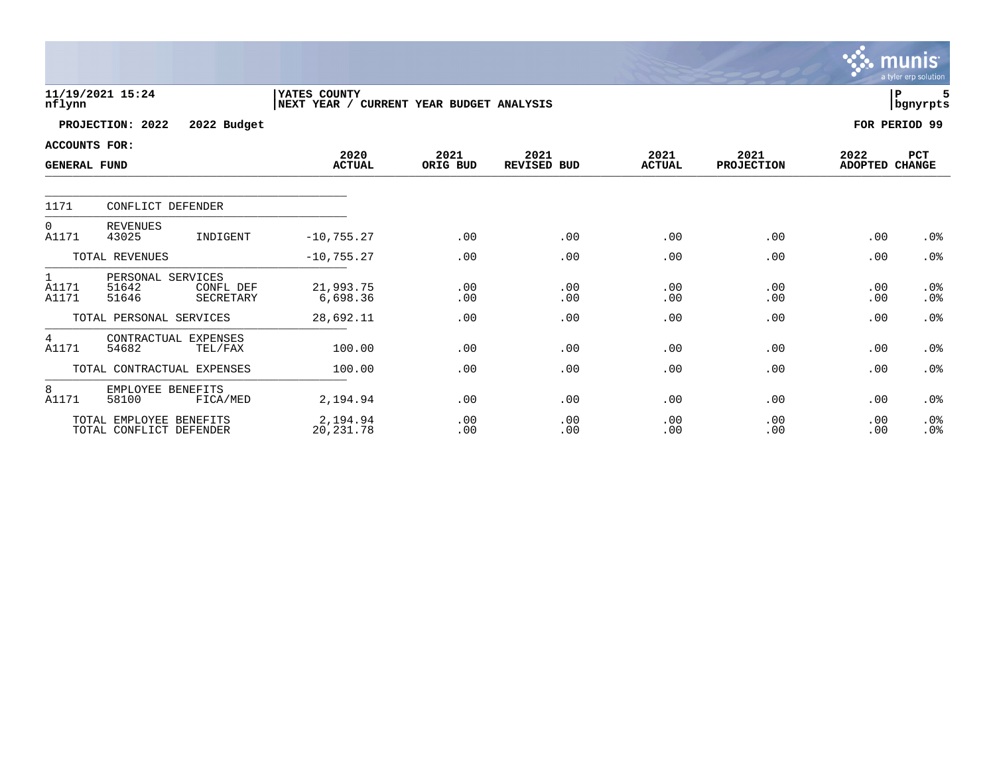|                                             |                                                                      |                                                          |                  |                     |                       |                    |                        | munis<br>a tyler erp solution |
|---------------------------------------------|----------------------------------------------------------------------|----------------------------------------------------------|------------------|---------------------|-----------------------|--------------------|------------------------|-------------------------------|
| nflynn                                      | 11/19/2021 15:24                                                     | YATES COUNTY<br>NEXT YEAR / CURRENT YEAR BUDGET ANALYSIS |                  |                     |                       |                    |                        | ${\bf P}$<br>bgnyrpts         |
|                                             | PROJECTION: 2022<br>2022 Budget                                      |                                                          |                  |                     |                       |                    |                        | FOR PERIOD 99                 |
| <b>ACCOUNTS FOR:</b><br><b>GENERAL FUND</b> |                                                                      | 2020<br><b>ACTUAL</b>                                    | 2021<br>ORIG BUD | 2021<br>REVISED BUD | 2021<br><b>ACTUAL</b> | 2021<br>PROJECTION | 2022<br>ADOPTED CHANGE | PCT                           |
| 1171                                        | CONFLICT DEFENDER                                                    |                                                          |                  |                     |                       |                    |                        |                               |
| 0<br>A1171                                  | <b>REVENUES</b><br>43025<br>INDIGENT                                 | $-10, 755.27$                                            | .00              | .00                 | .00                   | .00                | .00                    | .0 <sub>8</sub>               |
|                                             | TOTAL REVENUES                                                       | $-10, 755.27$                                            | .00              | .00                 | .00                   | .00                | .00                    | .0%                           |
| 1<br>A1171<br>A1171                         | PERSONAL SERVICES<br>51642<br>CONFL DEF<br><b>SECRETARY</b><br>51646 | 21,993.75<br>6,698.36                                    | .00<br>.00       | .00<br>.00          | .00<br>.00            | .00<br>.00         | .00<br>.00             | .0%<br>.0%                    |
|                                             | TOTAL PERSONAL SERVICES                                              | 28,692.11                                                | .00              | .00                 | .00                   | .00                | .00                    | .0%                           |
| 4<br>A1171                                  | CONTRACTUAL EXPENSES<br>54682<br>TEL/FAX                             | 100.00                                                   | .00              | .00                 | .00                   | .00                | .00                    | .0 <sub>8</sub>               |
|                                             | TOTAL CONTRACTUAL EXPENSES                                           | 100.00                                                   | .00              | .00                 | .00                   | .00                | .00                    | .0 <sub>8</sub>               |
| 8<br>A1171                                  | EMPLOYEE BENEFITS<br>58100<br>FICA/MED                               | 2,194.94                                                 | .00              | .00                 | .00                   | .00                | .00                    | .0%                           |
|                                             | TOTAL EMPLOYEE BENEFITS<br>TOTAL CONFLICT DEFENDER                   | 2,194.94<br>20, 231.78                                   | .00<br>.00       | .00<br>.00          | .00<br>.00            | .00<br>.00         | .00<br>.00             | .0%<br>.0%                    |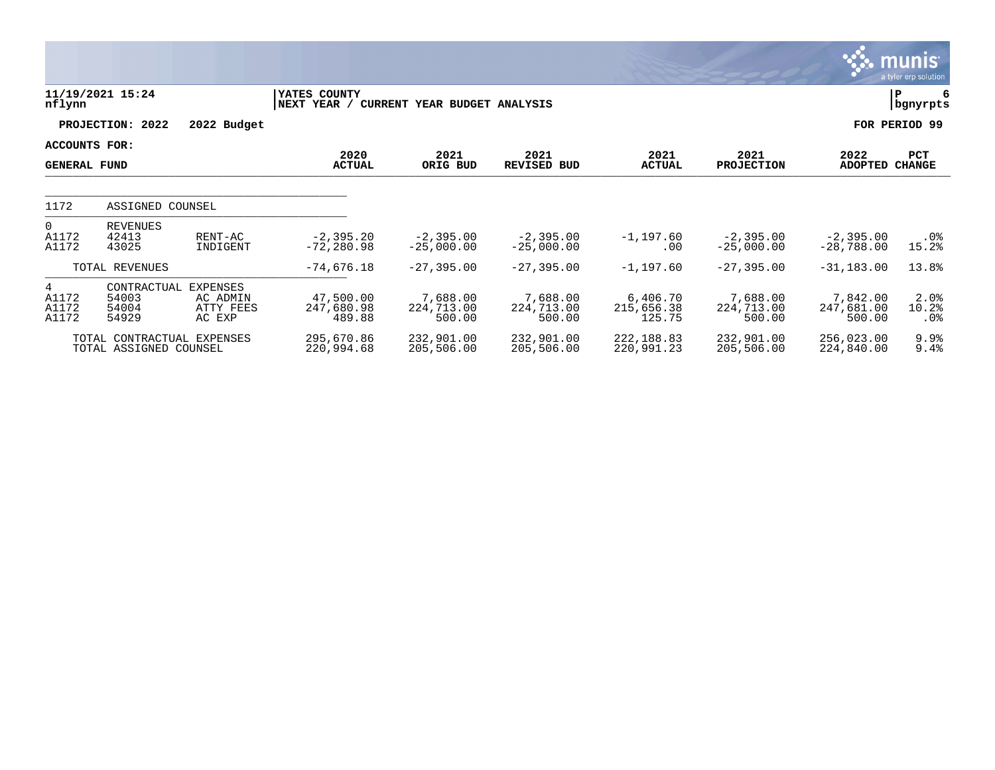|                                            |                                                      |                                                    |                                   |                                  |                                  |                                  |                                  |                                  | munis<br>a tyler erp solution |
|--------------------------------------------|------------------------------------------------------|----------------------------------------------------|-----------------------------------|----------------------------------|----------------------------------|----------------------------------|----------------------------------|----------------------------------|-------------------------------|
| nflynn                                     | 11/19/2021 15:24                                     |                                                    | YATES COUNTY<br> NEXT YEAR /      | CURRENT YEAR BUDGET ANALYSIS     |                                  |                                  |                                  |                                  | P<br>  bgnyrpts               |
|                                            | PROJECTION: 2022                                     | 2022 Budget                                        |                                   |                                  |                                  |                                  |                                  |                                  | FOR PERIOD 99                 |
| ACCOUNTS FOR:<br><b>GENERAL FUND</b>       |                                                      |                                                    | 2020<br><b>ACTUAL</b>             | 2021<br>ORIG BUD                 | 2021<br><b>REVISED BUD</b>       | 2021<br><b>ACTUAL</b>            | 2021<br><b>PROJECTION</b>        | 2022<br><b>ADOPTED</b>           | PCT<br><b>CHANGE</b>          |
| 1172                                       | ASSIGNED COUNSEL                                     |                                                    |                                   |                                  |                                  |                                  |                                  |                                  |                               |
| $\overline{0}$<br>A1172<br>A1172           | <b>REVENUES</b><br>42413<br>43025                    | RENT-AC<br>INDIGENT                                | $-2, 395.20$<br>$-72, 280.98$     | $-2,395.00$<br>$-25,000.00$      | $-2,395.00$<br>$-25,000.00$      | $-1, 197.60$<br>.00              | $-2,395.00$<br>$-25,000.00$      | $-2,395.00$<br>$-28,788.00$      | . 0 %<br>15.2%                |
|                                            | TOTAL REVENUES                                       |                                                    | $-74,676.18$                      | $-27, 395.00$                    | $-27, 395.00$                    | $-1,197.60$                      | $-27, 395.00$                    | $-31, 183.00$                    | 13.8%                         |
| $4\overline{ }$<br>A1172<br>A1172<br>A1172 | CONTRACTUAL<br>54003<br>54004<br>54929               | <b>EXPENSES</b><br>AC ADMIN<br>ATTY FEES<br>AC EXP | 47,500.00<br>247,680.98<br>489.88 | 7,688.00<br>224,713.00<br>500.00 | 7,688.00<br>224,713.00<br>500.00 | 6,406.70<br>215,656.38<br>125.75 | 7,688.00<br>224,713.00<br>500.00 | 7,842.00<br>247,681.00<br>500.00 | 2.0%<br>10.2%<br>. 0%         |
|                                            | TOTAL CONTRACTUAL EXPENSES<br>TOTAL ASSIGNED COUNSEL |                                                    | 295,670.86<br>220,994.68          | 232,901.00<br>205,506.00         | 232,901.00<br>205,506.00         | 222, 188.83<br>220,991.23        | 232,901.00<br>205,506.00         | 256,023.00<br>224,840.00         | 9.9%<br>9.4%                  |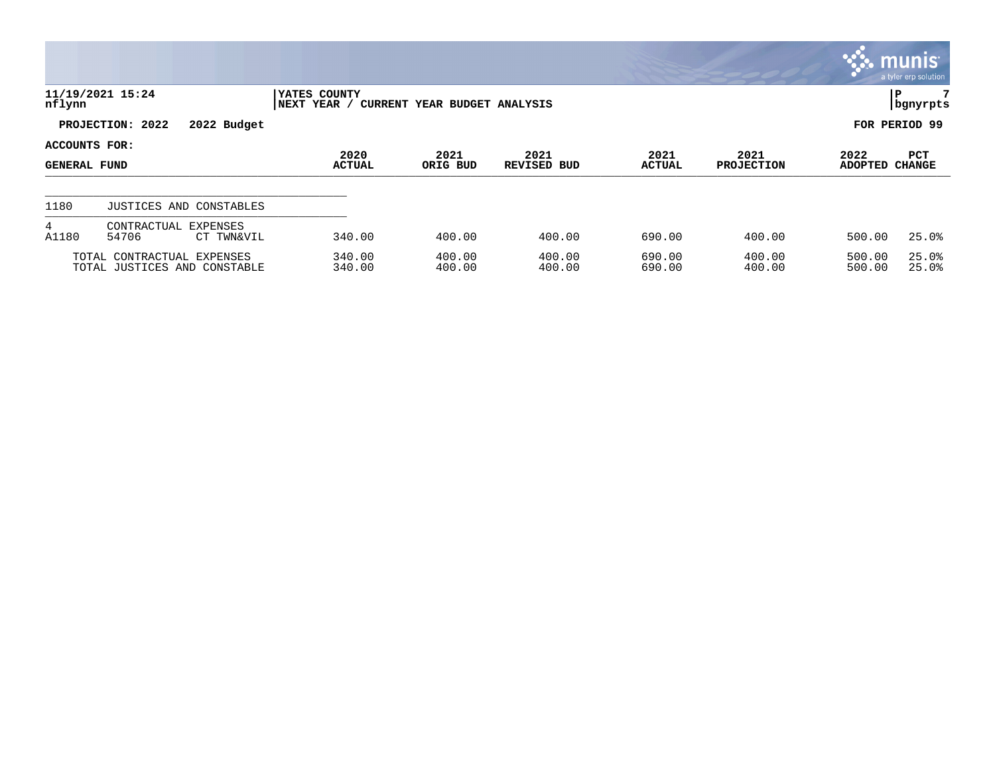|                                      |                                                            |             |                              |                                     |                     |                       |                           |                  | $\mathbb{C}$ munis<br>a tyler erp solution |
|--------------------------------------|------------------------------------------------------------|-------------|------------------------------|-------------------------------------|---------------------|-----------------------|---------------------------|------------------|--------------------------------------------|
| nflynn                               | 11/19/2021 15:24                                           |             | YATES COUNTY<br> NEXT YEAR / | <b>CURRENT YEAR BUDGET ANALYSIS</b> |                     |                       |                           |                  | 7<br>P<br>  bgnyrpts                       |
|                                      | PROJECTION: 2022                                           | 2022 Budget |                              |                                     |                     |                       |                           |                  | FOR PERIOD 99                              |
| ACCOUNTS FOR:<br><b>GENERAL FUND</b> |                                                            |             | 2020<br><b>ACTUAL</b>        | 2021<br>ORIG BUD                    | 2021<br>REVISED BUD | 2021<br><b>ACTUAL</b> | 2021<br><b>PROJECTION</b> | 2022<br>ADOPTED  | PCT<br><b>CHANGE</b>                       |
| 1180                                 | JUSTICES AND CONSTABLES                                    |             |                              |                                     |                     |                       |                           |                  |                                            |
| $4\overline{ }$<br>A1180             | CONTRACTUAL EXPENSES<br>54706                              | CT TWN&VIL  | 340.00                       | 400.00                              | 400.00              | 690.00                | 400.00                    | 500.00           | 25.0%                                      |
|                                      | TOTAL CONTRACTUAL EXPENSES<br>TOTAL JUSTICES AND CONSTABLE |             | 340.00<br>340.00             | 400.00<br>400.00                    | 400.00<br>400.00    | 690.00<br>690.00      | 400.00<br>400.00          | 500.00<br>500.00 | 25.0%<br>25.0%                             |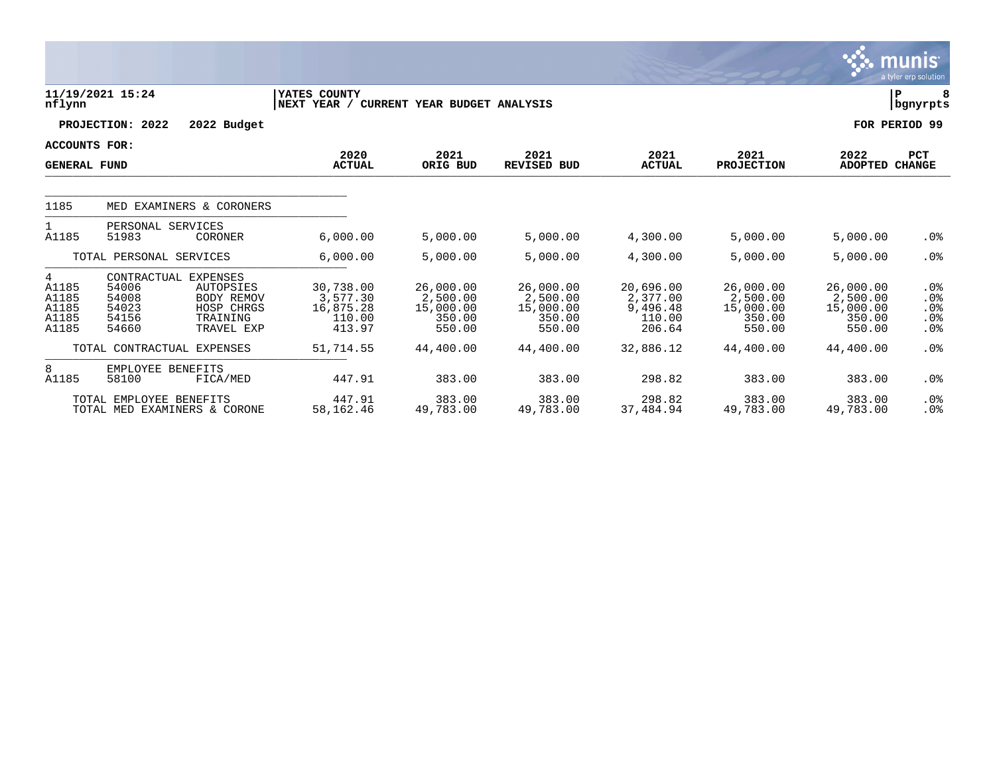|                                                |                                                                                                                                         |                                                          |                                                        |                                                        |                                                       |                                                        |                                                        | <u>munis </u><br>a tyler erp solution          |
|------------------------------------------------|-----------------------------------------------------------------------------------------------------------------------------------------|----------------------------------------------------------|--------------------------------------------------------|--------------------------------------------------------|-------------------------------------------------------|--------------------------------------------------------|--------------------------------------------------------|------------------------------------------------|
| nflynn                                         | 11/19/2021 15:24                                                                                                                        | YATES COUNTY<br>NEXT YEAR / CURRENT YEAR BUDGET ANALYSIS |                                                        |                                                        |                                                       |                                                        |                                                        | 8<br>${\bf P}$<br>bgnyrpts                     |
|                                                | PROJECTION: 2022<br>2022 Budget                                                                                                         |                                                          |                                                        |                                                        |                                                       |                                                        |                                                        | FOR PERIOD 99                                  |
| ACCOUNTS FOR:<br><b>GENERAL FUND</b>           |                                                                                                                                         | 2020<br><b>ACTUAL</b>                                    | 2021<br>ORIG BUD                                       | 2021<br><b>REVISED BUD</b>                             | 2021<br><b>ACTUAL</b>                                 | 2021<br><b>PROJECTION</b>                              | 2022<br><b>ADOPTED</b>                                 | <b>PCT</b><br><b>CHANGE</b>                    |
| 1185                                           | MED EXAMINERS & CORONERS                                                                                                                |                                                          |                                                        |                                                        |                                                       |                                                        |                                                        |                                                |
| $\mathbf{1}$<br>A1185                          | PERSONAL SERVICES<br>51983<br>CORONER                                                                                                   | 6,000.00                                                 | 5,000.00                                               | 5,000.00                                               | 4,300.00                                              | 5,000.00                                               | 5,000.00                                               | .0 <sub>8</sub>                                |
|                                                | TOTAL PERSONAL SERVICES                                                                                                                 | 6,000.00                                                 | 5,000.00                                               | 5,000.00                                               | 4,300.00                                              | 5,000.00                                               | 5,000.00                                               | .0 <sub>8</sub>                                |
| 4<br>A1185<br>A1185<br>A1185<br>A1185<br>A1185 | CONTRACTUAL<br>EXPENSES<br>54006<br>AUTOPSIES<br>54008<br>BODY REMOV<br>54023<br>HOSP CHRGS<br>54156<br>TRAINING<br>54660<br>TRAVEL EXP | 30,738.00<br>3,577.30<br>16,875.28<br>110.00<br>413.97   | 26,000.00<br>2,500.00<br>15,000.00<br>350.00<br>550.00 | 26,000.00<br>2,500.00<br>15,000.00<br>350.00<br>550.00 | 20,696.00<br>2,377.00<br>9,496.48<br>110.00<br>206.64 | 26,000.00<br>2,500.00<br>15,000.00<br>350.00<br>550.00 | 26,000.00<br>2,500.00<br>15,000.00<br>350.00<br>550.00 | $.0\%$<br>.0%<br>.0%<br>.0%<br>.0 <sub>8</sub> |
|                                                | TOTAL CONTRACTUAL EXPENSES                                                                                                              | 51,714.55                                                | 44,400.00                                              | 44,400.00                                              | 32,886.12                                             | 44,400.00                                              | 44,400.00                                              | .0 <sub>8</sub>                                |
| 8<br>A1185                                     | EMPLOYEE BENEFITS<br>58100<br>FICA/MED                                                                                                  | 447.91                                                   | 383.00                                                 | 383.00                                                 | 298.82                                                | 383.00                                                 | 383.00                                                 | .0 <sub>8</sub>                                |
|                                                | TOTAL EMPLOYEE BENEFITS<br>TOTAL MED EXAMINERS & CORONE                                                                                 | 447.91<br>58,162.46                                      | 383.00<br>49,783.00                                    | 383.00<br>49,783.00                                    | 298.82<br>37,484.94                                   | 383.00<br>49,783.00                                    | 383.00<br>49,783.00                                    | .0 <sub>8</sub><br>.0 <sub>8</sub>             |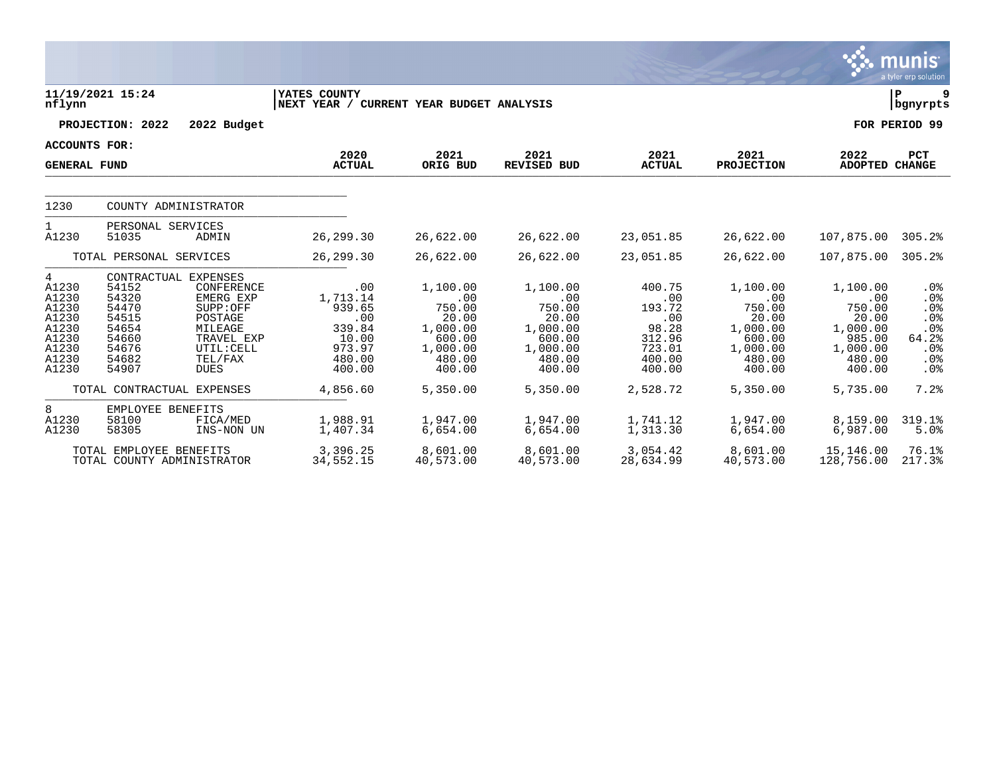|                                                                                                            |                                                                               |                                                                                                                                                                       |                                                                                               |                                                                                                      |                                                                                                      |                                                                                             |                                                                                                      |                                                                                                      | munıs <sup>.</sup><br>a tyler erp solution                            |  |  |
|------------------------------------------------------------------------------------------------------------|-------------------------------------------------------------------------------|-----------------------------------------------------------------------------------------------------------------------------------------------------------------------|-----------------------------------------------------------------------------------------------|------------------------------------------------------------------------------------------------------|------------------------------------------------------------------------------------------------------|---------------------------------------------------------------------------------------------|------------------------------------------------------------------------------------------------------|------------------------------------------------------------------------------------------------------|-----------------------------------------------------------------------|--|--|
| ΙP<br>11/19/2021 15:24<br>YATES COUNTY<br>nflynn<br>NEXT YEAR / CURRENT YEAR BUDGET ANALYSIS<br>  bgnyrpts |                                                                               |                                                                                                                                                                       |                                                                                               |                                                                                                      |                                                                                                      |                                                                                             |                                                                                                      |                                                                                                      |                                                                       |  |  |
|                                                                                                            | PROJECTION: 2022                                                              | 2022 Budget                                                                                                                                                           |                                                                                               |                                                                                                      |                                                                                                      |                                                                                             |                                                                                                      |                                                                                                      | FOR PERIOD 99                                                         |  |  |
| <b>ACCOUNTS FOR:</b>                                                                                       |                                                                               |                                                                                                                                                                       |                                                                                               |                                                                                                      |                                                                                                      |                                                                                             |                                                                                                      |                                                                                                      |                                                                       |  |  |
| <b>GENERAL FUND</b>                                                                                        |                                                                               |                                                                                                                                                                       | 2020<br><b>ACTUAL</b>                                                                         | 2021<br>ORIG BUD                                                                                     | 2021<br><b>REVISED BUD</b>                                                                           | 2021<br><b>ACTUAL</b>                                                                       | 2021<br><b>PROJECTION</b>                                                                            | 2022<br>ADOPTED CHANGE                                                                               | <b>PCT</b>                                                            |  |  |
| 1230                                                                                                       |                                                                               | COUNTY ADMINISTRATOR                                                                                                                                                  |                                                                                               |                                                                                                      |                                                                                                      |                                                                                             |                                                                                                      |                                                                                                      |                                                                       |  |  |
| $\mathbf{1}$<br>A1230                                                                                      | PERSONAL SERVICES<br>51035                                                    | ADMIN                                                                                                                                                                 | 26, 299.30                                                                                    | 26,622.00                                                                                            | 26,622.00                                                                                            | 23,051.85                                                                                   | 26,622.00                                                                                            | 107,875.00                                                                                           | 305.2%                                                                |  |  |
|                                                                                                            | TOTAL PERSONAL SERVICES                                                       |                                                                                                                                                                       | 26, 299.30                                                                                    | 26,622.00                                                                                            | 26,622.00                                                                                            | 23,051.85                                                                                   | 26,622.00                                                                                            | 107,875.00                                                                                           | 305.2%                                                                |  |  |
| 4<br>A1230<br>A1230<br>A1230<br>A1230<br>A1230<br>A1230<br>A1230<br>A1230<br>A1230                         | 54152<br>54320<br>54470<br>54515<br>54654<br>54660<br>54676<br>54682<br>54907 | CONTRACTUAL EXPENSES<br>CONFERENCE<br>EMERG EXP<br>SUPP:OFF<br>POSTAGE<br>MILEAGE<br>TRAVEL EXP<br>UTIL: CELL<br>TEL/FAX<br><b>DUES</b><br>TOTAL CONTRACTUAL EXPENSES | .00<br>1,713.14<br>939.65<br>.00<br>339.84<br>10.00<br>973.97<br>480.00<br>400.00<br>4,856.60 | 1,100.00<br>.00<br>750.00<br>20.00<br>1,000.00<br>600.00<br>1,000.00<br>480.00<br>400.00<br>5,350.00 | 1,100.00<br>.00<br>750.00<br>20.00<br>1,000.00<br>600.00<br>1,000.00<br>480.00<br>400.00<br>5,350.00 | 400.75<br>.00<br>193.72<br>.00<br>98.28<br>312.96<br>723.01<br>400.00<br>400.00<br>2,528.72 | 1,100.00<br>.00<br>750.00<br>20.00<br>1,000.00<br>600.00<br>1,000.00<br>480.00<br>400.00<br>5,350.00 | 1,100.00<br>.00<br>750.00<br>20.00<br>1,000.00<br>985.00<br>1,000.00<br>480.00<br>400.00<br>5,735.00 | .0%<br>.0%<br>.0%<br>.0%<br>.0%<br>64.2%<br>.0%<br>.0%<br>.0%<br>7.2% |  |  |
|                                                                                                            |                                                                               |                                                                                                                                                                       |                                                                                               |                                                                                                      |                                                                                                      |                                                                                             |                                                                                                      |                                                                                                      |                                                                       |  |  |
| 8<br>A1230<br>A1230                                                                                        | EMPLOYEE BENEFITS<br>58100<br>58305                                           | FICA/MED<br>INS-NON UN                                                                                                                                                | 1,988.91<br>1,407.34                                                                          | 1,947.00<br>6,654.00                                                                                 | 1,947.00<br>6,654.00                                                                                 | 1,741.12<br>1,313.30                                                                        | 1,947.00<br>6,654.00                                                                                 | 8,159.00<br>6,987.00                                                                                 | 319.1%<br>5.0%                                                        |  |  |
|                                                                                                            | TOTAL EMPLOYEE BENEFITS                                                       | TOTAL COUNTY ADMINISTRATOR                                                                                                                                            | 3,396.25<br>34,552.15                                                                         | 8,601.00<br>40,573.00                                                                                | 8,601.00<br>40,573.00                                                                                | 3,054.42<br>28,634.99                                                                       | 8,601.00<br>40,573.00                                                                                | 15,146.00<br>128,756.00                                                                              | 76.1%<br>217.3%                                                       |  |  |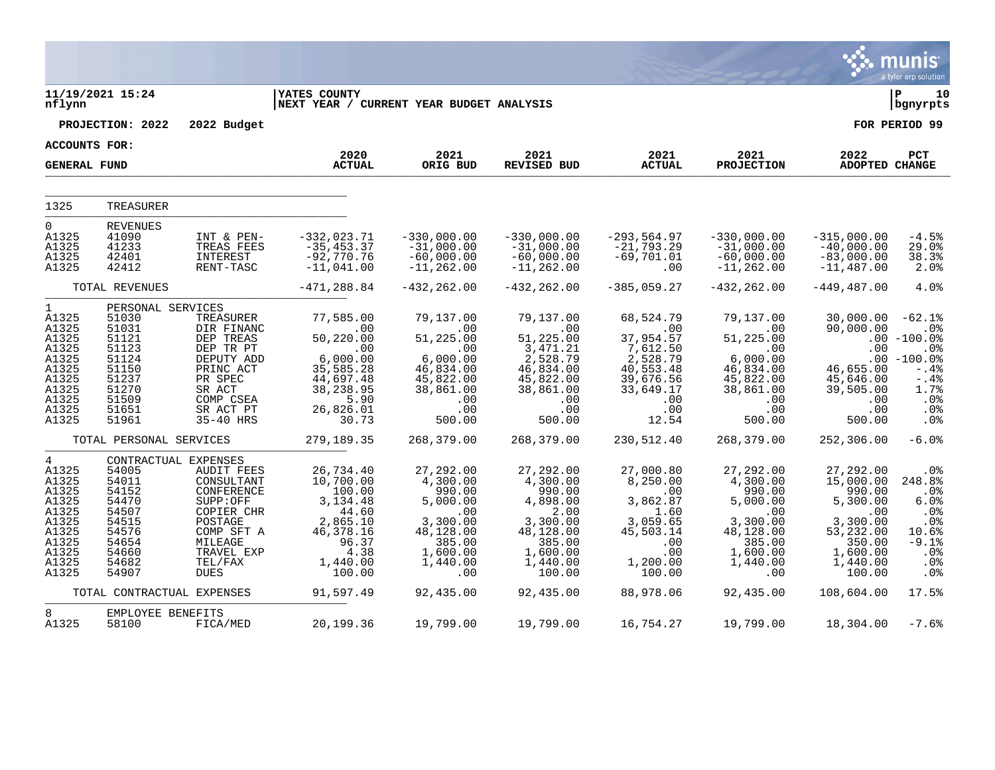|                                                                                                      |                                                                                                                      |                                                                                                                                                                      |                                                                                                                       |                                                                                                                      |                                                                                                                          |                                                                                                                     |                                                                                                                      |                                                                                                                           | munis<br>a tyler erp solution                                                                                                      |
|------------------------------------------------------------------------------------------------------|----------------------------------------------------------------------------------------------------------------------|----------------------------------------------------------------------------------------------------------------------------------------------------------------------|-----------------------------------------------------------------------------------------------------------------------|----------------------------------------------------------------------------------------------------------------------|--------------------------------------------------------------------------------------------------------------------------|---------------------------------------------------------------------------------------------------------------------|----------------------------------------------------------------------------------------------------------------------|---------------------------------------------------------------------------------------------------------------------------|------------------------------------------------------------------------------------------------------------------------------------|
| nflynn                                                                                               | 11/19/2021 15:24                                                                                                     |                                                                                                                                                                      | <b>YATES COUNTY</b><br> NEXT YEAR / CURRENT YEAR BUDGET ANALYSIS                                                      |                                                                                                                      |                                                                                                                          |                                                                                                                     |                                                                                                                      |                                                                                                                           | P<br>10<br>bgnyrpts                                                                                                                |
|                                                                                                      | PROJECTION: 2022                                                                                                     | 2022 Budget                                                                                                                                                          |                                                                                                                       |                                                                                                                      |                                                                                                                          |                                                                                                                     |                                                                                                                      |                                                                                                                           | FOR PERIOD 99                                                                                                                      |
| ACCOUNTS FOR:                                                                                        |                                                                                                                      |                                                                                                                                                                      |                                                                                                                       |                                                                                                                      |                                                                                                                          |                                                                                                                     |                                                                                                                      |                                                                                                                           |                                                                                                                                    |
| <b>GENERAL FUND</b>                                                                                  |                                                                                                                      |                                                                                                                                                                      | 2020<br><b>ACTUAL</b>                                                                                                 | 2021<br>ORIG BUD                                                                                                     | 2021<br><b>REVISED BUD</b>                                                                                               | 2021<br><b>ACTUAL</b>                                                                                               | 2021<br><b>PROJECTION</b>                                                                                            | 2022<br>ADOPTED CHANGE                                                                                                    | PCT                                                                                                                                |
| 1325                                                                                                 | TREASURER                                                                                                            |                                                                                                                                                                      |                                                                                                                       |                                                                                                                      |                                                                                                                          |                                                                                                                     |                                                                                                                      |                                                                                                                           |                                                                                                                                    |
| $\Omega$<br>A1325<br>A1325<br>A1325<br>A1325                                                         | <b>REVENUES</b><br>41090<br>41233<br>42401<br>42412                                                                  | INT & PEN-<br>TREAS FEES<br>INTEREST<br>RENT-TASC                                                                                                                    | $-332,023.71$<br>$-35, 453.37$<br>$-92,770.76$<br>$-11,041.00$                                                        | $-330,000.00$<br>$-31,000.00$<br>$-60,000.00$<br>$-11, 262.00$                                                       | $-330,000.00$<br>$-31,000.00$<br>$-60,000.00$<br>$-11, 262.00$                                                           | $-293,564.97$<br>$-21,793.29$<br>$-69,701.01$<br>.00                                                                | $-330,000.00$<br>$-31,000.00$<br>$-60,000.00$<br>$-11, 262.00$                                                       | $-315,000.00$<br>$-40,000.00$<br>$-83,000.00$<br>$-11, 487.00$                                                            | $-4.5%$<br>29.0%<br>38.3%<br>2.0%                                                                                                  |
|                                                                                                      | TOTAL REVENUES                                                                                                       |                                                                                                                                                                      | $-471, 288.84$                                                                                                        | $-432, 262.00$                                                                                                       | $-432, 262.00$                                                                                                           | $-385,059.27$                                                                                                       | $-432, 262.00$                                                                                                       | $-449, 487.00$                                                                                                            | 4.0%                                                                                                                               |
| 1<br>A1325<br>A1325<br>A1325<br>A1325<br>A1325<br>A1325<br>A1325<br>A1325<br>A1325<br>A1325<br>A1325 | PERSONAL SERVICES<br>51030<br>51031<br>51121<br>51123<br>51124<br>51150<br>51237<br>51270<br>51509<br>51651<br>51961 | TREASURER<br>DIR FINANC<br>DEP TREAS<br>DEP TR PT<br>DEPUTY ADD<br>PRINC ACT<br>PR SPEC<br>SR ACT<br>COMP CSEA<br>SR ACT PT<br>35-40 HRS                             | 77,585.00<br>.00<br>50,220.00<br>.00<br>6,000.00<br>35,585.28<br>44,697.48<br>38,238.95<br>5.90<br>26,826.01<br>30.73 | 79,137.00<br>.00<br>51,225.00<br>.00<br>6,000.00<br>46,834.00<br>45,822.00<br>38,861.00<br>.00<br>.00<br>500.00      | 79,137.00<br>.00<br>51,225.00<br>3,471.21<br>2,528.79<br>46,834.00<br>45,822.00<br>38,861.00<br>.00<br>.00<br>500.00     | 68,524.79<br>.00<br>37,954.57<br>7,612.50<br>2,528.79<br>40,553.48<br>39,676.56<br>33,649.17<br>.00<br>.00<br>12.54 | 79,137.00<br>.00<br>51,225.00<br>.00<br>6,000.00<br>46,834.00<br>45,822.00<br>38,861.00<br>.00<br>.00<br>500.00      | 30,000.00<br>90,000.00<br>.00<br>46,655.00<br>45,646.00<br>39,505.00<br>.00<br>.00<br>500.00                              | $-62.1%$<br>.0 <sub>8</sub><br>$.00 - 100.0$<br>.0%<br>$.00 - 100.0$<br>$-0.4%$<br>$-.4%$<br>1.7%<br>.0%<br>.0 <sub>8</sub><br>.0% |
|                                                                                                      | TOTAL PERSONAL SERVICES                                                                                              |                                                                                                                                                                      | 279,189.35                                                                                                            | 268,379.00                                                                                                           | 268,379.00                                                                                                               | 230,512.40                                                                                                          | 268,379.00                                                                                                           | 252,306.00                                                                                                                | $-6.0%$                                                                                                                            |
| 4<br>A1325<br>A1325<br>A1325<br>A1325<br>A1325<br>A1325<br>A1325<br>A1325<br>A1325<br>A1325<br>A1325 | 54005<br>54011<br>54152<br>54470<br>54507<br>54515<br>54576<br>54654<br>54660<br>54682<br>54907                      | CONTRACTUAL EXPENSES<br>AUDIT FEES<br>CONSULTANT<br>CONFERENCE<br>SUPP:OFF<br>COPIER CHR<br>POSTAGE<br>COMP SFT A<br>MILEAGE<br>TRAVEL EXP<br>TEL/FAX<br><b>DUES</b> | 26,734.40<br>10,700.00<br>100.00<br>3,134.48<br>44.60<br>2,865.10<br>46,378.16<br>96.37<br>4.38<br>1,440.00<br>100.00 | 27,292.00<br>4,300.00<br>990.00<br>5,000.00<br>.00<br>3,300.00<br>48,128.00<br>385.00<br>1,600.00<br>1,440.00<br>.00 | 27,292.00<br>4,300.00<br>990.00<br>4,898.00<br>2.00<br>3,300.00<br>48,128.00<br>385.00<br>1,600.00<br>1,440.00<br>100.00 | 27,000.80<br>8,250.00<br>.00<br>3,862.87<br>1.60<br>3,059.65<br>45,503.14<br>.00<br>.00<br>1,200.00<br>100.00       | 27,292.00<br>4,300.00<br>990.00<br>5,000.00<br>.00<br>3,300.00<br>48,128.00<br>385.00<br>1,600.00<br>1,440.00<br>.00 | 27,292.00<br>15,000.00<br>990.00<br>5,300.00<br>.00<br>3,300.00<br>53, 232.00<br>350.00<br>1,600.00<br>1,440.00<br>100.00 | .0%<br>248.8%<br>.0%<br>6.0%<br>.0%<br>.0%<br>10.6%<br>$-9.1%$<br>.0%<br>.0%<br>.0 <sub>8</sub>                                    |
|                                                                                                      | TOTAL CONTRACTUAL EXPENSES                                                                                           |                                                                                                                                                                      | 91,597.49                                                                                                             | 92,435.00                                                                                                            | 92,435.00                                                                                                                | 88,978.06                                                                                                           | 92,435.00                                                                                                            | 108,604.00                                                                                                                | 17.5%                                                                                                                              |
| 8<br>A1325                                                                                           | EMPLOYEE BENEFITS<br>58100                                                                                           | FICA/MED                                                                                                                                                             | 20,199.36                                                                                                             | 19,799.00                                                                                                            | 19,799.00                                                                                                                | 16,754.27                                                                                                           | 19,799.00                                                                                                            | 18,304.00                                                                                                                 | $-7.6%$                                                                                                                            |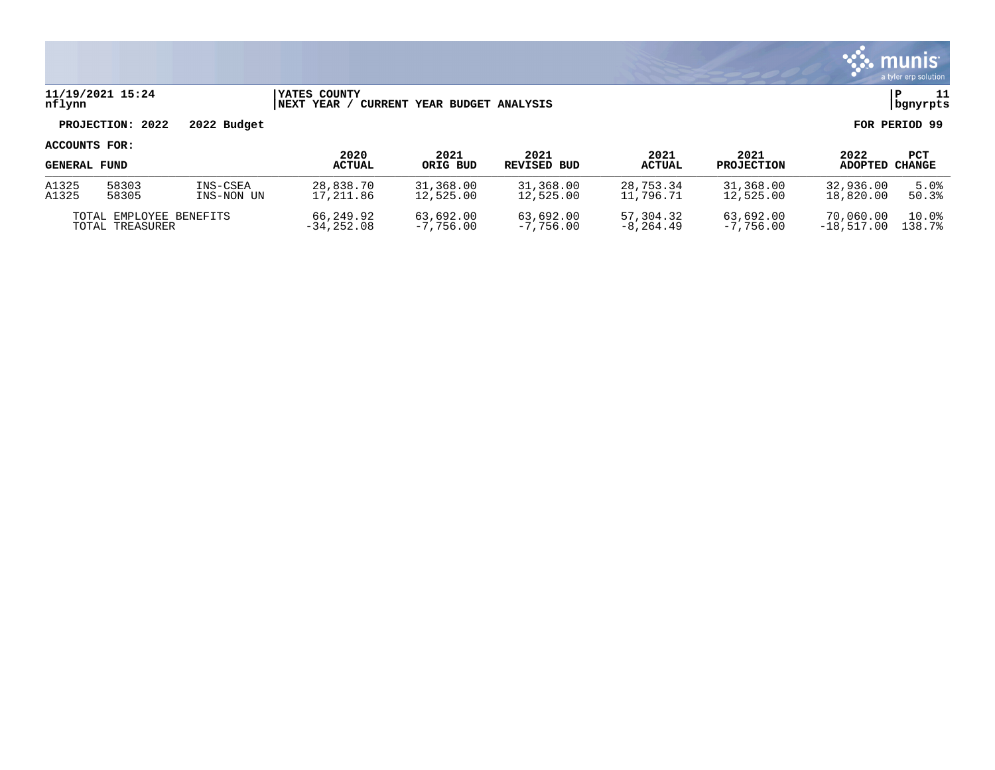

### **11/19/2021 15:24 |YATES COUNTY |P 11 nflynn |NEXT YEAR / CURRENT YEAR BUDGET ANALYSIS |bgnyrpts**

# **PROJECTION: 2022 2022 Budget FOR PERIOD 99**

| <b>GENERAL FUND</b>     |       |              | 2020          | 2021      | 2021          | 2021          | 2021              | 2022      | PCT    |
|-------------------------|-------|--------------|---------------|-----------|---------------|---------------|-------------------|-----------|--------|
|                         |       |              | <b>ACTUAL</b> | ORIG BUD  | REVISED BUD   | <b>ACTUAL</b> | <b>PROJECTION</b> | ADOPTED   | CHANGE |
| A1325                   | 58303 | INS-CSEA     | 28,838.70     | 31,368.00 | 31,368.00     | 28,753.34     | 31,368.00         | 32,936.00 | 5.0%   |
| A1325                   | 58305 | INS-NON UN   | 17,211.86     | 12,525.00 | 12,525.00     | 11,796.71     | 12,525.00         | 18,820.00 | 50.3%  |
| TOTAL EMPLOYEE BENEFITS |       | 66,249.92    | 63,692.00     | 63,692.00 | 57,304.32     | 63,692.00     | 70,060.00         | 10.0%     |        |
| TOTAL TREASURER         |       | $-34.252.08$ | $-7,756,00$   | -7,756.00 | $-8, 264, 49$ | $-7,756,00$   | $-18.517.00$      | 138.7%    |        |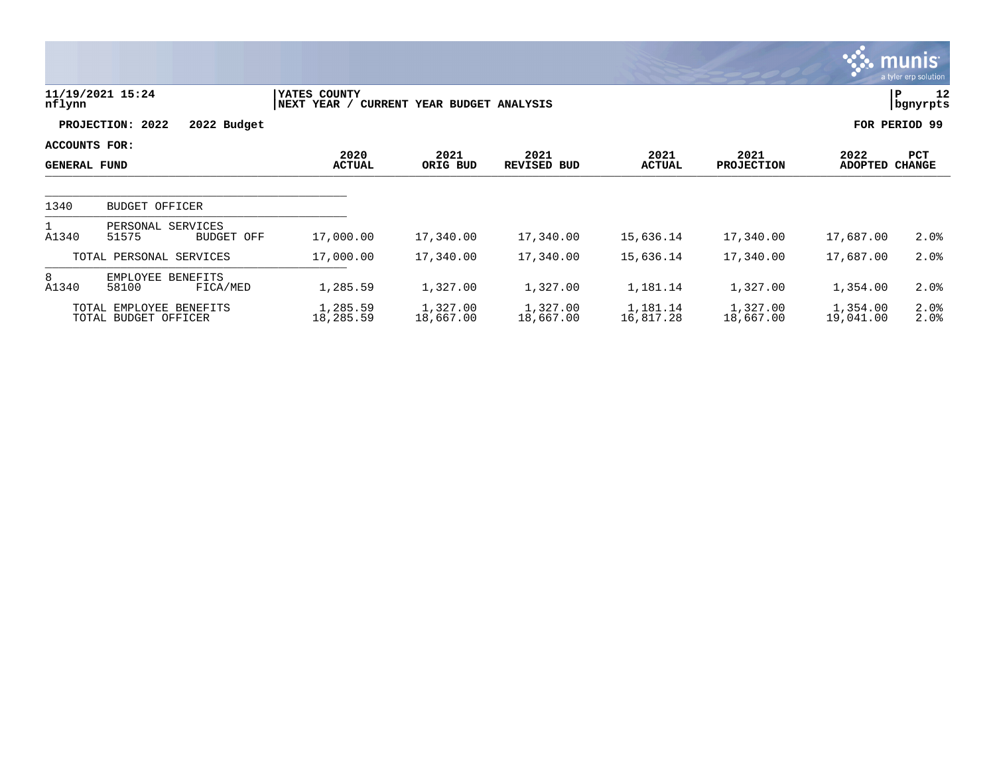|                                      |                                                 |                             |                              |                       |                       |                           |                        | <b>munis</b><br>a tyler erp solution |
|--------------------------------------|-------------------------------------------------|-----------------------------|------------------------------|-----------------------|-----------------------|---------------------------|------------------------|--------------------------------------|
| nflynn                               | 11/19/2021 15:24                                | YATES COUNTY<br>NEXT YEAR / | CURRENT YEAR BUDGET ANALYSIS |                       |                       |                           | P                      | 12<br>bgnyrpts                       |
|                                      | PROJECTION: 2022<br>2022 Budget                 |                             |                              |                       |                       |                           | FOR PERIOD 99          |                                      |
| ACCOUNTS FOR:<br><b>GENERAL FUND</b> |                                                 | 2020<br><b>ACTUAL</b>       | 2021<br>ORIG BUD             | 2021<br>REVISED BUD   | 2021<br><b>ACTUAL</b> | 2021<br><b>PROJECTION</b> | 2022<br><b>ADOPTED</b> | PCT<br><b>CHANGE</b>                 |
|                                      |                                                 |                             |                              |                       |                       |                           |                        |                                      |
| 1340                                 | <b>BUDGET OFFICER</b>                           |                             |                              |                       |                       |                           |                        |                                      |
| A1340                                | PERSONAL SERVICES<br>51575<br>BUDGET OFF        | 17,000.00                   | 17,340.00                    | 17,340.00             | 15,636.14             | 17,340.00                 | 17,687.00              | 2.0%                                 |
|                                      | TOTAL PERSONAL SERVICES                         | 17,000.00                   | 17,340.00                    | 17,340.00             | 15,636.14             | 17,340.00                 | 17,687.00              | 2.0%                                 |
| 8<br>A1340                           | EMPLOYEE BENEFITS<br>58100<br>FICA/MED          | 1,285.59                    | 1,327.00                     | 1,327.00              | 1,181.14              | 1,327.00                  | 1,354.00               | 2.0%                                 |
|                                      | TOTAL EMPLOYEE BENEFITS<br>TOTAL BUDGET OFFICER | 1,285.59<br>18,285.59       | 1,327.00<br>18,667.00        | 1,327.00<br>18,667.00 | 1,181.14<br>16,817.28 | 1,327.00<br>18,667.00     | 1,354.00<br>19,041.00  | 2.0%<br>2.0%                         |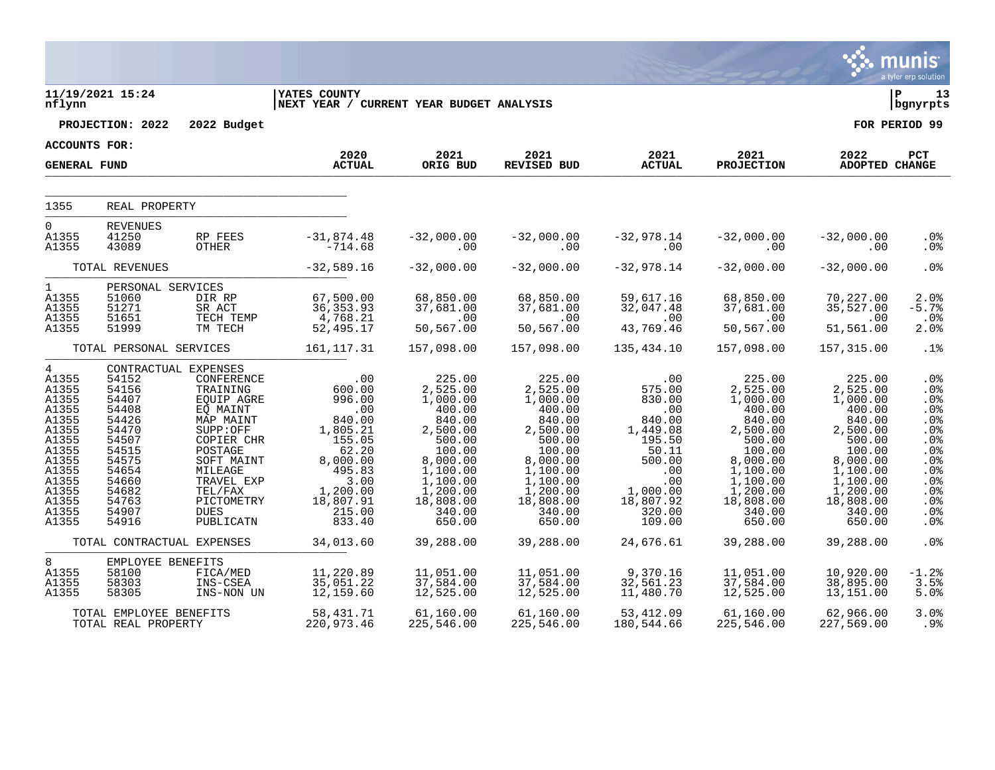|                                                                                                                                                        |                                                                                                                                     |                                                                                                                                                                                                                        |                                                                                                                                                    |                                                                                                                                                                     |                                                                                                                                                                     |                                                                                                                                                                       |                                                                                                                                                                     |                                                                                                                                                                     | <b>munis</b><br>a tyler erp solution                                                                                                      |
|--------------------------------------------------------------------------------------------------------------------------------------------------------|-------------------------------------------------------------------------------------------------------------------------------------|------------------------------------------------------------------------------------------------------------------------------------------------------------------------------------------------------------------------|----------------------------------------------------------------------------------------------------------------------------------------------------|---------------------------------------------------------------------------------------------------------------------------------------------------------------------|---------------------------------------------------------------------------------------------------------------------------------------------------------------------|-----------------------------------------------------------------------------------------------------------------------------------------------------------------------|---------------------------------------------------------------------------------------------------------------------------------------------------------------------|---------------------------------------------------------------------------------------------------------------------------------------------------------------------|-------------------------------------------------------------------------------------------------------------------------------------------|
| nflynn                                                                                                                                                 | 11/19/2021 15:24                                                                                                                    |                                                                                                                                                                                                                        | <b>IYATES COUNTY</b><br>NEXT YEAR / CURRENT YEAR BUDGET ANALYSIS                                                                                   |                                                                                                                                                                     |                                                                                                                                                                     |                                                                                                                                                                       |                                                                                                                                                                     |                                                                                                                                                                     | l P<br>13<br>  bgnyrpts                                                                                                                   |
|                                                                                                                                                        | PROJECTION: 2022                                                                                                                    | 2022 Budget                                                                                                                                                                                                            |                                                                                                                                                    |                                                                                                                                                                     |                                                                                                                                                                     |                                                                                                                                                                       |                                                                                                                                                                     |                                                                                                                                                                     | FOR PERIOD 99                                                                                                                             |
| ACCOUNTS FOR:                                                                                                                                          |                                                                                                                                     |                                                                                                                                                                                                                        | 2020                                                                                                                                               | 2021                                                                                                                                                                | 2021                                                                                                                                                                | 2021                                                                                                                                                                  | 2021                                                                                                                                                                | 2022                                                                                                                                                                | PCT                                                                                                                                       |
| <b>GENERAL FUND</b>                                                                                                                                    |                                                                                                                                     |                                                                                                                                                                                                                        | <b>ACTUAL</b>                                                                                                                                      | ORIG BUD                                                                                                                                                            | <b>REVISED BUD</b>                                                                                                                                                  | <b>ACTUAL</b>                                                                                                                                                         | <b>PROJECTION</b>                                                                                                                                                   | ADOPTED CHANGE                                                                                                                                                      |                                                                                                                                           |
| 1355                                                                                                                                                   | REAL PROPERTY                                                                                                                       |                                                                                                                                                                                                                        |                                                                                                                                                    |                                                                                                                                                                     |                                                                                                                                                                     |                                                                                                                                                                       |                                                                                                                                                                     |                                                                                                                                                                     |                                                                                                                                           |
| 0<br>A1355<br>A1355                                                                                                                                    | <b>REVENUES</b><br>41250<br>43089                                                                                                   | RP FEES<br>OTHER                                                                                                                                                                                                       | $-31,874.48$<br>$-714.68$                                                                                                                          | $-32,000.00$<br>.00                                                                                                                                                 | $-32,000.00$<br>.00                                                                                                                                                 | $-32,978.14$<br>.00                                                                                                                                                   | $-32,000.00$<br>.00                                                                                                                                                 | $-32,000.00$<br>.00                                                                                                                                                 | .0%<br>.0 <sub>8</sub>                                                                                                                    |
|                                                                                                                                                        | TOTAL REVENUES                                                                                                                      |                                                                                                                                                                                                                        | $-32,589.16$                                                                                                                                       | $-32,000.00$                                                                                                                                                        | $-32,000.00$                                                                                                                                                        | $-32,978.14$                                                                                                                                                          | $-32,000.00$                                                                                                                                                        | $-32,000.00$                                                                                                                                                        | .0 <sup>8</sup>                                                                                                                           |
| $\mathbf{1}$<br>A1355<br>A1355<br>A1355<br>A1355                                                                                                       | PERSONAL SERVICES<br>51060<br>51271<br>51651<br>51999                                                                               | DIR RP<br>SR ACT<br>TECH TEMP<br>TM TECH                                                                                                                                                                               | 67,500.00<br>36, 353.93<br>4,768.21<br>52,495.17                                                                                                   | 68,850.00<br>37,681.00<br>$\sim 00$<br>50, 567.00                                                                                                                   | 68,850.00<br>37,681.00<br>$\sim 00$<br>50,567.00                                                                                                                    | 59,617.16<br>32,047.48<br>.00<br>43,769.46                                                                                                                            | 68,850.00<br>37,681.00<br>$\sim 00$<br>50,567.00                                                                                                                    | 70,227.00<br>35,527.00<br>.00<br>51,561.00                                                                                                                          | 2.0%<br>$-5.7%$<br>$.0\%$<br>2.0%                                                                                                         |
|                                                                                                                                                        | TOTAL PERSONAL SERVICES                                                                                                             |                                                                                                                                                                                                                        | 161,117.31                                                                                                                                         | 157,098.00                                                                                                                                                          | 157,098.00                                                                                                                                                          | 135,434.10                                                                                                                                                            | 157,098.00                                                                                                                                                          | 157,315.00                                                                                                                                                          | .1%                                                                                                                                       |
| $4\overline{ }$<br>A1355<br>A1355<br>A1355<br>A1355<br>A1355<br>A1355<br>A1355<br>A1355<br>A1355<br>A1355<br>A1355<br>A1355<br>A1355<br>A1355<br>A1355 | 54152<br>54156<br>54407<br>54408<br>54426<br>54470<br>54507<br>54515<br>54575<br>54654<br>54660<br>54682<br>54763<br>54907<br>54916 | CONTRACTUAL EXPENSES<br>CONFERENCE<br>TRAINING<br>EOUIP AGRE<br>EQ MAINT<br>MAP MAINT<br>SUPP:OFF<br>COPIER CHR<br>POSTAGE<br>SOFT MAINT<br>MILEAGE<br>TRAVEL EXP<br>TEL/FAX<br>PICTOMETRY<br><b>DUES</b><br>PUBLICATN | .00<br>600.00<br>996.00<br>.00<br>840.00<br>1,805.21<br>155.05<br>62.20<br>8,000.00<br>495.83<br>3.00<br>1,200.00<br>18,807.91<br>215.00<br>833.40 | 225.00<br>2,525.00<br>1,000.00<br>400.00<br>840.00<br>2,500.00<br>500.00<br>100.00<br>8,000.00<br>1,100.00<br>1,100.00<br>1,200.00<br>18,808.00<br>340.00<br>650.00 | 225.00<br>2,525.00<br>1,000.00<br>400.00<br>840.00<br>2,500.00<br>500.00<br>100.00<br>8,000.00<br>1,100.00<br>1,100.00<br>1,200.00<br>18,808.00<br>340.00<br>650.00 | $\overline{\phantom{0}}$ .00<br>575.00<br>830.00<br>.00<br>840.00<br>1,449.08<br>195.50<br>50.11<br>500.00<br>.00<br>.00<br>1,000.00<br>18,807.92<br>320.00<br>109.00 | 225.00<br>2,525.00<br>1,000.00<br>400.00<br>840.00<br>2,500.00<br>500.00<br>100.00<br>8,000.00<br>1,100.00<br>1,100.00<br>1,200.00<br>18,808.00<br>340.00<br>650.00 | 225.00<br>2,525.00<br>1,000.00<br>400.00<br>840.00<br>2,500.00<br>500.00<br>100.00<br>8,000.00<br>1,100.00<br>1,100.00<br>1,200.00<br>18,808.00<br>340.00<br>650.00 | .0%<br>.0%<br>.0%<br>.0%<br>.0%<br>.0%<br>.0%<br>.0%<br>.0%<br>.0 <sub>8</sub><br>.0%<br>.0%<br>.0 <sub>8</sub><br>.0%<br>.0 <sub>8</sub> |
|                                                                                                                                                        | TOTAL CONTRACTUAL EXPENSES                                                                                                          |                                                                                                                                                                                                                        | 34,013.60                                                                                                                                          | 39,288.00                                                                                                                                                           | 39,288.00                                                                                                                                                           | 24,676.61                                                                                                                                                             | 39,288.00                                                                                                                                                           | 39,288.00                                                                                                                                                           | .0 <sup>8</sup>                                                                                                                           |
| 8<br>A1355<br>A1355<br>A1355                                                                                                                           | EMPLOYEE BENEFITS<br>58100<br>58303<br>58305                                                                                        | FICA/MED<br>INS-CSEA<br>INS-NON UN                                                                                                                                                                                     | 11,220.89<br>35,051.22<br>12,159.60                                                                                                                | 11,051.00<br>37,584.00<br>12,525.00                                                                                                                                 | 11,051.00<br>37,584.00<br>12,525.00                                                                                                                                 | 9,370.16<br>32,561.23<br>11,480.70                                                                                                                                    | 11,051.00<br>37,584.00<br>12,525.00                                                                                                                                 | 10,920.00<br>38,895.00<br>13,151.00                                                                                                                                 | $-1.2%$<br>3.5%<br>5.0%                                                                                                                   |
|                                                                                                                                                        | TOTAL EMPLOYEE BENEFITS<br>TOTAL REAL PROPERTY                                                                                      |                                                                                                                                                                                                                        | 58,431.71<br>220,973.46                                                                                                                            | 61,160.00<br>225,546.00                                                                                                                                             | 61,160.00<br>225,546.00                                                                                                                                             | 53, 412.09<br>180,544.66                                                                                                                                              | 61,160.00<br>225,546.00                                                                                                                                             | 62,966.00<br>227,569.00                                                                                                                                             | 3.0%<br>$.9\%$                                                                                                                            |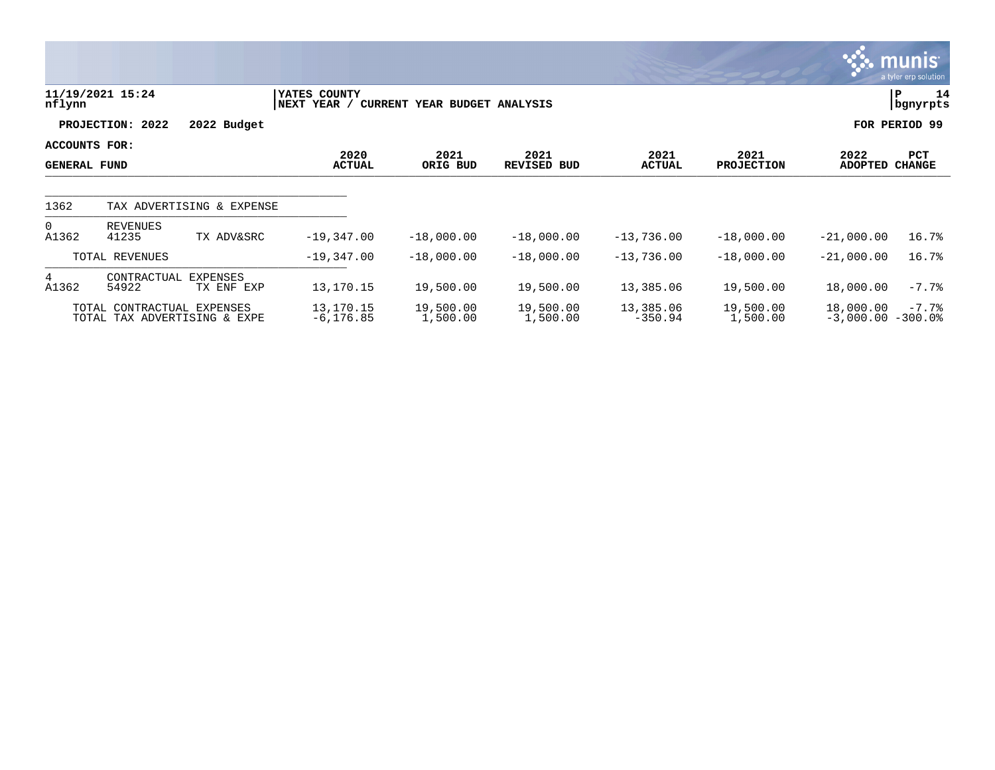|                                      |                            |                              |                              |                              |                            |                        |                           |                                  | <u>munis </u><br>a tyler erp solution |
|--------------------------------------|----------------------------|------------------------------|------------------------------|------------------------------|----------------------------|------------------------|---------------------------|----------------------------------|---------------------------------------|
| nflynn                               | 11/19/2021 15:24           |                              | YATES COUNTY<br> NEXT YEAR / | CURRENT YEAR BUDGET ANALYSIS |                            |                        |                           |                                  | 14<br>P<br>bgnyrpts                   |
|                                      | PROJECTION: 2022           | 2022 Budget                  |                              |                              |                            |                        |                           |                                  | FOR PERIOD 99                         |
| ACCOUNTS FOR:<br><b>GENERAL FUND</b> |                            |                              | 2020<br><b>ACTUAL</b>        | 2021<br>ORIG BUD             | 2021<br><b>REVISED BUD</b> | 2021<br><b>ACTUAL</b>  | 2021<br><b>PROJECTION</b> | 2022<br><b>ADOPTED</b>           | PCT<br><b>CHANGE</b>                  |
| 1362                                 |                            | TAX ADVERTISING & EXPENSE    |                              |                              |                            |                        |                           |                                  |                                       |
| $\Omega$<br>A1362                    | <b>REVENUES</b><br>41235   | TX ADV&SRC                   | $-19,347.00$                 | $-18,000.00$                 | $-18,000.00$               | $-13,736.00$           | $-18,000.00$              | $-21,000.00$                     | 16.7%                                 |
|                                      | TOTAL REVENUES             |                              | $-19,347.00$                 | $-18,000.00$                 | $-18,000.00$               | $-13,736.00$           | $-18,000.00$              | $-21,000.00$                     | 16.7%                                 |
| 4<br>A1362                           | CONTRACTUAL<br>54922       | EXPENSES<br>TX ENF EXP       | 13,170.15                    | 19,500.00                    | 19,500.00                  | 13,385.06              | 19,500.00                 | 18,000.00                        | $-7.7%$                               |
|                                      | TOTAL CONTRACTUAL EXPENSES | TOTAL TAX ADVERTISING & EXPE | 13,170.15<br>$-6, 176.85$    | 19,500.00<br>1,500.00        | 19,500.00<br>1,500.00      | 13,385.06<br>$-350.94$ | 19,500.00<br>1,500.00     | 18,000.00<br>$-3,000.00 - 300.0$ | $-7.7%$                               |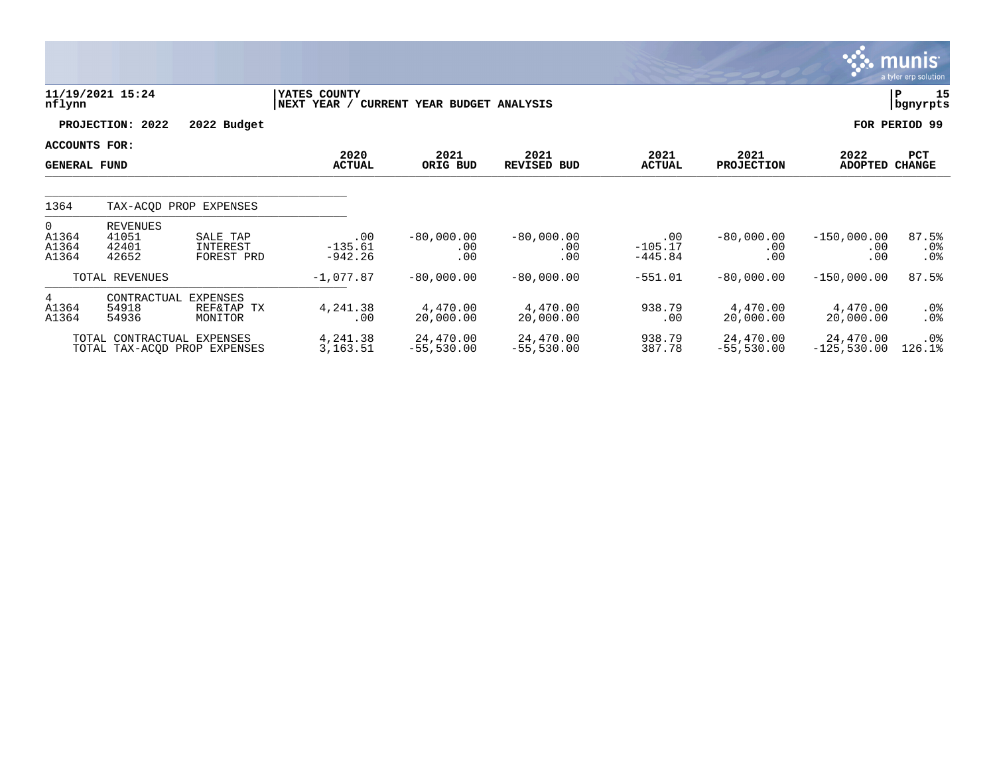|                                             |                                                            |                                    |                               |                              |                            |                               |                            |                             | <b>munis</b><br>a tyler erp solution |
|---------------------------------------------|------------------------------------------------------------|------------------------------------|-------------------------------|------------------------------|----------------------------|-------------------------------|----------------------------|-----------------------------|--------------------------------------|
| nflynn                                      | 11/19/2021 15:24                                           |                                    | YATES COUNTY<br>NEXT YEAR /   | CURRENT YEAR BUDGET ANALYSIS |                            |                               |                            |                             | 15<br>ΙP<br>  bgnyrpts               |
|                                             | PROJECTION: 2022                                           | 2022 Budget                        |                               |                              |                            |                               |                            |                             | FOR PERIOD 99                        |
| <b>ACCOUNTS FOR:</b><br><b>GENERAL FUND</b> |                                                            |                                    | 2020<br><b>ACTUAL</b>         | 2021<br>ORIG BUD             | 2021<br><b>REVISED BUD</b> | 2021<br><b>ACTUAL</b>         | 2021<br><b>PROJECTION</b>  | 2022<br><b>ADOPTED</b>      | PCT<br><b>CHANGE</b>                 |
| 1364                                        |                                                            | TAX-ACOD PROP EXPENSES             |                               |                              |                            |                               |                            |                             |                                      |
| $\Omega$<br>A1364<br>A1364<br>A1364         | <b>REVENUES</b><br>41051<br>42401<br>42652                 | SALE TAP<br>INTEREST<br>FOREST PRD | .00<br>$-135.61$<br>$-942.26$ | $-80,000.00$<br>.00<br>.00   | $-80,000.00$<br>.00<br>.00 | .00<br>$-105.17$<br>$-445.84$ | $-80,000.00$<br>.00<br>.00 | $-150,000.00$<br>.00<br>.00 | 87.5%<br>$.0\%$<br>.0 <sub>8</sub>   |
|                                             | TOTAL REVENUES                                             |                                    | $-1,077.87$                   | $-80,000.00$                 | $-80,000.00$               | $-551.01$                     | $-80,000.00$               | $-150,000.00$               | 87.5%                                |
| 4<br>A1364<br>A1364                         | CONTRACTUAL<br>54918<br>54936                              | EXPENSES<br>REF&TAP TX<br>MONITOR  | 4,241.38<br>.00               | 4,470.00<br>20,000.00        | 4,470.00<br>20,000.00      | 938.79<br>.00                 | 4,470.00<br>20,000.00      | 4,470.00<br>20,000.00       | $.0\%$<br>$.0\%$                     |
|                                             | TOTAL CONTRACTUAL EXPENSES<br>TOTAL TAX-ACOD PROP EXPENSES |                                    | 4,241.38<br>3,163.51          | 24,470.00<br>$-55,530.00$    | 24,470.00<br>$-55,530.00$  | 938.79<br>387.78              | 24,470.00<br>$-55,530.00$  | 24,470.00<br>$-125,530.00$  | .0 <sub>8</sub><br>126.1%            |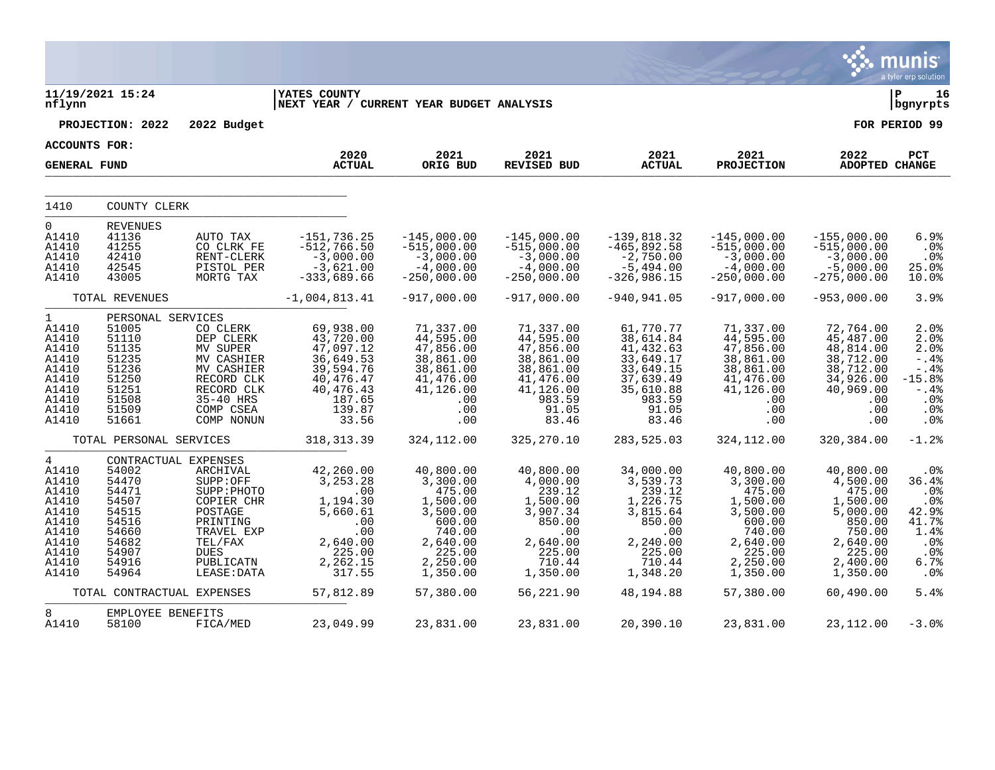|                                                                                                        |                                                                                                                         |                                                                                                                                              |                                                                                                                       |                                                                                                                           |                                                                                                                      |                                                                                                                      |                                                                                                                           |                                                                                                                           | munis<br>a tyler erp solution                                                                    |
|--------------------------------------------------------------------------------------------------------|-------------------------------------------------------------------------------------------------------------------------|----------------------------------------------------------------------------------------------------------------------------------------------|-----------------------------------------------------------------------------------------------------------------------|---------------------------------------------------------------------------------------------------------------------------|----------------------------------------------------------------------------------------------------------------------|----------------------------------------------------------------------------------------------------------------------|---------------------------------------------------------------------------------------------------------------------------|---------------------------------------------------------------------------------------------------------------------------|--------------------------------------------------------------------------------------------------|
| nflynn                                                                                                 | 11/19/2021 15:24                                                                                                        |                                                                                                                                              | <b> YATES COUNTY</b><br>NEXT YEAR / CURRENT YEAR BUDGET ANALYSIS                                                      |                                                                                                                           |                                                                                                                      |                                                                                                                      |                                                                                                                           |                                                                                                                           | ∣ P<br>16<br>bgnyrpts                                                                            |
|                                                                                                        | PROJECTION: 2022                                                                                                        | 2022 Budget                                                                                                                                  |                                                                                                                       |                                                                                                                           |                                                                                                                      |                                                                                                                      |                                                                                                                           |                                                                                                                           | FOR PERIOD 99                                                                                    |
| <b>ACCOUNTS FOR:</b>                                                                                   |                                                                                                                         |                                                                                                                                              |                                                                                                                       |                                                                                                                           |                                                                                                                      |                                                                                                                      |                                                                                                                           |                                                                                                                           |                                                                                                  |
| <b>GENERAL FUND</b>                                                                                    |                                                                                                                         |                                                                                                                                              | 2020<br><b>ACTUAL</b>                                                                                                 | 2021<br>ORIG BUD                                                                                                          | 2021<br><b>REVISED BUD</b>                                                                                           | 2021<br><b>ACTUAL</b>                                                                                                | 2021<br><b>PROJECTION</b>                                                                                                 | 2022<br><b>ADOPTED CHANGE</b>                                                                                             | PCT                                                                                              |
| 1410                                                                                                   | COUNTY CLERK                                                                                                            |                                                                                                                                              |                                                                                                                       |                                                                                                                           |                                                                                                                      |                                                                                                                      |                                                                                                                           |                                                                                                                           |                                                                                                  |
| $\mathbf{0}$<br>A1410<br>A1410<br>A1410<br>A1410<br>A1410                                              | <b>REVENUES</b><br>41136<br>41255<br>42410<br>42545<br>43005                                                            | AUTO TAX<br>CO CLRK FE<br>RENT-CLERK<br>PISTOL PER<br>MORTG TAX                                                                              | $-151, 736.25$<br>$-512,766.50$<br>$-3,000.00$<br>$-3,621.00$<br>$-333,689.66$                                        | $-145,000.00$<br>$-515,000.00$<br>$-3,000.00$<br>$-4,000.00$<br>$-250,000.00$                                             | $-145,000.00$<br>$-515,000.00$<br>$-3,000.00$<br>$-4,000.00$<br>$-250,000.00$                                        | $-139,818.32$<br>$-465,892.58$<br>$-2,750.00$<br>$-5,494.00$<br>$-326,986.15$                                        | $-145,000.00$<br>$-515,000.00$<br>$-3,000.00$<br>$-4,000.00$<br>$-250,000.00$                                             | $-155,000.00$<br>$-515,000.00$<br>$-3,000.00$<br>$-5,000.00$<br>$-275,000.00$                                             | 6.9%<br>.0%<br>.0%<br>25.0%<br>10.0%                                                             |
|                                                                                                        | TOTAL REVENUES                                                                                                          |                                                                                                                                              | $-1,004,813.41$                                                                                                       | $-917,000.00$                                                                                                             | $-917,000.00$                                                                                                        | $-940, 941.05$                                                                                                       | $-917,000.00$                                                                                                             | $-953,000.00$                                                                                                             | 3.9%                                                                                             |
| $\mathbf{1}$<br>A1410<br>A1410<br>A1410<br>A1410<br>A1410<br>A1410<br>A1410<br>A1410<br>A1410<br>A1410 | PERSONAL SERVICES<br>51005<br>51110<br>51135<br>51235<br>51236<br>51250<br>51251<br>51508<br>51509<br>51661             | CO CLERK<br>DEP CLERK<br>MV SUPER<br>MV CASHIER<br>MV CASHIER<br>RECORD CLK<br>RECORD CLK<br>35-40 HRS<br>COMP CSEA<br>COMP NONUN            | 69,938.00<br>43,720.00<br>47,097.12<br>36,649.53<br>39,594.76<br>40, 476.47<br>40,476.43<br>187.65<br>139.87<br>33.56 | 71,337.00<br>44,595.00<br>47,856.00<br>38,861.00<br>38,861.00<br>41,476.00<br>41,126.00<br>.00<br>.00<br>.00              | 71,337.00<br>44,595.00<br>47,856.00<br>38,861.00<br>38,861.00<br>41,476.00<br>41,126.00<br>983.59<br>91.05<br>83.46  | 61,770.77<br>38,614.84<br>41,432.63<br>33,649.17<br>33,649.15<br>37,639.49<br>35,610.88<br>983.59<br>91.05<br>83.46  | 71,337.00<br>44,595.00<br>47,856.00<br>38,861.00<br>38,861.00<br>41,476.00<br>41,126.00<br>.00<br>.00<br>.00              | 72,764.00<br>45,487.00<br>48,814.00<br>38,712.00<br>38,712.00<br>34,926.00<br>40,969.00<br>.00<br>.00<br>.00              | 2.0%<br>2.0%<br>2.0%<br>$-.4%$<br>$-.4%$<br>$-15.8%$<br>$-.4%$<br>.0%<br>.0%<br>.0%              |
|                                                                                                        | TOTAL PERSONAL SERVICES                                                                                                 |                                                                                                                                              | 318, 313.39                                                                                                           | 324,112.00                                                                                                                | 325,270.10                                                                                                           | 283,525.03                                                                                                           | 324,112.00                                                                                                                | 320,384.00                                                                                                                | $-1.2%$                                                                                          |
| 4<br>A1410<br>A1410<br>A1410<br>A1410<br>A1410<br>A1410<br>A1410<br>A1410<br>A1410<br>A1410<br>A1410   | CONTRACTUAL EXPENSES<br>54002<br>54470<br>54471<br>54507<br>54515<br>54516<br>54660<br>54682<br>54907<br>54916<br>54964 | ARCHIVAL<br>SUPP:OFF<br>SUPP: PHOTO<br>COPIER CHR<br>POSTAGE<br>PRINTING<br>TRAVEL EXP<br>TEL/FAX<br><b>DUES</b><br>PUBLICATN<br>LEASE: DATA | 42,260.00<br>3,253.28<br>.00<br>1,194.30<br>5,660.61<br>.00<br>.00<br>2,640.00<br>225.00<br>2,262.15<br>317.55        | 40,800.00<br>3,300.00<br>475.00<br>1,500.00<br>3,500.00<br>600.00<br>740.00<br>2,640.00<br>225.00<br>2,250.00<br>1,350.00 | 40,800.00<br>4,000.00<br>239.12<br>1,500.00<br>3,907.34<br>850.00<br>.00<br>2,640.00<br>225.00<br>710.44<br>1,350.00 | 34,000.00<br>3,539.73<br>239.12<br>1,226.75<br>3,815.64<br>850.00<br>.00<br>2,240.00<br>225.00<br>710.44<br>1,348.20 | 40,800.00<br>3,300.00<br>475.00<br>1,500.00<br>3,500.00<br>600.00<br>740.00<br>2,640.00<br>225.00<br>2,250.00<br>1,350.00 | 40,800.00<br>4,500.00<br>475.00<br>1,500.00<br>5,000.00<br>850.00<br>750.00<br>2,640.00<br>225.00<br>2,400.00<br>1,350.00 | .0%<br>36.4%<br>.0 <sub>8</sub><br>$.0\%$<br>42.9%<br>41.7%<br>1.4%<br>.0%<br>.0%<br>6.7%<br>.0% |
|                                                                                                        | TOTAL CONTRACTUAL EXPENSES                                                                                              |                                                                                                                                              | 57,812.89                                                                                                             | 57,380.00                                                                                                                 | 56,221.90                                                                                                            | 48,194.88                                                                                                            | 57,380.00                                                                                                                 | 60,490.00                                                                                                                 | 5.4%                                                                                             |
| 8<br>A1410                                                                                             | EMPLOYEE BENEFITS<br>58100                                                                                              | FICA/MED                                                                                                                                     | 23,049.99                                                                                                             | 23,831.00                                                                                                                 | 23,831.00                                                                                                            | 20,390.10                                                                                                            | 23,831.00                                                                                                                 | 23,112.00                                                                                                                 | $-3.0%$                                                                                          |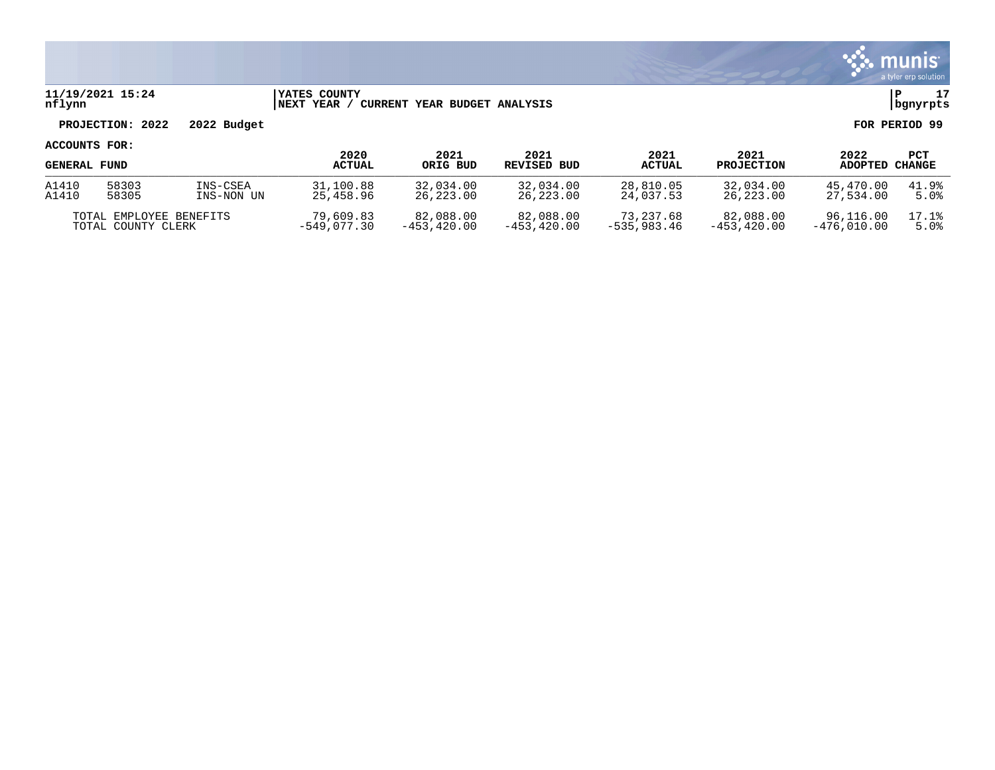

### **11/19/2021 15:24 |YATES COUNTY |P 17 nflynn |NEXT YEAR / CURRENT YEAR BUDGET ANALYSIS |bgnyrpts**

# **PROJECTION: 2022 2022 Budget FOR PERIOD 99**

| <b>GENERAL FUND</b>     |       |            | 2020<br><b>ACTUAL</b> | 2021<br>ORIG BUD | 2021<br>REVISED BUD | 2021<br><b>ACTUAL</b> | 2021<br><b>PROJECTION</b> | 2022<br><b>ADOPTED</b> | PCT<br>CHANGE |
|-------------------------|-------|------------|-----------------------|------------------|---------------------|-----------------------|---------------------------|------------------------|---------------|
| A1410                   | 58303 | INS-CSEA   | 31,100.88             | 32,034.00        | 32,034.00           | 28,810.05             | 32,034.00                 | 45,470.00              | 41.9%         |
| A1410                   | 58305 | INS-NON UN | 25,458.96             | 26,223.00        | 26,223.00           | 24,037.53             | 26,223.00                 | 27,534.00              | 5.0%          |
| TOTAL EMPLOYEE BENEFITS |       |            | 79,609.83             | 82,088.00        | 82,088.00           | 73,237.68             | 82,088.00                 | 96,116.00              | 17.1%         |
| TOTAL COUNTY CLERK      |       |            | -549,077.30           | $-453.420.00$    | $-453.420.00$       | $-535.983.46$         | $-453.420.00$             | $-476.010.00$          | 5.0%          |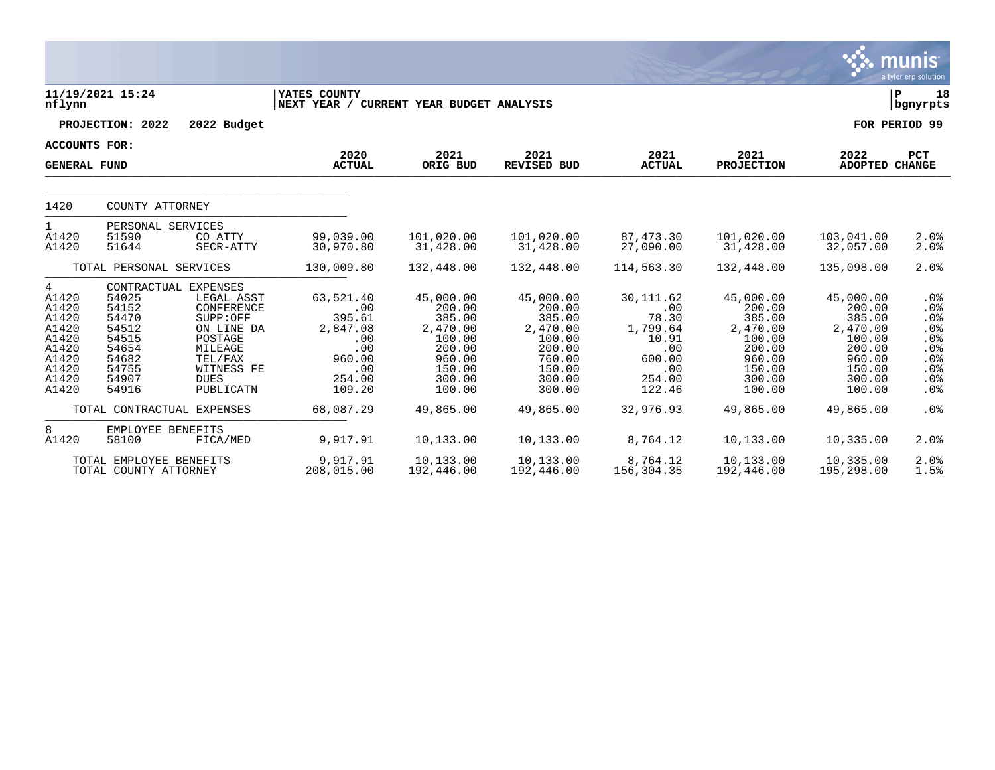|                                                                                             |                                                                                        |                                                                                                                                                       |                                                                                           |                                                                                                       |                                                                                                       |                                                                                             |                                                                                                       |                                                                                                       | <b>munis</b><br>a tyler erp solution                                           |
|---------------------------------------------------------------------------------------------|----------------------------------------------------------------------------------------|-------------------------------------------------------------------------------------------------------------------------------------------------------|-------------------------------------------------------------------------------------------|-------------------------------------------------------------------------------------------------------|-------------------------------------------------------------------------------------------------------|---------------------------------------------------------------------------------------------|-------------------------------------------------------------------------------------------------------|-------------------------------------------------------------------------------------------------------|--------------------------------------------------------------------------------|
| nflynn                                                                                      | 11/19/2021 15:24                                                                       |                                                                                                                                                       | YATES COUNTY<br>NEXT YEAR / CURRENT YEAR BUDGET ANALYSIS                                  |                                                                                                       |                                                                                                       |                                                                                             |                                                                                                       |                                                                                                       | P<br>18<br>bgnyrpts                                                            |
|                                                                                             | PROJECTION: 2022                                                                       | 2022 Budget                                                                                                                                           |                                                                                           |                                                                                                       |                                                                                                       |                                                                                             |                                                                                                       |                                                                                                       | FOR PERIOD 99                                                                  |
| <b>ACCOUNTS FOR:</b>                                                                        |                                                                                        |                                                                                                                                                       |                                                                                           |                                                                                                       |                                                                                                       |                                                                                             |                                                                                                       |                                                                                                       |                                                                                |
| <b>GENERAL FUND</b>                                                                         |                                                                                        |                                                                                                                                                       | 2020<br><b>ACTUAL</b>                                                                     | 2021<br>ORIG BUD                                                                                      | 2021<br><b>REVISED BUD</b>                                                                            | 2021<br><b>ACTUAL</b>                                                                       | 2021<br><b>PROJECTION</b>                                                                             | 2022<br>ADOPTED CHANGE                                                                                | PCT                                                                            |
| 1420                                                                                        | COUNTY ATTORNEY                                                                        |                                                                                                                                                       |                                                                                           |                                                                                                       |                                                                                                       |                                                                                             |                                                                                                       |                                                                                                       |                                                                                |
| $\mathbf{1}$<br>A1420<br>A1420                                                              | PERSONAL SERVICES<br>51590<br>51644                                                    | CO ATTY<br>SECR-ATTY                                                                                                                                  | 99,039.00<br>30,970.80                                                                    | 101,020.00<br>31,428.00                                                                               | 101,020.00<br>31,428.00                                                                               | 87,473.30<br>27,090.00                                                                      | 101,020.00<br>31,428.00                                                                               | 103,041.00<br>32,057.00                                                                               | 2.0%<br>2.0%                                                                   |
|                                                                                             | TOTAL PERSONAL SERVICES                                                                |                                                                                                                                                       | 130,009.80                                                                                | 132,448.00                                                                                            | 132,448.00                                                                                            | 114,563.30                                                                                  | 132,448.00                                                                                            | 135,098.00                                                                                            | 2.0%                                                                           |
| 4<br>A1420<br>A1420<br>A1420<br>A1420<br>A1420<br>A1420<br>A1420<br>A1420<br>A1420<br>A1420 | 54025<br>54152<br>54470<br>54512<br>54515<br>54654<br>54682<br>54755<br>54907<br>54916 | CONTRACTUAL EXPENSES<br>LEGAL ASST<br>CONFERENCE<br>SUPP:OFF<br>ON LINE DA<br>POSTAGE<br>MILEAGE<br>TEL/FAX<br>WITNESS FE<br><b>DUES</b><br>PUBLICATN | 63,521.40<br>.00<br>395.61<br>2,847.08<br>.00<br>.00<br>960.00<br>.00<br>254.00<br>109.20 | 45,000.00<br>200.00<br>385.00<br>2,470.00<br>100.00<br>200.00<br>960.00<br>150.00<br>300.00<br>100.00 | 45,000.00<br>200.00<br>385.00<br>2,470.00<br>100.00<br>200.00<br>760.00<br>150.00<br>300.00<br>300.00 | 30, 111.62<br>.00<br>78.30<br>1,799.64<br>10.91<br>.00<br>600.00<br>.00<br>254.00<br>122.46 | 45,000.00<br>200.00<br>385.00<br>2,470.00<br>100.00<br>200.00<br>960.00<br>150.00<br>300.00<br>100.00 | 45,000.00<br>200.00<br>385.00<br>2,470.00<br>100.00<br>200.00<br>960.00<br>150.00<br>300.00<br>100.00 | .0 <sub>8</sub><br>.0%<br>.0%<br>.0%<br>.0%<br>.0%<br>.0%<br>.0%<br>.0%<br>.0% |
|                                                                                             |                                                                                        | TOTAL CONTRACTUAL EXPENSES                                                                                                                            | 68,087.29                                                                                 | 49,865.00                                                                                             | 49,865.00                                                                                             | 32,976.93                                                                                   | 49,865.00                                                                                             | 49,865.00                                                                                             | .0%                                                                            |
| 8<br>A1420                                                                                  | EMPLOYEE BENEFITS<br>58100                                                             | FICA/MED                                                                                                                                              | 9,917.91                                                                                  | 10,133.00                                                                                             | 10,133.00                                                                                             | 8,764.12                                                                                    | 10,133.00                                                                                             | 10,335.00                                                                                             | 2.0%                                                                           |
|                                                                                             | TOTAL EMPLOYEE BENEFITS<br>TOTAL COUNTY ATTORNEY                                       |                                                                                                                                                       | 9,917.91<br>208,015.00                                                                    | 10,133.00<br>192,446.00                                                                               | 10,133.00<br>192,446.00                                                                               | 8,764.12<br>156,304.35                                                                      | 10,133.00<br>192,446.00                                                                               | 10,335.00<br>195,298.00                                                                               | 2.0%<br>1.5%                                                                   |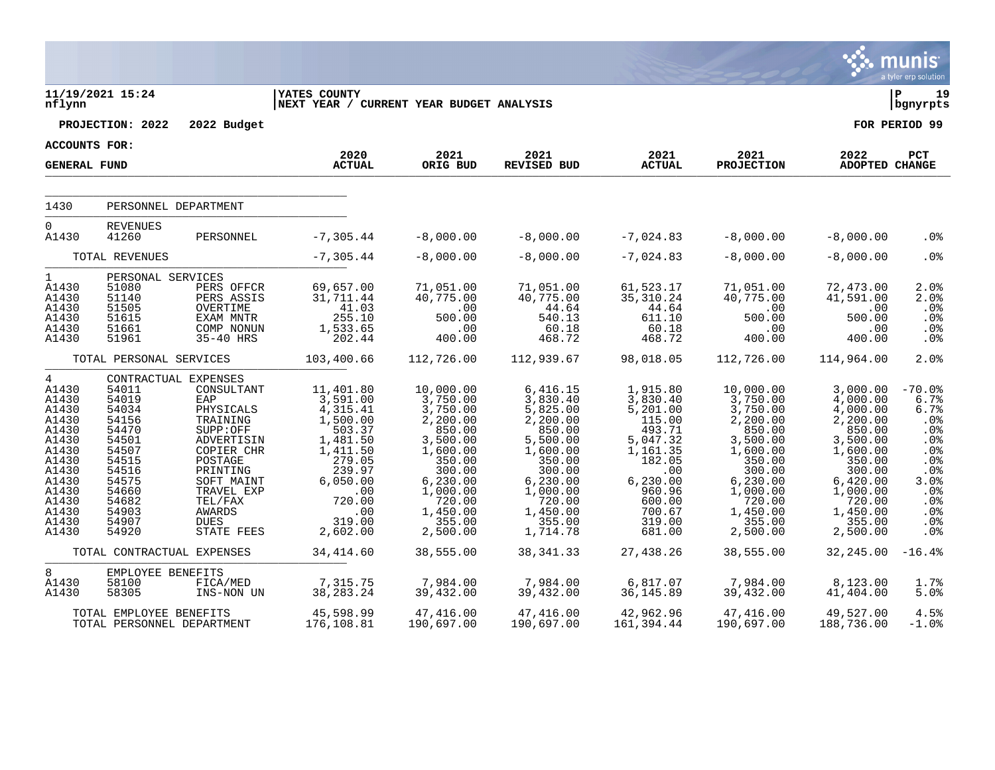|                                                                                                                                          |                                                                                                                                     |                                                                                                                                                                                                                 |                                                                                                                                                                    |                                                                                                                                                                          |                                                                                                                                                                         |                                                                                                                                                              |                                                                                                                                                                          |                                                                                                                                                                        | <b>munis</b><br>a tyler erp solution                                                                                         |
|------------------------------------------------------------------------------------------------------------------------------------------|-------------------------------------------------------------------------------------------------------------------------------------|-----------------------------------------------------------------------------------------------------------------------------------------------------------------------------------------------------------------|--------------------------------------------------------------------------------------------------------------------------------------------------------------------|--------------------------------------------------------------------------------------------------------------------------------------------------------------------------|-------------------------------------------------------------------------------------------------------------------------------------------------------------------------|--------------------------------------------------------------------------------------------------------------------------------------------------------------|--------------------------------------------------------------------------------------------------------------------------------------------------------------------------|------------------------------------------------------------------------------------------------------------------------------------------------------------------------|------------------------------------------------------------------------------------------------------------------------------|
| nflynn                                                                                                                                   | 11/19/2021 15:24<br>PROJECTION: 2022                                                                                                | 2022 Budget                                                                                                                                                                                                     | <b>YATES COUNTY</b><br> NEXT YEAR / CURRENT YEAR BUDGET ANALYSIS                                                                                                   |                                                                                                                                                                          |                                                                                                                                                                         |                                                                                                                                                              |                                                                                                                                                                          |                                                                                                                                                                        | l P<br>19<br>  bgnyrpts<br>FOR PERIOD 99                                                                                     |
|                                                                                                                                          |                                                                                                                                     |                                                                                                                                                                                                                 |                                                                                                                                                                    |                                                                                                                                                                          |                                                                                                                                                                         |                                                                                                                                                              |                                                                                                                                                                          |                                                                                                                                                                        |                                                                                                                              |
| <b>ACCOUNTS FOR:</b><br><b>GENERAL FUND</b>                                                                                              |                                                                                                                                     |                                                                                                                                                                                                                 | 2020<br><b>ACTUAL</b>                                                                                                                                              | 2021<br>ORIG BUD                                                                                                                                                         | 2021<br>REVISED BUD                                                                                                                                                     | 2021<br><b>ACTUAL</b>                                                                                                                                        | 2021<br><b>PROJECTION</b>                                                                                                                                                | 2022<br><b>ADOPTED CHANGE</b>                                                                                                                                          | PCT                                                                                                                          |
| 1430                                                                                                                                     |                                                                                                                                     | PERSONNEL DEPARTMENT                                                                                                                                                                                            |                                                                                                                                                                    |                                                                                                                                                                          |                                                                                                                                                                         |                                                                                                                                                              |                                                                                                                                                                          |                                                                                                                                                                        |                                                                                                                              |
| $\mathbf 0$<br>A1430                                                                                                                     | <b>REVENUES</b><br>41260                                                                                                            | PERSONNEL                                                                                                                                                                                                       | $-7, 305.44$                                                                                                                                                       | $-8,000.00$                                                                                                                                                              | $-8,000.00$                                                                                                                                                             | $-7,024.83$                                                                                                                                                  | $-8,000.00$                                                                                                                                                              | $-8,000.00$                                                                                                                                                            | . 0 %                                                                                                                        |
|                                                                                                                                          | TOTAL REVENUES                                                                                                                      |                                                                                                                                                                                                                 | $-7, 305.44$                                                                                                                                                       | $-8,000.00$                                                                                                                                                              | $-8,000.00$                                                                                                                                                             | $-7,024.83$                                                                                                                                                  | $-8,000.00$                                                                                                                                                              | $-8,000.00$                                                                                                                                                            | .0 <sub>8</sub>                                                                                                              |
| $\mathbf{1}$<br>A1430<br>A1430<br>A1430<br>A1430<br>A1430<br>A1430                                                                       | PERSONAL SERVICES<br>51080<br>51140<br>51505<br>51615<br>51661<br>51961                                                             | PERS OFFCR<br>PERS ASSIS<br>OVERTIME<br>EXAM MNTR<br>COMP NONUN<br>35-40 HRS                                                                                                                                    | 69,657.00<br>31,711.44<br>41.03<br>255.10<br>1,533.65<br>202.44                                                                                                    | 71,051.00<br>40,775.00<br>$\overline{\phantom{0}}$ .00<br>500.00<br>.00<br>400.00                                                                                        | 71,051.00<br>40,775.00<br>44.64<br>540.13<br>60.18<br>468.72                                                                                                            | 61,523.17<br>35,310.24<br>44.64<br>611.10<br>60.18<br>468.72                                                                                                 | 71,051.00<br>40,775.00<br>.00<br>500.00<br>.00<br>400.00                                                                                                                 | 72,473.00<br>41,591.00<br>.00<br>500.00<br>.00<br>400.00                                                                                                               | $2.0$ %<br>2.0%<br>$.0\%$<br>.0%<br>.0%<br>.0%                                                                               |
|                                                                                                                                          | TOTAL PERSONAL SERVICES                                                                                                             |                                                                                                                                                                                                                 | 103,400.66                                                                                                                                                         | 112,726.00                                                                                                                                                               | 112,939.67                                                                                                                                                              | 98,018.05                                                                                                                                                    | 112,726.00                                                                                                                                                               | 114,964.00                                                                                                                                                             | 2.0%                                                                                                                         |
| 4<br>A1430<br>A1430<br>A1430<br>A1430<br>A1430<br>A1430<br>A1430<br>A1430<br>A1430<br>A1430<br>A1430<br>A1430<br>A1430<br>A1430<br>A1430 | 54011<br>54019<br>54034<br>54156<br>54470<br>54501<br>54507<br>54515<br>54516<br>54575<br>54660<br>54682<br>54903<br>54907<br>54920 | CONTRACTUAL EXPENSES<br>CONSULTANT<br>EAP<br>PHYSICALS<br>TRAINING<br>SUPP:OFF<br>ADVERTISIN<br>COPIER CHR<br>POSTAGE<br>PRINTING<br>SOFT MAINT<br>TRAVEL EXP<br>TEL/FAX<br>AWARDS<br><b>DUES</b><br>STATE FEES | 11,401.80<br>3,591.00<br>4,315.41<br>1,500.00<br>503.37<br>1,481.50<br>1,411.50<br>279.05<br>239.97<br>6,050.00<br>$\ldots$<br>720.00<br>.00<br>319.00<br>2,602.00 | 10,000.00<br>3,750.00<br>3,750.00<br>2,200.00<br>850.00<br>3,500.00<br>1,600.00<br>350.00<br>300.00<br>6, 230.00<br>1,000.00<br>720.00<br>1,450.00<br>355.00<br>2,500.00 | 6,416.15<br>3,830.40<br>5,825.00<br>2,200.00<br>850.00<br>5,500.00<br>1,600.00<br>350.00<br>300.00<br>6, 230.00<br>1,000.00<br>720.00<br>1,450.00<br>355.00<br>1,714.78 | 1,915.80<br>3,830.40<br>5,201.00<br>115.00<br>493.71<br>5,047.32<br>1,161.35<br>182.05<br>.00<br>6, 230.00<br>960.96<br>600.00<br>700.67<br>319.00<br>681.00 | 10,000.00<br>3,750.00<br>3,750.00<br>2,200.00<br>850.00<br>3,500.00<br>1,600.00<br>350.00<br>300.00<br>6, 230.00<br>1,000.00<br>720.00<br>1,450.00<br>355.00<br>2,500.00 | 3,000.00<br>4,000.00<br>4,000.00<br>2,200.00<br>850.00<br>3,500.00<br>1,600.00<br>350.00<br>300.00<br>6,420.00<br>1,000.00<br>720.00<br>1,450.00<br>355.00<br>2,500.00 | $-70.0%$<br>6.7%<br>6.7%<br>.0%<br>.0%<br>.0%<br>.0%<br>.0%<br>.0%<br>3.0%<br>.0%<br>$.0\%$<br>.0 <sub>8</sub><br>.0%<br>.0% |
|                                                                                                                                          |                                                                                                                                     | TOTAL CONTRACTUAL EXPENSES                                                                                                                                                                                      | 34,414.60                                                                                                                                                          | 38,555.00                                                                                                                                                                | 38, 341. 33                                                                                                                                                             | 27,438.26                                                                                                                                                    | 38,555.00                                                                                                                                                                | 32,245.00                                                                                                                                                              | $-16.4%$                                                                                                                     |
| 8<br>A1430<br>A1430                                                                                                                      | EMPLOYEE BENEFITS<br>58100<br>58305                                                                                                 | FICA/MED<br>INS-NON UN                                                                                                                                                                                          | 7,315.75<br>38, 283. 24                                                                                                                                            | 7,984.00<br>39,432.00                                                                                                                                                    | 7,984.00<br>39,432.00                                                                                                                                                   | 6,817.07<br>36, 145.89                                                                                                                                       | 7,984.00<br>39,432.00                                                                                                                                                    | 8,123.00<br>41,404.00                                                                                                                                                  | 1.7%<br>5.0%                                                                                                                 |
|                                                                                                                                          | TOTAL EMPLOYEE BENEFITS                                                                                                             | TOTAL PERSONNEL DEPARTMENT                                                                                                                                                                                      | 45,598.99<br>176,108.81                                                                                                                                            | 47,416.00<br>190,697.00                                                                                                                                                  | 47,416.00<br>190,697.00                                                                                                                                                 | 42,962.96<br>161,394.44                                                                                                                                      | 47,416.00<br>190,697.00                                                                                                                                                  | 49,527.00<br>188,736.00                                                                                                                                                | 4.5%<br>$-1.0$ %                                                                                                             |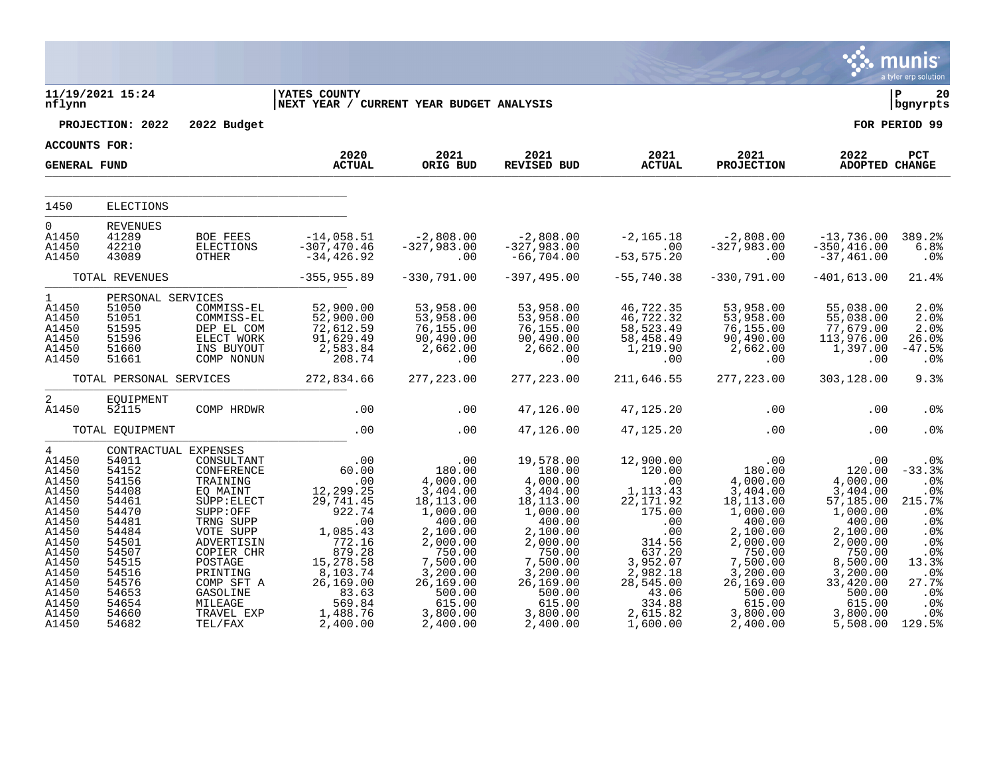|                                                                                                                                                                 |                                                                                                                                                                      |                                                                                                                                                                                                             |                                                                                                                                                                       |                                                                                                                                                                                 |                                                                                                                                                                                       |                                                                                                                                                                       |                                                                                                                                                                                      |                                                                                                                                                                                 | munis<br>a tyler erp solution                                                                                               |
|-----------------------------------------------------------------------------------------------------------------------------------------------------------------|----------------------------------------------------------------------------------------------------------------------------------------------------------------------|-------------------------------------------------------------------------------------------------------------------------------------------------------------------------------------------------------------|-----------------------------------------------------------------------------------------------------------------------------------------------------------------------|---------------------------------------------------------------------------------------------------------------------------------------------------------------------------------|---------------------------------------------------------------------------------------------------------------------------------------------------------------------------------------|-----------------------------------------------------------------------------------------------------------------------------------------------------------------------|--------------------------------------------------------------------------------------------------------------------------------------------------------------------------------------|---------------------------------------------------------------------------------------------------------------------------------------------------------------------------------|-----------------------------------------------------------------------------------------------------------------------------|
| nflynn                                                                                                                                                          | 11/19/2021 15:24                                                                                                                                                     |                                                                                                                                                                                                             | <b>IYATES COUNTY</b><br>NEXT YEAR / CURRENT YEAR BUDGET ANALYSIS                                                                                                      |                                                                                                                                                                                 |                                                                                                                                                                                       |                                                                                                                                                                       |                                                                                                                                                                                      |                                                                                                                                                                                 | ∣ P<br>20<br>bgnyrpts                                                                                                       |
|                                                                                                                                                                 | PROJECTION: 2022                                                                                                                                                     | 2022 Budget                                                                                                                                                                                                 |                                                                                                                                                                       |                                                                                                                                                                                 |                                                                                                                                                                                       |                                                                                                                                                                       |                                                                                                                                                                                      |                                                                                                                                                                                 | FOR PERIOD 99                                                                                                               |
| ACCOUNTS FOR:                                                                                                                                                   |                                                                                                                                                                      |                                                                                                                                                                                                             | 2020                                                                                                                                                                  | 2021                                                                                                                                                                            |                                                                                                                                                                                       | 2021                                                                                                                                                                  |                                                                                                                                                                                      | 2022                                                                                                                                                                            |                                                                                                                             |
| <b>GENERAL FUND</b>                                                                                                                                             |                                                                                                                                                                      |                                                                                                                                                                                                             | <b>ACTUAL</b>                                                                                                                                                         | ORIG BUD                                                                                                                                                                        | 2021<br>REVISED BUD                                                                                                                                                                   | <b>ACTUAL</b>                                                                                                                                                         | 2021<br>PROJECTION                                                                                                                                                                   | ADOPTED CHANGE                                                                                                                                                                  | PCT                                                                                                                         |
| 1450                                                                                                                                                            | <b>ELECTIONS</b>                                                                                                                                                     |                                                                                                                                                                                                             |                                                                                                                                                                       |                                                                                                                                                                                 |                                                                                                                                                                                       |                                                                                                                                                                       |                                                                                                                                                                                      |                                                                                                                                                                                 |                                                                                                                             |
| $\overline{0}$<br>A1450<br>A1450<br>A1450                                                                                                                       | <b>REVENUES</b><br>41289<br>42210<br>43089                                                                                                                           | BOE FEES<br>ELECTIONS<br>OTHER                                                                                                                                                                              | $-14,058.51$<br>$-307, 470.46$<br>-34,426.92                                                                                                                          | $-2,808.00$<br>$-327,983.00$<br>.00                                                                                                                                             | $-2,808.00$<br>$-327,983.00$<br>$-66,704.00$                                                                                                                                          | $-2,165.18$<br>$.00 \,$<br>$-53, 575.20$                                                                                                                              | $-2,808.00$<br>$-327,983.00$<br>.00                                                                                                                                                  | -13,736.00<br>$-350, 416.00$<br>$-37,461.00$                                                                                                                                    | 389.2%<br>6.8%<br>$.0\%$                                                                                                    |
|                                                                                                                                                                 | TOTAL REVENUES                                                                                                                                                       |                                                                                                                                                                                                             | $-355, 955.89$                                                                                                                                                        | $-330,791.00$                                                                                                                                                                   | $-397, 495.00$                                                                                                                                                                        | $-55,740.38$                                                                                                                                                          | $-330,791.00$                                                                                                                                                                        | $-401, 613.00$                                                                                                                                                                  | 21.4%                                                                                                                       |
| $1 \quad \blacksquare$<br>A1450<br>A1450<br>A1450<br>A1450<br>A1450<br>A1450                                                                                    | PERSONAL SERVICES<br>51050<br>51051<br>51595<br>51596<br>51660<br>51661                                                                                              | COMMISS-EL<br>COMMISS-EL<br>DEP EL COM<br>ELECT WORK<br>INS BUYOUT<br>COMP NONUN                                                                                                                            | 52,900.00<br>52,900.00<br>72,612.59<br>$91,629.49$<br>2,583.84<br>208.74                                                                                              | 53,958.00<br>53,958.00<br>76,155.00<br>90,490.00<br>2,662.00<br>.00                                                                                                             | 53,958.00<br>53,958.00<br>76, 155.00<br>90,490.00<br>2,662.00<br>.00                                                                                                                  | 46,722.35<br>46,722.32<br>58,523.49<br>58,458.49<br>1,219.90<br>.00                                                                                                   | 53,958.00<br>53,958.00<br>76,155.00<br>90,490.00<br>2,662.00<br>.00                                                                                                                  | 55,038.00<br>55,038.00<br>77,679.00<br>113,976.00<br>1,397.00<br>.00                                                                                                            | 2.0%<br>2.0%<br>2.0%<br>26.0%<br>$-47.5%$<br>.0 <sub>8</sub>                                                                |
|                                                                                                                                                                 | TOTAL PERSONAL SERVICES                                                                                                                                              |                                                                                                                                                                                                             | 272,834.66                                                                                                                                                            | 277, 223.00                                                                                                                                                                     | 277, 223.00                                                                                                                                                                           | 211,646.55                                                                                                                                                            | 277, 223.00                                                                                                                                                                          | 303,128.00                                                                                                                                                                      | 9.3%                                                                                                                        |
| 2<br>A1450                                                                                                                                                      | EQUIPMENT<br>52115                                                                                                                                                   | COMP HRDWR                                                                                                                                                                                                  | .00                                                                                                                                                                   | .00                                                                                                                                                                             | 47,126.00                                                                                                                                                                             | 47,125.20                                                                                                                                                             | .00                                                                                                                                                                                  | .00                                                                                                                                                                             | . 0%                                                                                                                        |
|                                                                                                                                                                 | TOTAL EQUIPMENT                                                                                                                                                      |                                                                                                                                                                                                             | .00                                                                                                                                                                   | .00                                                                                                                                                                             | 47,126.00                                                                                                                                                                             | 47,125.20                                                                                                                                                             | .00                                                                                                                                                                                  | .00                                                                                                                                                                             | .0 <sub>8</sub>                                                                                                             |
| $4\overline{ }$<br>A1450<br>A1450<br>A1450<br>A1450<br>A1450<br>A1450<br>A1450<br>A1450<br>A1450<br>A1450<br>A1450<br>A1450<br>A1450<br>A1450<br>A1450<br>A1450 | CONTRACTUAL EXPENSES<br>54011<br>54152<br>54156<br>54408<br>54461<br>54470<br>54481<br>54484<br>54501<br>54507<br>54515<br>54516<br>54576<br>54653<br>54654<br>54660 | CONSULTANT<br>CONFERENCE<br>TRAINING<br>EO MAINT<br>SUPP: ELECT<br>SUPP:OFF<br>TRNG SUPP<br>VOTE SUPP<br>ADVERTISIN<br>COPIER CHR<br>POSTAGE<br>PRINTING<br>COMP SFT A<br>GASOLINE<br>MILEAGE<br>TRAVEL EXP | .00<br>60.00<br>.00<br>12, 299.25<br>29, 741.45<br>922.74<br>.00<br>1,085.43<br>772.16<br>879.28<br>15,278.58<br>8,103.74<br>26,169.00<br>83.63<br>569.84<br>1,488.76 | .00<br>180.00<br>4,000.00<br>3,404.00<br>18,113.00<br>1,000.00<br>400.00<br>2,100.00<br>2,000.00<br>750.00<br>7,500.00<br>3,200.00<br>26,169.00<br>500.00<br>615.00<br>3,800.00 | 19,578.00<br>180.00<br>4,000.00<br>3,404.00<br>18,113.00<br>1,000.00<br>400.00<br>2,100.00<br>2,000.00<br>750.00<br>7,500.00<br>3,200.00<br>26,169.00<br>500.00<br>615.00<br>3,800.00 | 12,900.00<br>120.00<br>.00<br>1, 113.43<br>22, 171.92<br>175.00<br>.00<br>.00<br>314.56<br>637.20<br>3,952.07<br>2,982.18<br>28,545.00<br>43.06<br>334.88<br>2,615.82 | $180.00$<br>00.00<br>4,000.00<br>3,404.00<br>18, 113.00<br>1,000.00<br>400.00<br>2,100.00<br>2,000.00<br>750.00<br>7,500.00<br>3,200.00<br>26,169.00<br>500.00<br>615.00<br>3,800.00 | .00<br>120.00<br>4,000.00<br>3,404.00<br>57,185.00<br>1,000.00<br>400.00<br>2,100.00<br>2,000.00<br>750.00<br>8,500.00<br>3,200.00<br>33,420.00<br>500.00<br>615.00<br>3,800.00 | $.0\%$<br>$-33.3%$<br>.0%<br>.0%<br>215.7%<br>.0%<br>.0%<br>.0%<br>.0%<br>.0%<br>13.3%<br>.0%<br>27.7%<br>.0%<br>.0%<br>.0% |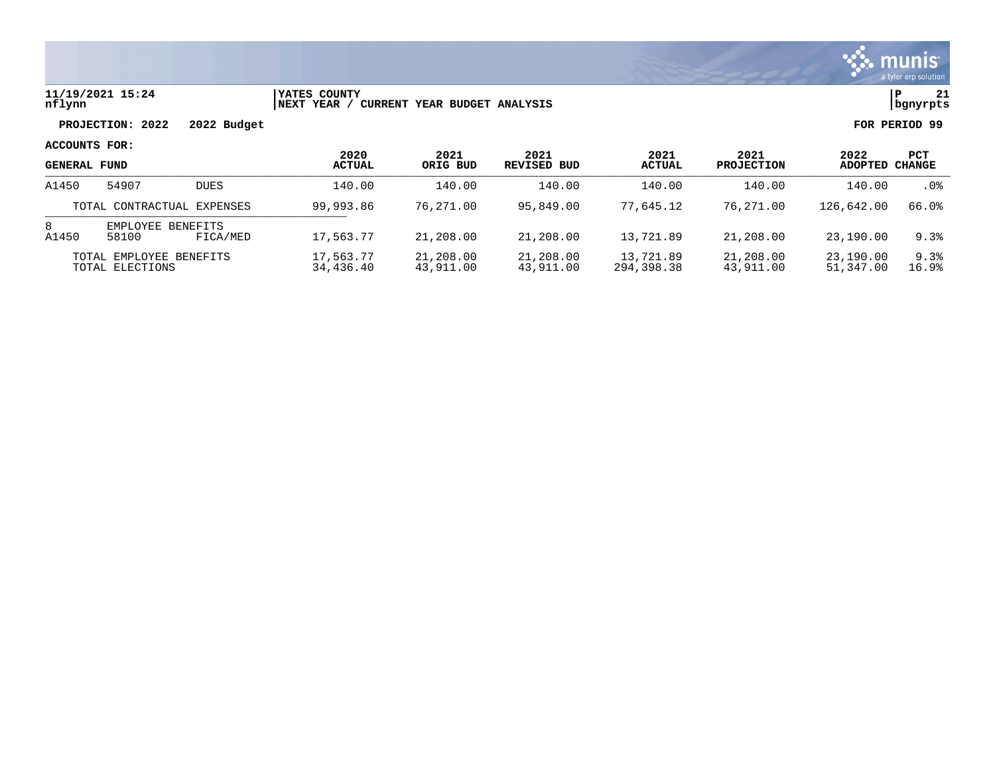

### **11/19/2021 15:24 |YATES COUNTY |P 21 nflynn |NEXT YEAR / CURRENT YEAR BUDGET ANALYSIS |bgnyrpts**

**PROJECTION: 2022 2022 Budget FOR PERIOD 99**

|                                            |                            |                        | 2020                   | 2021                   | 2021                    | 2021                   | 2021                   | 2022           | PCT    |
|--------------------------------------------|----------------------------|------------------------|------------------------|------------------------|-------------------------|------------------------|------------------------|----------------|--------|
| <b>GENERAL FUND</b>                        |                            |                        | ACTUAL                 | ORIG BUD               | REVISED BUD             | <b>ACTUAL</b>          | <b>PROJECTION</b>      | <b>ADOPTED</b> | CHANGE |
| A1450                                      | 54907                      | <b>DUES</b>            | 140.00                 | 140.00                 | 140.00                  | 140.00                 | 140.00                 | 140.00         | .0%    |
| TOTAL CONTRACTUAL EXPENSES                 |                            | 99,993.86              | 76,271.00              | 95,849.00              | 77,645.12               | 76,271.00              | 126,642.00             | 66.0%          |        |
| 8<br>A1450                                 | EMPLOYEE BENEFITS<br>58100 | FICA/MED               | 17,563.77              | 21,208.00              | 21,208.00               | 13,721.89              | 21,208.00              | 23,190.00      | 9.3%   |
| TOTAL EMPLOYEE BENEFITS<br>TOTAL ELECTIONS |                            | 17,563.77<br>34,436.40 | 21,208.00<br>43,911.00 | 21,208.00<br>43,911.00 | 13,721.89<br>294,398.38 | 21,208.00<br>43,911.00 | 23,190.00<br>51,347.00 | 9.3%<br>16.9%  |        |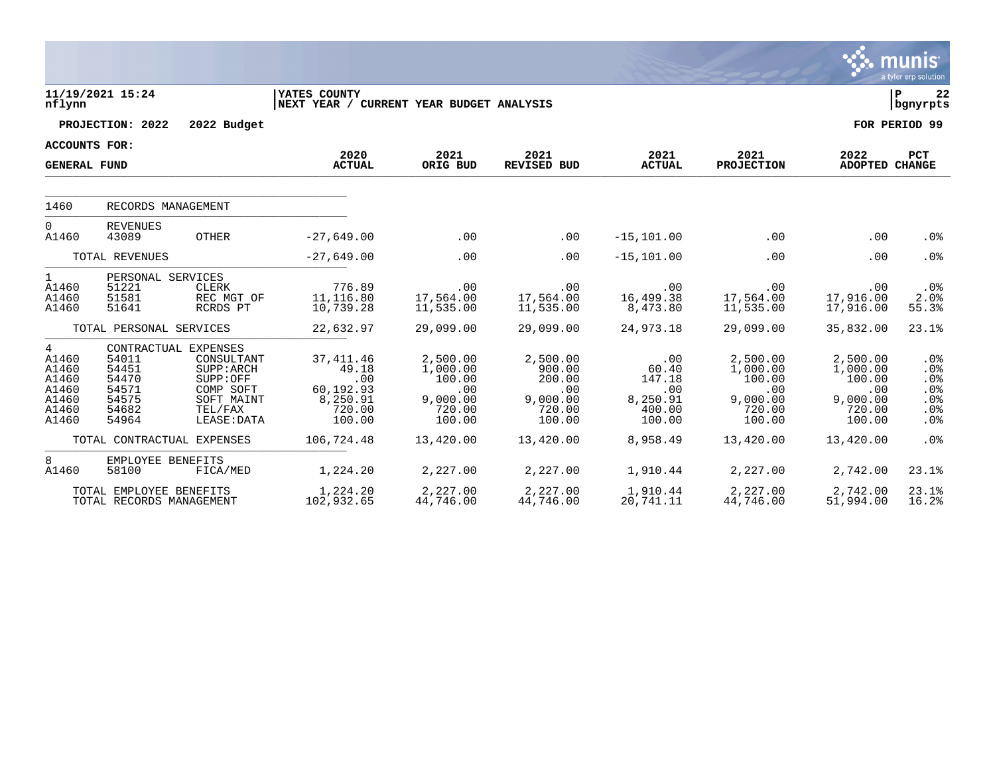|                                                                  |                                                                         |                                                                                                                   |                                                                         |                                                                       |                                                                     |                                                               |                                                                       |                                                                       | <b>munis</b><br>a tyler erp solution                               |
|------------------------------------------------------------------|-------------------------------------------------------------------------|-------------------------------------------------------------------------------------------------------------------|-------------------------------------------------------------------------|-----------------------------------------------------------------------|---------------------------------------------------------------------|---------------------------------------------------------------|-----------------------------------------------------------------------|-----------------------------------------------------------------------|--------------------------------------------------------------------|
| nflynn                                                           | 11/19/2021 15:24                                                        |                                                                                                                   | YATES COUNTY<br>NEXT YEAR / CURRENT YEAR BUDGET ANALYSIS                |                                                                       |                                                                     |                                                               |                                                                       |                                                                       | lР<br>22<br>  bgnyrpts                                             |
|                                                                  | PROJECTION: 2022                                                        | 2022 Budget                                                                                                       |                                                                         |                                                                       |                                                                     |                                                               |                                                                       |                                                                       | FOR PERIOD 99                                                      |
| <b>ACCOUNTS FOR:</b>                                             |                                                                         |                                                                                                                   |                                                                         |                                                                       |                                                                     |                                                               |                                                                       |                                                                       |                                                                    |
| <b>GENERAL FUND</b>                                              |                                                                         |                                                                                                                   | 2020<br><b>ACTUAL</b>                                                   | 2021<br>ORIG BUD                                                      | 2021<br><b>REVISED BUD</b>                                          | 2021<br><b>ACTUAL</b>                                         | 2021<br><b>PROJECTION</b>                                             | 2022<br>ADOPTED CHANGE                                                | <b>PCT</b>                                                         |
| 1460                                                             | RECORDS MANAGEMENT                                                      |                                                                                                                   |                                                                         |                                                                       |                                                                     |                                                               |                                                                       |                                                                       |                                                                    |
| $\Omega$<br>A1460                                                | <b>REVENUES</b><br>43089                                                | <b>OTHER</b>                                                                                                      | $-27,649.00$                                                            | .00                                                                   | .00                                                                 | $-15, 101.00$                                                 | .00                                                                   | .00                                                                   | .0 <sub>8</sub>                                                    |
|                                                                  | TOTAL REVENUES                                                          |                                                                                                                   | $-27,649.00$                                                            | .00                                                                   | .00                                                                 | $-15, 101.00$                                                 | .00                                                                   | .00                                                                   | .0%                                                                |
| $\mathbf{1}$<br>A1460<br>A1460<br>A1460                          | PERSONAL SERVICES<br>51221<br>51581<br>51641<br>TOTAL PERSONAL SERVICES | CLERK<br>REC MGT OF<br>RCRDS PT                                                                                   | 776.89<br>11,116.80<br>10,739.28<br>22,632.97                           | .00<br>17,564.00<br>11,535.00<br>29,099.00                            | .00<br>17,564.00<br>11,535.00<br>29,099.00                          | .00<br>16,499.38<br>8,473.80<br>24,973.18                     | .00<br>17,564.00<br>11,535.00<br>29,099.00                            | .00<br>17,916.00<br>17,916.00<br>35,832.00                            | $.0\%$<br>2.0%<br>55.3%<br>23.1%                                   |
| 4<br>A1460<br>A1460<br>A1460<br>A1460<br>A1460<br>A1460<br>A1460 | 54011<br>54451<br>54470<br>54571<br>54575<br>54682<br>54964             | CONTRACTUAL EXPENSES<br>CONSULTANT<br>SUPP: ARCH<br>SUPP:OFF<br>COMP SOFT<br>SOFT MAINT<br>TEL/FAX<br>LEASE: DATA | 37, 411.46<br>49.18<br>.00<br>60,192.93<br>8,250.91<br>720.00<br>100.00 | 2,500.00<br>1,000.00<br>100.00<br>.00<br>9,000.00<br>720.00<br>100.00 | 2,500.00<br>900.00<br>200.00<br>.00<br>9,000.00<br>720.00<br>100.00 | .00<br>60.40<br>147.18<br>.00<br>8,250.91<br>400.00<br>100.00 | 2,500.00<br>1,000.00<br>100.00<br>.00<br>9,000.00<br>720.00<br>100.00 | 2,500.00<br>1,000.00<br>100.00<br>.00<br>9,000.00<br>720.00<br>100.00 | .0 <sub>8</sub><br>.0%<br>$.0\%$<br>.0%<br>$.0\%$<br>$.0\%$<br>.0% |
|                                                                  | TOTAL CONTRACTUAL EXPENSES                                              |                                                                                                                   | 106,724.48                                                              | 13,420.00                                                             | 13,420.00                                                           | 8,958.49                                                      | 13,420.00                                                             | 13,420.00                                                             | .0%                                                                |
| 8<br>A1460                                                       | EMPLOYEE BENEFITS<br>58100                                              | FICA/MED                                                                                                          | 1,224.20                                                                | 2,227.00                                                              | 2,227.00                                                            | 1,910.44                                                      | 2,227.00                                                              | 2,742.00                                                              | 23.1%                                                              |
|                                                                  | TOTAL EMPLOYEE BENEFITS<br>TOTAL RECORDS MANAGEMENT                     |                                                                                                                   | 1,224.20<br>102,932.65                                                  | 2,227.00<br>44,746.00                                                 | 2,227.00<br>44,746.00                                               | 1,910.44<br>20,741.11                                         | 2,227.00<br>44,746.00                                                 | 2,742.00<br>51,994.00                                                 | 23.1%<br>16.2%                                                     |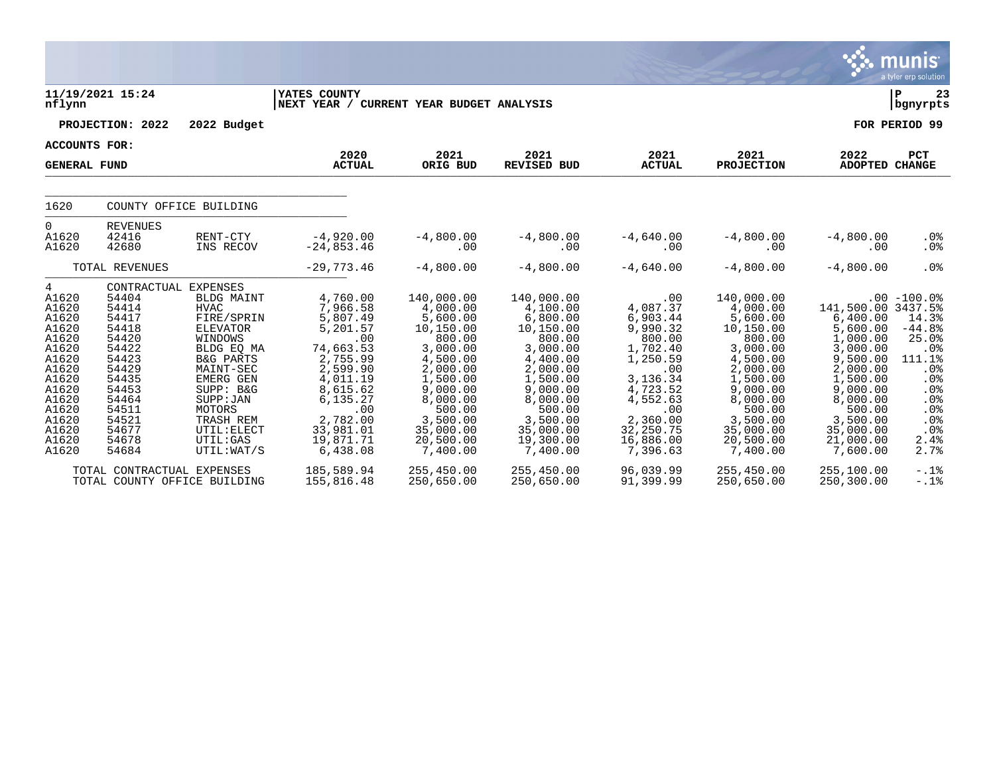|                                                                                                                                                   |                                                                                                                                                                      |                                                                                                                                                                                                                                   |                                                                                                                                                                                       |                                                                                                                                                                                               |                                                                                                                                                                                               |                                                                                                                                                                               |                                                                                                                                                                                               | œ                                                                                                                                                                                          | a tyler erp solution                                                                                                                                                 |
|---------------------------------------------------------------------------------------------------------------------------------------------------|----------------------------------------------------------------------------------------------------------------------------------------------------------------------|-----------------------------------------------------------------------------------------------------------------------------------------------------------------------------------------------------------------------------------|---------------------------------------------------------------------------------------------------------------------------------------------------------------------------------------|-----------------------------------------------------------------------------------------------------------------------------------------------------------------------------------------------|-----------------------------------------------------------------------------------------------------------------------------------------------------------------------------------------------|-------------------------------------------------------------------------------------------------------------------------------------------------------------------------------|-----------------------------------------------------------------------------------------------------------------------------------------------------------------------------------------------|--------------------------------------------------------------------------------------------------------------------------------------------------------------------------------------------|----------------------------------------------------------------------------------------------------------------------------------------------------------------------|
| nflynn                                                                                                                                            | 11/19/2021 15:24                                                                                                                                                     |                                                                                                                                                                                                                                   | <b>YATES COUNTY</b><br>NEXT YEAR / CURRENT YEAR BUDGET ANALYSIS                                                                                                                       |                                                                                                                                                                                               |                                                                                                                                                                                               |                                                                                                                                                                               |                                                                                                                                                                                               |                                                                                                                                                                                            | ΙP<br>23<br>  bgnyrpts                                                                                                                                               |
|                                                                                                                                                   | PROJECTION: 2022                                                                                                                                                     | 2022 Budget                                                                                                                                                                                                                       |                                                                                                                                                                                       |                                                                                                                                                                                               |                                                                                                                                                                                               |                                                                                                                                                                               |                                                                                                                                                                                               |                                                                                                                                                                                            | FOR PERIOD 99                                                                                                                                                        |
| ACCOUNTS FOR:                                                                                                                                     |                                                                                                                                                                      |                                                                                                                                                                                                                                   | 2020                                                                                                                                                                                  |                                                                                                                                                                                               | 2021                                                                                                                                                                                          |                                                                                                                                                                               | 2021                                                                                                                                                                                          | 2022                                                                                                                                                                                       |                                                                                                                                                                      |
| <b>GENERAL FUND</b>                                                                                                                               |                                                                                                                                                                      |                                                                                                                                                                                                                                   | <b>ACTUAL</b>                                                                                                                                                                         | 2021<br>ORIG BUD                                                                                                                                                                              | <b>REVISED BUD</b>                                                                                                                                                                            | 2021<br><b>ACTUAL</b>                                                                                                                                                         | <b>PROJECTION</b>                                                                                                                                                                             | <b>ADOPTED</b>                                                                                                                                                                             | PCT<br><b>CHANGE</b>                                                                                                                                                 |
| 1620                                                                                                                                              |                                                                                                                                                                      | COUNTY OFFICE BUILDING                                                                                                                                                                                                            |                                                                                                                                                                                       |                                                                                                                                                                                               |                                                                                                                                                                                               |                                                                                                                                                                               |                                                                                                                                                                                               |                                                                                                                                                                                            |                                                                                                                                                                      |
| $\mathbf 0$<br>A1620<br>A1620                                                                                                                     | <b>REVENUES</b><br>42416<br>42680                                                                                                                                    | RENT-CTY<br>INS RECOV                                                                                                                                                                                                             | $-4,920.00$<br>$-24,853.46$                                                                                                                                                           | $-4,800.00$<br>.00                                                                                                                                                                            | $-4,800.00$<br>.00                                                                                                                                                                            | $-4,640.00$<br>.00                                                                                                                                                            | $-4,800.00$<br>.00                                                                                                                                                                            | $-4,800.00$<br>.00                                                                                                                                                                         | $.0\%$<br>.0%                                                                                                                                                        |
|                                                                                                                                                   | TOTAL REVENUES                                                                                                                                                       |                                                                                                                                                                                                                                   | $-29,773.46$                                                                                                                                                                          | $-4,800.00$                                                                                                                                                                                   | $-4,800.00$                                                                                                                                                                                   | $-4,640.00$                                                                                                                                                                   | $-4,800.00$                                                                                                                                                                                   | $-4,800.00$                                                                                                                                                                                | .0%                                                                                                                                                                  |
| 4<br>A1620<br>A1620<br>A1620<br>A1620<br>A1620<br>A1620<br>A1620<br>A1620<br>A1620<br>A1620<br>A1620<br>A1620<br>A1620<br>A1620<br>A1620<br>A1620 | CONTRACTUAL EXPENSES<br>54404<br>54414<br>54417<br>54418<br>54420<br>54422<br>54423<br>54429<br>54435<br>54453<br>54464<br>54511<br>54521<br>54677<br>54678<br>54684 | <b>BLDG MAINT</b><br><b>HVAC</b><br>FIRE/SPRIN<br>ELEVATOR<br>WINDOWS<br>BLDG EO MA<br><b>B&amp;G PARTS</b><br>MAINT-SEC<br>EMERG GEN<br>SUPP: B&G<br>SUPP: JAN<br>MOTORS<br>TRASH REM<br>UTIL: ELECT<br>UTIL: GAS<br>UTIL: WAT/S | 4,760.00<br>7,966.58<br>5,807.49<br>5,201.57<br>.00<br>74,663.53<br>2,755.99<br>2,599.90<br>4,011.19<br>8,615.62<br>6,135.27<br>.00<br>2,782.00<br>33,981.01<br>19,871.71<br>6,438.08 | 140,000.00<br>4,000.00<br>5,600.00<br>10,150.00<br>800.00<br>3,000.00<br>4,500.00<br>2,000.00<br>1,500.00<br>9,000.00<br>8,000.00<br>500.00<br>3,500.00<br>35,000.00<br>20,500.00<br>7,400.00 | 140,000.00<br>4,100.00<br>6,800.00<br>10,150.00<br>800.00<br>3,000.00<br>4,400.00<br>2,000.00<br>1,500.00<br>9,000.00<br>8,000.00<br>500.00<br>3,500.00<br>35,000.00<br>19,300.00<br>7,400.00 | .00<br>4,087.37<br>6,903.44<br>9,990.32<br>800.00<br>1,702.40<br>1,250.59<br>.00<br>3,136.34<br>4,723.52<br>4,552.63<br>.00<br>2,360.00<br>32,250.75<br>16,886.00<br>7,396.63 | 140,000.00<br>4,000.00<br>5,600.00<br>10,150.00<br>800.00<br>3,000.00<br>4,500.00<br>2,000.00<br>1,500.00<br>9,000.00<br>8,000.00<br>500.00<br>3,500.00<br>35,000.00<br>20,500.00<br>7,400.00 | 141,500.00 3437.5%<br>6,400.00<br>5,600.00<br>1,000.00<br>3,000.00<br>9,500.00<br>2,000.00<br>1,500.00<br>9,000.00<br>8,000.00<br>500.00<br>3,500.00<br>35,000.00<br>21,000.00<br>7,600.00 | $.00 - 100.0$<br>14.3%<br>$-44.8%$<br>25.0%<br>.0 <sub>8</sub><br>111.1%<br>.0 <sub>8</sub><br>$.0\%$<br>.0%<br>.0%<br>.0 <sub>8</sub><br>.0%<br>.0%<br>2.4%<br>2.7% |
|                                                                                                                                                   | TOTAL CONTRACTUAL EXPENSES<br>TOTAL COUNTY OFFICE BUILDING                                                                                                           |                                                                                                                                                                                                                                   | 185,589.94<br>155,816.48                                                                                                                                                              | 255,450.00<br>250,650.00                                                                                                                                                                      | 255,450.00<br>250,650.00                                                                                                                                                                      | 96,039.99<br>91,399.99                                                                                                                                                        | 255,450.00<br>250,650.00                                                                                                                                                                      | 255,100.00<br>250,300.00                                                                                                                                                                   | $-.1$ $%$<br>$-.1%$                                                                                                                                                  |

 $\therefore$  munis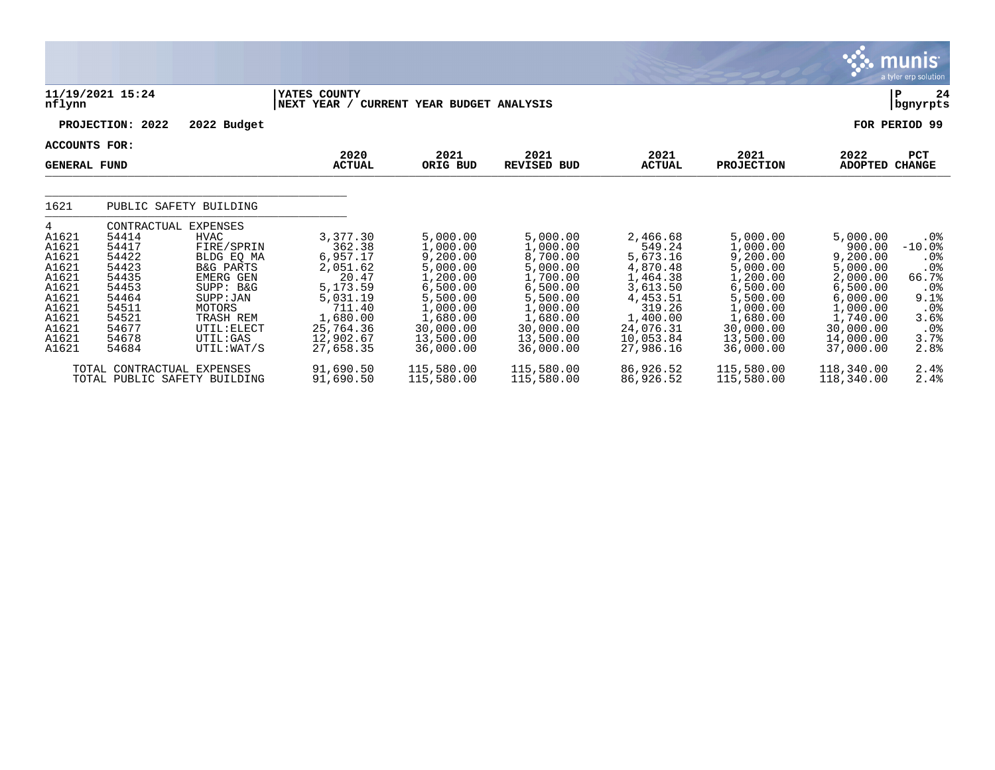|                                                                                                               |                                                                                                                                  |                                                                                                                                                                          |                                                                                                                                          |                                                                                                                                                 |                                                                                                                                                 |                                                                                                                                             |                                                                                                                                                 |                                                                                                                                               | <u>୍ତୁ: munis </u><br>a tyler erp solution                                                             |
|---------------------------------------------------------------------------------------------------------------|----------------------------------------------------------------------------------------------------------------------------------|--------------------------------------------------------------------------------------------------------------------------------------------------------------------------|------------------------------------------------------------------------------------------------------------------------------------------|-------------------------------------------------------------------------------------------------------------------------------------------------|-------------------------------------------------------------------------------------------------------------------------------------------------|---------------------------------------------------------------------------------------------------------------------------------------------|-------------------------------------------------------------------------------------------------------------------------------------------------|-----------------------------------------------------------------------------------------------------------------------------------------------|--------------------------------------------------------------------------------------------------------|
| nflynn                                                                                                        | 11/19/2021 15:24                                                                                                                 |                                                                                                                                                                          | YATES COUNTY<br>NEXT YEAR / CURRENT YEAR BUDGET ANALYSIS                                                                                 |                                                                                                                                                 |                                                                                                                                                 |                                                                                                                                             |                                                                                                                                                 |                                                                                                                                               | 24<br>P<br>  bgnyrpts                                                                                  |
|                                                                                                               | PROJECTION: 2022                                                                                                                 | 2022 Budget                                                                                                                                                              |                                                                                                                                          |                                                                                                                                                 |                                                                                                                                                 |                                                                                                                                             |                                                                                                                                                 |                                                                                                                                               | FOR PERIOD 99                                                                                          |
| <b>ACCOUNTS FOR:</b><br><b>GENERAL FUND</b>                                                                   |                                                                                                                                  |                                                                                                                                                                          | 2020<br><b>ACTUAL</b>                                                                                                                    | 2021<br>ORIG BUD                                                                                                                                | 2021<br><b>REVISED BUD</b>                                                                                                                      | 2021<br><b>ACTUAL</b>                                                                                                                       | 2021<br><b>PROJECTION</b>                                                                                                                       | 2022<br>ADOPTED                                                                                                                               | PCT<br><b>CHANGE</b>                                                                                   |
| 1621                                                                                                          | PUBLIC SAFETY BUILDING                                                                                                           |                                                                                                                                                                          |                                                                                                                                          |                                                                                                                                                 |                                                                                                                                                 |                                                                                                                                             |                                                                                                                                                 |                                                                                                                                               |                                                                                                        |
| 4<br>A1621<br>A1621<br>A1621<br>A1621<br>A1621<br>A1621<br>A1621<br>A1621<br>A1621<br>A1621<br>A1621<br>A1621 | CONTRACTUAL EXPENSES<br>54414<br>54417<br>54422<br>54423<br>54435<br>54453<br>54464<br>54511<br>54521<br>54677<br>54678<br>54684 | HVAC<br>FIRE/SPRIN<br>BLDG EO MA<br><b>B&amp;G PARTS</b><br><b>EMERG GEN</b><br>SUPP: B&G<br>SUPP: JAN<br>MOTORS<br>TRASH REM<br>UTIL: ELECT<br>UTIL: GAS<br>UTIL: WAT/S | 3,377.30<br>362.38<br>6,957.17<br>2,051.62<br>20.47<br>5,173.59<br>5,031.19<br>711.40<br>1,680.00<br>25,764.36<br>12,902.67<br>27,658.35 | 5,000.00<br>1,000.00<br>9,200.00<br>5,000.00<br>1,200.00<br>6,500.00<br>5,500.00<br>1,000.00<br>1,680.00<br>30,000.00<br>13,500.00<br>36,000.00 | 5,000.00<br>1,000.00<br>8,700.00<br>5,000.00<br>1,700.00<br>6,500.00<br>5,500.00<br>1,000.00<br>1,680.00<br>30,000.00<br>13,500.00<br>36,000.00 | 2,466.68<br>549.24<br>5,673.16<br>4,870.48<br>1,464.38<br>3,613.50<br>4,453.51<br>319.26<br>1,400.00<br>24,076.31<br>10,053.84<br>27,986.16 | 5,000.00<br>1,000.00<br>9,200.00<br>5,000.00<br>1,200.00<br>6,500.00<br>5,500.00<br>1,000.00<br>1,680.00<br>30,000.00<br>13,500.00<br>36,000.00 | 5,000.00<br>900.00<br>9,200.00<br>5,000.00<br>2,000.00<br>6,500.00<br>6,000.00<br>1,000.00<br>1,740.00<br>30,000.00<br>14,000.00<br>37,000.00 | $.0\%$<br>$-10.0%$<br>.0%<br>.0%<br>66.7%<br>.0%<br>$9.1$ $8$<br>$.0\%$<br>3.6%<br>.0%<br>3.7%<br>2.8% |
|                                                                                                               | TOTAL CONTRACTUAL<br>TOTAL PUBLIC SAFETY BUILDING                                                                                | EXPENSES                                                                                                                                                                 | 91,690.50<br>91,690.50                                                                                                                   | 115,580.00<br>115,580.00                                                                                                                        | 115,580.00<br>115,580.00                                                                                                                        | 86,926.52<br>86,926.52                                                                                                                      | 115,580.00<br>115,580.00                                                                                                                        | 118,340.00<br>118,340.00                                                                                                                      | 2.4%<br>2.4%                                                                                           |

 $\mathcal{L}$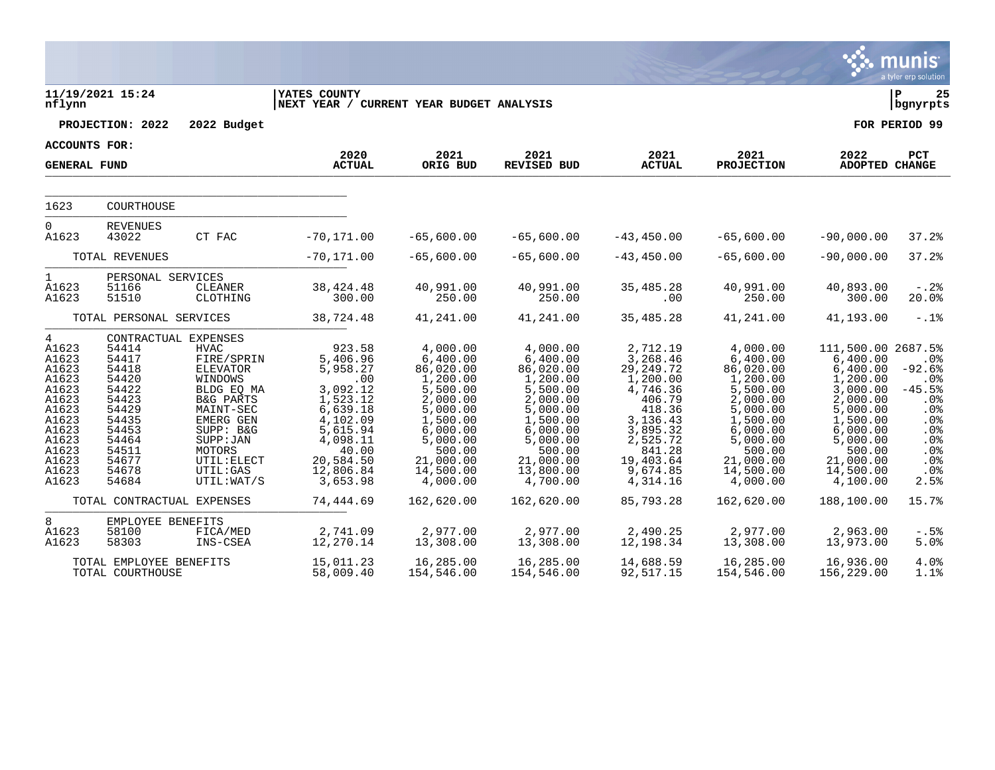|                                                                                                                                               |                                                                                                                                                    |                                                                                                                                                                                                 |                                                                                                                                                              |                                                                                                                                                                       |                                                                                                                                                                       |                                                                                                                                                                    |                                                                                                                                                                       |                                                                                                                                                                                | munis<br>a tyler erp solution                                                                            |
|-----------------------------------------------------------------------------------------------------------------------------------------------|----------------------------------------------------------------------------------------------------------------------------------------------------|-------------------------------------------------------------------------------------------------------------------------------------------------------------------------------------------------|--------------------------------------------------------------------------------------------------------------------------------------------------------------|-----------------------------------------------------------------------------------------------------------------------------------------------------------------------|-----------------------------------------------------------------------------------------------------------------------------------------------------------------------|--------------------------------------------------------------------------------------------------------------------------------------------------------------------|-----------------------------------------------------------------------------------------------------------------------------------------------------------------------|--------------------------------------------------------------------------------------------------------------------------------------------------------------------------------|----------------------------------------------------------------------------------------------------------|
| nflynn                                                                                                                                        | 11/19/2021 15:24                                                                                                                                   |                                                                                                                                                                                                 | <b>YATES COUNTY</b><br>NEXT YEAR / CURRENT YEAR BUDGET ANALYSIS                                                                                              |                                                                                                                                                                       |                                                                                                                                                                       |                                                                                                                                                                    |                                                                                                                                                                       |                                                                                                                                                                                | lР<br>25<br>bgnyrpts                                                                                     |
|                                                                                                                                               | PROJECTION: 2022                                                                                                                                   | 2022 Budget                                                                                                                                                                                     |                                                                                                                                                              |                                                                                                                                                                       |                                                                                                                                                                       |                                                                                                                                                                    |                                                                                                                                                                       |                                                                                                                                                                                | FOR PERIOD 99                                                                                            |
| <b>ACCOUNTS FOR:</b>                                                                                                                          |                                                                                                                                                    |                                                                                                                                                                                                 |                                                                                                                                                              |                                                                                                                                                                       |                                                                                                                                                                       |                                                                                                                                                                    |                                                                                                                                                                       |                                                                                                                                                                                |                                                                                                          |
| <b>GENERAL FUND</b>                                                                                                                           |                                                                                                                                                    |                                                                                                                                                                                                 | 2020<br><b>ACTUAL</b>                                                                                                                                        | 2021<br>ORIG BUD                                                                                                                                                      | 2021<br><b>REVISED BUD</b>                                                                                                                                            | 2021<br><b>ACTUAL</b>                                                                                                                                              | 2021<br><b>PROJECTION</b>                                                                                                                                             | 2022<br>ADOPTED CHANGE                                                                                                                                                         | PCT                                                                                                      |
| 1623                                                                                                                                          | COURTHOUSE                                                                                                                                         |                                                                                                                                                                                                 |                                                                                                                                                              |                                                                                                                                                                       |                                                                                                                                                                       |                                                                                                                                                                    |                                                                                                                                                                       |                                                                                                                                                                                |                                                                                                          |
| $\overline{0}$<br>A1623                                                                                                                       | <b>REVENUES</b><br>43022                                                                                                                           | CT FAC                                                                                                                                                                                          | $-70, 171.00$                                                                                                                                                | $-65,600.00$                                                                                                                                                          | $-65,600.00$                                                                                                                                                          | $-43, 450.00$                                                                                                                                                      | $-65,600.00$                                                                                                                                                          | $-90,000.00$                                                                                                                                                                   | 37.2%                                                                                                    |
|                                                                                                                                               | TOTAL REVENUES                                                                                                                                     |                                                                                                                                                                                                 | $-70, 171.00$                                                                                                                                                | $-65,600.00$                                                                                                                                                          | $-65,600.00$                                                                                                                                                          | $-43, 450.00$                                                                                                                                                      | $-65,600.00$                                                                                                                                                          | $-90,000.00$                                                                                                                                                                   | 37.2%                                                                                                    |
| $\mathbf{1}$<br>A1623<br>A1623                                                                                                                | PERSONAL SERVICES<br>51166<br>51510                                                                                                                | CLEANER<br>CLOTHING                                                                                                                                                                             | 38, 424. 48<br>300.00                                                                                                                                        | 40,991.00<br>250.00                                                                                                                                                   | 40,991.00<br>250.00                                                                                                                                                   | 35,485.28<br>.00                                                                                                                                                   | 40,991.00<br>250.00                                                                                                                                                   | 40,893.00<br>300.00                                                                                                                                                            | $-0.28$<br>20.0%                                                                                         |
|                                                                                                                                               | TOTAL PERSONAL SERVICES                                                                                                                            |                                                                                                                                                                                                 | 38,724.48                                                                                                                                                    | 41,241.00                                                                                                                                                             | 41,241.00                                                                                                                                                             | 35,485.28                                                                                                                                                          | 41,241.00                                                                                                                                                             | 41,193.00                                                                                                                                                                      | $-.1$ %                                                                                                  |
| $4\overline{ }$<br>A1623<br>A1623<br>A1623<br>A1623<br>A1623<br>A1623<br>A1623<br>A1623<br>A1623<br>A1623<br>A1623<br>A1623<br>A1623<br>A1623 | CONTRACTUAL EXPENSES<br>54414<br>54417<br>54418<br>54420<br>54422<br>54423<br>54429<br>54435<br>54453<br>54464<br>54511<br>54677<br>54678<br>54684 | <b>HVAC</b><br>FIRE/SPRIN<br><b>ELEVATOR</b><br>WINDOWS<br>BLDG EQ MA<br>B&G PARTS<br>MAINT-SEC<br><b>EMERG GEN</b><br>SUPP: B&G<br>SUBP:JAN<br>MOTORS<br>UTIL: ELECT<br>UTIL:GAS<br>UTIL:WAT/S | 923.58<br>5,406.96<br>5,958.27<br>.00<br>3,092.12<br>1,523.12<br>6,639.18<br>4,102.09<br>5,615.94<br>4,098.11<br>40.00<br>20,584.50<br>12,806.84<br>3,653.98 | 4,000.00<br>6,400.00<br>86,020.00<br>1,200.00<br>5,500.00<br>2,000.00<br>5,000.00<br>1,500.00<br>6,000.00<br>5,000.00<br>500.00<br>21,000.00<br>14,500.00<br>4,000.00 | 4,000.00<br>6,400.00<br>86,020.00<br>1,200.00<br>5,500.00<br>2,000.00<br>5,000.00<br>1,500.00<br>6,000.00<br>5,000.00<br>500.00<br>21,000.00<br>13,800.00<br>4,700.00 | 2,712.19<br>3,268.46<br>29, 249. 72<br>1,200.00<br>4,746.36<br>406.79<br>418.36<br>3,136.43<br>3,895.32<br>2,525.72<br>841.28<br>19,403.64<br>9,674.85<br>4,314.16 | 4,000.00<br>6,400.00<br>86,020.00<br>1,200.00<br>5,500.00<br>2,000.00<br>5,000.00<br>1,500.00<br>6,000.00<br>5,000.00<br>500.00<br>21,000.00<br>14,500.00<br>4,000.00 | 111,500.00 2687.5%<br>6,400.00<br>6,400.00<br>1,200.00<br>3,000.00<br>2,000.00<br>5,000.00<br>1,500.00<br>6,000.00<br>5,000.00<br>500.00<br>21,000.00<br>14,500.00<br>4,100.00 | .0%<br>$-92.6%$<br>.0%<br>$-45.5%$<br>$.0\%$<br>.0%<br>.0%<br>.0%<br>.0%<br>.0%<br>$.0\%$<br>.0%<br>2.5% |
|                                                                                                                                               | TOTAL CONTRACTUAL EXPENSES                                                                                                                         |                                                                                                                                                                                                 | 74,444.69                                                                                                                                                    | 162,620.00                                                                                                                                                            | 162,620.00                                                                                                                                                            | 85,793.28                                                                                                                                                          | 162,620.00                                                                                                                                                            | 188,100.00                                                                                                                                                                     | 15.7%                                                                                                    |
| 8<br>A1623<br>A1623                                                                                                                           | EMPLOYEE BENEFITS<br>58100<br>58303                                                                                                                | FICA/MED<br>INS-CSEA                                                                                                                                                                            | 2,741.09<br>12,270.14                                                                                                                                        | 2,977.00<br>13,308.00                                                                                                                                                 | 2,977.00<br>13,308.00                                                                                                                                                 | 2,490.25<br>12,198.34                                                                                                                                              | 2,977.00<br>13,308.00                                                                                                                                                 | 2,963.00<br>13,973.00                                                                                                                                                          | $-.5%$<br>5.0%                                                                                           |
|                                                                                                                                               | TOTAL EMPLOYEE BENEFITS<br>TOTAL COURTHOUSE                                                                                                        |                                                                                                                                                                                                 | 15,011.23<br>58,009.40                                                                                                                                       | 16,285.00<br>154,546.00                                                                                                                                               | 16,285.00<br>154,546.00                                                                                                                                               | 14,688.59<br>92,517.15                                                                                                                                             | 16,285.00<br>154,546.00                                                                                                                                               | 16,936.00<br>156,229.00                                                                                                                                                        | 4.0%<br>1.1%                                                                                             |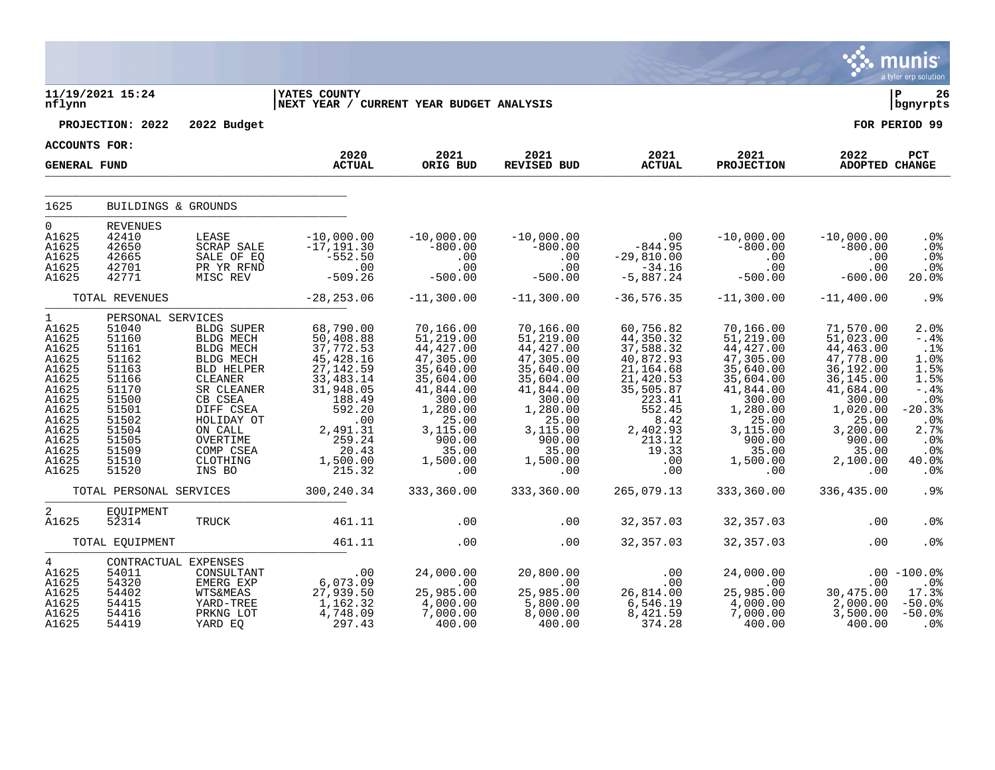|                                                                                                                                                  |                                                                                                                                                          |                                                                            |                                                                                                                                                                                                                                                                                      |                                                                                                                                                                                                               |                                                                                                                                                                                                                                |                                                                                                                                                                                                                                                                                                                                                                                                      |                                                                                                  |                                                                                                                                                                                                                                                                                          | a tyler erp solution                                                                                                                    |
|--------------------------------------------------------------------------------------------------------------------------------------------------|----------------------------------------------------------------------------------------------------------------------------------------------------------|----------------------------------------------------------------------------|--------------------------------------------------------------------------------------------------------------------------------------------------------------------------------------------------------------------------------------------------------------------------------------|---------------------------------------------------------------------------------------------------------------------------------------------------------------------------------------------------------------|--------------------------------------------------------------------------------------------------------------------------------------------------------------------------------------------------------------------------------|------------------------------------------------------------------------------------------------------------------------------------------------------------------------------------------------------------------------------------------------------------------------------------------------------------------------------------------------------------------------------------------------------|--------------------------------------------------------------------------------------------------|------------------------------------------------------------------------------------------------------------------------------------------------------------------------------------------------------------------------------------------------------------------------------------------|-----------------------------------------------------------------------------------------------------------------------------------------|
| nflynn                                                                                                                                           | 11/19/2021 15:24                                                                                                                                         |                                                                            | <b>YATES COUNTY</b><br>NEXT YEAR / CURRENT YEAR BUDGET ANALYSIS                                                                                                                                                                                                                      |                                                                                                                                                                                                               |                                                                                                                                                                                                                                |                                                                                                                                                                                                                                                                                                                                                                                                      |                                                                                                  |                                                                                                                                                                                                                                                                                          | 26<br>  bgnyrpts                                                                                                                        |
|                                                                                                                                                  |                                                                                                                                                          | PROJECTION: 2022 2022 Budget                                               |                                                                                                                                                                                                                                                                                      |                                                                                                                                                                                                               |                                                                                                                                                                                                                                |                                                                                                                                                                                                                                                                                                                                                                                                      |                                                                                                  |                                                                                                                                                                                                                                                                                          | FOR PERIOD 99                                                                                                                           |
| <b>ACCOUNTS FOR:</b>                                                                                                                             |                                                                                                                                                          |                                                                            |                                                                                                                                                                                                                                                                                      |                                                                                                                                                                                                               |                                                                                                                                                                                                                                |                                                                                                                                                                                                                                                                                                                                                                                                      |                                                                                                  |                                                                                                                                                                                                                                                                                          |                                                                                                                                         |
| <b>GENERAL FUND</b>                                                                                                                              |                                                                                                                                                          |                                                                            | 2020<br><b>ACTUAL</b>                                                                                                                                                                                                                                                                | 2021<br>ORIG BUD                                                                                                                                                                                              | 2021<br>REVISED BUD                                                                                                                                                                                                            | 2021<br><b>ACTUAL</b>                                                                                                                                                                                                                                                                                                                                                                                | 2021<br><b>PROJECTION</b>                                                                        | 2022<br>ADOPTED CHANGE                                                                                                                                                                                                                                                                   | PCT                                                                                                                                     |
|                                                                                                                                                  |                                                                                                                                                          |                                                                            |                                                                                                                                                                                                                                                                                      |                                                                                                                                                                                                               |                                                                                                                                                                                                                                |                                                                                                                                                                                                                                                                                                                                                                                                      |                                                                                                  |                                                                                                                                                                                                                                                                                          |                                                                                                                                         |
| 1625                                                                                                                                             | BUILDINGS & GROUNDS                                                                                                                                      |                                                                            |                                                                                                                                                                                                                                                                                      |                                                                                                                                                                                                               |                                                                                                                                                                                                                                |                                                                                                                                                                                                                                                                                                                                                                                                      |                                                                                                  |                                                                                                                                                                                                                                                                                          |                                                                                                                                         |
| $0 \qquad \qquad$<br>A1625<br>A1625<br>A1625<br>A1625<br>A1625                                                                                   | REVENUES<br>42410<br>42650<br>42665<br>42701<br>42771                                                                                                    |                                                                            | LEASE $-10,000.00$ $-10,000.00$<br>SCRAP SALE $-17,191.30$ $-800.00$<br>SALE OF EQ $-552.50$ .00<br>PR YR RFND .00<br>MISC REV $-509.26$ $-500.00$                                                                                                                                   |                                                                                                                                                                                                               |                                                                                                                                                                                                                                |                                                                                                                                                                                                                                                                                                                                                                                                      |                                                                                                  |                                                                                                                                                                                                                                                                                          | .0%<br>.0%<br>.0%<br>.0%<br>20.0%                                                                                                       |
|                                                                                                                                                  | TOTAL REVENUES                                                                                                                                           |                                                                            | $-28, 253.06$                                                                                                                                                                                                                                                                        | $-11,300.00$                                                                                                                                                                                                  | $-11,300.00$                                                                                                                                                                                                                   | $-36,576.35$ $-11,300.00$ $-11,400.00$                                                                                                                                                                                                                                                                                                                                                               |                                                                                                  |                                                                                                                                                                                                                                                                                          | $.9\%$                                                                                                                                  |
| $1 \quad$<br>A1625<br>A1625<br>A1625<br>A1625<br>A1625<br>A1625<br>A1625<br>A1625<br>A1625<br>A1625<br>A1625<br>A1625<br>A1625<br>A1625<br>A1625 | PERSONAL SERVICES<br>51040<br>51160<br>51161<br>51162<br>51163<br>51166<br>51170<br>51500<br>51501<br>51502<br>51504<br>51505<br>51509<br>51510<br>51520 | BLDG MECH<br>BLDG MECH<br>BLDG MECH<br>BLD HELPER<br>CLEANER<br>SR CLEANER | BLDG SUPER 68,790.00<br>$50,408.88$<br>$37,772.53$<br>$45,428.16$<br>$27,142.59$<br>$33,483.14$<br>$31,948.05$<br>SK CLEANER<br>CB CSEA 188.49<br>DIFF CSEA 592.20<br>HOLIDAY OT .00<br>ON CALL 2,491.31<br>OVERTIME 259.24<br>COMP CSEA 20.43<br>CLOTHING 1,500.00<br>INS BO 215.32 | 70,166.00<br>51, 219.00<br>44, 427.00<br>47,305.00<br>35,640.00<br>35,604.00<br>41,844.00<br>300.00<br>$\begin{array}{r} 300.00 \ 1,280.00 \ 25.00 \ 3,115.00 \ 900.00 \ 1,500.00 \ 1,500.00 \ 0 \end{array}$ | 70,166.00<br>$51, 219.00$<br>$44, 427.00$<br>$47, 305.00$<br>35,640.00<br>35,604.00<br>41,844.00<br>300.00<br>$\begin{array}{r} 300.00\ 1,280.00\ 25.00\ 3,115.00\ 900.00\ 1,500.00\ 1,500.00\ 0 \end{array}$<br>$\ddotsc{00}$ | 60,756.82<br>44, 350. 32<br>37, 588. 32<br>40, 872. 93<br>$21,164.68$<br>$21,420.53$<br>$35,505.87$<br>$223.41$<br>$552.45$<br>$\begin{array}{cccc} 233.41 & 300.00 & 300.00 \ 552.41 & 300.00 & 1,020.00 \ 552.45 & 1,280.00 & 1,020.00 \ 8.42 & 25.00 & 25.00 \ 2,402.93 & 3,115.00 & 3,200.00 \ 213.12 & 900.00 & 90.00 \ 19.33 & 35.00 & 90.00 \ 00 & 1,500.00 & 2,100.00 \ 00 & 0 & 0.00 & 0.0$ | 70,166.00<br>$51, 219.00$<br>$44, 427.00$<br>$47, 305.00$<br>35,640.00<br>35,604.00<br>41,844.00 | 71,570.00<br>$51,023.00$<br>44,463.00<br>47,778.00<br>36,192.00<br>36,145.00<br>41,684.00                                                                                                                                                                                                | 2.0%<br>$-.4%$<br>.1%<br>1.0%<br>1.5%<br>1.5%<br>$-0.4%$<br>.0%<br>$-20.3%$<br>.0%<br>2.7%<br>.0 <sub>8</sub><br>$.0\%$<br>40.0%<br>.0% |
|                                                                                                                                                  |                                                                                                                                                          |                                                                            | TOTAL PERSONAL SERVICES 300,240.34                                                                                                                                                                                                                                                   | 333,360.00                                                                                                                                                                                                    | 333,360.00                                                                                                                                                                                                                     | 265,079.13                                                                                                                                                                                                                                                                                                                                                                                           | 333,360.00                                                                                       | 336,435.00                                                                                                                                                                                                                                                                               | .9%                                                                                                                                     |
| $\overline{2}$<br>A1625                                                                                                                          | EQUIPMENT<br>52314                                                                                                                                       | TRUCK                                                                      | 461.11                                                                                                                                                                                                                                                                               | .00                                                                                                                                                                                                           | .00                                                                                                                                                                                                                            | 32,357.03                                                                                                                                                                                                                                                                                                                                                                                            | 32,357.03                                                                                        | .00                                                                                                                                                                                                                                                                                      | .0 <sub>8</sub>                                                                                                                         |
|                                                                                                                                                  | TOTAL EQUIPMENT                                                                                                                                          |                                                                            | 461.11                                                                                                                                                                                                                                                                               | .00                                                                                                                                                                                                           | .00                                                                                                                                                                                                                            | 32,357.03                                                                                                                                                                                                                                                                                                                                                                                            | 32,357.03                                                                                        | .00                                                                                                                                                                                                                                                                                      | .0 <sub>8</sub>                                                                                                                         |
| $4\degree$<br>A1625<br>A1625<br>A1625<br>A1625<br>A1625<br>A1625                                                                                 | CONTRACTUAL EXPENSES<br>54011<br>54320<br>54402<br>54415<br>54416<br>54419                                                                               | LEIERG EXP<br>WTS&MEAS<br>YARD-TREE<br>PRKNC TOT<br>PRKNG LOT              | CONSULTANT<br>CONSULTANT 06,073.09<br>EMERG EXP 6,073.09<br>WTS&MEAS 27,939.50<br>YARD-TREE 1,162.32<br>4,748.09<br>YARD EQ 297.43                                                                                                                                                   | 24,000.00<br>00.<br>25,985.00<br>4,000.00<br>7,000.00<br>400.00                                                                                                                                               | 20,800.00 0<br>00 0 0 0<br>25,985.00 0 0<br>26,814.00 25,985.00<br>5,800.00 6,546.19 4,000.00<br>8,000.00 8,421.59 7,000.00<br>400.00                                                                                          | 374.28                                                                                                                                                                                                                                                                                                                                                                                               | 400.00                                                                                           | $\begin{array}{cccc} 24\, , 000\, .00 & .00 & .00 & .00 \\ .00 & .00 & .08 \\ 25\, , 985\, .00 & 30\, , 475\, .00 & 17\, .3\% \\ 4\, , 000\, .00 & 2\, , 000\, .00 & -50\, .0\% \\ 7\, , 000\, .00 & 3\, , 500\, .00 & -50\, .0\% \\ 400\, .00 & 400\, .00 & .0\% \end{array}$<br>400.00 | .0%                                                                                                                                     |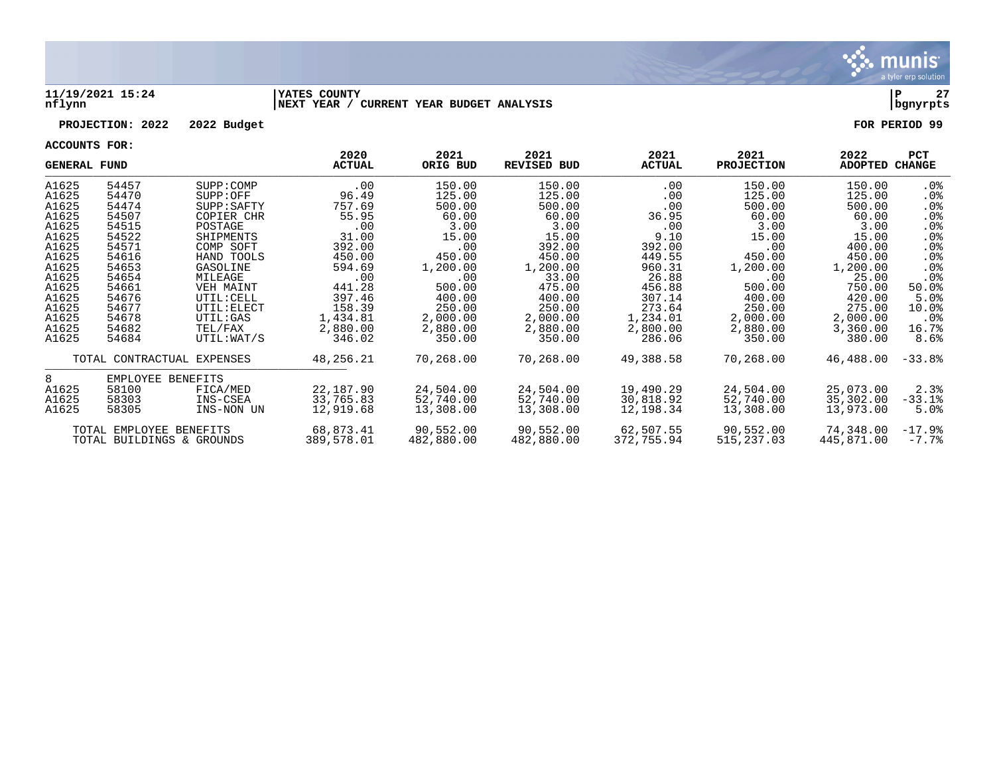

#### **11/19/2021 15:24 |YATES COUNTY |P 27 nflynn |NEXT YEAR / CURRENT YEAR BUDGET ANALYSIS |bgnyrpts**

### **PROJECTION: 2022 2022 Budget FOR PERIOD 99**

| ACCOUNTS LOV.<br><b>GENERAL FUND</b> |                            |             | 2020<br><b>ACTUAL</b> | 2021<br>ORIG BUD | 2021<br><b>REVISED BUD</b> | 2021<br><b>ACTUAL</b> | 2021<br><b>PROJECTION</b> | 2022<br>ADOPTED | PCT<br><b>CHANGE</b> |
|--------------------------------------|----------------------------|-------------|-----------------------|------------------|----------------------------|-----------------------|---------------------------|-----------------|----------------------|
| A1625                                | 54457                      | SUPP: COMP  | .00                   | 150.00           | 150.00                     | $.00 \,$              | 150.00                    | 150.00          | . 0%                 |
| A1625                                | 54470                      | SUPP: OFF   | 96.49                 | 125.00           | 125.00                     | .00                   | 125.00                    | 125.00          | $.0\%$               |
| A1625                                | 54474                      | SUPP: SAFTY | 757.69                | 500.00           | 500.00                     | .00                   | 500.00                    | 500.00          | .0%                  |
| A1625                                | 54507                      | COPIER CHR  | 55.95                 | 60.00            | 60.00                      | 36.95                 | 60.00                     | 60.00           | $.0\%$               |
| A1625                                | 54515                      | POSTAGE     | .00                   | 3.00             | 3.00                       | .00                   | 3.00                      | 3.00            | .0%                  |
| A1625                                | 54522                      | SHIPMENTS   | 31.00                 | 15.00            | 15.00                      | 9.10                  | 15.00                     | 15.00           | .0%                  |
| A1625                                | 54571                      | COMP SOFT   | 392.00                | .00              | 392.00                     | 392.00                | .00                       | 400.00          | .0%                  |
| A1625                                | 54616                      | HAND TOOLS  | 450.00                | 450.00           | 450.00                     | 449.55                | 450.00                    | 450.00          | .0%                  |
| A1625                                | 54653                      | GASOLINE    | 594.69                | 1,200.00         | 1,200.00                   | 960.31                | 1,200.00                  | 1,200.00        | .0%                  |
| A1625                                | 54654                      | MILEAGE     | .00                   | .00              | 33.00                      | 26.88                 | .00                       | 25.00           | .0%                  |
| A1625                                | 54661                      | VEH MAINT   | 441.28                | 500.00           | 475.00                     | 456.88                | 500.00                    | 750.00          | 50.0%                |
| A1625                                | 54676                      | UTIL: CELL  | 397.46                | 400.00           | 400.00                     | 307.14                | 400.00                    | 420.00          | 5.0%                 |
| A1625                                | 54677                      | UTIL: ELECT | 158.39                | 250.00           | 250.00                     | 273.64                | 250.00                    | 275.00          | 10.0%                |
| A1625                                | 54678                      | UTIL:GAS    | 1,434.81              | 2,000.00         | 2,000.00                   | 1,234.01              | 2,000.00                  | 2,000.00        | $.0\%$               |
| A1625                                | 54682                      | TEL/FAX     | 2,880.00              | 2,880.00         | 2,880.00                   | 2,800.00              | 2,880.00                  | 3,360.00        | 16.7%                |
| A1625                                | 54684                      | UTIL: WAT/S | 346.02                | 350.00           | 350.00                     | 286.06                | 350.00                    | 380.00          | 8.6%                 |
|                                      | TOTAL CONTRACTUAL EXPENSES |             | 48,256.21             | 70,268.00        | 70,268.00                  | 49,388.58             | 70,268.00                 | 46,488.00       | $-33.8%$             |
| 8                                    | EMPLOYEE BENEFITS          |             |                       |                  |                            |                       |                           |                 |                      |
| A1625                                | 58100                      | FICA/MED    | 22,187.90             | 24,504.00        | 24,504.00                  | 19,490.29             | 24,504.00                 | 25,073.00       | 2.3%                 |
| A1625                                | 58303                      | INS-CSEA    | 33,765.83             | 52,740.00        | 52,740.00                  | 30,818.92             | 52,740.00                 | 35,302.00       | $-33.1%$             |
| A1625                                | 58305                      | INS-NON UN  | 12,919.68             | 13,308.00        | 13,308.00                  | 12,198.34             | 13,308.00                 | 13,973.00       | 5.0%                 |
|                                      | TOTAL EMPLOYEE BENEFITS    |             | 68,873.41             | 90,552.00        | 90,552.00                  | 62,507.55             | 90,552.00                 | 74,348.00       | $-17.9%$             |
|                                      | TOTAL BUILDINGS & GROUNDS  |             | 389,578.01            | 482,880.00       | 482,880.00                 | 372,755.94            | 515,237.03                | 445,871.00      | $-7.7\%$             |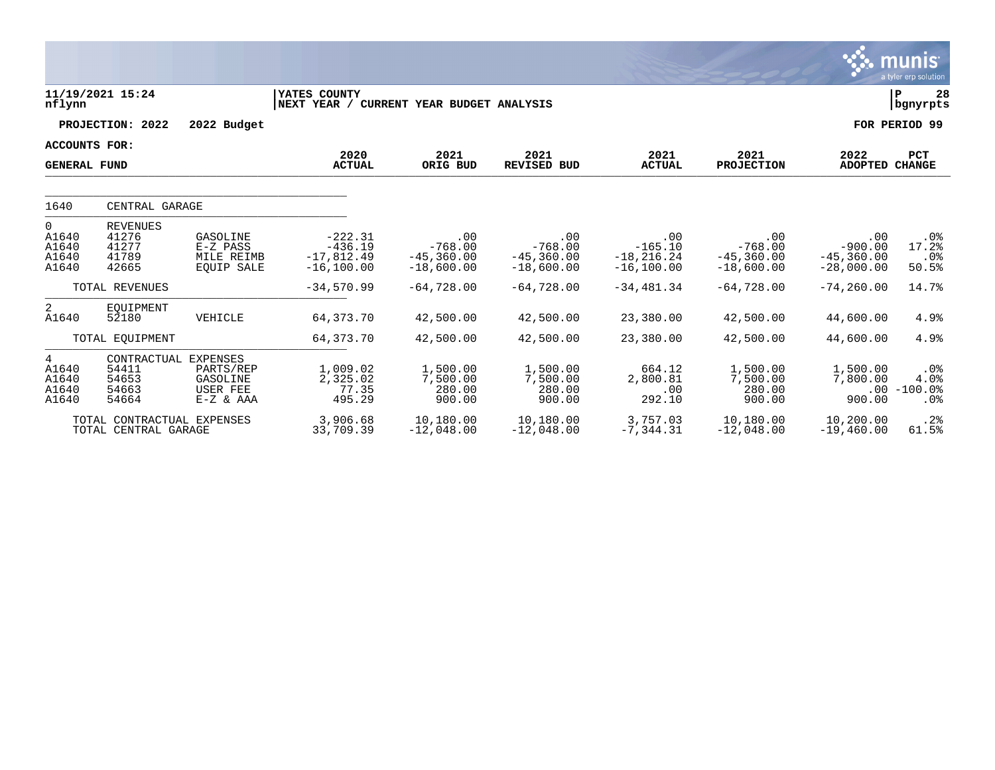|                                       |                                                          |                                                         |                                                         |                                                   |                                                    |                                                    |                                                   |                                                   | <u>munis</u><br>a tyler erp solution               |
|---------------------------------------|----------------------------------------------------------|---------------------------------------------------------|---------------------------------------------------------|---------------------------------------------------|----------------------------------------------------|----------------------------------------------------|---------------------------------------------------|---------------------------------------------------|----------------------------------------------------|
| nflynn                                | 11/19/2021 15:24                                         |                                                         | YATES COUNTY<br>NEXT YEAR /                             | CURRENT YEAR BUDGET ANALYSIS                      |                                                    |                                                    |                                                   |                                                   | l P<br>28<br>  bgnyrpts                            |
|                                       | PROJECTION: 2022                                         | 2022 Budget                                             |                                                         |                                                   |                                                    |                                                    |                                                   |                                                   | FOR PERIOD 99                                      |
| ACCOUNTS FOR:<br><b>GENERAL FUND</b>  |                                                          |                                                         | 2020<br><b>ACTUAL</b>                                   | 2021<br>ORIG BUD                                  | 2021<br><b>REVISED BUD</b>                         | 2021<br><b>ACTUAL</b>                              | 2021<br><b>PROJECTION</b>                         | 2022<br>ADOPTED                                   | <b>PCT</b><br><b>CHANGE</b>                        |
| 1640                                  | CENTRAL GARAGE                                           |                                                         |                                                         |                                                   |                                                    |                                                    |                                                   |                                                   |                                                    |
| 0<br>A1640<br>A1640<br>A1640<br>A1640 | <b>REVENUES</b><br>41276<br>41277<br>41789<br>42665      | GASOLINE<br>E-Z PASS<br>MILE REIMB<br><b>EOUIP SALE</b> | $-222.31$<br>$-436.19$<br>$-17,812.49$<br>$-16, 100.00$ | .00<br>$-768.00$<br>$-45, 360.00$<br>$-18,600.00$ | .00<br>$-768.00$<br>$-45, 360, 00$<br>$-18,600.00$ | .00<br>$-165.10$<br>$-18, 216.24$<br>$-16, 100.00$ | .00<br>$-768.00$<br>$-45, 360.00$<br>$-18,600.00$ | .00<br>$-900.00$<br>$-45, 360.00$<br>$-28,000.00$ | .0%<br>17.2%<br>.0%<br>50.5%                       |
|                                       | TOTAL REVENUES                                           |                                                         | $-34,570.99$                                            | $-64,728.00$                                      | $-64,728,00$                                       | $-34,481.34$                                       | $-64,728.00$                                      | $-74, 260, 00$                                    | 14.7%                                              |
| 2<br>A1640                            | EOUIPMENT<br>52180                                       | VEHICLE                                                 | 64, 373. 70                                             | 42,500.00                                         | 42,500.00                                          | 23,380.00                                          | 42,500.00                                         | 44,600.00                                         | 4.9%                                               |
|                                       | TOTAL EOUIPMENT                                          |                                                         | 64, 373. 70                                             | 42,500.00                                         | 42,500.00                                          | 23,380.00                                          | 42,500.00                                         | 44,600.00                                         | 4.9%                                               |
| 4<br>A1640<br>A1640<br>A1640<br>A1640 | CONTRACTUAL EXPENSES<br>54411<br>54653<br>54663<br>54664 | PARTS/REP<br>GASOLINE<br>USER FEE<br>$E-Z & AAA$        | 1,009.02<br>2,325.02<br>77.35<br>495.29                 | 1,500.00<br>7,500.00<br>280.00<br>900.00          | 1,500.00<br>7,500.00<br>280.00<br>900.00           | 664.12<br>2,800.81<br>.00<br>292.10                | 1,500.00<br>7,500.00<br>280.00<br>900.00          | 1,500.00<br>7,800.00<br>900.00                    | $.0\%$<br>4.0%<br>$.00 - 100.0$<br>.0 <sub>8</sub> |
|                                       | TOTAL CONTRACTUAL EXPENSES<br>TOTAL CENTRAL GARAGE       |                                                         | 3,906.68<br>33,709.39                                   | 10,180.00<br>$-12,048.00$                         | 10,180.00<br>$-12,048.00$                          | 3,757.03<br>$-7, 344.31$                           | 10,180.00<br>$-12,048.00$                         | 10,200.00<br>$-19,460.00$                         | .2%<br>61.5%                                       |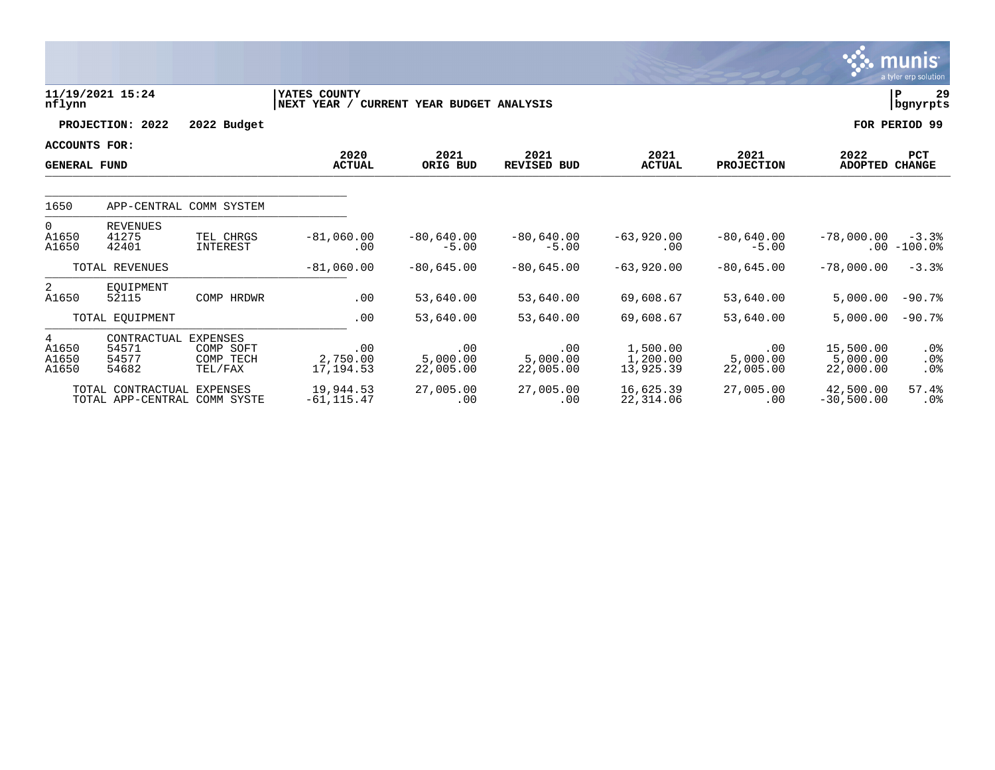|                                             |                                                   |                                   |                               |                              |                              |                                   |                              |                                    | <b>munis</b><br>a tyler erp solution |
|---------------------------------------------|---------------------------------------------------|-----------------------------------|-------------------------------|------------------------------|------------------------------|-----------------------------------|------------------------------|------------------------------------|--------------------------------------|
| nflynn                                      | 11/19/2021 15:24                                  |                                   | YATES COUNTY<br>NEXT YEAR /   | CURRENT YEAR BUDGET ANALYSIS |                              |                                   |                              |                                    | 29<br>P<br>  bgnyrpts                |
|                                             | PROJECTION: 2022                                  | 2022 Budget                       |                               |                              |                              |                                   |                              |                                    | FOR PERIOD 99                        |
| <b>ACCOUNTS FOR:</b><br><b>GENERAL FUND</b> |                                                   |                                   | 2020<br><b>ACTUAL</b>         | 2021<br>ORIG BUD             | 2021<br><b>REVISED BUD</b>   | 2021<br><b>ACTUAL</b>             | 2021<br><b>PROJECTION</b>    | 2022<br>ADOPTED                    | PCT<br><b>CHANGE</b>                 |
| 1650                                        | APP-CENTRAL COMM SYSTEM                           |                                   |                               |                              |                              |                                   |                              |                                    |                                      |
| $\overline{0}$<br>A1650<br>A1650            | <b>REVENUES</b><br>41275<br>42401                 | TEL CHRGS<br>INTEREST             | $-81,060,00$<br>.00           | $-80,640.00$<br>$-5.00$      | $-80,640.00$<br>$-5.00$      | $-63,920.00$<br>.00               | $-80,640.00$<br>$-5.00$      | $-78,000.00$<br>$.00 \,$           | $-3.3%$<br>$-100.0%$                 |
|                                             | TOTAL REVENUES                                    |                                   | $-81,060.00$                  | $-80,645.00$                 | $-80,645.00$                 | $-63,920,00$                      | $-80,645.00$                 | $-78,000.00$                       | $-3.3%$                              |
| 2<br>A1650                                  | EOUIPMENT<br>52115                                | COMP HRDWR                        | .00                           | 53,640.00                    | 53,640.00                    | 69,608.67                         | 53,640.00                    | 5,000.00                           | $-90.7%$                             |
|                                             | TOTAL EQUIPMENT                                   |                                   | .00                           | 53,640.00                    | 53,640.00                    | 69,608.67                         | 53,640.00                    | 5,000.00                           | $-90.7%$                             |
| 4<br>A1650<br>A1650<br>A1650                | CONTRACTUAL EXPENSES<br>54571<br>54577<br>54682   | COMP SOFT<br>COMP TECH<br>TEL/FAX | .00<br>2,750.00<br>17, 194.53 | .00<br>5,000.00<br>22,005.00 | .00<br>5,000.00<br>22,005.00 | 1,500.00<br>1,200.00<br>13,925.39 | .00<br>5.000.00<br>22,005.00 | 15,500.00<br>5,000.00<br>22,000.00 | $.0\%$<br>.0%<br>.0%                 |
|                                             | TOTAL CONTRACTUAL<br>TOTAL APP-CENTRAL COMM SYSTE | <b>EXPENSES</b>                   | 19,944.53<br>$-61, 115.47$    | 27,005.00<br>.00             | 27,005.00<br>.00             | 16,625.39<br>22,314.06            | 27,005.00<br>.00             | 42,500.00<br>$-30,500.00$          | 57.4%<br>.0 <sub>8</sub>             |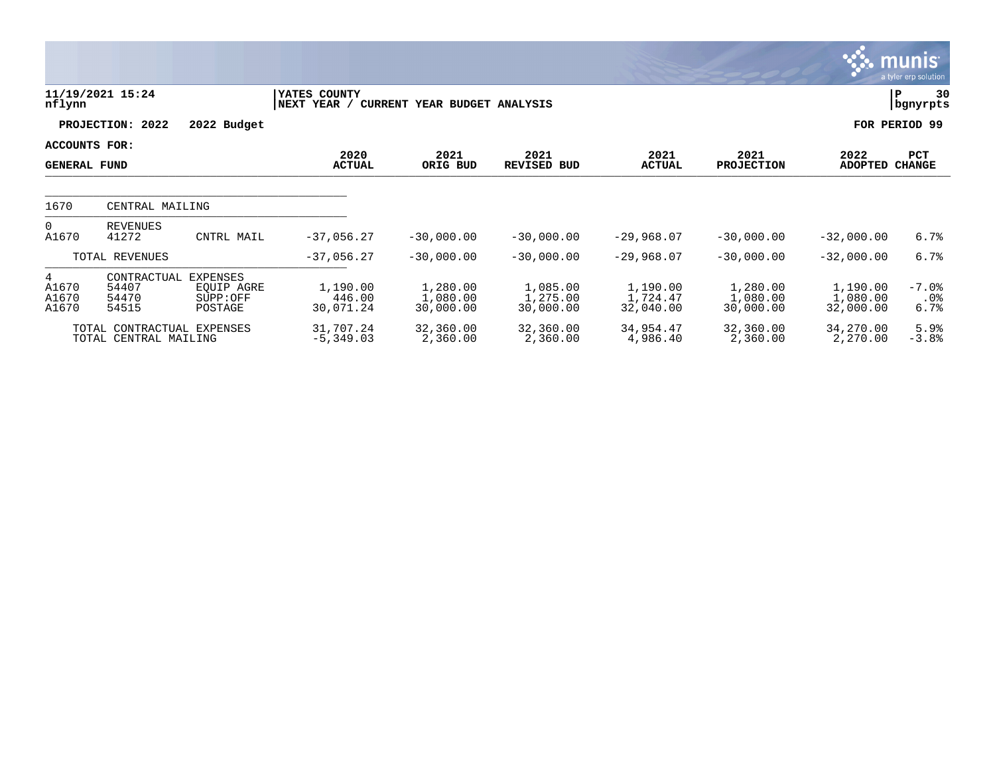|                                      |                                                     |                                               |                                        |                                   |                                   |                                   |                                   |                                   | <u>munis l</u><br>a tyler erp solution |
|--------------------------------------|-----------------------------------------------------|-----------------------------------------------|----------------------------------------|-----------------------------------|-----------------------------------|-----------------------------------|-----------------------------------|-----------------------------------|----------------------------------------|
| nflynn                               | 11/19/2021 15:24                                    |                                               | YATES COUNTY<br>NEXT YEAR /<br>CURRENT | YEAR BUDGET ANALYSIS              |                                   |                                   |                                   |                                   | 30<br>P<br>bgnyrpts                    |
|                                      | PROJECTION: 2022                                    | 2022 Budget                                   |                                        |                                   |                                   |                                   |                                   |                                   | FOR PERIOD 99                          |
| ACCOUNTS FOR:<br><b>GENERAL FUND</b> |                                                     |                                               | 2020<br><b>ACTUAL</b>                  | 2021<br>ORIG BUD                  | 2021<br><b>REVISED BUD</b>        | 2021<br><b>ACTUAL</b>             | 2021<br><b>PROJECTION</b>         | 2022<br><b>ADOPTED</b>            | PCT<br><b>CHANGE</b>                   |
| 1670                                 | CENTRAL MAILING                                     |                                               |                                        |                                   |                                   |                                   |                                   |                                   |                                        |
| $\overline{0}$<br>A1670              | <b>REVENUES</b><br>41272                            | CNTRL MAIL                                    | $-37,056.27$                           | $-30,000.00$                      | $-30.000.00$                      | $-29,968.07$                      | $-30,000.00$                      | $-32,000.00$                      | 6.7%                                   |
|                                      | TOTAL REVENUES                                      |                                               | $-37,056.27$                           | $-30,000.00$                      | $-30,000.00$                      | $-29,968.07$                      | $-30,000.00$                      | $-32,000.00$                      | 6.7%                                   |
| 4<br>A1670<br>A1670<br>A1670         | CONTRACTUAL<br>54407<br>54470<br>54515              | EXPENSES<br>EOUIP AGRE<br>SUPP:OFF<br>POSTAGE | 1,190.00<br>446.00<br>30,071.24        | 1,280.00<br>1,080.00<br>30,000.00 | 1,085.00<br>1,275.00<br>30,000.00 | 1,190.00<br>1,724.47<br>32,040.00 | 1,280.00<br>1,080.00<br>30,000.00 | 1,190.00<br>1,080.00<br>32,000.00 | $-7.0$ $8$<br>$.0\%$<br>6.7%           |
|                                      | TOTAL CONTRACTUAL EXPENSES<br>TOTAL CENTRAL MAILING |                                               | 31,707.24<br>$-5,349.03$               | 32,360.00<br>2,360.00             | 32,360.00<br>2,360.00             | 34,954.47<br>4,986.40             | 32,360.00<br>2,360.00             | 34,270.00<br>2,270.00             | 5.9%<br>$-3.8%$                        |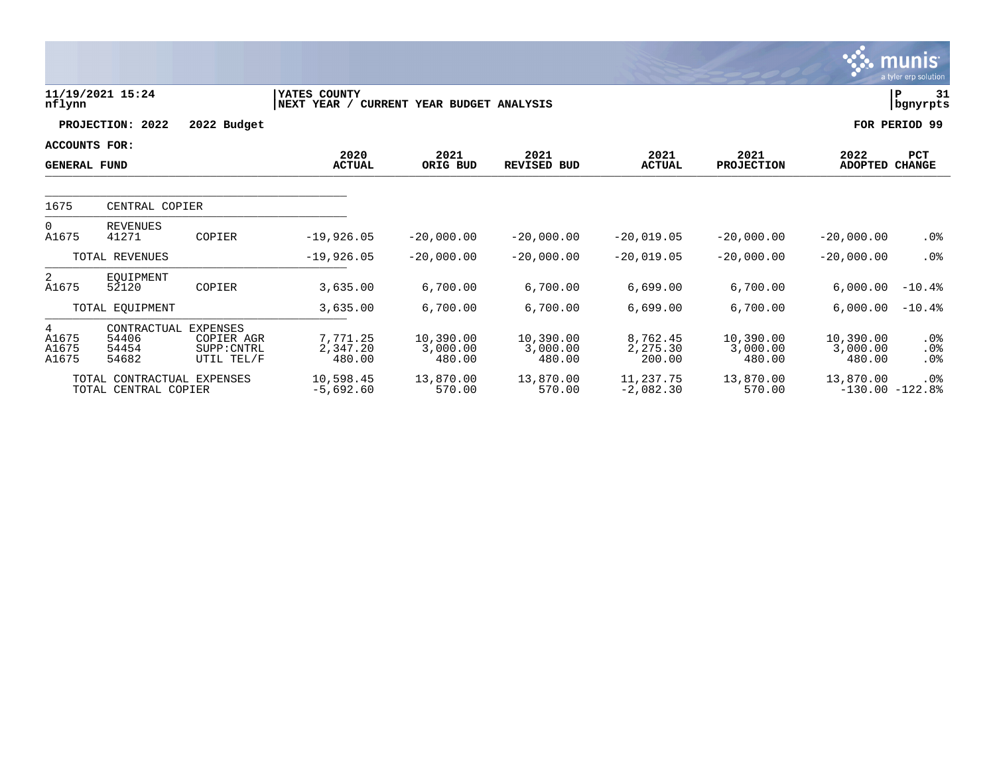|                                             |                                                    |                                                     |                                |                                 |                                 |                                |                                 |                                 | <b>munis</b><br>a tyler erp solution |
|---------------------------------------------|----------------------------------------------------|-----------------------------------------------------|--------------------------------|---------------------------------|---------------------------------|--------------------------------|---------------------------------|---------------------------------|--------------------------------------|
| nflynn                                      | 11/19/2021 15:24                                   |                                                     | YATES COUNTY<br>NEXT YEAR /    | CURRENT YEAR BUDGET ANALYSIS    |                                 |                                |                                 |                                 | P<br>31<br>bgnyrpts                  |
|                                             | PROJECTION: 2022                                   | 2022 Budget                                         |                                |                                 |                                 |                                |                                 |                                 | FOR PERIOD 99                        |
| <b>ACCOUNTS FOR:</b><br><b>GENERAL FUND</b> |                                                    |                                                     | 2020<br><b>ACTUAL</b>          | 2021<br>ORIG BUD                | 2021<br><b>REVISED BUD</b>      | 2021<br><b>ACTUAL</b>          | 2021<br><b>PROJECTION</b>       | 2022<br><b>ADOPTED</b>          | <b>PCT</b><br><b>CHANGE</b>          |
| 1675                                        | CENTRAL COPIER                                     |                                                     |                                |                                 |                                 |                                |                                 |                                 |                                      |
| $\Omega$<br>A1675                           | <b>REVENUES</b><br>41271                           | COPIER                                              | $-19,926.05$                   | $-20,000,00$                    | $-20.000.00$                    | $-20,019.05$                   | $-20,000.00$                    | $-20,000.00$                    | $.0\%$                               |
|                                             | TOTAL REVENUES                                     |                                                     | $-19,926.05$                   | $-20,000.00$                    | $-20,000.00$                    | $-20,019.05$                   | $-20,000.00$                    | $-20,000.00$                    | .0%                                  |
| $\overline{2}$<br>A1675                     | EOUIPMENT<br>52120                                 | COPIER                                              | 3,635.00                       | 6,700.00                        | 6,700.00                        | 6,699.00                       | 6,700.00                        | 6,000.00                        | $-10.4%$                             |
|                                             | TOTAL EQUIPMENT                                    |                                                     | 3,635.00                       | 6,700.00                        | 6,700.00                        | 6,699.00                       | 6,700.00                        | 6,000.00                        | $-10.4%$                             |
| 4<br>A1675<br>A1675<br>A1675                | CONTRACTUAL<br>54406<br>54454<br>54682             | EXPENSES<br>COPIER AGR<br>SUPP: CNTRL<br>UTIL TEL/F | 7,771.25<br>2,347.20<br>480.00 | 10,390.00<br>3,000.00<br>480.00 | 10,390.00<br>3,000.00<br>480.00 | 8,762.45<br>2,275.30<br>200.00 | 10,390.00<br>3,000.00<br>480.00 | 10,390.00<br>3,000.00<br>480.00 | $.0\%$<br>$.0\%$<br>.0%              |
|                                             | TOTAL CONTRACTUAL EXPENSES<br>TOTAL CENTRAL COPIER |                                                     | 10,598.45<br>$-5,692.60$       | 13,870.00<br>570.00             | 13,870.00<br>570.00             | 11,237.75<br>$-2,082.30$       | 13,870.00<br>570.00             | 13,870.00                       | .0%<br>$-130.00 - 122.88$            |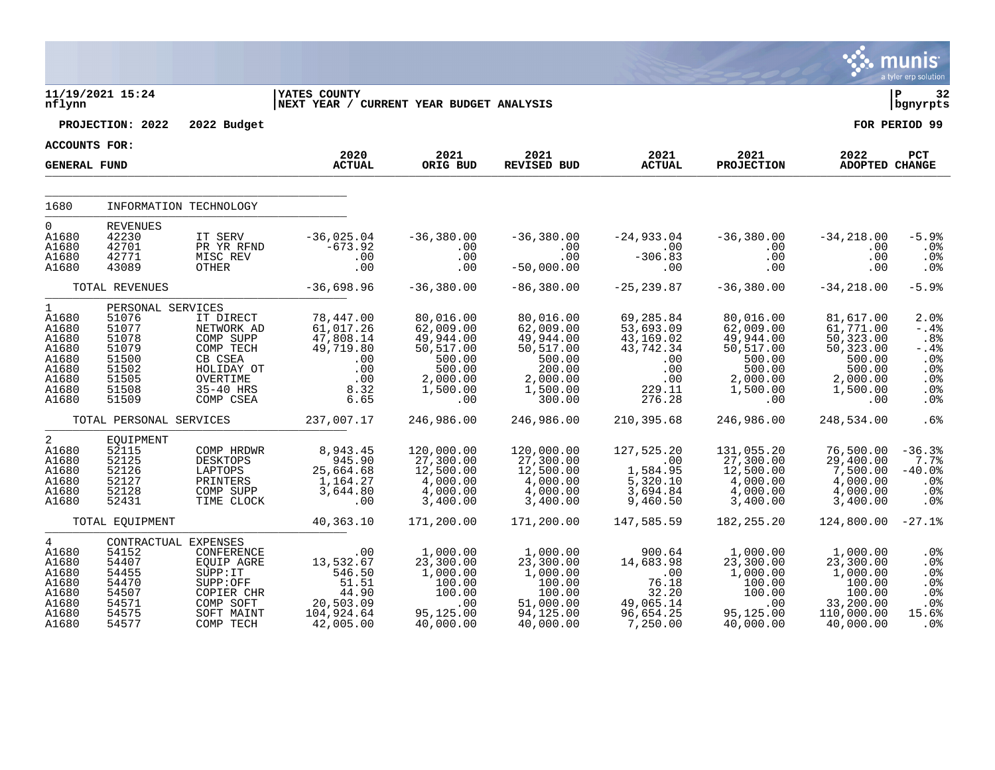|                                                                                              |                                                                                                    |                                                                                                                                |                                                                                       |                                                                                                     |                                                                                                        |                                                                                           |                                                                                                     |                                                                                                      | <b>munis</b><br>a tyler erp solution                                  |  |
|----------------------------------------------------------------------------------------------|----------------------------------------------------------------------------------------------------|--------------------------------------------------------------------------------------------------------------------------------|---------------------------------------------------------------------------------------|-----------------------------------------------------------------------------------------------------|--------------------------------------------------------------------------------------------------------|-------------------------------------------------------------------------------------------|-----------------------------------------------------------------------------------------------------|------------------------------------------------------------------------------------------------------|-----------------------------------------------------------------------|--|
| nflynn                                                                                       | 11/19/2021 15:24                                                                                   |                                                                                                                                | <b>IYATES COUNTY</b><br>NEXT YEAR / CURRENT YEAR BUDGET ANALYSIS                      |                                                                                                     |                                                                                                        |                                                                                           |                                                                                                     |                                                                                                      | ΙP<br>32<br>bgnyrpts                                                  |  |
|                                                                                              | PROJECTION: 2022                                                                                   | 2022 Budget                                                                                                                    |                                                                                       |                                                                                                     |                                                                                                        |                                                                                           |                                                                                                     |                                                                                                      | FOR PERIOD 99                                                         |  |
| <b>ACCOUNTS FOR:</b>                                                                         |                                                                                                    |                                                                                                                                | 2020                                                                                  | 2021                                                                                                | 2021                                                                                                   | 2021                                                                                      | 2021                                                                                                | 2022                                                                                                 | PCT                                                                   |  |
| <b>GENERAL FUND</b>                                                                          |                                                                                                    |                                                                                                                                | <b>ACTUAL</b>                                                                         | ORIG BUD                                                                                            | <b>REVISED BUD</b>                                                                                     | <b>ACTUAL</b>                                                                             | <b>PROJECTION</b>                                                                                   | ADOPTED CHANGE                                                                                       |                                                                       |  |
| 1680                                                                                         |                                                                                                    | INFORMATION TECHNOLOGY                                                                                                         |                                                                                       |                                                                                                     |                                                                                                        |                                                                                           |                                                                                                     |                                                                                                      |                                                                       |  |
| $\Omega$<br>A1680<br>A1680<br>A1680<br>A1680                                                 | <b>REVENUES</b><br>42230<br>42701<br>42771<br>43089                                                | IT SERV<br>PR YR RFND<br>MISC REV<br>OTHER                                                                                     | $-36,025.04$<br>$-673.92$<br>.00<br>.00                                               | $-36,380.00$<br>.00<br>.00<br>.00                                                                   | $-36,380.00$<br>.00<br>.00<br>$-50,000.00$                                                             | $-24,933.04$<br>.00<br>$-306.83$<br>.00                                                   | $-36,380.00$<br>.00<br>.00<br>.00                                                                   | $-34, 218.00$<br>.00<br>.00<br>.00                                                                   | $-5.9%$<br>.0 <sub>8</sub><br>.0%<br>.0%                              |  |
|                                                                                              | TOTAL REVENUES                                                                                     |                                                                                                                                | $-36,698.96$                                                                          | $-36, 380.00$                                                                                       | $-86,380.00$                                                                                           | $-25, 239.87$                                                                             | $-36,380.00$                                                                                        | $-34, 218.00$                                                                                        | $-5.9%$                                                               |  |
| $\mathbf 1$<br>A1680<br>A1680<br>A1680<br>A1680<br>A1680<br>A1680<br>A1680<br>A1680<br>A1680 | PERSONAL SERVICES<br>51076<br>51077<br>51078<br>51079<br>51500<br>51502<br>51505<br>51508<br>51509 | IT DIRECT<br>NETWORK AD<br>COMP SUPP<br>COMP TECH<br>CB CSEA<br>HOLIDAY OT<br>OVERTIME<br>35-40 HRS<br>COMP CSEA               | 78,447.00<br>61,017.26<br>47,808.14<br>49,719.80<br>.00<br>.00<br>.00<br>8.32<br>6.65 | 80,016.00<br>62,009.00<br>49,944.00<br>50,517.00<br>500.00<br>500.00<br>2,000.00<br>1,500.00<br>.00 | 80,016.00<br>62,009.00<br>49,944.00<br>50,517.00<br>500.00<br>200.00<br>2,000.00<br>1,500.00<br>300.00 | 69,285.84<br>53,693.09<br>43,169.02<br>43,742.34<br>.00<br>.00<br>.00<br>229.11<br>276.28 | 80,016.00<br>62,009.00<br>49,944.00<br>50,517.00<br>500.00<br>500.00<br>2,000.00<br>1,500.00<br>.00 | 81,617.00<br>61,771.00<br>50, 323.00<br>50,323.00<br>500.00<br>500.00<br>2,000.00<br>1,500.00<br>.00 | 2.0%<br>$-.4%$<br>.8%<br>-.4%<br>.0%<br>.0%<br>.0%<br>.0%<br>.0%      |  |
|                                                                                              | TOTAL PERSONAL SERVICES                                                                            |                                                                                                                                | 237,007.17                                                                            | 246,986.00                                                                                          | 246,986.00                                                                                             | 210,395.68                                                                                | 246,986.00                                                                                          | 248,534.00                                                                                           | .6%                                                                   |  |
| $\overline{a}$<br>A1680<br>A1680<br>A1680<br>A1680<br>A1680<br>A1680                         | EQUIPMENT<br>52115<br>52125<br>52126<br>52127<br>52128<br>52431                                    | COMP HRDWR<br><b>DESKTOPS</b><br>LAPTOPS<br>PRINTERS<br>COMP SUPP<br>TIME CLOCK                                                | 8,943.45<br>945.90<br>25,664.68<br>1,164.27<br>3,644.80<br>.00                        | 120,000.00<br>27,300.00<br>12,500.00<br>4,000.00<br>4,000.00<br>3,400.00                            | 120,000.00<br>27,300.00<br>12,500.00<br>4,000.00<br>4,000.00<br>3,400.00                               | 127,525.20<br>.00<br>1,584.95<br>5,320.10<br>3,694.84<br>9,460.50                         | 131,055.20<br>27,300.00<br>12,500.00<br>4,000.00<br>4,000.00<br>3,400.00                            | 76,500.00<br>29,400.00<br>7,500.00<br>4,000.00<br>4,000.00<br>3,400.00                               | $-36.3%$<br>7.7%<br>$-40.0%$<br>.0%<br>.0%<br>.0%                     |  |
|                                                                                              | TOTAL EQUIPMENT                                                                                    |                                                                                                                                | 40,363.10                                                                             | 171,200.00                                                                                          | 171,200.00                                                                                             | 147,585.59                                                                                | 182, 255. 20                                                                                        | 124,800.00                                                                                           | $-27.1%$                                                              |  |
| $\overline{4}$<br>A1680<br>A1680<br>A1680<br>A1680<br>A1680<br>A1680<br>A1680<br>A1680       | 54152<br>54407<br>54455<br>54470<br>54507<br>54571<br>54575<br>54577                               | CONTRACTUAL EXPENSES<br>CONFERENCE<br>EQUIP AGRE<br>SUPP: IT<br>SUPP:OFF<br>COPIER CHR<br>COMP SOFT<br>SOFT MAINT<br>COMP TECH | .00<br>13,532.67<br>546.50<br>51.51<br>44.90<br>20,503.09<br>104,924.64<br>42,005.00  | 1,000.00<br>23,300.00<br>1,000.00<br>100.00<br>100.00<br>.00<br>95,125.00<br>40,000.00              | 1,000.00<br>23,300.00<br>1,000.00<br>100.00<br>100.00<br>51,000.00<br>94,125.00<br>40,000.00           | 900.64<br>14,683.98<br>$\ldots$<br>76.18<br>32.20<br>49,065.14<br>96,654.25<br>7,250.00   | 1,000.00<br>23,300.00<br>1,000.00<br>100.00<br>100.00<br>.00<br>95,125.00<br>40,000.00              | 1,000.00<br>23,300.00<br>1,000.00<br>100.00<br>100.00<br>33,200.00<br>110,000.00<br>40,000.00        | .0%<br>.0%<br>$.0\%$<br>.0%<br>.0%<br>.0%<br>15.6%<br>.0 <sub>8</sub> |  |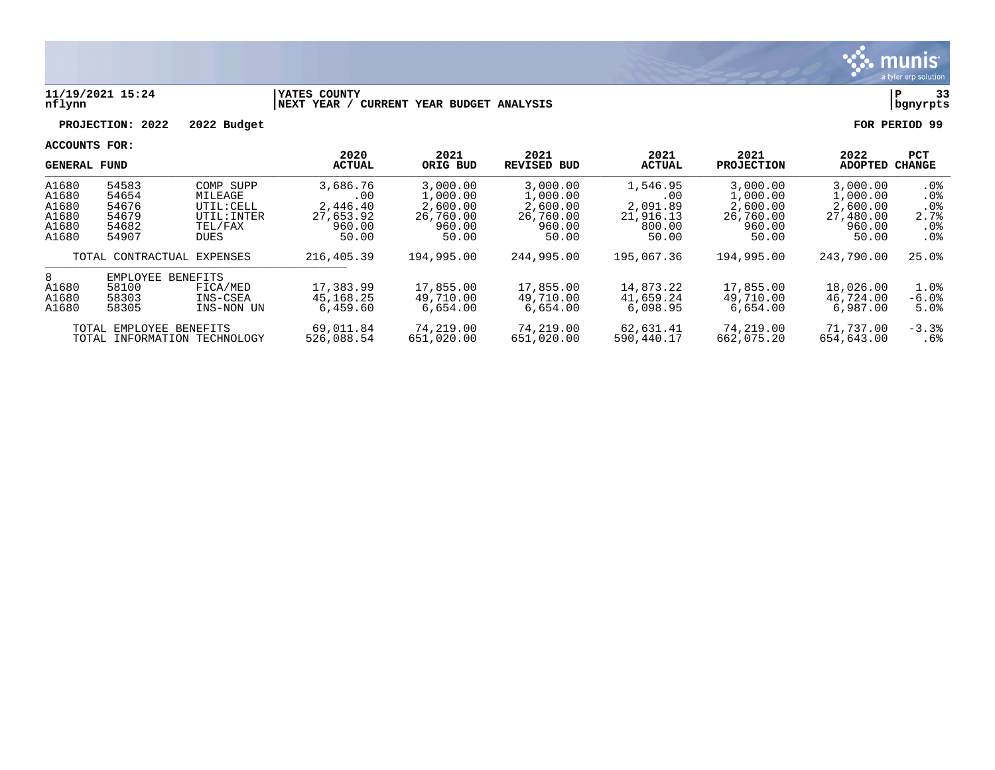

#### **11/19/2021 15:24 |YATES COUNTY |P 33 nflynn |NEXT YEAR / CURRENT YEAR BUDGET ANALYSIS |bgnyrpts**

# **PROJECTION: 2022 2022 Budget FOR PERIOD 99**

|                                                    | <b>GENERAL FUND</b>                                |                                                                             | 2020<br><b>ACTUAL</b>                                       | 2021<br>ORIG BUD                                                 | 2021<br><b>REVISED BUD</b>                                       | 2021<br><b>ACTUAL</b>                                       | 2021<br><b>PROJECTION</b>                                        | 2022<br>ADOPTED                                                  | <b>PCT</b><br><b>CHANGE</b>                                              |
|----------------------------------------------------|----------------------------------------------------|-----------------------------------------------------------------------------|-------------------------------------------------------------|------------------------------------------------------------------|------------------------------------------------------------------|-------------------------------------------------------------|------------------------------------------------------------------|------------------------------------------------------------------|--------------------------------------------------------------------------|
| A1680<br>A1680<br>A1680<br>A1680<br>A1680<br>A1680 | 54583<br>54654<br>54676<br>54679<br>54682<br>54907 | COMP SUPP<br>MILEAGE<br>UTIL: CELL<br>UTIL: INTER<br>TEL/FAX<br><b>DUES</b> | 3,686.76<br>.00<br>2,446.40<br>27,653.92<br>960.00<br>50.00 | 3,000.00<br>1,000.00<br>2,600.00<br>26,760.00<br>960.00<br>50.00 | 3,000.00<br>1,000.00<br>2,600.00<br>26,760.00<br>960.00<br>50.00 | 1,546.95<br>.00<br>2,091.89<br>21,916.13<br>800.00<br>50.00 | 3,000.00<br>1,000.00<br>2,600.00<br>26,760.00<br>960.00<br>50.00 | 3,000.00<br>1,000.00<br>2,600.00<br>27,480.00<br>960.00<br>50.00 | $.0\%$<br>$.0\%$<br>.0 <sub>8</sub><br>2.7%<br>$.0\%$<br>.0 <sub>8</sub> |
|                                                    |                                                    | TOTAL CONTRACTUAL EXPENSES                                                  | 216,405.39                                                  | 194,995.00                                                       | 244,995.00                                                       | 195,067.36                                                  | 194,995.00                                                       | 243,790.00                                                       | 25.0%                                                                    |
| 8<br>A1680<br>A1680<br>A1680                       | EMPLOYEE<br>58100<br>58303<br>58305                | BENEFITS<br>FICA/MED<br>INS-CSEA<br>INS-NON UN                              | 17,383.99<br>45, 168. 25<br>6.459.60                        | 17,855.00<br>49,710.00<br>6,654.00                               | 17,855.00<br>49,710.00<br>6.654.00                               | 14,873.22<br>41,659.24<br>6.098.95                          | 17,855.00<br>49,710.00<br>6.654.00                               | 18,026.00<br>46,724.00<br>6,987.00                               | 1.0%<br>$-6.0%$<br>5.0%                                                  |
| TOTAL                                              |                                                    | EMPLOYEE BENEFITS<br>TOTAL INFORMATION TECHNOLOGY                           | 69,011.84<br>526,088.54                                     | 74,219.00<br>651,020.00                                          | 74,219.00<br>651,020.00                                          | 62,631.41<br>590.440.17                                     | 74,219.00<br>662,075.20                                          | 71,737.00<br>654,643.00                                          | $-3.3%$<br>.6%                                                           |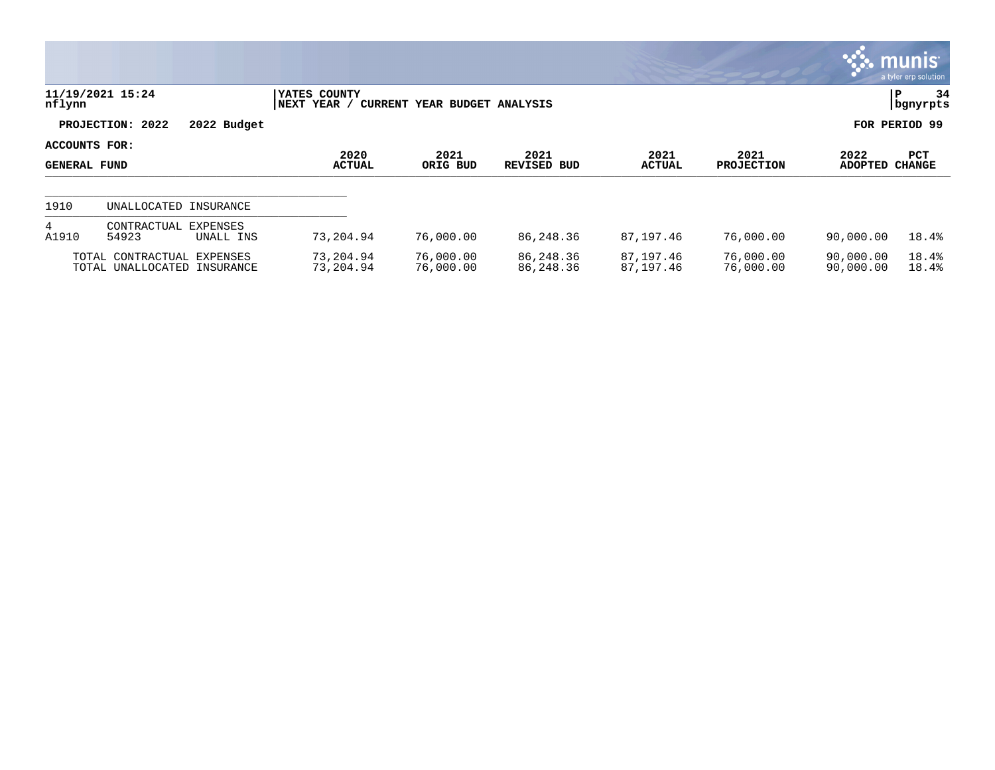|                                      |                                                           |             |                              |                              |                        |                        |                           |                        | $\sim$ munis $\sim$<br>a tyler erp solution |
|--------------------------------------|-----------------------------------------------------------|-------------|------------------------------|------------------------------|------------------------|------------------------|---------------------------|------------------------|---------------------------------------------|
| nflynn                               | 11/19/2021 15:24                                          |             | YATES COUNTY<br> NEXT YEAR / | CURRENT YEAR BUDGET ANALYSIS |                        |                        |                           |                        | 34<br>P<br>  bgnyrpts                       |
|                                      | PROJECTION: 2022                                          | 2022 Budget |                              |                              |                        |                        |                           |                        | FOR PERIOD 99                               |
| ACCOUNTS FOR:<br><b>GENERAL FUND</b> |                                                           |             | 2020<br><b>ACTUAL</b>        | 2021<br>ORIG BUD             | 2021<br>REVISED BUD    | 2021<br><b>ACTUAL</b>  | 2021<br><b>PROJECTION</b> | 2022<br><b>ADOPTED</b> | PCT<br><b>CHANGE</b>                        |
| 1910                                 | UNALLOCATED INSURANCE                                     |             |                              |                              |                        |                        |                           |                        |                                             |
| 4<br>A1910                           | CONTRACTUAL<br>EXPENSES<br>54923                          | UNALL INS   | 73,204.94                    | 76,000.00                    | 86,248.36              | 87,197.46              | 76,000.00                 | 90,000.00              | 18.4%                                       |
|                                      | TOTAL CONTRACTUAL EXPENSES<br>TOTAL UNALLOCATED INSURANCE |             | 73,204.94<br>73,204.94       | 76,000.00<br>76,000.00       | 86,248.36<br>86,248.36 | 87,197.46<br>87,197.46 | 76,000.00<br>76,000.00    | 90,000.00<br>90,000.00 | 18.4%<br>18.4%                              |

 $\bullet$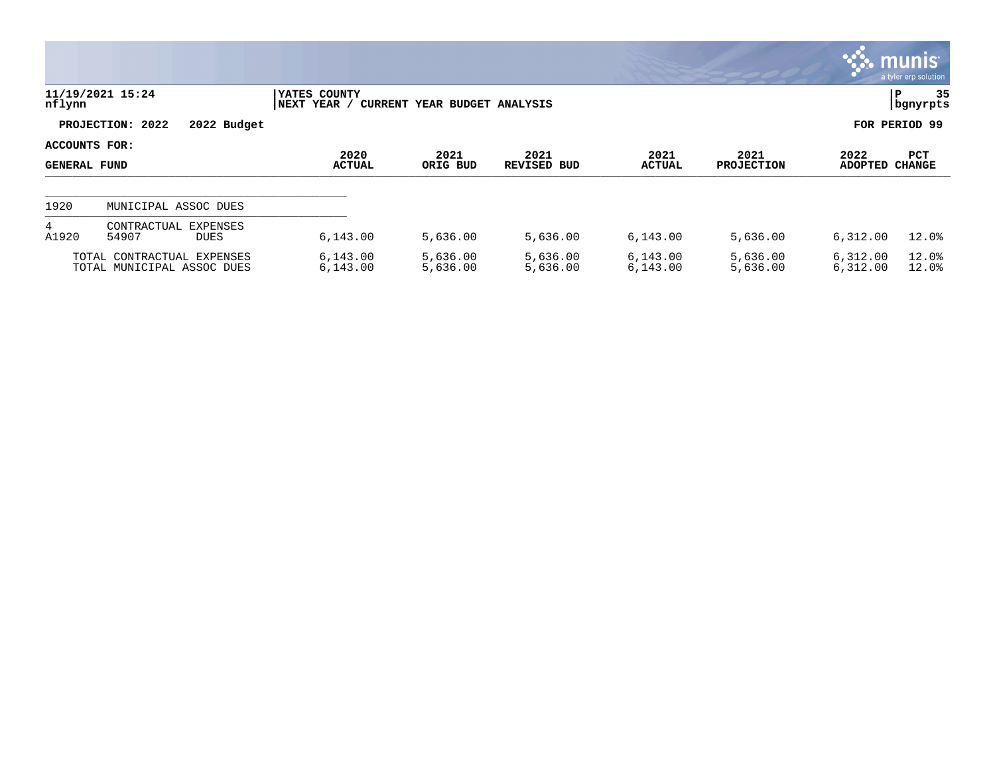|                                      |                                                          |                             |                              |                            |                       |                           |                        | $\overline{\mathsf{m}$ unis<br>a tyler erp solution |
|--------------------------------------|----------------------------------------------------------|-----------------------------|------------------------------|----------------------------|-----------------------|---------------------------|------------------------|-----------------------------------------------------|
| nflynn                               | 11/19/2021 15:24                                         | YATES COUNTY<br>NEXT YEAR / | CURRENT YEAR BUDGET ANALYSIS |                            |                       |                           |                        | 35<br>P<br>  bgnyrpts                               |
|                                      | PROJECTION: 2022<br>2022 Budget                          |                             |                              |                            |                       |                           |                        | FOR PERIOD 99                                       |
| ACCOUNTS FOR:<br><b>GENERAL FUND</b> |                                                          | 2020<br><b>ACTUAL</b>       | 2021<br>ORIG BUD             | 2021<br><b>REVISED BUD</b> | 2021<br><b>ACTUAL</b> | 2021<br><b>PROJECTION</b> | 2022<br><b>ADOPTED</b> | <b>PCT</b><br><b>CHANGE</b>                         |
| 1920                                 | MUNICIPAL ASSOC DUES                                     |                             |                              |                            |                       |                           |                        |                                                     |
| 4<br>A1920                           | CONTRACTUAL EXPENSES<br>54907<br><b>DUES</b>             | 6,143.00                    | 5,636.00                     | 5,636.00                   | 6,143.00              | 5,636.00                  | 6,312.00               | 12.0%                                               |
|                                      | TOTAL CONTRACTUAL EXPENSES<br>TOTAL MUNICIPAL ASSOC DUES | 6, 143.00<br>6, 143.00      | 5,636.00<br>5,636.00         | 5,636.00<br>5,636.00       | 6,143.00<br>6,143.00  | 5,636.00<br>5,636.00      | 6,312.00<br>6,312.00   | 12.0%<br>12.0%                                      |

 $\bullet$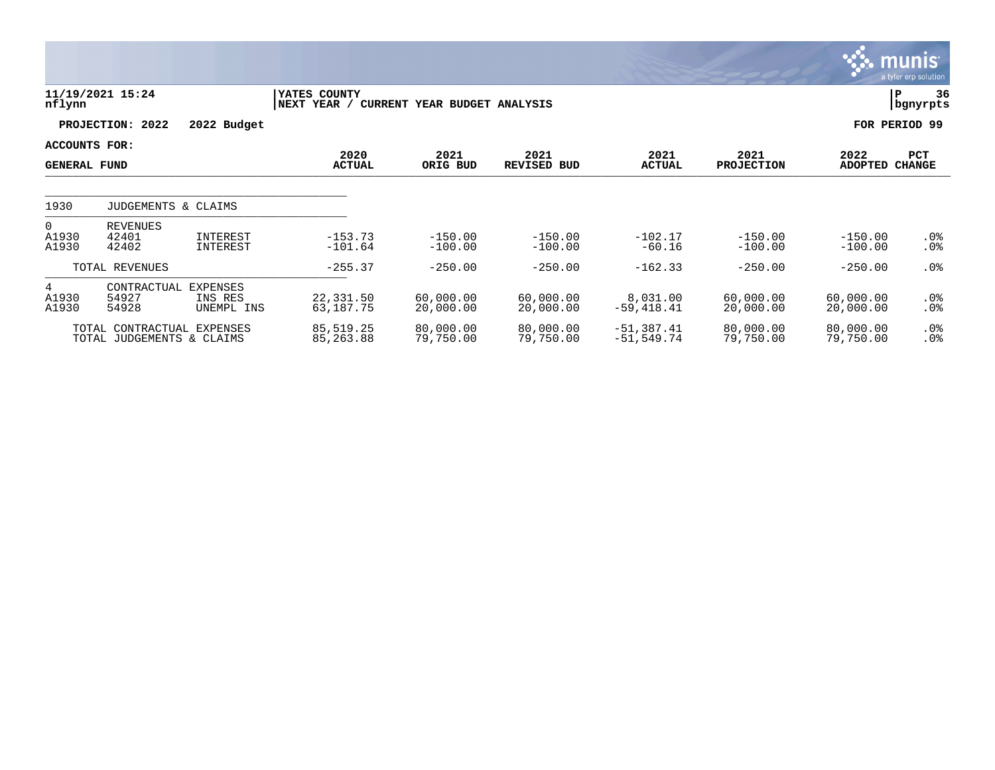|                                             |                                                         |                                          |                             |                              |                            |                              |                           |                        | <b>munis</b><br>a tyler erp solution |
|---------------------------------------------|---------------------------------------------------------|------------------------------------------|-----------------------------|------------------------------|----------------------------|------------------------------|---------------------------|------------------------|--------------------------------------|
| nflynn                                      | 11/19/2021 15:24                                        |                                          | YATES COUNTY<br>NEXT YEAR / | CURRENT YEAR BUDGET ANALYSIS |                            |                              |                           | P                      | 36<br>  bgnyrpts                     |
|                                             | 2022<br>PROJECTION:                                     | 2022 Budget                              |                             |                              |                            |                              |                           |                        | FOR PERIOD 99                        |
| <b>ACCOUNTS FOR:</b><br><b>GENERAL FUND</b> |                                                         |                                          | 2020<br><b>ACTUAL</b>       | 2021<br>ORIG BUD             | 2021<br><b>REVISED BUD</b> | 2021<br><b>ACTUAL</b>        | 2021<br><b>PROJECTION</b> | 2022<br>ADOPTED CHANGE | PCT                                  |
| 1930                                        | JUDGEMENTS & CLAIMS                                     |                                          |                             |                              |                            |                              |                           |                        |                                      |
| $\overline{0}$<br>A1930<br>A1930            | REVENUES<br>42401<br>42402                              | INTEREST<br>INTEREST                     | $-153.73$<br>$-101.64$      | $-150.00$<br>$-100.00$       | $-150.00$<br>$-100.00$     | $-102.17$<br>$-60.16$        | $-150.00$<br>$-100.00$    | $-150.00$<br>$-100.00$ | $.0\%$<br>$.0\%$                     |
|                                             | TOTAL REVENUES                                          |                                          | $-255.37$                   | $-250.00$                    | $-250.00$                  | $-162.33$                    | $-250.00$                 | $-250.00$              | $.0\%$                               |
| 4<br>A1930<br>A1930                         | CONTRACTUAL<br>54927<br>54928                           | <b>EXPENSES</b><br>INS RES<br>UNEMPL INS | 22,331.50<br>63,187.75      | 60,000.00<br>20,000.00       | 60,000.00<br>20,000.00     | 8,031.00<br>$-59,418.41$     | 60,000.00<br>20,000.00    | 60,000.00<br>20,000.00 | $.0\%$<br>$.0\%$                     |
|                                             | TOTAL CONTRACTUAL EXPENSES<br>TOTAL JUDGEMENTS & CLAIMS |                                          | 85,519.25<br>85,263.88      | 80,000.00<br>79,750.00       | 80,000.00<br>79,750.00     | $-51,387.41$<br>$-51,549.74$ | 80,000.00<br>79,750.00    | 80,000.00<br>79,750.00 | $.0\%$<br>.0%                        |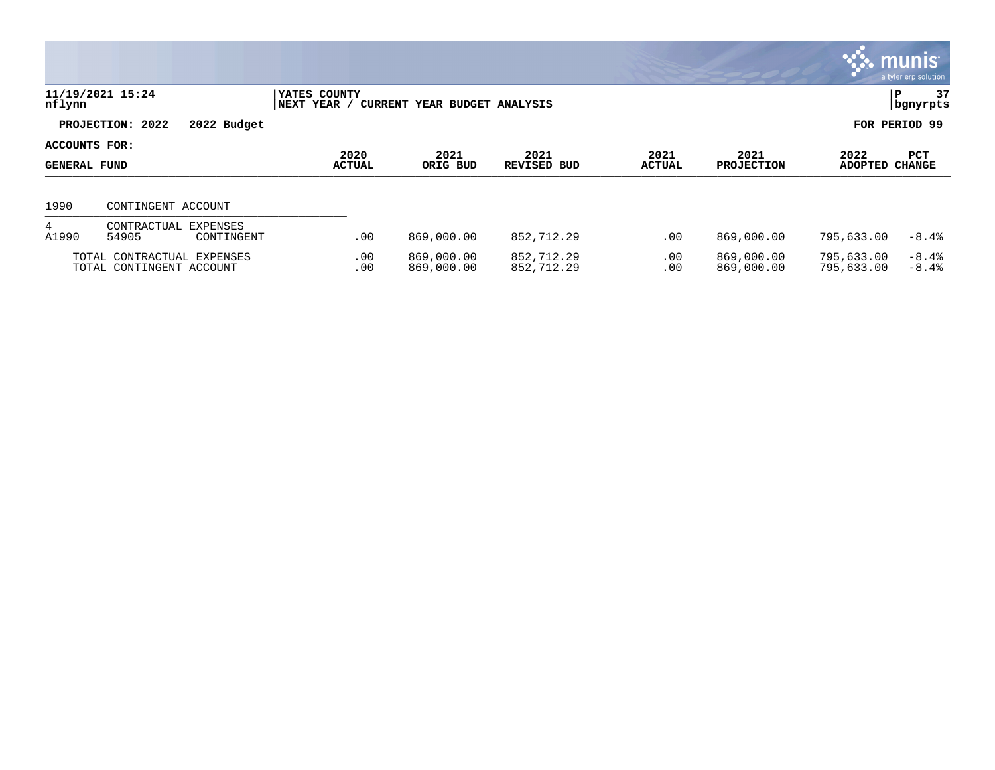|                                             |                                                        |                             |                              |                            |                       |                           |                          | $\mathbb{C}$ munis<br>a tyler erp solution |
|---------------------------------------------|--------------------------------------------------------|-----------------------------|------------------------------|----------------------------|-----------------------|---------------------------|--------------------------|--------------------------------------------|
| nflynn                                      | 11/19/2021 15:24                                       | YATES COUNTY<br>NEXT YEAR / | CURRENT YEAR BUDGET ANALYSIS |                            |                       |                           |                          | 37<br>P<br>  bgnyrpts                      |
|                                             | PROJECTION: 2022<br>2022 Budget                        |                             |                              |                            |                       |                           |                          | FOR PERIOD 99                              |
| <b>ACCOUNTS FOR:</b><br><b>GENERAL FUND</b> |                                                        | 2020<br><b>ACTUAL</b>       | 2021<br>ORIG BUD             | 2021<br><b>REVISED BUD</b> | 2021<br><b>ACTUAL</b> | 2021<br><b>PROJECTION</b> | 2022<br><b>ADOPTED</b>   | PCT<br><b>CHANGE</b>                       |
| 1990                                        | CONTINGENT ACCOUNT                                     |                             |                              |                            |                       |                           |                          |                                            |
| 4<br>A1990                                  | CONTRACTUAL EXPENSES<br>54905<br>CONTINGENT            | .00                         | 869,000.00                   | 852,712.29                 | .00                   | 869,000.00                | 795,633.00               | $-8.4%$                                    |
|                                             | TOTAL CONTRACTUAL EXPENSES<br>TOTAL CONTINGENT ACCOUNT | .00<br>.00                  | 869,000.00<br>869,000.00     | 852,712.29<br>852,712.29   | $.00 \,$<br>.00       | 869,000.00<br>869,000.00  | 795,633.00<br>795,633.00 | $-8.4%$<br>$-8.4%$                         |

and the control of the control of the control of the control of the control of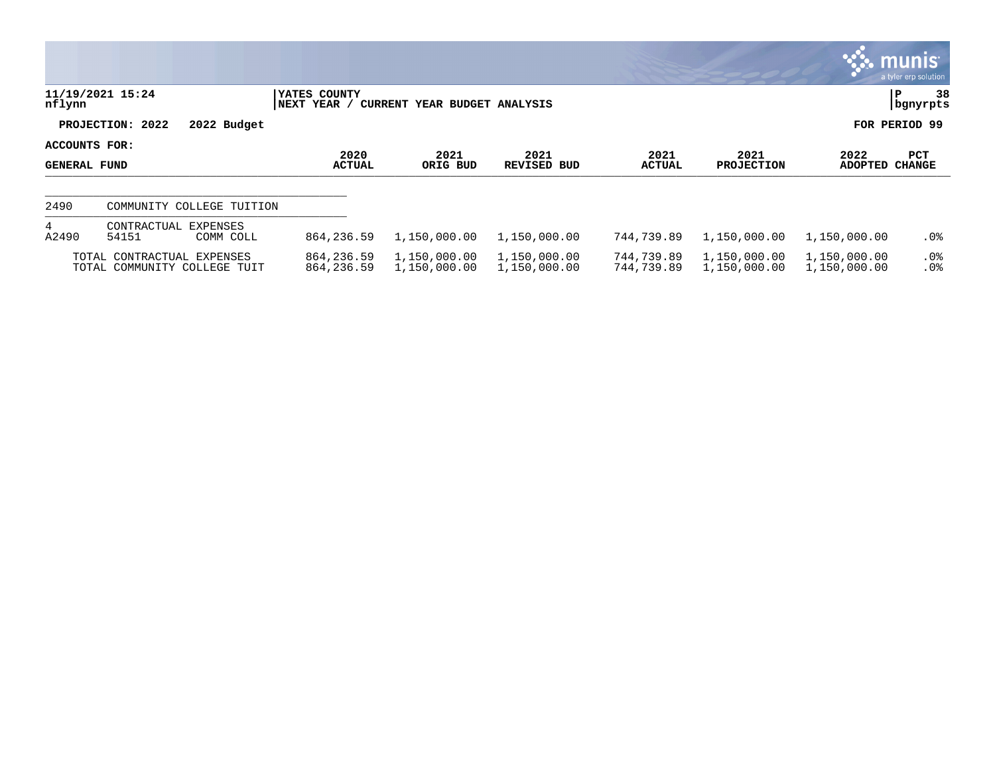|                               |                                                            |                              |                              |                              |                          |                              |                              | $\mathbb{C}$ munis<br>a tyler erp solution |
|-------------------------------|------------------------------------------------------------|------------------------------|------------------------------|------------------------------|--------------------------|------------------------------|------------------------------|--------------------------------------------|
| nflynn                        | 11/19/2021 15:24                                           | YATES COUNTY<br> NEXT YEAR / | CURRENT YEAR BUDGET ANALYSIS |                              |                          |                              |                              | 38<br> P<br>  bgnyrpts                     |
|                               | PROJECTION: 2022<br>2022 Budget                            |                              |                              |                              |                          |                              |                              | FOR PERIOD 99                              |
| ACCOUNTS FOR:<br>GENERAL FUND |                                                            | 2020<br><b>ACTUAL</b>        | 2021<br>ORIG BUD             | 2021<br>REVISED BUD          | 2021<br><b>ACTUAL</b>    | 2021<br><b>PROJECTION</b>    | 2022<br><b>ADOPTED</b>       | PCT<br><b>CHANGE</b>                       |
| 2490                          | COMMUNITY COLLEGE TUITION                                  |                              |                              |                              |                          |                              |                              |                                            |
| $4\overline{ }$<br>A2490      | CONTRACTUAL<br><b>EXPENSES</b><br>54151<br>COMM COLL       | 864, 236.59                  | 1,150,000.00                 | 1,150,000.00                 | 744,739.89               | 1,150,000.00                 | 1,150,000.00                 | $.0\%$                                     |
|                               | TOTAL CONTRACTUAL EXPENSES<br>TOTAL COMMUNITY COLLEGE TUIT | 864, 236.59<br>864, 236.59   | 1,150,000.00<br>1,150,000.00 | 1,150,000.00<br>1,150,000.00 | 744,739.89<br>744,739.89 | 1,150,000.00<br>1,150,000.00 | 1,150,000.00<br>1,150,000.00 | $.0\%$<br>.0%                              |

 $\sim$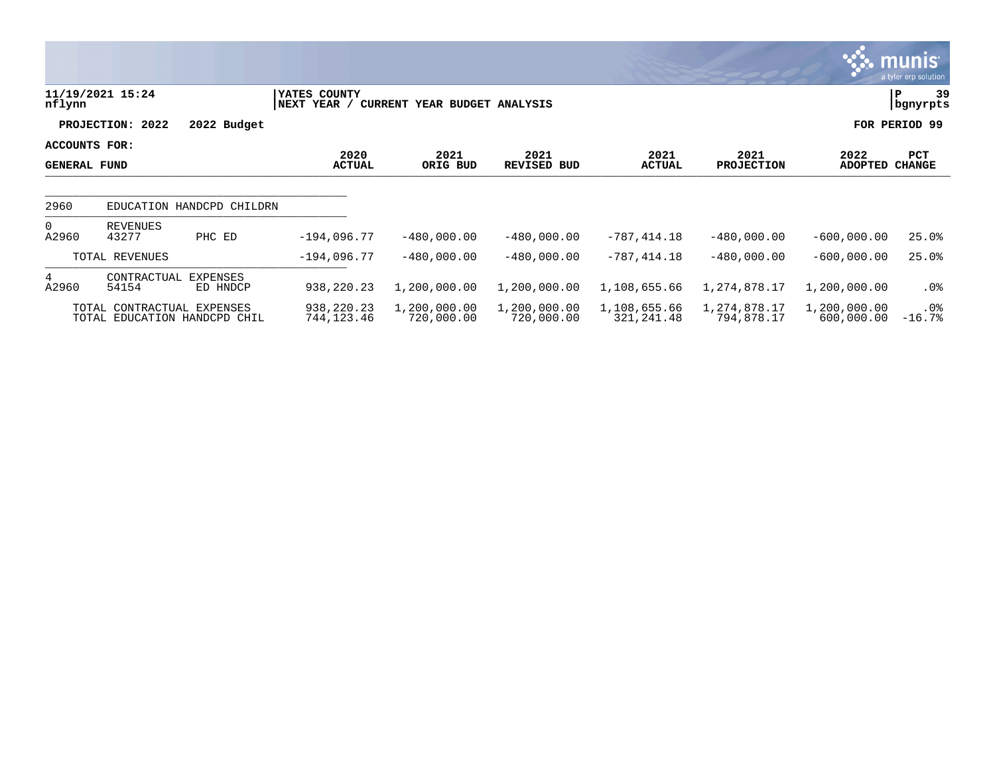|                                             |                                                            |                             |                              |                            |                            |                            |                            | <u>ુરું. munis i</u><br>a tyler erp solution |
|---------------------------------------------|------------------------------------------------------------|-----------------------------|------------------------------|----------------------------|----------------------------|----------------------------|----------------------------|----------------------------------------------|
| nflynn                                      | 11/19/2021 15:24                                           | YATES COUNTY<br>NEXT YEAR / | CURRENT YEAR BUDGET ANALYSIS |                            |                            |                            |                            | 39<br>IP.<br>bgnyrpts                        |
|                                             | PROJECTION: 2022                                           | 2022 Budget                 |                              |                            |                            |                            |                            | FOR PERIOD 99                                |
| <b>ACCOUNTS FOR:</b><br><b>GENERAL FUND</b> |                                                            | 2020<br><b>ACTUAL</b>       | 2021<br>ORIG BUD             | 2021<br><b>REVISED BUD</b> | 2021<br><b>ACTUAL</b>      | 2021<br><b>PROJECTION</b>  | 2022<br><b>ADOPTED</b>     | <b>PCT</b><br><b>CHANGE</b>                  |
| 2960                                        | EDUCATION HANDCPD CHILDRN                                  |                             |                              |                            |                            |                            |                            |                                              |
| $\Omega$<br>A2960                           | <b>REVENUES</b><br>43277<br>PHC ED                         | $-194,096.77$               | $-480,000.00$                | $-480.000.00$              | $-787, 414.18$             | $-480,000.00$              | $-600,000.00$              | 25.0%                                        |
|                                             | TOTAL REVENUES                                             | $-194,096.77$               | $-480,000.00$                | $-480.000.00$              | $-787, 414.18$             | $-480,000.00$              | $-600,000.00$              | 25.0%                                        |
| 4<br>A2960                                  | CONTRACTUAL<br>EXPENSES<br>54154                           | 938,220.23<br>ED HNDCP      | 1,200,000.00                 | 1,200,000.00               | 1,108,655.66               | 1,274,878.17               | 1,200,000.00               | $.0\%$                                       |
|                                             | TOTAL CONTRACTUAL EXPENSES<br>TOTAL EDUCATION HANDCPD CHIL | 938,220.23<br>744,123.46    | 1,200,000.00<br>720,000.00   | 1,200,000.00<br>720,000.00 | 1,108,655.66<br>321,241.48 | 1,274,878.17<br>794,878.17 | 1,200,000.00<br>600,000.00 | $.0\%$<br>$-16.7%$                           |

<u> De Carlos de Carlos de Carlos de Carlos de Carlos de Carlos de Carlos de Carlos de Carlos de Carlos de Carlos de Carlos de Carlos de Carlos de Carlos de Carlos de Carlos de Carlos de Carlos de Carlos de Carlos de Carlos </u>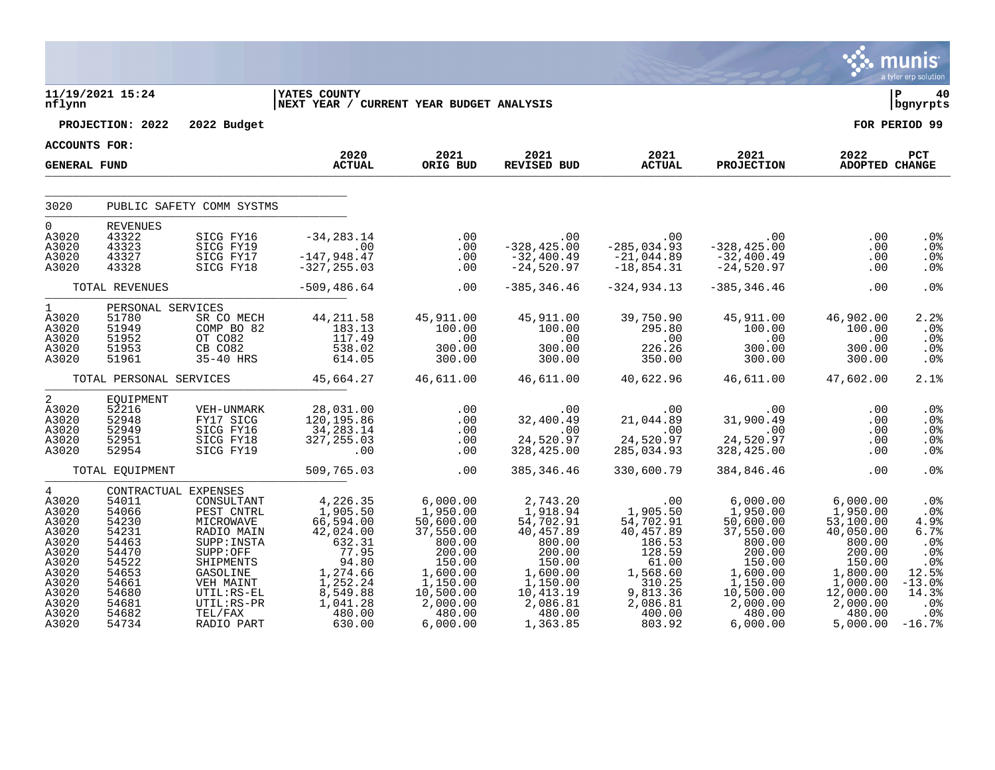|                                                                                                                        |                                                                                                                                           |                                                                                                                                                                            |                                                                                                                                                                                    |                                                                                                                                                                 |                                                                                                                                               |                                                                                                                                    |                                                                                                                                                                                                                              |                                                                                                                                                     | munis<br>a tyler erp solution                                                                                    |
|------------------------------------------------------------------------------------------------------------------------|-------------------------------------------------------------------------------------------------------------------------------------------|----------------------------------------------------------------------------------------------------------------------------------------------------------------------------|------------------------------------------------------------------------------------------------------------------------------------------------------------------------------------|-----------------------------------------------------------------------------------------------------------------------------------------------------------------|-----------------------------------------------------------------------------------------------------------------------------------------------|------------------------------------------------------------------------------------------------------------------------------------|------------------------------------------------------------------------------------------------------------------------------------------------------------------------------------------------------------------------------|-----------------------------------------------------------------------------------------------------------------------------------------------------|------------------------------------------------------------------------------------------------------------------|
| nflynn                                                                                                                 | 11/19/2021 15:24                                                                                                                          |                                                                                                                                                                            | <b>IYATES COUNTY</b><br>NEXT YEAR / CURRENT YEAR BUDGET ANALYSIS                                                                                                                   |                                                                                                                                                                 |                                                                                                                                               |                                                                                                                                    |                                                                                                                                                                                                                              |                                                                                                                                                     | lР<br>40<br>  bgnyrpts                                                                                           |
|                                                                                                                        | PROJECTION: 2022                                                                                                                          | 2022 Budget                                                                                                                                                                |                                                                                                                                                                                    |                                                                                                                                                                 |                                                                                                                                               |                                                                                                                                    |                                                                                                                                                                                                                              |                                                                                                                                                     | FOR PERIOD 99                                                                                                    |
| ACCOUNTS FOR:                                                                                                          |                                                                                                                                           |                                                                                                                                                                            | 2020                                                                                                                                                                               | 2021                                                                                                                                                            | 2021                                                                                                                                          | 2021                                                                                                                               | 2021                                                                                                                                                                                                                         | 2022                                                                                                                                                | PCT                                                                                                              |
| <b>GENERAL FUND</b>                                                                                                    |                                                                                                                                           |                                                                                                                                                                            | <b>ACTUAL</b>                                                                                                                                                                      | ORIG BUD                                                                                                                                                        | REVISED BUD                                                                                                                                   | <b>ACTUAL</b>                                                                                                                      | PROJECTION                                                                                                                                                                                                                   | ADOPTED CHANGE                                                                                                                                      |                                                                                                                  |
| 3020                                                                                                                   |                                                                                                                                           | PUBLIC SAFETY COMM SYSTMS                                                                                                                                                  |                                                                                                                                                                                    |                                                                                                                                                                 |                                                                                                                                               |                                                                                                                                    |                                                                                                                                                                                                                              |                                                                                                                                                     |                                                                                                                  |
| $\Omega$<br>A3020<br>A3020<br>A3020<br>A3020                                                                           | <b>REVENUES</b><br>43322<br>43323<br>43327<br>43328                                                                                       | SICG FY16<br>SICG FY19<br>SICG FY17<br>SICG FY18                                                                                                                           | $-34, 283.14$<br>$\sim 00$<br>$-147,948.47$<br>$-327, 255.03$                                                                                                                      |                                                                                                                                                                 |                                                                                                                                               |                                                                                                                                    |                                                                                                                                                                                                                              | .00<br>.00<br>.00<br>.00                                                                                                                            | $.0\%$<br>.0 <sub>8</sub><br>.0%<br>$.0\%$                                                                       |
|                                                                                                                        | TOTAL REVENUES<br>PERSONAL SERVICES                                                                                                       |                                                                                                                                                                            | $-509, 486.64$                                                                                                                                                                     | $\sim$ 00                                                                                                                                                       | $-385, 346.46$                                                                                                                                | $-324,934.13$                                                                                                                      | $-385, 346.46$                                                                                                                                                                                                               | .00                                                                                                                                                 | .0%                                                                                                              |
| $1 \quad \Box$<br>A3020<br>A3020<br>A3020<br>A3020<br>A3020                                                            | 51780<br>51949<br>51952<br>51953<br>51961                                                                                                 |                                                                                                                                                                            | VICES<br>COMP BO 82<br>COMP BO 82<br>OT CO82<br>CB CO82<br>35-40 HRS<br>CB 614.05                                                                                                  | 45,911.00<br>100.00<br>.00<br>300.00<br>300.00                                                                                                                  | 45,911.00<br>100.00<br>.00<br>300.00<br>300.00                                                                                                | 39,750.90<br>295.80<br>.00<br>226.26<br>350.00                                                                                     | 45,911.00<br>100.00<br>.00<br>300.00<br>300.00                                                                                                                                                                               | 46,902.00<br>100.00<br>.00<br>300.00<br>300.00                                                                                                      | 2.2%<br>.0%<br>.0%<br>.0%<br>.0%                                                                                 |
|                                                                                                                        |                                                                                                                                           |                                                                                                                                                                            | TOTAL PERSONAL SERVICES 45,664.27 46,611.00                                                                                                                                        |                                                                                                                                                                 | 46,611.00                                                                                                                                     |                                                                                                                                    | 40,622.96  46,611.00  47,602.00                                                                                                                                                                                              |                                                                                                                                                     | 2.1%                                                                                                             |
| 2<br>A3020<br>A3020<br>A3020<br>A3020<br>A3020                                                                         | EQUIPMENT<br>52216<br>52948<br>52949<br>52951<br>52954                                                                                    | VEH-UNMARK<br>FY17 SICG<br>SICG FY16<br>SICG FY18<br>SICG FY19                                                                                                             | 28,031.00<br>120, 195.86<br>120,195.86<br>34,283.14<br>327,255.03<br>$\sim$ 00                                                                                                     | .00                                                                                                                                                             | 328,425.00                                                                                                                                    | 24,520.97<br>285,034.93                                                                                                            | 31,900.49<br>24,520.97<br>328,425.00                                                                                                                                                                                         | .00<br>.00<br>.00<br>.00<br>.00                                                                                                                     | $.0\%$<br>$.0\%$<br>$.0\%$<br>.0%<br>.0%                                                                         |
|                                                                                                                        | TOTAL EOUIPMENT                                                                                                                           |                                                                                                                                                                            | 509,765.03                                                                                                                                                                         | .00                                                                                                                                                             | 385, 346.46                                                                                                                                   | 330,600.79                                                                                                                         | 384,846.46                                                                                                                                                                                                                   | .00                                                                                                                                                 | .0 <sup>8</sup>                                                                                                  |
| 4<br>A3020<br>A3020<br>A3020<br>A3020<br>A3020<br>A3020<br>A3020<br>A3020<br>A3020<br>A3020<br>A3020<br>A3020<br>A3020 | CONTRACTUAL EXPENSES<br>54011<br>54066<br>54230<br>54231<br>54463<br>54470<br>54522<br>54653<br>54661<br>54680<br>54681<br>54682<br>54734 | CONSULTANT<br>PEST CNTRL<br>MICROWAVE<br>RADIO MAIN<br>SUPP:INSTA<br>SUPP:OFF<br>SHIPMENTS<br>GASOLINE<br>VEH MAINT<br>$UTIL:RS-EL$<br>UTIL:RS-PR<br>TEL/FAX<br>RADIO PART | 4,226.35<br>1,905.50<br>66,594.00<br>42,024.00<br>$\begin{array}{r} 42,024 \ 632.31 \ 77.95 \ 94.80 \ 1,274.66 \ 1,252.24 \end{array}$<br>8,549.88<br>1,041.28<br>480.00<br>630.00 | 6,000.00<br>1,950.00<br>50,600.00<br>37,550.00<br>800.00<br>200.00<br>$200.00$<br>150.00<br>1,600.00<br>1,150.00<br>10,500.00<br>2,000.00<br>480.00<br>6,000.00 | 2,743.20<br>1,918.94<br>54,702 °<br>40<br>800.00<br>200.00<br>150.00<br>$1,600.00$<br>1,150.00<br>10,413.19<br>2,086.81<br>480.00<br>1,363.85 | . 00<br>1,905.50<br>54,702.91<br>40<br>186.53<br>128.59<br>61.00<br>1,568.60<br>310.25<br>9,813.36<br>2,086.81<br>400.00<br>803.92 | 6,000.00<br>1,950.00<br>$\frac{50,600.00}{37,550.00}$<br>800.00<br>200.00<br>$\begin{array}{c} 200.00 \\ 150.00 \\ 1,600.00 \\ 1,150.00 \\ \end{array}$<br>1,150.00<br>10,500.uu<br>2,000.00<br>480.00<br>480.00<br>6,000.00 | 6,000.00<br>1,950.00<br>53,100.00<br>40,050.00<br>800.00<br>200.00<br>150.00<br>1,800.00<br>1,000.00<br>12,000.00<br>2,000.00<br>480.00<br>5,000.00 | $.0\%$<br>.0%<br>4.9%<br>6.7%<br>.0%<br>.0%<br>$.0\%$<br>12.5%<br>$-13.0%$<br>14.3%<br>.0%<br>$.0\%$<br>$-16.7%$ |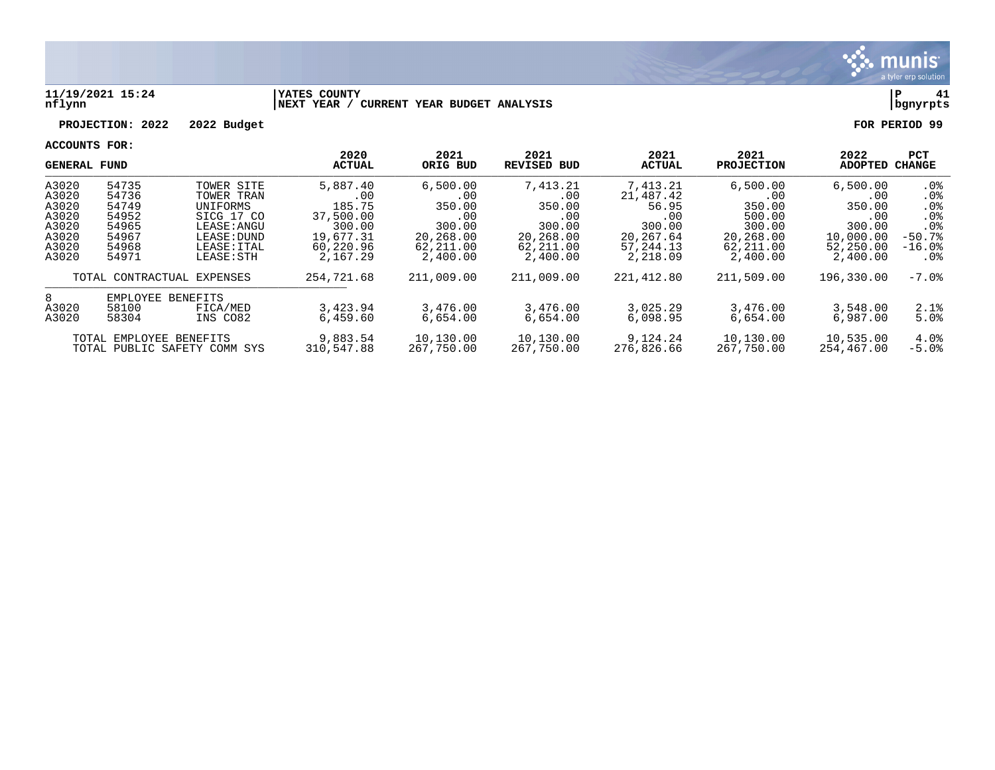

### **11/19/2021 15:24 |YATES COUNTY |P 41 nflynn |NEXT YEAR / CURRENT YEAR BUDGET ANALYSIS |bgnyrpts**

# **PROJECTION: 2022 2022 Budget FOR PERIOD 99**

| <b>GENERAL FUND</b>                                        |                            |                               | 2020<br><b>ACTUAL</b>   | 2021<br>ORIG BUD        | 2021<br>REVISED BUD    | 2021<br><b>ACTUAL</b>   | 2021<br><b>PROJECTION</b> | 2022<br><b>ADOPTED</b> | <b>PCT</b><br>CHANGE      |
|------------------------------------------------------------|----------------------------|-------------------------------|-------------------------|-------------------------|------------------------|-------------------------|---------------------------|------------------------|---------------------------|
| A3020<br>A3020                                             | 54735<br>54736             | TOWER SITE                    | 5,887.40                | 6,500.00                | 7,413.21               | 7,413.21                | 6,500.00                  | 6,500.00               | .0%                       |
| A3020                                                      | 54749                      | TOWER TRAN<br><b>UNIFORMS</b> | .00<br>185.75           | .00.<br>350.00          | $.00 \,$<br>350.00     | 21,487.42<br>56.95      | $.00 \,$<br>350.00        | .00<br>350.00          | $.0\%$<br>.0 <sub>8</sub> |
| A3020                                                      | 54952                      | SICG 17 CO                    | 37,500.00               | .00                     | .00                    | .00                     | 500.00                    | .00                    | .0 <sub>8</sub>           |
| A3020<br>A3020                                             | 54965<br>54967             | LEASE: ANGU<br>LEASE: DUND    | 300.00<br>19,677.31     | 300.00<br>20,268.00     | 300.00<br>20,268.00    | 300.00<br>20, 267.64    | 300.00<br>20,268.00       | 300.00<br>10,000.00    | .0%<br>$-50.7%$           |
| A3020<br>A3020                                             | 54968<br>54971             | LEASE: ITAL<br>LEASE: STH     | 60,220.96<br>2,167.29   | 62,211.00<br>2,400.00   | 62,211.00<br>2,400.00  | 57, 244. 13<br>2,218.09 | 62,211.00<br>2,400.00     | 52,250.00<br>2,400.00  | $-16.0$ °<br>$.0\%$       |
|                                                            | TOTAL CONTRACTUAL EXPENSES |                               | 254,721.68              | 211,009.00              | 211,009.00             | 221,412.80              | 211,509.00                | 196,330.00             | $-7.0\%$                  |
| 8                                                          | EMPLOYEE                   | BENEFITS                      |                         |                         |                        |                         |                           |                        |                           |
| A3020<br>A3020                                             | 58100<br>58304             | FICA/MED<br>INS CO82          | 3,423.94<br>6.459.60    | 3,476.00<br>6,654.00    | 3,476.00<br>6.654.00   | 3,025.29<br>6,098.95    | 3,476.00<br>6.654.00      | 3,548.00<br>6,987.00   | 2.1%<br>5.0%              |
| TOTAL EMPLOYEE BENEFITS<br>TOTAL PUBLIC SAFETY COMM<br>SYS |                            | 9,883.54<br>310,547.88        | 10,130.00<br>267,750.00 | 10,130.00<br>267,750.00 | 9,124.24<br>276,826.66 | 10,130.00<br>267,750.00 | 10,535.00<br>254,467.00   | 4.0%<br>$-5.0%$        |                           |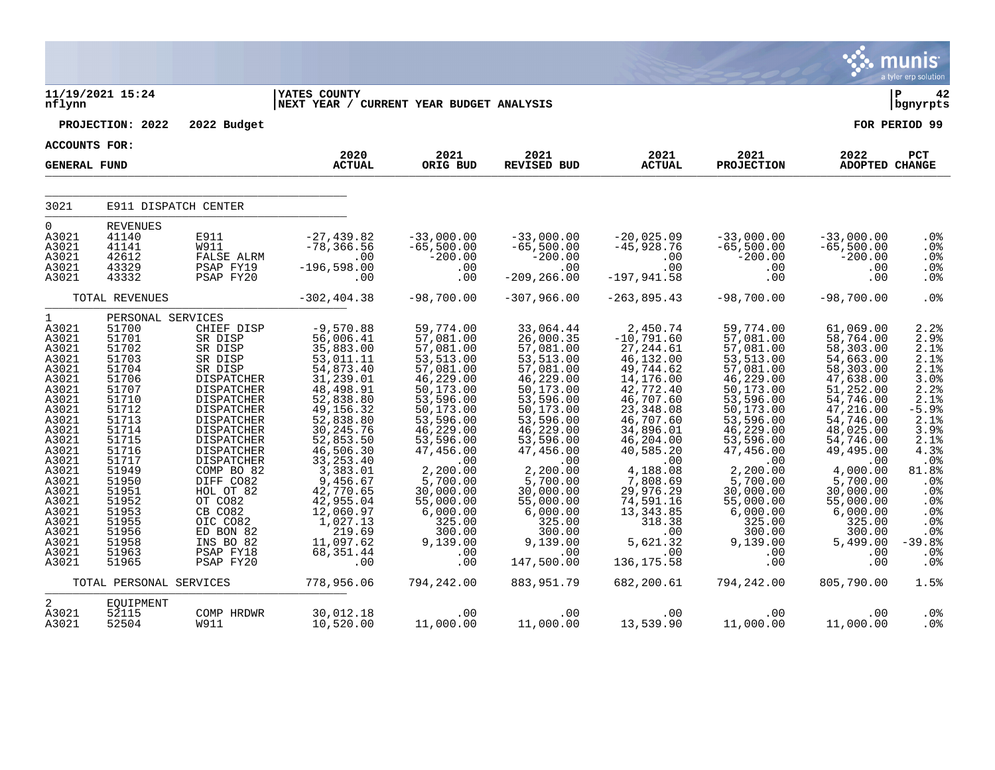|                                                                                                                                                                                                                                      |                                                                                                                                                                                                                                           |                                                                                                                                                                                                                                                                                                                    |                                                                                                                                                                                                                                                                                                                  |                                                                                                                                                                                                                                                                                                            |                                                                                                                                                                                                                                                                                                                               |                                                                                                                                                                                                                                                                                                         |                                                                                                                                                                                                                                                                                                   |                                                                                                                                                                                                                                                                                          | a tyler erp solution                                                                                                                                                                                                                                                        |
|--------------------------------------------------------------------------------------------------------------------------------------------------------------------------------------------------------------------------------------|-------------------------------------------------------------------------------------------------------------------------------------------------------------------------------------------------------------------------------------------|--------------------------------------------------------------------------------------------------------------------------------------------------------------------------------------------------------------------------------------------------------------------------------------------------------------------|------------------------------------------------------------------------------------------------------------------------------------------------------------------------------------------------------------------------------------------------------------------------------------------------------------------|------------------------------------------------------------------------------------------------------------------------------------------------------------------------------------------------------------------------------------------------------------------------------------------------------------|-------------------------------------------------------------------------------------------------------------------------------------------------------------------------------------------------------------------------------------------------------------------------------------------------------------------------------|---------------------------------------------------------------------------------------------------------------------------------------------------------------------------------------------------------------------------------------------------------------------------------------------------------|---------------------------------------------------------------------------------------------------------------------------------------------------------------------------------------------------------------------------------------------------------------------------------------------------|------------------------------------------------------------------------------------------------------------------------------------------------------------------------------------------------------------------------------------------------------------------------------------------|-----------------------------------------------------------------------------------------------------------------------------------------------------------------------------------------------------------------------------------------------------------------------------|
| nflynn                                                                                                                                                                                                                               | 11/19/2021 15:24                                                                                                                                                                                                                          |                                                                                                                                                                                                                                                                                                                    | <b>IYATES COUNTY</b><br>NEXT YEAR / CURRENT YEAR BUDGET ANALYSIS                                                                                                                                                                                                                                                 |                                                                                                                                                                                                                                                                                                            |                                                                                                                                                                                                                                                                                                                               |                                                                                                                                                                                                                                                                                                         |                                                                                                                                                                                                                                                                                                   |                                                                                                                                                                                                                                                                                          | ∣ P<br>42<br>bgnyrpts                                                                                                                                                                                                                                                       |
|                                                                                                                                                                                                                                      | PROJECTION: 2022                                                                                                                                                                                                                          | 2022 Budget                                                                                                                                                                                                                                                                                                        |                                                                                                                                                                                                                                                                                                                  |                                                                                                                                                                                                                                                                                                            |                                                                                                                                                                                                                                                                                                                               |                                                                                                                                                                                                                                                                                                         |                                                                                                                                                                                                                                                                                                   |                                                                                                                                                                                                                                                                                          | FOR PERIOD 99                                                                                                                                                                                                                                                               |
| <b>ACCOUNTS FOR:</b>                                                                                                                                                                                                                 |                                                                                                                                                                                                                                           |                                                                                                                                                                                                                                                                                                                    |                                                                                                                                                                                                                                                                                                                  |                                                                                                                                                                                                                                                                                                            |                                                                                                                                                                                                                                                                                                                               |                                                                                                                                                                                                                                                                                                         |                                                                                                                                                                                                                                                                                                   |                                                                                                                                                                                                                                                                                          |                                                                                                                                                                                                                                                                             |
| <b>GENERAL FUND</b>                                                                                                                                                                                                                  |                                                                                                                                                                                                                                           |                                                                                                                                                                                                                                                                                                                    | 2020<br><b>ACTUAL</b>                                                                                                                                                                                                                                                                                            | 2021<br>ORIG BUD                                                                                                                                                                                                                                                                                           | 2021<br><b>REVISED BUD</b>                                                                                                                                                                                                                                                                                                    | 2021<br><b>ACTUAL</b>                                                                                                                                                                                                                                                                                   | 2021<br><b>PROJECTION</b>                                                                                                                                                                                                                                                                         | 2022<br><b>ADOPTED CHANGE</b>                                                                                                                                                                                                                                                            | PCT                                                                                                                                                                                                                                                                         |
| 3021                                                                                                                                                                                                                                 | E911 DISPATCH CENTER                                                                                                                                                                                                                      |                                                                                                                                                                                                                                                                                                                    |                                                                                                                                                                                                                                                                                                                  |                                                                                                                                                                                                                                                                                                            |                                                                                                                                                                                                                                                                                                                               |                                                                                                                                                                                                                                                                                                         |                                                                                                                                                                                                                                                                                                   |                                                                                                                                                                                                                                                                                          |                                                                                                                                                                                                                                                                             |
| $\mathbf 0$<br>A3021<br>A3021<br>A3021<br>A3021<br>A3021                                                                                                                                                                             | REVENUES<br>41140<br>41141<br>42612<br>43329<br>43332                                                                                                                                                                                     | E911<br><b>W911</b><br>FALSE ALRM<br>PSAP FY19<br>PSAP FY20                                                                                                                                                                                                                                                        | $-27, 439.82$<br>$-78, 366.56$<br>$\sim 00$<br>$-196,598.00$<br>.00                                                                                                                                                                                                                                              | $-33,000.00$<br>$-65,500.00$<br>$-200.00$<br>.00<br>.00                                                                                                                                                                                                                                                    | $-33,000.00$<br>$-65,500.00$<br>$-200.00$<br>.00<br>$-209, 266.00$                                                                                                                                                                                                                                                            | -20,025.09<br>-45,928.76<br>.00<br>.00<br>$-197,941.58$                                                                                                                                                                                                                                                 | $-33,000.00$<br>$-65,500.00$<br>$-200.00$<br>.00<br>.00                                                                                                                                                                                                                                           | $-33,000.00$<br>$-65,500.00$<br>$-200.00$<br>.00<br>.00                                                                                                                                                                                                                                  | .0%<br>.0%<br>.0%<br>.0%<br>.0%                                                                                                                                                                                                                                             |
|                                                                                                                                                                                                                                      | TOTAL REVENUES                                                                                                                                                                                                                            |                                                                                                                                                                                                                                                                                                                    | $-302, 404.38$                                                                                                                                                                                                                                                                                                   | $-98,700.00$                                                                                                                                                                                                                                                                                               | $-307,966.00$                                                                                                                                                                                                                                                                                                                 | $-263,895.43$                                                                                                                                                                                                                                                                                           | $-98,700.00$                                                                                                                                                                                                                                                                                      | $-98,700.00$                                                                                                                                                                                                                                                                             | .0%                                                                                                                                                                                                                                                                         |
| $\mathbf{1}$<br>A3021<br>A3021<br>A3021<br>A3021<br>A3021<br>A3021<br>A3021<br>A3021<br>A3021<br>A3021<br>A3021<br>A3021<br>A3021<br>A3021<br>A3021<br>A3021<br>A3021<br>A3021<br>A3021<br>A3021<br>A3021<br>A3021<br>A3021<br>A3021 | PERSONAL SERVICES<br>51700<br>51701<br>51702<br>51703<br>51704<br>51706<br>51707<br>51710<br>51712<br>51713<br>51714<br>51715<br>51716<br>51717<br>51949<br>51950<br>51951<br>51952<br>51953<br>51955<br>51956<br>51958<br>51963<br>51965 | CHIEF DISP<br>SR DISP<br>SR DISP<br>SR DISP<br>SR DISP<br>DISPATCHER<br>DISPATCHER<br>DISPATCHER<br>DISPATCHER<br>DISPATCHER<br>DISPATCHER<br>DISPATCHER<br>DISPATCHER<br>DISPATCHER<br>COMP BO 82<br>DIFF CO82<br>HOL OT 82<br>OT CO82<br>CB CO82<br>OIC CO82<br>ED BON 82<br>INS BO 82<br>PSAP FY18<br>PSAP FY20 | $-9,570.88$<br>56,006.41<br>35,883.00<br>53,011.11<br>54,873.40<br>31,239.01<br>$48,498.91$<br>52,838.80<br>49, 156. 32<br>52,838.80<br>30,245.76<br>52,853.50<br>46,506.30<br>33, 253.40<br>3,383.01<br>9,456.67<br>42,770.65<br>42,955.04<br>12,060.97<br>1,027.13<br>219.69<br>11,097.62<br>68, 351.44<br>.00 | 59,774.00<br>57,081.00<br>57,081.00<br>53, 513.00<br>57,081.00<br>46, 229.00<br>50, 173.00<br>53,596.00<br>50,173.00<br>53,596.00<br>46,229.00<br>53,596.00<br>47,456.00<br>.00<br>2,200.00<br>$\overline{5}$ , 700.00<br>30,000.00<br>55,000.00<br>6,000.00<br>325.00<br>300.00<br>9,139.00<br>.00<br>.00 | 33,064.44<br>26,000.35<br>57,081.00<br>53, 513.00<br>57,081.00<br>46,229.00<br>$\frac{150}{173}$ , 00<br>53, 596.00<br>50,173.00<br>53,596.00<br>46,229.00<br>53,596.00<br>47,456.00<br>.00<br>2,200.00<br>$\overline{5}$ , 700.00<br>30,000.00<br>55,000.00<br>6,000.00<br>325.00<br>300.00<br>9,139.00<br>.00<br>147,500.00 | 2,450.74<br>$-10,791.60$<br>27,244.61<br>46,132.00<br>49,744.62<br>14,176.00<br>$42,772.40$<br>$46,707.60$<br>23,348.08<br>46,707.60<br>34,896.01<br>46, 204.00<br>40, 585.20<br>.00<br>4,188.08<br>7,808.69<br>29,976.29<br>74,591.16<br>13, 343.85<br>318.38<br>.00<br>5,621.32<br>.00<br>136, 175.58 | 59,774.00<br>57,081.00<br>57,081.00<br>53, 513.00<br>57,081.00<br>46,229.00<br>$50, 173.00$<br>$53, 596.00$<br>50,173.00<br>53, 596.00<br>46, 229.00<br>53,596.00<br>47,456.00<br>.00<br>2,200.00<br>5,700.00<br>30,000.00<br>55,000.00<br>6,000.00<br>325.00<br>300.00<br>9,139.00<br>.00<br>.00 | 61,069.00<br>58,764.00<br>58,303.00<br>54,663.00<br>58,303.00<br>47,638.00<br>51,252.00<br>54,746.00<br>47,216.00<br>54,746.00<br>48,025.00<br>54,746.00<br>49,495.00<br>.00<br>4,000.00<br>5,700.00<br>30,000.00<br>55,000.00<br>6,000.00<br>325.00<br>300.00<br>5,499.00<br>.00<br>.00 | 2.2%<br>$2.9%$<br>$2.1%$<br>2.1%<br>2.1%<br>3.0%<br>2.2%<br>$\overline{2.1}$ $\overline{8}$<br>$-5.9%$<br>2.1%<br>$\frac{3.98}{2.18}$<br>$\overline{4.3}$ $\overline{8}$<br>.0%<br>81.8%<br>.0%<br>.0%<br>.0%<br>.0%<br>.0%<br>$.0\%$<br>$-39.8%$<br>.0%<br>.0 <sub>8</sub> |
|                                                                                                                                                                                                                                      | TOTAL PERSONAL SERVICES                                                                                                                                                                                                                   |                                                                                                                                                                                                                                                                                                                    | 778,956.06                                                                                                                                                                                                                                                                                                       | 794,242.00                                                                                                                                                                                                                                                                                                 | 883, 951.79                                                                                                                                                                                                                                                                                                                   | 682,200.61                                                                                                                                                                                                                                                                                              | 794,242.00                                                                                                                                                                                                                                                                                        | 805,790.00                                                                                                                                                                                                                                                                               | 1.5%                                                                                                                                                                                                                                                                        |
| 2<br>A3021<br>A3021                                                                                                                                                                                                                  | EQUIPMENT<br>52115<br>52504                                                                                                                                                                                                               | COMP HRDWR<br><b>W911</b>                                                                                                                                                                                                                                                                                          | 30,012.18<br>10,520.00                                                                                                                                                                                                                                                                                           | .00<br>11,000.00                                                                                                                                                                                                                                                                                           | .00<br>11,000.00                                                                                                                                                                                                                                                                                                              | .00<br>13,539.90                                                                                                                                                                                                                                                                                        | .00<br>11,000.00                                                                                                                                                                                                                                                                                  | .00<br>11,000.00                                                                                                                                                                                                                                                                         | $.0\%$<br>.0%                                                                                                                                                                                                                                                               |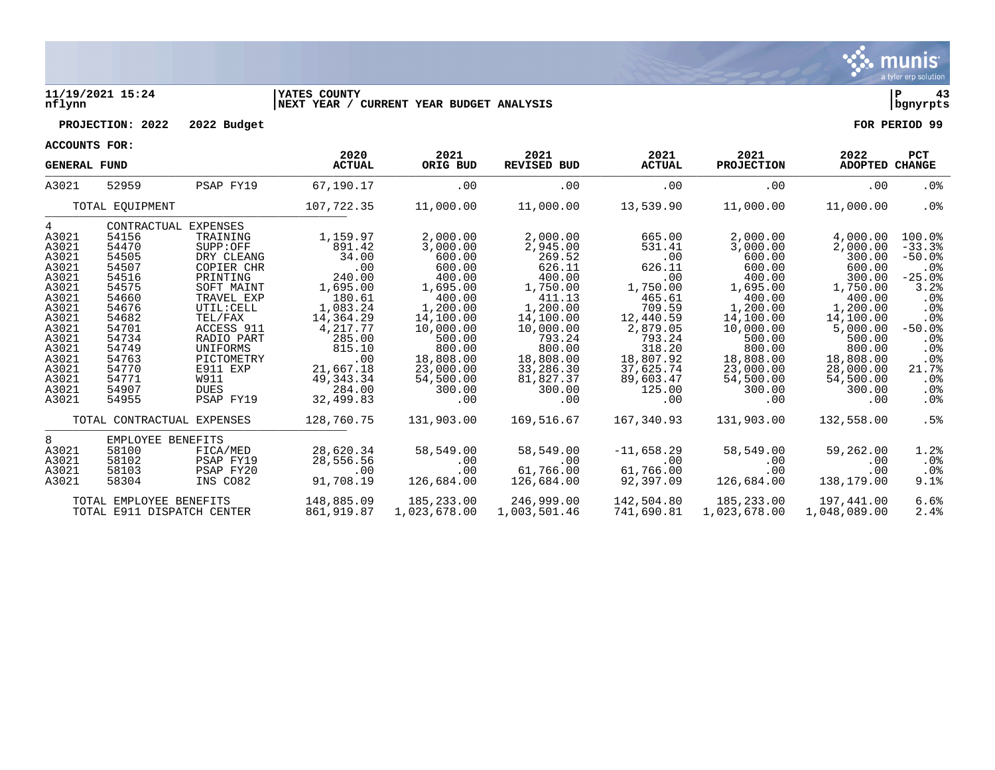

### **11/19/2021 15:24 |YATES COUNTY |P 43 nflynn |NEXT YEAR / CURRENT YEAR BUDGET ANALYSIS |bgnyrpts**



| 1000IBIR0 ROD. |  |
|----------------|--|

| ACCOUNTS FOR:       |                                                       |                            |                       |                  |                            |                       |                           |                        |                      |
|---------------------|-------------------------------------------------------|----------------------------|-----------------------|------------------|----------------------------|-----------------------|---------------------------|------------------------|----------------------|
| <b>GENERAL FUND</b> |                                                       |                            | 2020<br><b>ACTUAL</b> | 2021<br>ORIG BUD | 2021<br><b>REVISED BUD</b> | 2021<br><b>ACTUAL</b> | 2021<br><b>PROJECTION</b> | 2022<br>ADOPTED CHANGE | <b>PCT</b>           |
| A3021               | 52959                                                 | PSAP FY19                  | 67,190.17             | .00              | .00                        | .00                   | .00                       | .00                    | $.0\%$               |
|                     | TOTAL EOUIPMENT                                       |                            | 107,722.35            | 11,000.00        | 11,000.00                  | 13,539.90             | 11,000.00                 | 11,000.00              | $.0\%$               |
| $4\overline{ }$     |                                                       | CONTRACTUAL EXPENSES       |                       |                  |                            |                       |                           |                        |                      |
| A3021               | 54156                                                 | TRAINING                   | 1,159.97              | 2,000.00         | 2,000.00                   | 665.00                | 2,000.00                  | 4,000.00               | $100.0$ <sup>8</sup> |
| A3021               | 54470                                                 | SUPP:OFF                   | 891.42                | 3,000.00         | 2,945.00                   | 531.41                | 3,000.00                  | 2,000.00               | $-33.3$              |
| A3021               | 54505                                                 | DRY CLEANG                 | 34.00                 | 600.00           | 269.52                     | .00                   | 600.00                    | 300.00                 | $-50.0$ %            |
| A3021               | 54507                                                 | COPIER CHR                 | .00                   | 600.00           | 626.11                     | 626.11                | 600.00                    | 600.00                 | . 0 %                |
| A3021               | 54516                                                 | PRINTING                   | 240.00                | 400.00           | 400.00                     | .00                   | 400.00                    | 300.00                 | $-25.0%$             |
| A3021               | 54575                                                 | SOFT MAINT                 | 1,695.00              | 1,695.00         | 1,750.00                   | 1,750.00              | 1,695.00                  | 1,750.00               | 3.2%                 |
| A3021               | 54660                                                 | TRAVEL EXP                 | 180.61                | 400.00           | 411.13                     | 465.61                | 400.00                    | 400.00                 | $.0\%$               |
| A3021               | 54676                                                 | UTIL: CELL                 | 1,083.24              | 1,200.00         | 1,200.00                   | 709.59                | 1,200.00                  | 1,200.00               | .0%                  |
| A3021               | 54682                                                 | TEL/FAX                    | 14,364.29             | 14,100.00        | 14,100.00                  | 12,440.59             | 14,100.00                 | 14,100.00              | .0%                  |
| A3021               | 54701                                                 | ACCESS 911                 | 4,217.77              | 10,000.00        | 10,000.00                  | 2,879.05              | 10,000.00                 | 5,000.00               | $-50.0%$             |
| A3021               | 54734                                                 | RADIO PART                 | 285.00                | 500.00           | 793.24                     | 793.24                | 500.00                    | 500.00                 | .0%                  |
| A3021               | 54749                                                 | UNIFORMS                   | 815.10                | 800.00           | 800.00                     | 318.20                | 800.00                    | 800.00                 | $.0\%$               |
| A3021               | 54763                                                 | PICTOMETRY                 | .00                   | 18,808.00        | 18,808.00                  | 18,807.92             | 18,808.00                 | 18,808.00              | .0 <sub>8</sub>      |
| A3021               | 54770                                                 | E911 EXP                   | 21,667.18             | 23,000.00        | 33,286.30                  | 37,625.74             | 23,000.00                 | 28,000.00              | 21.7%                |
| A3021               | 54771                                                 | W911                       | 49, 343. 34           | 54,500.00        | 81,827.37                  | 89,603.47             | 54,500.00                 | 54,500.00              | $.0\%$               |
| A3021               | 54907                                                 | DUES                       | 284.00                | 300.00           | 300.00                     | 125.00                | 300.00                    | 300.00                 | $.0\%$               |
| A3021               | 54955                                                 | PSAP FY19                  | 32,499.83             | .00              | .00                        | .00                   | $.00 \,$                  | .00                    | $.0\%$               |
|                     |                                                       | TOTAL CONTRACTUAL EXPENSES | 128,760.75            | 131,903.00       | 169,516.67                 | 167,340.93            | 131,903.00                | 132,558.00             | .5%                  |
| 8                   | EMPLOYEE BENEFITS                                     |                            |                       |                  |                            |                       |                           |                        |                      |
| A3021               | 58100                                                 | FICA/MED                   | 28,620.34             | 58,549.00        | 58,549.00                  | $-11,658.29$          | 58,549.00                 | 59,262.00              | 1.2%                 |
| A3021               | 58102                                                 | PSAP FY19                  | 28,556.56             | .00              | .00                        | .00                   | $.00 \,$                  | .00                    | $.0\%$               |
| A3021               | 58103                                                 | PSAP FY20                  | .00                   | .00              | 61,766.00                  | 61,766.00             | $.00 \,$                  | .00                    | $.0\%$               |
| A3021               | 58304                                                 | INS CO82                   | 91,708.19             | 126,684.00       | 126,684.00                 | 92,397.09             | 126,684.00                | 138,179.00             | 9.1%                 |
|                     |                                                       |                            | 148,885.09            | 185,233.00       | 246,999.00                 | 142,504.80            | 185,233.00                | 197,441.00             | 6.6%                 |
|                     | TOTAL EMPLOYEE BENEFITS<br>TOTAL E911 DISPATCH CENTER |                            | 861,919.87            | 1,023,678.00     | 1,003,501.46               | 741,690.81            | 1,023,678.00              | 1,048,089.00           | 2.4%                 |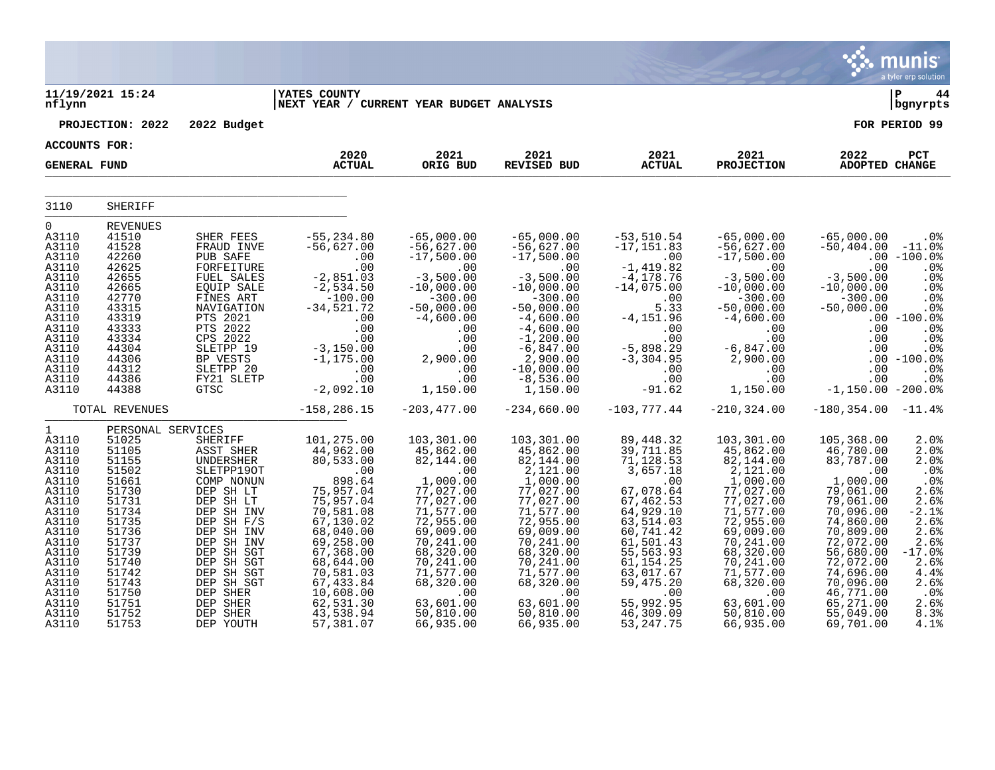|                                                                                                                                                                                        |                                                                                                                                                                                              |                                                                                                                                                                                                                                                          |                                                                                                                                                                                                                                             |                                                                                                                                                                                                                                         |                                                                                                                                                                                                                                              |                                                                                                                                                                                                                                          |                                                                                                                                                                                                                                              |                                                                                                                                                                                                                                               | <b>munis</b><br>a tyler erp solution                                                                                                                        |
|----------------------------------------------------------------------------------------------------------------------------------------------------------------------------------------|----------------------------------------------------------------------------------------------------------------------------------------------------------------------------------------------|----------------------------------------------------------------------------------------------------------------------------------------------------------------------------------------------------------------------------------------------------------|---------------------------------------------------------------------------------------------------------------------------------------------------------------------------------------------------------------------------------------------|-----------------------------------------------------------------------------------------------------------------------------------------------------------------------------------------------------------------------------------------|----------------------------------------------------------------------------------------------------------------------------------------------------------------------------------------------------------------------------------------------|------------------------------------------------------------------------------------------------------------------------------------------------------------------------------------------------------------------------------------------|----------------------------------------------------------------------------------------------------------------------------------------------------------------------------------------------------------------------------------------------|-----------------------------------------------------------------------------------------------------------------------------------------------------------------------------------------------------------------------------------------------|-------------------------------------------------------------------------------------------------------------------------------------------------------------|
| nflynn                                                                                                                                                                                 | 11/19/2021 15:24                                                                                                                                                                             |                                                                                                                                                                                                                                                          | <b>YATES COUNTY</b><br> NEXT YEAR / CURRENT YEAR BUDGET ANALYSIS                                                                                                                                                                            |                                                                                                                                                                                                                                         |                                                                                                                                                                                                                                              |                                                                                                                                                                                                                                          |                                                                                                                                                                                                                                              |                                                                                                                                                                                                                                               | ∣ P<br>44<br>  bgnyrpts                                                                                                                                     |
|                                                                                                                                                                                        | PROJECTION: 2022                                                                                                                                                                             | 2022 Budget                                                                                                                                                                                                                                              |                                                                                                                                                                                                                                             |                                                                                                                                                                                                                                         |                                                                                                                                                                                                                                              |                                                                                                                                                                                                                                          |                                                                                                                                                                                                                                              |                                                                                                                                                                                                                                               | FOR PERIOD 99                                                                                                                                               |
| <b>ACCOUNTS FOR:</b>                                                                                                                                                                   |                                                                                                                                                                                              |                                                                                                                                                                                                                                                          | 2020                                                                                                                                                                                                                                        | 2021                                                                                                                                                                                                                                    | 2021                                                                                                                                                                                                                                         | 2021                                                                                                                                                                                                                                     | 2021                                                                                                                                                                                                                                         | 2022                                                                                                                                                                                                                                          | PCT                                                                                                                                                         |
| <b>GENERAL FUND</b>                                                                                                                                                                    |                                                                                                                                                                                              |                                                                                                                                                                                                                                                          | <b>ACTUAL</b>                                                                                                                                                                                                                               | ORIG BUD                                                                                                                                                                                                                                | <b>REVISED BUD</b>                                                                                                                                                                                                                           | <b>ACTUAL</b>                                                                                                                                                                                                                            | <b>PROJECTION</b>                                                                                                                                                                                                                            | <b>ADOPTED CHANGE</b>                                                                                                                                                                                                                         |                                                                                                                                                             |
| 3110                                                                                                                                                                                   | <b>SHERIFF</b>                                                                                                                                                                               |                                                                                                                                                                                                                                                          |                                                                                                                                                                                                                                             |                                                                                                                                                                                                                                         |                                                                                                                                                                                                                                              |                                                                                                                                                                                                                                          |                                                                                                                                                                                                                                              |                                                                                                                                                                                                                                               |                                                                                                                                                             |
| 0<br>A3110<br>A3110<br>A3110<br>A3110<br>A3110<br>A3110<br>A3110<br>A3110<br>A3110<br>A3110<br>A3110<br>A3110<br>A3110<br>A3110<br>A3110<br>A3110                                      | <b>REVENUES</b><br>41510<br>41528<br>42260<br>42625<br>42655<br>42665<br>42770<br>43315<br>43319<br>43333<br>43334<br>44304<br>44306<br>44312<br>44386<br>44388                              | SHER FEES<br>FRAUD INVE<br>PUB SAFE<br>FORFEITURE<br>FUEL SALES<br>EQUIP SALE<br>FINES ART<br>NAVIGATION<br>PTS 2021<br>PTS 2022<br>CPS 2022<br>SLETPP 19<br>BP VESTS<br>SLETPP 20<br>FY21 SLETP<br><b>GTSC</b>                                          | $-55, 234.80$<br>$-56,627.00$<br>.00<br>.00<br>$-2,851.03$<br>$-2,534.50$<br>$-100.00$<br>$-34,521.72$<br>.00<br>.00<br>.00<br>$-3,150.00$<br>$-1,175.00$<br>.00<br>.00<br>$-2,092.10$                                                      | $-65,000.00$<br>$-56,627.00$<br>$-17,500.00$<br>.00<br>$-3,500.00$<br>$-10,000.00$<br>$-300.00$<br>$-50,000.00$<br>$-4,600.00$<br>.00<br>.00<br>.00<br>2,900.00<br>.00<br>.00<br>1,150.00                                               | $-65,000.00$<br>$-56,627.00$<br>$-17,500.00$<br>.00<br>$-3,500.00$<br>$-10,000.00$<br>$-300.00$<br>$-50,000.00$<br>$-4,600.00$<br>$-4,600.00$<br>$-1,200.00$<br>$-6,847.00$<br>2,900.00<br>$-10,000.00$<br>$-8,536.00$<br>1,150.00           | $-53,510.54$<br>$-17, 151.83$<br>.00<br>$-1,419.82$<br>$-4, 178.76$<br>$-14,075.00$<br>.00<br>5.33<br>$-4, 151.96$<br>.00<br>.00<br>$-5,898.29$<br>$-3, 304.95$<br>.00<br>.00<br>$-91.62$                                                | $-65,000.00$<br>$-56,627.00$<br>$-17,500.00$<br>$.00 \,$<br>$-3,500.00$<br>$-10,000.00$<br>$-300.00$<br>$-50,000.00$<br>$-4,600.00$<br>$.00 \,$<br>$.00 \,$<br>$-6,847.00$<br>2,900.00<br>.00<br>.00<br>1,150.00                             | $-65,000.00$<br>$-50, 404.00$<br>.00<br>$-3,500.00$<br>$-10,000.00$<br>$-300.00$<br>$-50,000.00$<br>.00<br>.00<br>.00<br>.00<br>.00<br>.00<br>$-1, 150.00 - 200.0%$                                                                           | $.0\%$<br>$-11.0%$<br>$.00 - 100.0$<br>.0%<br>.0%<br>.0%<br>.0%<br>.0%<br>$.00 - 100.0$<br>.0%<br>.0%<br>.0%<br>$-100.0%$<br>.0%<br>.0%                     |
|                                                                                                                                                                                        | TOTAL REVENUES                                                                                                                                                                               |                                                                                                                                                                                                                                                          | $-158, 286.15$                                                                                                                                                                                                                              | $-203, 477.00$                                                                                                                                                                                                                          | $-234,660.00$                                                                                                                                                                                                                                | $-103,777.44$                                                                                                                                                                                                                            | $-210, 324.00$                                                                                                                                                                                                                               | $-180, 354.00$                                                                                                                                                                                                                                | $-11.4%$                                                                                                                                                    |
| $\mathbf 1$<br>A3110<br>A3110<br>A3110<br>A3110<br>A3110<br>A3110<br>A3110<br>A3110<br>A3110<br>A3110<br>A3110<br>A3110<br>A3110<br>A3110<br>A3110<br>A3110<br>A3110<br>A3110<br>A3110 | PERSONAL SERVICES<br>51025<br>51105<br>51155<br>51502<br>51661<br>51730<br>51731<br>51734<br>51735<br>51736<br>51737<br>51739<br>51740<br>51742<br>51743<br>51750<br>51751<br>51752<br>51753 | SHERIFF<br>ASST SHER<br>UNDERSHER<br>SLETPP190T<br>COMP NONUN<br>DEP SH LT<br>DEP SH LT<br>DEP SH INV<br>DEP SH F/S<br>DEP SH INV<br>DEP SH INV<br>DEP SH SGT<br>DEP SH SGT<br>DEP SH SGT<br>DEP SH SGT<br>DEP SHER<br>DEP SHER<br>DEP SHER<br>DEP YOUTH | 101,275.00<br>44,962.00<br>80,533.00<br>.00<br>898.64<br>75,957.04<br>75,957.04<br>70,581.08<br>67,130.02<br>68,040.00<br>69,258.00<br>67,368.00<br>68,644.00<br>70,581.03<br>67,433.84<br>10,608.00<br>62,531.30<br>43,538.94<br>57,381.07 | 103,301.00<br>45,862.00<br>82,144.00<br>.00<br>1,000.00<br>77,027.00<br>77,027.00<br>71,577.00<br>72,955.00<br>69,009.00<br>70,241.00<br>68,320.00<br>70,241.00<br>71,577.00<br>68,320.00<br>.00<br>63,601.00<br>50,810.00<br>66,935.00 | 103,301.00<br>45,862.00<br>82,144.00<br>2,121.00<br>1,000.00<br>77,027.00<br>77,027.00<br>71,577.00<br>72,955.00<br>69,009.00<br>70,241.00<br>68,320.00<br>70,241.00<br>71,577.00<br>68,320.00<br>.00<br>63,601.00<br>50,810.00<br>66,935.00 | 89,448.32<br>39,711.85<br>71,128.53<br>3,657.18<br>.00<br>67,078.64<br>67,462.53<br>64,929.10<br>63,514.03<br>60,741.42<br>61,501.43<br>55,563.93<br>61,154.25<br>63,017.67<br>59,475.20<br>.00<br>55,992.95<br>46,309.09<br>53, 247. 75 | 103,301.00<br>45,862.00<br>82,144.00<br>2,121.00<br>1,000.00<br>77,027.00<br>77,027.00<br>71,577.00<br>72,955.00<br>69,009.00<br>70,241.00<br>68,320.00<br>70,241.00<br>71,577.00<br>68,320.00<br>.00<br>63,601.00<br>50,810.00<br>66,935.00 | 105,368.00<br>46,780.00<br>83,787.00<br>.00<br>1,000.00<br>79,061.00<br>79,061.00<br>70,096.00<br>74,860.00<br>70,809.00<br>72,072.00<br>56,680.00<br>72,072.00<br>74,696.00<br>70,096.00<br>46,771.00<br>65,271.00<br>55,049.00<br>69,701.00 | 2.0%<br>2.0%<br>2.0%<br>.0%<br>.0%<br>2.6%<br>2.6%<br>$-2.1%$<br>2.6%<br>2.6%<br>2.6%<br>$-17.0$ $%$<br>2.6%<br>4.4%<br>2.6%<br>.0%<br>2.6%<br>8.3%<br>4.1% |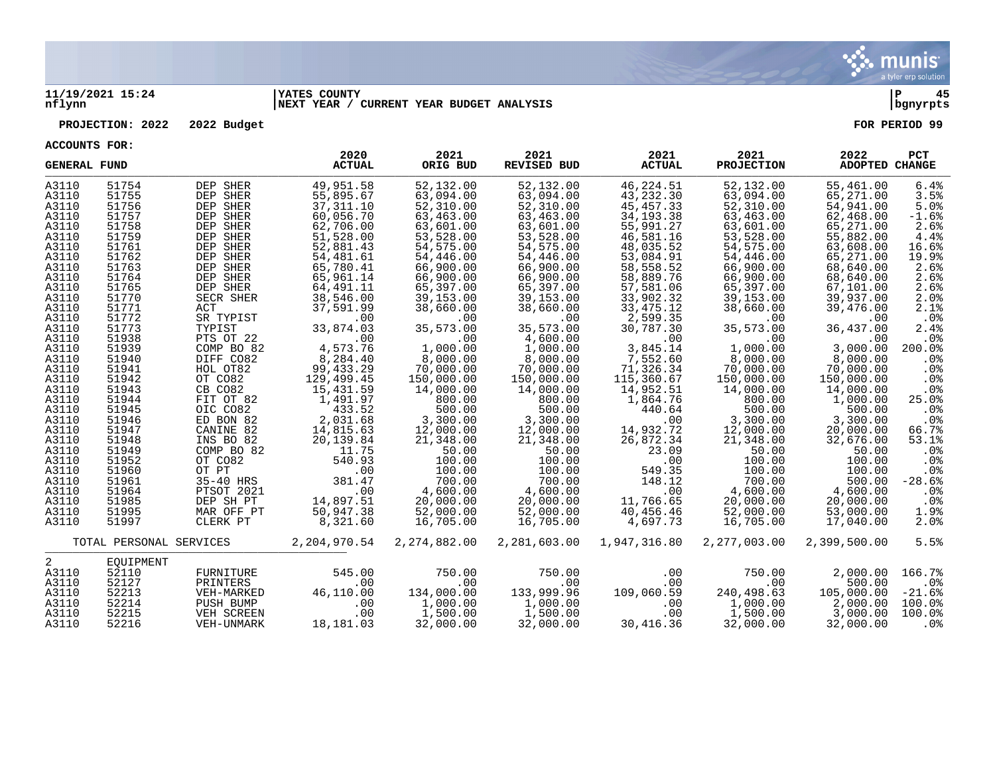

### **11/19/2021 15:24 |YATES COUNTY |P 45 nflynn |NEXT YEAR / CURRENT YEAR BUDGET ANALYSIS |bgnyrpts**

**PROJECTION: 2022 2022 Budget FOR PERIOD 99**

| <b>GENERAL FUND</b> |                         |                         | 2020<br><b>ACTUAL</b>  | 2021<br>ORIG BUD       | 2021<br><b>REVISED BUD</b> | 2021<br><b>ACTUAL</b>   | 2021<br><b>PROJECTION</b> | 2022<br><b>ADOPTED CHANGE</b> | <b>PCT</b>      |
|---------------------|-------------------------|-------------------------|------------------------|------------------------|----------------------------|-------------------------|---------------------------|-------------------------------|-----------------|
| A3110<br>A3110      | 51754<br>51755          | DEP SHER<br>DEP SHER    | 49,951.58<br>55,895.67 | 52,132.00<br>63,094.00 | 52,132.00<br>63,094.00     | 46,224.51<br>43,232.30  | 52,132.00<br>63,094.00    | 55,461.00<br>65,271.00        | 6.4%<br>3.5%    |
| A3110               | 51756                   | DEP SHER                | 37, 311.10             | 52,310.00              | 52,310.00                  | 45, 457. 33             | 52,310.00                 | 54,941.00                     | 5.0%            |
| A3110               | 51757                   | DEP SHER                | 60,056.70              | 63,463.00              | 63,463.00                  | 34, 193. 38             | 63,463.00                 | 62,468.00                     | $-1.6%$         |
| A3110               | 51758                   | DEP SHER                | 62,706.00              | 63,601.00              | 63,601.00                  | 55,991.27               | 63,601.00                 | 65,271.00                     | 2.6%            |
| A3110               | 51759                   | DEP SHER                | 51,528.00              | 53,528.00              | 53,528.00                  | 46,581.16               | 53,528.00                 | 55,882.00                     | 4.4%            |
| A3110               | 51761                   | DEP SHER                | 52,881.43              | 54,575.00              | 54,575.00                  | 48,035.52               | 54,575.00                 | 63,608.00                     | 16.6%           |
| A3110               | 51762                   | DEP SHER                | 54, 481.61             | 54,446.00              | 54,446.00                  | 53,084.91               | 54,446.00                 | 65,271.00                     | 19.9%           |
| A3110               | 51763                   | DEP SHER                | 65,780.41              | 66,900.00              | 66,900.00                  | 58,558.52               | 66,900.00                 | 68,640.00                     | 2.6%            |
| A3110               | 51764                   | DEP SHER                | 65,961.14              | 66,900.00              | 66,900.00                  | 58,889.76               | 66,900.00                 | 68,640.00                     | 2.6%            |
| A3110               | 51765                   | DEP SHER                | 64,491.11              | 65,397.00              | 65,397.00                  | 57,581.06               | 65,397.00                 | 67,101.00                     | 2.6%            |
| A3110<br>A3110      | 51770<br>51771          | SECR SHER<br>ACT        | 38,546.00              | 39,153.00<br>38,660.00 | 39,153.00                  | 33,902.32<br>33, 475.12 | 39,153.00                 | 39,937.00                     | 2.0%            |
| A3110               | 51772                   | SR TYPIST               | 37,591.99<br>.00.      | .00                    | 38,660.00<br>.00           | 2,599.35                | 38,660.00<br>$.00 \,$     | 39,476.00<br>.00.             | 2.1%<br>$.0\%$  |
| A3110               | 51773                   | TYPIST                  | 33,874.03              | 35,573.00              | 35,573.00                  | 30,787.30               | 35,573.00                 | 36,437.00                     | 2.4%            |
| A3110               | 51938                   | PTS OT 22               | .00                    | .00                    | 4,600.00                   | .00                     | $.00 \,$                  | .00                           | .0%             |
| A3110               | 51939                   | COMP BO 82              | 4,573.76               | 1,000.00               | 1,000.00                   | 3,845.14                | 1,000.00                  | 3,000.00                      | 200.0%          |
| A3110               | 51940                   | DIFF CO82               | 8,284.40               | 8,000.00               | 8,000.00                   | 7,552.60                | 8,000.00                  | 8,000.00                      | .0%             |
| A3110               | 51941                   | HOL OT82                | 99, 433.29             | 70,000.00              | 70,000.00                  | 71,326.34               | 70,000.00                 | 70,000.00                     | .0%             |
| A3110               | 51942                   | OT CO82                 | 129,499.45             | 150,000.00             | 150,000.00                 | 115,360.67              | 150,000.00                | 150,000.00                    | .0%             |
| A3110               | 51943                   | CB CO82                 | 15,431.59              | 14,000.00              | 14,000.00                  | 14,952.51               | 14,000.00                 | 14,000.00                     | .0%             |
| A3110               | 51944                   | FIT OT 82               | 1,491.97               | 800.00                 | 800.00                     | 1,864.76                | 800.00                    | 1,000.00                      | 25.0%           |
| A3110               | 51945                   | OIC CO82                | 433.52                 | 500.00                 | 500.00                     | 440.64                  | 500.00                    | 500.00                        | $.0\%$          |
| A3110               | 51946                   | ED BON 82               | 2,031.68               | 3,300.00               | 3,300.00                   | .00                     | 3,300.00                  | 3,300.00                      | .0%             |
| A3110               | 51947                   | CANINE 82               | 14,815.63              | 12,000.00              | 12,000.00                  | 14,932.72               | 12,000.00                 | 20,000.00                     | 66.7%           |
| A3110<br>A3110      | 51948<br>51949          | INS BO 82<br>COMP BO 82 | 20,139.84<br>11.75     | 21,348.00<br>50.00     | 21,348.00<br>50.00         | 26,872.34<br>23.09      | 21,348.00<br>50.00        | 32,676.00<br>50.00            | 53.1%<br>.0%    |
| A3110               | 51952                   | OT CO82                 | 540.93                 | 100.00                 | 100.00                     | .00                     | 100.00                    | 100.00                        | .0%             |
| A3110               | 51960                   | OT PT                   | .00                    | 100.00                 | 100.00                     | 549.35                  | 100.00                    | 100.00                        | .0 <sub>8</sub> |
| A3110               | 51961                   | 35-40 HRS               | 381.47                 | 700.00                 | 700.00                     | 148.12                  | 700.00                    | 500.00                        | $-28.6%$        |
| A3110               | 51964                   | PTSOT 2021              | .00                    | 4,600.00               | 4,600.00                   | .00                     | 4,600.00                  | 4,600.00                      | .0%             |
| A3110               | 51985                   | DEP SH PT               | 14,897.51              | 20,000.00              | 20,000.00                  | 11,766.65               | 20,000.00                 | 20,000.00                     | $.0\%$          |
| A3110               | 51995                   | MAR OFF PT              | 50,947.38              | 52,000.00              | 52,000.00                  | 40,456.46               | 52,000.00                 | 53,000.00                     | 1.9%            |
| A3110               | 51997                   | CLERK PT                | 8,321.60               | 16,705.00              | 16,705.00                  | 4,697.73                | 16,705.00                 | 17,040.00                     | 2.0%            |
|                     | TOTAL PERSONAL SERVICES |                         | 2,204,970.54           | 2, 274, 882.00         | 2,281,603.00               | 1,947,316.80            | 2,277,003.00              | 2,399,500.00                  | 5.5%            |
| 2                   | EOUIPMENT               |                         |                        |                        |                            |                         |                           |                               |                 |
| A3110               | 52110                   | FURNITURE               | 545.00                 | 750.00                 | 750.00                     | .00                     | 750.00                    | 2,000.00                      | 166.7%          |
| A3110               | 52127                   | PRINTERS                | .00                    | .00                    | .00                        | .00                     | .00                       | 500.00                        | $.0\%$          |
| A3110               | 52213                   | VEH-MARKED              | 46,110.00              | 134,000.00             | 133,999.96                 | 109,060.59              | 240,498.63                | 105,000.00                    | $-21.6%$        |
| A3110               | 52214                   | PUSH BUMP               | .00                    | 1,000.00               | 1,000.00                   | .00                     | 1,000.00                  | 2,000.00                      | 100.0%          |
| A3110               | 52215                   | VEH SCREEN              | .00                    | 1,500.00               | 1,500.00                   | .00                     | 1,500.00                  | 3,000.00                      | 100.0%          |
| A3110               | 52216                   | VEH-UNMARK              | 18,181.03              | 32,000.00              | 32,000.00                  | 30,416.36               | 32,000.00                 | 32,000.00                     | .0%             |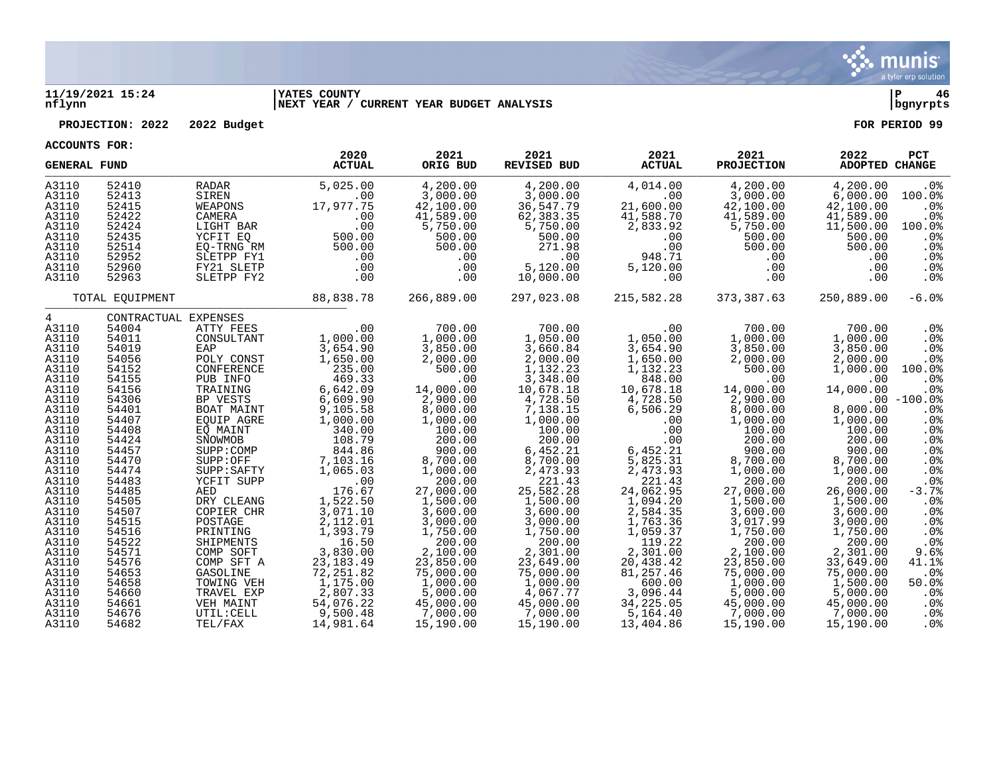

### **11/19/2021 15:24 |YATES COUNTY |P 46 nflynn |NEXT YEAR / CURRENT YEAR BUDGET ANALYSIS |bgnyrpts**

**PROJECTION: 2022 2022 Budget FOR PERIOD 99**

| <b>GENERAL FUND</b>                                                                                                                                                                                                                                           |                                                                                                                                                                                                                                                 |                                                                                                                                                                                                                                                                                                                                                                          | 2020<br><b>ACTUAL</b>                                                                                                                                                                                                                                                                                        | 2021<br>ORIG BUD                                                                                                                                                                                                                                                                                                  | 2021<br><b>REVISED BUD</b>                                                                                                                                                                                                                                                                                                 | 2021<br><b>ACTUAL</b>                                                                                                                                                                                                                                                                                    | 2021<br><b>PROJECTION</b>                                                                                                                                                                                                                                                                                         | 2022<br><b>ADOPTED CHANGE</b>                                                                                                                                                                                                                                                                           | <b>PCT</b>                                                                                                                                                                                                                                   |
|---------------------------------------------------------------------------------------------------------------------------------------------------------------------------------------------------------------------------------------------------------------|-------------------------------------------------------------------------------------------------------------------------------------------------------------------------------------------------------------------------------------------------|--------------------------------------------------------------------------------------------------------------------------------------------------------------------------------------------------------------------------------------------------------------------------------------------------------------------------------------------------------------------------|--------------------------------------------------------------------------------------------------------------------------------------------------------------------------------------------------------------------------------------------------------------------------------------------------------------|-------------------------------------------------------------------------------------------------------------------------------------------------------------------------------------------------------------------------------------------------------------------------------------------------------------------|----------------------------------------------------------------------------------------------------------------------------------------------------------------------------------------------------------------------------------------------------------------------------------------------------------------------------|----------------------------------------------------------------------------------------------------------------------------------------------------------------------------------------------------------------------------------------------------------------------------------------------------------|-------------------------------------------------------------------------------------------------------------------------------------------------------------------------------------------------------------------------------------------------------------------------------------------------------------------|---------------------------------------------------------------------------------------------------------------------------------------------------------------------------------------------------------------------------------------------------------------------------------------------------------|----------------------------------------------------------------------------------------------------------------------------------------------------------------------------------------------------------------------------------------------|
| A3110<br>A3110<br>A3110<br>A3110<br>A3110<br>A3110<br>A3110<br>A3110<br>A3110<br>A3110                                                                                                                                                                        | 52410<br>52413<br>52415<br>52422<br>52424<br>52435<br>52514<br>52952<br>52960<br>52963                                                                                                                                                          | RADAR<br>SIREN<br>WEAPONS<br>CAMERA<br>LIGHT BAR<br>YCFIT EQ<br>EQ-TRNG RM<br>SLETPP FY1<br>FY21 SLETP<br>SLETPP FY2                                                                                                                                                                                                                                                     | 5.025.00<br>.00<br>17,977.75<br>.00<br>.00<br>500.00<br>500.00<br>.00<br>.00<br>.00                                                                                                                                                                                                                          | 4,200.00<br>3,000.00<br>42,100.00<br>41,589.00<br>5,750.00<br>500.00<br>500.00<br>.00<br>.00<br>.00                                                                                                                                                                                                               | 4,200.00<br>3,000.00<br>36,547.79<br>62,383.35<br>5,750.00<br>500.00<br>271.98<br>.00<br>5,120.00<br>10,000.00                                                                                                                                                                                                             | 4,014.00<br>.00<br>21,600.00<br>41,588.70<br>2,833.92<br>.00<br>.00<br>948.71<br>5,120.00<br>.00                                                                                                                                                                                                         | 4,200.00<br>3,000.00<br>42,100.00<br>41,589.00<br>5,750.00<br>500.00<br>500.00<br>.00<br>.00<br>.00                                                                                                                                                                                                               | 4,200.00<br>6,000.00<br>42,100.00<br>41,589.00<br>11,500.00<br>500.00<br>500.00<br>.00<br>.00<br>.00                                                                                                                                                                                                    | . 0 %<br>100.0%<br>$.0\%$<br>.0%<br>100.0%<br>$.0\%$<br>. 0 %<br>.0%<br>.0%<br>.0%                                                                                                                                                           |
|                                                                                                                                                                                                                                                               | TOTAL EQUIPMENT                                                                                                                                                                                                                                 |                                                                                                                                                                                                                                                                                                                                                                          | 88,838.78                                                                                                                                                                                                                                                                                                    | 266,889.00                                                                                                                                                                                                                                                                                                        | 297,023.08                                                                                                                                                                                                                                                                                                                 | 215,582.28                                                                                                                                                                                                                                                                                               | 373,387.63                                                                                                                                                                                                                                                                                                        | 250,889.00                                                                                                                                                                                                                                                                                              | $-6.0%$                                                                                                                                                                                                                                      |
| $4\degree$<br>A3110<br>A3110<br>A3110<br>A3110<br>A3110<br>A3110<br>A3110<br>A3110<br>A3110<br>A3110<br>A3110<br>A3110<br>A3110<br>A3110<br>A3110<br>A3110<br>A3110<br>A3110<br>A3110<br>A3110<br>A3110<br>A3110<br>A3110<br>A3110<br>A3110<br>A3110<br>A3110 | 54004<br>54011<br>54019<br>54056<br>54152<br>54155<br>54156<br>54306<br>54401<br>54407<br>54408<br>54424<br>54457<br>54470<br>54474<br>54483<br>54485<br>54505<br>54507<br>54515<br>54516<br>54522<br>54571<br>54576<br>54653<br>54658<br>54660 | CONTRACTUAL EXPENSES<br>ATTY FEES<br>CONSULTANT<br>EAP<br>POLY CONST<br>CONFERENCE<br>PUB INFO<br>TRAINING<br>BP VESTS<br>BOAT MAINT<br>EQUIP AGRE<br>EO MAINT<br>SNOWMOB<br>SUPP:COMP<br>SUPP:OFF<br>SUPP:SAFTY<br>YCFIT SUPP<br>AED<br>DRY CLEANG<br>COPIER CHR<br>POSTAGE<br>PRINTING<br>SHIPMENTS<br>COMP SOFT<br>COMP SFT A<br>GASOLINE<br>TOWING VEH<br>TRAVEL EXP | .00<br>1,000.00<br>3,654.90<br>1,650.00<br>235.00<br>469.33<br>6,642.09<br>6,609.90<br>9,105.58<br>1,000.00<br>340.00<br>108.79<br>844.86<br>7,103.16<br>1,065.03<br>.00<br>176.67<br>1,522.50<br>3,071.10<br>2,112.01<br>1,393.79<br>16.50<br>3,830.00<br>23, 183. 49<br>72, 251.82<br>1,175.00<br>2,807.33 | 700.00<br>1,000.00<br>3,850.00<br>2,000.00<br>500.00<br>.00<br>14,000.00<br>2,900.00<br>8,000.00<br>1,000.00<br>100.00<br>200.00<br>900.00<br>8,700.00<br>1,000.00<br>200.00<br>27,000.00<br>1,500.00<br>3,600.00<br>3,000.00<br>1,750.00<br>200.00<br>2,100.00<br>23,850.00<br>75,000.00<br>1,000.00<br>5,000.00 | 700.00<br>1,050.00<br>3,660.84<br>2,000.00<br>1,132.23<br>3,348.00<br>10,678.18<br>4,728.50<br>7,138.15<br>1,000.00<br>100.00<br>200.00<br>6,452.21<br>8,700.00<br>2,473.93<br>221.43<br>25,582.28<br>1,500.00<br>3,600.00<br>3,000.00<br>1,750.00<br>200.00<br>2,301.00<br>23,649.00<br>75,000.00<br>1,000.00<br>4,067.77 | .00<br>1,050.00<br>3,654.90<br>1,650.00<br>1,132.23<br>848.00<br>10,678.18<br>4,728.50<br>6,506.29<br>.00<br>.00<br>.00<br>6,452.21<br>5,825.31<br>2,473.93<br>221.43<br>24,062.95<br>1,094.20<br>2,584.35<br>1,763.36<br>1,059.37<br>119.22<br>2,301.00<br>20,438.42<br>81,257.46<br>600.00<br>3,096.44 | 700.00<br>1,000.00<br>3,850.00<br>2,000.00<br>500.00<br>.00<br>14,000.00<br>2,900.00<br>8,000.00<br>1,000.00<br>100.00<br>200.00<br>900.00<br>8,700.00<br>1,000.00<br>200.00<br>27,000.00<br>1,500.00<br>3,600.00<br>3,017.99<br>1,750.00<br>200.00<br>2,100.00<br>23,850.00<br>75,000.00<br>1,000.00<br>5,000.00 | 700.00<br>1,000.00<br>3,850.00<br>2,000.00<br>1,000.00<br>.00<br>14,000.00<br>8,000.00<br>1,000.00<br>100.00<br>200.00<br>900.00<br>8,700.00<br>1,000.00<br>200.00<br>26,000.00<br>1,500.00<br>3,600.00<br>3,000.00<br>1,750.00<br>200.00<br>2,301.00<br>33,649.00<br>75,000.00<br>1,500.00<br>5,000.00 | .0%<br>.0%<br>.0%<br>$.0\%$<br>100.0%<br>.0 <sub>8</sub><br>$.0\%$<br>$.00 - 100.0$<br>$.0\%$<br>.0%<br>.0%<br>.0%<br>.0%<br>.0%<br>.0 <sub>8</sub><br>.0%<br>$-3.7%$<br>.0%<br>.0%<br>.0%<br>.0%<br>.0%<br>9.6%<br>41.1%<br>$.0\%$<br>50.0% |
| A3110<br>A3110<br>A3110                                                                                                                                                                                                                                       | 54661<br>54676<br>54682                                                                                                                                                                                                                         | VEH MAINT<br>UTIL: CELL<br>TEL/FAX                                                                                                                                                                                                                                                                                                                                       | 54,076.22<br>9,500.48<br>14,981.64                                                                                                                                                                                                                                                                           | 45,000.00<br>7,000.00<br>15,190.00                                                                                                                                                                                                                                                                                | 45,000.00<br>7,000.00<br>15,190.00                                                                                                                                                                                                                                                                                         | 34,225.05<br>5,164.40<br>13,404.86                                                                                                                                                                                                                                                                       | 45,000.00<br>7,000.00<br>15,190.00                                                                                                                                                                                                                                                                                | 45,000.00<br>7,000.00<br>15,190.00                                                                                                                                                                                                                                                                      | .0%<br>$.0\%$<br>.0%<br>.0%                                                                                                                                                                                                                  |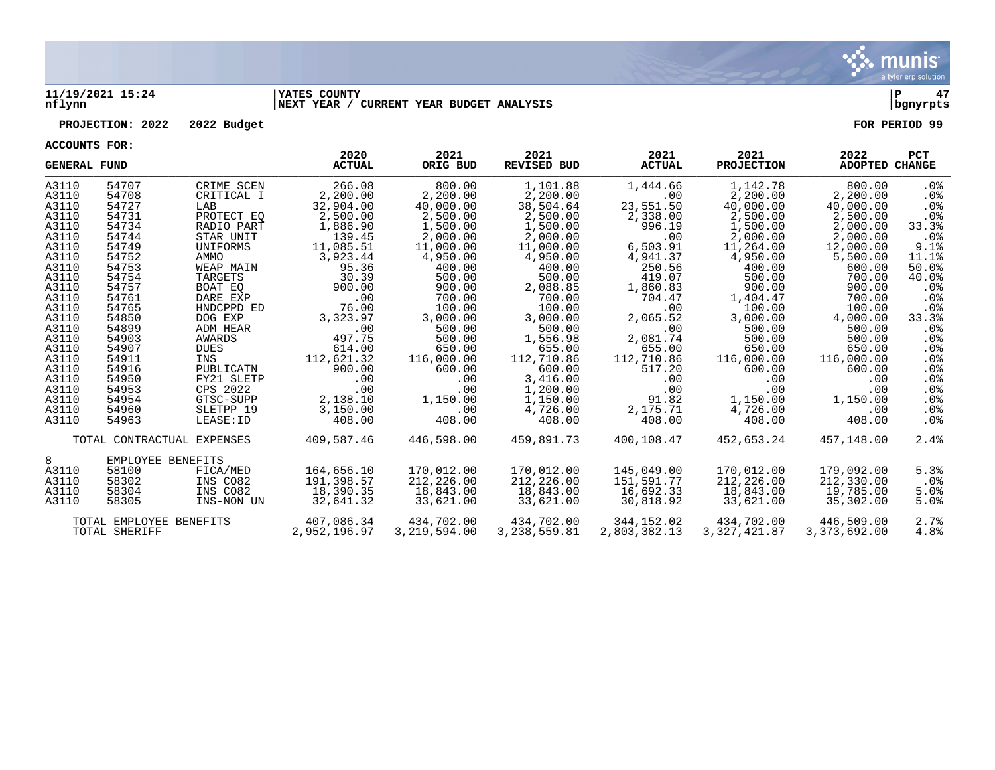

### **11/19/2021 15:24 |YATES COUNTY |P 47 nflynn |NEXT YEAR / CURRENT YEAR BUDGET ANALYSIS |bgnyrpts**

### **PROJECTION: 2022 2022 Budget FOR PERIOD 99**

| <b>GENERAL FUND</b>                      |                            |                        | 2020<br><b>ACTUAL</b> | 2021<br>ORIG BUD | 2021<br><b>REVISED BUD</b> | 2021<br><b>ACTUAL</b> | 2021<br><b>PROJECTION</b> | 2022<br>ADOPTED CHANGE | <b>PCT</b>       |
|------------------------------------------|----------------------------|------------------------|-----------------------|------------------|----------------------------|-----------------------|---------------------------|------------------------|------------------|
| A3110                                    | 54707                      | CRIME SCEN             | 266.08                | 800.00           | 1,101.88                   | 1,444.66              | 1,142.78                  | 800.00                 | . 0 %            |
| A3110                                    | 54708                      | CRITICAL I             | 2,200.00              | 2,200.00         | 2,200.00                   | .00                   | 2,200.00                  | 2,200.00               | . 0 %            |
| A3110                                    | 54727                      | LAB                    | 32,904.00             | 40,000.00        | 38,504.64                  | 23,551.50             | 40,000.00                 | 40,000.00              | $.0\%$           |
| A3110                                    | 54731                      | PROTECT EQ             | 2,500.00              | 2,500.00         | 2,500.00                   | 2,338.00              | 2,500.00                  | 2,500.00               | .0 <sub>8</sub>  |
| A3110                                    | 54734                      | RADIO PART             | 1,886.90              | 1,500.00         | 1,500.00                   | 996.19                | 1,500.00                  | 2,000.00               | 33.3%            |
| A3110                                    | 54744                      | STAR UNIT              | 139.45                | 2,000.00         | 2,000.00                   | .00                   | 2,000.00                  | 2,000.00               | $.0\%$           |
| A3110                                    | 54749                      | UNIFORMS               | 11,085.51             | 11,000.00        | 11,000.00                  | 6,503.91              | 11,264.00                 | 12,000.00              | 9.1%             |
| A3110                                    | 54752                      | AMMO                   | 3,923.44              | 4,950.00         | 4,950.00                   | 4,941.37              | 4,950.00                  | 5,500.00               | 11.1%            |
| A3110                                    | 54753                      | WEAP MAIN              | 95.36                 | 400.00           | 400.00                     | 250.56                | 400.00                    | 600.00                 | 50.0%            |
| A3110                                    | 54754                      | TARGETS                | 30.39                 | 500.00           | 500.00                     | 419.07                | 500.00                    | 700.00                 | 40.0%            |
| A3110                                    | 54757                      | BOAT EO                | 900.00                | 900.00           | 2,088.85                   | 1,860.83              | 900.00                    | 900.00                 | .0 <sub>8</sub>  |
| A3110                                    | 54761                      | DARE EXP               | .00                   | 700.00           | 700.00                     | 704.47                | 1,404.47                  | 700.00                 | .0 <sub>8</sub>  |
| A3110                                    | 54765                      | HNDCPPD ED             | 76.00                 | 100.00           | 100.00                     | .00                   | 100.00                    | 100.00                 | .0 <sub>8</sub>  |
| A3110                                    | 54850                      | DOG EXP                | 3,323.97              | 3,000.00         | 3,000.00                   | 2,065.52              | 3,000.00                  | 4,000.00               | 33.3%            |
| A3110                                    | 54899                      | ADM HEAR               | .00                   | 500.00           | 500.00                     | .00                   | 500.00                    | 500.00                 | .0 <sub>8</sub>  |
| A3110                                    | 54903                      | AWARDS                 | 497.75                | 500.00           | 1,556.98                   | 2,081.74              | 500.00                    | 500.00                 | .0 <sub>8</sub>  |
| A3110                                    | 54907                      | <b>DUES</b>            | 614.00                | 650.00           | 655.00                     | 655.00                | 650.00                    | 650.00                 | . 0 %            |
| A3110                                    | 54911                      | INS                    | 112,621.32            | 116,000.00       | 112,710.86                 | 112,710.86            | 116,000.00                | 116,000.00             | .0 <sub>8</sub>  |
| A3110                                    | 54916                      | PUBLICATN              | 900.00                | 600.00           | 600.00                     | 517.20                | 600.00                    | 600.00                 | $.0\%$           |
| A3110                                    | 54950                      | FY21 SLETP<br>CPS 2022 | .00                   | .00              | 3,416.00                   | .00                   | $.00 \ \rm$               | .00                    | $.0\%$           |
| A3110<br>A3110                           | 54953<br>54954             | GTSC-SUPP              | .00<br>2,138.10       | .00<br>1,150.00  | 1,200.00<br>1,150.00       | .00<br>91.82          | $.00 \,$<br>1,150.00      | .00<br>1,150.00        | $.0\%$<br>$.0\%$ |
| A3110                                    | 54960                      | SLETPP 19              | 3,150.00              | .00              | 4,726.00                   | 2,175.71              | 4,726.00                  | .00                    | $.0\%$           |
| A3110                                    | 54963                      | LEASE: ID              | 408.00                | 408.00           | 408.00                     | 408.00                | 408.00                    | 408.00                 | $.0\%$           |
|                                          |                            |                        |                       |                  |                            |                       |                           |                        |                  |
|                                          | TOTAL CONTRACTUAL EXPENSES |                        | 409,587.46            | 446,598.00       | 459,891.73                 | 400,108.47            | 452,653.24                | 457,148.00             | 2.4%             |
| 8                                        | EMPLOYEE BENEFITS          |                        |                       |                  |                            |                       |                           |                        |                  |
| A3110                                    | 58100                      | FICA/MED               | 164,656.10            | 170,012.00       | 170,012.00                 | 145,049.00            | 170,012.00                | 179,092.00             | 5.3%             |
| A3110                                    | 58302                      | INS CO82               | 191,398.57            | 212,226.00       | 212,226.00                 | 151,591.77            | 212,226.00                | 212,330.00             | $.0\%$           |
| A3110                                    | 58304                      | INS CO82               | 18,390.35             | 18,843.00        | 18,843.00                  | 16,692.33             | 18,843.00                 | 19,785.00              | 5.0%             |
| A3110                                    | 58305                      | INS-NON UN             | 32,641.32             | 33,621.00        | 33,621.00                  | 30,818.92             | 33,621.00                 | 35,302.00              | 5.0%             |
|                                          |                            |                        | 407,086.34            | 434,702.00       | 434,702.00                 | 344,152.02            | 434,702.00                | 446,509.00             | 2.7%             |
| TOTAL EMPLOYEE BENEFITS<br>TOTAL SHERIFF |                            |                        | 2,952,196.97          | 3,219,594.00     | 3, 238, 559.81             | 2,803,382.13          | 3, 327, 421.87            | 3,373,692.00           | 4.8%             |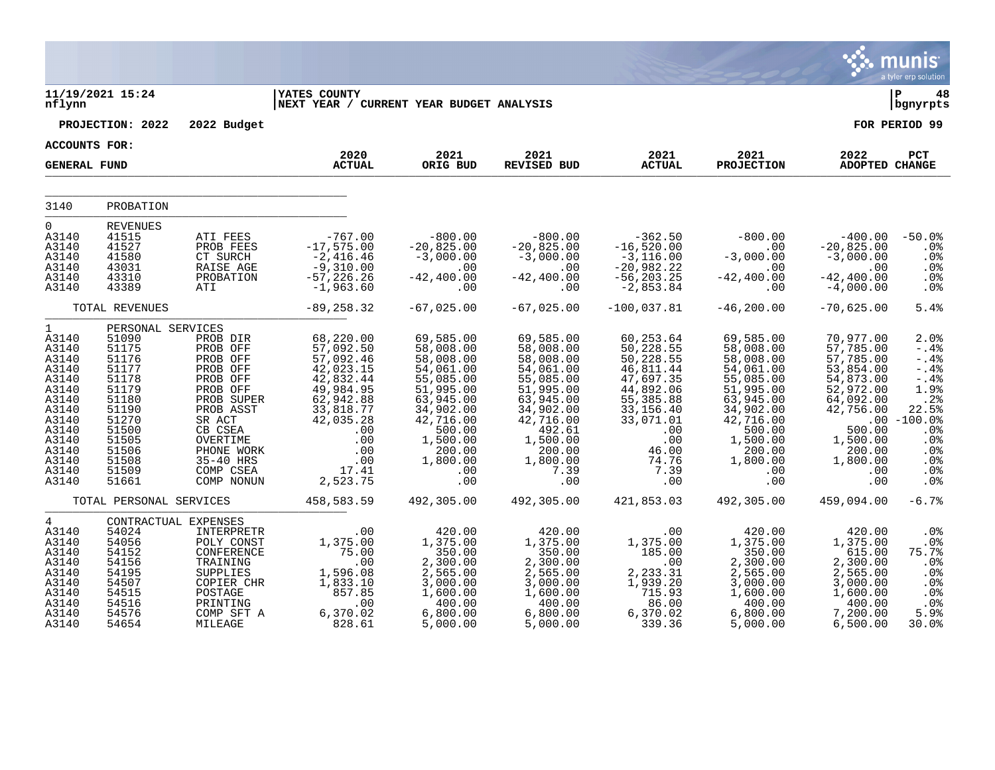|                                                                                                                                                     |                                                                                                                                                          |                                                                                                                                                                                        |                                                                                                                                                                    |                                                                                                                                                                             |                                                                                                                                                                              |                                                                                                                                                                  |                                                                                                                                                                             |                                                                                                                                                                | munis<br>a tyler erp solution                                                                                                                  |
|-----------------------------------------------------------------------------------------------------------------------------------------------------|----------------------------------------------------------------------------------------------------------------------------------------------------------|----------------------------------------------------------------------------------------------------------------------------------------------------------------------------------------|--------------------------------------------------------------------------------------------------------------------------------------------------------------------|-----------------------------------------------------------------------------------------------------------------------------------------------------------------------------|------------------------------------------------------------------------------------------------------------------------------------------------------------------------------|------------------------------------------------------------------------------------------------------------------------------------------------------------------|-----------------------------------------------------------------------------------------------------------------------------------------------------------------------------|----------------------------------------------------------------------------------------------------------------------------------------------------------------|------------------------------------------------------------------------------------------------------------------------------------------------|
| nflynn                                                                                                                                              | 11/19/2021 15:24                                                                                                                                         |                                                                                                                                                                                        | <b>YATES COUNTY</b><br>NEXT YEAR / CURRENT YEAR BUDGET ANALYSIS                                                                                                    |                                                                                                                                                                             |                                                                                                                                                                              |                                                                                                                                                                  |                                                                                                                                                                             |                                                                                                                                                                | ΙP<br>48<br>bgnyrpts                                                                                                                           |
|                                                                                                                                                     | PROJECTION: 2022                                                                                                                                         | 2022 Budget                                                                                                                                                                            |                                                                                                                                                                    |                                                                                                                                                                             |                                                                                                                                                                              |                                                                                                                                                                  |                                                                                                                                                                             |                                                                                                                                                                | FOR PERIOD 99                                                                                                                                  |
| <b>ACCOUNTS FOR:</b>                                                                                                                                |                                                                                                                                                          |                                                                                                                                                                                        | 2020                                                                                                                                                               | 2021                                                                                                                                                                        | 2021                                                                                                                                                                         | 2021                                                                                                                                                             | 2021                                                                                                                                                                        | 2022                                                                                                                                                           | PCT                                                                                                                                            |
| <b>GENERAL FUND</b>                                                                                                                                 |                                                                                                                                                          |                                                                                                                                                                                        | <b>ACTUAL</b>                                                                                                                                                      | ORIG BUD                                                                                                                                                                    | REVISED BUD                                                                                                                                                                  | <b>ACTUAL</b>                                                                                                                                                    | <b>PROJECTION</b>                                                                                                                                                           | <b>ADOPTED CHANGE</b>                                                                                                                                          |                                                                                                                                                |
| 3140                                                                                                                                                | PROBATION                                                                                                                                                |                                                                                                                                                                                        |                                                                                                                                                                    |                                                                                                                                                                             |                                                                                                                                                                              |                                                                                                                                                                  |                                                                                                                                                                             |                                                                                                                                                                |                                                                                                                                                |
| $\mathbf 0$<br>A3140<br>A3140<br>A3140<br>A3140<br>A3140<br>A3140                                                                                   | <b>REVENUES</b><br>41515<br>41527<br>41580<br>43031<br>43310<br>43389                                                                                    | ATI FEES<br>PROB FEES<br>CT SURCH<br>RAISE AGE<br>PROBATION<br>ATI                                                                                                                     | $-767.00$<br>$-17,575.00$<br>$-2,416.46$<br>$-9,310.00$<br>$-57, 226.26$<br>$-1,963.60$                                                                            | $-800.00$<br>$-20,825.00$<br>$-3,000.00$<br>$\sim 00$<br>$-42, 400.00$<br>.00                                                                                               | $-800.00$<br>$-20,825.00$<br>$-3,000.00$<br>.00<br>$-42, 400.00$<br>.00                                                                                                      | $-362.50$<br>-16,520.00<br>$-3,116.00$<br>$-20,982.22$<br>$-56, 203.25$<br>$-2,853.84$                                                                           | $-800.00$<br>.00<br>$-3,000.00$<br>$\overline{00}$<br>$-42,400 \, . \, 00$<br>.00                                                                                           | $-400.00$<br>$-20,825.00$<br>$-3,000.00$<br>.00<br>$-42, 400.00$<br>$-4,000.00$                                                                                | $-50.0%$<br>.0%<br>.0%<br>.0%<br>.0%<br>.0 <sub>8</sub>                                                                                        |
| TOTAL REVENUES                                                                                                                                      |                                                                                                                                                          | $-89, 258.32$                                                                                                                                                                          | $-67,025.00$                                                                                                                                                       | $-67,025.00$                                                                                                                                                                | $-100,037.81$                                                                                                                                                                | $-46, 200.00$                                                                                                                                                    | $-70,625.00$                                                                                                                                                                | 5.4%                                                                                                                                                           |                                                                                                                                                |
| $\mathbf{1}$<br>A3140<br>A3140<br>A3140<br>A3140<br>A3140<br>A3140<br>A3140<br>A3140<br>A3140<br>A3140<br>A3140<br>A3140<br>A3140<br>A3140<br>A3140 | PERSONAL SERVICES<br>51090<br>51175<br>51176<br>51177<br>51178<br>51179<br>51180<br>51190<br>51270<br>51500<br>51505<br>51506<br>51508<br>51509<br>51661 | PROB DIR<br>PROB OFF<br>PROB OFF<br>PROB OFF<br>PROB OFF<br>PROB OFF<br>PROB SUPER<br>PROB ASST<br>SR ACT<br>CB CSEA<br>OVERTIME<br>PHONE WORK<br>35-40 HRS<br>COMP CSEA<br>COMP NONUN | 68,220.00<br>57,092.50<br>57,092.46<br>42,023.15<br>42,832.44<br>49,984.95<br>62,942.88<br>33,818.77<br>42,035.28<br>.00<br>.00<br>.00<br>.00<br>17.41<br>2,523.75 | 69,585.00<br>58,008.00<br>58,008.00<br>54,061.00<br>55,085.00<br>51,995.00<br>63,945.00<br>34,902.00<br>42,716.00<br>500.00<br>1,500.00<br>200.00<br>1,800.00<br>.00<br>.00 | 69,585.00<br>58,008.00<br>58,008.00<br>54,061.00<br>55,085.00<br>51,995.00<br>63,945.00<br>34,902.00<br>42,716.00<br>492.61<br>1,500.00<br>200.00<br>1,800.00<br>7.39<br>.00 | 60,253.64<br>50,228.55<br>50,228.55<br>46,811.44<br>47,697.35<br>44,892.06<br>55,385.88<br>33,156.40<br>33,071.01<br>.00<br>.00<br>46.00<br>74.76<br>7.39<br>.00 | 69,585.00<br>58,008.00<br>58,008.00<br>54,061.00<br>55,085.00<br>51,995.00<br>63,945.00<br>34,902.00<br>42,716.00<br>500.00<br>1,500.00<br>200.00<br>1,800.00<br>.00<br>.00 | 70,977.00<br>57,785.00<br>57,785.00<br>53,854.00<br>54,873.00<br>52,972.00<br>64,092.00<br>42,756.00<br>500.00<br>1,500.00<br>200.00<br>1,800.00<br>.00<br>.00 | 2.0%<br>$-.4%$<br>$-.4%$<br>$- .4%$<br>$- .4%$<br>1.9%<br>.2%<br>22.5%<br>$.00 - 100.0%$<br>.0%<br>.0%<br>.0%<br>.0 <sub>8</sub><br>.0%<br>.0% |
|                                                                                                                                                     | TOTAL PERSONAL SERVICES                                                                                                                                  |                                                                                                                                                                                        | 458,583.59                                                                                                                                                         | 492,305.00                                                                                                                                                                  | 492,305.00                                                                                                                                                                   | 421,853.03                                                                                                                                                       | 492,305.00                                                                                                                                                                  | 459,094.00                                                                                                                                                     | $-6.7%$                                                                                                                                        |
| $\overline{4}$<br>A3140<br>A3140<br>A3140<br>A3140<br>A3140<br>A3140<br>A3140<br>A3140<br>A3140<br>A3140                                            | CONTRACTUAL EXPENSES<br>54024<br>54056<br>54152<br>54156<br>54195<br>54507<br>54515<br>54516<br>54576<br>54654                                           | INTERPRETR<br>POLY CONST<br>CONFERENCE<br>TRAINING<br>SUPPLIES<br>COPIER CHR<br>POSTAGE<br>PRINTING<br>COMP SFT A<br>MILEAGE                                                           | .00<br>1,375.00<br>75.00<br>.00<br>1,596.08<br>1,833.10<br>857.85<br>.00<br>6,370.02<br>828.61                                                                     | 420.00<br>1,375.00<br>350.00<br>2,300.00<br>2,565.00<br>3,000.00<br>1,600.00<br>400.00<br>6,800.00<br>5,000.00                                                              | 420.00<br>1,375.00<br>350.00<br>2,300.00<br>2,565.00<br>3,000.00<br>1,600.00<br>400.00<br>6,800.00<br>5,000.00                                                               | .00<br>1,375.00<br>185.00<br>.00<br>2, 233.31<br>1, 939.20<br>715.93<br>86.00<br>6,370.02<br>339.36                                                              | 420.00<br>1,375.00<br>350.00<br>2,300.00<br>2,565.00<br>3,000.00<br>1,600.00<br>400.00<br>6,800.00<br>5,000.00                                                              | 420.00<br>1,375.00<br>615.00<br>2,300.00<br>2,565.00<br>3,000.00<br>1,600.00<br>400.00<br>7,200.00<br>6,500.00                                                 | .0%<br>.0%<br>75.7%<br>.0%<br>.0%<br>.0 <sub>8</sub><br>.0 <sub>8</sub><br>.0%<br>5.9%<br>30.0%                                                |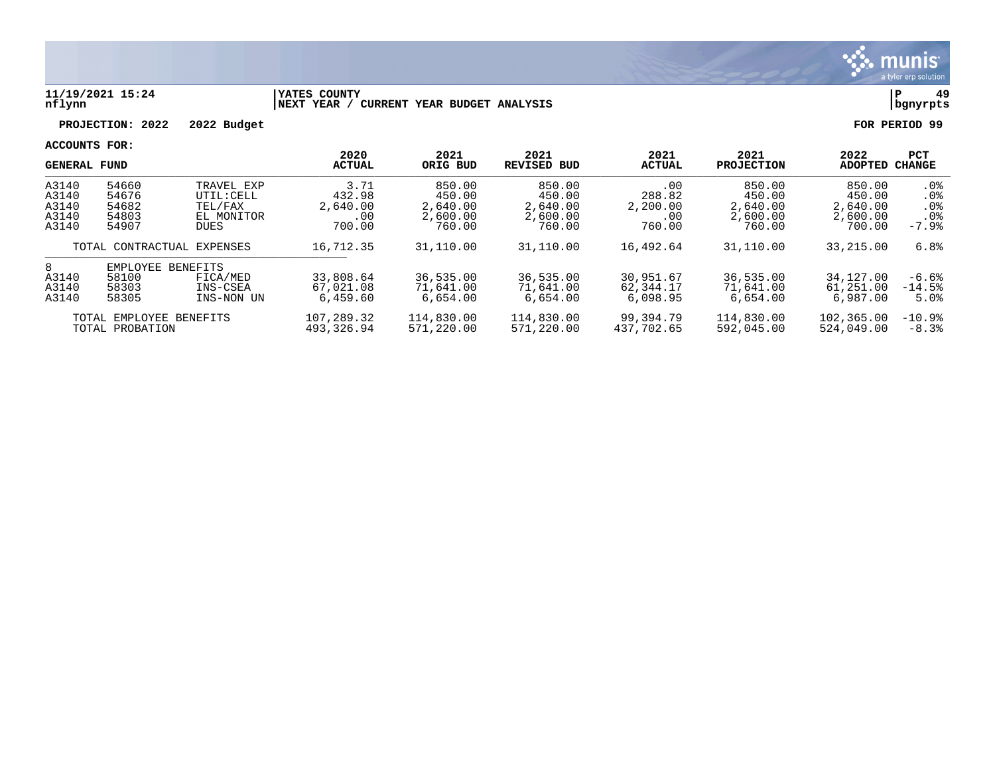

### **11/19/2021 15:24 |YATES COUNTY |P 49 nflynn |NEXT YEAR / CURRENT YEAR BUDGET ANALYSIS |bgnyrpts**

**PROJECTION: 2022 2022 Budget FOR PERIOD 99**

| <b>GENERAL FUND</b>                        |                                                                                                                             |                                                                  | 2020<br><b>ACTUAL</b>                       | 2021<br>ORIG BUD                                   | 2021<br><b>REVISED BUD</b>                         | 2021<br><b>ACTUAL</b>                           | 2021<br><b>PROJECTION</b>                          | 2022<br><b>ADOPTED</b>                             | <b>PCT</b><br><b>CHANGE</b>                                   |
|--------------------------------------------|-----------------------------------------------------------------------------------------------------------------------------|------------------------------------------------------------------|---------------------------------------------|----------------------------------------------------|----------------------------------------------------|-------------------------------------------------|----------------------------------------------------|----------------------------------------------------|---------------------------------------------------------------|
| A3140<br>A3140<br>A3140<br>A3140<br>A3140  | 54660<br>54676<br>54682<br>54803<br>54907                                                                                   | TRAVEL EXP<br>UTIL: CELL<br>TEL/FAX<br>EL MONITOR<br><b>DUES</b> | 3.71<br>432.98<br>2,640.00<br>.00<br>700.00 | 850.00<br>450.00<br>2,640.00<br>2,600.00<br>760.00 | 850.00<br>450.00<br>2,640.00<br>2,600.00<br>760.00 | .00<br>288.82<br>2,200.00<br>$.00 \,$<br>760.00 | 850.00<br>450.00<br>2,640.00<br>2,600.00<br>760.00 | 850.00<br>450.00<br>2,640.00<br>2,600.00<br>700.00 | . 0 %<br>.0 <sub>8</sub><br>.0%<br>.0 <sub>8</sub><br>$-7.9%$ |
| TOTAL CONTRACTUAL EXPENSES                 |                                                                                                                             | 16,712.35                                                        | 31,110.00                                   | 31,110.00                                          | 16,492.64                                          | 31,110.00                                       | 33,215.00                                          | 6.8%                                               |                                                               |
| 8<br>A3140<br>A3140<br>A3140               | EMPLOYEE<br>BENEFITS<br>33,808.64<br>58100<br>FICA/MED<br>67,021.08<br>58303<br>INS-CSEA<br>6,459.60<br>58305<br>INS-NON UN |                                                                  |                                             | 36,535.00<br>71,641.00<br>6,654.00                 | 36,535.00<br>71,641.00<br>6,654.00                 | 30,951.67<br>62, 344. 17<br>6,098.95            | 36,535.00<br>71,641.00<br>6.654.00                 | 34,127.00<br>61,251.00<br>6,987.00                 | -6.6%<br>$-14.5%$<br>5.0%                                     |
| TOTAL EMPLOYEE BENEFITS<br>TOTAL PROBATION |                                                                                                                             |                                                                  | 107,289.32<br>493, 326.94                   | 114,830.00<br>571,220.00                           | 114,830.00<br>571,220.00                           | 99,394.79<br>437,702.65                         | 114,830.00<br>592,045.00                           | 102,365.00<br>524,049.00                           | $-10.9%$<br>$-8.3%$                                           |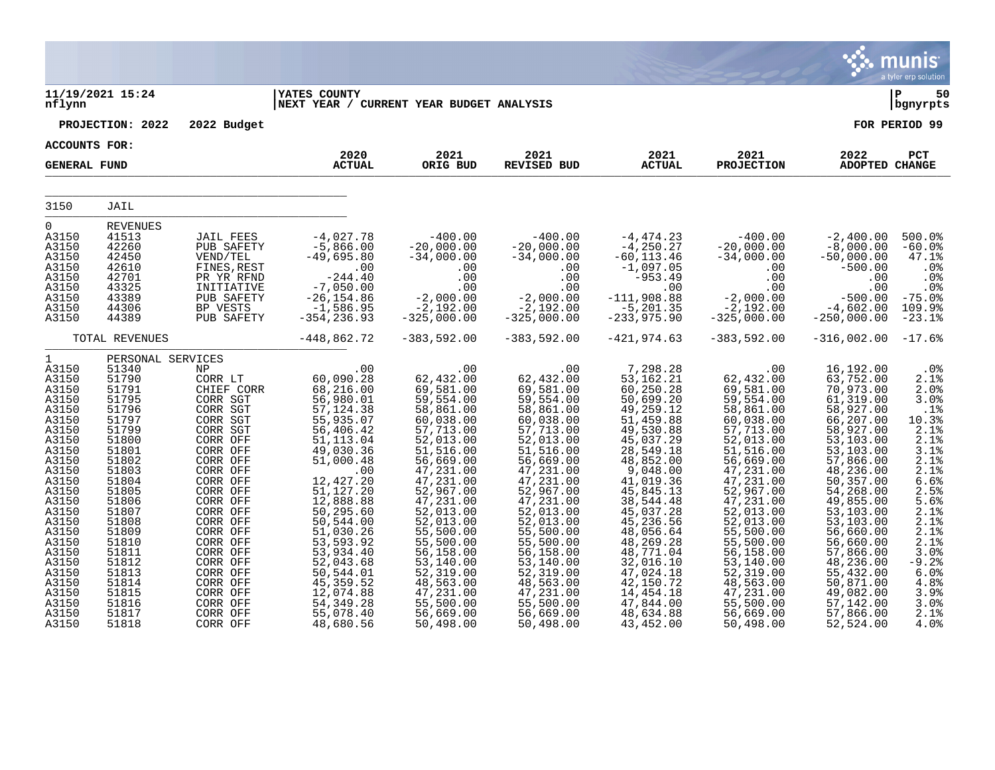|                                                                                                                                                                                                                                                        |                                                                                                                                                                                                                                                    |                                                                                                                                                                                                                                                                                                                 |                                                                                                                                                                                                                                                                                                                                                      |                                                                                                                                                                                                                                                                                                                                          |                                                                                                                                                                                                                                                                                                                                            |                                                                                                                                                                                                                                                                                                                                                 |                                                                                                                                                                                                                                                                                                                                             |                                                                                                                                                                                                                                                                                                                                                  | ९२. munis<br>a tyler erp solution                                                                                                                                                                         |
|--------------------------------------------------------------------------------------------------------------------------------------------------------------------------------------------------------------------------------------------------------|----------------------------------------------------------------------------------------------------------------------------------------------------------------------------------------------------------------------------------------------------|-----------------------------------------------------------------------------------------------------------------------------------------------------------------------------------------------------------------------------------------------------------------------------------------------------------------|------------------------------------------------------------------------------------------------------------------------------------------------------------------------------------------------------------------------------------------------------------------------------------------------------------------------------------------------------|------------------------------------------------------------------------------------------------------------------------------------------------------------------------------------------------------------------------------------------------------------------------------------------------------------------------------------------|--------------------------------------------------------------------------------------------------------------------------------------------------------------------------------------------------------------------------------------------------------------------------------------------------------------------------------------------|-------------------------------------------------------------------------------------------------------------------------------------------------------------------------------------------------------------------------------------------------------------------------------------------------------------------------------------------------|---------------------------------------------------------------------------------------------------------------------------------------------------------------------------------------------------------------------------------------------------------------------------------------------------------------------------------------------|--------------------------------------------------------------------------------------------------------------------------------------------------------------------------------------------------------------------------------------------------------------------------------------------------------------------------------------------------|-----------------------------------------------------------------------------------------------------------------------------------------------------------------------------------------------------------|
| nflynn                                                                                                                                                                                                                                                 | 11/19/2021 15:24                                                                                                                                                                                                                                   |                                                                                                                                                                                                                                                                                                                 | <b>YATES COUNTY</b><br>NEXT YEAR / CURRENT YEAR BUDGET ANALYSIS                                                                                                                                                                                                                                                                                      |                                                                                                                                                                                                                                                                                                                                          |                                                                                                                                                                                                                                                                                                                                            |                                                                                                                                                                                                                                                                                                                                                 |                                                                                                                                                                                                                                                                                                                                             |                                                                                                                                                                                                                                                                                                                                                  | İP<br>50<br>bgnyrpts                                                                                                                                                                                      |
|                                                                                                                                                                                                                                                        | PROJECTION: 2022                                                                                                                                                                                                                                   | 2022 Budget                                                                                                                                                                                                                                                                                                     |                                                                                                                                                                                                                                                                                                                                                      |                                                                                                                                                                                                                                                                                                                                          |                                                                                                                                                                                                                                                                                                                                            |                                                                                                                                                                                                                                                                                                                                                 |                                                                                                                                                                                                                                                                                                                                             |                                                                                                                                                                                                                                                                                                                                                  | FOR PERIOD 99                                                                                                                                                                                             |
| <b>ACCOUNTS FOR:</b>                                                                                                                                                                                                                                   |                                                                                                                                                                                                                                                    |                                                                                                                                                                                                                                                                                                                 | 2020                                                                                                                                                                                                                                                                                                                                                 | 2021                                                                                                                                                                                                                                                                                                                                     | 2021                                                                                                                                                                                                                                                                                                                                       | 2021                                                                                                                                                                                                                                                                                                                                            | 2021                                                                                                                                                                                                                                                                                                                                        | 2022                                                                                                                                                                                                                                                                                                                                             | PCT                                                                                                                                                                                                       |
| <b>GENERAL FUND</b>                                                                                                                                                                                                                                    |                                                                                                                                                                                                                                                    |                                                                                                                                                                                                                                                                                                                 | <b>ACTUAL</b>                                                                                                                                                                                                                                                                                                                                        | ORIG BUD                                                                                                                                                                                                                                                                                                                                 | <b>REVISED BUD</b>                                                                                                                                                                                                                                                                                                                         | <b>ACTUAL</b>                                                                                                                                                                                                                                                                                                                                   | <b>PROJECTION</b>                                                                                                                                                                                                                                                                                                                           | ADOPTED CHANGE                                                                                                                                                                                                                                                                                                                                   |                                                                                                                                                                                                           |
| 3150                                                                                                                                                                                                                                                   | JAIL                                                                                                                                                                                                                                               |                                                                                                                                                                                                                                                                                                                 |                                                                                                                                                                                                                                                                                                                                                      |                                                                                                                                                                                                                                                                                                                                          |                                                                                                                                                                                                                                                                                                                                            |                                                                                                                                                                                                                                                                                                                                                 |                                                                                                                                                                                                                                                                                                                                             |                                                                                                                                                                                                                                                                                                                                                  |                                                                                                                                                                                                           |
| $\mathsf{O}$<br>A3150<br>A3150<br>A3150<br>A3150<br>A3150<br>A3150<br>A3150<br>A3150<br>A3150                                                                                                                                                          | <b>REVENUES</b><br>41513<br>42260<br>42450<br>42610<br>42701<br>43325<br>43389<br>44306<br>44389                                                                                                                                                   | <b>JAIL FEES</b><br>PUB SAFETY<br>VEND/TEL<br>FINES, REST<br>PR YR RFND<br>INITIATIVE<br>PUB SAFETY<br>BP VESTS<br>PUB SAFETY                                                                                                                                                                                   | $-4,027.78$<br>$-5,866.00$<br>$-49,695.80$<br>.00<br>$-244.40$<br>$-7,050.00$<br>$-26, 154.86$<br>$-1,586.95$<br>$-354, 236.93$                                                                                                                                                                                                                      | $-400.00$<br>$-20,000.00$<br>$-34,000.00$<br>.00<br>.00<br>.00<br>$-2,000.00$<br>$-2,192.00$<br>$-325,000.00$                                                                                                                                                                                                                            | $-400.00$<br>$-20,000.00$<br>$-34,000.00$<br>.00<br>.00<br>.00<br>-2,000.00<br>-2,192.00<br>$-325,000.00$                                                                                                                                                                                                                                  | $-4,474.23$<br>$-4, 250.27$<br>$-60, 113.46$<br>$-1,097.05$<br>$-953.49$<br>.00<br>$-111,908.88$<br>$-5,201.35$<br>$-233,975.90$                                                                                                                                                                                                                | $-400.00$<br>$-20,000.00$<br>$-34,000.00$<br>$.00 \ \rm$<br>.00<br>.00<br>$-2,000.00$<br>$-2,192.00$<br>$-325,000.00$                                                                                                                                                                                                                       | $-2,400.00$<br>$-8,000.00$<br>$-50,000.00$<br>$-500.00$<br>.00<br>.00<br>$-500.00$<br>$-4,602.00$<br>$-250,000.00$                                                                                                                                                                                                                               | 500.0%<br>$-60.0%$<br>47.1%<br>.0%<br>.0%<br>.0%<br>$-75.0%$<br>109.9%<br>$-23.1%$                                                                                                                        |
|                                                                                                                                                                                                                                                        | TOTAL REVENUES                                                                                                                                                                                                                                     |                                                                                                                                                                                                                                                                                                                 | $-448,862.72$                                                                                                                                                                                                                                                                                                                                        | $-383,592.00$                                                                                                                                                                                                                                                                                                                            | $-383,592.00$                                                                                                                                                                                                                                                                                                                              | $-421,974.63$                                                                                                                                                                                                                                                                                                                                   | $-383,592.00$                                                                                                                                                                                                                                                                                                                               | $-316,002.00 -17.6$                                                                                                                                                                                                                                                                                                                              |                                                                                                                                                                                                           |
| $\mathbf{1}$<br>A3150<br>A3150<br>A3150<br>A3150<br>A3150<br>A3150<br>A3150<br>A3150<br>A3150<br>A3150<br>A3150<br>A3150<br>A3150<br>A3150<br>A3150<br>A3150<br>A3150<br>A3150<br>A3150<br>A3150<br>A3150<br>A3150<br>A3150<br>A3150<br>A3150<br>A3150 | PERSONAL SERVICES<br>51340<br>51790<br>51791<br>51795<br>51796<br>51797<br>51799<br>51800<br>51801<br>51802<br>51803<br>51804<br>51805<br>51806<br>51807<br>51808<br>51809<br>51810<br>51811<br>51812<br>51813<br>51814<br>51815<br>51816<br>51817 | NP<br>CORR LT<br>CHIEF CORR<br>CORR SGT<br>CORR SGT<br>CORR SGT<br>CORR SGT<br>CORR OFF<br>CORR OFF<br>CORR OFF<br>CORR OFF<br>CORR OFF<br>CORR OFF<br>CORR OFF<br>CORR OFF<br>CORR OFF<br>CORR OFF<br>CORR OFF<br>CORR OFF<br>CORR OFF<br>CORR OFF<br>CORR OFF<br>CORR OFF<br>CORR OFF<br>CORR OFF<br>CORR OFF | .00<br>60,090.28<br>68,216.00<br>56,980.01<br>57, 124.38<br>55,935.07<br>56,406.42<br>51, 113.04<br>49,030.36<br>51,000.48<br>$\overline{00}$<br>12,427.20<br>51,127.20<br>12,888.88<br>50, 295.60<br>50,544.00<br>51,030.26<br>53,593.92<br>53,934.40<br>52,043.68<br>50,544.01<br>45, 359.52<br>12,074.88<br>54, 349. 28<br>55,078.40<br>48,680.56 | .00<br>62,432.00<br>69,581.00<br>59,554.00<br>58,861.00<br>60,038.00<br>57,713.00<br>52,013.00<br>51,516.00<br>56,669.00<br>47,231.00<br>47,231.00<br>52,967.00<br>47,231.00<br>52,013.00<br>52,013.00<br>55,500.00<br>55,500.00<br>56,158.00<br>53,140.00<br>52,319.00<br>48,563.00<br>47,231.00<br>55,500.00<br>56,669.00<br>50,498.00 | .00<br>62,432.00<br>69,581.00<br>59,554.00<br>58,861.00<br>60,038.00<br>57,713.00<br>52,013.00<br>51, 516.00<br>56,669.00<br>47,231.00<br>47, 231.00<br>52,967.00<br>47,231.00<br>52,013.00<br>52,013.00<br>55,500.00<br>55,500.00<br>56,158.00<br>53,140.00<br>52,319.00<br>48,563.00<br>47,231.00<br>55,500.00<br>56,669.00<br>50,498.00 | 7,298.28<br>53, 162. 21<br>60, 250.28<br>50,699.20<br>49,259.12<br>51,459.88<br>49,530.88<br>45,037.29<br>28,549.18<br>48,852.00<br>9,048.00<br>41,019.36<br>45,845.13<br>38,544.48<br>45,037.28<br>45,236.56<br>48,056.64<br>48,269.28<br>48,771.04<br>32,016.10<br>47,024.18<br>42,150.72<br>14,454.18<br>47,844.00<br>48,634.88<br>43,452.00 | .00<br>62,432.00<br>69,581.00<br>59,554.00<br>58,861.00<br>60,038.00<br>57,713.00<br>52,013.00<br>51,516.00<br>56,669.00<br>47,231.00<br>47, 231.00<br>52,967.00<br>47, 231.00<br>52,013.00<br>52,013.00<br>55,500.00<br>55,500.00<br>56, 158.00<br>53,140.00<br>52,319.00<br>48,563.00<br>47,231.00<br>55,500.00<br>56,669.00<br>50,498.00 | 16,192.00<br>63,752.00<br>70,973.00<br>61,319.00<br>58,927.00<br>66,207.00<br>58,927.00<br>53,103.00<br>53, 103.00<br>57,866.00<br>48,236.00<br>50,357.00<br>54,268.00<br>49,855.00<br>53,103.00<br>53, 103.00<br>56,660.00<br>56,660.00<br>57,866.00<br>48,236.00<br>55,432.00<br>50,871.00<br>49,082.00<br>57,142.00<br>57,866.00<br>52,524.00 | $.0\%$<br>2.1%<br>2.0%<br>3.0%<br>.1%<br>10.3%<br>2.1%<br>2.1%<br>3.1%<br>2.1%<br>2.1%<br>6.6%<br>2.5%<br>5.6%<br>2.1%<br>2.1%<br>2.1%<br>2.1%<br>3.0%<br>$-9.2%$<br>6.0%<br>4.8%<br>3.9%<br>3.0%<br>2.1% |

 $\mathcal{L}$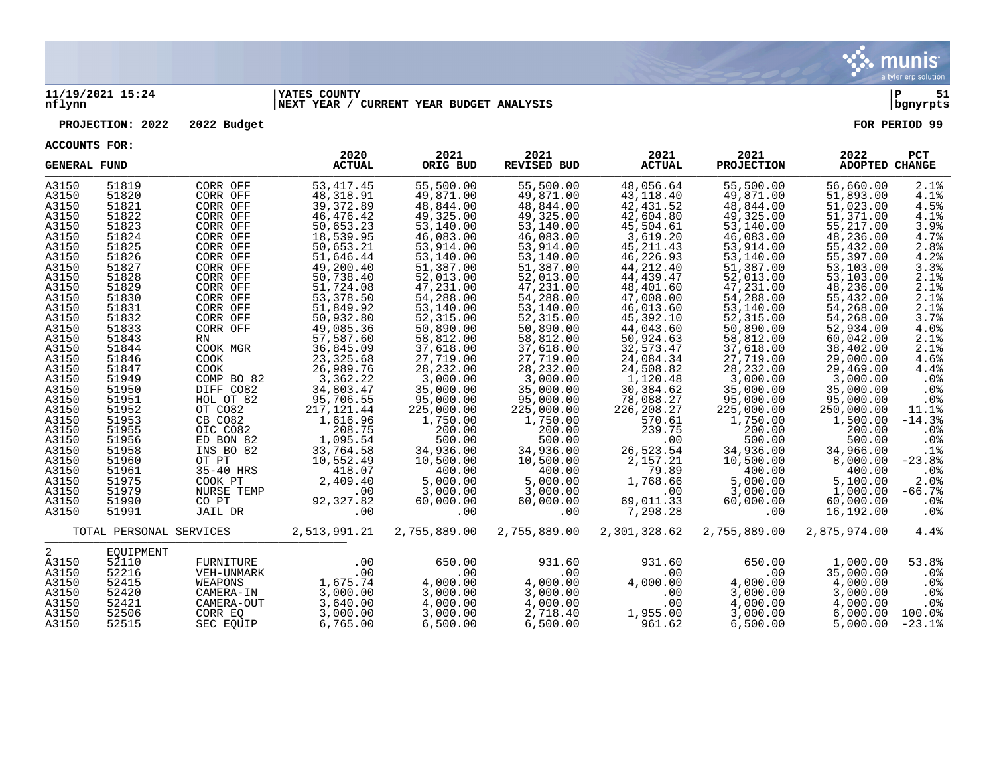

### **11/19/2021 15:24 |YATES COUNTY |P 51 nflynn |NEXT YEAR / CURRENT YEAR BUDGET ANALYSIS |bgnyrpts**

### **PROJECTION: 2022 2022 Budget FOR PERIOD 99**

| <b>GENERAL FUND</b> |                         |                      | 2020<br><b>ACTUAL</b>   | 2021<br>ORIG BUD        | 2021<br><b>REVISED BUD</b> | 2021<br><b>ACTUAL</b>     | 2021<br><b>PROJECTION</b> | 2022<br>ADOPTED CHANGE  | PCT        |
|---------------------|-------------------------|----------------------|-------------------------|-------------------------|----------------------------|---------------------------|---------------------------|-------------------------|------------|
| A3150               | 51819                   | CORR OFF             | 53, 417. 45             | 55,500.00               | 55,500.00                  | 48,056.64                 | 55,500.00                 | 56,660.00               | 2.1%       |
| A3150               | 51820                   | CORR OFF             | 48, 318.91              | 49,871.00               | 49,871.00                  | 43,118.40                 | 49,871.00                 | 51,893.00               | 4.1%       |
| A3150               | 51821                   | CORR OFF             | 39, 372.89              | 48,844.00               | 48,844.00                  | 42, 431.52                | 48,844.00                 | 51,023.00               | 4.5%       |
| A3150               | 51822                   | CORR OFF             | 46,476.42               | 49,325.00               | 49,325.00                  | 42,604.80                 | 49,325.00                 | 51,371.00               | 4.1%       |
| A3150               | 51823                   | CORR OFF             | 50,653.23               | 53,140.00               | 53,140.00                  | 45,504.61                 | 53,140.00                 | 55,217.00               | 3.9%       |
| A3150               | 51824                   | CORR OFF             | 18,539.95               | 46,083.00               | 46,083.00                  | 3,619.20                  | 46,083.00                 | 48,236.00               | 4.7%       |
| A3150               | 51825                   | CORR OFF             | 50,653.21               | 53,914.00               | 53,914.00                  | 45, 211.43                | 53,914.00                 | 55,432.00               | 2.8%       |
| A3150               | 51826                   | CORR OFF             | 51,646.44               | 53,140.00               | 53,140.00                  | 46,226.93                 | 53,140.00                 | 55,397.00               | 4.2%       |
| A3150               | 51827                   | CORR OFF             | 49,200.40               | 51,387.00               | 51,387.00                  | 44, 212.40                | 51,387.00                 | 53,103.00               | 3.3%       |
| A3150               | 51828                   | CORR OFF             | 50,738.40               | 52,013.00               | 52,013.00                  | 44,439.47                 | 52,013.00                 | 53,103.00               | 2.1%       |
| A3150               | 51829                   | CORR OFF             | 51,724.08               | 47,231.00               | 47,231.00                  | 48,401.60                 | 47,231.00                 | 48,236.00               | 2.1%       |
| A3150               | 51830                   | CORR OFF             | 53,378.50               | 54,288.00               | 54,288.00                  | 47,008.00                 | 54,288.00                 | 55,432.00               | 2.1%       |
| A3150               | 51831                   | CORR OFF             | 51,849.92               | 53,140.00               | 53,140.00                  | 46,013.60                 | 53,140.00                 | 54,268.00               | 2.1%       |
| A3150               | 51832                   | CORR OFF             | 50,932.80               | 52,315.00               | 52,315.00                  | 45,392.10                 | 52,315.00                 | 54,268.00               | 3.7%       |
| A3150               | 51833                   | CORR OFF             | 49,085.36               | 50,890.00               | 50,890.00                  | 44,043.60                 | 50,890.00                 | 52,934.00               | 4.0%       |
| A3150               | 51843                   | RN                   | 57,587.60               | 58,812.00               | 58,812.00                  | 50,924.63                 | 58,812.00                 | 60,042.00               | 2.1%       |
| A3150               | 51844                   | COOK MGR             | 36,845.09               | 37,618.00               | 37,618.00                  | 32,573.47                 | 37,618.00                 | 38,402.00               | 2.1%       |
| A3150               | 51846                   | <b>COOK</b>          | 23, 325.68              | 27,719.00               | 27,719.00                  | 24,084.34                 | 27,719.00                 | 29,000.00               | 4.6%       |
| A3150               | 51847                   | COOK                 | 26,989.76               | 28,232.00               | 28, 232.00                 | 24,508.82                 | 28, 232.00                | 29,469.00               | 4.4%       |
| A3150               | 51949                   | COMP BO 82           | 3,362.22                | 3,000.00                | 3,000.00                   | 1,120.48                  | 3,000.00                  | 3,000.00                | .0%        |
| A3150               | 51950                   | DIFF CO82            | 34,803.47<br>95,706.55  | 35,000.00               | 35,000.00                  | 30,384.62                 | 35,000.00<br>95,000.00    | 35,000.00               | .0%<br>.0% |
| A3150<br>A3150      | 51951<br>51952          | HOL OT 82<br>OT CO82 |                         | 95,000.00<br>225,000.00 | 95,000.00<br>225,000.00    | 78,088.27<br>226, 208. 27 | 225,000.00                | 95,000.00<br>250,000.00 | 11.1%      |
| A3150               | 51953                   | CB CO82              | 217, 121.44<br>1,616.96 | 1,750.00                |                            | 570.61                    | 1,750.00                  | 1,500.00                | $-14.3%$   |
| A3150               | 51955                   | OIC CO82             | 208.75                  | 200.00                  | 1,750.00<br>200.00         | 239.75                    | 200.00                    | 200.00                  | $.0\%$     |
| A3150               | 51956                   | ED BON 82            | 1,095.54                | 500.00                  | 500.00                     | .00                       | 500.00                    | 500.00                  | .0%        |
| A3150               | 51958                   | INS BO 82            | 33,764.58               | 34,936.00               | 34,936.00                  | 26,523.54                 | 34,936.00                 | 34,966.00               | .1%        |
| A3150               | 51960                   | OT PT                | 10,552.49               | 10,500.00               | 10,500.00                  | 2,157.21                  | 10,500.00                 | 8,000.00                | $-23.8%$   |
| A3150               | 51961                   | 35-40 HRS            | 418.07                  | 400.00                  | 400.00                     | 79.89                     | 400.00                    | 400.00                  | .0%        |
| A3150               | 51975                   | COOK PT              | 2,409.40                | 5,000.00                | 5,000.00                   | 1,768.66                  | 5,000.00                  | 5,100.00                | 2.0%       |
| A3150               | 51979                   | NURSE TEMP           | .00                     | 3,000.00                | 3,000.00                   | .00                       | 3,000.00                  | 1,000.00                | $-66.7%$   |
| A3150               | 51990                   | CO PT                | 92,327.82               | 60,000.00               | 60,000.00                  | 69,011.33                 | 60,000.00                 | 60,000.00               | $.0\%$     |
| A3150               | 51991                   | JAIL DR              | .00                     | .00                     | .00                        | 7,298.28                  | $.00 \,$                  | 16,192.00               | $.0\%$     |
|                     | TOTAL PERSONAL SERVICES |                      | 2,513,991.21            | 2,755,889.00            | 2,755,889.00               | 2,301,328.62              | 2,755,889.00              | 2,875,974.00            | 4.4%       |
|                     |                         |                      |                         |                         |                            |                           |                           |                         |            |
| 2                   | EOUIPMENT               |                      |                         |                         |                            |                           |                           |                         |            |
| A3150               | 52110                   | FURNITURE            | .00                     | 650.00                  | 931.60                     | 931.60                    | 650.00                    | 1,000.00                | 53.8%      |
| A3150               | 52216                   | VEH-UNMARK           | .00                     | .00                     | .00                        | .00                       | .00                       | 35,000.00               | .0%        |
| A3150               | 52415                   | WEAPONS              | 1,675.74                | 4,000.00                | 4,000.00                   | 4,000.00                  | 4,000.00                  | 4,000.00                | $.0\%$     |
| A3150               | 52420                   | CAMERA-IN            | 3,000.00                | 3,000.00                | 3,000.00                   | .00                       | 3,000.00                  | 3,000.00                | $.0\%$     |
| A3150               | 52421                   | CAMERA-OUT           | 3,640.00                | 4,000.00                | 4,000.00                   | .00                       | 4,000.00                  | 4,000.00                | $.0\%$     |
| A3150               | 52506                   | CORR EO              | 3,000.00                | 3,000.00                | 2,718.40                   | 1,955.00                  | 3,000.00                  | 6.000.00                | 100.0%     |
| A3150               | 52515                   | SEC EOUIP            | 6,765.00                | 6,500.00                | 6,500.00                   | 961.62                    | 6,500.00                  | 5,000.00                | $-23.1%$   |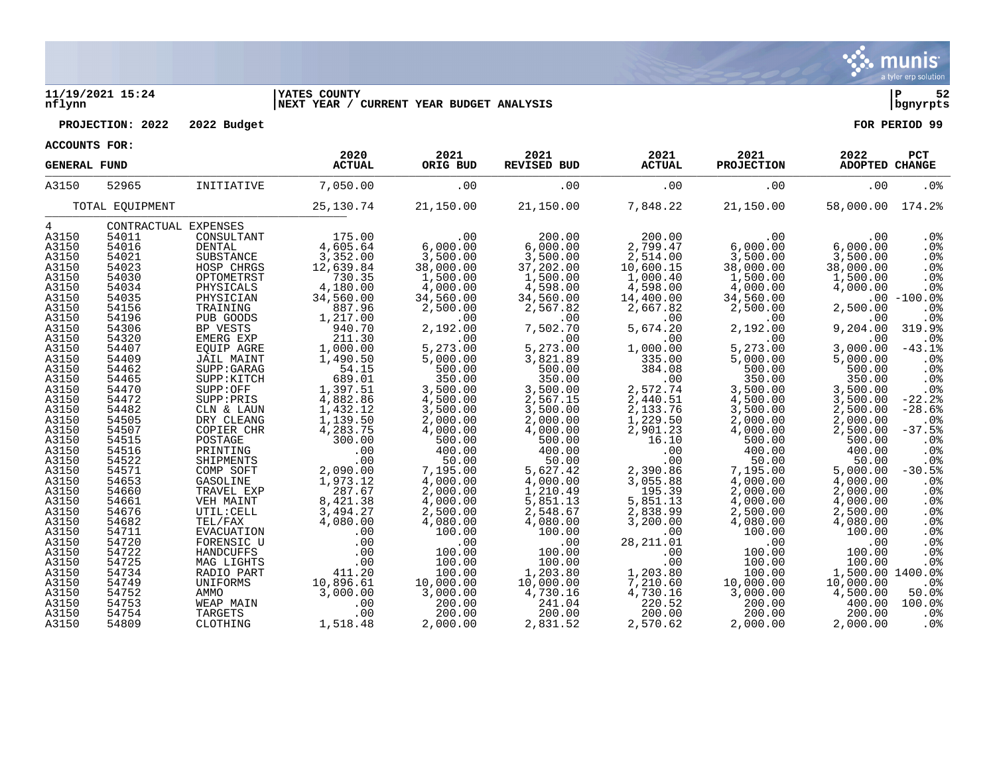

### **11/19/2021 15:24 |YATES COUNTY |P 52 nflynn |NEXT YEAR / CURRENT YEAR BUDGET ANALYSIS |bgnyrpts**

**PROJECTION: 2022 2022 Budget FOR PERIOD 99**

|  | ACCOUNTS FOR: |  |
|--|---------------|--|
|--|---------------|--|

|            | <b>GENERAL FUND</b> |                      | 2020<br><b>ACTUAL</b> | 2021<br>ORIG BUD | 2021<br><b>REVISED BUD</b> | 2021<br><b>ACTUAL</b> | 2021<br><b>PROJECTION</b> | 2022<br><b>ADOPTED CHANGE</b> | PCT             |
|------------|---------------------|----------------------|-----------------------|------------------|----------------------------|-----------------------|---------------------------|-------------------------------|-----------------|
| A3150      | 52965               | INITIATIVE           | 7,050.00              | .00              | .00                        | .00                   | .00                       | .00                           | .0 <sup>8</sup> |
|            | TOTAL EQUIPMENT     |                      | 25, 130. 74           | 21,150.00        | 21,150.00                  | 7,848.22              | 21,150.00                 | 58,000.00                     | 174.2%          |
| $4\degree$ |                     | CONTRACTUAL EXPENSES |                       |                  |                            |                       |                           |                               |                 |
| A3150      | 54011               | CONSULTANT           | 175.00                | .00              | 200.00                     | 200.00                | .00                       | .00                           | .0 <sub>8</sub> |
| A3150      | 54016               | <b>DENTAL</b>        | 4,605.64              | 6,000.00         | 6,000.00                   | 2,799.47              | 6,000.00                  | 6,000.00                      | .0%             |
| A3150      | 54021               | SUBSTANCE            | 3,352.00              | 3,500.00         | 3,500.00                   | 2,514.00              | 3,500.00                  | 3,500.00                      | .0%             |
| A3150      | 54023               | HOSP CHRGS           | 12,639.84             | 38,000.00        | 37,202.00                  | 10,600.15             | 38,000.00                 | 38,000.00                     | .0%             |
| A3150      | 54030               | OPTOMETRST           | 730.35                | 1,500.00         | 1,500.00                   | 1,000.40              | 1,500.00                  | 1,500.00                      | .0%             |
| A3150      | 54034               | PHYSICALS            | 4,180.00              | 4,000.00         | 4,598.00                   | 4,598.00              | 4,000.00                  | 4,000.00                      | .0%             |
| A3150      | 54035               | PHYSICIAN            | 34,560.00             | 34,560.00        | 34,560.00                  | 14,400.00             | 34,560.00                 |                               | $.00 - 100.0%$  |
| A3150      | 54156               | TRAINING             | 887.96                | 2,500.00         | 2,567.82                   | 2,667.82              | 2,500.00                  | 2,500.00                      | .0%             |
| A3150      | 54196               | PUB GOODS            | 1,217.00              | .00              | .00                        | .00                   | .00                       | .00                           | .0%             |
| A3150      | 54306               | BP VESTS             | 940.70                | 2,192.00         | 7,502.70                   | 5,674.20              | 2,192.00                  | 9,204.00                      | 319.9%          |
| A3150      | 54320               | EMERG EXP            | 211.30                | .00              | .00                        | .00                   | .00                       | .00                           | .0 <sup>8</sup> |
| A3150      | 54407               | EQUIP AGRE           | 1,000.00              | 5,273.00         | 5,273.00                   | 1,000.00              | 5,273.00                  | 3,000.00                      | $-43.1%$        |
| A3150      | 54409               | <b>JAIL MAINT</b>    | 1,490.50              | 5,000.00         | 3,821.89                   | 335.00                | 5,000.00                  | 5,000.00                      | .0%             |
| A3150      | 54462               | SUPP: GARAG          | 54.15                 | 500.00           | 500.00                     | 384.08                | 500.00                    | 500.00                        | .0%             |
| A3150      | 54465               | SUPP: KITCH          | 689.01                | 350.00           | 350.00                     | .00                   | 350.00                    | 350.00                        | .0%             |
| A3150      | 54470               | SUPP:OFF             | 1,397.51              | 3,500.00         | 3,500.00                   | 2,572.74              | 3,500.00                  | 3,500.00                      | .0%             |
| A3150      | 54472               | SUPP: PRIS           | 4,882.86              | 4,500.00         | 2,567.15                   | 2,440.51              | 4,500.00                  | 3,500.00                      | $-22.2$         |
| A3150      | 54482               | CLN & LAUN           | 1,432.12              | 3,500.00         | 3,500.00                   | 2,133.76              | 3,500.00                  | 2,500.00                      | $-28.6%$        |
| A3150      | 54505               | DRY CLEANG           | 1,139.50              | 2,000.00         | 2,000.00                   | 1,229.50              | 2,000.00                  | 2,000.00                      | .0 <sub>8</sub> |
| A3150      | 54507               | COPIER CHR           | 4,283.75              | 4,000.00         | 4,000.00                   | 2,901.23              | 4,000.00                  | 2,500.00                      | $-37.5%$        |
| A3150      | 54515               | POSTAGE              | 300.00                | 500.00           | 500.00                     | 16.10                 | 500.00                    | 500.00                        | .0%             |
| A3150      | 54516               | PRINTING             | .00                   | 400.00           | 400.00                     | .00                   | 400.00                    | 400.00                        | .0%             |
| A3150      | 54522               | SHIPMENTS            | .00                   | 50.00            | 50.00                      | .00                   | 50.00                     | 50.00                         | .0%             |
| A3150      | 54571               | COMP SOFT            | 2,090.00              | 7,195.00         | 5,627.42                   | 2,390.86              | 7,195.00                  | 5,000.00                      | $-30.5%$        |
| A3150      | 54653               | GASOLINE             | 1,973.12              | 4,000.00         | 4,000.00                   | 3,055.88              | 4,000.00                  | 4,000.00                      | .0%             |
| A3150      | 54660               | TRAVEL EXP           | 287.67                | 2,000.00         | 1,210.49                   | 195.39                | 2,000.00                  | 2,000.00                      | .0%             |
| A3150      | 54661               | VEH MAINT            | 8,421.38              | 4,000.00         | 5,851.13                   | 5,851.13              | 4,000.00                  | 4,000.00                      | .0%             |
| A3150      | 54676               | UTIL: CELL           | 3,494.27              | 2,500.00         | 2,548.67                   | 2,838.99              | 2,500.00                  | 2,500.00                      | .0%             |
| A3150      | 54682               | TEL/FAX              | 4,080.00              | 4,080.00         | 4,080.00                   | 3,200.00              | 4,080.00                  | 4,080.00                      | .0%             |
| A3150      | 54711               | EVACUATION           | .00                   | 100.00           | 100.00                     | .00                   | 100.00                    | 100.00                        | $.0\%$          |
| A3150      | 54720               | FORENSIC U           | .00                   | .00              | .00                        | 28, 211.01            | .00                       | .00                           | .0%             |
| A3150      | 54722               | HANDCUFFS            | .00                   | 100.00           | 100.00                     | .00                   | 100.00                    | 100.00                        | .0%             |
| A3150      | 54725               | MAG LIGHTS           | .00                   | 100.00           | 100.00                     | .00                   | 100.00                    | 100.00                        | .0%             |
| A3150      | 54734               | RADIO PART           | 411.20                | 100.00           | 1,203.80                   | 1,203.80              | 100.00                    | 1,500.00 1400.0%              |                 |
| A3150      | 54749               | UNIFORMS             | 10,896.61             | 10,000.00        | 10,000.00                  | 7,210.60              | 10,000.00                 | 10,000.00                     | .0%             |
| A3150      | 54752               | AMMO                 | 3,000.00              | 3,000.00         | 4,730.16                   | 4,730.16              | 3,000.00                  | 4,500.00                      | 50.0%           |
| A3150      | 54753               | WEAP MAIN            | .00                   | 200.00           | 241.04                     | 220.52                | 200.00                    | 400.00                        | 100.0%          |
| A3150      | 54754               | TARGETS              | .00                   | 200.00           | 200.00                     | 200.00                | 200.00                    | 200.00                        | .0 <sup>8</sup> |
| A3150      | 54809               | CLOTHING             | 1,518.48              | 2,000.00         | 2,831.52                   | 2,570.62              | 2,000.00                  | 2,000.00                      | $.0\%$          |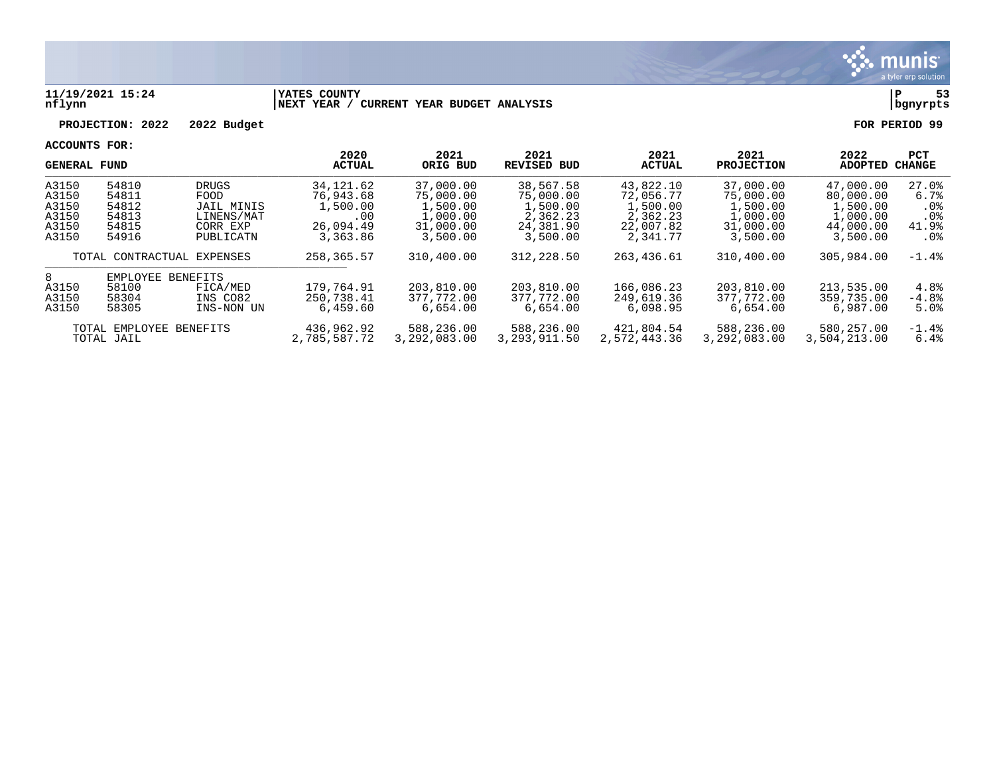

### **11/19/2021 15:24 |YATES COUNTY |P 53 nflynn |NEXT YEAR / CURRENT YEAR BUDGET ANALYSIS |bgnyrpts**

**PROJECTION: 2022 2022 Budget FOR PERIOD 99**

| <b>GENERAL FUND</b>                                                                                                   |                                                                                                                                 |                            | 2020<br><b>ACTUAL</b>                                               | 2021<br>ORIG BUD                                                        | 2021<br><b>REVISED BUD</b>                                              | 2021<br><b>ACTUAL</b>                                                   | 2021<br><b>PROJECTION</b>                                               | 2022<br><b>ADOPTED</b>                                                  | <b>PCT</b><br>CHANGE                                              |
|-----------------------------------------------------------------------------------------------------------------------|---------------------------------------------------------------------------------------------------------------------------------|----------------------------|---------------------------------------------------------------------|-------------------------------------------------------------------------|-------------------------------------------------------------------------|-------------------------------------------------------------------------|-------------------------------------------------------------------------|-------------------------------------------------------------------------|-------------------------------------------------------------------|
| A3150<br>A3150<br>A3150<br>A3150<br>A3150<br>A3150                                                                    | 54810<br><b>DRUGS</b><br>54811<br>FOOD<br>54812<br>JAIL MINIS<br>54813<br>LINENS/MAT<br>54815<br>CORR EXP<br>PUBLICATN<br>54916 |                            | 34, 121.62<br>76,943.68<br>1,500.00<br>.00<br>26,094.49<br>3,363.86 | 37,000.00<br>75,000.00<br>1,500.00<br>1,000.00<br>31,000.00<br>3,500.00 | 38,567.58<br>75,000.00<br>1,500.00<br>2,362.23<br>24,381.90<br>3,500.00 | 43,822.10<br>72,056.77<br>1,500.00<br>2,362.23<br>22,007.82<br>2,341.77 | 37,000.00<br>75,000.00<br>1,500.00<br>1,000.00<br>31,000.00<br>3,500.00 | 47,000.00<br>80,000.00<br>1,500.00<br>1,000.00<br>44,000.00<br>3,500.00 | $27.0$ $%$<br>6.7%<br>. 0 %<br>.0 <sub>8</sub><br>41.9%<br>$.0\%$ |
| TOTAL CONTRACTUAL EXPENSES                                                                                            |                                                                                                                                 | 258, 365.57                | 310,400.00                                                          | 312, 228.50                                                             | 263,436.61                                                              | 310,400.00                                                              | 305,984.00                                                              | $-1.4\%$                                                                |                                                                   |
| 8<br>EMPLOYEE<br>BENEFITS<br>58100<br>A3150<br>FICA/MED<br>A3150<br>58304<br>INS CO82<br>A3150<br>58305<br>INS-NON UN |                                                                                                                                 |                            | 179,764.91<br>250,738.41<br>6.459.60                                | 203,810.00<br>377,772.00<br>6.654.00                                    | 203,810.00<br>377,772.00<br>6.654.00                                    | 166,086.23<br>249,619.36<br>6.098.95                                    | 203,810.00<br>377,772.00<br>6.654.00                                    | 213,535.00<br>359,735.00<br>6,987.00                                    | 4.8%<br>$-4.8%$<br>5.0%                                           |
| TOTAL EMPLOYEE<br>BENEFITS<br>TOTAL JAIL                                                                              |                                                                                                                                 | 436,962.92<br>2,785,587.72 | 588,236.00<br>3,292,083.00                                          | 588,236.00<br>3, 293, 911.50                                            | 421,804.54<br>2,572,443.36                                              | 588,236.00<br>3,292,083.00                                              | 580,257.00<br>3,504,213.00                                              | $-1.4\%$<br>6.4%                                                        |                                                                   |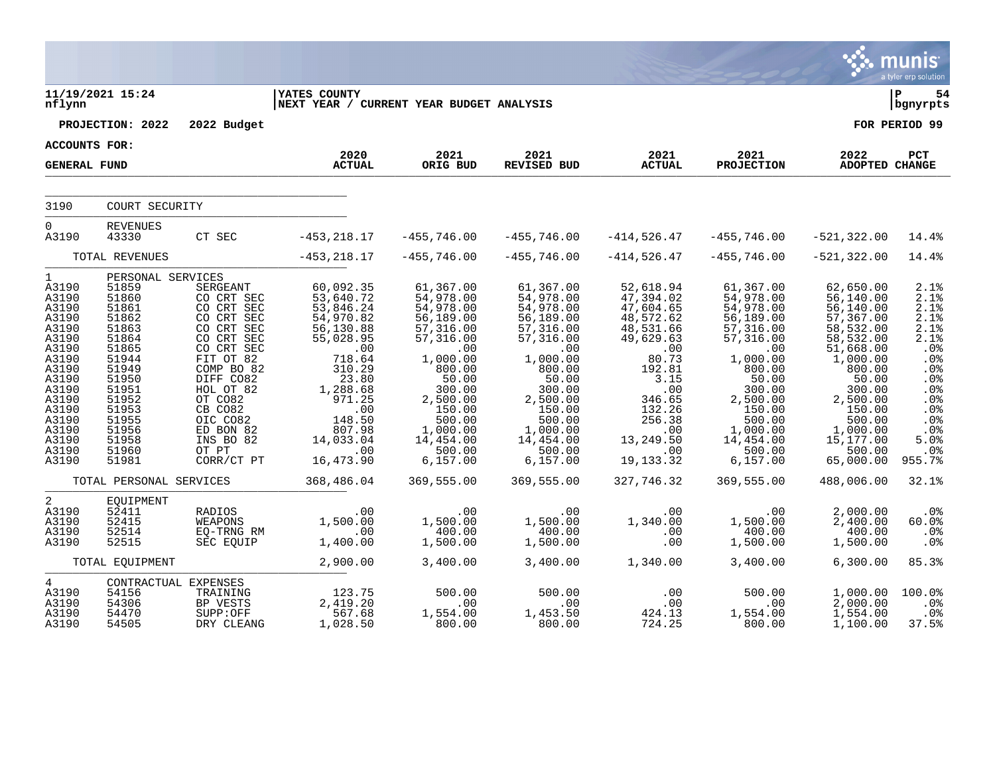|                                                                                                                                                                     |                                                                                                                                                                                     |                                                                                                                                                                                                                                      |                                                                                                                                                                                                  |                                                                                                                                                                                                           |                                                                                                                                                                                                           |                                                                                                                                                                                             |                                                                                                                                                                                                            |                                                                                                                                                                                                                  | munis<br>a tyler erp solution                                                                                                                    |
|---------------------------------------------------------------------------------------------------------------------------------------------------------------------|-------------------------------------------------------------------------------------------------------------------------------------------------------------------------------------|--------------------------------------------------------------------------------------------------------------------------------------------------------------------------------------------------------------------------------------|--------------------------------------------------------------------------------------------------------------------------------------------------------------------------------------------------|-----------------------------------------------------------------------------------------------------------------------------------------------------------------------------------------------------------|-----------------------------------------------------------------------------------------------------------------------------------------------------------------------------------------------------------|---------------------------------------------------------------------------------------------------------------------------------------------------------------------------------------------|------------------------------------------------------------------------------------------------------------------------------------------------------------------------------------------------------------|------------------------------------------------------------------------------------------------------------------------------------------------------------------------------------------------------------------|--------------------------------------------------------------------------------------------------------------------------------------------------|
| nflynn                                                                                                                                                              | 11/19/2021 15:24                                                                                                                                                                    |                                                                                                                                                                                                                                      | <b>IYATES COUNTY</b><br>NEXT YEAR / CURRENT YEAR BUDGET ANALYSIS                                                                                                                                 |                                                                                                                                                                                                           |                                                                                                                                                                                                           |                                                                                                                                                                                             |                                                                                                                                                                                                            |                                                                                                                                                                                                                  | Þ<br>54<br>bgnyrpts                                                                                                                              |
|                                                                                                                                                                     | PROJECTION: 2022                                                                                                                                                                    | 2022 Budget                                                                                                                                                                                                                          |                                                                                                                                                                                                  |                                                                                                                                                                                                           |                                                                                                                                                                                                           |                                                                                                                                                                                             |                                                                                                                                                                                                            |                                                                                                                                                                                                                  | FOR PERIOD 99                                                                                                                                    |
| ACCOUNTS FOR:                                                                                                                                                       |                                                                                                                                                                                     |                                                                                                                                                                                                                                      |                                                                                                                                                                                                  |                                                                                                                                                                                                           |                                                                                                                                                                                                           |                                                                                                                                                                                             |                                                                                                                                                                                                            |                                                                                                                                                                                                                  |                                                                                                                                                  |
| <b>GENERAL FUND</b>                                                                                                                                                 |                                                                                                                                                                                     |                                                                                                                                                                                                                                      | 2020<br><b>ACTUAL</b>                                                                                                                                                                            | 2021<br>ORIG BUD                                                                                                                                                                                          | 2021<br><b>REVISED BUD</b>                                                                                                                                                                                | 2021<br><b>ACTUAL</b>                                                                                                                                                                       | 2021<br><b>PROJECTION</b>                                                                                                                                                                                  | 2022<br><b>ADOPTED CHANGE</b>                                                                                                                                                                                    | PCT                                                                                                                                              |
| 3190                                                                                                                                                                | COURT SECURITY                                                                                                                                                                      |                                                                                                                                                                                                                                      |                                                                                                                                                                                                  |                                                                                                                                                                                                           |                                                                                                                                                                                                           |                                                                                                                                                                                             |                                                                                                                                                                                                            |                                                                                                                                                                                                                  |                                                                                                                                                  |
| $\overline{0}$<br>A3190                                                                                                                                             | <b>REVENUES</b><br>43330                                                                                                                                                            | CT SEC                                                                                                                                                                                                                               | $-453, 218.17$                                                                                                                                                                                   | $-455,746.00$                                                                                                                                                                                             | $-455,746.00$                                                                                                                                                                                             | -414,526.47                                                                                                                                                                                 | $-455,746.00$                                                                                                                                                                                              | $-521, 322.00$                                                                                                                                                                                                   | 14.4%                                                                                                                                            |
|                                                                                                                                                                     | TOTAL REVENUES                                                                                                                                                                      |                                                                                                                                                                                                                                      | $-453, 218.17$                                                                                                                                                                                   | $-455,746.00$                                                                                                                                                                                             | $-455,746.00$                                                                                                                                                                                             | $-414,526.47$                                                                                                                                                                               | $-455,746.00$                                                                                                                                                                                              | $-521, 322.00$                                                                                                                                                                                                   | 14.4%                                                                                                                                            |
| 1<br>A3190<br>A3190<br>A3190<br>A3190<br>A3190<br>A3190<br>A3190<br>A3190<br>A3190<br>A3190<br>A3190<br>A3190<br>A3190<br>A3190<br>A3190<br>A3190<br>A3190<br>A3190 | PERSONAL SERVICES<br>51859<br>51860<br>51861<br>51862<br>51863<br>51864<br>51865<br>51944<br>51949<br>51950<br>51951<br>51952<br>51953<br>51955<br>51956<br>51958<br>51960<br>51981 | SERGEANT<br>CO CRT SEC<br>CO CRT SEC<br>CO CRT SEC<br>CO CRT SEC<br>CO CRT SEC<br>CO CRT SEC<br>FIT OT 82<br>COMP BO 82<br>DIFF CO82<br>HOL OT 82<br>OT CO82<br>CB CO82<br>OIC CO82<br>ED BON 82<br>INS BO 82<br>OT PT<br>CORR/CT PT | 60,092.35<br>53,640.72<br>53,846.24<br>54,970.82<br>56,130.88<br>55,028.95<br>.00<br>718.64<br>310.29<br>23.80<br>1,288.68<br>971.25<br>.00<br>148.50<br>807.98<br>14,033.04<br>.00<br>16,473.90 | 61,367.00<br>54,978.00<br>54,978.00<br>56,189.00<br>57,316.00<br>57,316.00<br>.00<br>1,000.00<br>800.00<br>50.00<br>300.00<br>2,500.00<br>150.00<br>500.00<br>1,000.00<br>14,454.00<br>500.00<br>6,157.00 | 61,367.00<br>54,978.00<br>54,978.00<br>56,189.00<br>57,316.00<br>57,316.00<br>.00<br>1,000.00<br>800.00<br>50.00<br>300.00<br>2,500.00<br>150.00<br>500.00<br>1,000.00<br>14,454.00<br>500.00<br>6,157.00 | 52,618.94<br>47,394.02<br>47,604.65<br>48,572.62<br>48,531.66<br>49,629.63<br>.00<br>80.73<br>192.81<br>3.15<br>.00<br>346.65<br>132.26<br>256.38<br>.00<br>13,249.50<br>.00<br>19, 133. 32 | 61,367.00<br>54,978.00<br>54,978.00<br>56,189.00<br>57,316.00<br>57,316.00<br>.00<br>1,000.00<br>800.00<br>50.00<br>300.00<br>2,500.00<br>150.00<br>500.00<br>1,000.00<br>14,454.00<br>500.00<br>6, 157.00 | 62,650.00<br>56,140.00<br>56,140.00<br>57,367.00<br>58,532.00<br>58,532.00<br>51,668.00<br>1,000.00<br>800.00<br>50.00<br>300.00<br>2,500.00<br>150.00<br>500.00<br>1,000.00<br>15,177.00<br>500.00<br>65,000.00 | 2.1%<br>2.1%<br>2.1%<br>2.1%<br>2.1%<br>2.1%<br>.0%<br>.0%<br>.0%<br>.0%<br>.0%<br>.0%<br>.0%<br>.0%<br>.0%<br>5.0%<br>.0 <sub>8</sub><br>955.7% |
|                                                                                                                                                                     | TOTAL PERSONAL SERVICES                                                                                                                                                             |                                                                                                                                                                                                                                      | 368,486.04                                                                                                                                                                                       | 369,555.00                                                                                                                                                                                                | 369,555.00                                                                                                                                                                                                | 327,746.32                                                                                                                                                                                  | 369,555.00                                                                                                                                                                                                 | 488,006.00                                                                                                                                                                                                       | 32.1%                                                                                                                                            |
| 2<br>A3190<br>A3190<br>A3190<br>A3190                                                                                                                               | EQUIPMENT<br>52411<br>52415<br>52514<br>52515                                                                                                                                       | RADIOS<br>WEAPONS<br>EQ-TRNG RM<br>SEC EQUIP                                                                                                                                                                                         | .00<br>1,500.00<br>.00<br>1,400.00                                                                                                                                                               | .00<br>1,500.00<br>400.00<br>1,500.00                                                                                                                                                                     | .00<br>1,500.00<br>400.00<br>1,500.00                                                                                                                                                                     | .00<br>1,340.00<br>.00<br>.00                                                                                                                                                               | .00<br>1,500.00<br>400.00<br>1,500.00                                                                                                                                                                      | 2,000.00<br>2,400.00<br>400.00<br>1,500.00                                                                                                                                                                       | .0%<br>60.0%<br>.0%<br>$.0\%$                                                                                                                    |
|                                                                                                                                                                     | TOTAL EQUIPMENT                                                                                                                                                                     |                                                                                                                                                                                                                                      | 2,900.00                                                                                                                                                                                         | 3,400.00                                                                                                                                                                                                  | 3,400.00                                                                                                                                                                                                  | 1,340.00                                                                                                                                                                                    | 3,400.00                                                                                                                                                                                                   | 6,300.00                                                                                                                                                                                                         | 85.3%                                                                                                                                            |
| $4\overline{ }$<br>A3190<br>A3190<br>A3190<br>A3190                                                                                                                 | 54156<br>54306<br>54470<br>54505                                                                                                                                                    | CONTRACTUAL EXPENSES<br>TRAINING<br>BP VESTS<br>SUPP:OFF<br>DRY CLEANG                                                                                                                                                               | 123.75<br>2,419.20<br>567.68<br>1,028.50                                                                                                                                                         | 500.00<br>.00<br>1,554.00<br>800.00                                                                                                                                                                       | 500.00<br>.00<br>1,453.50<br>800.00                                                                                                                                                                       | .00<br>.00<br>424.13<br>724.25                                                                                                                                                              | 500.00<br>.00<br>1,554.00<br>800.00                                                                                                                                                                        | 1,000.00<br>2,000.00<br>1,554.00<br>1,100.00                                                                                                                                                                     | 100.0%<br>.0%<br>.0%<br>37.5%                                                                                                                    |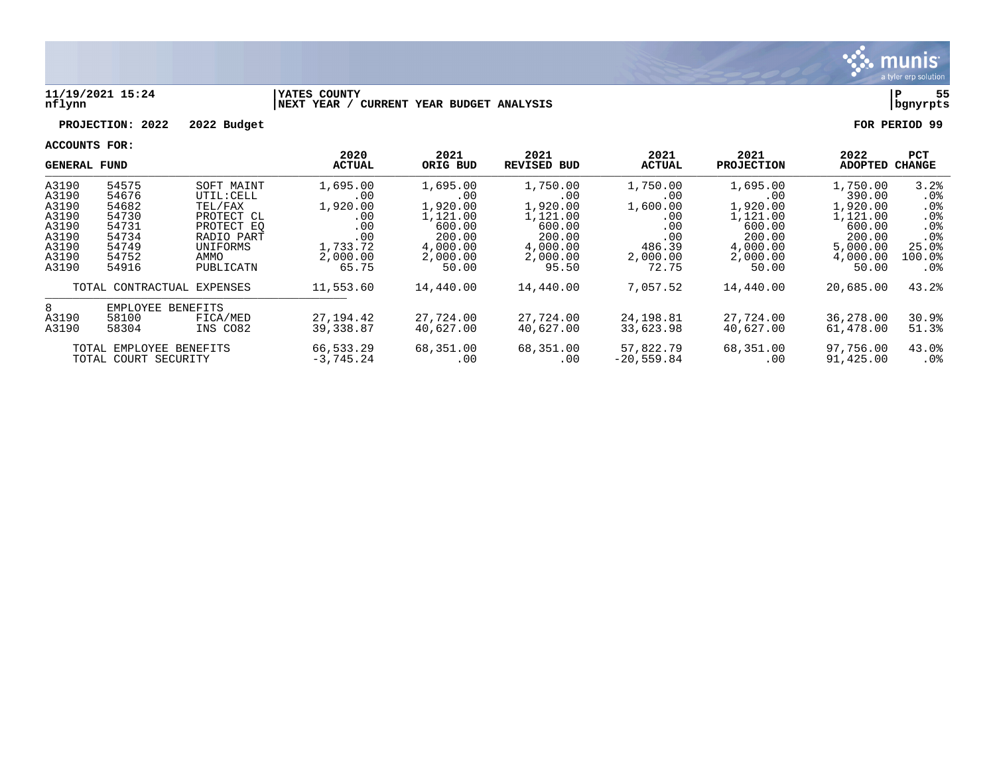

### **11/19/2021 15:24 |YATES COUNTY |P 55 nflynn |NEXT YEAR / CURRENT YEAR BUDGET ANALYSIS |bgnyrpts**

# **PROJECTION: 2022 2022 Budget FOR PERIOD 99**

|                              | <b>GENERAL FUND</b>     |            | 2020<br><b>ACTUAL</b> | 2021<br>ORIG BUD | 2021<br><b>REVISED BUD</b> | 2021<br><b>ACTUAL</b> | 2021<br><b>PROJECTION</b> | 2022<br><b>ADOPTED</b> | PCT<br><b>CHANGE</b> |
|------------------------------|-------------------------|------------|-----------------------|------------------|----------------------------|-----------------------|---------------------------|------------------------|----------------------|
| A3190                        | 54575                   | SOFT MAINT | 1,695.00              | 1,695.00         | 1,750.00                   | 1,750.00              | 1,695.00                  | 1,750.00               | 3.2%                 |
| A3190                        | 54676                   | UTIL: CELL | .00                   | .00              | .00                        | .00                   | .00                       | 390.00                 | $.0\%$               |
| A3190                        | 54682                   | TEL/FAX    | 1,920.00              | 1,920.00         | 1,920.00                   | 1,600.00              | 1,920.00                  | 1,920.00               | .0%                  |
| A3190                        | 54730                   | PROTECT CL | .00                   | 1,121.00         | 1,121.00                   | .00                   | 1,121.00                  | 1,121.00               | .0%                  |
| A3190<br>54731<br>PROTECT EO |                         | .00        | 600.00                | 600.00           | .00                        | 600.00                | 600.00                    | .0 <sub>8</sub>        |                      |
| A3190                        | 54734                   | RADIO PART | .00                   | 200.00           | 200.00                     | .00                   | 200.00                    | 200.00                 | .0 <sub>8</sub>      |
| A3190                        | 54749                   | UNIFORMS   | 1,733.72              | 4,000.00         | 4,000.00                   | 486.39                | 4,000.00                  | 5,000.00               | 25.0%                |
| A3190                        | 54752                   | AMMO       | 2,000.00              | 2,000.00         | 2,000.00                   | 2,000.00              | 2,000.00                  | 4,000.00               | 100.0%               |
| A3190                        | 54916                   | PUBLICATN  | 65.75                 | 50.00            | 95.50                      | 72.75                 | 50.00                     | 50.00                  | .0%                  |
| TOTAL CONTRACTUAL EXPENSES   |                         | 11,553.60  | 14,440.00             | 14,440.00        | 7,057.52                   | 14,440.00             | 20,685.00                 | 43.2%                  |                      |
| 8                            | EMPLOYEE                | BENEFITS   |                       |                  |                            |                       |                           |                        |                      |
| A3190                        | 58100<br>FICA/MED       |            | 27, 194. 42           | 27,724.00        | 27,724.00                  | 24,198.81             | 27,724.00                 | 36,278.00              | 30.9%                |
| A3190                        | 58304                   | INS CO82   | 39,338.87             | 40,627.00        | 40,627.00                  | 33,623.98             | 40,627.00                 | 61,478.00              | 51.3%                |
|                              | TOTAL EMPLOYEE BENEFITS |            | 66,533.29             | 68,351.00        | 68,351.00                  | 57,822.79             | 68,351.00                 | 97,756.00              | 43.0%                |
|                              | TOTAL COURT SECURITY    |            | $-3,745.24$           | .00              | .00                        | $-20,559.84$          | .00                       | 91,425.00              | $.0\%$               |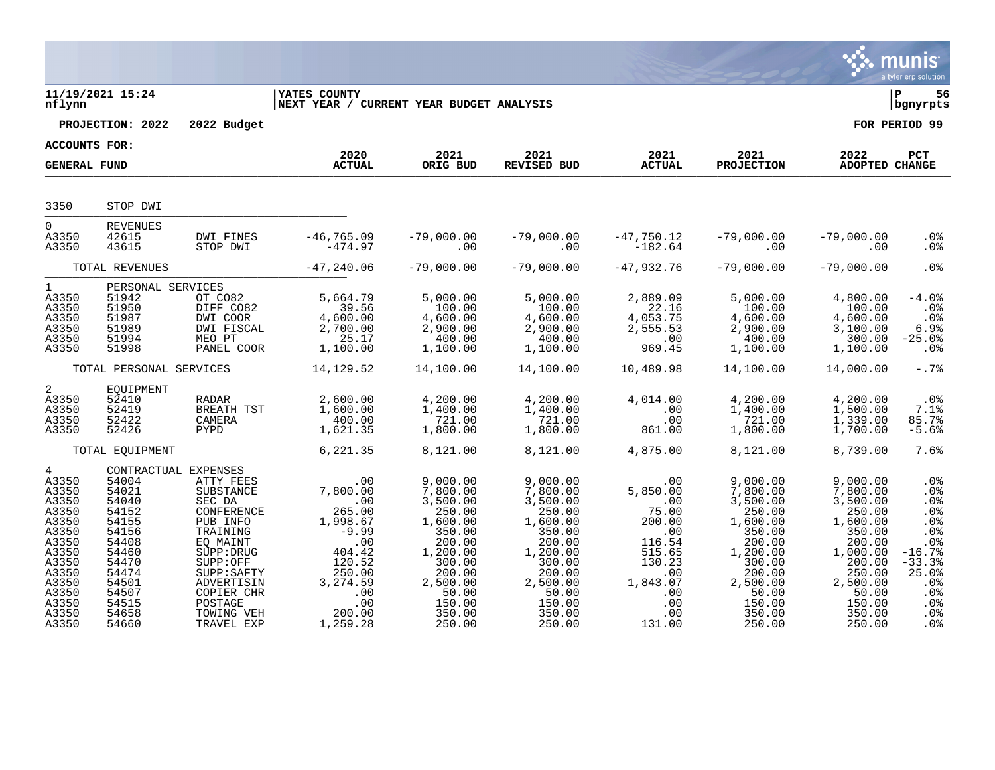|                                                                                                                                                       |                                                                                                                                     |                                                                                                                                                                                                                        |                                                                                                                                              |                                                                                                                                                               |                                                                                                                                                               |                                                                                                                                  |                                                                                                                                                               |                                                                                                                                                               | munis<br>a tyler erp solution                                                                                                                         |
|-------------------------------------------------------------------------------------------------------------------------------------------------------|-------------------------------------------------------------------------------------------------------------------------------------|------------------------------------------------------------------------------------------------------------------------------------------------------------------------------------------------------------------------|----------------------------------------------------------------------------------------------------------------------------------------------|---------------------------------------------------------------------------------------------------------------------------------------------------------------|---------------------------------------------------------------------------------------------------------------------------------------------------------------|----------------------------------------------------------------------------------------------------------------------------------|---------------------------------------------------------------------------------------------------------------------------------------------------------------|---------------------------------------------------------------------------------------------------------------------------------------------------------------|-------------------------------------------------------------------------------------------------------------------------------------------------------|
| nflynn                                                                                                                                                | 11/19/2021 15:24                                                                                                                    |                                                                                                                                                                                                                        | <b>IYATES COUNTY</b><br>NEXT YEAR / CURRENT YEAR BUDGET ANALYSIS                                                                             |                                                                                                                                                               |                                                                                                                                                               |                                                                                                                                  |                                                                                                                                                               |                                                                                                                                                               | ∣ P<br>56<br>bgnyrpts                                                                                                                                 |
|                                                                                                                                                       | PROJECTION: 2022                                                                                                                    | 2022 Budget                                                                                                                                                                                                            |                                                                                                                                              |                                                                                                                                                               |                                                                                                                                                               |                                                                                                                                  |                                                                                                                                                               |                                                                                                                                                               | FOR PERIOD 99                                                                                                                                         |
| ACCOUNTS FOR:                                                                                                                                         |                                                                                                                                     |                                                                                                                                                                                                                        | 2020                                                                                                                                         | 2021                                                                                                                                                          | 2021                                                                                                                                                          | 2021                                                                                                                             |                                                                                                                                                               | 2022                                                                                                                                                          | PCT                                                                                                                                                   |
| <b>GENERAL FUND</b>                                                                                                                                   |                                                                                                                                     |                                                                                                                                                                                                                        | <b>ACTUAL</b>                                                                                                                                | ORIG BUD                                                                                                                                                      | REVISED BUD                                                                                                                                                   | <b>ACTUAL</b>                                                                                                                    | 2021<br><b>PROJECTION</b>                                                                                                                                     | <b>ADOPTED CHANGE</b>                                                                                                                                         |                                                                                                                                                       |
| 3350                                                                                                                                                  | STOP DWI                                                                                                                            |                                                                                                                                                                                                                        |                                                                                                                                              |                                                                                                                                                               |                                                                                                                                                               |                                                                                                                                  |                                                                                                                                                               |                                                                                                                                                               |                                                                                                                                                       |
| $\Omega$<br>A3350<br>A3350                                                                                                                            | <b>REVENUES</b><br>42615<br>43615                                                                                                   | DWI FINES<br>STOP DWI                                                                                                                                                                                                  | $-46, 765.09$<br>$-474.97$                                                                                                                   | $-79,000.00$<br>.00                                                                                                                                           | $-79,000.00$<br>.00                                                                                                                                           | -47,750.12<br>182.64-                                                                                                            | $-79,000.00$<br>.00                                                                                                                                           | $-79,000.00$<br>.00                                                                                                                                           | . 0 %<br>.0 <sub>8</sub>                                                                                                                              |
|                                                                                                                                                       | TOTAL REVENUES                                                                                                                      |                                                                                                                                                                                                                        | $-47,240.06$                                                                                                                                 | $-79,000.00$                                                                                                                                                  | $-79,000.00$                                                                                                                                                  | $-47,932.76$                                                                                                                     | $-79,000.00$                                                                                                                                                  | $-79,000.00$                                                                                                                                                  | .0%                                                                                                                                                   |
| $\mathbf{1}$<br>A3350<br>A3350<br>A3350<br>A3350<br>A3350<br>A3350                                                                                    | PERSONAL SERVICES<br>51942<br>51950<br>51987<br>51989<br>51994<br>51998                                                             | OT CO82<br>DIFF CO82<br>DWI COOR<br>DWI FISCAL<br>MEO PT<br>PANEL COOR                                                                                                                                                 | 5,664.79<br>39.56<br>4,600.00<br>2,700.00<br>25.17<br>1,100.00                                                                               | 5,000.00<br>100.00<br>4,600.00<br>2,900.00<br>400.00<br>1,100.00                                                                                              | 5,000.00<br>100.00<br>4,600.00<br>2,900.00<br>400.00<br>1,100.00                                                                                              | 2,889.09<br>22.16<br>4,053.75<br>2,555.53<br>.00<br>969.45                                                                       | 5,000.00<br>100.00<br>4,600.00<br>2,900.00<br>400.00<br>1,100.00                                                                                              | 4,800.00<br>100.00<br>4,600.00<br>3,100.00<br>300.00<br>1,100.00                                                                                              | $-4.0%$<br>.0 <sub>8</sub><br>$.0\%$<br>6.9%<br>$-25.0%$<br>$.0\%$                                                                                    |
|                                                                                                                                                       | TOTAL PERSONAL SERVICES                                                                                                             |                                                                                                                                                                                                                        | 14,129.52                                                                                                                                    | 14,100.00                                                                                                                                                     | 14,100.00                                                                                                                                                     | 10,489.98                                                                                                                        | 14,100.00                                                                                                                                                     | 14,000.00                                                                                                                                                     | $-0.7%$                                                                                                                                               |
| $\overline{a}$<br>A3350<br>A3350<br>A3350<br>A3350                                                                                                    | EQUIPMENT<br>52410<br>52419<br>52422<br>52426                                                                                       | RADAR<br>BREATH TST<br>CAMERA<br>PYPD                                                                                                                                                                                  | 2,600.00<br>1,600.00<br>400.00<br>1,621.35                                                                                                   | 4,200.00<br>1,400.00<br>721.00<br>1,800.00                                                                                                                    | 4,200.00<br>1,400.00<br>721.00<br>1,800.00                                                                                                                    | 4,014.00<br>.00<br>.00<br>861.00                                                                                                 | 4,200.00<br>1,400.00<br>721.00<br>1,800.00                                                                                                                    | 4,200.00<br>1,500.00<br>1,339.00<br>1,700.00                                                                                                                  | $.0\%$<br>7.1%<br>85.7%<br>$-5.6%$                                                                                                                    |
|                                                                                                                                                       | TOTAL EQUIPMENT                                                                                                                     |                                                                                                                                                                                                                        | 6,221.35                                                                                                                                     | 8,121.00                                                                                                                                                      | 8,121.00                                                                                                                                                      | 4,875.00                                                                                                                         | 8,121.00                                                                                                                                                      | 8,739.00                                                                                                                                                      | 7.6%                                                                                                                                                  |
| $\overline{4}$<br>A3350<br>A3350<br>A3350<br>A3350<br>A3350<br>A3350<br>A3350<br>A3350<br>A3350<br>A3350<br>A3350<br>A3350<br>A3350<br>A3350<br>A3350 | 54004<br>54021<br>54040<br>54152<br>54155<br>54156<br>54408<br>54460<br>54470<br>54474<br>54501<br>54507<br>54515<br>54658<br>54660 | CONTRACTUAL EXPENSES<br>ATTY FEES<br>SUBSTANCE<br>SEC DA<br>CONFERENCE<br>PUB INFO<br>TRAINING<br>EQ MAINT<br>SUPP: DRUG<br>SUPP:OFF<br>SUPP: SAFTY<br>ADVERTISIN<br>COPIER CHR<br>POSTAGE<br>TOWING VEH<br>TRAVEL EXP | .00<br>7,800.00<br>.00<br>265.00<br>1,998.67<br>$-9.99$<br>.00<br>404.42<br>120.52<br>250.00<br>3,274.59<br>.00<br>.00<br>200.00<br>1,259.28 | 9,000.00<br>7,800.00<br>3,500.00<br>250.00<br>1,600.00<br>350.00<br>200.00<br>1,200.00<br>300.00<br>200.00<br>2,500.00<br>50.00<br>150.00<br>350.00<br>250.00 | 9,000.00<br>7,800.00<br>3,500.00<br>250.00<br>1,600.00<br>350.00<br>200.00<br>1,200.00<br>300.00<br>200.00<br>2,500.00<br>50.00<br>150.00<br>350.00<br>250.00 | .00<br>5,850.00<br>.00<br>75.00<br>200.00<br>.00<br>116.54<br>515.65<br>130.23<br>.00<br>1,843.07<br>.00<br>.00<br>.00<br>131.00 | 9,000.00<br>7,800.00<br>3,500.00<br>250.00<br>1,600.00<br>350.00<br>200.00<br>1,200.00<br>300.00<br>200.00<br>2,500.00<br>50.00<br>150.00<br>350.00<br>250.00 | 9,000.00<br>7,800.00<br>3,500.00<br>250.00<br>1,600.00<br>350.00<br>200.00<br>1,000.00<br>200.00<br>250.00<br>2,500.00<br>50.00<br>150.00<br>350.00<br>250.00 | .0%<br>.0%<br>.0%<br>.0%<br>.0%<br>.0 <sub>8</sub><br>.0 <sup>8</sup><br>$-16.7%$<br>$-33.3%$<br>25.0%<br>.0%<br>.0 <sub>8</sub><br>.0%<br>.0%<br>.0% |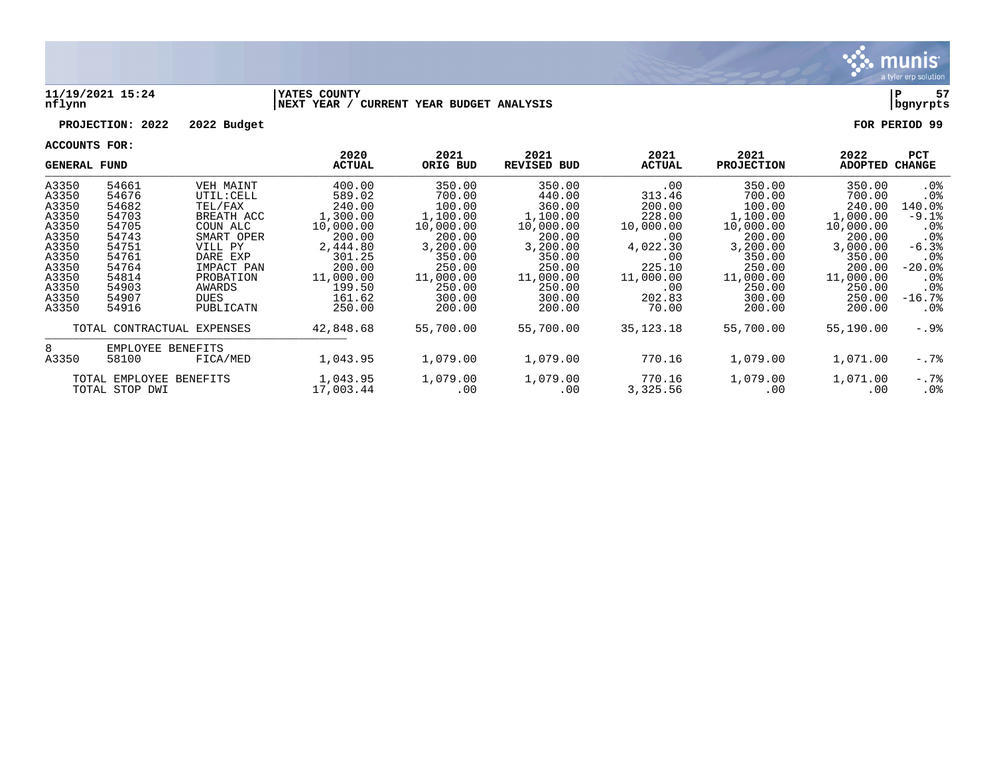

### **11/19/2021 15:24 |YATES COUNTY |P 57 nflynn |NEXT YEAR / CURRENT YEAR BUDGET ANALYSIS |bgnyrpts**

### **PROJECTION: 2022 2022 Budget FOR PERIOD 99**

|       | <b>GENERAL FUND</b>        |            | 2020<br><b>ACTUAL</b> | 2021<br>ORIG BUD | 2021<br><b>REVISED BUD</b> | 2021<br>ACTUAL | 2021<br><b>PROJECTION</b> | 2022<br><b>ADOPTED</b> | PCT<br><b>CHANGE</b> |
|-------|----------------------------|------------|-----------------------|------------------|----------------------------|----------------|---------------------------|------------------------|----------------------|
| A3350 | 54661                      | VEH MAINT  | 400.00                | 350.00           | 350.00                     | .00            | 350.00                    | 350.00                 | . 0 %                |
| A3350 | 54676                      | UTIL: CELL | 589.02                | 700.00           | 440.00                     | 313.46         | 700.00                    | 700.00                 | . 0 %                |
| A3350 | 54682                      | TEL/FAX    | 240.00                | 100.00           | 360.00                     | 200.00         | 100.00                    | 240.00                 | 140.0%               |
| A3350 | 54703                      | BREATH ACC | 1,300.00              | 1,100.00         | 1,100.00                   | 228.00         | 1,100.00                  | 1,000.00               | $-9.1%$              |
| A3350 | 54705                      | COUN ALC   | 10,000.00             | 10,000.00        | 10,000.00                  | 10,000.00      | 10,000.00                 | 10,000.00              | .0%                  |
| A3350 | 54743                      | SMART OPER | 200.00                | 200.00           | 200.00                     | .00            | 200.00                    | 200.00                 | .0%                  |
| A3350 | 54751                      | VILL PY    | 2,444.80              | 3,200.00         | 3,200.00                   | 4,022.30       | 3,200.00                  | 3,000.00               | $-6.3%$              |
| A3350 | 54761                      | DARE EXP   | 301.25                | 350.00           | 350.00                     | .00            | 350.00                    | 350.00                 | .0 <sub>8</sub>      |
| A3350 | 54764                      | IMPACT PAN | 200.00                | 250.00           | 250.00                     | 225.10         | 250.00                    | 200.00                 | $-20.0$ °            |
| A3350 | 54814                      | PROBATION  | 11,000.00             | 11,000.00        | 11,000.00                  | 11,000.00      | 11,000.00                 | 11,000.00              | . 0 %                |
| A3350 | 54903                      | AWARDS     | 199.50                | 250.00           | 250.00                     | .00            | 250.00                    | 250.00                 | .0 <sub>8</sub>      |
| A3350 | 54907                      | DUES       | 161.62                | 300.00           | 300.00                     | 202.83         | 300.00                    | 250.00                 | $-16.7%$             |
| A3350 | 54916                      | PUBLICATN  | 250.00                | 200.00           | 200.00                     | 70.00          | 200.00                    | 200.00                 | $.0\%$               |
|       | TOTAL CONTRACTUAL EXPENSES |            | 42,848.68             | 55,700.00        | 55,700.00                  | 35, 123. 18    | 55,700.00                 | 55,190.00              | -.9%                 |
| 8     | EMPLOYEE BENEFITS          |            |                       |                  |                            |                |                           |                        |                      |
| A3350 | 58100                      | FICA/MED   | 1,043.95              | 1,079.00         | 1,079.00                   | 770.16         | 1,079.00                  | 1,071.00               | $-.7%$               |
|       | TOTAL EMPLOYEE BENEFITS    |            | 1,043.95              | 1,079.00         | 1,079.00                   | 770.16         | 1,079.00                  | 1,071.00               | $-.7\$               |
|       | TOTAL STOP DWI             |            | 17,003.44             | .00              | .00                        | 3,325.56       | .00                       | .00                    | $.0\%$               |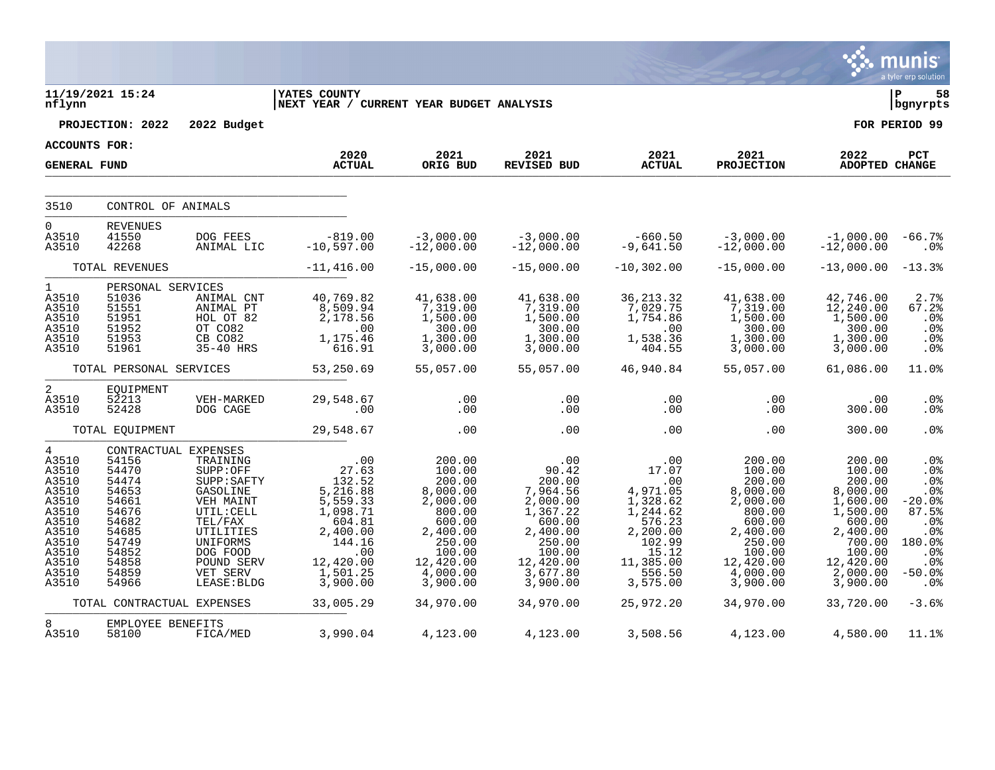|                                                                                                                                     |                                                                                                                                           |                                                                                                                                                                     |                                                                                                                                             |                                                                                                                                             |                                                                                                                                           |                                                                                                                                     |                                                                                                                                             |                                                                                                                                               | a tyler erp solution                                                                                   |
|-------------------------------------------------------------------------------------------------------------------------------------|-------------------------------------------------------------------------------------------------------------------------------------------|---------------------------------------------------------------------------------------------------------------------------------------------------------------------|---------------------------------------------------------------------------------------------------------------------------------------------|---------------------------------------------------------------------------------------------------------------------------------------------|-------------------------------------------------------------------------------------------------------------------------------------------|-------------------------------------------------------------------------------------------------------------------------------------|---------------------------------------------------------------------------------------------------------------------------------------------|-----------------------------------------------------------------------------------------------------------------------------------------------|--------------------------------------------------------------------------------------------------------|
| nflynn                                                                                                                              | 11/19/2021 15:24                                                                                                                          |                                                                                                                                                                     | <b>YATES COUNTY</b><br>NEXT YEAR / CURRENT YEAR BUDGET ANALYSIS                                                                             |                                                                                                                                             |                                                                                                                                           |                                                                                                                                     |                                                                                                                                             |                                                                                                                                               | ∣ P<br>58<br>  bgnyrpts                                                                                |
|                                                                                                                                     | PROJECTION: 2022                                                                                                                          | 2022 Budget                                                                                                                                                         |                                                                                                                                             |                                                                                                                                             |                                                                                                                                           |                                                                                                                                     |                                                                                                                                             |                                                                                                                                               | FOR PERIOD 99                                                                                          |
| <b>ACCOUNTS FOR:</b>                                                                                                                |                                                                                                                                           |                                                                                                                                                                     | 2020                                                                                                                                        | 2021                                                                                                                                        | 2021                                                                                                                                      | 2021                                                                                                                                | 2021                                                                                                                                        | 2022                                                                                                                                          | PCT                                                                                                    |
| <b>GENERAL FUND</b>                                                                                                                 |                                                                                                                                           |                                                                                                                                                                     | <b>ACTUAL</b>                                                                                                                               | ORIG BUD                                                                                                                                    | REVISED BUD                                                                                                                               | <b>ACTUAL</b>                                                                                                                       | <b>PROJECTION</b>                                                                                                                           | <b>ADOPTED CHANGE</b>                                                                                                                         |                                                                                                        |
| 3510                                                                                                                                | CONTROL OF ANIMALS                                                                                                                        |                                                                                                                                                                     |                                                                                                                                             |                                                                                                                                             |                                                                                                                                           |                                                                                                                                     |                                                                                                                                             |                                                                                                                                               |                                                                                                        |
| $\Omega$<br>A3510<br>A3510                                                                                                          | <b>REVENUES</b><br>41550<br>42268                                                                                                         | DOG FEES<br>ANIMAL LIC                                                                                                                                              | $-819.00$<br>$-10,597.00$                                                                                                                   | $-3,000.00$<br>$-12,000.00$                                                                                                                 | $-3,000.00$<br>$-12,000.00$                                                                                                               | $-660.50$<br>-9,641.50                                                                                                              | $-3,000.00$<br>$-12,000.00$                                                                                                                 | $-1,000.00$<br>$-12,000.00$                                                                                                                   | $-66.7%$<br>.0 <sub>8</sub>                                                                            |
|                                                                                                                                     | TOTAL REVENUES                                                                                                                            |                                                                                                                                                                     | $-11,416.00$                                                                                                                                | $-15,000.00$                                                                                                                                | $-15,000.00$                                                                                                                              | $-10,302.00$                                                                                                                        | $-15,000.00$                                                                                                                                | $-13,000.00$                                                                                                                                  | $-13.3%$                                                                                               |
| $\mathbf{1}$<br>A3510<br>A3510<br>A3510<br>A3510<br>A3510<br>A3510                                                                  | PERSONAL SERVICES<br>51036<br>51551<br>51951<br>51952<br>51953<br>51961                                                                   | ANIMAL CNT<br>ANIMAL PT<br>HOL OT 82<br>OT CO82<br>CB CO82<br>35-40 HRS                                                                                             | 40,769.82<br>8,509.94<br>2,178.56<br>.00<br>1,175.46<br>616.91                                                                              | 41,638.00<br>7,319.00<br>1,500.00<br>300.00<br>1,300.00<br>3,000.00                                                                         | 41,638.00<br>7,319.00<br>1,500.00<br>300.00<br>1,300.00<br>3,000.00                                                                       | 36, 213.32<br>7,029.75<br>1,754.86<br>.00<br>1,538.36<br>404.55                                                                     | 41,638.00<br>7,319.00<br>1,500.00<br>300.00<br>1,300.00<br>3,000.00                                                                         | 42,746.00<br>12,240.00<br>1,500.00<br>300.00<br>1,300.00<br>3,000.00                                                                          | 2.7%<br>67.2%<br>.0%<br>.0%<br>.0%<br>.0%                                                              |
|                                                                                                                                     | TOTAL PERSONAL SERVICES                                                                                                                   |                                                                                                                                                                     | 53,250.69                                                                                                                                   | 55,057.00                                                                                                                                   | 55,057.00                                                                                                                                 | 46,940.84                                                                                                                           | 55,057.00                                                                                                                                   | 61,086.00                                                                                                                                     | 11.0%                                                                                                  |
| 2<br>A3510<br>A3510                                                                                                                 | EQUIPMENT<br>52213<br>52428                                                                                                               | VEH-MARKED<br>DOG CAGE                                                                                                                                              | 29,548.67<br>.00                                                                                                                            | .00<br>.00                                                                                                                                  | .00<br>.00                                                                                                                                | .00<br>.00                                                                                                                          | .00<br>.00                                                                                                                                  | .00<br>300.00                                                                                                                                 | .0%<br>.0 <sub>8</sub>                                                                                 |
|                                                                                                                                     | TOTAL EQUIPMENT                                                                                                                           |                                                                                                                                                                     | 29,548.67                                                                                                                                   | .00                                                                                                                                         | .00                                                                                                                                       | .00                                                                                                                                 | .00                                                                                                                                         | 300.00                                                                                                                                        | .0 <sub>8</sub>                                                                                        |
| $\overline{4}$<br>A3510<br>A3510<br>A3510<br>A3510<br>A3510<br>A3510<br>A3510<br>A3510<br>A3510<br>A3510<br>A3510<br>A3510<br>A3510 | CONTRACTUAL EXPENSES<br>54156<br>54470<br>54474<br>54653<br>54661<br>54676<br>54682<br>54685<br>54749<br>54852<br>54858<br>54859<br>54966 | TRAINING<br>SUPP:OFF<br>SUPP: SAFTY<br>GASOLINE<br>VEH MAINT<br>UTIL: CELL<br>TEL/FAX<br>UTILITIES<br>UNIFORMS<br>DOG FOOD<br>POUND SERV<br>VET SERV<br>LEASE: BLDG | .00<br>27.63<br>132.52<br>5,216.88<br>5,559.33<br>1,098.71<br>604.81<br>2,400.00<br>144.16<br>$\,$ .00<br>12,420.00<br>1,501.25<br>3,900.00 | 200.00<br>100.00<br>200.00<br>8,000.00<br>2,000.00<br>800.00<br>600.00<br>2,400.00<br>250.00<br>100.00<br>12,420.00<br>4,000.00<br>3,900.00 | .00<br>90.42<br>200.00<br>7,964.56<br>2,000.00<br>1,367.22<br>600.00<br>2,400.00<br>250.00<br>100.00<br>12,420.00<br>3,677.80<br>3,900.00 | .00<br>17.07<br>.00<br>4,971.05<br>1,328.62<br>1,244.62<br>576.23<br>2,200.00<br>102.99<br>15.12<br>11,385.00<br>556.50<br>3,575.00 | 200.00<br>100.00<br>200.00<br>8,000.00<br>2,000.00<br>800.00<br>600.00<br>2,400.00<br>250.00<br>100.00<br>12,420.00<br>4,000.00<br>3,900.00 | 200.00<br>100.00<br>200.00<br>8,000.00<br>1,600.00<br>1,500.00<br>600.00<br>2,400.00<br>700.00<br>100.00<br>12,420.00<br>2,000.00<br>3,900.00 | .0%<br>.0%<br>.0%<br>.0%<br>$-20.0%$<br>87.5%<br>.0%<br>.0%<br>180.0%<br>.0%<br>.0%<br>$-50.0%$<br>.0% |
|                                                                                                                                     | TOTAL CONTRACTUAL EXPENSES                                                                                                                |                                                                                                                                                                     | 33,005.29                                                                                                                                   | 34,970.00                                                                                                                                   | 34,970.00                                                                                                                                 | 25,972.20                                                                                                                           | 34,970.00                                                                                                                                   | 33,720.00                                                                                                                                     | $-3.6%$                                                                                                |
| 8<br>A3510                                                                                                                          | EMPLOYEE BENEFITS<br>58100                                                                                                                | FICA/MED                                                                                                                                                            | 3,990.04                                                                                                                                    | 4,123.00                                                                                                                                    | 4,123.00                                                                                                                                  | 3,508.56                                                                                                                            | 4,123.00                                                                                                                                    | 4,580.00                                                                                                                                      | 11.1%                                                                                                  |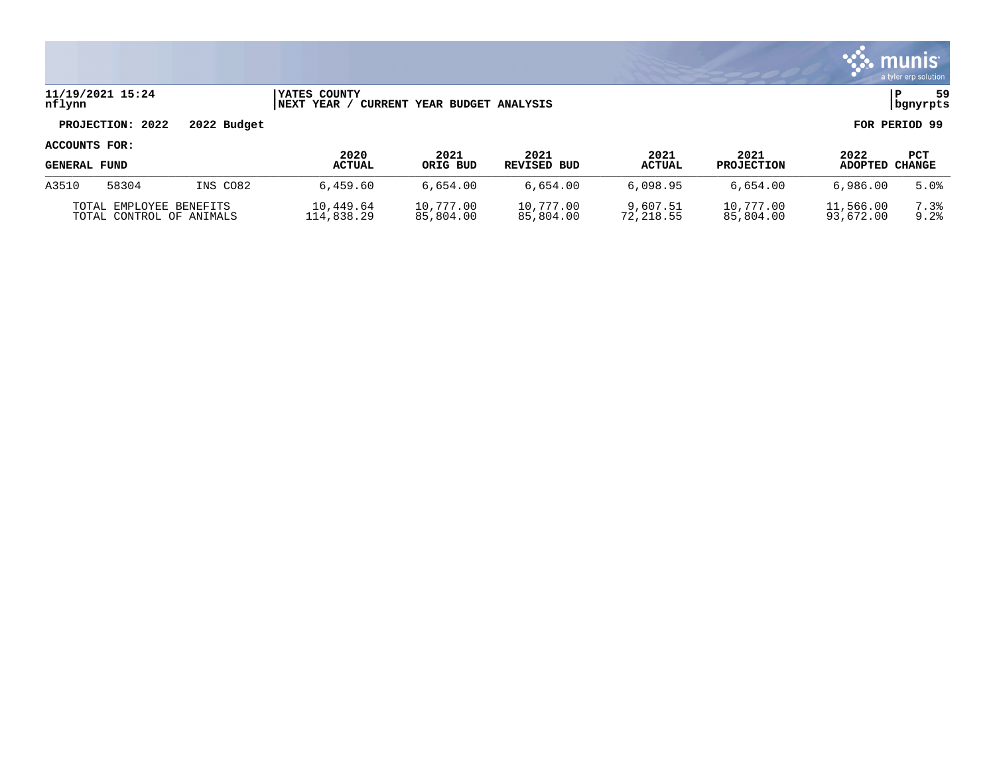

### **11/19/2021 15:24 |YATES COUNTY |P 59 nflynn |NEXT YEAR / CURRENT YEAR BUDGET ANALYSIS |bgnyrpts**

# **PROJECTION: 2022 2022 Budget FOR PERIOD 99**

| <b>GENERAL FUND</b>      |       |          | 2020          | 2021      | 2021        | 2021          | 2021              | 2022      | PCT    |
|--------------------------|-------|----------|---------------|-----------|-------------|---------------|-------------------|-----------|--------|
|                          |       |          | <b>ACTUAL</b> | ORIG BUD  | REVISED BUD | <b>ACTUAL</b> | <b>PROJECTION</b> | ADOPTED   | CHANGE |
| A3510                    | 58304 | INS CO82 | 6,459.60      | 6.654.00  | 6,654.00    | 6.098.95      | 6,654.00          | 6,986,00  | 5.0%   |
| TOTAL EMPLOYEE BENEFITS  |       |          | 10,449.64     | 10,777.00 | 10,777.00   | 9,607.51      | 10,777.00         | 11,566.00 | 7.3%   |
| TOTAL CONTROL OF ANIMALS |       |          | 114,838.29    | 85,804.00 | 85,804.00   | 72,218.55     | 85,804.00         | 93,672.00 | 9.2%   |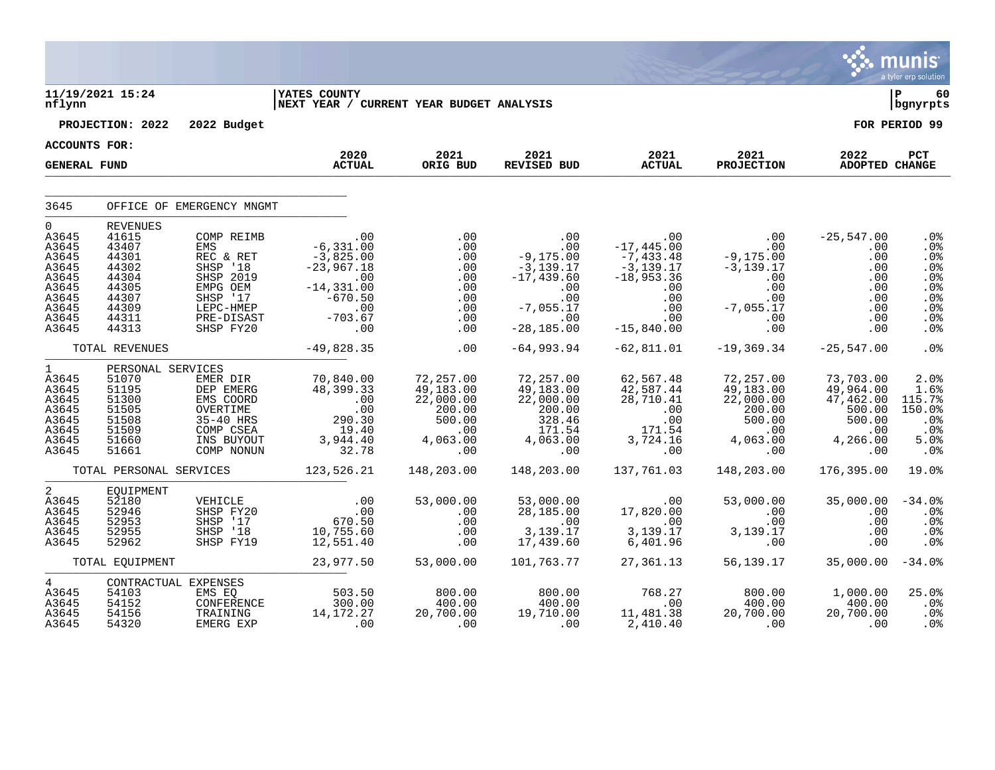|                                                                                                          |                                                                                                           |                                                                                                                         |                                                                                                                                                                                |                                                                                                             |                                                                                                                                 |                                                                                                                                                                                                                            |                                                                                                                                                    |                                                                                        | <b>S. MUNIS</b><br>a tyler erp solution                                           |
|----------------------------------------------------------------------------------------------------------|-----------------------------------------------------------------------------------------------------------|-------------------------------------------------------------------------------------------------------------------------|--------------------------------------------------------------------------------------------------------------------------------------------------------------------------------|-------------------------------------------------------------------------------------------------------------|---------------------------------------------------------------------------------------------------------------------------------|----------------------------------------------------------------------------------------------------------------------------------------------------------------------------------------------------------------------------|----------------------------------------------------------------------------------------------------------------------------------------------------|----------------------------------------------------------------------------------------|-----------------------------------------------------------------------------------|
| nflynn                                                                                                   | 11/19/2021 15:24                                                                                          |                                                                                                                         | <b>IYATES COUNTY</b><br>NEXT YEAR / CURRENT YEAR BUDGET ANALYSIS                                                                                                               |                                                                                                             |                                                                                                                                 |                                                                                                                                                                                                                            |                                                                                                                                                    |                                                                                        | l P<br>60<br>  bgnyrpts                                                           |
|                                                                                                          | PROJECTION: 2022                                                                                          | 2022 Budget                                                                                                             |                                                                                                                                                                                |                                                                                                             |                                                                                                                                 |                                                                                                                                                                                                                            |                                                                                                                                                    |                                                                                        | FOR PERIOD 99                                                                     |
| <b>ACCOUNTS FOR:</b>                                                                                     |                                                                                                           |                                                                                                                         | 2020                                                                                                                                                                           | 2021                                                                                                        | 2021                                                                                                                            | 2021                                                                                                                                                                                                                       | 2021                                                                                                                                               | 2022                                                                                   | PCT                                                                               |
| <b>GENERAL FUND</b>                                                                                      |                                                                                                           |                                                                                                                         | <b>ACTUAL</b>                                                                                                                                                                  | ORIG BUD                                                                                                    | REVISED BUD                                                                                                                     | <b>ACTUAL</b>                                                                                                                                                                                                              | <b>PROJECTION</b>                                                                                                                                  | ADOPTED CHANGE                                                                         |                                                                                   |
| 3645                                                                                                     |                                                                                                           | OFFICE OF EMERGENCY MNGMT                                                                                               |                                                                                                                                                                                |                                                                                                             |                                                                                                                                 |                                                                                                                                                                                                                            |                                                                                                                                                    |                                                                                        |                                                                                   |
| $\overline{0}$<br>A3645<br>A3645<br>A3645<br>A3645<br>A3645<br>A3645<br>A3645<br>A3645<br>A3645<br>A3645 | <b>REVENUES</b><br>41615<br>43407<br>44301<br>44302<br>44304<br>44305<br>44307<br>44309<br>44311<br>44313 | COMP REIMB<br>EMS<br>REC & RET<br>SHSP '18<br>SHSP 2019<br>EMPG OEM<br>SHSP '17<br>LEPC-HMEP<br>PRE-DISAST<br>SHSP FY20 | .00<br>6,331.00 -<br>$\begin{array}{r} .00 \\ -6\, , 331\, .00 \\ -3\, , 825\, .00 \\ -23\, , 967\, .18 \\ -14\, , 331\, .00 \\ -670\, .50 \\ -703\, .67 \\ 00 \\ \end{array}$ | .00<br>.00<br>.00<br>.00<br>.00<br>.00<br>.00<br>.00<br>.00<br>.00                                          | 00 .<br>00 .<br>00 .175 , 9 –<br>$-3, 139.17$<br>$-17, 439.60$<br>.00<br>00 .<br>00 .<br>7 , 055 . 17 –<br>.00<br>$-28, 185.00$ | . 00 . 00 - 25, 54<br>-17, 445. 00 . 00<br>-7, 433. 48 - 9, 175. 00<br>-3, 139. 17 -3, 139. 17<br>$-3,139.17$<br>$-18,953.36$<br>$\begin{array}{c} \texttt{.00} \\ \texttt{.00} \end{array}$<br>.00<br>.00<br>$-15,840.00$ | $-3,139$<br>.00<br>.00<br>.00<br>.00<br>$-7,055.17$<br>-055.17<br>-00                                                                              | $-25,547.00$<br>.00<br>.00<br>.00<br>.00<br>.00<br>.00<br>.00<br>.00<br>.00<br>.00     | .0%<br>.0%<br>$.0\%$<br>.0%<br>.0%<br>.0%<br>.0%<br>.0%<br>.0 <sub>8</sub><br>.0% |
|                                                                                                          | TOTAL REVENUES                                                                                            |                                                                                                                         | $-49,828.35$                                                                                                                                                                   | .00                                                                                                         | -64,993.94                                                                                                                      | $-62,811.01$                                                                                                                                                                                                               | $-19,369.34$                                                                                                                                       | $-25,547.00$                                                                           | .0 <sub>8</sub>                                                                   |
| $1 \quad \blacksquare$<br>A3645<br>A3645<br>A3645<br>A3645<br>A3645<br>A3645<br>A3645<br>A3645           | PERSONAL SERVICES<br>51070<br>51195<br>51300<br>51505<br>51508<br>51509<br>51660<br>51661                 | EMER DIR<br>DEP EMERG<br>EMS COORD<br>OVERTIME<br>35-40 HRS<br>COMP CSEA<br>INS BUYOUT<br>COMP NONUN                    | 70,840.00<br>48,399.33<br>$.00$<br>$.00$<br>$.00$<br>$.00$<br>$.19.30$<br>$3,944.40$<br>$32.78$                                                                                | 72,257.00<br>$49,183.00$<br>$22,000.00$<br>$-1,000.00$<br>200.00<br>500.00<br>.00<br>00.<br>4,063.00<br>00. | 72,257.00<br>49,183.00<br>22,000.00<br>200.00<br>328.46<br>171.54<br>4,063.8                                                    | 62,567.48<br>$42,587.44$<br>$28,710.41$                                                                                                                                                                                    | 72,257.00<br>$\frac{49}{22}$ , 183.00<br>22, 000.00<br>200.00<br>$\begin{array}{c} 200.00\ 500.00\ 500.00\ 4,063.00\ 0 \end{array}$                | 73,703.00<br>49,964.00<br>47,462.00<br>500.00<br>500.00<br>$\,$ .00<br>4,266.00<br>.00 | 2.0%<br>1.6%<br>115.7%<br>150.0%<br>.0%<br>.0%<br>5.0%<br>.0%                     |
|                                                                                                          |                                                                                                           |                                                                                                                         | TOTAL PERSONAL SERVICES 123,526.21                                                                                                                                             | 148,203.00                                                                                                  | 148,203.00                                                                                                                      | 137,761.03                                                                                                                                                                                                                 | 148,203.00                                                                                                                                         | 176,395.00                                                                             | 19.0%                                                                             |
| $\overline{2}$<br>A3645<br>A3645<br>A3645<br>A3645<br>A3645                                              | EQUIPMENT<br>52180<br>52946<br>52953<br>52955<br>52962                                                    | VEHICLE<br>SHSP FY20<br>SHSP '17<br>SHSP '18<br>SHSP FY19                                                               | 00.<br>00.<br>070.50.<br>10,755.60<br>12,551.40                                                                                                                                | 53,000.00<br>$\begin{array}{c} 0.00 \\ -0.00 \\ 0.00 \end{array}$<br>.00<br>.00                             | 53,000.00<br>28,185.00<br>.00<br>00 .<br>3,139 .17 .<br>17 .439 .60<br>17,439.60                                                | ںں.<br>3,139.17<br>6,401.96                                                                                                                                                                                                | $\begin{array}{cc} . & 00 & 53\,,000\,.00 \\ 17\,,820\,.00 & .00 \\ . & 00 & .00 \\ 3\,,139\,.17 & 3\,,139\,.17 \\ 6\,,401\,.96 & .00 \end{array}$ | 35,000.00<br>.00<br>.00<br>.00<br>$.00 \,$                                             | $-34.0%$<br>. 0 %<br>$.0\%$<br>.0%<br>.0%                                         |
|                                                                                                          | TOTAL EOUIPMENT                                                                                           |                                                                                                                         | 23,977.50                                                                                                                                                                      | 53,000.00                                                                                                   | 101,763.77                                                                                                                      | 27,361.13                                                                                                                                                                                                                  |                                                                                                                                                    | 56,139.17 35,000.00                                                                    | $-34.0%$                                                                          |
| $4\overline{ }$<br>A3645<br>A3645<br>A3645<br>A3645                                                      | CONTRACTUAL EXPENSES<br>54103<br>54152<br>54156<br>54320                                                  | EMS EQ<br>CONFERENCE<br>TRAINING<br>EMERG EXP                                                                           | $503.50$<br>300.00<br>14 170.00<br>14,172.27<br>.00                                                                                                                            | $\begin{array}{c} 800.00 \\ 400.00 \\ 20.700 \end{array}$<br>$\overline{0}$ .                               | $\begin{array}{c} 800.00 \\ 400.00 \\ 19.710 \end{array}$<br>$\sim$ 00                                                          | 768.27<br>$\overline{0}$ .00<br>11,481.38<br>2,410.40                                                                                                                                                                      | 800.00<br>400.00<br>20,700.00<br>00 <sub>1</sub>                                                                                                   | 1,000.00<br>400.00<br>20,700.00<br>$\sim 00$                                           | 25.0%<br>.0 <sup>°</sup><br>$.0\%$<br>.0%                                         |

 $\mathcal{L}$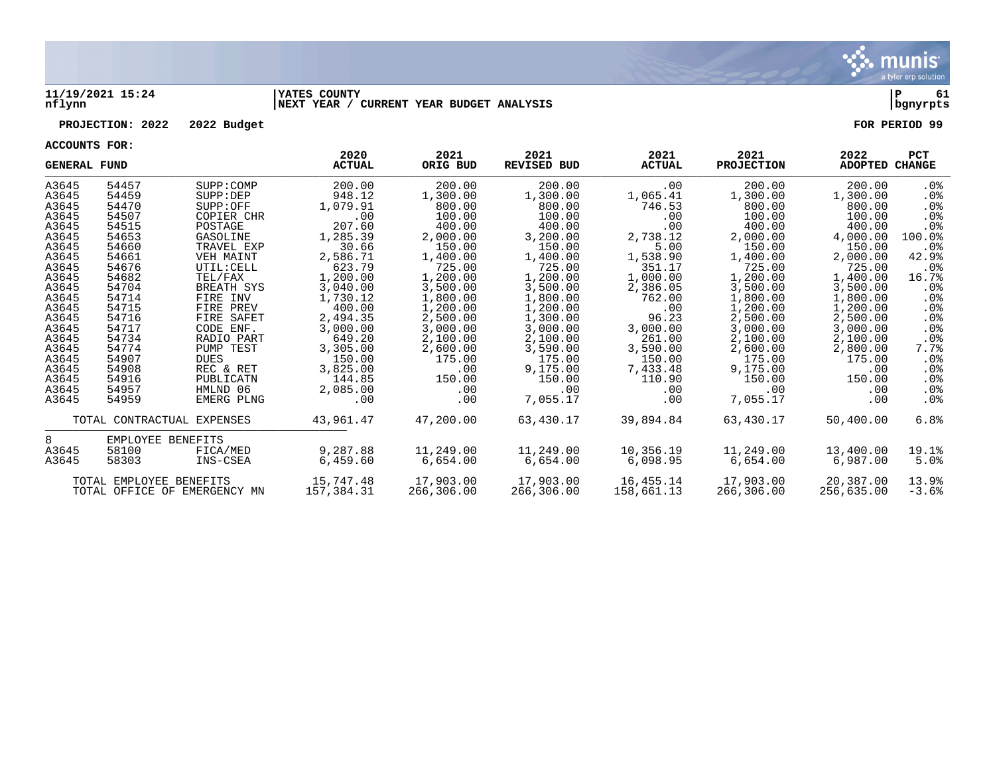

### **11/19/2021 15:24 |YATES COUNTY |P 61 nflynn |NEXT YEAR / CURRENT YEAR BUDGET ANALYSIS |bgnyrpts**

### **PROJECTION: 2022 2022 Budget FOR PERIOD 99**

| <b>GENERAL FUND</b> |                         |                              | 2020<br><b>ACTUAL</b> | 2021<br>ORIG BUD | 2021<br><b>REVISED BUD</b> | 2021<br><b>ACTUAL</b> | 2021<br><b>PROJECTION</b> | 2022<br>ADOPTED | <b>PCT</b><br><b>CHANGE</b> |
|---------------------|-------------------------|------------------------------|-----------------------|------------------|----------------------------|-----------------------|---------------------------|-----------------|-----------------------------|
| A3645               | 54457                   | SUPP: COMP                   | 200.00                | 200.00           | 200.00                     | .00                   | 200.00                    | 200.00          | .0%                         |
| A3645               | 54459                   | SUPP: DEP                    | 948.12                | 1,300.00         | 1,300.00                   | 1,065.41              | 1,300.00                  | 1,300.00        | $.0\%$                      |
| A3645               | 54470                   | SUPP: OFF                    | 1,079.91              | 800.00           | 800.00                     | 746.53                | 800.00                    | 800.00          | . 0 %                       |
| A3645               | 54507                   | COPIER CHR                   | .00                   | 100.00           | 100.00                     | .00                   | 100.00                    | 100.00          | .0 <sub>8</sub>             |
| A3645               | 54515                   | POSTAGE                      | 207.60                | 400.00           | 400.00                     | .00                   | 400.00                    | 400.00          | .0 <sub>8</sub>             |
| A3645               | 54653                   | GASOLINE                     | 1,285.39              | 2,000.00         | 3,200.00                   | 2,738.12              | 2,000.00                  | 4,000.00        | 100.0%                      |
| A3645               | 54660                   | TRAVEL EXP                   | 30.66                 | 150.00           | 150.00                     | 5.00                  | 150.00                    | 150.00          | . 0 %                       |
| A3645               | 54661                   | VEH MAINT                    | 2,586.71              | 1,400.00         | 1,400.00                   | 1,538.90              | 1,400.00                  | 2,000.00        | 42.9%                       |
| A3645               | 54676                   | UTIL: CELL                   | 623.79                | 725.00           | 725.00                     | 351.17                | 725.00                    | 725.00          | $.0\%$                      |
| A3645               | 54682                   | TEL/FAX                      | 1,200.00              | 1,200.00         | 1,200.00                   | 1,000.00              | 1,200.00                  | 1,400.00        | 16.7%                       |
| A3645               | 54704                   | BREATH SYS                   | 3,040.00              | 3,500.00         | 3,500.00                   | 2,386.05              | 3,500.00                  | 3,500.00        | . 0 %                       |
| A3645               | 54714                   | FIRE INV                     | 1,730.12              | 1,800.00         | 1,800.00                   | 762.00                | 1,800.00                  | 1,800.00        | .0%                         |
| A3645               | 54715                   | FIRE PREV                    | 400.00                | 1,200.00         | 1,200.00                   | .00                   | 1,200.00                  | 1,200.00        | $.0\%$                      |
| A3645               | 54716                   | FIRE SAFET                   | 2,494.35              | 2,500.00         | 1,300.00                   | 96.23                 | 2,500.00                  | 2,500.00        | $.0\%$                      |
| A3645               | 54717                   | CODE ENF.                    | 3,000.00              | 3,000.00         | 3,000.00                   | 3,000.00              | 3,000.00                  | 3,000.00        | $.0\%$                      |
| A3645               | 54734                   | RADIO PART                   | 649.20                | 2,100.00         | 2,100.00                   | 261.00                | 2,100.00                  | 2,100.00        | $.0\%$                      |
| A3645               | 54774                   | PUMP TEST                    | 3,305.00              | 2,600.00         | 3,590.00                   | 3,590.00              | 2,600.00                  | 2,800.00        | 7.7%                        |
| A3645               | 54907                   | <b>DUES</b>                  | 150.00                | 175.00           | 175.00                     | 150.00                | 175.00                    | 175.00          | $.0\%$                      |
| A3645               | 54908                   | REC & RET                    | 3,825.00              | .00              | 9,175.00                   | 7,433.48              | 9,175.00                  | .00             | $.0\%$                      |
| A3645               | 54916                   | PUBLICATN                    | 144.85                | 150.00           | 150.00                     | 110.90                | 150.00                    | 150.00          | $.0\%$                      |
| A3645               | 54957                   | HMLND 06                     | 2,085.00              | .00              | .00                        | .00                   | $.00 \,$                  | .00             | $.0\%$                      |
| A3645               | 54959                   | EMERG PLNG                   | .00                   | .00              | 7,055.17                   | .00                   | 7,055.17                  | .00             | $.0\%$                      |
|                     |                         | TOTAL CONTRACTUAL EXPENSES   | 43,961.47             | 47,200.00        | 63,430.17                  | 39,894.84             | 63,430.17                 | 50,400.00       | 6.8%                        |
| 8                   | EMPLOYEE BENEFITS       |                              |                       |                  |                            |                       |                           |                 |                             |
| A3645               | 58100                   | FICA/MED                     | 9,287.88              | 11,249.00        | 11,249.00                  | 10,356.19             | 11,249.00                 | 13,400.00       | 19.1%                       |
| A3645               | 58303                   | INS-CSEA                     | 6,459.60              | 6,654.00         | 6.654.00                   | 6,098.95              | 6.654.00                  | 6,987.00        | 5.0%                        |
|                     | TOTAL EMPLOYEE BENEFITS |                              | 15,747.48             | 17,903.00        | 17,903.00                  | 16,455.14             | 17,903.00                 | 20,387.00       | 13.9%                       |
|                     |                         | TOTAL OFFICE OF EMERGENCY MN | 157,384.31            | 266,306.00       | 266,306.00                 | 158,661.13            | 266,306.00                | 256,635.00      | $-3.6%$                     |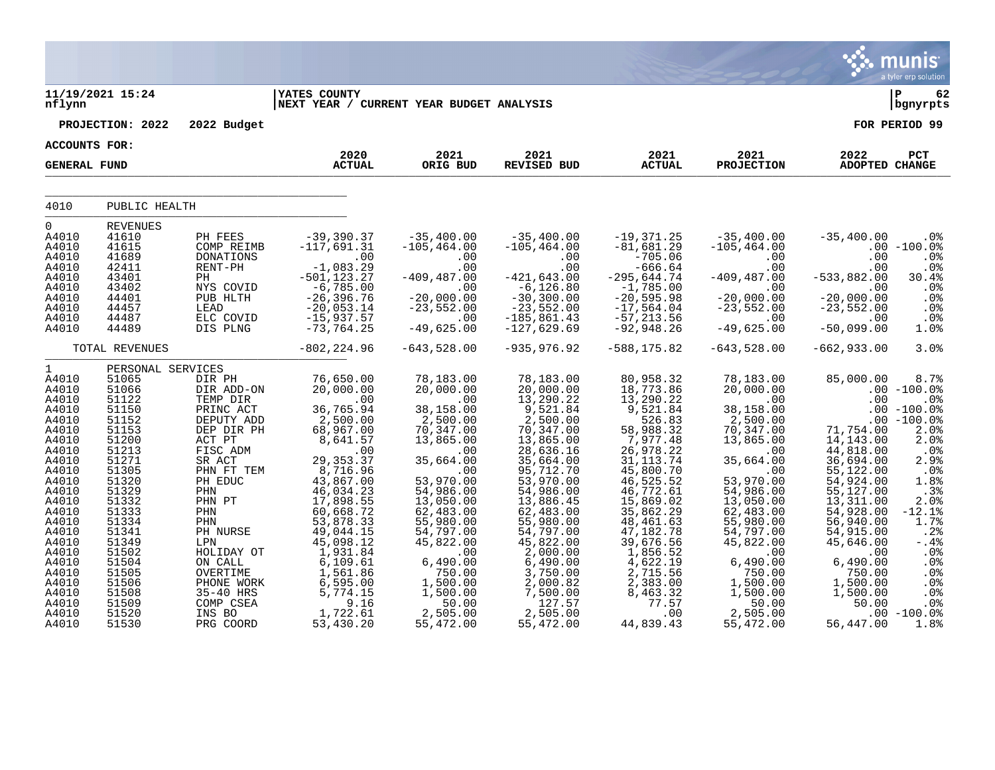|                                                                                                                                                       |                                                                                                                                                       |                                                                                                                                                                                       |                                                                                                                                                                                                                |                                                                                                                                                                                                    |                                                                                                                                                                                                                  |                                                                                                                                                                                                                            |                                                                                                                                                                                                    |                                                                                                                                                                                              | munis<br>a tyler erp solution                                                                                                                           |
|-------------------------------------------------------------------------------------------------------------------------------------------------------|-------------------------------------------------------------------------------------------------------------------------------------------------------|---------------------------------------------------------------------------------------------------------------------------------------------------------------------------------------|----------------------------------------------------------------------------------------------------------------------------------------------------------------------------------------------------------------|----------------------------------------------------------------------------------------------------------------------------------------------------------------------------------------------------|------------------------------------------------------------------------------------------------------------------------------------------------------------------------------------------------------------------|----------------------------------------------------------------------------------------------------------------------------------------------------------------------------------------------------------------------------|----------------------------------------------------------------------------------------------------------------------------------------------------------------------------------------------------|----------------------------------------------------------------------------------------------------------------------------------------------------------------------------------------------|---------------------------------------------------------------------------------------------------------------------------------------------------------|
| nflynn                                                                                                                                                | 11/19/2021 15:24                                                                                                                                      |                                                                                                                                                                                       | <b>YATES COUNTY</b><br>NEXT YEAR / CURRENT YEAR BUDGET ANALYSIS                                                                                                                                                |                                                                                                                                                                                                    |                                                                                                                                                                                                                  |                                                                                                                                                                                                                            |                                                                                                                                                                                                    |                                                                                                                                                                                              | 62<br>  bgnyrpts                                                                                                                                        |
|                                                                                                                                                       | PROJECTION: 2022                                                                                                                                      | 2022 Budget                                                                                                                                                                           |                                                                                                                                                                                                                |                                                                                                                                                                                                    |                                                                                                                                                                                                                  |                                                                                                                                                                                                                            |                                                                                                                                                                                                    |                                                                                                                                                                                              | FOR PERIOD 99                                                                                                                                           |
| <b>ACCOUNTS FOR:</b>                                                                                                                                  |                                                                                                                                                       |                                                                                                                                                                                       |                                                                                                                                                                                                                |                                                                                                                                                                                                    |                                                                                                                                                                                                                  |                                                                                                                                                                                                                            |                                                                                                                                                                                                    |                                                                                                                                                                                              |                                                                                                                                                         |
| <b>GENERAL FUND</b>                                                                                                                                   |                                                                                                                                                       |                                                                                                                                                                                       | 2020<br><b>ACTUAL</b>                                                                                                                                                                                          | 2021<br>ORIG BUD                                                                                                                                                                                   | 2021<br>REVISED BUD                                                                                                                                                                                              | 2021<br><b>ACTUAL</b>                                                                                                                                                                                                      | 2021<br><b>PROJECTION</b>                                                                                                                                                                          | 2022<br>ADOPTED CHANGE                                                                                                                                                                       | PCT                                                                                                                                                     |
| 4010                                                                                                                                                  | PUBLIC HEALTH                                                                                                                                         |                                                                                                                                                                                       |                                                                                                                                                                                                                |                                                                                                                                                                                                    |                                                                                                                                                                                                                  |                                                                                                                                                                                                                            |                                                                                                                                                                                                    |                                                                                                                                                                                              |                                                                                                                                                         |
|                                                                                                                                                       |                                                                                                                                                       |                                                                                                                                                                                       |                                                                                                                                                                                                                |                                                                                                                                                                                                    |                                                                                                                                                                                                                  |                                                                                                                                                                                                                            |                                                                                                                                                                                                    |                                                                                                                                                                                              |                                                                                                                                                         |
| 0<br>A4010<br>A4010<br>A4010<br>A4010<br>A4010<br>A4010                                                                                               | <b>REVENUES</b><br>41610<br>41615<br>41689<br>42411<br>43401<br>43402                                                                                 | PH FEES<br>COMP REIMB<br>DONATIONS<br>RENT-PH<br>PH<br>NYS COVID                                                                                                                      | $-39,390.37$<br>$-117,691.31$<br>$\sim 00$<br>$-1,083.29$<br>$-501, 123.27$                                                                                                                                    | $-35,400.00$<br>$-105, 464.00$<br>.00<br>.00<br>$-409, 487.00$<br>.00                                                                                                                              | $-35,400.00$<br>$-105, 464.00$<br>.00<br>.00<br>$-421,643.00$<br>$-6, 126.80$                                                                                                                                    | $-19,371.25$<br>$-81,681.29$<br>$-705.06$<br>$-666.64$<br>$-295,644.74$<br>$-1,785.00$                                                                                                                                     | $-35,400.00$<br>$-105, 464.00$<br>.00<br>.00<br>$-409, 487.00$<br>.00                                                                                                                              | $-35,400.00$<br>.00<br>.00<br>$-533,882.00$<br>.00                                                                                                                                           | .0%<br>$.00 - 100.0$<br>.0%<br>.0%<br>30.4%<br>.0%                                                                                                      |
| A4010<br>A4010<br>A4010<br>A4010                                                                                                                      | 44401<br>44457<br>44487<br>44489                                                                                                                      | PUB HLTH<br>LEAD<br>ELC COVID<br>DIS PLNG                                                                                                                                             | $-6,785.00$<br>$-26,396.76$<br>$-20,053.14$<br>$-15,937.57$<br>$-73, 764.25$                                                                                                                                   | $-20,000.00$<br>$-23,552.00$<br>.00<br>$-49,625.00$                                                                                                                                                | $-30,300.00$<br>$-23,552.00$<br>$-185, 861.43$<br>$-127,629.69$                                                                                                                                                  | $-20,595.98$<br>$-17,564.04$<br>$-57, 213.56$<br>$-92,948.26$                                                                                                                                                              | $-20,000.00$<br>$-23,552.00$<br>$.00 \,$<br>$-49,625.00$                                                                                                                                           | $-20,000.00$<br>$-23,552.00$<br>.00<br>$-50,099.00$                                                                                                                                          | $.0\%$<br>.0%<br>.0%<br>1.0%                                                                                                                            |
|                                                                                                                                                       | TOTAL REVENUES                                                                                                                                        |                                                                                                                                                                                       | $-802, 224.96$                                                                                                                                                                                                 | $-643,528.00$                                                                                                                                                                                      | $-935, 976.92$                                                                                                                                                                                                   | $-588, 175.82$                                                                                                                                                                                                             | $-643,528.00$                                                                                                                                                                                      | $-662,933.00$                                                                                                                                                                                | 3.0%                                                                                                                                                    |
| $\mathbf{1}$<br>A4010<br>A4010<br>A4010<br>A4010<br>A4010<br>A4010<br>A4010<br>A4010                                                                  | PERSONAL SERVICES<br>51065<br>51066<br>51122<br>51150<br>51152<br>51153<br>51200<br>51213                                                             | DIR PH<br>DIR ADD-ON<br>TEMP DIR<br>PRINC ACT<br>DEPUTY ADD<br>DEP DIR PH<br>ACT PT<br>FISC ADM                                                                                       | 76,650.00<br>20,000.00<br>$\overline{\phantom{0}}$ .00<br>36,765.94<br>2,500.00<br>68,967.00<br>8,641.57<br>.00                                                                                                | 78,183.00<br>20,000.00<br>$\sim 00$<br>38,158.00<br>$2,500.00$<br>70,347.00<br>13,865.00<br>.00                                                                                                    | 78,183.00<br>20,000.00<br>13,290.22<br>9,521.84<br>2,500.00<br>70,347.00<br>13,865.00<br>28,636.16                                                                                                               | 80,958.32<br>18,773.86<br>13,290.22<br>9,521.84<br>526.83<br>58,988.32<br>7,977.48<br>26,978.22                                                                                                                            | 78,183.00<br>20,000.00<br>$\sim 00$<br>38,158.00<br>2,500.00<br>70, 347.00<br>13,865.00<br>.00                                                                                                     | 85,000.00<br>.00<br>71,754.00<br>14,143.00<br>44,818.00                                                                                                                                      | 8.7%<br>$.00 - 100.0$<br>$.0\%$<br>$.00 - 100.0$<br>$.00 - 100.0%$<br>2.0%<br>2.0%<br>.0%                                                               |
| A4010<br>A4010<br>A4010<br>A4010<br>A4010<br>A4010<br>A4010<br>A4010<br>A4010<br>A4010<br>A4010<br>A4010<br>A4010<br>A4010<br>A4010<br>A4010<br>A4010 | 51271<br>51305<br>51320<br>51329<br>51332<br>51333<br>51334<br>51341<br>51349<br>51502<br>51504<br>51505<br>51506<br>51508<br>51509<br>51520<br>51530 | SR ACT<br>PHN FT TEM<br>PH EDUC<br>PHN<br>PHN PT<br>PHN<br>PHN<br>PH NURSE<br>LPN<br>HOLIDAY OT<br>ON CALL<br>OVERTIME<br>PHONE WORK<br>35-40 HRS<br>COMP CSEA<br>INS BO<br>PRG COORD | 29, 353.37<br>8,716.96<br>43,867.00<br>46,034.23<br>17,898.55<br>60,668.72<br>53,878.33<br>49,044.15<br>45,098.12<br>1,931.84<br>6,109.61<br>1,561.86<br>6,595.00<br>5,774.15<br>9.16<br>1,722.61<br>53,430.20 | 35,664.00<br>.00<br>53,970.00<br>54,986.00<br>13,050.00<br>62,483.00<br>55,980.00<br>54,797.00<br>45,822.00<br>.00<br>6,490.00<br>750.00<br>1,500.00<br>1,500.00<br>50.00<br>2,505.00<br>55,472.00 | 35,664.00<br>95,712.70<br>53,970.00<br>54,986.00<br>13,886.45<br>62,483.00<br>55,980.00<br>54,797.00<br>45,822.00<br>2,000.00<br>6,490.00<br>3,750.00<br>2,000.82<br>7,500.00<br>127.57<br>2,505.00<br>55,472.00 | 31, 113.74<br>45,800.70<br>46,525.52<br>46,772.61<br>15,869.02<br>35,862.29<br>48,461.63<br>47,182.78<br>39,676.56<br>1,856.52<br>$\overline{4}$ , 622.19<br>2,715.56<br>2,383.00<br>8,463.32<br>77.57<br>.00<br>44,839.43 | 35,664.00<br>.00<br>53,970.00<br>54,986.00<br>13,050.00<br>62,483.00<br>55,980.00<br>54,797.00<br>45,822.00<br>.00<br>6,490.00<br>750.00<br>1,500.00<br>1,500.00<br>50.00<br>2,505.00<br>55,472.00 | 36,694.00<br>55,122.00<br>54,924.00<br>55,127.00<br>13,311.00<br>54,928.00<br>56,940.00<br>54,915.00<br>45,646.00<br>.00<br>6,490.00<br>750.00<br>1,500.00<br>1,500.00<br>50.00<br>56,447.00 | 2.9%<br>.0%<br>1.8%<br>.3%<br>2.0%<br>$-12.1%$<br>1.7%<br>.2%<br>$-$ .4%<br>.0%<br>.0 <sub>8</sub><br>.0%<br>.0%<br>.0%<br>.0%<br>$.00 - 100.0$<br>1.8% |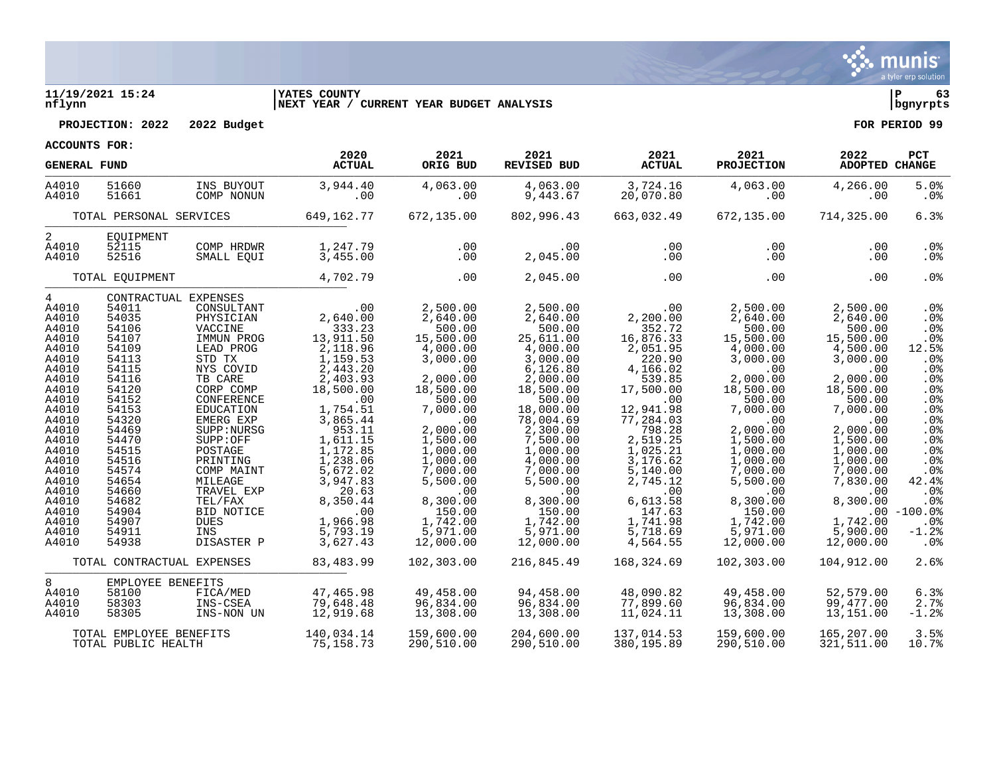

### **11/19/2021 15:24 |YATES COUNTY |P 63 nflynn |NEXT YEAR / CURRENT YEAR BUDGET ANALYSIS |bgnyrpts**

**PROJECTION: 2022 2022 Budget FOR PERIOD 99**

| <b>GENERAL FUND</b>                                                                                                                                                                                                                    |                                                                                                                                                                                                                      |                                                                                                                                                                                                                                                                                                                             | 2020<br><b>ACTUAL</b>                                                                                                                                                                                                                                                    | 2021<br>ORIG BUD                                                                                                                                                                                                                                                           | 2021<br>REVISED BUD                                                                                                                                                                                                                                                                     | 2021<br><b>ACTUAL</b>                                                                                                                                                                                                                                                   | 2021<br><b>PROJECTION</b>                                                                                                                                                                                                                                                  | 2022<br><b>ADOPTED CHANGE</b>                                                                                                                                                                                                                                    | PCT                                                                                                                                                                                                                                 |
|----------------------------------------------------------------------------------------------------------------------------------------------------------------------------------------------------------------------------------------|----------------------------------------------------------------------------------------------------------------------------------------------------------------------------------------------------------------------|-----------------------------------------------------------------------------------------------------------------------------------------------------------------------------------------------------------------------------------------------------------------------------------------------------------------------------|--------------------------------------------------------------------------------------------------------------------------------------------------------------------------------------------------------------------------------------------------------------------------|----------------------------------------------------------------------------------------------------------------------------------------------------------------------------------------------------------------------------------------------------------------------------|-----------------------------------------------------------------------------------------------------------------------------------------------------------------------------------------------------------------------------------------------------------------------------------------|-------------------------------------------------------------------------------------------------------------------------------------------------------------------------------------------------------------------------------------------------------------------------|----------------------------------------------------------------------------------------------------------------------------------------------------------------------------------------------------------------------------------------------------------------------------|------------------------------------------------------------------------------------------------------------------------------------------------------------------------------------------------------------------------------------------------------------------|-------------------------------------------------------------------------------------------------------------------------------------------------------------------------------------------------------------------------------------|
| A4010<br>A4010                                                                                                                                                                                                                         | 51660<br>51661                                                                                                                                                                                                       | INS BUYOUT<br>COMP NONUN                                                                                                                                                                                                                                                                                                    | 3,944.40<br>.00                                                                                                                                                                                                                                                          | 4,063.00<br>.00                                                                                                                                                                                                                                                            | 4,063.00<br>9,443.67                                                                                                                                                                                                                                                                    | 3,724.16<br>20,070.80                                                                                                                                                                                                                                                   | 4,063.00<br>.00                                                                                                                                                                                                                                                            | 4,266.00<br>.00                                                                                                                                                                                                                                                  | 5.0%<br>$.0\%$                                                                                                                                                                                                                      |
|                                                                                                                                                                                                                                        | TOTAL PERSONAL SERVICES                                                                                                                                                                                              |                                                                                                                                                                                                                                                                                                                             | 649,162.77                                                                                                                                                                                                                                                               | 672,135.00                                                                                                                                                                                                                                                                 | 802,996.43                                                                                                                                                                                                                                                                              | 663,032.49                                                                                                                                                                                                                                                              | 672,135.00                                                                                                                                                                                                                                                                 | 714,325.00                                                                                                                                                                                                                                                       | 6.3%                                                                                                                                                                                                                                |
| 2<br>A4010<br>A4010                                                                                                                                                                                                                    | EOUIPMENT<br>52115<br>52516                                                                                                                                                                                          | COMP HRDWR<br>SMALL EQUI                                                                                                                                                                                                                                                                                                    | 1,247.79<br>3,455.00                                                                                                                                                                                                                                                     | .00<br>.00                                                                                                                                                                                                                                                                 | .00<br>2,045.00                                                                                                                                                                                                                                                                         | .00<br>.00                                                                                                                                                                                                                                                              | .00<br>.00                                                                                                                                                                                                                                                                 | .00.<br>.00                                                                                                                                                                                                                                                      | .0%<br>$.0\%$                                                                                                                                                                                                                       |
|                                                                                                                                                                                                                                        | TOTAL EOUIPMENT                                                                                                                                                                                                      |                                                                                                                                                                                                                                                                                                                             | 4,702.79                                                                                                                                                                                                                                                                 | .00                                                                                                                                                                                                                                                                        | 2,045.00                                                                                                                                                                                                                                                                                | .00                                                                                                                                                                                                                                                                     | .00                                                                                                                                                                                                                                                                        | .00                                                                                                                                                                                                                                                              | .0%                                                                                                                                                                                                                                 |
| $\overline{4}$<br>A4010<br>A4010<br>A4010<br>A4010<br>A4010<br>A4010<br>A4010<br>A4010<br>A4010<br>A4010<br>A4010<br>A4010<br>A4010<br>A4010<br>A4010<br>A4010<br>A4010<br>A4010<br>A4010<br>A4010<br>A4010<br>A4010<br>A4010<br>A4010 | 54011<br>54035<br>54106<br>54107<br>54109<br>54113<br>54115<br>54116<br>54120<br>54152<br>54153<br>54320<br>54469<br>54470<br>54515<br>54516<br>54574<br>54654<br>54660<br>54682<br>54904<br>54907<br>54911<br>54938 | CONTRACTUAL EXPENSES<br>CONSULTANT<br>PHYSICIAN<br>VACCINE<br>IMMUN PROG<br>LEAD PROG<br>STD TX<br>NYS COVID<br>TB CARE<br>CORP COMP<br>CONFERENCE<br>EDUCATION<br>EMERG EXP<br>SUPP: NURSG<br>SUPP:OFF<br>POSTAGE<br>PRINTING<br>COMP MAINT<br>MILEAGE<br>TRAVEL EXP<br>TEL/FAX<br>BID NOTICE<br>DUES<br>INS<br>DISASTER P | .00<br>2,640.00<br>333.23<br>13,911.50<br>2,118.96<br>1,159.53<br>2,443.20<br>2,403.93<br>18,500.00<br>.00<br>1,754.51<br>3,865.44<br>953.11<br>1,611.15<br>1,172.85<br>1,238.06<br>5,672.02<br>3,947.83<br>20.63<br>8,350.44<br>.00<br>1,966.98<br>5,793.19<br>3,627.43 | 2,500.00<br>2,640.00<br>500.00<br>15,500.00<br>4,000.00<br>3,000.00<br>.00<br>2,000.00<br>18,500.00<br>500.00<br>7,000.00<br>.00<br>2,000.00<br>1,500.00<br>1,000.00<br>1,000.00<br>7,000.00<br>5,500.00<br>.00<br>8,300.00<br>150.00<br>1,742.00<br>5,971.00<br>12,000.00 | 2,500.00<br>2,640.00<br>500.00<br>25,611.00<br>4,000.00<br>3,000.00<br>6, 126.80<br>2,000.00<br>18,500.00<br>500.00<br>18,000.00<br>78,004.69<br>2,300.00<br>7,500.00<br>1,000.00<br>4,000.00<br>7,000.00<br>5,500.00<br>.00<br>8,300.00<br>150.00<br>1,742.00<br>5,971.00<br>12,000.00 | .00<br>2,200.00<br>352.72<br>16,876.33<br>2,051.95<br>220.90<br>4,166.02<br>539.85<br>17,500.00<br>.00<br>12,941.98<br>77,284.03<br>798.28<br>2,519.25<br>1,025.21<br>3,176.62<br>5,140.00<br>2,745.12<br>.00<br>6,613.58<br>147.63<br>1,741.98<br>5,718.69<br>4,564.55 | 2,500.00<br>2,640.00<br>500.00<br>15,500.00<br>4,000.00<br>3,000.00<br>.00<br>2,000.00<br>18,500.00<br>500.00<br>7,000.00<br>.00<br>2,000.00<br>1,500.00<br>1,000.00<br>1,000.00<br>7,000.00<br>5,500.00<br>.00<br>8,300.00<br>150.00<br>1,742.00<br>5,971.00<br>12,000.00 | 2,500.00<br>2,640.00<br>500.00<br>15,500.00<br>4,500.00<br>3,000.00<br>.00<br>2,000.00<br>18,500.00<br>500.00<br>7,000.00<br>.00<br>2,000.00<br>1,500.00<br>1,000.00<br>1,000.00<br>7,000.00<br>7,830.00<br>.00<br>8,300.00<br>1,742.00<br>5,900.00<br>12,000.00 | .0%<br>.0 <sub>8</sub><br>.0%<br>$.0\%$<br>12.5%<br>.0 <sub>8</sub><br>.0%<br>.0%<br>.0%<br>.0 <sub>8</sub><br>.0%<br>.0%<br>.0%<br>.0%<br>$.0\%$<br>.0%<br>.0%<br>42.4%<br>.0%<br>.0%<br>$.00 - 100.0%$<br>.0%<br>$-1.2$<br>$.0\%$ |
|                                                                                                                                                                                                                                        |                                                                                                                                                                                                                      | TOTAL CONTRACTUAL EXPENSES                                                                                                                                                                                                                                                                                                  | 83,483.99                                                                                                                                                                                                                                                                | 102,303.00                                                                                                                                                                                                                                                                 | 216,845.49                                                                                                                                                                                                                                                                              | 168,324.69                                                                                                                                                                                                                                                              | 102,303.00                                                                                                                                                                                                                                                                 | 104,912.00                                                                                                                                                                                                                                                       | 2.6%                                                                                                                                                                                                                                |
| 8<br>A4010<br>A4010<br>A4010                                                                                                                                                                                                           | EMPLOYEE BENEFITS<br>58100<br>58303<br>58305                                                                                                                                                                         | FICA/MED<br>INS-CSEA<br>INS-NON UN                                                                                                                                                                                                                                                                                          | 47,465.98<br>79,648.48<br>12,919.68                                                                                                                                                                                                                                      | 49,458.00<br>96,834.00<br>13,308.00                                                                                                                                                                                                                                        | 94,458.00<br>96,834.00<br>13,308.00                                                                                                                                                                                                                                                     | 48,090.82<br>77,899.60<br>11,024.11                                                                                                                                                                                                                                     | 49,458.00<br>96,834.00<br>13,308.00                                                                                                                                                                                                                                        | 52,579.00<br>99,477.00<br>13,151.00                                                                                                                                                                                                                              | 6.3%<br>2.7%<br>$-1.2$ .                                                                                                                                                                                                            |
|                                                                                                                                                                                                                                        | TOTAL EMPLOYEE BENEFITS<br>TOTAL PUBLIC HEALTH                                                                                                                                                                       |                                                                                                                                                                                                                                                                                                                             | 140,034.14<br>75, 158. 73                                                                                                                                                                                                                                                | 159,600.00<br>290,510.00                                                                                                                                                                                                                                                   | 204,600.00<br>290,510.00                                                                                                                                                                                                                                                                | 137,014.53<br>380,195.89                                                                                                                                                                                                                                                | 159,600.00<br>290,510.00                                                                                                                                                                                                                                                   | 165,207.00<br>321,511.00                                                                                                                                                                                                                                         | 3.5%<br>10.7%                                                                                                                                                                                                                       |

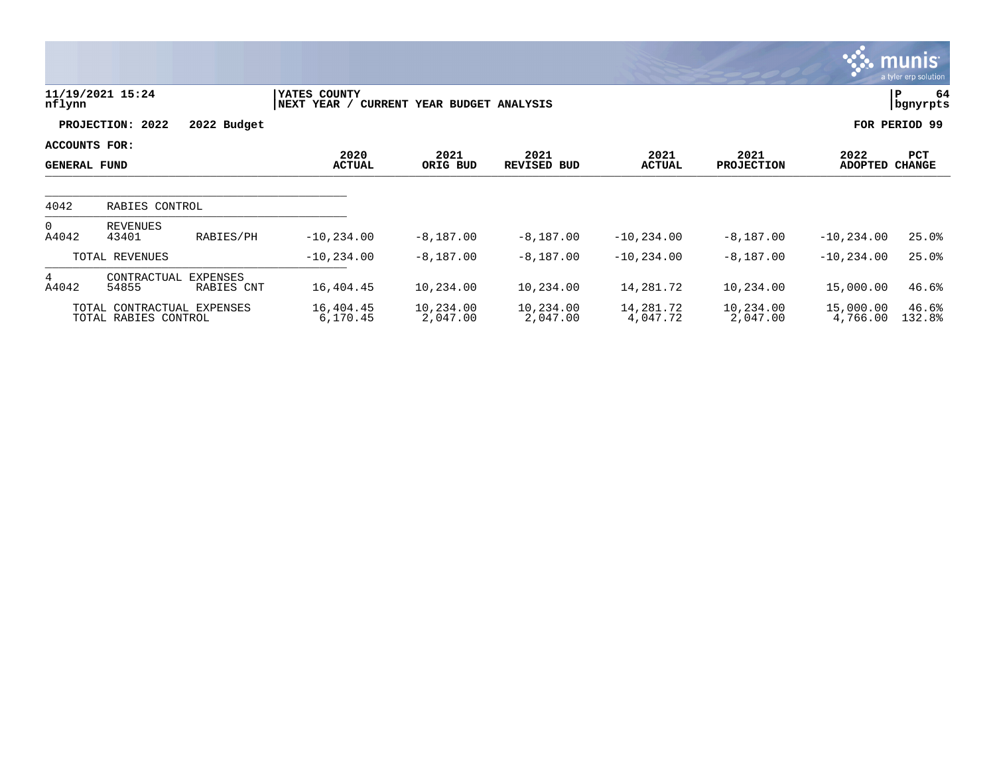|                                      |                                                    |                        |                             |                              |                       |                       |                           |                       | <b>munis</b><br>a tyler erp solution |
|--------------------------------------|----------------------------------------------------|------------------------|-----------------------------|------------------------------|-----------------------|-----------------------|---------------------------|-----------------------|--------------------------------------|
| nflynn                               | 11/19/2021 15:24                                   |                        | YATES COUNTY<br>NEXT YEAR / | CURRENT YEAR BUDGET ANALYSIS |                       |                       |                           |                       | 64<br>P<br>bgnyrpts                  |
|                                      | PROJECTION: 2022                                   | 2022 Budget            |                             |                              |                       |                       |                           |                       | FOR PERIOD 99                        |
| ACCOUNTS FOR:<br><b>GENERAL FUND</b> |                                                    |                        | 2020<br><b>ACTUAL</b>       | 2021<br>ORIG BUD             | 2021<br>REVISED BUD   | 2021<br><b>ACTUAL</b> | 2021<br><b>PROJECTION</b> | 2022<br>ADOPTED       | PCT<br><b>CHANGE</b>                 |
| 4042                                 | RABIES CONTROL                                     |                        |                             |                              |                       |                       |                           |                       |                                      |
| $\Omega$<br>A4042                    | <b>REVENUES</b><br>43401                           | RABIES/PH              | $-10, 234.00$               | $-8,187.00$                  | $-8,187.00$           | $-10, 234.00$         | $-8,187.00$               | $-10, 234.00$         | 25.0%                                |
|                                      | TOTAL REVENUES                                     |                        | $-10, 234.00$               | $-8,187.00$                  | $-8,187.00$           | $-10, 234.00$         | $-8,187.00$               | $-10, 234.00$         | 25.0%                                |
| 4<br>A4042                           | CONTRACTUAL<br>54855                               | EXPENSES<br>RABIES CNT | 16,404.45                   | 10,234.00                    | 10,234.00             | 14,281.72             | 10,234.00                 | 15,000.00             | 46.6%                                |
|                                      | TOTAL CONTRACTUAL EXPENSES<br>TOTAL RABIES CONTROL |                        | 16,404.45<br>6,170.45       | 10,234.00<br>2,047.00        | 10,234.00<br>2,047.00 | 14,281.72<br>4,047.72 | 10,234.00<br>2,047.00     | 15,000.00<br>4,766.00 | 46.6%<br>132.8%                      |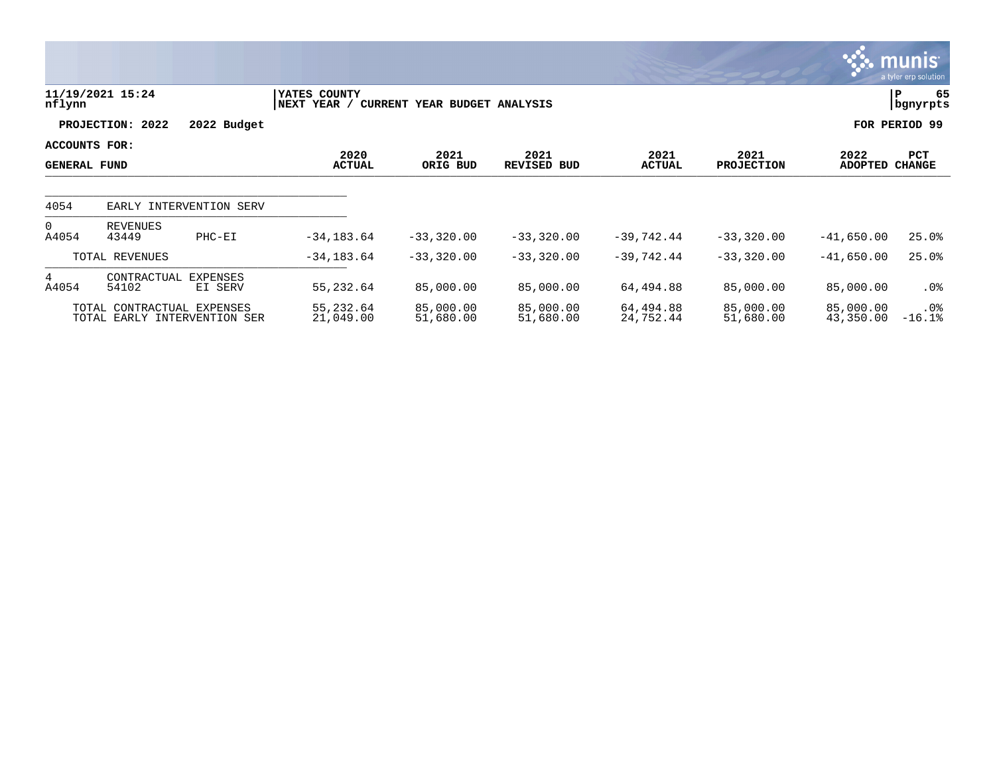|                                      |                                                            |                            |                              |                              |                            |                        |                           |                        | $\overline{\mathsf{m} \mathsf{u}}$ nıs'<br>a tyler erp solution |
|--------------------------------------|------------------------------------------------------------|----------------------------|------------------------------|------------------------------|----------------------------|------------------------|---------------------------|------------------------|-----------------------------------------------------------------|
| nflynn                               | 11/19/2021 15:24                                           |                            | YATES COUNTY<br> NEXT YEAR / | CURRENT YEAR BUDGET ANALYSIS |                            |                        |                           |                        | 65<br> P<br>bgnyrpts                                            |
|                                      | PROJECTION: 2022                                           | 2022 Budget                |                              |                              |                            |                        |                           |                        | FOR PERIOD 99                                                   |
| ACCOUNTS FOR:<br><b>GENERAL FUND</b> |                                                            |                            | 2020<br><b>ACTUAL</b>        | 2021<br>ORIG BUD             | 2021<br><b>REVISED BUD</b> | 2021<br><b>ACTUAL</b>  | 2021<br><b>PROJECTION</b> | 2022<br><b>ADOPTED</b> | PCT<br><b>CHANGE</b>                                            |
| 4054                                 |                                                            | EARLY INTERVENTION SERV    |                              |                              |                            |                        |                           |                        |                                                                 |
| $\Omega$<br>A4054                    | REVENUES<br>43449                                          | PHC-EI                     | $-34, 183.64$                | $-33,320.00$                 | $-33,320.00$               | $-39,742.44$           | $-33,320.00$              | $-41,650.00$           | 25.0%                                                           |
|                                      | TOTAL REVENUES                                             |                            | $-34, 183.64$                | $-33,320.00$                 | $-33,320.00$               | $-39,742.44$           | $-33,320.00$              | $-41,650.00$           | 25.0%                                                           |
| 4<br>A4054                           | CONTRACTUAL<br>54102                                       | <b>EXPENSES</b><br>EI SERV | 55,232.64                    | 85,000.00                    | 85,000.00                  | 64,494.88              | 85,000.00                 | 85,000.00              | $.0\%$                                                          |
|                                      | TOTAL CONTRACTUAL EXPENSES<br>TOTAL EARLY INTERVENTION SER |                            | 55,232.64<br>21,049.00       | 85,000.00<br>51,680.00       | 85,000.00<br>51,680.00     | 64,494.88<br>24,752.44 | 85,000.00<br>51,680.00    | 85,000.00<br>43,350.00 | $.0\%$<br>$-16.1%$                                              |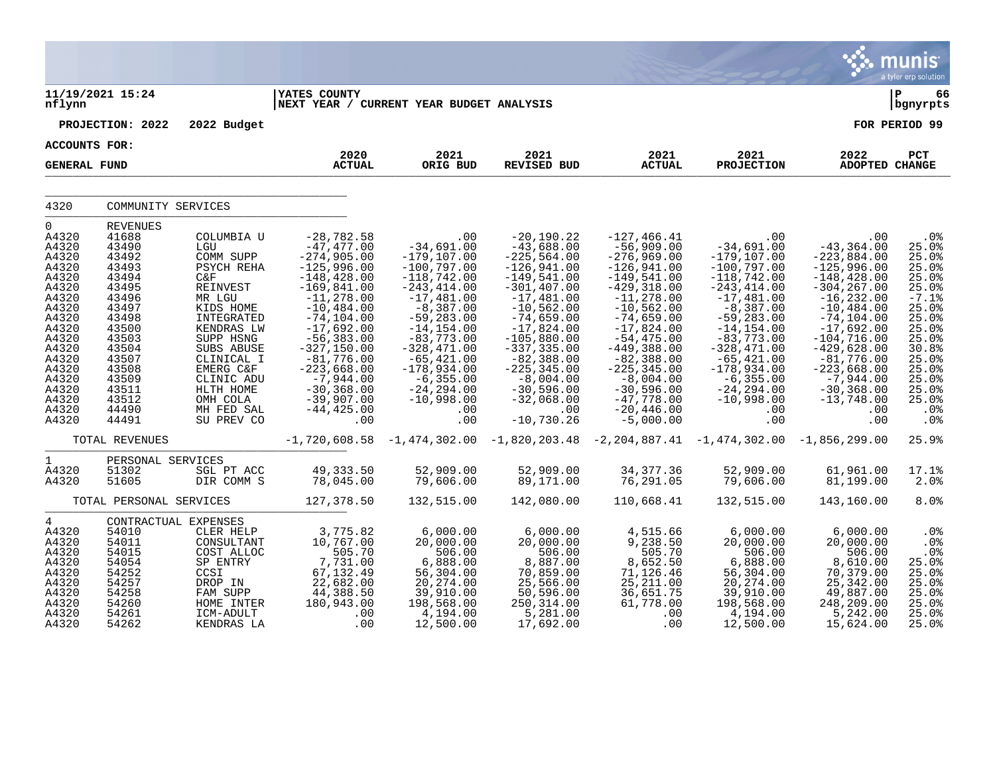|                                                                                                                                                                                     |                                                                                                                                                                                            |                                                                                                                                                                                                                                             |                                                                                                                                                                                                                                                                                                                  |                                                                                                                                                                                                                                                                                              |                                                                                                                                                                                                                                                                                                              |                                                                                                                                                                                                                                                                                                                         |                                                                                                                                                                                                                                                                                                      |                                                                                                                                                                                                                                                                                                 | munis<br>a tyler erp solution                                                                                                                                       |
|-------------------------------------------------------------------------------------------------------------------------------------------------------------------------------------|--------------------------------------------------------------------------------------------------------------------------------------------------------------------------------------------|---------------------------------------------------------------------------------------------------------------------------------------------------------------------------------------------------------------------------------------------|------------------------------------------------------------------------------------------------------------------------------------------------------------------------------------------------------------------------------------------------------------------------------------------------------------------|----------------------------------------------------------------------------------------------------------------------------------------------------------------------------------------------------------------------------------------------------------------------------------------------|--------------------------------------------------------------------------------------------------------------------------------------------------------------------------------------------------------------------------------------------------------------------------------------------------------------|-------------------------------------------------------------------------------------------------------------------------------------------------------------------------------------------------------------------------------------------------------------------------------------------------------------------------|------------------------------------------------------------------------------------------------------------------------------------------------------------------------------------------------------------------------------------------------------------------------------------------------------|-------------------------------------------------------------------------------------------------------------------------------------------------------------------------------------------------------------------------------------------------------------------------------------------------|---------------------------------------------------------------------------------------------------------------------------------------------------------------------|
| nflynn                                                                                                                                                                              | 11/19/2021 15:24                                                                                                                                                                           |                                                                                                                                                                                                                                             | <b>YATES COUNTY</b><br> NEXT YEAR / CURRENT YEAR BUDGET ANALYSIS                                                                                                                                                                                                                                                 |                                                                                                                                                                                                                                                                                              |                                                                                                                                                                                                                                                                                                              |                                                                                                                                                                                                                                                                                                                         |                                                                                                                                                                                                                                                                                                      |                                                                                                                                                                                                                                                                                                 | l P<br>66<br>  bgnyrpts                                                                                                                                             |
|                                                                                                                                                                                     | PROJECTION: 2022                                                                                                                                                                           | 2022 Budget                                                                                                                                                                                                                                 |                                                                                                                                                                                                                                                                                                                  |                                                                                                                                                                                                                                                                                              |                                                                                                                                                                                                                                                                                                              |                                                                                                                                                                                                                                                                                                                         |                                                                                                                                                                                                                                                                                                      |                                                                                                                                                                                                                                                                                                 | FOR PERIOD 99                                                                                                                                                       |
| <b>ACCOUNTS FOR:</b>                                                                                                                                                                |                                                                                                                                                                                            |                                                                                                                                                                                                                                             | 2020                                                                                                                                                                                                                                                                                                             | 2021                                                                                                                                                                                                                                                                                         | 2021                                                                                                                                                                                                                                                                                                         | 2021                                                                                                                                                                                                                                                                                                                    | 2021                                                                                                                                                                                                                                                                                                 | 2022                                                                                                                                                                                                                                                                                            | PCT                                                                                                                                                                 |
| <b>GENERAL FUND</b>                                                                                                                                                                 |                                                                                                                                                                                            |                                                                                                                                                                                                                                             | <b>ACTUAL</b>                                                                                                                                                                                                                                                                                                    | ORIG BUD                                                                                                                                                                                                                                                                                     | REVISED BUD                                                                                                                                                                                                                                                                                                  | <b>ACTUAL</b>                                                                                                                                                                                                                                                                                                           | <b>PROJECTION</b>                                                                                                                                                                                                                                                                                    | ADOPTED CHANGE                                                                                                                                                                                                                                                                                  |                                                                                                                                                                     |
| 4320                                                                                                                                                                                | COMMUNITY SERVICES                                                                                                                                                                         |                                                                                                                                                                                                                                             |                                                                                                                                                                                                                                                                                                                  |                                                                                                                                                                                                                                                                                              |                                                                                                                                                                                                                                                                                                              |                                                                                                                                                                                                                                                                                                                         |                                                                                                                                                                                                                                                                                                      |                                                                                                                                                                                                                                                                                                 |                                                                                                                                                                     |
| $\Omega$<br>A4320<br>A4320<br>A4320<br>A4320<br>A4320<br>A4320<br>A4320<br>A4320<br>A4320<br>A4320<br>A4320<br>A4320<br>A4320<br>A4320<br>A4320<br>A4320<br>A4320<br>A4320<br>A4320 | <b>REVENUES</b><br>41688<br>43490<br>43492<br>43493<br>43494<br>43495<br>43496<br>43497<br>43498<br>43500<br>43503<br>43504<br>43507<br>43508<br>43509<br>43511<br>43512<br>44490<br>44491 | COLUMBIA U<br>LGU<br>COMM SUPP<br>PSYCH REHA<br>C&F<br>REINVEST<br>MR LGU<br>KIDS HOME<br>INTEGRATED<br>KENDRAS LW<br>SUPP HSNG<br>SUBS ABUSE<br>CLINICAL I<br>EMERG C&F<br>CLINIC ADU<br>HLTH HOME<br>OMH COLA<br>MH FED SAL<br>SU PREV CO | $-28,782.58$<br>$-47,477.00$<br>$-274,905.00$<br>$-125,996.00$<br>$-148, 428.00$<br>$-169,841.00$<br>$-11, 278.00$<br>$-10, 484.00$<br>$-74, 104.00$<br>$-17,692.00$<br>$-56, 383.00$<br>$-327, 150.00$<br>$-81,776.00$<br>$-223,668.00$<br>$-7,944.00$<br>$-30, 368.00$<br>$-39,907.00$<br>$-44, 425.00$<br>.00 | .00<br>$-34,691.00$<br>$-179,107.00$<br>$-100,797.00$<br>$-118,742.00$<br>$-243, 414.00$<br>$-17,481.00$<br>$-8,387.00$<br>$-59, 283.00$<br>$-14, 154.00$<br>$-83,773.00$<br>$-328, 471.00$<br>$-65, 421.00$<br>$-178,934.00$<br>$-6, 355.00$<br>$-24, 294.00$<br>$-10,998.00$<br>.00<br>.00 | $-20,190.22$<br>$-43,688.00$<br>$-225,564.00$<br>$-126,941.00$<br>$-149,541.00$<br>$-301, 407.00$<br>$-17,481.00$<br>$-10,562.00$<br>$-74,659.00$<br>$-17,824.00$<br>$-105,880.00$<br>$-337, 335.00$<br>$-82,388.00$<br>$-225, 345.00$<br>$-8,004.00$<br>$-30,596.00$<br>$-32,068.00$<br>.00<br>$-10,730.26$ | $-127, 466.41$<br>$-56,909.00$<br>$-276,969.00$<br>$-126,941.00$<br>$-149,541.00$<br>$-429, 318.00$<br>$-11, 278.00$<br>$-10,562.00$<br>$-74,659.00$<br>$-17,824.00$<br>$-54, 475.00$<br>$-449,388.00$<br>$-82,388.00$<br>$-225, 345.00$<br>$-8,004.00$<br>$-30,596.00$<br>$-47,778.00$<br>$-20, 446.00$<br>$-5,000.00$ | .00<br>$-34,691.00$<br>$-179, 107.00$<br>$-100,797.00$<br>$-118,742.00$<br>$-243, 414.00$<br>$-17,481.00$<br>$-8,387.00$<br>$-59, 283.00$<br>$-14, 154.00$<br>$-83,773.00$<br>$-328,471.00$<br>$-65, 421.00$<br>$-178,934.00$<br>$-6, 355.00$<br>$-24, 294.00$<br>$-10,998.00$<br>$.00 \ \rm$<br>.00 | .00<br>$-43, 364.00$<br>$-223,884.00$<br>$-125,996.00$<br>$-148, 428.00$<br>$-304, 267.00$<br>$-16, 232.00$<br>$-10, 484.00$<br>$-74, 104.00$<br>$-17,692.00$<br>$-104, 716.00$<br>$-429,628.00$<br>$-81,776.00$<br>$-223,668.00$<br>$-7,944.00$<br>$-30, 368.00$<br>$-13,748.00$<br>.00<br>.00 | .0%<br>25.0%<br>25.0%<br>25.0%<br>25.0%<br>25.0%<br>$-7.1%$<br>25.0%<br>25.0%<br>25.0%<br>25.0%<br>30.8%<br>25.0%<br>25.0%<br>25.0%<br>25.0%<br>25.0%<br>.0%<br>.0% |
|                                                                                                                                                                                     | TOTAL REVENUES                                                                                                                                                                             |                                                                                                                                                                                                                                             |                                                                                                                                                                                                                                                                                                                  |                                                                                                                                                                                                                                                                                              | $-1,720,608.58$ $-1,474,302.00$ $-1,820,203.48$ $-2,204,887.41$ $-1,474,302.00$ $-1,856,299.00$                                                                                                                                                                                                              |                                                                                                                                                                                                                                                                                                                         |                                                                                                                                                                                                                                                                                                      |                                                                                                                                                                                                                                                                                                 | 25.9%                                                                                                                                                               |
| $\mathbf{1}$<br>A4320<br>A4320                                                                                                                                                      | PERSONAL SERVICES<br>51302<br>51605                                                                                                                                                        | SGL PT ACC<br>DIR COMM S                                                                                                                                                                                                                    | 49, 333.50<br>78,045.00                                                                                                                                                                                                                                                                                          | 52,909.00<br>79,606.00                                                                                                                                                                                                                                                                       | 52,909.00<br>89,171.00                                                                                                                                                                                                                                                                                       | 34, 377.36<br>76, 291.05                                                                                                                                                                                                                                                                                                | 52,909.00<br>79,606.00                                                                                                                                                                                                                                                                               | 61,961.00<br>81,199.00                                                                                                                                                                                                                                                                          | 17.1%<br>2.0%                                                                                                                                                       |
|                                                                                                                                                                                     | TOTAL PERSONAL SERVICES                                                                                                                                                                    |                                                                                                                                                                                                                                             | 127,378.50                                                                                                                                                                                                                                                                                                       | 132,515.00                                                                                                                                                                                                                                                                                   | 142,080.00                                                                                                                                                                                                                                                                                                   | 110,668.41                                                                                                                                                                                                                                                                                                              | 132,515.00                                                                                                                                                                                                                                                                                           | 143,160.00                                                                                                                                                                                                                                                                                      | 8.0%                                                                                                                                                                |
| $4\overline{ }$<br>A4320<br>A4320<br>A4320<br>A4320<br>A4320<br>A4320<br>A4320<br>A4320<br>A4320<br>A4320                                                                           | CONTRACTUAL EXPENSES<br>54010<br>54011<br>54015<br>54054<br>54252<br>54257<br>54258<br>54260<br>54261<br>54262                                                                             | CLER HELP<br>CONSULTANT<br>COST ALLOC<br>SP ENTRY<br>CCSI<br>DROP IN<br>FAM SUPP<br>HOME INTER<br>ICM-ADULT<br>KENDRAS LA                                                                                                                   | 3,775.82<br>10,767.00<br>505.70<br>7,731.00<br>67,132.49<br>22,682.00<br>44,388.50<br>180,943.00<br>.00<br>.00                                                                                                                                                                                                   | 6,000.00<br>20,000.00<br>506.00<br>6,888.00<br>56,304.00<br>20, 274.00<br>39,910.00<br>198,568.00<br>4,194.00<br>12,500.00                                                                                                                                                                   | 6,000.00<br>20,000.00<br>506.00<br>8,887.00<br>70,859.00<br>25,566.00<br>50, 596.00<br>250, 314.00<br>5,281.00<br>17,692.00                                                                                                                                                                                  | 4,515.66<br>9,238.50<br>505.70<br>8,652.50<br>71,126.46<br>25, 211.00<br>36,651.75<br>61,778.00<br>.00<br>.00                                                                                                                                                                                                           | 6,000.00<br>20,000.00<br>506.00<br>6,888.00<br>56,304.00<br>20, 274.00<br>39,910.00<br>198,568.00<br>4,194.00<br>12,500.00                                                                                                                                                                           | 6,000.00<br>20,000.00<br>506.00<br>8,610.00<br>70,379.00<br>25,342.00<br>49,887.00<br>248,209.00<br>5,242.00<br>15,624.00                                                                                                                                                                       | .0%<br>.0%<br>.0%<br>25.0%<br>25.0%<br>25.0%<br>25.0%<br>25.0%<br>25.0%<br>25.0%                                                                                    |

 $\bullet$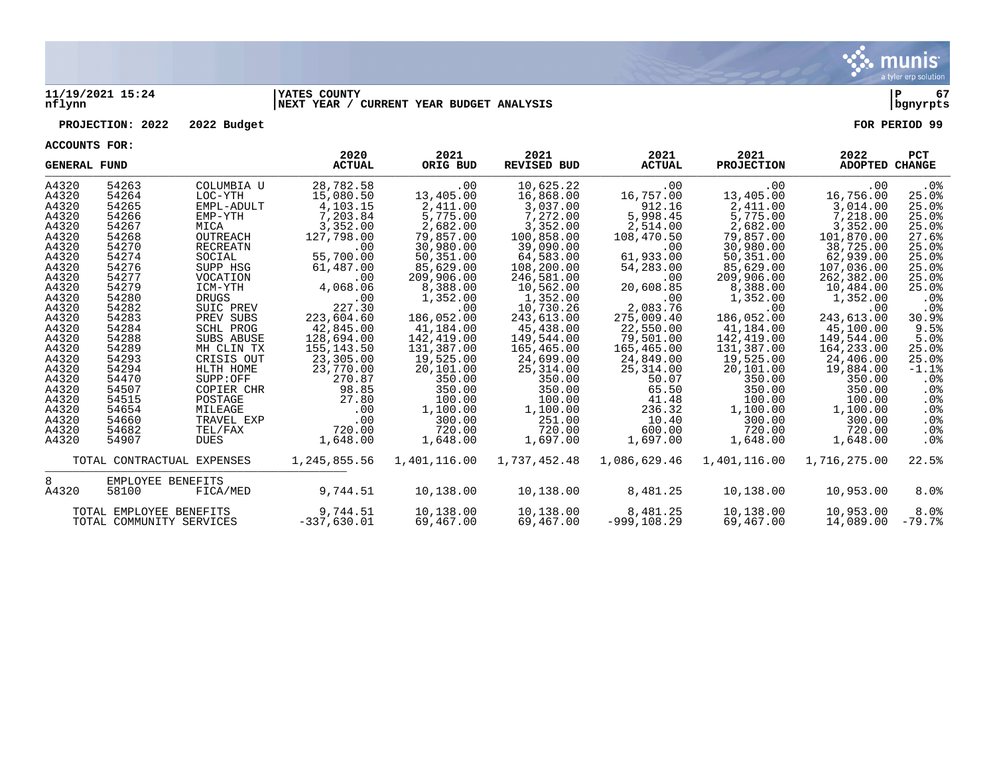

### **11/19/2021 15:24 |YATES COUNTY |P 67 nflynn |NEXT YEAR / CURRENT YEAR BUDGET ANALYSIS |bgnyrpts**

### **PROJECTION: 2022 2022 Budget FOR PERIOD 99**

| <b>GENERAL FUND</b> |                          |                            | 2020<br><b>ACTUAL</b> | 2021<br>ORIG BUD | 2021<br><b>REVISED BUD</b> | 2021<br><b>ACTUAL</b> | 2021<br><b>PROJECTION</b> | 2022<br>ADOPTED CHANGE | <b>PCT</b>      |
|---------------------|--------------------------|----------------------------|-----------------------|------------------|----------------------------|-----------------------|---------------------------|------------------------|-----------------|
| A4320               | 54263                    | COLUMBIA U                 | 28,782.58             | .00              | 10,625.22                  | .00                   | $.00 \,$                  | .00                    | $.0\%$          |
| A4320               | 54264                    | LOC-YTH                    | 15,080.50             | 13,405.00        | 16,868.00                  | 16,757.00             | 13,405.00                 | 16,756.00              | 25.0%           |
| A4320               | 54265                    | EMPL-ADULT                 | 4,103.15              | 2,411.00         | 3,037.00                   | 912.16                | 2,411.00                  | 3,014.00               | 25.0%           |
| A4320               | 54266                    | EMP-YTH                    | 7,203.84              | 5,775.00         | 7,272.00                   | 5,998.45              | 5,775.00                  | 7,218.00               | 25.0%           |
| A4320               | 54267                    | MICA                       | 3,352.00              | 2,682.00         | 3,352.00                   | 2,514.00              | 2,682.00                  | 3,352.00               | 25.0%           |
| A4320               | 54268                    | OUTREACH                   | 127,798.00            | 79,857.00        | 100,858.00                 | 108,470.50            | 79,857.00                 | 101,870.00             | 27.6%           |
| A4320               | 54270                    | <b>RECREATN</b>            | .00                   | 30,980.00        | 39,090.00                  | .00                   | 30,980.00                 | 38,725.00              | 25.0%           |
| A4320               | 54274                    | SOCIAL                     | 55,700.00             | 50,351.00        | 64,583.00                  | 61,933.00             | 50,351.00                 | 62,939.00              | 25.0%           |
| A4320               | 54276                    | SUPP HSG                   | 61,487.00             | 85,629.00        | 108,200.00                 | 54,283.00             | 85,629.00                 | 107,036.00             | 25.0%           |
| A4320               | 54277                    | VOCATION                   | .00                   | 209,906.00       | 246,581.00                 | .00                   | 209,906.00                | 262,382.00             | 25.0%           |
| A4320               | 54279                    | ICM-YTH                    | 4,068.06              | 8,388.00         | 10,562.00                  | 20,608.85             | 8,388.00                  | 10,484.00              | 25.0%           |
| A4320               | 54280                    | <b>DRUGS</b>               | .00                   | 1,352.00         | 1,352.00                   | .00                   | 1,352.00                  | 1,352.00               | $.0\%$          |
| A4320               | 54282                    | SUIC PREV                  | 227.30                | .00              | 10,730.26                  | 2,083.76              | $.00 \ \rm$               | .00                    | .0 <sub>8</sub> |
| A4320               | 54283                    | PREV SUBS                  | 223,604.60            | 186,052.00       | 243,613.00                 | 275,009.40            | 186,052.00                | 243,613.00             | 30.9%           |
| A4320               | 54284                    | SCHL PROG                  | 42,845.00             | 41,184.00        | 45,438.00                  | 22,550.00             | 41,184.00                 | 45,100.00              | 9.5%            |
| A4320               | 54288                    | SUBS ABUSE                 | 128,694.00            | 142,419.00       | 149,544.00                 | 79,501.00             | 142,419.00                | 149,544.00             | 5.0%            |
| A4320               | 54289                    | MH CLIN TX                 | 155,143.50            | 131,387.00       | 165,465.00                 | 165,465.00            | 131,387.00                | 164,233.00             | 25.0%           |
| A4320               | 54293                    | CRISIS OUT                 | 23,305.00             | 19,525.00        | 24,699.00                  | 24,849.00             | 19,525.00                 | 24,406.00              | 25.0%           |
| A4320               | 54294                    | HLTH HOME                  | 23,770.00             | 20,101.00        | 25,314.00                  | 25,314.00             | 20,101.00                 | 19,884.00              | $-1.1%$         |
| A4320               | 54470                    | SUPP:OFF                   | 270.87                | 350.00           | 350.00                     | 50.07                 | 350.00                    | 350.00                 | $.0\%$          |
| A4320               | 54507                    | COPIER CHR                 | 98.85                 | 350.00           | 350.00                     | 65.50                 | 350.00                    | 350.00                 | $.0\%$          |
| A4320               | 54515                    | POSTAGE                    | 27.80                 | 100.00           | 100.00                     | 41.48                 | 100.00                    | 100.00                 | .0%             |
| A4320               | 54654                    | MILEAGE                    | $.00 \,$              | 1,100.00         | 1,100.00                   | 236.32                | 1,100.00                  | 1,100.00               | $.0\%$          |
| A4320               | 54660                    | TRAVEL EXP                 | .00                   | 300.00           | 251.00                     | 10.40                 | 300.00                    | 300.00                 | $.0\%$          |
| A4320               | 54682                    | TEL/FAX                    | 720.00                | 720.00           | 720.00                     | 600.00                | 720.00                    | 720.00                 | .0%             |
| A4320               | 54907                    | <b>DUES</b>                | 1,648.00              | 1,648.00         | 1,697.00                   | 1,697.00              | 1,648.00                  | 1,648.00               | $.0\%$          |
|                     |                          | TOTAL CONTRACTUAL EXPENSES | 1,245,855.56          | 1,401,116.00     | 1,737,452.48               | 1,086,629.46          | 1,401,116.00              | 1,716,275.00           | 22.5%           |
| 8                   | EMPLOYEE BENEFITS        |                            |                       |                  |                            |                       |                           |                        |                 |
| A4320               | 58100                    | FICA/MED                   | 9,744.51              | 10,138.00        | 10,138.00                  | 8,481.25              | 10,138.00                 | 10,953.00              | 8.0%            |
|                     | TOTAL EMPLOYEE BENEFITS  |                            | 9,744.51              | 10,138.00        | 10,138.00                  | 8,481.25              | 10,138.00                 | 10,953.00              | 8.0%            |
|                     | TOTAL COMMUNITY SERVICES |                            | $-337.630.01$         | 69,467.00        | 69,467.00                  | $-999.108.29$         | 69,467.00                 | 14,089.00              | $-79.7%$        |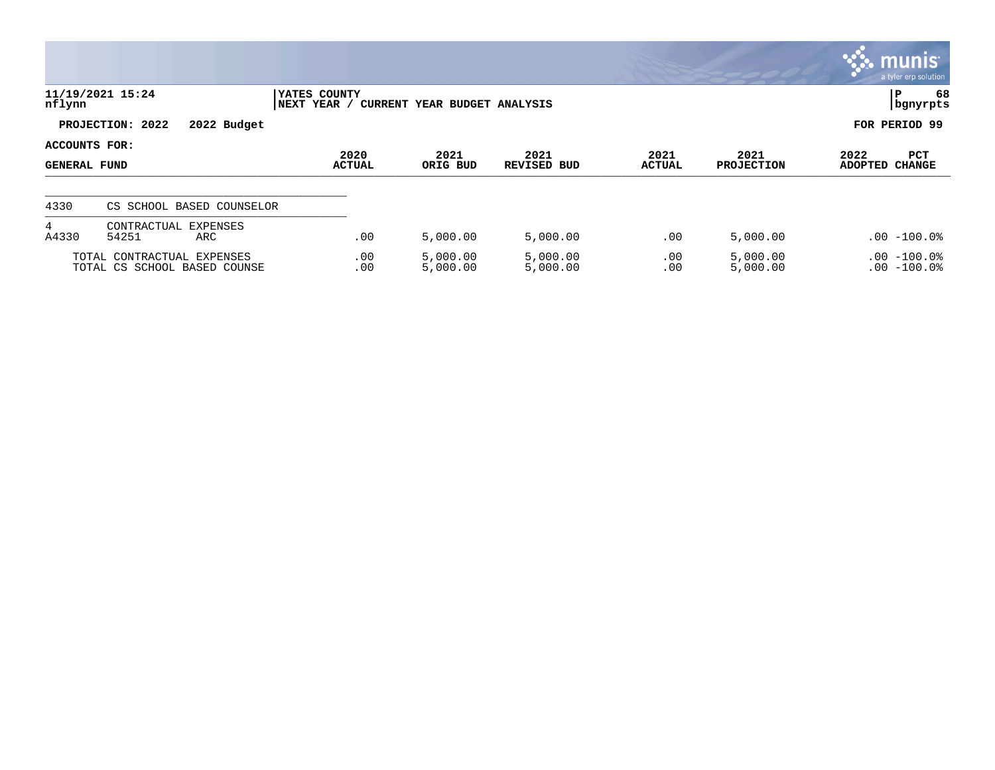|                                      |                                                            |                             |                              |                            |                       |                           | $\overline{\mathsf{m}$ unis'<br>a tyler erp solution |
|--------------------------------------|------------------------------------------------------------|-----------------------------|------------------------------|----------------------------|-----------------------|---------------------------|------------------------------------------------------|
| nflynn                               | 11/19/2021 15:24                                           | YATES COUNTY<br>NEXT YEAR / | CURRENT YEAR BUDGET ANALYSIS |                            |                       |                           | 68<br>P<br>  bgnyrpts                                |
|                                      | PROJECTION: 2022<br>2022 Budget                            |                             |                              |                            |                       |                           | FOR PERIOD 99                                        |
| ACCOUNTS FOR:<br><b>GENERAL FUND</b> |                                                            | 2020<br><b>ACTUAL</b>       | 2021<br>ORIG BUD             | 2021<br><b>REVISED BUD</b> | 2021<br><b>ACTUAL</b> | 2021<br><b>PROJECTION</b> | 2022<br>PCT<br><b>CHANGE</b><br>ADOPTED              |
| 4330                                 | CS SCHOOL BASED COUNSELOR                                  |                             |                              |                            |                       |                           |                                                      |
| 4<br>A4330                           | EXPENSES<br>CONTRACTUAL<br>54251<br>ARC                    | .00                         | 5,000.00                     | 5,000.00                   | .00                   | 5,000.00                  | $.00 - 100.0$                                        |
|                                      | TOTAL CONTRACTUAL EXPENSES<br>TOTAL CS SCHOOL BASED COUNSE | .00<br>.00                  | 5,000.00<br>5,000.00         | 5,000.00<br>5,000.00       | .00<br>.00            | 5,000.00<br>5,000.00      | $.00 - 100.0$<br>$.00 - 100.0$                       |

 $\bullet$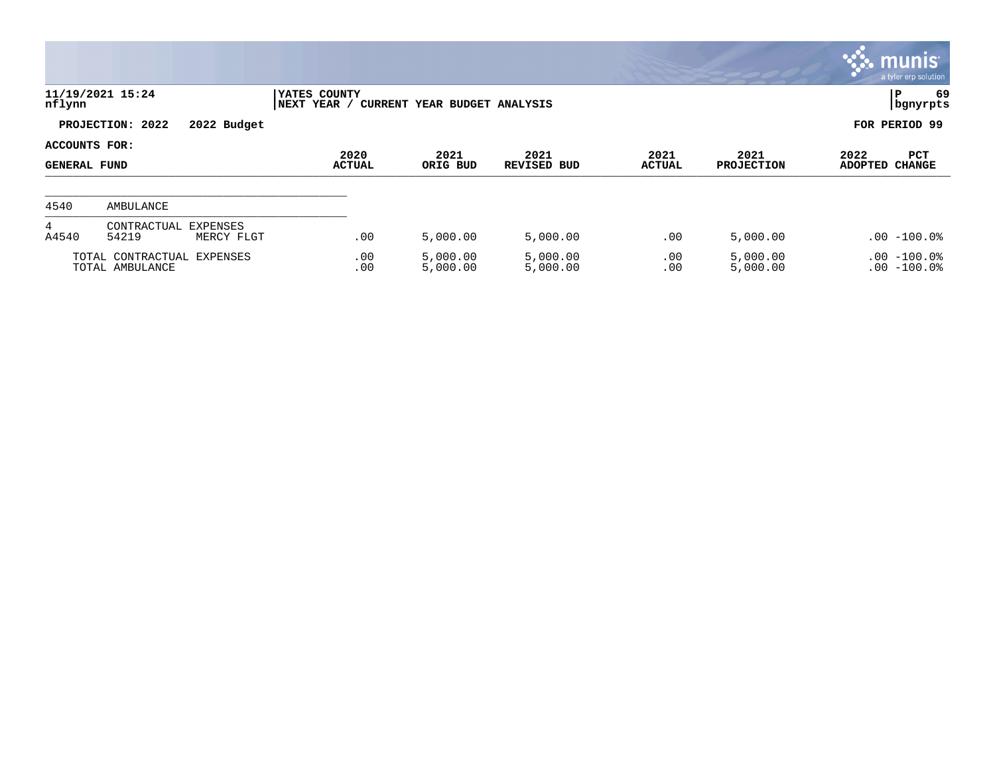|                                      |                                                |                             |                              |                            |                       |                           | $\overline{\mathsf{m}$ unis<br>a tyler erp solution |
|--------------------------------------|------------------------------------------------|-----------------------------|------------------------------|----------------------------|-----------------------|---------------------------|-----------------------------------------------------|
| nflynn                               | 11/19/2021 15:24                               | YATES COUNTY<br>NEXT YEAR / | CURRENT YEAR BUDGET ANALYSIS |                            |                       |                           | 69<br>$\mathbf P$<br>bgnyrpts                       |
|                                      | PROJECTION: 2022<br>2022 Budget                |                             |                              |                            |                       |                           | FOR PERIOD 99                                       |
| ACCOUNTS FOR:<br><b>GENERAL FUND</b> |                                                | 2020<br>ACTUAL              | 2021<br>ORIG BUD             | 2021<br><b>REVISED BUD</b> | 2021<br><b>ACTUAL</b> | 2021<br><b>PROJECTION</b> | 2022<br>PCT<br><b>CHANGE</b><br><b>ADOPTED</b>      |
| 4540                                 | AMBULANCE                                      |                             |                              |                            |                       |                           |                                                     |
| 4<br>A4540                           | CONTRACTUAL<br>EXPENSES<br>54219<br>MERCY FLGT | .00                         | 5,000.00                     | 5,000.00                   | .00                   | 5,000.00                  | $.00 - 100.0$                                       |
|                                      | TOTAL CONTRACTUAL EXPENSES<br>TOTAL AMBULANCE  | .00<br>.00                  | 5,000.00<br>5,000.00         | 5,000.00<br>5,000.00       | .00<br>.00            | 5,000.00<br>5,000.00      | $.00 - 100.0%$<br>$.00 - 100.0$                     |

and the state of the state of the state of the state of the state of the state of the state of the state of the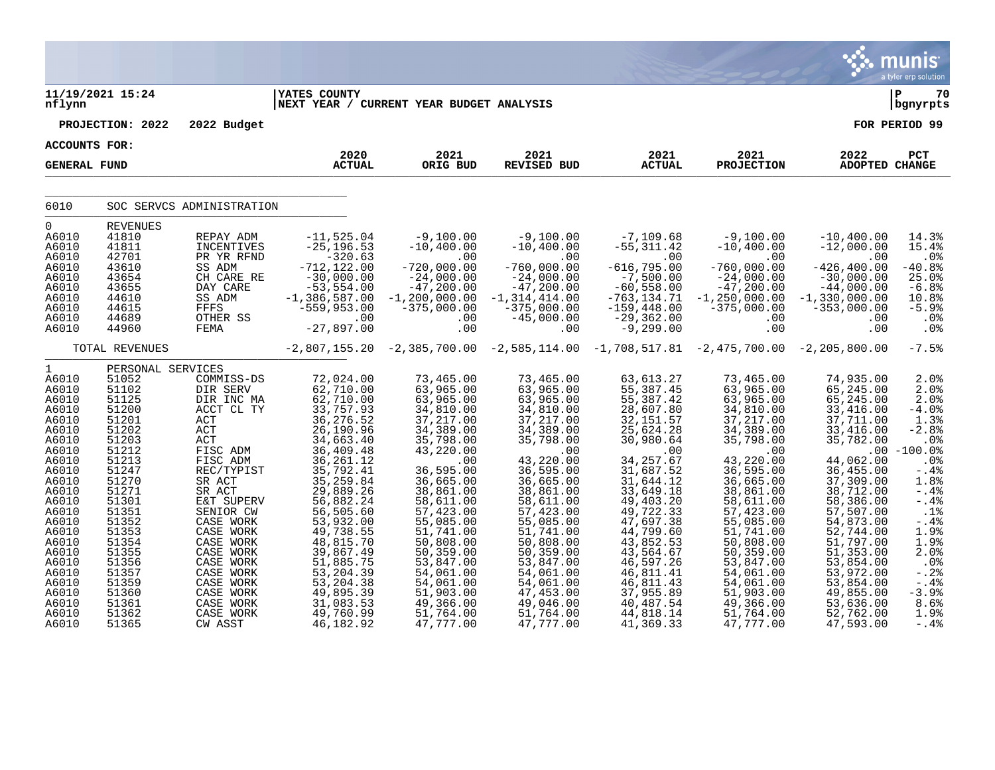|                                                                                                                                                                                                                                      |                                                                                                                                                                                                                                           |                                                                                                                                                                                                                                                                                                |                                                                                                                                                                                                                                                                                                                             |                                                                                                                                                                                                                                                                                                                 |                                                                                                                                                                                                                                                                                                                   |                                                                                                                                                                                                                                                                                                                   |                                                                                                                                                                                                                                                                                                                   |                                                                                                                                                                                                                                                                                                           | munis<br>a tyler erp solution                                                                                                                                                                                                          |
|--------------------------------------------------------------------------------------------------------------------------------------------------------------------------------------------------------------------------------------|-------------------------------------------------------------------------------------------------------------------------------------------------------------------------------------------------------------------------------------------|------------------------------------------------------------------------------------------------------------------------------------------------------------------------------------------------------------------------------------------------------------------------------------------------|-----------------------------------------------------------------------------------------------------------------------------------------------------------------------------------------------------------------------------------------------------------------------------------------------------------------------------|-----------------------------------------------------------------------------------------------------------------------------------------------------------------------------------------------------------------------------------------------------------------------------------------------------------------|-------------------------------------------------------------------------------------------------------------------------------------------------------------------------------------------------------------------------------------------------------------------------------------------------------------------|-------------------------------------------------------------------------------------------------------------------------------------------------------------------------------------------------------------------------------------------------------------------------------------------------------------------|-------------------------------------------------------------------------------------------------------------------------------------------------------------------------------------------------------------------------------------------------------------------------------------------------------------------|-----------------------------------------------------------------------------------------------------------------------------------------------------------------------------------------------------------------------------------------------------------------------------------------------------------|----------------------------------------------------------------------------------------------------------------------------------------------------------------------------------------------------------------------------------------|
| nflynn                                                                                                                                                                                                                               | 11/19/2021 15:24                                                                                                                                                                                                                          |                                                                                                                                                                                                                                                                                                | <b>YATES COUNTY</b><br> NEXT YEAR / CURRENT YEAR BUDGET ANALYSIS                                                                                                                                                                                                                                                            |                                                                                                                                                                                                                                                                                                                 |                                                                                                                                                                                                                                                                                                                   |                                                                                                                                                                                                                                                                                                                   |                                                                                                                                                                                                                                                                                                                   |                                                                                                                                                                                                                                                                                                           | ∣ P<br>70<br>  bgnyrpts                                                                                                                                                                                                                |
|                                                                                                                                                                                                                                      | PROJECTION: 2022                                                                                                                                                                                                                          | 2022 Budget                                                                                                                                                                                                                                                                                    |                                                                                                                                                                                                                                                                                                                             |                                                                                                                                                                                                                                                                                                                 |                                                                                                                                                                                                                                                                                                                   |                                                                                                                                                                                                                                                                                                                   |                                                                                                                                                                                                                                                                                                                   |                                                                                                                                                                                                                                                                                                           | FOR PERIOD 99                                                                                                                                                                                                                          |
| <b>ACCOUNTS FOR:</b>                                                                                                                                                                                                                 |                                                                                                                                                                                                                                           |                                                                                                                                                                                                                                                                                                |                                                                                                                                                                                                                                                                                                                             |                                                                                                                                                                                                                                                                                                                 |                                                                                                                                                                                                                                                                                                                   |                                                                                                                                                                                                                                                                                                                   |                                                                                                                                                                                                                                                                                                                   |                                                                                                                                                                                                                                                                                                           |                                                                                                                                                                                                                                        |
| <b>GENERAL FUND</b>                                                                                                                                                                                                                  |                                                                                                                                                                                                                                           |                                                                                                                                                                                                                                                                                                | 2020<br><b>ACTUAL</b>                                                                                                                                                                                                                                                                                                       | 2021<br>ORIG BUD                                                                                                                                                                                                                                                                                                | 2021<br><b>REVISED BUD</b>                                                                                                                                                                                                                                                                                        | 2021<br><b>ACTUAL</b>                                                                                                                                                                                                                                                                                             | 2021<br><b>PROJECTION</b>                                                                                                                                                                                                                                                                                         | 2022<br><b>ADOPTED CHANGE</b>                                                                                                                                                                                                                                                                             | PCT                                                                                                                                                                                                                                    |
| 6010                                                                                                                                                                                                                                 |                                                                                                                                                                                                                                           | SOC SERVCS ADMINISTRATION                                                                                                                                                                                                                                                                      |                                                                                                                                                                                                                                                                                                                             |                                                                                                                                                                                                                                                                                                                 |                                                                                                                                                                                                                                                                                                                   |                                                                                                                                                                                                                                                                                                                   |                                                                                                                                                                                                                                                                                                                   |                                                                                                                                                                                                                                                                                                           |                                                                                                                                                                                                                                        |
| 0<br>A6010<br>A6010<br>A6010<br>A6010<br>A6010<br>A6010<br>A6010<br>A6010<br>A6010<br>A6010                                                                                                                                          | <b>REVENUES</b><br>41810<br>41811<br>42701<br>43610<br>43654<br>43655<br>44610<br>44615<br>44689<br>44960                                                                                                                                 | REPAY ADM<br>INCENTIVES<br>PR YR RFND<br>SS ADM<br>CH CARE RE<br>DAY CARE<br>SS ADM<br>FFFS<br>OTHER SS<br>FEMA                                                                                                                                                                                | $-11, 525.04$<br>$-25, 196.53$<br>$-320.63$<br>$-712, 122.00$<br>$-30,000.00$<br>$-53, 554.00$<br>$-1,386,587.00$<br>$-559, 953.00$<br>.00<br>$-27,897.00$                                                                                                                                                                  | $-9,100.00$<br>$-10, 400.00$<br>.00<br>$-720,000.00$<br>$-24,000.00$<br>$-47, 200.00$<br>$-1, 200, 000.00$<br>$-375,000.00$<br>.00<br>.00                                                                                                                                                                       | $-9,100.00$<br>$-10, 400.00$<br>.00<br>$-760,000.00$<br>$-24,000.00$<br>$-47, 200.00$<br>$-1, 314, 414.00$<br>$-375,000.00$<br>$-45,000.00$<br>.00                                                                                                                                                                | $-7,109.68$<br>$-55, 311.42$<br>.00<br>$-616, 795.00$<br>$-7,500.00$<br>$-60, 558.00$<br>$-763, 134.71$<br>$-159, 448.00$<br>$-29, 362.00$<br>$-9, 299.00$                                                                                                                                                        | $-9,100.00$<br>$-10, 400.00$<br>$.00 \ \rm$<br>$-760,000.00$<br>$-24,000.00$<br>$-47, 200.00$<br>$-1, 250, 000.00$<br>$-375,000.00$<br>$.00 \,$<br>.00                                                                                                                                                            | $-10, 400.00$<br>$-12,000.00$<br>.00<br>$-426, 400.00$<br>$-30,000.00$<br>$-44,000.00$<br>$-1,330,000.00$<br>$-353,000.00$<br>.00<br>.00                                                                                                                                                                  | 14.3%<br>15.4%<br>.0 <sub>8</sub><br>$-40.8%$<br>25.0%<br>$-6.8%$<br>10.8%<br>$-5.9%$<br>.0%<br>.0 <sub>8</sub>                                                                                                                        |
|                                                                                                                                                                                                                                      | TOTAL REVENUES                                                                                                                                                                                                                            |                                                                                                                                                                                                                                                                                                |                                                                                                                                                                                                                                                                                                                             | $-2,807,155.20$ $-2,385,700.00$ $-2,585,114.00$ $-1,708,517.81$ $-2,475,700.00$ $-2,205,800.00$                                                                                                                                                                                                                 |                                                                                                                                                                                                                                                                                                                   |                                                                                                                                                                                                                                                                                                                   |                                                                                                                                                                                                                                                                                                                   |                                                                                                                                                                                                                                                                                                           | $-7.5%$                                                                                                                                                                                                                                |
| $\mathbf{1}$<br>A6010<br>A6010<br>A6010<br>A6010<br>A6010<br>A6010<br>A6010<br>A6010<br>A6010<br>A6010<br>A6010<br>A6010<br>A6010<br>A6010<br>A6010<br>A6010<br>A6010<br>A6010<br>A6010<br>A6010<br>A6010<br>A6010<br>A6010<br>A6010 | PERSONAL SERVICES<br>51052<br>51102<br>51125<br>51200<br>51201<br>51202<br>51203<br>51212<br>51213<br>51247<br>51270<br>51271<br>51301<br>51351<br>51352<br>51353<br>51354<br>51355<br>51356<br>51357<br>51359<br>51360<br>51361<br>51362 | COMMISS-DS<br>DIR SERV<br>DIR INC MA<br>ACCT CL TY<br>ACT<br>ACT<br>ACT<br>FISC ADM<br>FISC ADM<br>REC/TYPIST<br>SR ACT<br>SR ACT<br>E&T SUPERV<br>SENIOR CW<br>CASE WORK<br>CASE WORK<br>CASE WORK<br>CASE WORK<br>CASE WORK<br>CASE WORK<br>CASE WORK<br>CASE WORK<br>CASE WORK<br>CASE WORK | 72,024.00<br>62,710.00<br>62,710.00<br>33,757.93<br>36, 276.52<br>26, 190.96<br>34,663.40<br>36,409.48<br>36, 261.12<br>35,792.41<br>35, 259.84<br>29,889.26<br>56,882.24<br>56,505.60<br>53,932.00<br>49,738.55<br>48,815.70<br>39,867.49<br>51,885.75<br>53, 204.39<br>53, 204. 38<br>49,895.39<br>31,083.53<br>49,760.99 | 73,465.00<br>63,965.00<br>63,965.00<br>34,810.00<br>37, 217.00<br>34,389.00<br>35,798.00<br>43,220.00<br>.00<br>36,595.00<br>36,665.00<br>38,861.00<br>58,611.00<br>57,423.00<br>55,085.00<br>51,741.00<br>50,808.00<br>50,359.00<br>53,847.00<br>54,061.00<br>54,061.00<br>51,903.00<br>49,366.00<br>51,764.00 | 73,465.00<br>63,965.00<br>63,965.00<br>34,810.00<br>37, 217.00<br>34,389.00<br>35,798.00<br>.00<br>43, 220.00<br>36, 595.00<br>36,665.00<br>38,861.00<br>58,611.00<br>57,423.00<br>55,085.00<br>51,741.00<br>50,808.00<br>50,359.00<br>53,847.00<br>54,061.00<br>54,061.00<br>47,453.00<br>49,046.00<br>51,764.00 | 63,613.27<br>55, 387.45<br>55,387.42<br>28,607.80<br>32, 151.57<br>25,624.28<br>30,980.64<br>.00<br>34, 257.67<br>31,687.52<br>31,644.12<br>33,649.18<br>49,403.20<br>49,722.33<br>47,697.38<br>44,799.60<br>43,852.53<br>43,564.67<br>46,597.26<br>46,811.41<br>46,811.43<br>37,955.89<br>40,487.54<br>44,818.14 | 73,465.00<br>63,965.00<br>63,965.00<br>34,810.00<br>37, 217.00<br>34,389.00<br>35,798.00<br>.00<br>43, 220.00<br>36, 595.00<br>36,665.00<br>38,861.00<br>58,611.00<br>57,423.00<br>55,085.00<br>51,741.00<br>50,808.00<br>50,359.00<br>53,847.00<br>54,061.00<br>54,061.00<br>51,903.00<br>49,366.00<br>51,764.00 | 74,935.00<br>65,245.00<br>65, 245.00<br>33, 416.00<br>37,711.00<br>33,416.00<br>35,782.00<br>44,062.00<br>36,455.00<br>37,309.00<br>38,712.00<br>58,386.00<br>57,507.00<br>54,873.00<br>52,744.00<br>51,797.00<br>51,353.00<br>53,854.00<br>53,972.00<br>53,854.00<br>49,855.00<br>53,636.00<br>52,762.00 | 2.0%<br>2.0%<br>2.0%<br>$-4.0%$<br>1.3%<br>$-2.8%$<br>.0%<br>$.00 - 100.0$<br>.0 <sub>8</sub><br>$-.4%$<br>1.8%<br>$-4%$<br>$-4%$<br>.1%<br>$- .4%$<br>1.9%<br>$1.9%$<br>$2.0%$<br>.0%<br>$-0.2%$<br>$-.4%$<br>$-3.9%$<br>8.6%<br>1.9% |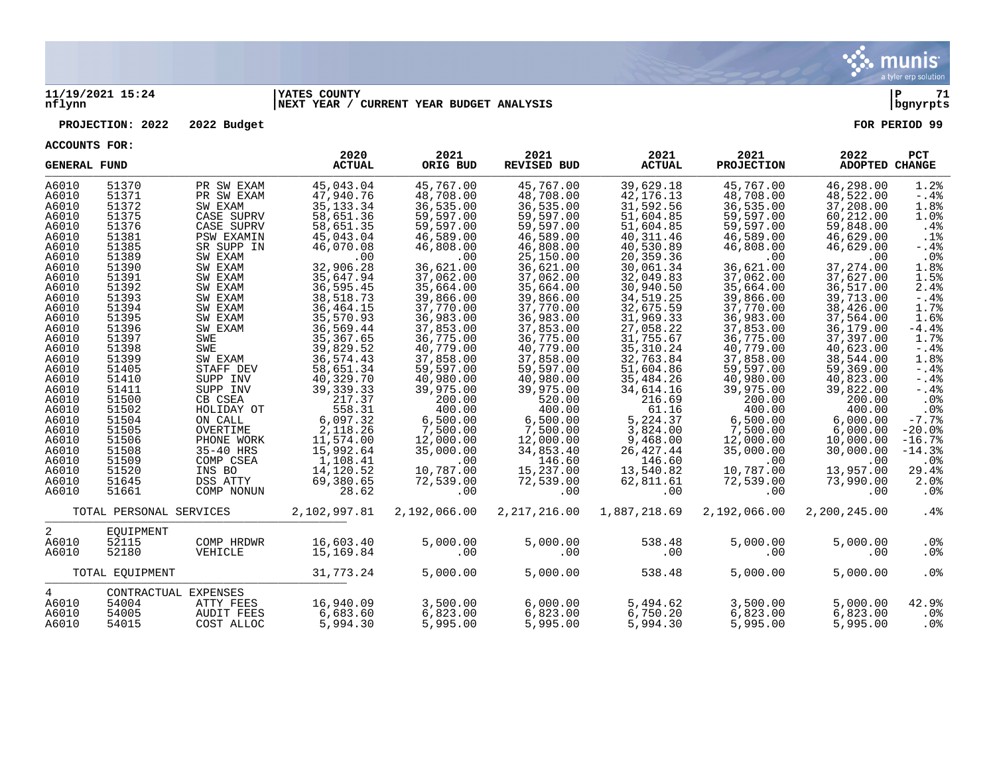

### **11/19/2021 15:24 |YATES COUNTY |P 71 nflynn |NEXT YEAR / CURRENT YEAR BUDGET ANALYSIS |bgnyrpts**

### **PROJECTION: 2022 2022 Budget FOR PERIOD 99**

| <b>GENERAL FUND</b>     |                      |                          | 2020<br><b>ACTUAL</b>  | 2021<br>ORIG BUD       | 2021<br>REVISED BUD    | 2021<br><b>ACTUAL</b>    | 2021<br><b>PROJECTION</b> | 2022<br><b>ADOPTED CHANGE</b> | PCT             |
|-------------------------|----------------------|--------------------------|------------------------|------------------------|------------------------|--------------------------|---------------------------|-------------------------------|-----------------|
| A6010<br>A6010          | 51370<br>51371       | PR SW EXAM<br>PR SW EXAM | 45,043.04<br>47,940.76 | 45,767.00<br>48,708.00 | 45,767.00<br>48,708.00 | 39,629.18<br>42, 176. 13 | 45,767.00<br>48,708.00    | 46,298.00<br>48,522.00        | 1.2%<br>$-0.4%$ |
| A6010                   | 51372                | SW EXAM                  | 35, 133. 34            | 36,535.00              | 36, 535.00             | 31,592.56                | 36, 535.00                | 37,208.00                     | 1.8%            |
| A6010                   | 51375                | CASE SUPRV               | 58,651.36              | 59,597.00              | 59,597.00              | 51,604.85                | 59,597.00                 | 60,212.00                     | 1.0%            |
| A6010                   | 51376                | CASE SUPRV               | 58,651.35              | 59,597.00              | 59,597.00              | 51,604.85                | 59,597.00                 | 59,848.00                     | .4%             |
| A6010                   | 51381                | <b>PSW EXAMIN</b>        | 45,043.04              | 46,589.00              | 46,589.00              | 40, 311.46               | 46,589.00                 | 46,629.00                     | .1%             |
| A6010                   | 51385                | SR SUPP IN               | 46,070.08              | 46,808.00              | 46,808.00              | 40,530.89                | 46,808.00                 | 46,629.00                     | $-.4%$          |
| A6010                   | 51389                | SW EXAM                  | .00                    | .00                    | 25,150.00              | 20,359.36                | .00                       | .00                           | $.0\%$          |
| A6010                   | 51390                | SW EXAM                  | 32,906.28              | 36,621.00              | 36,621.00              | 30,061.34                | 36,621.00                 | 37, 274.00                    | 1.8%            |
| A6010                   | 51391                | SW EXAM                  | 35,647.94              | 37,062.00              | 37,062.00              | 32,049.83                | 37,062.00                 | 37,627.00                     | 1.5%            |
| A6010                   | 51392                | SW EXAM                  | 36,595.45              | 35,664.00              | 35,664.00              | 30,940.50                | 35,664.00                 | 36,517.00                     | 2.4%            |
| A6010                   | 51393                | SW EXAM                  | 38,518.73              | 39,866.00              | 39,866.00              | 34,519.25                | 39,866.00                 | 39,713.00                     | $-.4%$          |
| A6010                   | 51394                | SW EXAM                  | 36,464.15              | 37,770.00              | 37,770.00              | 32,675.59                | 37,770.00                 | 38,426.00                     | 1.7%            |
| A6010                   | 51395                | SW EXAM                  | 35,570.93              | 36,983.00              | 36,983.00              | 31,969.33                | 36,983.00                 | 37,564.00                     | 1.6%            |
| A6010                   | 51396                | SW EXAM                  | 36,569.44              | 37,853.00              | 37,853.00              | 27,058.22                | 37,853.00                 | 36,179.00                     | $-4.4%$         |
| A6010                   | 51397                | SWE                      | 35, 367.65             | 36,775.00              | 36,775.00              | 31,755.67                | 36,775.00                 | 37,397.00                     | 1.7%            |
| A6010                   | 51398                | SWE                      | 39,829.52              | 40,779.00              | 40,779.00              | 35, 310.24               | 40,779.00                 | 40,623.00                     | $-0.4%$         |
| A6010                   | 51399                | SW EXAM                  | 36, 574.43             | 37,858.00              | 37,858.00              | 32,763.84                | 37,858.00                 | 38,544.00                     | 1.8%            |
| A6010                   | 51405                | STAFF DEV                | 58,651.34              | 59,597.00              | 59,597.00              | 51,604.86                | 59,597.00                 | 59,369.00                     | $-0.4%$         |
| A6010                   | 51410                | SUPP INV                 | 40,329.70              | 40,980.00              | 40,980.00              | 35,484.26                | 40,980.00                 | 40,823.00                     | $-.4%$          |
| A6010<br>A6010          | 51411<br>51500       | SUPP INV<br>CB CSEA      | 39, 339. 33<br>217.37  | 39,975.00<br>200.00    | 39,975.00<br>520.00    | 34,614.16<br>216.69      | 39,975.00<br>200.00       | 39,822.00<br>200.00           | $-.4%$<br>.0%   |
| A6010                   | 51502                | HOLIDAY OT               | 558.31                 | 400.00                 | 400.00                 | 61.16                    | 400.00                    | 400.00                        | .0%             |
| A6010                   | 51504                | ON CALL                  | 6,097.32               | 6,500.00               | 6,500.00               | 5,224.37                 | 6,500.00                  | 6,000.00                      | $-7.7%$         |
| A6010                   | 51505                | OVERTIME                 | 2,118.26               | 7,500.00               | 7,500.00               | 3,824.00                 | 7,500.00                  | 6,000.00                      | $-20.0%$        |
| A6010                   | 51506                | PHONE WORK               | 11,574.00              | 12,000.00              | 12,000.00              | 9,468.00                 | 12,000.00                 | 10,000.00                     | $-16.7%$        |
| A6010                   | 51508                | 35-40 HRS                | 15,992.64              | 35,000.00              | 34,853.40              | 26,427.44                | 35,000.00                 | 30,000.00                     | $-14.3%$        |
| A6010                   | 51509                | COMP CSEA                | 1,108.41               | .00                    | 146.60                 | 146.60                   | .00                       | .00                           | $.0\%$          |
| A6010                   | 51520                | INS BO                   | 14,120.52              | 10,787.00              | 15,237.00              | 13,540.82                | 10,787.00                 | 13,957.00                     | 29.4%           |
| A6010                   | 51645                | DSS ATTY                 | 69,380.65              | 72,539.00              | 72,539.00              | 62,811.61                | 72,539.00                 | 73,990.00                     | 2.0%            |
| A6010                   | 51661                | COMP NONUN               | 28.62                  | .00                    | .00                    | .00                      | $.00 \,$                  | .00                           | $.0\%$          |
| TOTAL PERSONAL SERVICES |                      |                          | 2,102,997.81           | 2,192,066.00           | 2, 217, 216.00         | 1,887,218.69             | 2,192,066.00              | 2,200,245.00                  | .4%             |
| $\overline{2}$          | EOUIPMENT            |                          |                        |                        |                        |                          |                           |                               |                 |
| A6010                   | 52115                | COMP HRDWR               | 16,603.40              | 5,000.00               | 5,000.00               | 538.48                   | 5,000.00                  | 5,000.00                      | .0%             |
| A6010                   | 52180                | VEHICLE                  | 15,169.84              | .00                    | .00                    | .00                      | .00                       | .00                           | .0%             |
| TOTAL EOUIPMENT         |                      |                          | 31,773.24              | 5,000.00               | 5,000.00               | 538.48                   | 5,000.00                  | 5,000.00                      | .0%             |
| $4\overline{ }$         | CONTRACTUAL EXPENSES |                          |                        |                        |                        |                          |                           |                               |                 |
| A6010                   | 54004                | ATTY FEES                | 16,940.09              | 3,500.00               | 6,000.00               | 5,494.62                 | 3,500.00                  | 5,000.00                      | 42.9%           |
| A6010                   | 54005                | <b>AUDIT FEES</b>        | 6,683.60<br>5,994.30   | 6,823.00               | 6,823.00               | 6,750.20<br>5,994.30     | 6,823.00                  | 6,823.00                      | $.0\%$          |
| A6010                   | 54015                | COST ALLOC               |                        | 5,995.00               | 5,995.00               |                          | 5,995.00                  | 5,995.00                      | .0%             |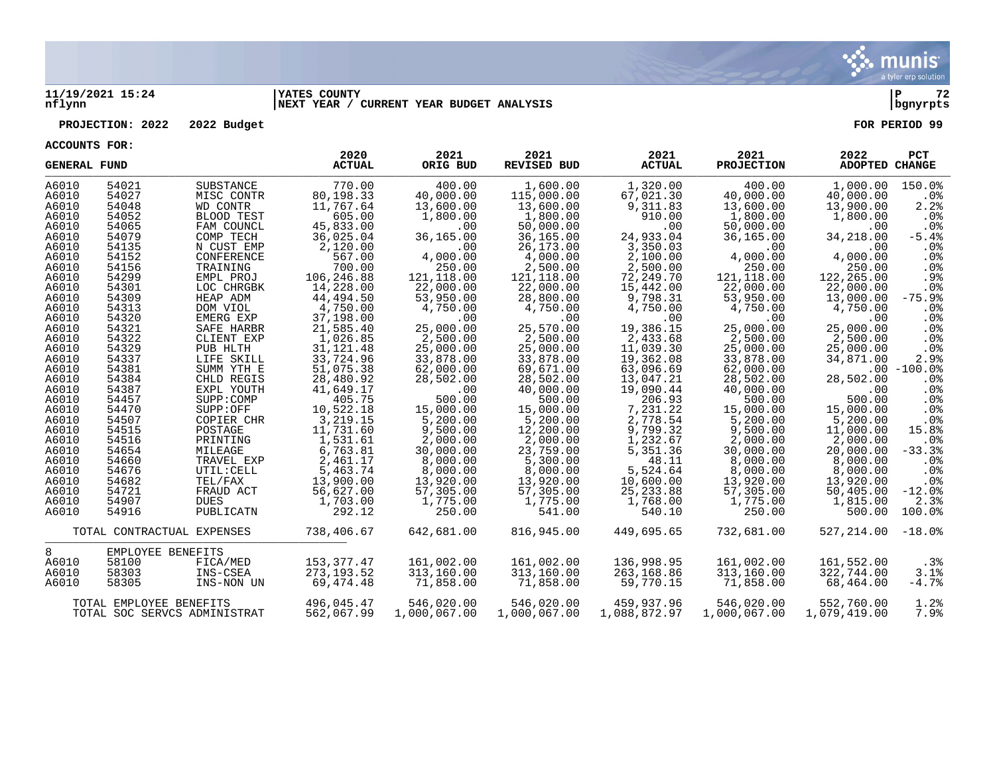

### **11/19/2021 15:24 |YATES COUNTY |P 72 nflynn |NEXT YEAR / CURRENT YEAR BUDGET ANALYSIS |bgnyrpts**

### **PROJECTION: 2022 2022 Budget FOR PERIOD 99**

| <b>GENERAL FUND</b>          |                   |            | 2020<br><b>ACTUAL</b> | 2021<br>ORIG BUD | 2021<br><b>REVISED BUD</b> | 2021<br><b>ACTUAL</b> | 2021<br><b>PROJECTION</b> | 2022<br><b>ADOPTED CHANGE</b> | <b>PCT</b>      |
|------------------------------|-------------------|------------|-----------------------|------------------|----------------------------|-----------------------|---------------------------|-------------------------------|-----------------|
| A6010                        | 54021             | SUBSTANCE  | 770.00                | 400.00           | 1,600.00                   | 1,320.00              | 400.00                    | 1,000.00                      | 150.0%          |
| A6010                        | 54027             | MISC CONTR | 80,198.33             | 40,000.00        | 115,000.00                 | 67,021.30             | 40,000.00                 | 40,000.00                     | .0%             |
| A6010                        | 54048             | WD CONTR   | 11,767.64             | 13,600.00        | 13,600.00                  | 9,311.83              | 13,600.00                 | 13,900.00                     | 2.2%            |
| A6010                        | 54052             | BLOOD TEST | 605.00                | 1,800.00         | 1,800.00                   | 910.00                | 1,800.00                  | 1,800.00                      | .0%             |
| A6010                        | 54065             | FAM COUNCL | 45,833.00             | .00              | 50,000.00                  | .00                   | 50,000.00                 | $.00 \,$                      | .0%             |
| A6010                        | 54079             | COMP TECH  | 36,025.04             | 36,165.00        | 36,165.00                  | 24,933.04             | 36,165.00                 | 34,218.00                     | $-5.4%$         |
| A6010                        | 54135             | N CUST EMP | 2,120.00              | .00              | 26,173.00                  | 3,350.03              | .00                       | .00                           | $.0\%$          |
| A6010                        | 54152             | CONFERENCE | 567.00                | 4,000.00         | 4,000.00                   | 2,100.00              | 4,000.00                  | 4,000.00                      | .0%             |
| A6010                        | 54156             | TRAINING   | 700.00                | 250.00           | 2,500.00                   | 2,500.00              | 250.00                    | 250.00                        | .0%             |
| A6010                        | 54299             | EMPL PROJ  | 106,246.88            | 121,118.00       | 121,118.00                 | 72,249.70             | 121,118.00                | 122,265.00                    | .9%             |
| A6010                        | 54301             | LOC CHRGBK | 14,228.00             | 22,000.00        | 22,000.00                  | 15,442.00             | 22,000.00                 | 22,000.00                     | .0%             |
| A6010                        | 54309             | HEAP ADM   | 44,494.50             | 53,950.00        | 28,800.00                  | 9,798.31              | 53,950.00                 | 13,000.00                     | $-75.9%$        |
| A6010                        | 54313             | DOM VIOL   | 4,750.00              | 4,750.00         | 4,750.00                   | 4,750.00              | 4,750.00                  | 4,750.00                      | .0%             |
| A6010                        | 54320             | EMERG EXP  | 37,198.00             | .00              | .00                        | .00                   | .00                       | .00                           | .0%             |
| A6010                        | 54321             | SAFE HARBR | 21,585.40             | 25,000.00        | 25,570.00                  | 19,386.15             | 25,000.00                 | 25,000.00                     | .0%             |
| A6010                        | 54322             | CLIENT EXP | 1,026.85              | 2,500.00         | 2,500.00                   | 2,433.68              | 2,500.00                  | 2,500.00                      | .0%             |
| A6010                        | 54329             | PUB HLTH   | 31, 121.48            | 25,000.00        | 25,000.00                  | 11,039.30             | 25,000.00                 | 25,000.00                     | $.0\%$          |
| A6010                        | 54337             | LIFE SKILL | 33,724.96             | 33,878.00        | 33,878.00                  | 19,362.08             | 33,878.00                 | 34,871.00                     | 2.9%            |
| A6010                        | 54381             | SUMM YTH E | 51,075.38             | 62,000.00        | 69,671.00                  | 63,096.69             | 62,000.00                 |                               | $.00 - 100.0%$  |
| A6010                        | 54384             | CHLD REGIS | 28,480.92             | 28,502.00        | 28,502.00                  | 13,047.21             | 28,502.00                 | 28,502.00                     | $.0\%$          |
| A6010                        | 54387             | EXPL YOUTH | 41,649.17             | .00              | 40,000.00                  | 19,090.44             | 40,000.00                 | .00                           | .0%             |
| A6010                        | 54457             | SUPP:COMP  | 405.75                | 500.00           | 500.00                     | 206.93                | 500.00                    | 500.00                        | .0%             |
| A6010                        | 54470             | SUPP:OFF   | 10,522.18             | 15,000.00        | 15,000.00                  | 7,231.22              | 15,000.00                 | 15,000.00                     | .0%             |
| A6010                        | 54507             | COPIER CHR | 3,219.15              | 5,200.00         | 5,200.00                   | 2,778.54              | 5,200.00                  | 5,200.00                      | .0%             |
| A6010                        | 54515             | POSTAGE    | 11,731.60             | 9,500.00         | 12,200.00                  | 9,799.32              | 9,500.00                  | 11,000.00                     | 15.8%           |
| A6010                        | 54516             | PRINTING   | 1,531.61              | 2,000.00         | 2,000.00                   | 1,232.67              | 2,000.00                  | 2,000.00                      | .0 <sub>8</sub> |
| A6010                        | 54654             | MILEAGE    | 6,763.81              | 30,000.00        | 23,759.00                  | 5,351.36              | 30,000.00                 | 20,000.00                     | $-33.3%$        |
| A6010                        | 54660             | TRAVEL EXP | 2,461.17              | 8,000.00         | 5,300.00                   | 48.11                 | 8,000.00                  | 8,000.00                      | $.0\%$          |
| A6010                        | 54676             | UTIL: CELL | 5,463.74              | 8,000.00         | 8,000.00                   | 5,524.64              | 8,000.00                  | 8,000.00                      | .0%             |
| A6010                        | 54682             | TEL/FAX    | 13,900.00             | 13,920.00        | 13,920.00                  | 10,600.00             | 13,920.00                 | 13,920.00                     | .0%             |
| A6010                        | 54721             | FRAUD ACT  | 56,627.00             | 57,305.00        | 57,305.00                  | 25, 233.88            | 57,305.00                 | 50,405.00                     | $-12.0%$        |
| A6010                        | 54907             | DUES       | 1,703.00              | 1,775.00         | 1,775.00                   | 1,768.00              | 1,775.00                  | 1,815.00                      | 2.3%            |
| A6010                        | 54916             | PUBLICATN  | 292.12                | 250.00           | 541.00                     | 540.10                | 250.00                    | 500.00                        | 100.0%          |
| TOTAL CONTRACTUAL EXPENSES   |                   | 738,406.67 | 642,681.00            | 816,945.00       | 449,695.65                 | 732,681.00            | $527, 214.00 -18.0$       |                               |                 |
| 8                            | EMPLOYEE BENEFITS |            |                       |                  |                            |                       |                           |                               |                 |
| A6010                        | 58100             | FICA/MED   | 153,377.47            | 161,002.00       | 161,002.00                 | 136,998.95            | 161,002.00                | 161,552.00                    | $.3\%$          |
| A6010                        | 58303             | INS-CSEA   | 273, 193.52           | 313,160.00       | 313,160.00                 | 263,168.86            | 313,160.00                | 322,744.00                    | 3.1%            |
| A6010                        | 58305             | INS-NON UN | 69,474.48             | 71,858.00        | 71,858.00                  | 59,770.15             | 71,858.00                 | 68,464.00                     | $-4.7%$         |
| TOTAL EMPLOYEE BENEFITS      |                   |            | 496,045.47            | 546,020.00       | 546,020.00                 | 459,937.96            | 546,020.00                | 552,760.00                    | 1.2%            |
| TOTAL SOC SERVCS ADMINISTRAT |                   |            | 562,067.99            | 1,000,067.00     | 1,000,067.00               | 1,088,872.97          | 1,000,067.00              | 1,079,419.00                  | 7.9%            |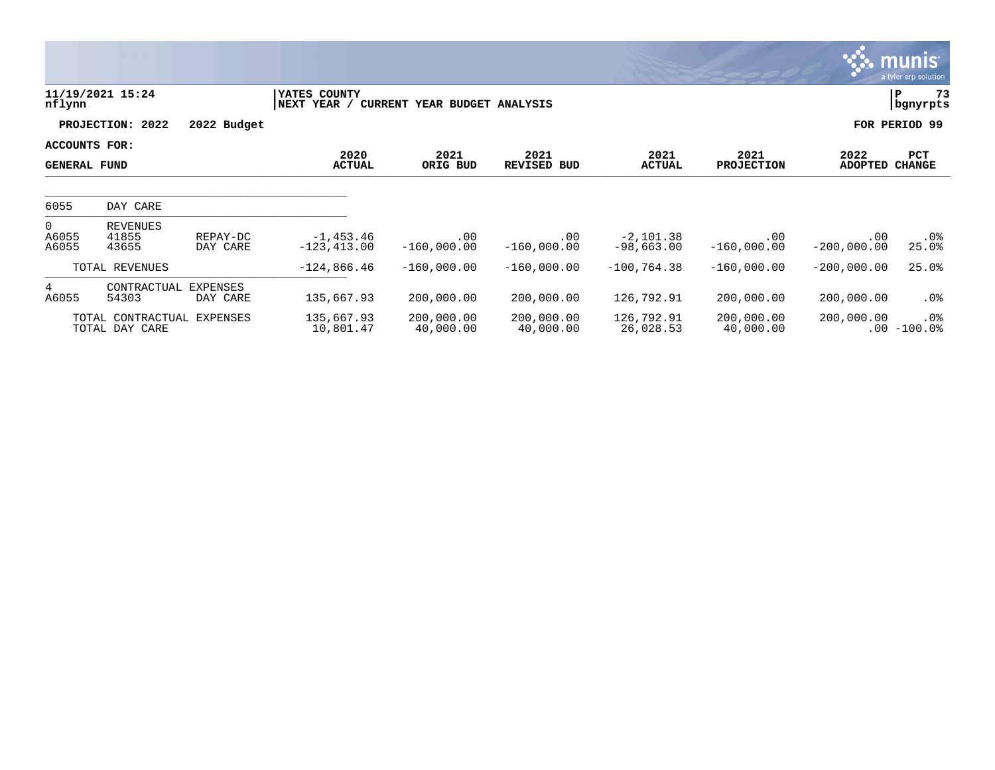|                                      |                                     |                             |                               |                              |                            |                             |                           |                        | <u>ુરું. munis i</u><br>a tyler erp solution |  |
|--------------------------------------|-------------------------------------|-----------------------------|-------------------------------|------------------------------|----------------------------|-----------------------------|---------------------------|------------------------|----------------------------------------------|--|
| nflynn                               | 11/19/2021 15:24                    |                             | YATES COUNTY<br>NEXT YEAR /   | CURRENT YEAR BUDGET ANALYSIS |                            |                             |                           | 73<br>P<br>bgnyrpts    |                                              |  |
|                                      | PROJECTION: 2022                    | 2022 Budget                 |                               |                              |                            |                             |                           |                        | FOR PERIOD 99                                |  |
| ACCOUNTS FOR:<br><b>GENERAL FUND</b> |                                     |                             | 2020<br><b>ACTUAL</b>         | 2021<br>ORIG BUD             | 2021<br><b>REVISED BUD</b> | 2021<br><b>ACTUAL</b>       | 2021<br><b>PROJECTION</b> | 2022<br><b>ADOPTED</b> | PCT<br><b>CHANGE</b>                         |  |
| 6055                                 | DAY CARE                            |                             |                               |                              |                            |                             |                           |                        |                                              |  |
| $\mathbf{0}$<br>A6055<br>A6055       | REVENUES<br>41855<br>43655          | REPAY-DC<br>DAY CARE        | $-1,453.46$<br>$-123, 413.00$ | .00<br>$-160,000.00$         | .00<br>$-160,000.00$       | $-2,101.38$<br>$-98,663.00$ | .00<br>$-160,000.00$      | .00<br>$-200,000.00$   | $.0\%$<br>25.0%                              |  |
|                                      | TOTAL REVENUES                      |                             | $-124,866.46$                 | $-160,000.00$                | $-160,000.00$              | $-100, 764.38$              | $-160,000.00$             | $-200,000.00$          | 25.0%                                        |  |
| $4\overline{ }$<br>A6055             | CONTRACTUAL<br>54303                | <b>EXPENSES</b><br>DAY CARE | 135,667.93                    | 200,000.00                   | 200,000.00                 | 126,792.91                  | 200,000.00                | 200,000.00             | .0%                                          |  |
|                                      | TOTAL CONTRACTUAL<br>TOTAL DAY CARE | EXPENSES                    | 135,667.93<br>10,801.47       | 200,000.00<br>40,000.00      | 200,000.00<br>40,000.00    | 126,792.91<br>26,028.53     | 200,000.00<br>40,000.00   | 200,000.00             | $.0\%$<br>$.00 - 100.0$                      |  |

and the second contract of the second contract of the second contract of the second contract of the second contract of the second contract of the second contract of the second contract of the second contract of the second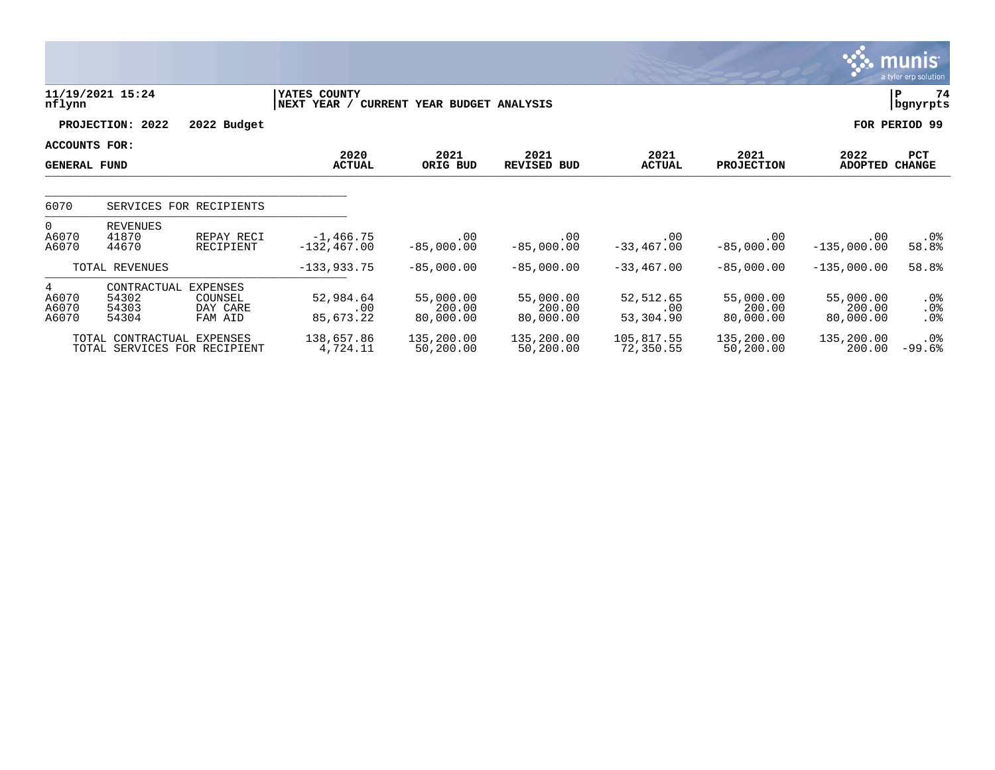|                                      |                                        |                                                   |                                |                                  |                                  |                               |                                  |                                  | <b>MUNIS</b><br>a tyler erp solution |
|--------------------------------------|----------------------------------------|---------------------------------------------------|--------------------------------|----------------------------------|----------------------------------|-------------------------------|----------------------------------|----------------------------------|--------------------------------------|
| nflynn                               | 11/19/2021 15:24                       |                                                   | YATES COUNTY<br>NEXT<br>YEAR / | CURRENT YEAR BUDGET ANALYSIS     |                                  |                               |                                  |                                  | ΙP<br>74<br>bgnyrpts                 |
|                                      | 2022<br>PROJECTION:                    | 2022 Budget                                       |                                |                                  |                                  |                               |                                  |                                  | FOR PERIOD 99                        |
| ACCOUNTS FOR:<br><b>GENERAL FUND</b> |                                        |                                                   | 2020<br><b>ACTUAL</b>          | 2021<br>ORIG BUD                 | 2021<br><b>REVISED BUD</b>       | 2021<br><b>ACTUAL</b>         | 2021<br><b>PROJECTION</b>        | 2022<br><b>ADOPTED</b>           | <b>PCT</b><br><b>CHANGE</b>          |
| 6070                                 |                                        | SERVICES FOR RECIPIENTS                           |                                |                                  |                                  |                               |                                  |                                  |                                      |
| $\overline{0}$<br>A6070<br>A6070     | <b>REVENUES</b><br>41870<br>44670      | REPAY RECI<br>RECIPIENT                           | $-1,466.75$<br>$-132, 467.00$  | .00<br>$-85,000.00$              | .00<br>$-85,000.00$              | .00<br>$-33, 467.00$          | .00<br>$-85,000.00$              | .00<br>$-135,000.00$             | $.0\%$<br>58.8%                      |
|                                      | TOTAL REVENUES                         |                                                   | $-133,933.75$                  | $-85,000.00$                     | $-85,000.00$                     | $-33,467.00$                  | $-85,000.00$                     | $-135,000.00$                    | 58.8%                                |
| 4<br>A6070<br>A6070<br>A6070         | CONTRACTUAL<br>54302<br>54303<br>54304 | <b>EXPENSES</b><br>COUNSEL<br>DAY CARE<br>FAM AID | 52,984.64<br>.00<br>85,673.22  | 55,000.00<br>200.00<br>80,000.00 | 55,000.00<br>200.00<br>80,000.00 | 52,512.65<br>.00<br>53,304.90 | 55,000.00<br>200.00<br>80,000.00 | 55,000.00<br>200.00<br>80,000.00 | .0%<br>.0%<br>.0%                    |
|                                      | TOTAL CONTRACTUAL EXPENSES             | TOTAL SERVICES FOR RECIPIENT                      | 138,657.86<br>4,724.11         | 135,200.00<br>50,200.00          | 135,200.00<br>50,200.00          | 105,817.55<br>72,350.55       | 135,200.00<br>50,200.00          | 135,200.00<br>200.00             | .0%<br>$-99.6%$                      |

 $\mathcal{L}$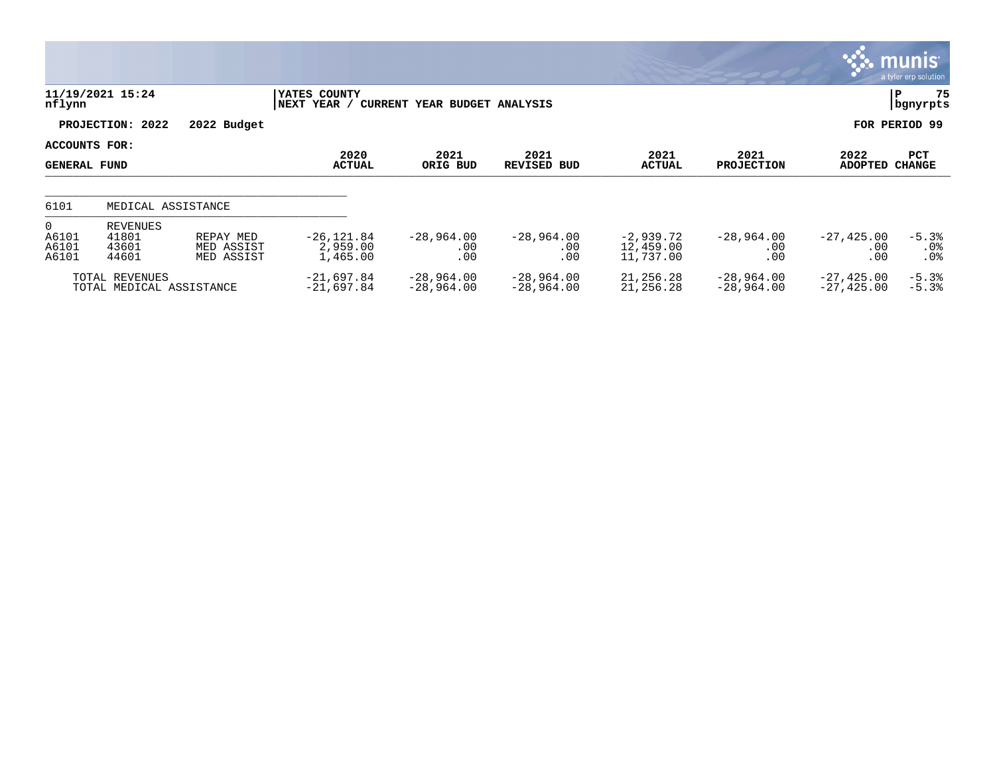|                                           |                                            |                                       |                                       |                              |                              |                                       |                                 |                              | <b>Communis</b><br>a tyler erp solution |
|-------------------------------------------|--------------------------------------------|---------------------------------------|---------------------------------------|------------------------------|------------------------------|---------------------------------------|---------------------------------|------------------------------|-----------------------------------------|
| nflynn                                    | 11/19/2021 15:24                           |                                       | YATES COUNTY<br>NEXT YEAR /           | CURRENT YEAR BUDGET ANALYSIS |                              |                                       |                                 |                              | 75<br>İР.<br>  bgnyrpts                 |
|                                           | PROJECTION: 2022                           | 2022 Budget                           |                                       |                              |                              |                                       |                                 |                              | FOR PERIOD 99                           |
| ACCOUNTS FOR:<br>GENERAL FUND             |                                            |                                       | 2020<br><b>ACTUAL</b>                 | 2021<br>ORIG BUD             | 2021<br><b>REVISED BUD</b>   | 2021<br><b>ACTUAL</b>                 | 2021<br><b>PROJECTION</b>       | 2022<br>ADOPTED              | PCT<br><b>CHANGE</b>                    |
| 6101                                      | MEDICAL ASSISTANCE                         |                                       |                                       |                              |                              |                                       |                                 |                              |                                         |
| $\overline{0}$<br>A6101<br>A6101<br>A6101 | REVENUES<br>41801<br>43601<br>44601        | REPAY MED<br>MED ASSIST<br>MED ASSIST | $-26, 121.84$<br>2,959.00<br>1,465.00 | $-28,964.00$<br>.00<br>.00   | $-28,964.00$<br>.00.<br>.00  | $-2,939.72$<br>12,459.00<br>11,737.00 | $-28,964.00$<br>$.00 \,$<br>.00 | $-27,425.00$<br>.00<br>.00   | $-5.3%$<br>$.0\%$<br>.0 <sub>8</sub>    |
|                                           | TOTAL REVENUES<br>TOTAL MEDICAL ASSISTANCE |                                       | $-21,697.84$<br>$-21,697.84$          | $-28,964.00$<br>$-28,964.00$ | $-28,964.00$<br>$-28,964.00$ | 21,256.28<br>21,256.28                | $-28,964.00$<br>$-28,964.00$    | $-27,425.00$<br>$-27,425.00$ | $-5.3%$<br>$-5.3%$                      |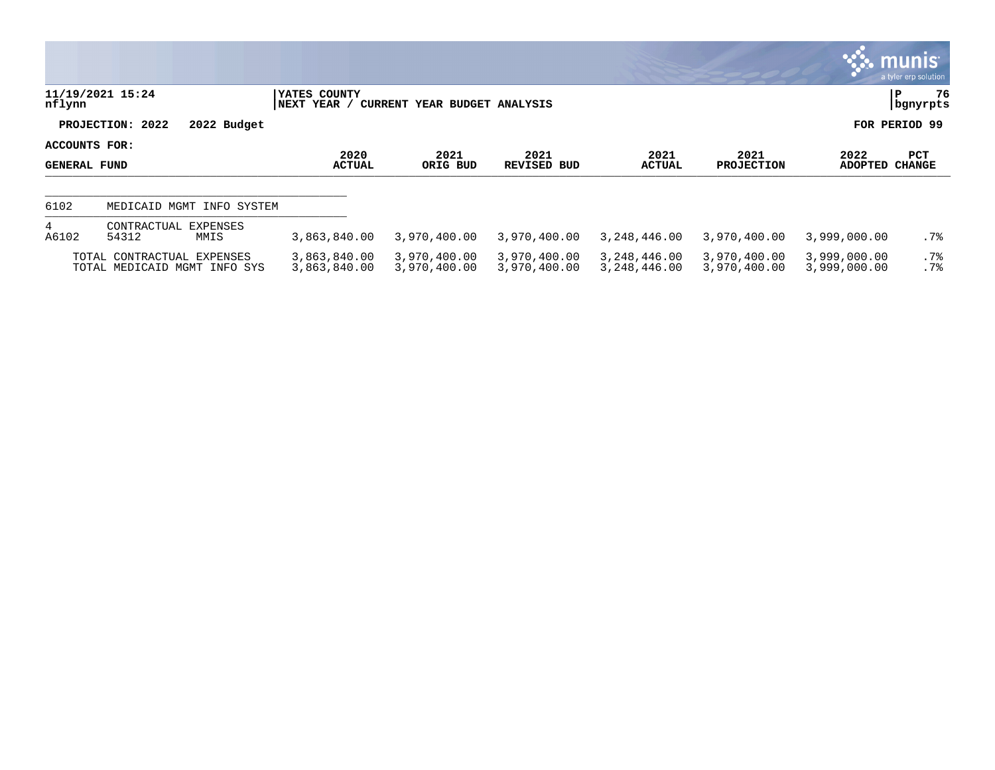|                                      |                                                            |             |                              |                              |                              |                              |                              |                              | $\mathbb{C}$ munis $\mathbb{C}$<br>a tyler erp solution |
|--------------------------------------|------------------------------------------------------------|-------------|------------------------------|------------------------------|------------------------------|------------------------------|------------------------------|------------------------------|---------------------------------------------------------|
| nflynn                               | 11/19/2021 15:24                                           |             | YATES COUNTY<br> NEXT YEAR / | CURRENT YEAR BUDGET ANALYSIS |                              |                              |                              |                              | 76<br>P<br>  bgnyrpts                                   |
|                                      | PROJECTION: 2022                                           | 2022 Budget |                              |                              |                              |                              |                              |                              | FOR PERIOD 99                                           |
| ACCOUNTS FOR:<br><b>GENERAL FUND</b> |                                                            |             | 2020<br><b>ACTUAL</b>        | 2021<br>ORIG BUD             | 2021<br>REVISED BUD          | 2021<br>ACTUAL               | 2021<br><b>PROJECTION</b>    | 2022<br>ADOPTED              | PCT<br><b>CHANGE</b>                                    |
| 6102                                 | MEDICAID MGMT                                              | INFO SYSTEM |                              |                              |                              |                              |                              |                              |                                                         |
| 4<br>A6102                           | CONTRACTUAL EXPENSES<br>54312                              | MMIS        | 3,863,840.00                 | 3,970,400.00                 | 3,970,400.00                 | 3,248,446.00                 | 3,970,400.00                 | 3,999,000.00                 | $.7\%$                                                  |
|                                      | TOTAL CONTRACTUAL EXPENSES<br>TOTAL MEDICAID MGMT INFO SYS |             | 3,863,840.00<br>3,863,840.00 | 3,970,400.00<br>3,970,400.00 | 3,970,400.00<br>3,970,400.00 | 3,248,446.00<br>3,248,446.00 | 3,970,400.00<br>3,970,400.00 | 3,999,000.00<br>3,999,000.00 | .7%<br>.7%                                              |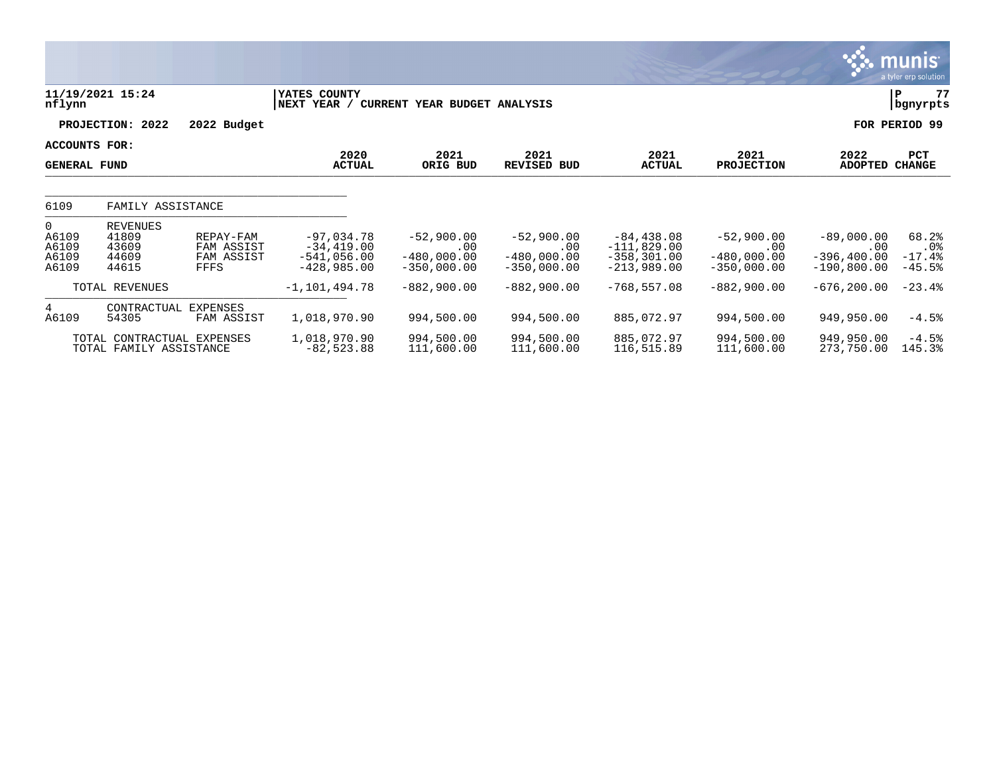|                                              |                                                       |                                               |                                                                |                                                       |                                                       |                                                                   |                                                       |                                                        | $\sim$ munis<br>a tyler erp solution    |
|----------------------------------------------|-------------------------------------------------------|-----------------------------------------------|----------------------------------------------------------------|-------------------------------------------------------|-------------------------------------------------------|-------------------------------------------------------------------|-------------------------------------------------------|--------------------------------------------------------|-----------------------------------------|
| nflynn                                       | 11/19/2021 15:24                                      |                                               | YATES COUNTY<br>NEXT YEAR /                                    | CURRENT YEAR BUDGET ANALYSIS                          |                                                       |                                                                   |                                                       |                                                        | 77<br>P<br>bgnyrpts                     |
|                                              | PROJECTION: 2022                                      | 2022 Budget                                   |                                                                |                                                       |                                                       |                                                                   |                                                       |                                                        | FOR PERIOD 99                           |
| ACCOUNTS FOR:<br><b>GENERAL FUND</b>         |                                                       |                                               | 2020<br><b>ACTUAL</b>                                          | 2021<br>ORIG BUD                                      | 2021<br><b>REVISED BUD</b>                            | 2021<br><b>ACTUAL</b>                                             | 2021<br><b>PROJECTION</b>                             | 2022<br>ADOPTED                                        | PCT<br><b>CHANGE</b>                    |
| 6109                                         | FAMILY ASSISTANCE                                     |                                               |                                                                |                                                       |                                                       |                                                                   |                                                       |                                                        |                                         |
| $\Omega$<br>A6109<br>A6109<br>A6109<br>A6109 | <b>REVENUES</b><br>41809<br>43609<br>44609<br>44615   | REPAY-FAM<br>FAM ASSIST<br>FAM ASSIST<br>FFFS | $-97,034.78$<br>$-34,419.00$<br>$-541,056.00$<br>$-428,985.00$ | $-52,900.00$<br>.00<br>$-480,000.00$<br>$-350,000.00$ | $-52,900.00$<br>.00<br>$-480.000.00$<br>$-350,000.00$ | $-84, 438.08$<br>$-111,829.00$<br>$-358, 301.00$<br>$-213,989.00$ | $-52,900.00$<br>.00<br>$-480,000.00$<br>$-350,000.00$ | $-89,000.00$<br>.00<br>$-396, 400.00$<br>$-190,800.00$ | 68.2%<br>$.0\%$<br>$-17.4%$<br>$-45.5%$ |
|                                              | TOTAL REVENUES                                        |                                               | $-1,101,494.78$                                                | $-882,900.00$                                         | $-882,900.00$                                         | $-768, 557.08$                                                    | $-882,900.00$                                         | $-676, 200.00$                                         | $-23.4%$                                |
| $4\overline{ }$<br>A6109                     | CONTRACTUAL<br>54305                                  | EXPENSES<br>FAM ASSIST                        | 1,018,970.90                                                   | 994,500.00                                            | 994,500.00                                            | 885,072.97                                                        | 994,500.00                                            | 949,950.00                                             | $-4.5%$                                 |
|                                              | TOTAL CONTRACTUAL EXPENSES<br>TOTAL FAMILY ASSISTANCE |                                               | 1,018,970.90<br>$-82,523.88$                                   | 994,500.00<br>111,600.00                              | 994,500.00<br>111,600.00                              | 885,072.97<br>116,515.89                                          | 994,500.00<br>111,600.00                              | 949,950.00<br>273,750.00                               | $-4.5%$<br>145.3%                       |

 $\ddot{\mathbf{r}}$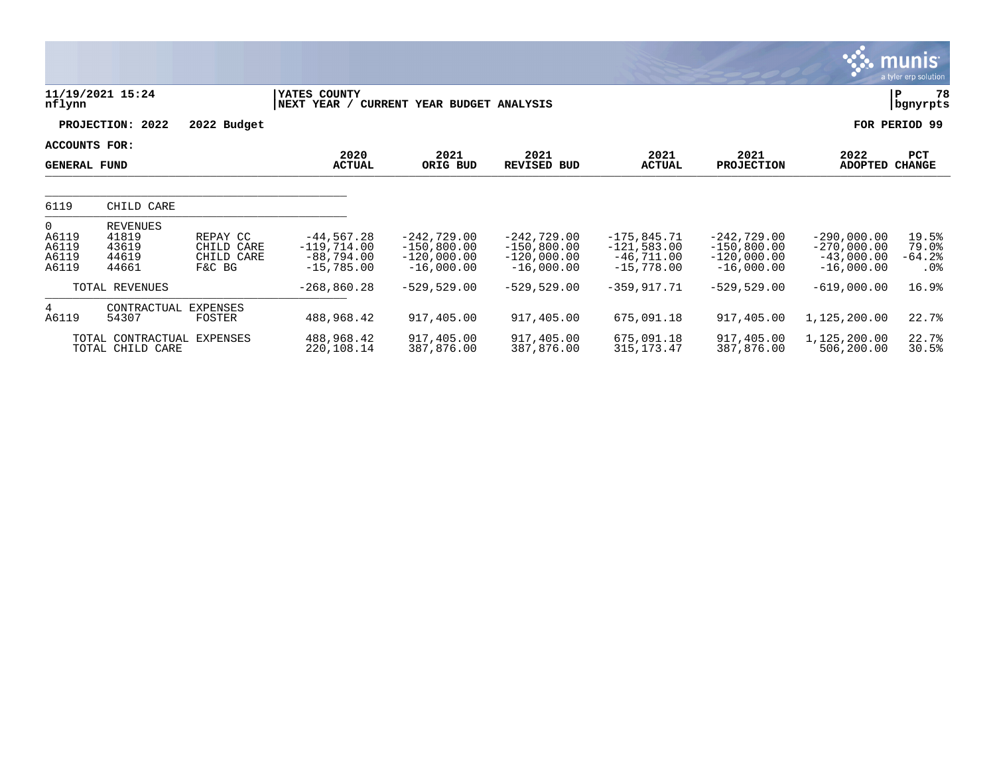|                                                    |                                                     |                                                |                                                               |                                                                 |                                                                 |                                                                |                                                                 |                                                                | $\mathbf{C}$ . munist<br>a tyler erp solution |  |
|----------------------------------------------------|-----------------------------------------------------|------------------------------------------------|---------------------------------------------------------------|-----------------------------------------------------------------|-----------------------------------------------------------------|----------------------------------------------------------------|-----------------------------------------------------------------|----------------------------------------------------------------|-----------------------------------------------|--|
| nflynn                                             | 11/19/2021 15:24                                    |                                                | YATES COUNTY<br>NEXT YEAR /                                   | CURRENT YEAR BUDGET ANALYSIS                                    |                                                                 |                                                                |                                                                 | 78<br>P<br>bgnyrpts                                            |                                               |  |
|                                                    | PROJECTION: 2022                                    | 2022 Budget                                    |                                                               |                                                                 |                                                                 |                                                                |                                                                 |                                                                | FOR PERIOD 99                                 |  |
| ACCOUNTS FOR:<br><b>GENERAL FUND</b>               |                                                     |                                                | 2020<br><b>ACTUAL</b>                                         | 2021<br>ORIG BUD                                                | 2021<br><b>REVISED BUD</b>                                      | 2021<br><b>ACTUAL</b>                                          | 2021<br><b>PROJECTION</b>                                       | 2022<br><b>ADOPTED</b>                                         | PCT<br><b>CHANGE</b>                          |  |
| 6119                                               | CHILD CARE                                          |                                                |                                                               |                                                                 |                                                                 |                                                                |                                                                 |                                                                |                                               |  |
| $\overline{0}$<br>A6119<br>A6119<br>A6119<br>A6119 | <b>REVENUES</b><br>41819<br>43619<br>44619<br>44661 | REPAY CC<br>CHILD CARE<br>CHILD CARE<br>F&C BG | $-44,567.28$<br>$-119,714.00$<br>$-88,794.00$<br>$-15,785.00$ | $-242,729.00$<br>$-150,800.00$<br>$-120,000.00$<br>$-16,000.00$ | $-242,729.00$<br>$-150,800.00$<br>$-120,000.00$<br>$-16,000.00$ | $-175,845.71$<br>$-121,583.00$<br>$-46,711.00$<br>$-15,778.00$ | $-242,729.00$<br>$-150,800.00$<br>$-120,000.00$<br>$-16,000.00$ | $-290,000.00$<br>$-270,000.00$<br>$-43,000.00$<br>$-16,000.00$ | 19.5%<br>79.0%<br>$-64.2$ $%$<br>.0%          |  |
|                                                    | TOTAL REVENUES                                      |                                                | $-268,860.28$                                                 | $-529,529.00$                                                   | $-529,529.00$                                                   | $-359, 917.71$                                                 | $-529,529.00$                                                   | $-619,000.00$                                                  | 16.9%                                         |  |
| 4<br>A6119                                         | CONTRACTUAL<br>54307                                | EXPENSES<br>FOSTER                             | 488,968.42                                                    | 917,405.00                                                      | 917,405.00                                                      | 675,091.18                                                     | 917,405.00                                                      | 1,125,200.00                                                   | 22.7%                                         |  |
|                                                    | TOTAL CONTRACTUAL<br>TOTAL CHILD CARE               | EXPENSES                                       | 488,968.42<br>220,108.14                                      | 917,405.00<br>387,876.00                                        | 917,405.00<br>387,876.00                                        | 675,091.18<br>315, 173. 47                                     | 917,405.00<br>387,876.00                                        | 1,125,200.00<br>506,200.00                                     | 22.7%<br>30.5%                                |  |

 $\mathcal{A}$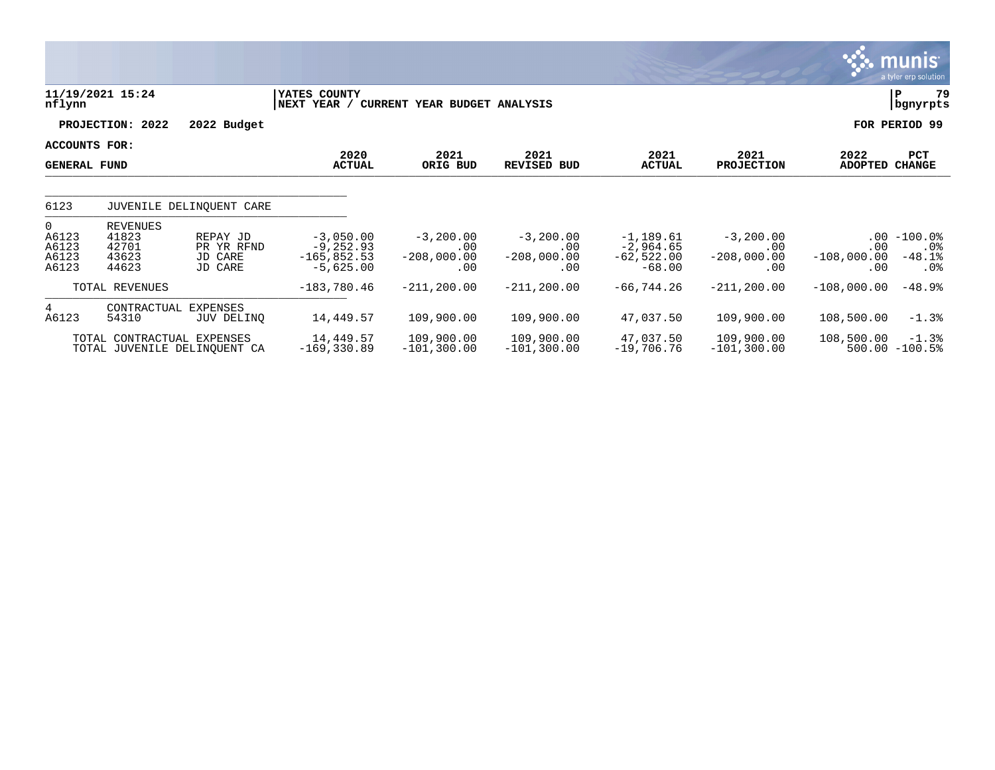|                                              |                                                     |                                              |                                                             |                                            |                                                 |                                                        |                                            |                                         | <b>munis</b><br>a tyler erp solution       |
|----------------------------------------------|-----------------------------------------------------|----------------------------------------------|-------------------------------------------------------------|--------------------------------------------|-------------------------------------------------|--------------------------------------------------------|--------------------------------------------|-----------------------------------------|--------------------------------------------|
| nflynn                                       | 11/19/2021 15:24                                    |                                              | YATES COUNTY<br>NEXT YEAR /                                 | CURRENT YEAR BUDGET ANALYSIS               |                                                 |                                                        |                                            |                                         | 79<br>ΙP<br>  bgnyrpts                     |
|                                              | PROJECTION: 2022                                    | 2022 Budget                                  |                                                             |                                            |                                                 |                                                        |                                            |                                         | FOR PERIOD 99                              |
| ACCOUNTS FOR:<br><b>GENERAL FUND</b>         |                                                     |                                              | 2020<br><b>ACTUAL</b>                                       | 2021<br>ORIG BUD                           | 2021<br><b>REVISED BUD</b>                      | 2021<br><b>ACTUAL</b>                                  | 2021<br><b>PROJECTION</b>                  | 2022<br><b>ADOPTED</b>                  | PCT<br><b>CHANGE</b>                       |
| 6123                                         |                                                     | JUVENILE DELINQUENT CARE                     |                                                             |                                            |                                                 |                                                        |                                            |                                         |                                            |
| $\Omega$<br>A6123<br>A6123<br>A6123<br>A6123 | <b>REVENUES</b><br>41823<br>42701<br>43623<br>44623 | REPAY JD<br>PR YR RFND<br>JD CARE<br>JD CARE | $-3,050.00$<br>$-9, 252.93$<br>$-165,852.53$<br>$-5,625.00$ | $-3,200.00$<br>.00<br>$-208,000.00$<br>.00 | $-3,200.00$<br>$.00 \,$<br>$-208,000.00$<br>.00 | $-1,189.61$<br>$-2,964.65$<br>$-62,522.00$<br>$-68.00$ | $-3,200.00$<br>.00<br>$-208,000.00$<br>.00 | $.00 \,$<br>.00<br>$-108,000.00$<br>.00 | $-100.0$ %<br>$.0\%$<br>$-48.1%$<br>$.0\%$ |
|                                              | TOTAL REVENUES                                      |                                              | $-183,780.46$                                               | $-211, 200.00$                             | $-211, 200.00$                                  | $-66, 744.26$                                          | $-211, 200.00$                             | $-108,000.00$                           | $-48.9%$                                   |
| $4\overline{ }$<br>A6123                     | CONTRACTUAL<br>54310                                | <b>EXPENSES</b><br>JUV DELINQ                | 14,449.57                                                   | 109,900.00                                 | 109,900.00                                      | 47,037.50                                              | 109,900.00                                 | 108,500.00                              | $-1.3%$                                    |
|                                              | TOTAL CONTRACTUAL EXPENSES                          | TOTAL JUVENILE DELINOUENT CA                 | 14,449.57<br>$-169, 330.89$                                 | 109,900.00<br>$-101, 300.00$               | 109,900.00<br>$-101, 300.00$                    | 47,037.50<br>$-19,706.76$                              | 109,900.00<br>$-101, 300.00$               | 108,500.00                              | $-1.3%$<br>$500.00 - 100.5$                |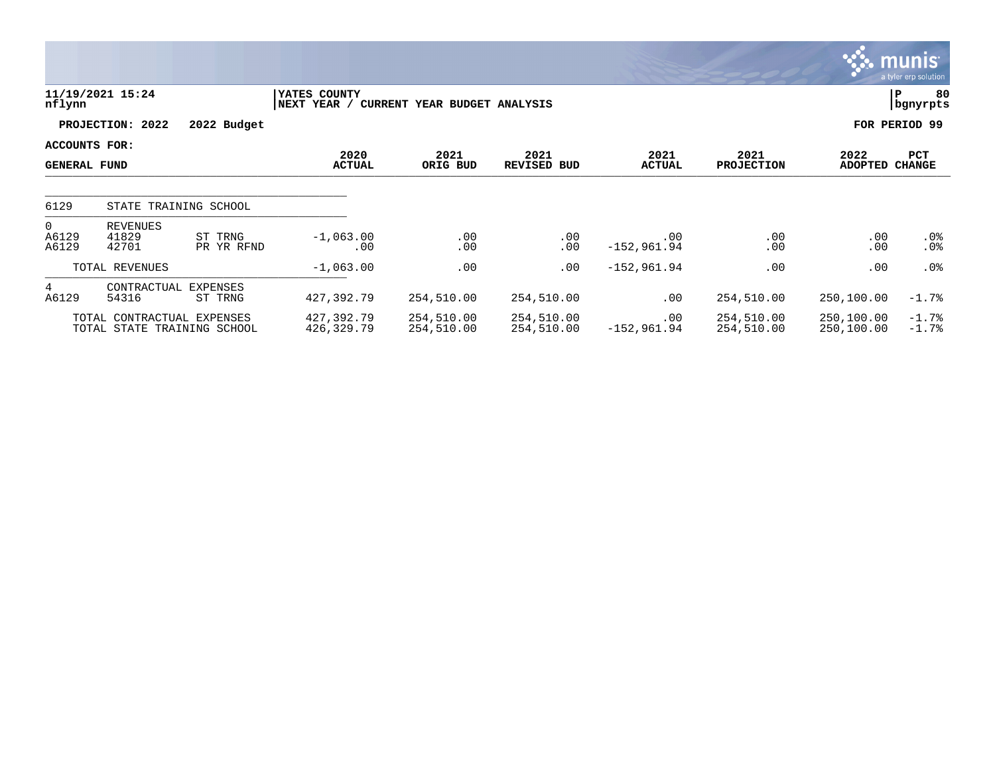|                                  |                                                           |                       |                             |                              |                            |                           |                           |                          | $\mathbf{3.3}\ \text{muns}^\prime$<br>a tyler erp solution |
|----------------------------------|-----------------------------------------------------------|-----------------------|-----------------------------|------------------------------|----------------------------|---------------------------|---------------------------|--------------------------|------------------------------------------------------------|
| nflynn                           | 11/19/2021 15:24                                          |                       | YATES COUNTY<br>NEXT YEAR / | CURRENT YEAR BUDGET ANALYSIS |                            |                           |                           |                          | 80<br>P<br>  bgnyrpts                                      |
|                                  | PROJECTION: 2022                                          | 2022 Budget           |                             |                              |                            |                           |                           |                          | FOR PERIOD 99                                              |
|                                  | ACCOUNTS FOR:<br><b>GENERAL FUND</b>                      |                       | 2020<br><b>ACTUAL</b>       | 2021<br>ORIG BUD             | 2021<br><b>REVISED BUD</b> | 2021<br><b>ACTUAL</b>     | 2021<br><b>PROJECTION</b> | 2022<br><b>ADOPTED</b>   | <b>PCT</b><br><b>CHANGE</b>                                |
| 6129                             |                                                           | STATE TRAINING SCHOOL |                             |                              |                            |                           |                           |                          |                                                            |
| $\overline{0}$<br>A6129<br>A6129 | REVENUES<br>41829<br>42701                                | ST TRNG<br>PR YR RFND | $-1,063.00$<br>.00          | .00<br>.00                   | .00<br>.00                 | .00<br>$-152,961.94$      | .00<br>.00                | .00<br>.00               | $.0\%$<br>$.0\%$                                           |
|                                  | TOTAL REVENUES                                            |                       | $-1,063.00$                 | .00                          | .00                        | $-152,961.94$             | .00                       | .00                      | $.0\%$                                                     |
| 4<br>A6129                       | CONTRACTUAL<br>54316                                      | EXPENSES<br>ST TRNG   | 427,392.79                  | 254,510.00                   | 254,510.00                 | .00                       | 254,510.00                | 250,100.00               | $-1.7%$                                                    |
|                                  | TOTAL CONTRACTUAL EXPENSES<br>TOTAL STATE TRAINING SCHOOL |                       | 427,392.79<br>426,329.79    | 254,510.00<br>254,510.00     | 254,510.00<br>254,510.00   | $.00 \,$<br>$-152,961.94$ | 254,510.00<br>254,510.00  | 250,100.00<br>250,100.00 | $-1.7%$<br>$-1.7%$                                         |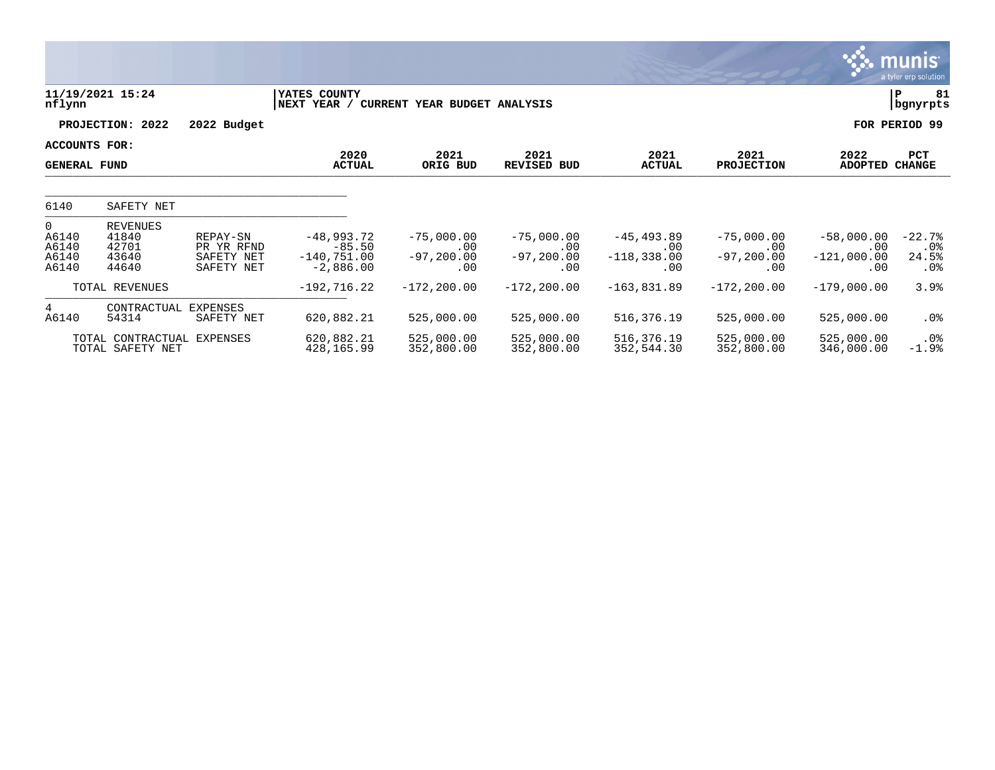|                                              |                                                     |                                                    |                                                           |                                             |                                             |                                               |                                             |                                             | <b>munis</b><br>a tyler erp solution  |
|----------------------------------------------|-----------------------------------------------------|----------------------------------------------------|-----------------------------------------------------------|---------------------------------------------|---------------------------------------------|-----------------------------------------------|---------------------------------------------|---------------------------------------------|---------------------------------------|
| nflynn                                       | 11/19/2021 15:24                                    |                                                    | YATES COUNTY<br>NEXT YEAR /                               | CURRENT YEAR BUDGET ANALYSIS                |                                             |                                               |                                             |                                             | 81<br>P<br>bgnyrpts                   |
|                                              | PROJECTION: 2022                                    | 2022 Budget                                        |                                                           |                                             |                                             |                                               |                                             |                                             | FOR PERIOD 99                         |
| ACCOUNTS FOR:<br><b>GENERAL FUND</b>         |                                                     |                                                    | 2020<br><b>ACTUAL</b>                                     | 2021<br>ORIG BUD                            | 2021<br>REVISED<br>BUD                      | 2021<br><b>ACTUAL</b>                         | 2021<br><b>PROJECTION</b>                   | 2022<br><b>ADOPTED</b>                      | PCT<br><b>CHANGE</b>                  |
| 6140                                         | SAFETY NET                                          |                                                    |                                                           |                                             |                                             |                                               |                                             |                                             |                                       |
| $\Omega$<br>A6140<br>A6140<br>A6140<br>A6140 | <b>REVENUES</b><br>41840<br>42701<br>43640<br>44640 | REPAY-SN<br>PR YR RFND<br>SAFETY NET<br>SAFETY NET | $-48,993.72$<br>$-85.50$<br>$-140, 751.00$<br>$-2,886.00$ | $-75,000.00$<br>.00<br>$-97, 200.00$<br>.00 | $-75,000.00$<br>.00<br>$-97, 200.00$<br>.00 | $-45, 493.89$<br>.00<br>$-118, 338.00$<br>.00 | $-75,000.00$<br>.00<br>$-97, 200.00$<br>.00 | $-58,000.00$<br>.00<br>$-121,000.00$<br>.00 | $-22.7%$<br>$.0\%$<br>24.5%<br>$.0\%$ |
|                                              | TOTAL REVENUES                                      |                                                    | $-192,716.22$                                             | $-172, 200.00$                              | $-172, 200.00$                              | $-163,831.89$                                 | $-172, 200.00$                              | $-179,000.00$                               | 3.9%                                  |
| 4<br>A6140                                   | CONTRACTUAL<br>54314                                | EXPENSES<br>SAFETY NET                             | 620,882.21                                                | 525,000.00                                  | 525,000.00                                  | 516,376.19                                    | 525,000.00                                  | 525,000.00                                  | $.0\%$                                |
|                                              | TOTAL CONTRACTUAL<br>TOTAL SAFETY NET               | EXPENSES                                           | 620,882.21<br>428,165.99                                  | 525,000.00<br>352,800.00                    | 525,000.00<br>352,800.00                    | 516,376.19<br>352,544.30                      | 525,000.00<br>352,800.00                    | 525,000.00<br>346,000.00                    | $.0\%$<br>$-1.9%$                     |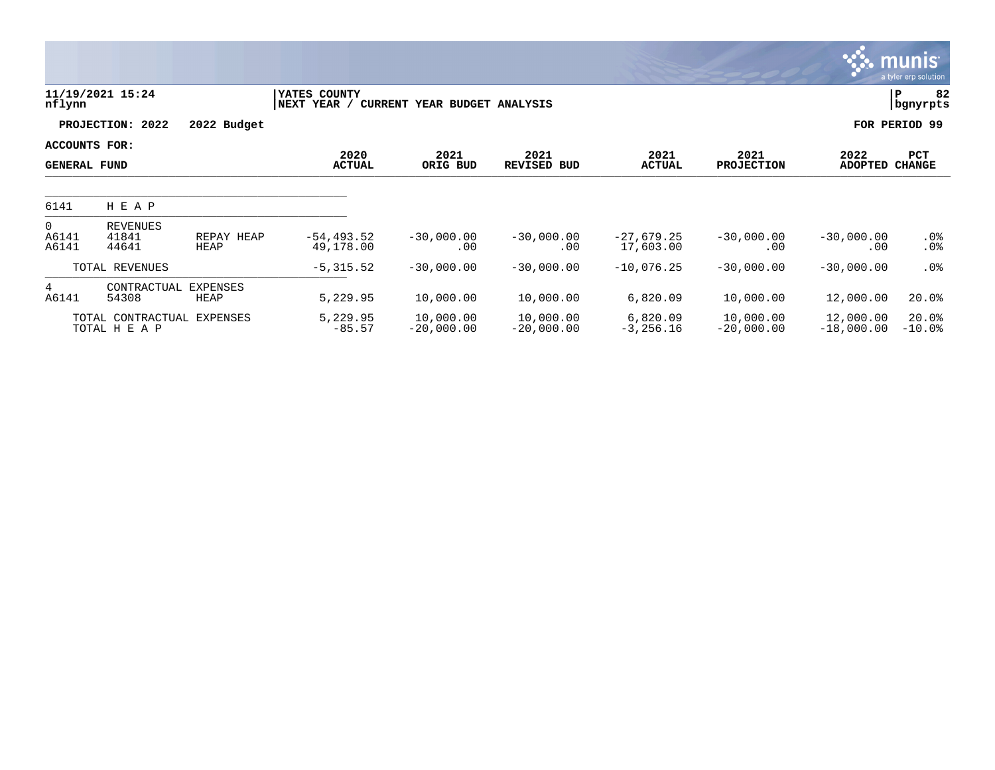|                                      |                                    |                         |                             |                              |                            |                           |                           |                           | <b>munis</b><br>a tyler erp solution |
|--------------------------------------|------------------------------------|-------------------------|-----------------------------|------------------------------|----------------------------|---------------------------|---------------------------|---------------------------|--------------------------------------|
| nflynn                               | 11/19/2021 15:24                   |                         | YATES COUNTY<br>NEXT YEAR / | CURRENT YEAR BUDGET ANALYSIS |                            |                           |                           |                           | 82<br>lР<br>  bgnyrpts               |
|                                      | PROJECTION: 2022                   | 2022 Budget             |                             |                              |                            |                           |                           |                           | FOR PERIOD 99                        |
| ACCOUNTS FOR:<br><b>GENERAL FUND</b> |                                    |                         | 2020<br><b>ACTUAL</b>       | 2021<br>ORIG BUD             | 2021<br><b>REVISED BUD</b> | 2021<br><b>ACTUAL</b>     | 2021<br><b>PROJECTION</b> | 2022<br><b>ADOPTED</b>    | PCT<br><b>CHANGE</b>                 |
| 6141                                 | H E A P                            |                         |                             |                              |                            |                           |                           |                           |                                      |
| $\overline{0}$<br>A6141<br>A6141     | <b>REVENUES</b><br>41841<br>44641  | REPAY HEAP<br>HEAP      | $-54, 493.52$<br>49,178.00  | $-30,000.00$<br>.00          | $-30,000.00$<br>.00        | $-27,679.25$<br>17,603.00 | $-30,000.00$<br>.00       | $-30,000.00$<br>.00       | .0%<br>.0 <sub>8</sub>               |
|                                      | TOTAL REVENUES                     |                         | $-5, 315.52$                | $-30,000.00$                 | $-30,000.00$               | $-10,076.25$              | $-30,000.00$              | $-30,000.00$              | .0 <sub>8</sub>                      |
| $4\overline{ }$<br>A6141             | CONTRACTUAL<br>54308               | <b>EXPENSES</b><br>HEAP | 5,229.95                    | 10,000.00                    | 10,000.00                  | 6,820.09                  | 10,000.00                 | 12,000.00                 | 20.0%                                |
|                                      | TOTAL CONTRACTUAL<br>TOTAL H E A P | EXPENSES                | 5,229.95<br>$-85.57$        | 10,000.00<br>$-20,000.00$    | 10,000.00<br>$-20,000.00$  | 6,820.09<br>$-3, 256.16$  | 10,000.00<br>$-20,000.00$ | 12,000.00<br>$-18,000.00$ | 20.0%<br>$-10.0$ %                   |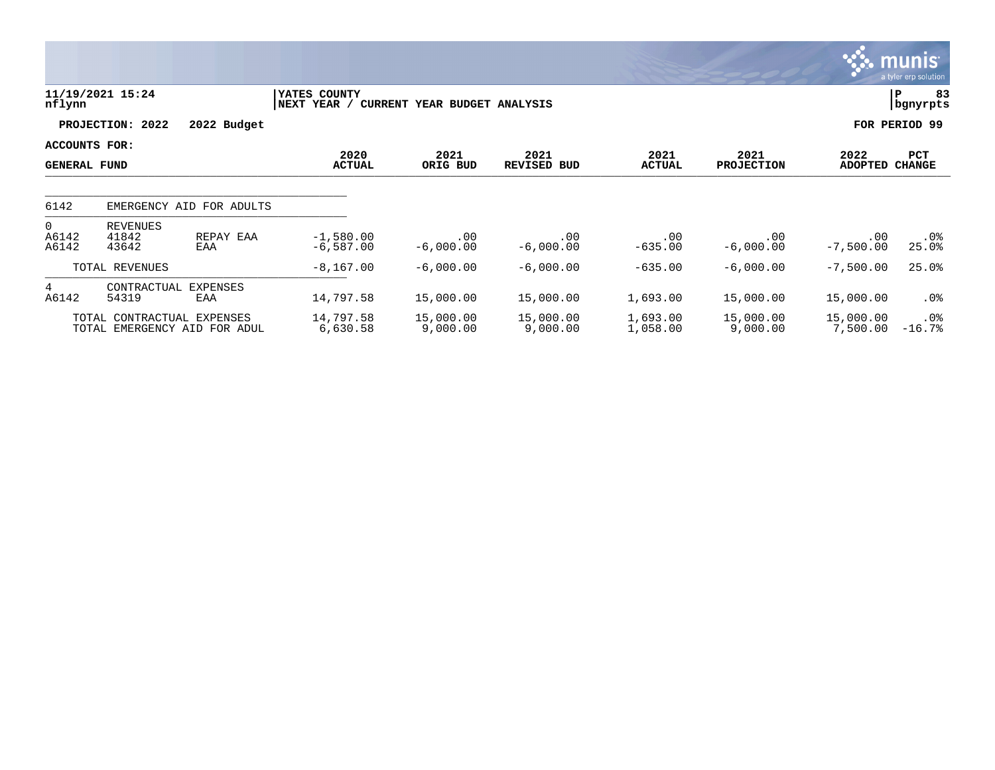|                                      |                            |                              |                             |                              |                            |                       |                           |                        | $\sim$ munis<br>a tyler erp solution, |
|--------------------------------------|----------------------------|------------------------------|-----------------------------|------------------------------|----------------------------|-----------------------|---------------------------|------------------------|---------------------------------------|
| nflynn                               | 11/19/2021 15:24           |                              | YATES COUNTY<br>NEXT YEAR / | CURRENT YEAR BUDGET ANALYSIS |                            |                       |                           |                        | 83<br> P<br>bgnyrpts                  |
|                                      | PROJECTION: 2022           | 2022 Budget                  |                             |                              |                            |                       |                           |                        | FOR PERIOD 99                         |
| ACCOUNTS FOR:<br><b>GENERAL FUND</b> |                            |                              | 2020<br><b>ACTUAL</b>       | 2021<br>ORIG BUD             | 2021<br><b>REVISED BUD</b> | 2021<br><b>ACTUAL</b> | 2021<br><b>PROJECTION</b> | 2022<br><b>ADOPTED</b> | PCT<br><b>CHANGE</b>                  |
| 6142                                 |                            | EMERGENCY AID FOR ADULTS     |                             |                              |                            |                       |                           |                        |                                       |
| $\mathbf{0}$<br>A6142<br>A6142       | REVENUES<br>41842<br>43642 | REPAY EAA<br>EAA             | $-1,580.00$<br>$-6,587.00$  | .00<br>$-6,000.00$           | .00<br>$-6,000.00$         | .00<br>$-635.00$      | .00<br>$-6,000.00$        | .00<br>$-7,500.00$     | .0%<br>25.0%                          |
|                                      | TOTAL REVENUES             |                              | $-8, 167.00$                | $-6,000.00$                  | $-6,000.00$                | $-635.00$             | $-6,000.00$               | $-7,500.00$            | 25.0%                                 |
| $4\overline{ }$<br>A6142             | CONTRACTUAL<br>54319       | EXPENSES<br>EAA              | 14,797.58                   | 15,000.00                    | 15,000.00                  | 1,693.00              | 15,000.00                 | 15,000.00              | $.0\%$                                |
|                                      | TOTAL CONTRACTUAL EXPENSES | TOTAL EMERGENCY AID FOR ADUL | 14,797.58<br>6,630.58       | 15,000.00<br>9,000.00        | 15,000.00<br>9,000.00      | 1,693.00<br>1,058.00  | 15,000.00<br>9,000.00     | 15,000.00<br>7,500.00  | $.0\%$<br>$-16.7%$                    |

 $\mathcal{L}$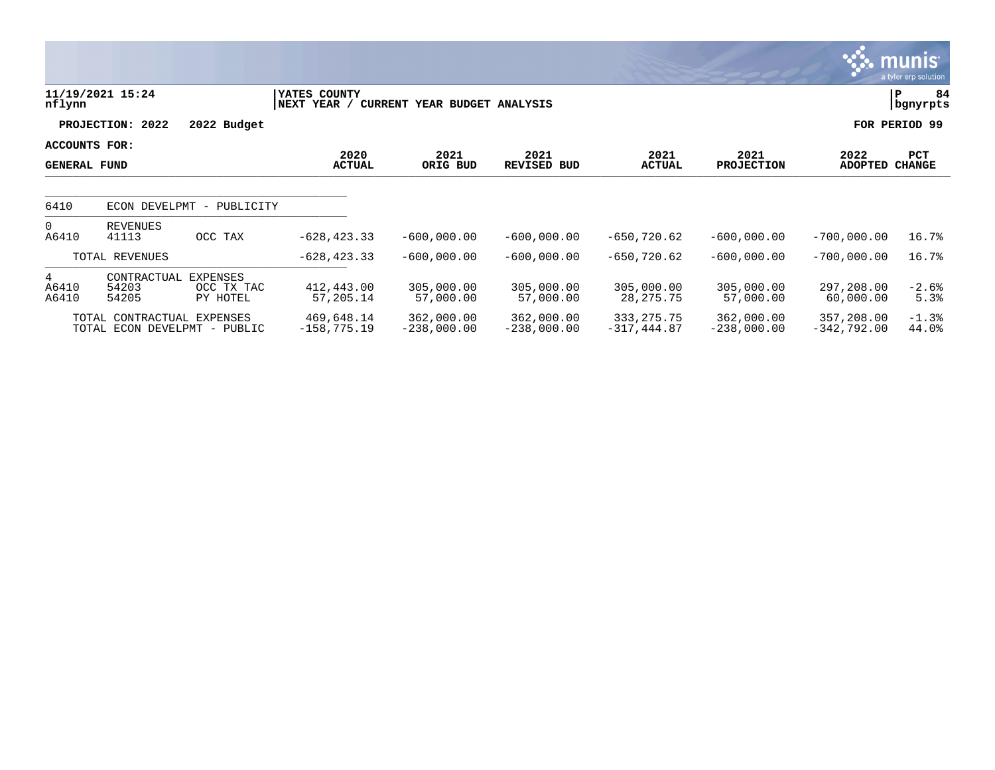|                                      |                               |                                           |                                        |                             |                             |                                |                             |                             | <b>munis</b><br>a tyler erp solution |
|--------------------------------------|-------------------------------|-------------------------------------------|----------------------------------------|-----------------------------|-----------------------------|--------------------------------|-----------------------------|-----------------------------|--------------------------------------|
| nflynn                               | 11/19/2021 15:24              |                                           | YATES COUNTY<br>NEXT YEAR /<br>CURRENT | YEAR BUDGET ANALYSIS        |                             |                                |                             |                             | 84<br>P<br>bgnyrpts                  |
|                                      | PROJECTION: 2022              | 2022 Budget                               |                                        |                             |                             |                                |                             |                             | FOR PERIOD 99                        |
| ACCOUNTS FOR:<br><b>GENERAL FUND</b> |                               |                                           | 2020<br><b>ACTUAL</b>                  | 2021<br>ORIG BUD            | 2021<br>REVISED BUD         | 2021<br><b>ACTUAL</b>          | 2021<br><b>PROJECTION</b>   | 2022<br>ADOPTED             | PCT<br><b>CHANGE</b>                 |
| 6410                                 | ECON DEVELPMT                 | PUBLICITY<br>$\overline{\phantom{m}}$     |                                        |                             |                             |                                |                             |                             |                                      |
| $\overline{0}$<br>A6410              | REVENUES<br>41113             | OCC TAX                                   | $-628, 423.33$                         | $-600,000.00$               | $-600,000.00$               | $-650, 720.62$                 | $-600,000.00$               | $-700,000.00$               | 16.7%                                |
|                                      | TOTAL REVENUES                |                                           | $-628, 423.33$                         | $-600,000.00$               | $-600,000.00$               | $-650, 720.62$                 | $-600,000.00$               | $-700,000.00$               | 16.7%                                |
| 4<br>A6410<br>A6410                  | CONTRACTUAL<br>54203<br>54205 | <b>EXPENSES</b><br>OCC TX TAC<br>PY HOTEL | 412,443.00<br>57,205.14                | 305,000.00<br>57,000.00     | 305,000.00<br>57,000.00     | 305,000.00<br>28, 275. 75      | 305,000.00<br>57,000.00     | 297,208.00<br>60,000.00     | $-2.6%$<br>5.3%                      |
|                                      | TOTAL CONTRACTUAL EXPENSES    | TOTAL ECON DEVELPMT - PUBLIC              | 469,648.14<br>$-158, 775.19$           | 362,000.00<br>$-238,000.00$ | 362,000.00<br>$-238,000.00$ | 333, 275. 75<br>$-317, 444.87$ | 362,000.00<br>$-238,000.00$ | 357,208.00<br>$-342,792.00$ | $-1.3%$<br>44.0%                     |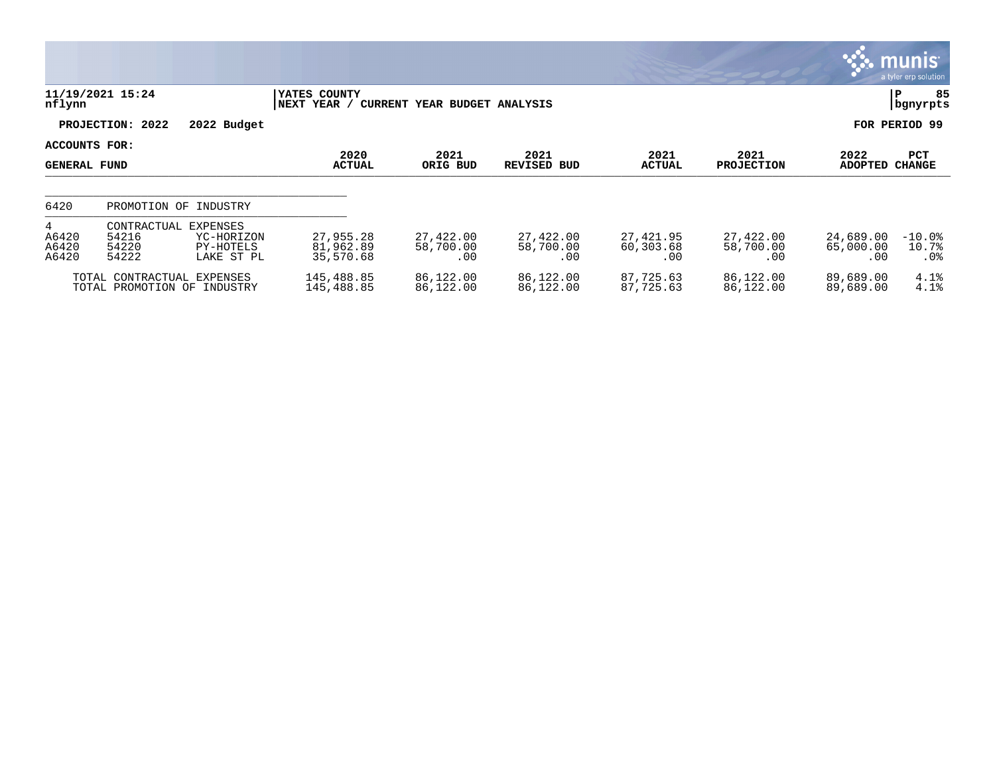|                                        |                                                           |                                                   |                                     |                               |                               |                               |                               |                               | <b>munis</b><br>a tyler erp solution |
|----------------------------------------|-----------------------------------------------------------|---------------------------------------------------|-------------------------------------|-------------------------------|-------------------------------|-------------------------------|-------------------------------|-------------------------------|--------------------------------------|
| nflynn                                 | 11/19/2021 15:24                                          |                                                   | YATES COUNTY<br> NEXT YEAR /        | CURRENT YEAR BUDGET ANALYSIS  |                               |                               |                               |                               | 85<br>P<br>  bgnyrpts                |
|                                        | PROJECTION: 2022                                          | 2022 Budget                                       |                                     |                               |                               |                               |                               |                               | FOR PERIOD 99                        |
| ACCOUNTS FOR:<br><b>GENERAL FUND</b>   |                                                           |                                                   | 2020<br><b>ACTUAL</b>               | 2021<br>ORIG BUD              | 2021<br><b>REVISED BUD</b>    | 2021<br><b>ACTUAL</b>         | 2021<br><b>PROJECTION</b>     | 2022<br><b>ADOPTED</b>        | PCT<br><b>CHANGE</b>                 |
| 6420                                   |                                                           | PROMOTION OF INDUSTRY                             |                                     |                               |                               |                               |                               |                               |                                      |
| $4^{\circ}$<br>A6420<br>A6420<br>A6420 | CONTRACTUAL<br>54216<br>54220<br>54222                    | EXPENSES<br>YC-HORIZON<br>PY-HOTELS<br>LAKE ST PL | 27,955.28<br>81,962.89<br>35,570.68 | 27,422.00<br>58,700.00<br>.00 | 27,422.00<br>58,700.00<br>.00 | 27,421.95<br>60,303.68<br>.00 | 27,422.00<br>58,700.00<br>.00 | 24,689.00<br>65,000.00<br>.00 | $-10.0$ %<br>10.7%<br>$.0\%$         |
|                                        | TOTAL CONTRACTUAL EXPENSES<br>TOTAL PROMOTION OF INDUSTRY |                                                   | 145,488.85<br>145,488.85            | 86,122.00<br>86,122.00        | 86,122.00<br>86,122.00        | 87,725.63<br>87,725.63        | 86,122.00<br>86,122.00        | 89,689.00<br>89,689.00        | 4.1%<br>4.1%                         |

 $\mathcal{L}$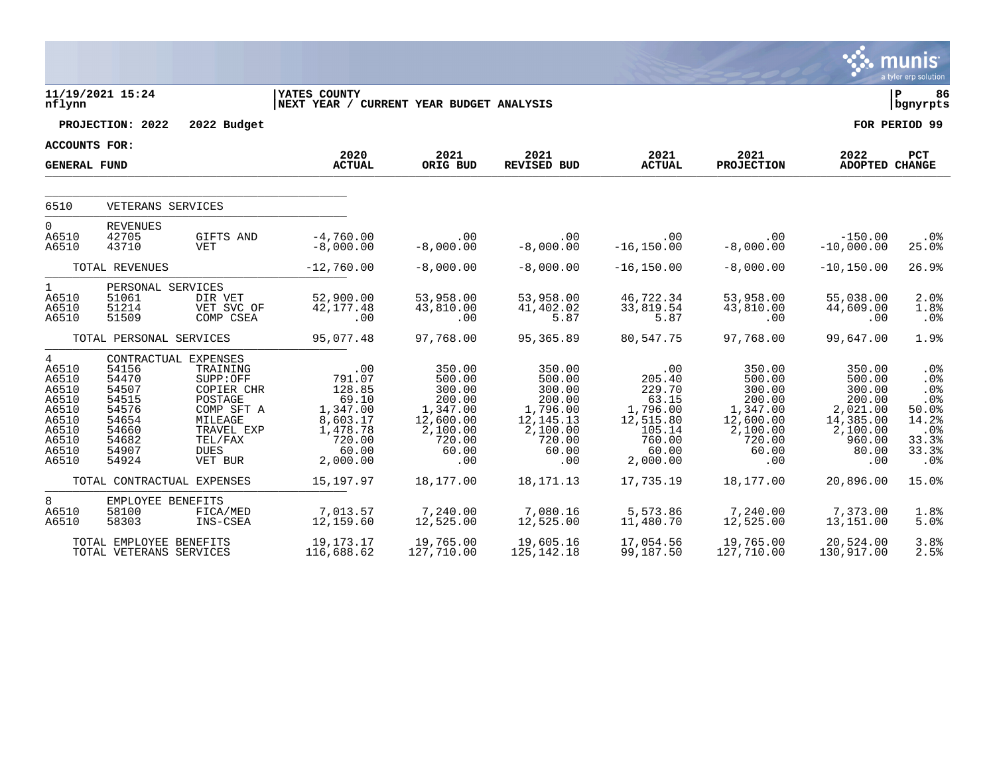|                                                                                                           |                                                                                                                |                                                                                                                    |                                                                                                     |                                                                                                     |                                                                                                     |                                                                                                    |                                                                                                     |                                                                                                     | munis<br>a tyler erp solution                                              |
|-----------------------------------------------------------------------------------------------------------|----------------------------------------------------------------------------------------------------------------|--------------------------------------------------------------------------------------------------------------------|-----------------------------------------------------------------------------------------------------|-----------------------------------------------------------------------------------------------------|-----------------------------------------------------------------------------------------------------|----------------------------------------------------------------------------------------------------|-----------------------------------------------------------------------------------------------------|-----------------------------------------------------------------------------------------------------|----------------------------------------------------------------------------|
| nflynn                                                                                                    | 11/19/2021 15:24                                                                                               |                                                                                                                    | <b>YATES COUNTY</b><br>NEXT YEAR / CURRENT YEAR BUDGET ANALYSIS                                     |                                                                                                     |                                                                                                     |                                                                                                    |                                                                                                     |                                                                                                     | l P<br>86<br>  bgnyrpts                                                    |
|                                                                                                           | PROJECTION: 2022                                                                                               | 2022 Budget                                                                                                        |                                                                                                     |                                                                                                     |                                                                                                     |                                                                                                    |                                                                                                     |                                                                                                     | FOR PERIOD 99                                                              |
| <b>ACCOUNTS FOR:</b>                                                                                      |                                                                                                                |                                                                                                                    | 2020                                                                                                | 2021                                                                                                | 2021                                                                                                | 2021                                                                                               | 2021                                                                                                | 2022                                                                                                | PCT                                                                        |
| <b>GENERAL FUND</b>                                                                                       |                                                                                                                |                                                                                                                    | <b>ACTUAL</b>                                                                                       | ORIG BUD                                                                                            | REVISED BUD                                                                                         | <b>ACTUAL</b>                                                                                      | <b>PROJECTION</b>                                                                                   | ADOPTED CHANGE                                                                                      |                                                                            |
| 6510                                                                                                      | VETERANS SERVICES                                                                                              |                                                                                                                    |                                                                                                     |                                                                                                     |                                                                                                     |                                                                                                    |                                                                                                     |                                                                                                     |                                                                            |
| $\mathbf 0$<br>A6510<br>A6510                                                                             | <b>REVENUES</b><br>42705<br>43710                                                                              | GIFTS AND<br>VET                                                                                                   | $-4,760.00$<br>$-8,000.00$                                                                          | .00<br>$-8,000.00$                                                                                  | .00<br>$-8,000.00$                                                                                  | .00<br>$-16, 150.00$                                                                               | .00<br>$-8,000.00$                                                                                  | $-150.00$<br>$-10,000.00$                                                                           | .0%<br>25.0%                                                               |
|                                                                                                           | TOTAL REVENUES                                                                                                 |                                                                                                                    | $-12,760.00$                                                                                        | $-8,000.00$                                                                                         | $-8,000.00$                                                                                         | $-16, 150.00$                                                                                      | $-8,000.00$                                                                                         | $-10, 150.00$                                                                                       | 26.9%                                                                      |
| $\mathbf{1}$<br>A6510<br>A6510<br>A6510                                                                   | PERSONAL SERVICES<br>51061<br>51214<br>51509                                                                   | DIR VET<br>VET SVC OF<br>COMP CSEA                                                                                 | 52,900.00<br>42, 177.48<br>.00                                                                      | 53,958.00<br>43,810.00<br>.00                                                                       | 53,958.00<br>41,402.02<br>5.87                                                                      | 46,722.34<br>33,819.54<br>5.87                                                                     | 53,958.00<br>43,810.00<br>.00                                                                       | 55,038.00<br>44,609.00<br>.00                                                                       | 2.0%<br>1.8%<br>.0%                                                        |
|                                                                                                           | TOTAL PERSONAL SERVICES                                                                                        |                                                                                                                    | 95,077.48                                                                                           | 97,768.00                                                                                           | 95,365.89                                                                                           | 80,547.75                                                                                          | 97,768.00                                                                                           | 99,647.00                                                                                           | 1.9%                                                                       |
| $4\overline{ }$<br>A6510<br>A6510<br>A6510<br>A6510<br>A6510<br>A6510<br>A6510<br>A6510<br>A6510<br>A6510 | CONTRACTUAL EXPENSES<br>54156<br>54470<br>54507<br>54515<br>54576<br>54654<br>54660<br>54682<br>54907<br>54924 | TRAINING<br>SUPP:OFF<br>COPIER CHR<br>POSTAGE<br>COMP SFT A<br>MILEAGE<br>TRAVEL EXP<br>TEL/FAX<br>DUES<br>VET BUR | .00<br>791.07<br>128.85<br>69.10<br>1,347.00<br>8,603.17<br>1,478.78<br>720.00<br>60.00<br>2,000.00 | 350.00<br>500.00<br>300.00<br>200.00<br>1,347.00<br>12,600.00<br>2,100.00<br>720.00<br>60.00<br>.00 | 350.00<br>500.00<br>300.00<br>200.00<br>1,796.00<br>12,145.13<br>2,100.00<br>720.00<br>60.00<br>.00 | .00<br>205.40<br>229.70<br>63.15<br>1,796.00<br>12,515.80<br>105.14<br>760.00<br>60.00<br>2,000.00 | 350.00<br>500.00<br>300.00<br>200.00<br>1,347.00<br>12,600.00<br>2,100.00<br>720.00<br>60.00<br>.00 | 350.00<br>500.00<br>300.00<br>200.00<br>2,021.00<br>14,385.00<br>2,100.00<br>960.00<br>80.00<br>.00 | .0%<br>.0%<br>.0%<br>.0%<br>50.0%<br>14.2%<br>.0%<br>33.3%<br>33.3%<br>.0% |
|                                                                                                           | TOTAL CONTRACTUAL EXPENSES                                                                                     |                                                                                                                    | 15, 197.97                                                                                          | 18,177.00                                                                                           | 18, 171. 13                                                                                         | 17,735.19                                                                                          | 18,177.00                                                                                           | 20,896.00                                                                                           | 15.0%                                                                      |
| 8<br>A6510<br>A6510                                                                                       | EMPLOYEE BENEFITS<br>58100<br>58303                                                                            | FICA/MED<br>INS-CSEA                                                                                               | 7,013.57<br>12,159.60                                                                               | 7,240.00<br>12,525.00                                                                               | 7,080.16<br>12,525.00                                                                               | 5,573.86<br>11,480.70                                                                              | 7,240.00<br>12,525.00                                                                               | 7,373.00<br>13,151.00                                                                               | 1.8%<br>5.0%                                                               |
|                                                                                                           | TOTAL EMPLOYEE BENEFITS<br>TOTAL VETERANS SERVICES                                                             |                                                                                                                    | 19, 173. 17<br>116,688.62                                                                           | 19,765.00<br>127,710.00                                                                             | 19,605.16<br>125, 142. 18                                                                           | 17,054.56<br>99,187.50                                                                             | 19,765.00<br>127,710.00                                                                             | 20,524.00<br>130,917.00                                                                             | 3.8%<br>2.5%                                                               |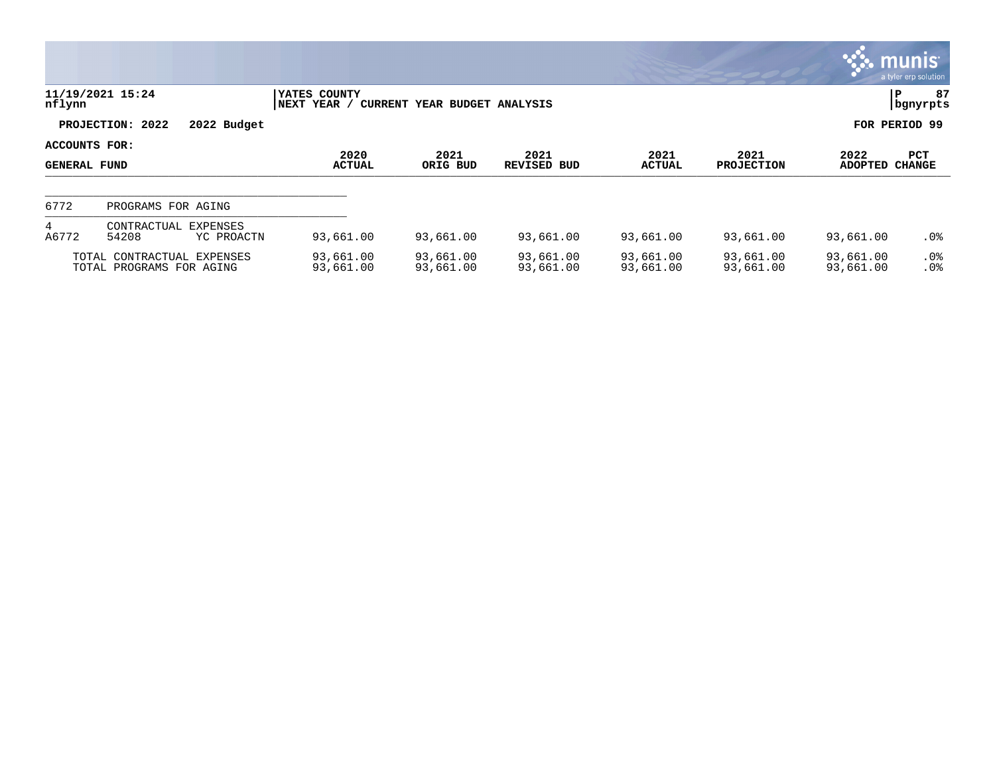|                                      |                                                        |                               |                                                    |                        |                            |                        |                           |                        | munis<br>a tyler erp solution |
|--------------------------------------|--------------------------------------------------------|-------------------------------|----------------------------------------------------|------------------------|----------------------------|------------------------|---------------------------|------------------------|-------------------------------|
| nflynn                               | 11/19/2021 15:24                                       |                               | YATES COUNTY<br><b>NEXT YEAR</b><br><b>CURRENT</b> | YEAR BUDGET ANALYSIS   |                            |                        |                           |                        | 87<br>P<br>bgnyrpts           |
|                                      | PROJECTION: 2022                                       | 2022 Budget                   |                                                    |                        |                            |                        |                           |                        | FOR PERIOD 99                 |
| ACCOUNTS FOR:<br><b>GENERAL FUND</b> |                                                        |                               | 2020<br><b>ACTUAL</b>                              | 2021<br>ORIG BUD       | 2021<br><b>REVISED BUD</b> | 2021<br><b>ACTUAL</b>  | 2021<br><b>PROJECTION</b> | 2022<br>ADOPTED CHANGE | PCT                           |
| 6772                                 | PROGRAMS FOR AGING                                     |                               |                                                    |                        |                            |                        |                           |                        |                               |
| 4<br>A6772                           | CONTRACTUAL<br>54208                                   | <b>EXPENSES</b><br>YC PROACTN | 93,661.00                                          | 93,661.00              | 93,661.00                  | 93,661.00              | 93,661.00                 | 93,661.00              | $.0\%$                        |
|                                      | TOTAL CONTRACTUAL EXPENSES<br>TOTAL PROGRAMS FOR AGING |                               | 93,661.00<br>93,661.00                             | 93,661.00<br>93,661.00 | 93,661.00<br>93,661.00     | 93,661.00<br>93,661.00 | 93,661.00<br>93,661.00    | 93,661.00<br>93,661.00 | $.0\%$<br>.0 <sup>8</sup>     |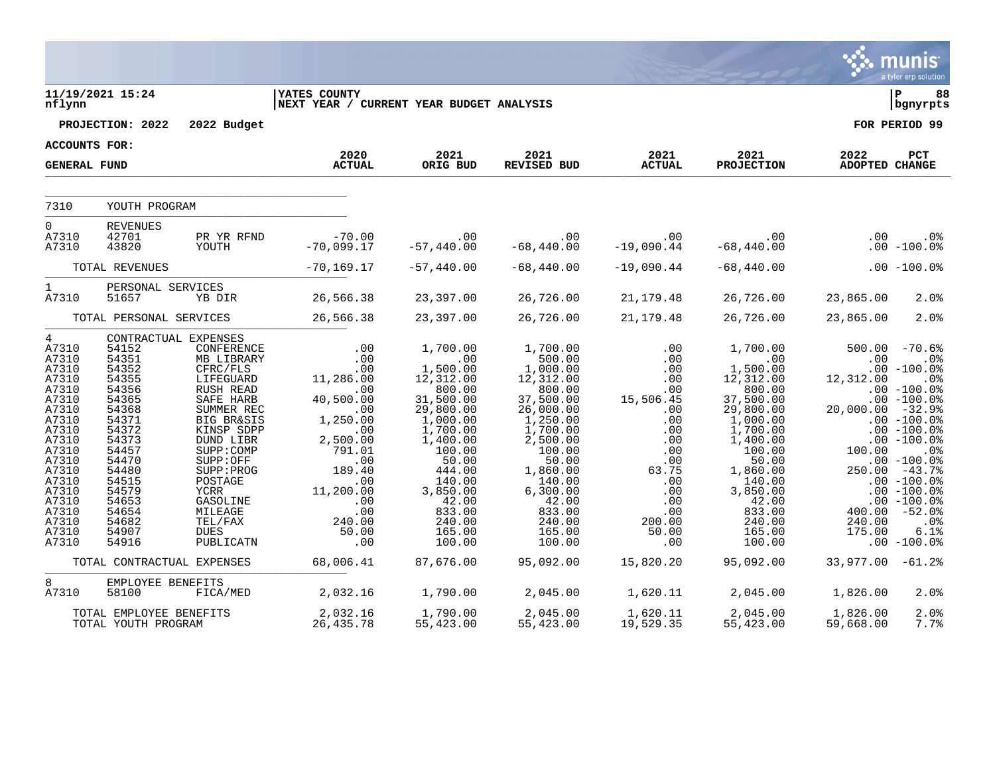|                                                                                                                                                                                                |                                                                                                                                                                                  |                                                                                                                                                                                                                                                                                                |                                                                                                                                                                                             |                                                                                                                                                                                                                      |                                                                                                                                                                                                                           |                                                                                                                                                       |                                                                                                                                                                                                                        |                                                                      | a tyler erp solution                                                                                                                                                                                                                                                                           |
|------------------------------------------------------------------------------------------------------------------------------------------------------------------------------------------------|----------------------------------------------------------------------------------------------------------------------------------------------------------------------------------|------------------------------------------------------------------------------------------------------------------------------------------------------------------------------------------------------------------------------------------------------------------------------------------------|---------------------------------------------------------------------------------------------------------------------------------------------------------------------------------------------|----------------------------------------------------------------------------------------------------------------------------------------------------------------------------------------------------------------------|---------------------------------------------------------------------------------------------------------------------------------------------------------------------------------------------------------------------------|-------------------------------------------------------------------------------------------------------------------------------------------------------|------------------------------------------------------------------------------------------------------------------------------------------------------------------------------------------------------------------------|----------------------------------------------------------------------|------------------------------------------------------------------------------------------------------------------------------------------------------------------------------------------------------------------------------------------------------------------------------------------------|
| nflynn                                                                                                                                                                                         | 11/19/2021 15:24                                                                                                                                                                 |                                                                                                                                                                                                                                                                                                | <b>IYATES COUNTY</b><br>NEXT YEAR / CURRENT YEAR BUDGET ANALYSIS                                                                                                                            |                                                                                                                                                                                                                      |                                                                                                                                                                                                                           |                                                                                                                                                       |                                                                                                                                                                                                                        |                                                                      | l P<br>88<br>  bgnyrpts                                                                                                                                                                                                                                                                        |
|                                                                                                                                                                                                | PROJECTION: 2022                                                                                                                                                                 | 2022 Budget                                                                                                                                                                                                                                                                                    |                                                                                                                                                                                             |                                                                                                                                                                                                                      |                                                                                                                                                                                                                           |                                                                                                                                                       |                                                                                                                                                                                                                        |                                                                      | FOR PERIOD 99                                                                                                                                                                                                                                                                                  |
| <b>ACCOUNTS FOR:</b>                                                                                                                                                                           |                                                                                                                                                                                  |                                                                                                                                                                                                                                                                                                |                                                                                                                                                                                             |                                                                                                                                                                                                                      |                                                                                                                                                                                                                           |                                                                                                                                                       |                                                                                                                                                                                                                        |                                                                      |                                                                                                                                                                                                                                                                                                |
| <b>GENERAL FUND</b>                                                                                                                                                                            |                                                                                                                                                                                  |                                                                                                                                                                                                                                                                                                | 2020<br><b>ACTUAL</b>                                                                                                                                                                       | 2021<br>ORIG BUD                                                                                                                                                                                                     | 2021<br>REVISED BUD                                                                                                                                                                                                       | 2021<br><b>ACTUAL</b>                                                                                                                                 | 2021<br><b>PROJECTION</b>                                                                                                                                                                                              | 2022<br>ADOPTED CHANGE                                               | PCT                                                                                                                                                                                                                                                                                            |
| 7310                                                                                                                                                                                           | YOUTH PROGRAM                                                                                                                                                                    |                                                                                                                                                                                                                                                                                                |                                                                                                                                                                                             |                                                                                                                                                                                                                      |                                                                                                                                                                                                                           |                                                                                                                                                       |                                                                                                                                                                                                                        |                                                                      |                                                                                                                                                                                                                                                                                                |
| $\overline{0}$<br>A7310<br>A7310                                                                                                                                                               | <b>REVENUES</b><br>42701<br>43820                                                                                                                                                | PR YR RFND<br>YOUTH                                                                                                                                                                                                                                                                            | $-70.00$<br>$-70,099.17$                                                                                                                                                                    | .00<br>$-57,440.00$                                                                                                                                                                                                  | .00<br>$-68,440.00$                                                                                                                                                                                                       | .00<br>$-19,090.44$                                                                                                                                   | $\sim 00$<br>$-68,440.00$                                                                                                                                                                                              | .00                                                                  | $.0\%$<br>$.00 - 100.0$                                                                                                                                                                                                                                                                        |
|                                                                                                                                                                                                | TOTAL REVENUES                                                                                                                                                                   |                                                                                                                                                                                                                                                                                                | $-70, 169.17$                                                                                                                                                                               | $-57,440.00$                                                                                                                                                                                                         | $-68,440.00$                                                                                                                                                                                                              | $-19,090.44$                                                                                                                                          | $-68,440.00$                                                                                                                                                                                                           |                                                                      | $.00 - 100.0$                                                                                                                                                                                                                                                                                  |
| $\mathbf{1}$<br>A7310                                                                                                                                                                          | PERSONAL SERVICES<br>51657                                                                                                                                                       | YB DIR                                                                                                                                                                                                                                                                                         | 26,566.38                                                                                                                                                                                   | 23,397.00                                                                                                                                                                                                            | 26,726.00                                                                                                                                                                                                                 | 21, 179. 48                                                                                                                                           | 26,726.00                                                                                                                                                                                                              | 23,865.00                                                            | 2.0%                                                                                                                                                                                                                                                                                           |
|                                                                                                                                                                                                | TOTAL PERSONAL SERVICES                                                                                                                                                          |                                                                                                                                                                                                                                                                                                | 26,566.38                                                                                                                                                                                   | 23,397.00                                                                                                                                                                                                            | 26,726.00                                                                                                                                                                                                                 | 21,179.48                                                                                                                                             | 26,726.00                                                                                                                                                                                                              | 23,865.00                                                            | 2.0%                                                                                                                                                                                                                                                                                           |
| $4\degree$<br>A7310<br>A7310<br>A7310<br>A7310<br>A7310<br>A7310<br>A7310<br>A7310<br>A7310<br>A7310<br>A7310<br>A7310<br>A7310<br>A7310<br>A7310<br>A7310<br>A7310<br>A7310<br>A7310<br>A7310 | 54152<br>54351<br>54352<br>54355<br>54356<br>54365<br>54368<br>54371<br>54372<br>54373<br>54457<br>54470<br>54480<br>54515<br>54579<br>54653<br>54654<br>54682<br>54907<br>54916 | CONTRACTUAL EXPENSES<br>CONFERENCE<br>MB LIBRARY<br>CFRC/FLS<br>LIFEGUARD<br>RUSH READ<br>SAFE HARB<br>SUMMER REC<br><b>BIG BR&amp;SIS</b><br>KINSP SDPP<br>DUND LIBR<br>SUPP: COMP<br>SUPP:OFF<br>SUPP: PROG<br>POSTAGE<br>YCRR<br>GASOLINE<br>MILEAGE<br>TEL/FAX<br><b>DUES</b><br>PUBLICATN | .00<br>.00<br>.00<br>11,286.00<br>.00<br>40,500.00<br>.00<br>1,250.00<br>$\overline{00}$<br>2,500.00<br>791.01<br>.00<br>189.40<br>.00<br>11,200.00<br>.00<br>.00<br>240.00<br>50.00<br>.00 | 1,700.00<br>.00<br>1,500.00<br>12,312.00<br>800.00<br>31,500.00<br>29,800.00<br>1,000.00<br>1,700.00<br>1,400.00<br>100.00<br>50.00<br>444.00<br>140.00<br>3,850.00<br>42.00<br>833.00<br>240.00<br>165.00<br>100.00 | 1,700.00<br>500.00<br>1,000.00<br>12,312.00<br>800.00<br>37,500.00<br>26,000.00<br>1,250.00<br>1,700.00<br>2,500.00<br>100.00<br>50.00<br>1,860.00<br>140.00<br>6,300.00<br>42.00<br>833.00<br>240.00<br>165.00<br>100.00 | .00<br>.00<br>.00<br>.00<br>.00<br>15,506.45<br>.00<br>.00<br>.00<br>.00<br>.00<br>.00<br>63.75<br>.00<br>.00<br>.00<br>.00<br>200.00<br>50.00<br>.00 | 1,700.00<br>.00<br>1,500.00<br>12,312.00<br>800.00<br>37,500.00<br>29,800.00<br>1,000.00<br>1,700.00<br>1,400.00<br>100.00<br>50.00<br>1,860.00<br>140.00<br>3,850.00<br>42.00<br>833.00<br>240.00<br>165.00<br>100.00 | .00<br>12,312.00<br>$20,000.00 - 32.9$<br>100.00<br>240.00<br>175.00 | $500.00 - 70.6$<br>.0%<br>$.00 - 100.0%$<br>$.0\%$<br>$.00 - 100.08$<br>$.00 - 100.0$<br>$.00 - 100.0%$<br>$.00 - 100.0$<br>$.00 - 100.0%$<br>.0%<br>$.00 - 100.0$<br>$250.00 - 43.78$<br>$.00 - 100.08$<br>$.00 - 100.0%$<br>$.00 - 100.0$<br>$400.00 - 52.0$<br>.0%<br>6.1%<br>$.00 - 100.0$ |
|                                                                                                                                                                                                | TOTAL CONTRACTUAL EXPENSES                                                                                                                                                       |                                                                                                                                                                                                                                                                                                | 68,006.41                                                                                                                                                                                   | 87,676.00                                                                                                                                                                                                            | 95,092.00                                                                                                                                                                                                                 | 15,820.20                                                                                                                                             | 95,092.00                                                                                                                                                                                                              | $33,977.00 -61.2$                                                    |                                                                                                                                                                                                                                                                                                |
| 8<br>A7310                                                                                                                                                                                     | EMPLOYEE BENEFITS<br>58100                                                                                                                                                       | FICA/MED                                                                                                                                                                                                                                                                                       | 2,032.16                                                                                                                                                                                    | 1,790.00                                                                                                                                                                                                             | 2,045.00                                                                                                                                                                                                                  | 1,620.11                                                                                                                                              | 2,045.00                                                                                                                                                                                                               | 1,826.00                                                             | 2.0%                                                                                                                                                                                                                                                                                           |
|                                                                                                                                                                                                | TOTAL EMPLOYEE BENEFITS<br>TOTAL YOUTH PROGRAM                                                                                                                                   |                                                                                                                                                                                                                                                                                                | 2,032.16<br>26, 435.78                                                                                                                                                                      | 1,790.00<br>55,423.00                                                                                                                                                                                                | 2,045.00<br>55,423.00                                                                                                                                                                                                     | 1,620.11<br>19,529.35                                                                                                                                 | 2,045.00<br>55,423.00                                                                                                                                                                                                  | 1,826.00<br>59,668.00                                                | 2.0%<br>7.7%                                                                                                                                                                                                                                                                                   |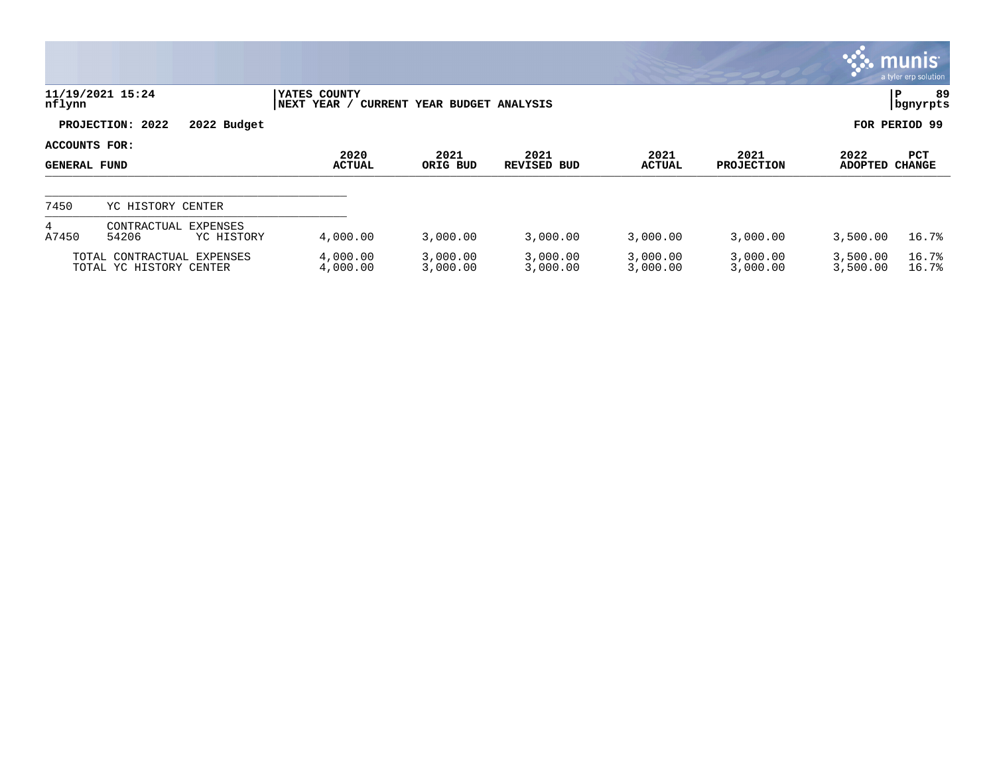|                                      |                                                       |                             |                              |                      |                       |                           |                        | <b>WE MUNIS</b><br>a tyler erp solution |
|--------------------------------------|-------------------------------------------------------|-----------------------------|------------------------------|----------------------|-----------------------|---------------------------|------------------------|-----------------------------------------|
| nflynn                               | 11/19/2021 15:24                                      | YATES COUNTY<br>NEXT YEAR / | CURRENT YEAR BUDGET ANALYSIS |                      |                       |                           |                        | 89<br>∣P<br>  bgnyrpts                  |
|                                      | PROJECTION: 2022<br>2022 Budget                       |                             |                              |                      |                       |                           |                        | FOR PERIOD 99                           |
| ACCOUNTS FOR:<br><b>GENERAL FUND</b> |                                                       | 2020<br><b>ACTUAL</b>       | 2021<br>ORIG BUD             | 2021<br>REVISED BUD  | 2021<br><b>ACTUAL</b> | 2021<br><b>PROJECTION</b> | 2022<br><b>ADOPTED</b> | PCT<br><b>CHANGE</b>                    |
| 7450                                 | YC HISTORY CENTER                                     |                             |                              |                      |                       |                           |                        |                                         |
| 4<br>A7450                           | CONTRACTUAL<br><b>EXPENSES</b><br>54206<br>YC HISTORY | 4,000.00                    | 3,000.00                     | 3,000.00             | 3,000.00              | 3,000.00                  | 3,500.00               | 16.7%                                   |
|                                      | TOTAL CONTRACTUAL EXPENSES<br>TOTAL YC HISTORY CENTER | 4,000.00<br>4,000.00        | 3,000.00<br>3,000.00         | 3,000.00<br>3,000.00 | 3,000.00<br>3,000.00  | 3,000.00<br>3,000.00      | 3,500.00<br>3,500.00   | 16.7%<br>16.7%                          |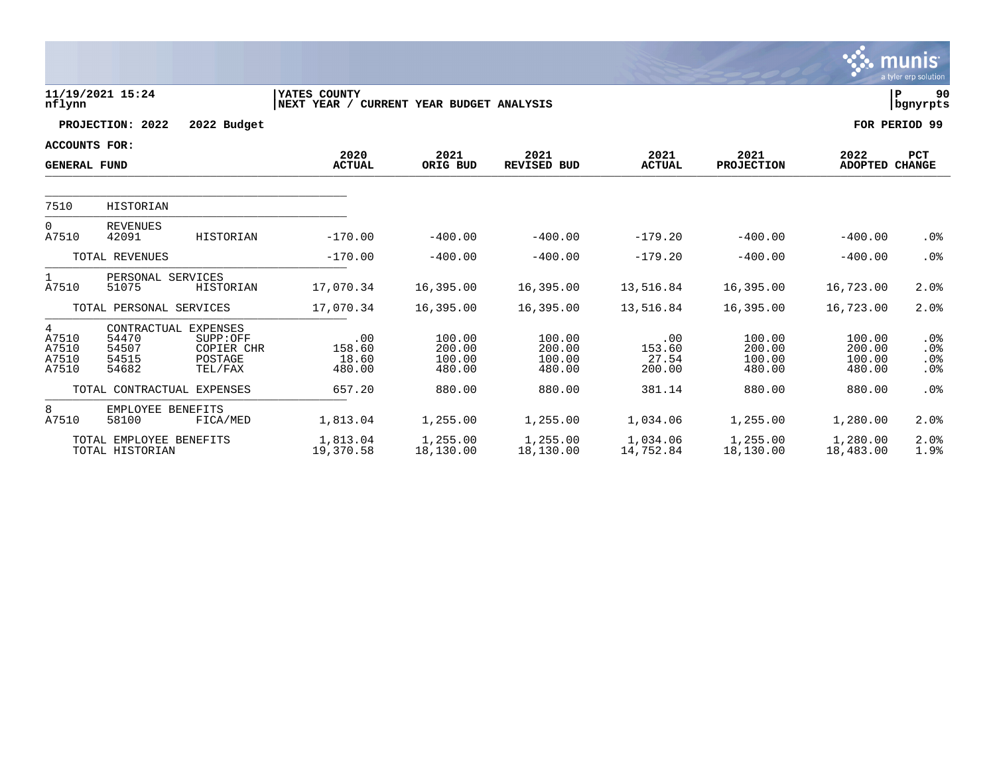|                                       |                                                          |                                              |                                                          |                                      |                                      |                                  |                                      |                                      | munıs<br>a tyler erp solution  |
|---------------------------------------|----------------------------------------------------------|----------------------------------------------|----------------------------------------------------------|--------------------------------------|--------------------------------------|----------------------------------|--------------------------------------|--------------------------------------|--------------------------------|
| nflynn                                | 11/19/2021 15:24                                         |                                              | YATES COUNTY<br>NEXT YEAR / CURRENT YEAR BUDGET ANALYSIS |                                      |                                      |                                  |                                      |                                      | lР<br>90<br>  bgnyrpts         |
|                                       | PROJECTION: 2022                                         | 2022 Budget                                  |                                                          |                                      |                                      |                                  |                                      |                                      | FOR PERIOD 99                  |
| <b>ACCOUNTS FOR:</b>                  |                                                          |                                              |                                                          |                                      |                                      |                                  |                                      |                                      |                                |
| <b>GENERAL FUND</b>                   |                                                          |                                              | 2020<br><b>ACTUAL</b>                                    | 2021<br>ORIG BUD                     | 2021<br>REVISED BUD                  | 2021<br><b>ACTUAL</b>            | 2021<br><b>PROJECTION</b>            | 2022<br><b>ADOPTED</b>               | <b>PCT</b><br><b>CHANGE</b>    |
| 7510                                  | HISTORIAN                                                |                                              |                                                          |                                      |                                      |                                  |                                      |                                      |                                |
| $\Omega$<br>A7510                     | <b>REVENUES</b><br>42091                                 | HISTORIAN                                    | $-170.00$                                                | $-400.00$                            | $-400.00$                            | $-179.20$                        | $-400.00$                            | $-400.00$                            | .0%                            |
|                                       | TOTAL REVENUES                                           |                                              | $-170.00$                                                | $-400.00$                            | $-400.00$                            | $-179.20$                        | $-400.00$                            | $-400.00$                            | .0%                            |
| $\mathbf{1}$<br>A7510                 | PERSONAL SERVICES<br>51075                               | HISTORIAN                                    | 17,070.34                                                | 16,395.00                            | 16,395.00                            | 13,516.84                        | 16,395.00                            | 16,723.00                            | 2.0%                           |
|                                       | TOTAL PERSONAL SERVICES                                  |                                              | 17,070.34                                                | 16,395.00                            | 16,395.00                            | 13,516.84                        | 16,395.00                            | 16,723.00                            | 2.0%                           |
| 4<br>A7510<br>A7510<br>A7510<br>A7510 | CONTRACTUAL EXPENSES<br>54470<br>54507<br>54515<br>54682 | SUPP:OFF<br>COPIER CHR<br>POSTAGE<br>TEL/FAX | .00<br>158.60<br>18.60<br>480.00                         | 100.00<br>200.00<br>100.00<br>480.00 | 100.00<br>200.00<br>100.00<br>480.00 | .00<br>153.60<br>27.54<br>200.00 | 100.00<br>200.00<br>100.00<br>480.00 | 100.00<br>200.00<br>100.00<br>480.00 | $.0\%$<br>.0%<br>$.0\%$<br>.0% |
|                                       | TOTAL CONTRACTUAL EXPENSES                               |                                              | 657.20                                                   | 880.00                               | 880.00                               | 381.14                           | 880.00                               | 880.00                               | .0%                            |
| 8<br>A7510                            | EMPLOYEE BENEFITS<br>58100                               | FICA/MED                                     | 1,813.04                                                 | 1,255.00                             | 1,255.00                             | 1,034.06                         | 1,255.00                             | 1,280.00                             | 2.0%                           |
|                                       | TOTAL EMPLOYEE BENEFITS<br>TOTAL HISTORIAN               |                                              | 1,813.04<br>19,370.58                                    | 1,255.00<br>18,130.00                | 1,255.00<br>18,130.00                | 1,034.06<br>14,752.84            | 1,255.00<br>18,130.00                | 1,280.00<br>18,483.00                | 2.0%<br>1.9%                   |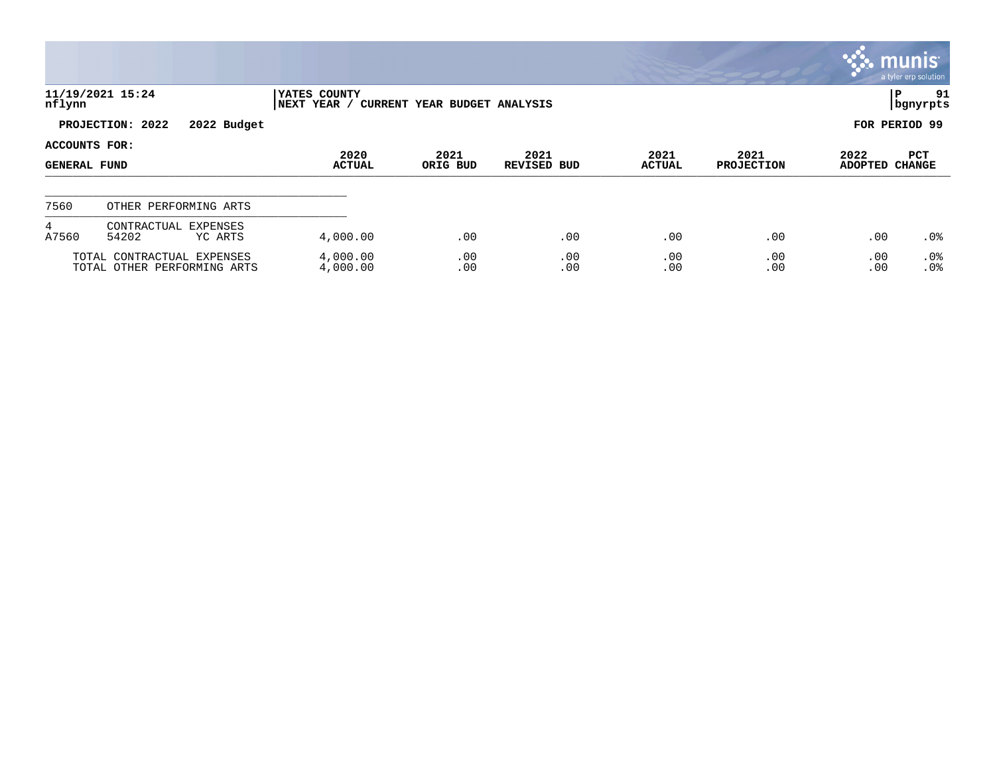|                                      |                                                           |                             |                              |                            |                       |                           |                        | munis l<br>a tyler erp solution |
|--------------------------------------|-----------------------------------------------------------|-----------------------------|------------------------------|----------------------------|-----------------------|---------------------------|------------------------|---------------------------------|
| nflynn                               | 11/19/2021 15:24                                          | YATES COUNTY<br>NEXT YEAR / | CURRENT YEAR BUDGET ANALYSIS |                            |                       |                           |                        | P<br>91<br>bgnyrpts             |
|                                      | PROJECTION: 2022<br>2022 Budget                           |                             |                              |                            |                       |                           |                        | FOR PERIOD 99                   |
| ACCOUNTS FOR:<br><b>GENERAL FUND</b> |                                                           | 2020<br><b>ACTUAL</b>       | 2021<br>ORIG BUD             | 2021<br><b>REVISED BUD</b> | 2021<br><b>ACTUAL</b> | 2021<br><b>PROJECTION</b> | 2022<br><b>ADOPTED</b> | PCT<br><b>CHANGE</b>            |
| 7560                                 | OTHER PERFORMING ARTS                                     |                             |                              |                            |                       |                           |                        |                                 |
| $4^{\circ}$<br>A7560                 | CONTRACTUAL<br>EXPENSES<br>54202<br>YC ARTS               | 4,000.00                    | .00                          | .00                        | .00                   | .00                       | .00                    | $.0\%$                          |
|                                      | TOTAL CONTRACTUAL EXPENSES<br>TOTAL OTHER PERFORMING ARTS | 4,000.00<br>4,000.00        | .00<br>.00                   | .00<br>.00                 | .00<br>.00            | .00<br>.00                | .00<br>.00             | .0%<br>.0%                      |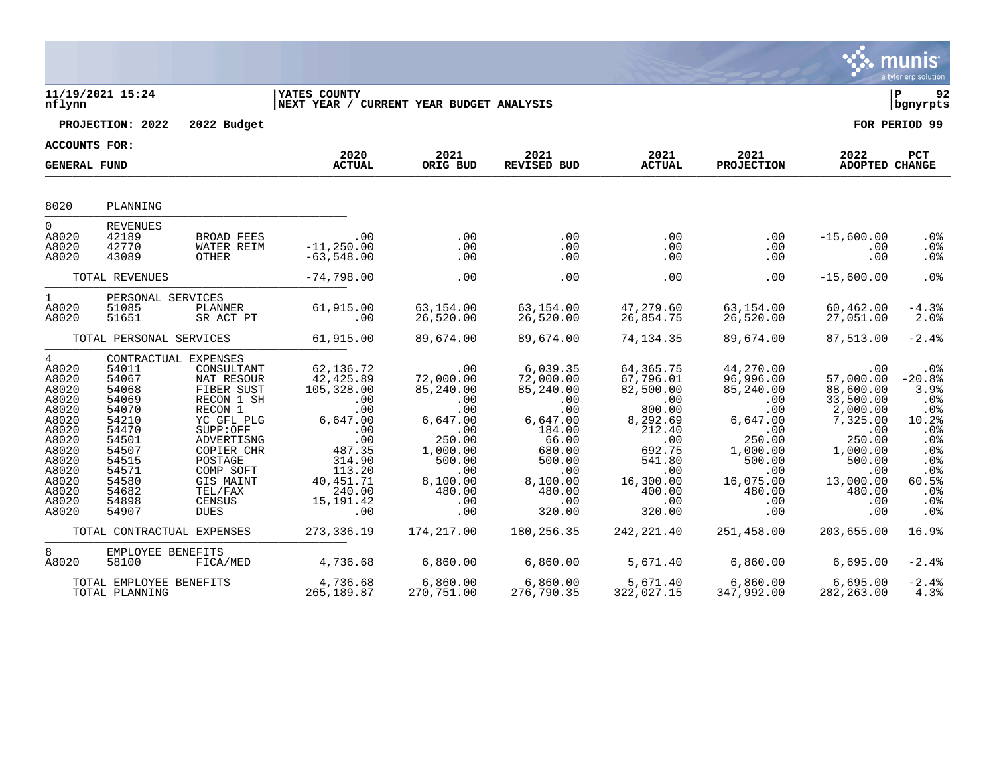|                                                                                                                                                   |                                                                                                                                                             |                                                                                                                                                                                                |                                                                                                                                                                    |                                                                                                                                                         |                                                                                                                                                                            |                                                                                                                                                                           |                                                                                                                                                                |                                                                                                                                                                     | munis<br>a tyler erp solution                                                                                                 |
|---------------------------------------------------------------------------------------------------------------------------------------------------|-------------------------------------------------------------------------------------------------------------------------------------------------------------|------------------------------------------------------------------------------------------------------------------------------------------------------------------------------------------------|--------------------------------------------------------------------------------------------------------------------------------------------------------------------|---------------------------------------------------------------------------------------------------------------------------------------------------------|----------------------------------------------------------------------------------------------------------------------------------------------------------------------------|---------------------------------------------------------------------------------------------------------------------------------------------------------------------------|----------------------------------------------------------------------------------------------------------------------------------------------------------------|---------------------------------------------------------------------------------------------------------------------------------------------------------------------|-------------------------------------------------------------------------------------------------------------------------------|
| nflynn                                                                                                                                            | 11/19/2021 15:24                                                                                                                                            |                                                                                                                                                                                                | <b>YATES COUNTY</b><br>NEXT YEAR / CURRENT YEAR BUDGET ANALYSIS                                                                                                    |                                                                                                                                                         |                                                                                                                                                                            |                                                                                                                                                                           |                                                                                                                                                                |                                                                                                                                                                     | l P<br>92<br>  bgnyrpts                                                                                                       |
|                                                                                                                                                   | PROJECTION: 2022                                                                                                                                            | 2022 Budget                                                                                                                                                                                    |                                                                                                                                                                    |                                                                                                                                                         |                                                                                                                                                                            |                                                                                                                                                                           |                                                                                                                                                                |                                                                                                                                                                     | FOR PERIOD 99                                                                                                                 |
| <b>ACCOUNTS FOR:</b>                                                                                                                              |                                                                                                                                                             |                                                                                                                                                                                                | 2020                                                                                                                                                               | 2021                                                                                                                                                    | 2021                                                                                                                                                                       | 2021                                                                                                                                                                      | 2021                                                                                                                                                           | 2022                                                                                                                                                                | PCT                                                                                                                           |
| <b>GENERAL FUND</b>                                                                                                                               |                                                                                                                                                             |                                                                                                                                                                                                | <b>ACTUAL</b>                                                                                                                                                      | ORIG BUD                                                                                                                                                | REVISED BUD                                                                                                                                                                | <b>ACTUAL</b>                                                                                                                                                             | PROJECTION                                                                                                                                                     | ADOPTED CHANGE                                                                                                                                                      |                                                                                                                               |
| 8020                                                                                                                                              | PLANNING                                                                                                                                                    |                                                                                                                                                                                                |                                                                                                                                                                    |                                                                                                                                                         |                                                                                                                                                                            |                                                                                                                                                                           |                                                                                                                                                                |                                                                                                                                                                     |                                                                                                                               |
| $\Omega$<br>A8020<br>A8020<br>A8020                                                                                                               | <b>REVENUES</b><br>42189<br>42770<br>43089                                                                                                                  | BROAD FEES<br><b>WATER REIM</b><br>OTHER                                                                                                                                                       | .00<br>$-11, 250.00$<br>$-63,548.00$                                                                                                                               | .00<br>.00<br>.00                                                                                                                                       | .00<br>.00<br>.00                                                                                                                                                          | .00<br>.00<br>.00                                                                                                                                                         | .00<br>.00<br>.00                                                                                                                                              | $-15,600.00$<br>.00<br>.00                                                                                                                                          | .0%<br>.0%<br>$.0\%$                                                                                                          |
|                                                                                                                                                   | TOTAL REVENUES                                                                                                                                              |                                                                                                                                                                                                | $-74,798.00$                                                                                                                                                       | .00                                                                                                                                                     | .00                                                                                                                                                                        | .00                                                                                                                                                                       | .00                                                                                                                                                            | $-15,600.00$                                                                                                                                                        | .0%                                                                                                                           |
| $1 \quad \blacksquare$<br>A8020<br>A8020                                                                                                          | PERSONAL SERVICES<br>51085<br>51651                                                                                                                         | PLANNER<br>SR ACT PT                                                                                                                                                                           | 61,915.00<br>.00                                                                                                                                                   | 63,154.00<br>26,520.00                                                                                                                                  | 63,154.00<br>26,520.00                                                                                                                                                     | 47,279.60<br>26,854.75                                                                                                                                                    | 63,154.00<br>26,520.00                                                                                                                                         | 60,462.00<br>27,051.00                                                                                                                                              | $-4.3%$<br>2.0%                                                                                                               |
|                                                                                                                                                   | TOTAL PERSONAL SERVICES                                                                                                                                     |                                                                                                                                                                                                | 61,915.00                                                                                                                                                          | 89,674.00                                                                                                                                               | 89,674.00                                                                                                                                                                  | 74,134.35                                                                                                                                                                 | 89,674.00                                                                                                                                                      | 87,513.00                                                                                                                                                           | $-2.4%$                                                                                                                       |
| $4\degree$<br>A8020<br>A8020<br>A8020<br>A8020<br>A8020<br>A8020<br>A8020<br>A8020<br>A8020<br>A8020<br>A8020<br>A8020<br>A8020<br>A8020<br>A8020 | CONTRACTUAL EXPENSES<br>54011<br>54067<br>54068<br>54069<br>54070<br>54210<br>54470<br>54501<br>54507<br>54515<br>54571<br>54580<br>54682<br>54898<br>54907 | CONSULTANT<br>NAT RESOUR<br>FIBER SUST<br>RECON 1 SH<br>RECON 1<br>YC GFL PLG<br>SUPP:OFF<br>ADVERTISNG<br>COPIER CHR<br>POSTAGE<br>COMP SOFT<br>GIS MAINT<br>TEL/FAX<br>CENSUS<br><b>DUES</b> | 62,136.72<br>42,425.89<br>105,328.00<br>$.00 \,$<br>.00<br>6,647.00<br>.00<br>.00<br>487.35<br>314.90<br>113.20<br>40, 451.71<br>240.00<br>15, 191.42<br>$\sim 00$ | .00<br>72,000.00<br>85,240.00<br>.00<br>.00<br>6,647.00<br>.00<br>250.00<br>1,000.00<br>500.00<br>.00<br>8,100.00<br>480.00<br>.00<br>.00<br>174,217.00 | 6,039.35<br>72,000.00<br>85,240.00<br>$\overline{\phantom{0}}$ .00<br>.00<br>6,647.00<br>184.00<br>66.00<br>680.00<br>500.00<br>.00<br>8,100.00<br>480.00<br>.00<br>320.00 | 64,365.75<br>67,796.01<br>82,500.00<br>$\sim 00$<br>800.00<br>8,292.69<br>212.40<br>.00<br>692.75<br>541.80<br>.00<br>16,300.00<br>400.00<br>.00<br>320.00<br>242, 221.40 | 44,270.00<br>96,996.00<br>85,240.00<br>.00<br>.00<br>6,647.00<br>.00<br>250.00<br>1,000.00<br>500.00<br>.00<br>16,075.00<br>480.00<br>.00<br>.00<br>251,458.00 | .00<br>57,000.00<br>88,600.00<br>33,500.00<br>2,000.00<br>7,325.00<br>.00<br>250.00<br>1,000.00<br>500.00<br>.00<br>13,000.00<br>480.00<br>.00<br>.00<br>203,655.00 | . 0 %<br>$-20.8%$<br>3.9%<br>.0%<br>.0%<br>10.2%<br>.0%<br>.0%<br>.0%<br>.0%<br>.0%<br>60.5%<br>$.0\%$<br>.0%<br>.0%<br>16.9% |
|                                                                                                                                                   | TOTAL CONTRACTUAL EXPENSES                                                                                                                                  |                                                                                                                                                                                                | 273,336.19                                                                                                                                                         |                                                                                                                                                         | 180,256.35                                                                                                                                                                 |                                                                                                                                                                           |                                                                                                                                                                |                                                                                                                                                                     |                                                                                                                               |
| 8<br>A8020                                                                                                                                        | EMPLOYEE BENEFITS<br>58100                                                                                                                                  | FICA/MED                                                                                                                                                                                       | 4,736.68                                                                                                                                                           | 6,860.00                                                                                                                                                | 6,860.00                                                                                                                                                                   | 5,671.40                                                                                                                                                                  | 6,860.00                                                                                                                                                       | 6,695.00                                                                                                                                                            | $-2.4%$                                                                                                                       |
|                                                                                                                                                   | TOTAL EMPLOYEE BENEFITS<br>TOTAL PLANNING                                                                                                                   |                                                                                                                                                                                                | 4,736.68<br>265,189.87                                                                                                                                             | 6,860.00<br>270,751.00                                                                                                                                  | 6,860.00<br>276,790.35                                                                                                                                                     | 5,671.40<br>322,027.15                                                                                                                                                    | 6,860.00<br>347,992.00                                                                                                                                         | 6,695.00<br>282, 263.00                                                                                                                                             | $-2.4%$<br>4.3%                                                                                                               |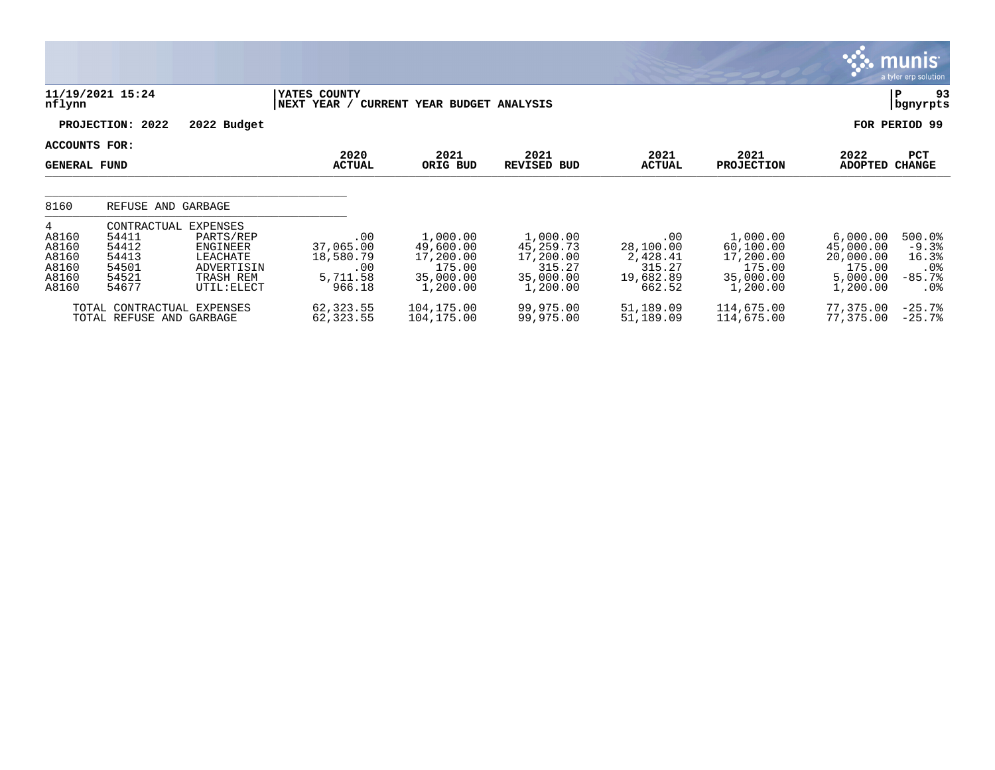|                                                                       |                                                                                                                                                                     |                                                            |                                                                       |                                                                       |                                                               |                                                                       |                                                                      | <b>munis</b><br>a tyler erp solution                      |
|-----------------------------------------------------------------------|---------------------------------------------------------------------------------------------------------------------------------------------------------------------|------------------------------------------------------------|-----------------------------------------------------------------------|-----------------------------------------------------------------------|---------------------------------------------------------------|-----------------------------------------------------------------------|----------------------------------------------------------------------|-----------------------------------------------------------|
| nflynn                                                                | 11/19/2021 15:24                                                                                                                                                    | YATES COUNTY<br>NEXT YEAR /                                | CURRENT YEAR BUDGET ANALYSIS                                          |                                                                       |                                                               |                                                                       |                                                                      | 93<br>P<br>bgnyrpts                                       |
|                                                                       | PROJECTION: 2022<br>2022 Budget                                                                                                                                     |                                                            |                                                                       |                                                                       |                                                               |                                                                       |                                                                      | FOR PERIOD 99                                             |
| <b>ACCOUNTS FOR:</b><br><b>GENERAL FUND</b>                           |                                                                                                                                                                     | 2020<br><b>ACTUAL</b>                                      | 2021<br>ORIG BUD                                                      | 2021<br><b>REVISED BUD</b>                                            | 2021<br><b>ACTUAL</b>                                         | 2021<br><b>PROJECTION</b>                                             | 2022<br><b>ADOPTED</b>                                               | PCT<br><b>CHANGE</b>                                      |
| 8160                                                                  | REFUSE AND GARBAGE                                                                                                                                                  |                                                            |                                                                       |                                                                       |                                                               |                                                                       |                                                                      |                                                           |
| $4\overline{ }$<br>A8160<br>A8160<br>A8160<br>A8160<br>A8160<br>A8160 | <b>EXPENSES</b><br>CONTRACTUAL<br>54411<br>PARTS/REP<br>54412<br>ENGINEER<br>54413<br>LEACHATE<br>54501<br>ADVERTISIN<br>54521<br>TRASH REM<br>54677<br>UTIL: ELECT | .00<br>37,065.00<br>18,580.79<br>.00<br>5,711.58<br>966.18 | 1,000.00<br>49,600.00<br>17,200.00<br>175.00<br>35,000.00<br>1,200.00 | 1,000.00<br>45,259.73<br>17,200.00<br>315.27<br>35,000.00<br>1,200.00 | .00<br>28,100.00<br>2,428.41<br>315.27<br>19,682.89<br>662.52 | 1,000.00<br>60,100.00<br>17,200.00<br>175.00<br>35,000.00<br>1,200.00 | 6,000.00<br>45,000.00<br>20,000.00<br>175.00<br>5,000.00<br>1,200.00 | 500.0<br>$-9.3%$<br>16.3%<br>$.0\%$<br>$-85.7%$<br>$.0\%$ |
|                                                                       | TOTAL CONTRACTUAL EXPENSES<br>TOTAL REFUSE AND GARBAGE                                                                                                              | 62,323.55<br>62, 323.55                                    | 104,175.00<br>104,175.00                                              | 99,975.00<br>99,975.00                                                | 51,189.09<br>51,189.09                                        | 114,675.00<br>114,675.00                                              | 77,375.00<br>77,375.00                                               | $-25.7%$<br>$-25.7%$                                      |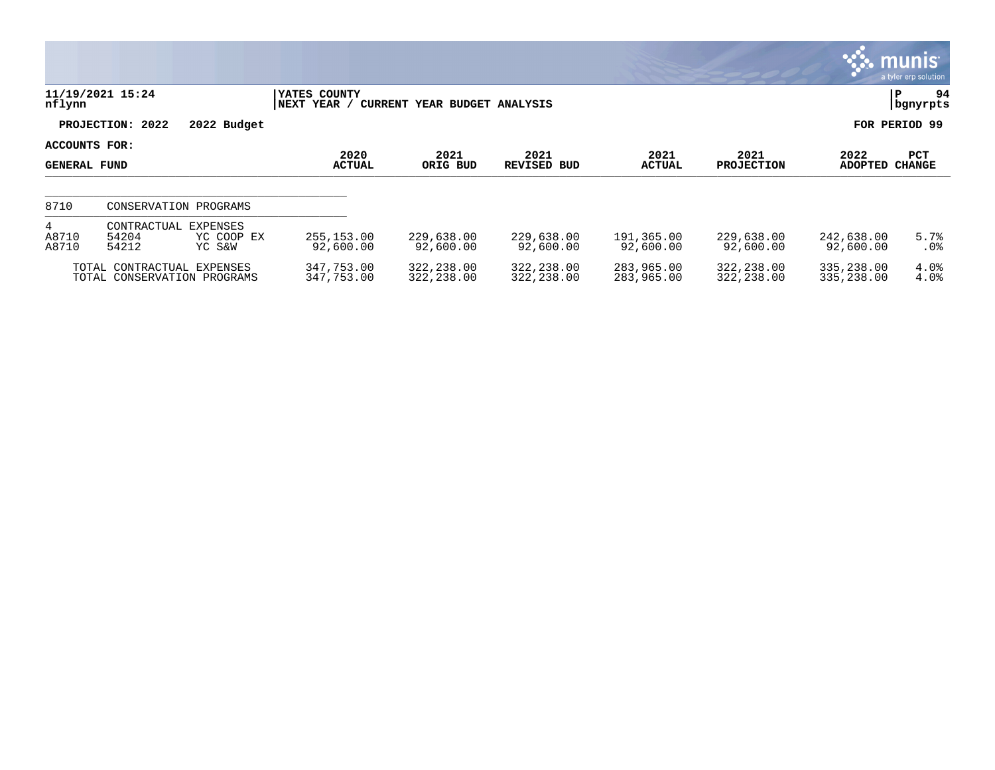|                                      |                                                           |                      |                                       |                              |                            |                          |                           |                          | a tyler erp solution |
|--------------------------------------|-----------------------------------------------------------|----------------------|---------------------------------------|------------------------------|----------------------------|--------------------------|---------------------------|--------------------------|----------------------|
| nflynn                               | 11/19/2021 15:24                                          |                      | YATES COUNTY<br><b>NEXT</b><br>YEAR / | CURRENT YEAR BUDGET ANALYSIS |                            |                          |                           |                          | 94<br>P<br>bgnyrpts  |
|                                      | PROJECTION: 2022                                          | 2022 Budget          |                                       |                              |                            |                          |                           | FOR                      | PERIOD 99            |
| ACCOUNTS FOR:<br><b>GENERAL FUND</b> |                                                           |                      | 2020<br><b>ACTUAL</b>                 | 2021<br>ORIG BUD             | 2021<br><b>REVISED BUD</b> | 2021<br><b>ACTUAL</b>    | 2021<br><b>PROJECTION</b> | 2022<br><b>ADOPTED</b>   | PCT<br><b>CHANGE</b> |
| 8710                                 | CONSERVATION PROGRAMS                                     |                      |                                       |                              |                            |                          |                           |                          |                      |
| 4<br>A8710<br>A8710                  | CONTRACTUAL EXPENSES<br>54204<br>54212                    | YC COOP EX<br>YC S&W | 255, 153.00<br>92,600.00              | 229,638.00<br>92,600.00      | 229,638.00<br>92,600.00    | 191,365.00<br>92,600.00  | 229,638.00<br>92,600.00   | 242,638.00<br>92,600.00  | 5.7%<br>$.0\%$       |
|                                      | TOTAL CONTRACTUAL EXPENSES<br>TOTAL CONSERVATION PROGRAMS |                      | 347,753.00<br>347,753.00              | 322,238.00<br>322,238.00     | 322,238.00<br>322,238.00   | 283,965.00<br>283,965.00 | 322,238.00<br>322,238.00  | 335,238.00<br>335,238.00 | 4.0%<br>4.0%         |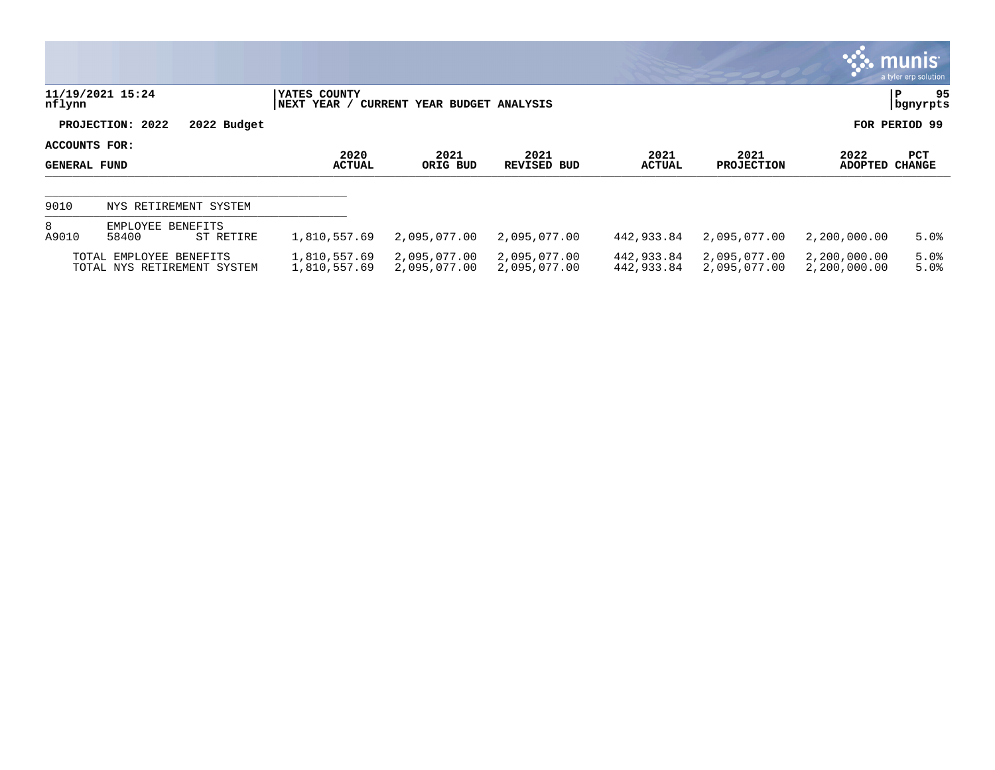|                                      |                                                        |                              |                              |                              |                          |                              |                              | <b>WE munis</b><br>a tyler erp solution |
|--------------------------------------|--------------------------------------------------------|------------------------------|------------------------------|------------------------------|--------------------------|------------------------------|------------------------------|-----------------------------------------|
| nflynn                               | 11/19/2021 15:24                                       | YATES COUNTY<br> NEXT YEAR / | CURRENT YEAR BUDGET ANALYSIS |                              |                          |                              |                              | 95<br>P<br>  bgnyrpts                   |
|                                      | PROJECTION: 2022<br>2022 Budget                        |                              |                              |                              |                          |                              |                              | FOR PERIOD 99                           |
| ACCOUNTS FOR:<br><b>GENERAL FUND</b> |                                                        | 2020<br><b>ACTUAL</b>        | 2021<br>ORIG BUD             | 2021<br><b>REVISED BUD</b>   | 2021<br><b>ACTUAL</b>    | 2021<br><b>PROJECTION</b>    | 2022<br>ADOPTED              | PCT<br><b>CHANGE</b>                    |
| 9010                                 | NYS RETIREMENT SYSTEM                                  |                              |                              |                              |                          |                              |                              |                                         |
| 8<br>A9010                           | EMPLOYEE BENEFITS<br>58400<br>ST RETIRE                | 1,810,557.69                 | 2,095,077.00                 | 2,095,077.00                 | 442,933.84               | 2,095,077.00                 | 2,200,000.00                 | 5.0%                                    |
|                                      | TOTAL EMPLOYEE BENEFITS<br>TOTAL NYS RETIREMENT SYSTEM | 1,810,557.69<br>1,810,557.69 | 2,095,077.00<br>2,095,077.00 | 2,095,077.00<br>2,095,077.00 | 442,933.84<br>442,933.84 | 2,095,077.00<br>2,095,077.00 | 2,200,000.00<br>2,200,000.00 | 5.0%<br>5.0%                            |

 $\overline{\phantom{a}}$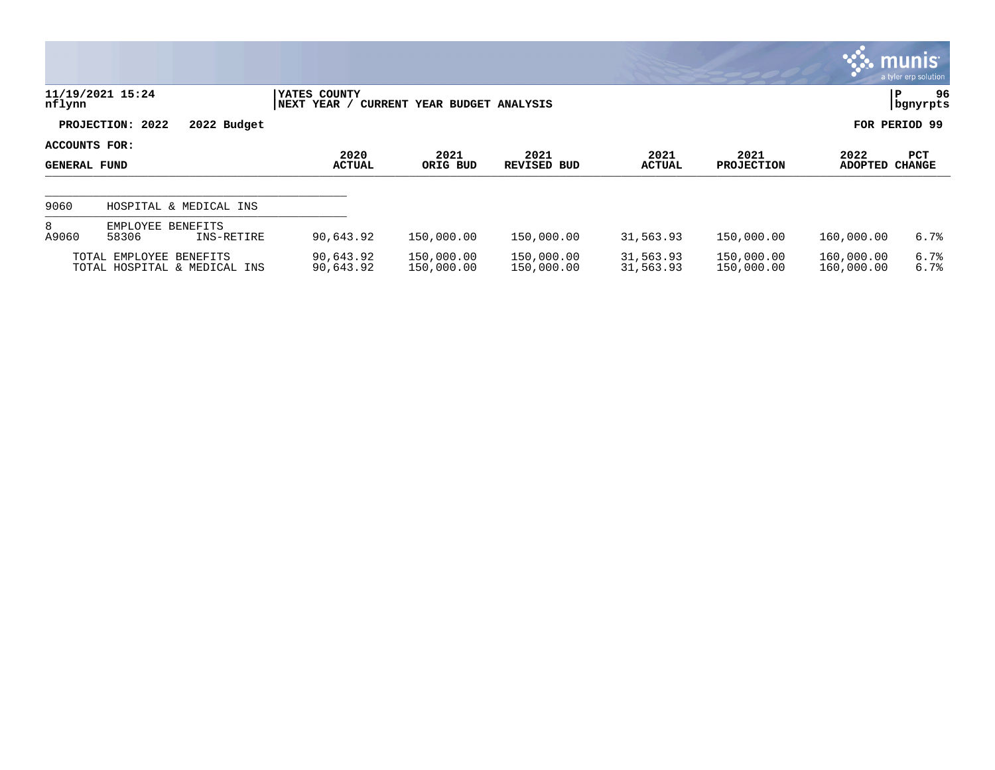|                                      |                                                         |                             |                              |                            |                        |                           |                          | <b>munis</b><br>a tyler erp solution |
|--------------------------------------|---------------------------------------------------------|-----------------------------|------------------------------|----------------------------|------------------------|---------------------------|--------------------------|--------------------------------------|
| nflynn                               | 11/19/2021 15:24                                        | YATES COUNTY<br>NEXT YEAR / | CURRENT YEAR BUDGET ANALYSIS |                            |                        |                           |                          | 96<br>P<br>  bgnyrpts                |
|                                      | PROJECTION: 2022<br>2022 Budget                         |                             |                              |                            |                        |                           |                          | FOR PERIOD 99                        |
| ACCOUNTS FOR:<br><b>GENERAL FUND</b> |                                                         | 2020<br><b>ACTUAL</b>       | 2021<br>ORIG BUD             | 2021<br><b>REVISED BUD</b> | 2021<br><b>ACTUAL</b>  | 2021<br><b>PROJECTION</b> | 2022<br><b>ADOPTED</b>   | <b>PCT</b><br><b>CHANGE</b>          |
| 9060                                 | HOSPITAL & MEDICAL INS                                  |                             |                              |                            |                        |                           |                          |                                      |
| 8<br>A9060                           | EMPLOYEE BENEFITS<br>58306<br>INS-RETIRE                | 90,643.92                   | 150,000.00                   | 150,000.00                 | 31,563.93              | 150,000.00                | 160,000.00               | 6.7%                                 |
|                                      | TOTAL EMPLOYEE BENEFITS<br>TOTAL HOSPITAL & MEDICAL INS | 90,643.92<br>90,643.92      | 150,000.00<br>150,000.00     | 150,000.00<br>150,000.00   | 31,563.93<br>31,563.93 | 150,000.00<br>150,000.00  | 160,000.00<br>160,000.00 | 6.7%<br>6.7%                         |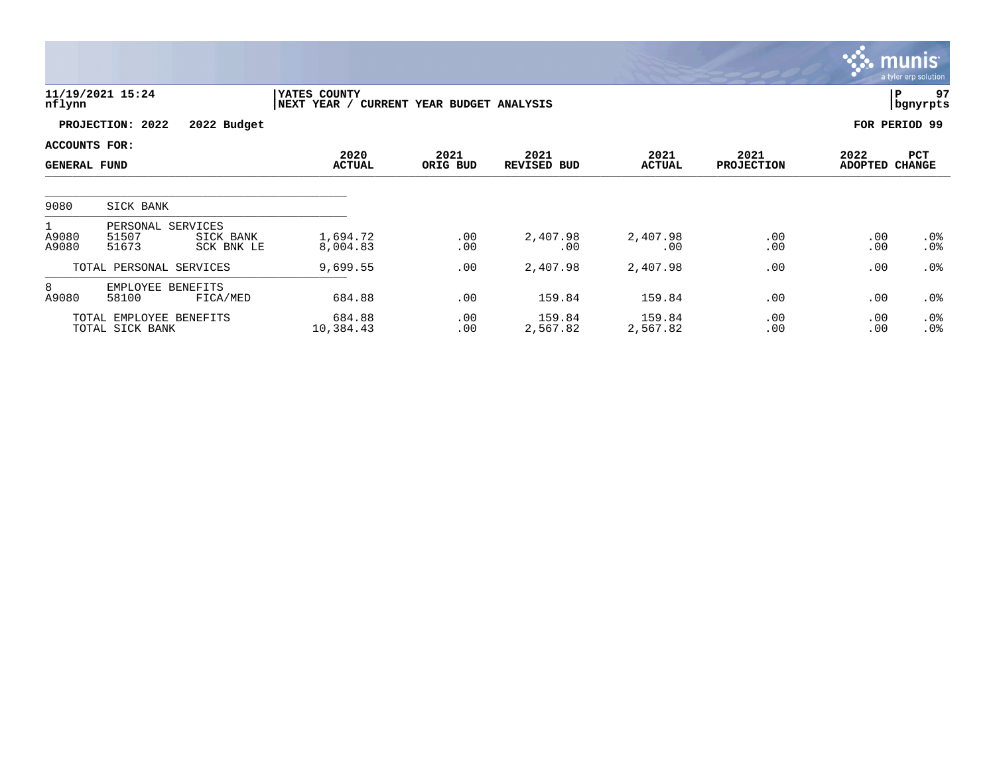|                                      |                                            |                         |                             |                              |                            |                       |                           |                        | munis<br>a tyler erp solution |
|--------------------------------------|--------------------------------------------|-------------------------|-----------------------------|------------------------------|----------------------------|-----------------------|---------------------------|------------------------|-------------------------------|
| nflynn                               | 11/19/2021 15:24                           |                         | YATES COUNTY<br>NEXT YEAR / | CURRENT YEAR BUDGET ANALYSIS |                            |                       |                           |                        | 97<br> P<br>bgnyrpts          |
|                                      | PROJECTION: 2022                           | 2022 Budget             |                             |                              |                            |                       |                           |                        | FOR PERIOD 99                 |
| ACCOUNTS FOR:<br><b>GENERAL FUND</b> |                                            |                         | 2020<br><b>ACTUAL</b>       | 2021<br>ORIG BUD             | 2021<br><b>REVISED BUD</b> | 2021<br><b>ACTUAL</b> | 2021<br><b>PROJECTION</b> | 2022<br><b>ADOPTED</b> | PCT<br><b>CHANGE</b>          |
| 9080                                 | SICK BANK                                  |                         |                             |                              |                            |                       |                           |                        |                               |
| A9080<br>A9080                       | PERSONAL SERVICES<br>51507<br>51673        | SICK BANK<br>SCK BNK LE | 1,694.72<br>8,004.83        | .00<br>.00                   | 2,407.98<br>.00            | 2,407.98<br>.00       | .00<br>.00                | .00<br>.00             | $.0\%$<br>.0%                 |
|                                      | TOTAL PERSONAL SERVICES                    |                         | 9,699.55                    | .00                          | 2,407.98                   | 2,407.98              | .00                       | .00                    | .0%                           |
| 8<br>A9080                           | EMPLOYEE BENEFITS<br>58100                 | FICA/MED                | 684.88                      | .00                          | 159.84                     | 159.84                | .00                       | .00                    | .0%                           |
|                                      | TOTAL EMPLOYEE BENEFITS<br>TOTAL SICK BANK |                         | 684.88<br>10,384.43         | .00<br>.00                   | 159.84<br>2,567.82         | 159.84<br>2,567.82    | .00<br>.00                | .00<br>.00             | $.0\%$<br>.0%                 |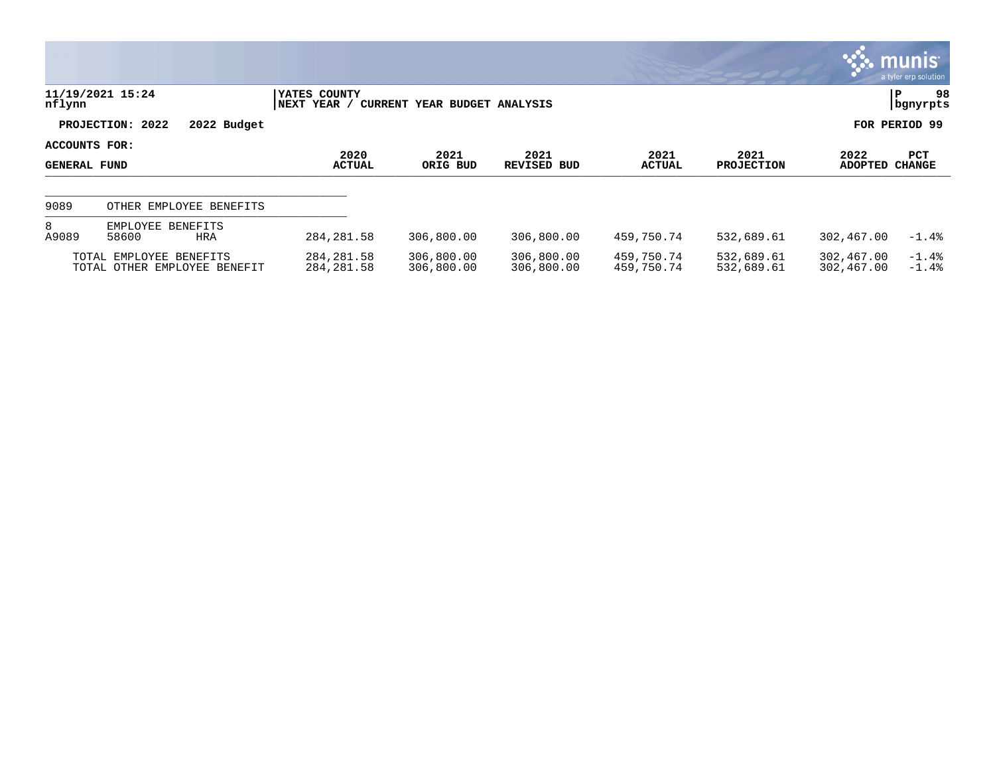|                                      |                                                         |                              |                              |                          |                          |                           |                          | munis <sup>.</sup><br>a tyler erp solution |
|--------------------------------------|---------------------------------------------------------|------------------------------|------------------------------|--------------------------|--------------------------|---------------------------|--------------------------|--------------------------------------------|
| nflynn                               | 11/19/2021 15:24                                        | YATES COUNTY<br> NEXT YEAR / | CURRENT YEAR BUDGET ANALYSIS |                          |                          |                           |                          | 98<br>P<br>  bgnyrpts                      |
|                                      | PROJECTION: 2022<br>2022 Budget                         |                              |                              |                          |                          |                           |                          | FOR PERIOD 99                              |
| ACCOUNTS FOR:<br><b>GENERAL FUND</b> |                                                         | 2020<br><b>ACTUAL</b>        | 2021<br>ORIG BUD             | 2021<br>REVISED BUD      | 2021<br><b>ACTUAL</b>    | 2021<br><b>PROJECTION</b> | 2022<br><b>ADOPTED</b>   | PCT<br><b>CHANGE</b>                       |
| 9089                                 | OTHER EMPLOYEE BENEFITS                                 |                              |                              |                          |                          |                           |                          |                                            |
| 8<br>A9089                           | EMPLOYEE BENEFITS<br>58600<br><b>HRA</b>                | 284, 281.58                  | 306,800.00                   | 306,800.00               | 459,750.74               | 532,689.61                | 302,467.00               | $-1.4%$                                    |
|                                      | TOTAL EMPLOYEE BENEFITS<br>TOTAL OTHER EMPLOYEE BENEFIT | 284, 281.58<br>284, 281.58   | 306,800.00<br>306,800.00     | 306,800.00<br>306,800.00 | 459,750.74<br>459,750.74 | 532,689.61<br>532,689.61  | 302,467.00<br>302,467.00 | $-1.4%$<br>$-1.4%$                         |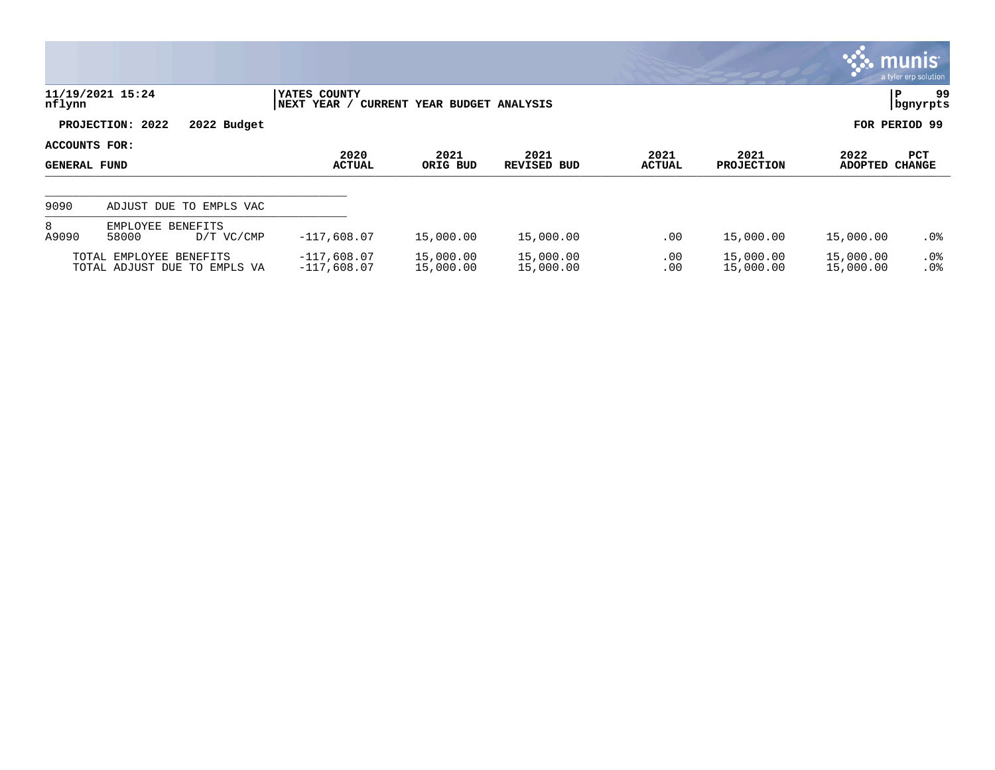|                                      |                                                         |                                |                              |                        |                       |                           |                        | $\mathbb{C}$ munis $\mathbb{C}$<br>a tyler erp solution |
|--------------------------------------|---------------------------------------------------------|--------------------------------|------------------------------|------------------------|-----------------------|---------------------------|------------------------|---------------------------------------------------------|
| nflynn                               | 11/19/2021 15:24                                        | YATES COUNTY<br>NEXT YEAR /    | CURRENT YEAR BUDGET ANALYSIS |                        |                       |                           |                        | 99<br>ΙP<br>  bgnyrpts                                  |
|                                      | PROJECTION: 2022<br>2022 Budget                         |                                |                              |                        |                       |                           |                        | FOR PERIOD 99                                           |
| ACCOUNTS FOR:<br><b>GENERAL FUND</b> |                                                         | 2020<br><b>ACTUAL</b>          | 2021<br>ORIG BUD             | 2021<br>REVISED BUD    | 2021<br><b>ACTUAL</b> | 2021<br><b>PROJECTION</b> | 2022<br><b>ADOPTED</b> | PCT<br><b>CHANGE</b>                                    |
| 9090                                 | ADJUST DUE TO EMPLS VAC                                 |                                |                              |                        |                       |                           |                        |                                                         |
| 8<br>A9090                           | EMPLOYEE BENEFITS<br>58000<br>D/T VC/CMP                | $-117,608.07$                  | 15,000.00                    | 15,000.00              | .00                   | 15,000.00                 | 15,000.00              | .0%                                                     |
|                                      | TOTAL EMPLOYEE BENEFITS<br>TOTAL ADJUST DUE TO EMPLS VA | $-117,608.07$<br>$-117,608.07$ | 15,000.00<br>15,000.00       | 15,000.00<br>15,000.00 | .00<br>.00            | 15,000.00<br>15,000.00    | 15,000.00<br>15,000.00 | $.0\%$<br>.0%                                           |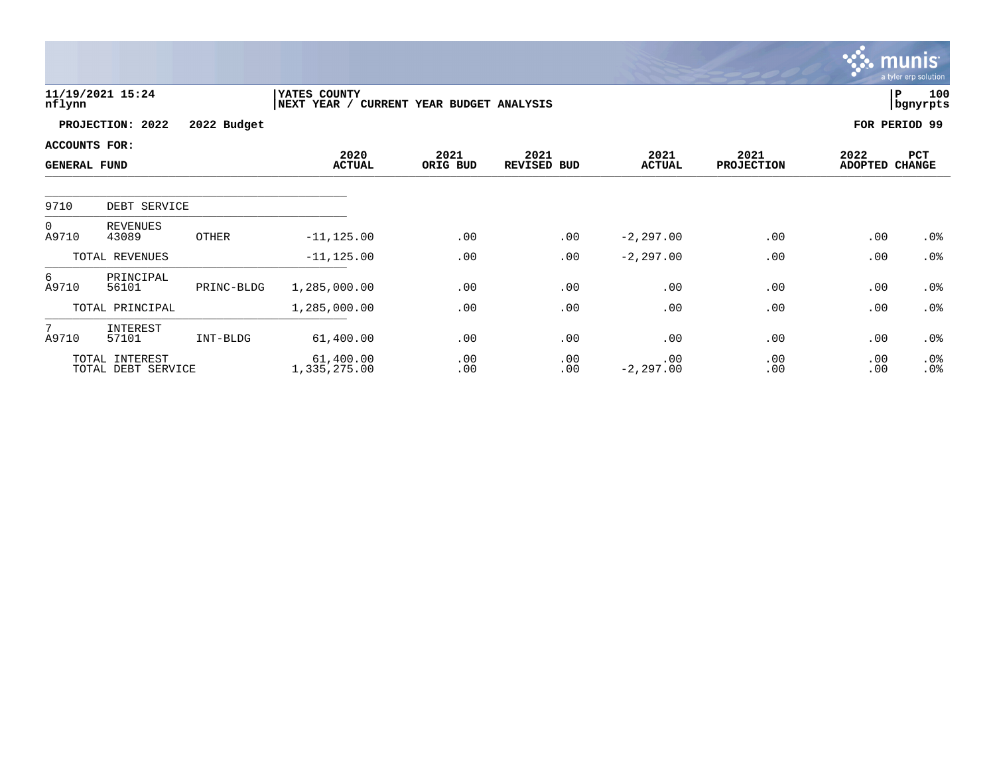|                                             |                                      |             |                             |                              |                     |                       |                           |                        | <b>munis</b><br>a tyler erp solution |
|---------------------------------------------|--------------------------------------|-------------|-----------------------------|------------------------------|---------------------|-----------------------|---------------------------|------------------------|--------------------------------------|
| nflynn                                      | 11/19/2021 15:24                     |             | YATES COUNTY<br>NEXT YEAR / | CURRENT YEAR BUDGET ANALYSIS |                     |                       |                           |                        | 100<br>P<br>  bgnyrpts               |
|                                             | PROJECTION: 2022                     | 2022 Budget |                             |                              |                     |                       |                           |                        | FOR PERIOD 99                        |
| <b>ACCOUNTS FOR:</b><br><b>GENERAL FUND</b> |                                      |             | 2020<br><b>ACTUAL</b>       | 2021<br>ORIG BUD             | 2021<br>REVISED BUD | 2021<br><b>ACTUAL</b> | 2021<br><b>PROJECTION</b> | 2022<br><b>ADOPTED</b> | PCT<br><b>CHANGE</b>                 |
| 9710                                        | DEBT SERVICE                         |             |                             |                              |                     |                       |                           |                        |                                      |
| $\overline{0}$<br>A9710                     | <b>REVENUES</b><br>43089             | OTHER       | $-11, 125.00$               | .00                          | .00                 | $-2, 297.00$          | .00                       | .00                    | .0%                                  |
|                                             | TOTAL REVENUES                       |             | $-11, 125.00$               | .00                          | .00                 | $-2, 297.00$          | .00                       | .00                    | .0%                                  |
| 6<br>A9710                                  | PRINCIPAL<br>56101                   | PRINC-BLDG  | 1,285,000.00                | .00                          | .00                 | .00                   | .00                       | .00                    | .0%                                  |
|                                             | TOTAL PRINCIPAL                      |             | 1,285,000.00                | .00                          | .00                 | .00                   | .00                       | .00                    | .0%                                  |
| $7\overline{ }$<br>A9710                    | INTEREST<br>57101                    | INT-BLDG    | 61,400.00                   | .00                          | .00                 | .00                   | .00                       | .00                    | .0%                                  |
|                                             | TOTAL INTEREST<br>TOTAL DEBT SERVICE |             | 61,400.00<br>1,335,275.00   | .00<br>.00                   | .00<br>.00          | .00<br>$-2, 297.00$   | .00<br>.00                | .00<br>.00             | .0%<br>.0%                           |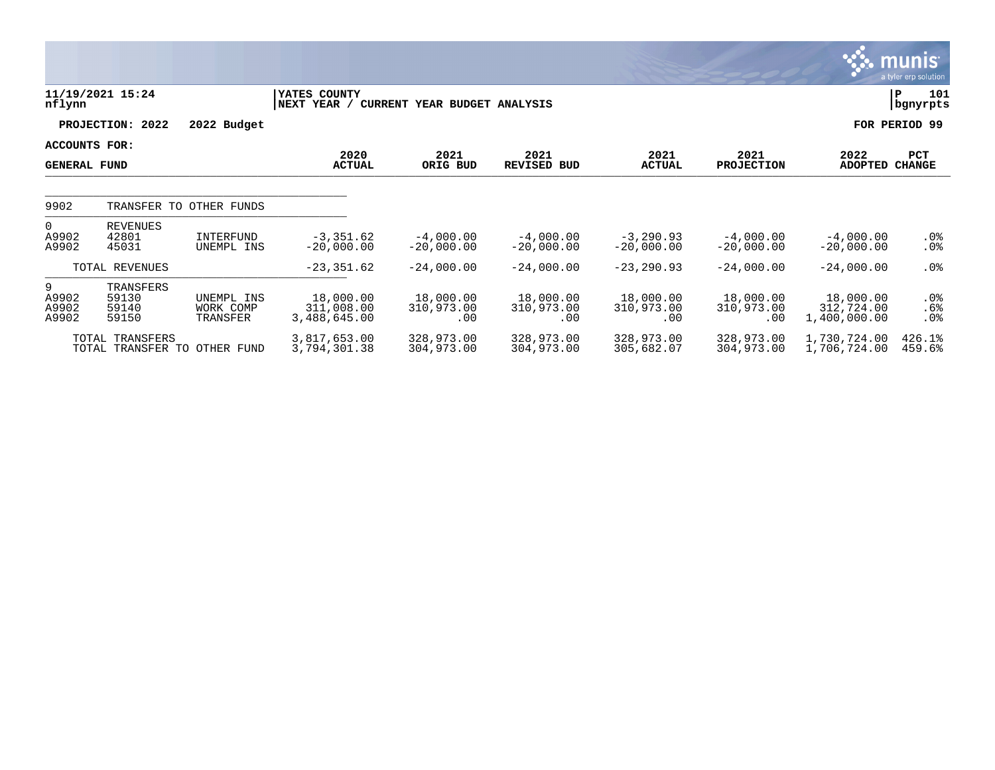|                                      |                                      |                                     |                                         |                                     |                                |                                |                                |                                         | munis<br>a tyler erp solution       |
|--------------------------------------|--------------------------------------|-------------------------------------|-----------------------------------------|-------------------------------------|--------------------------------|--------------------------------|--------------------------------|-----------------------------------------|-------------------------------------|
| nflynn                               | 11/19/2021 15:24                     |                                     | YATES COUNTY<br>NEXT YEAR /             | <b>CURRENT YEAR BUDGET ANALYSIS</b> |                                |                                |                                |                                         | 101<br>∣P<br>bgnyrpts               |
|                                      | PROJECTION: 2022                     | 2022 Budget                         |                                         |                                     |                                |                                |                                |                                         | FOR PERIOD 99                       |
| ACCOUNTS FOR:<br><b>GENERAL FUND</b> |                                      |                                     | 2020<br><b>ACTUAL</b>                   | 2021<br>ORIG BUD                    | 2021<br><b>REVISED BUD</b>     | 2021<br><b>ACTUAL</b>          | 2021<br><b>PROJECTION</b>      | 2022<br><b>ADOPTED</b>                  | PCT<br><b>CHANGE</b>                |
| 9902                                 |                                      | TRANSFER TO OTHER FUNDS             |                                         |                                     |                                |                                |                                |                                         |                                     |
| $\Omega$<br>A9902<br>A9902           | <b>REVENUES</b><br>42801<br>45031    | INTERFUND<br>UNEMPL INS             | $-3, 351.62$<br>$-20,000.00$            | $-4,000.00$<br>$-20,000.00$         | $-4,000.00$<br>$-20,000.00$    | $-3, 290.93$<br>$-20.000.00$   | $-4,000.00$<br>$-20,000.00$    | $-4,000.00$<br>$-20,000.00$             | $.0\%$<br>$.0\%$                    |
|                                      | TOTAL REVENUES                       |                                     | $-23, 351.62$                           | $-24,000.00$                        | $-24,000.00$                   | $-23, 290.93$                  | $-24,000.00$                   | $-24,000.00$                            | .0%                                 |
| 9<br>A9902<br>A9902<br>A9902         | TRANSFERS<br>59130<br>59140<br>59150 | UNEMPL INS<br>WORK COMP<br>TRANSFER | 18,000.00<br>311,008.00<br>3,488,645.00 | 18,000.00<br>310,973.00<br>.00      | 18,000.00<br>310,973.00<br>.00 | 18,000.00<br>310,973.00<br>.00 | 18,000.00<br>310,973.00<br>.00 | 18,000.00<br>312,724.00<br>1,400,000.00 | $.0\%$<br>$.6\%$<br>.0 <sub>8</sub> |
|                                      | TOTAL TRANSFERS                      | TOTAL TRANSFER TO OTHER FUND        | 3,817,653.00<br>3,794,301.38            | 328,973.00<br>304,973.00            | 328,973.00<br>304,973.00       | 328,973.00<br>305,682.07       | 328,973.00<br>304,973.00       | 1,730,724.00<br>1,706,724.00            | 426.1%<br>459.6%                    |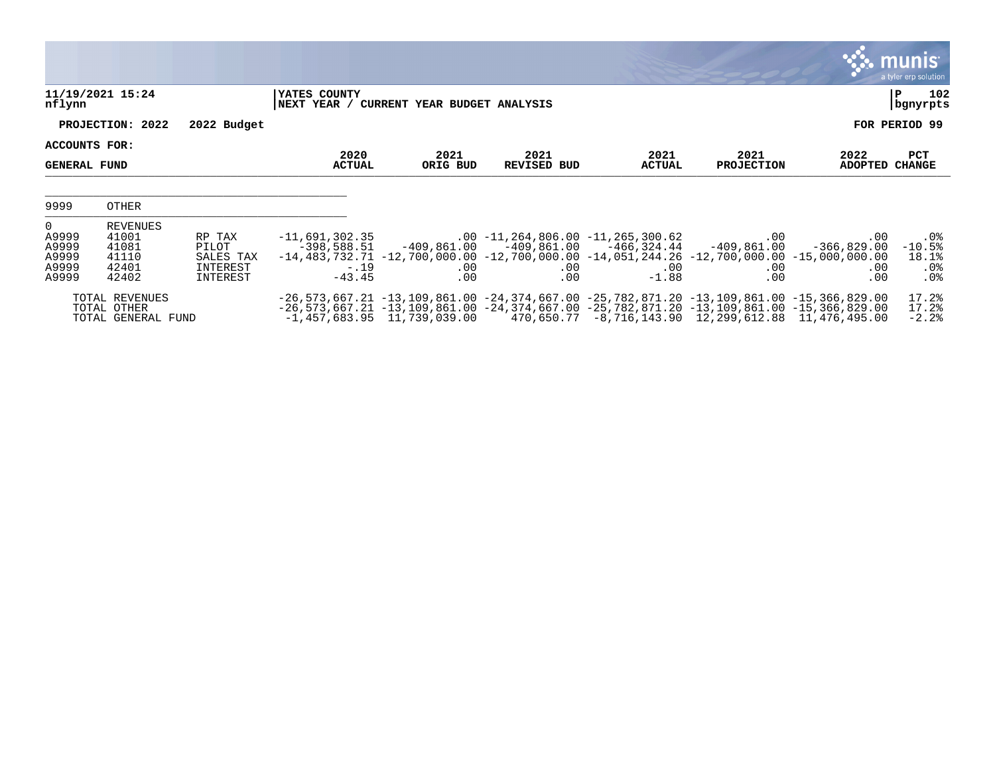|                                                          |                                                       |                                                      |                                                         |                                          |                            |                                                                                                                                                                                                                                                                                                        |                                            |                                       | <b>munis</b><br>a tyler erp solution      |
|----------------------------------------------------------|-------------------------------------------------------|------------------------------------------------------|---------------------------------------------------------|------------------------------------------|----------------------------|--------------------------------------------------------------------------------------------------------------------------------------------------------------------------------------------------------------------------------------------------------------------------------------------------------|--------------------------------------------|---------------------------------------|-------------------------------------------|
| nflynn                                                   | 11/19/2021 15:24                                      |                                                      | YATES COUNTY                                            | NEXT YEAR / CURRENT YEAR BUDGET ANALYSIS |                            |                                                                                                                                                                                                                                                                                                        |                                            |                                       | 102<br>ΙP<br>bgnyrpts                     |
|                                                          | PROJECTION: 2022                                      | 2022 Budget                                          |                                                         |                                          |                            |                                                                                                                                                                                                                                                                                                        |                                            |                                       | FOR PERIOD 99                             |
| ACCOUNTS FOR:<br><b>GENERAL FUND</b>                     |                                                       |                                                      | 2020<br><b>ACTUAL</b>                                   | 2021<br>ORIG BUD                         | 2021<br><b>REVISED BUD</b> | 2021<br><b>ACTUAL</b>                                                                                                                                                                                                                                                                                  | 2021<br><b>PROJECTION</b>                  | 2022<br><b>ADOPTED</b>                | PCT<br><b>CHANGE</b>                      |
| 9999                                                     | OTHER                                                 |                                                      |                                                         |                                          |                            |                                                                                                                                                                                                                                                                                                        |                                            |                                       |                                           |
| $\mathbf 0$<br>A9999<br>A9999<br>A9999<br>A9999<br>A9999 | REVENUES<br>41001<br>41081<br>41110<br>42401<br>42402 | RP TAX<br>PILOT<br>SALES TAX<br>INTEREST<br>INTEREST | $-11,691,302.35$<br>$-398,588.51$<br>$-.19$<br>$-43.45$ | $.00 \,$<br>.00                          | $.00 \,$<br>.00            | $.00 - 11, 264, 806.00 - 11, 265, 300.62$<br>$-409,861.00$ $-409,861.00$ $-466,324.44$<br>$-14, 483, 732.71$ $-12, 700, 000.00$ $-12, 700, 000.00$ $-14, 051, 244.26$ $-12, 700, 000.00$ $-15, 000, 000.00$<br>$.00 \,$<br>$-1.88$                                                                     | $.00 \,$<br>-409,861.00<br>$.00 \,$<br>.00 | .00<br>-366,829.00<br>$.00 \,$<br>.00 | .0%<br>$-10.5%$<br>18.1%<br>$.0\%$<br>.0% |
|                                                          | TOTAL REVENUES<br>TOTAL OTHER<br>TOTAL GENERAL FUND   |                                                      |                                                         | $-1,457,683.95$ $11,739,039.00$          |                            | $-26, 573, 667.21$ $-13, 109, 861.00$ $-24, 374, 667.00$ $-25, 782, 871.20$ $-13, 109, 861.00$ $-15, 366, 829.00$<br>$-26, 573, 667, 21$ $-13, 109, 861, 00$ $-24, 374, 667, 00$ $-25, 782, 871, 20$ $-13, 109, 861, 00$ $-15, 366, 829, 00$<br>$470,650.77 -8,716,143.90 12,299,612.88 11,476,495.00$ |                                            |                                       | 17.2%<br>17.2%<br>$-2.2%$                 |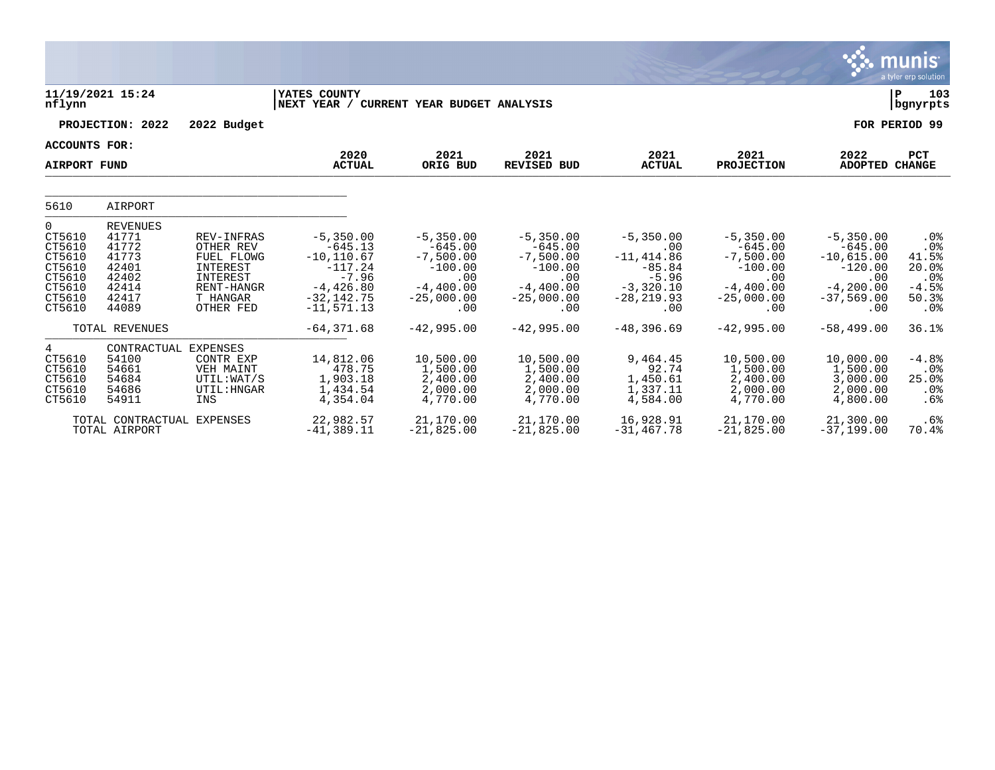|                                                                                   |                                                                                         |                                                                                                             |                                                                                                                    |                                                                                                   |                                                                                                   |                                                                                                   |                                                                                                   |                                                                                                     | munis<br>a tyler erp solution                                  |
|-----------------------------------------------------------------------------------|-----------------------------------------------------------------------------------------|-------------------------------------------------------------------------------------------------------------|--------------------------------------------------------------------------------------------------------------------|---------------------------------------------------------------------------------------------------|---------------------------------------------------------------------------------------------------|---------------------------------------------------------------------------------------------------|---------------------------------------------------------------------------------------------------|-----------------------------------------------------------------------------------------------------|----------------------------------------------------------------|
| nflynn                                                                            | 11/19/2021 15:24                                                                        |                                                                                                             | YATES COUNTY<br>NEXT YEAR / CURRENT YEAR BUDGET ANALYSIS                                                           |                                                                                                   |                                                                                                   |                                                                                                   |                                                                                                   |                                                                                                     | P<br>103<br>bgnyrpts                                           |
|                                                                                   | PROJECTION: 2022                                                                        | 2022 Budget                                                                                                 |                                                                                                                    |                                                                                                   |                                                                                                   |                                                                                                   |                                                                                                   |                                                                                                     | FOR PERIOD 99                                                  |
| ACCOUNTS FOR:                                                                     |                                                                                         |                                                                                                             |                                                                                                                    |                                                                                                   |                                                                                                   |                                                                                                   |                                                                                                   |                                                                                                     |                                                                |
| <b>AIRPORT FUND</b>                                                               |                                                                                         |                                                                                                             | 2020<br><b>ACTUAL</b>                                                                                              | 2021<br>ORIG BUD                                                                                  | 2021<br><b>REVISED BUD</b>                                                                        | 2021<br><b>ACTUAL</b>                                                                             | 2021<br>PROJECTION                                                                                | 2022<br>ADOPTED CHANGE                                                                              | PCT                                                            |
| 5610                                                                              | AIRPORT                                                                                 |                                                                                                             |                                                                                                                    |                                                                                                   |                                                                                                   |                                                                                                   |                                                                                                   |                                                                                                     |                                                                |
| 0<br>CT5610<br>CT5610<br>CT5610<br>CT5610<br>CT5610<br>CT5610<br>CT5610<br>CT5610 | <b>REVENUES</b><br>41771<br>41772<br>41773<br>42401<br>42402<br>42414<br>42417<br>44089 | <b>REV-INFRAS</b><br>OTHER REV<br>FUEL FLOWG<br>INTEREST<br>INTEREST<br>RENT-HANGR<br>T HANGAR<br>OTHER FED | $-5,350.00$<br>$-645.13$<br>$-10, 110.67$<br>$-117.24$<br>$-7.96$<br>$-4,426.80$<br>$-32, 142.75$<br>$-11, 571.13$ | $-5,350.00$<br>$-645.00$<br>$-7,500.00$<br>$-100.00$<br>.00<br>$-4,400.00$<br>$-25,000.00$<br>.00 | $-5,350.00$<br>$-645.00$<br>$-7,500.00$<br>$-100.00$<br>.00<br>$-4,400.00$<br>$-25,000.00$<br>.00 | $-5,350.00$<br>.00<br>$-11, 414.86$<br>$-85.84$<br>$-5.96$<br>$-3,320.10$<br>$-28, 219.93$<br>.00 | $-5,350.00$<br>$-645.00$<br>$-7,500.00$<br>$-100.00$<br>.00<br>$-4,400.00$<br>$-25,000.00$<br>.00 | $-5,350.00$<br>$-645.00$<br>$-10,615.00$<br>$-120.00$<br>.00<br>$-4, 200.00$<br>$-37,569.00$<br>.00 | .0%<br>.0%<br>41.5%<br>20.0%<br>.0%<br>$-4.5%$<br>50.3%<br>.0% |
|                                                                                   | TOTAL REVENUES                                                                          |                                                                                                             | $-64, 371.68$                                                                                                      | $-42,995.00$                                                                                      | $-42,995.00$                                                                                      | $-48,396.69$                                                                                      | $-42,995.00$                                                                                      | $-58, 499.00$                                                                                       | 36.1%                                                          |
| 4<br>CT5610<br>CT5610<br>CT5610<br>CT5610<br>CT5610                               | CONTRACTUAL<br>54100<br>54661<br>54684<br>54686<br>54911                                | <b>EXPENSES</b><br>CONTR EXP<br>VEH MAINT<br>UTIL: WAT/S<br>UTIL: HNGAR<br>INS                              | 14,812.06<br>478.75<br>1,903.18<br>1,434.54<br>4,354.04                                                            | 10,500.00<br>1,500.00<br>2,400.00<br>2,000.00<br>4,770.00                                         | 10,500.00<br>1,500.00<br>2,400.00<br>2,000.00<br>4,770.00                                         | 9,464.45<br>92.74<br>1,450.61<br>1,337.11<br>4,584.00                                             | 10,500.00<br>1,500.00<br>2,400.00<br>2,000.00<br>4,770.00                                         | 10,000.00<br>1,500.00<br>3,000.00<br>2,000.00<br>4,800.00                                           | $-4.8%$<br>$.0\%$<br>25.0%<br>.0%<br>.6%                       |
|                                                                                   | TOTAL CONTRACTUAL<br>TOTAL AIRPORT                                                      | <b>EXPENSES</b>                                                                                             | 22,982.57<br>$-41,389.11$                                                                                          | 21,170.00<br>$-21,825.00$                                                                         | 21,170.00<br>$-21,825.00$                                                                         | 16,928.91<br>$-31, 467.78$                                                                        | 21,170.00<br>$-21,825.00$                                                                         | 21,300.00<br>$-37, 199.00$                                                                          | .6%<br>70.4%                                                   |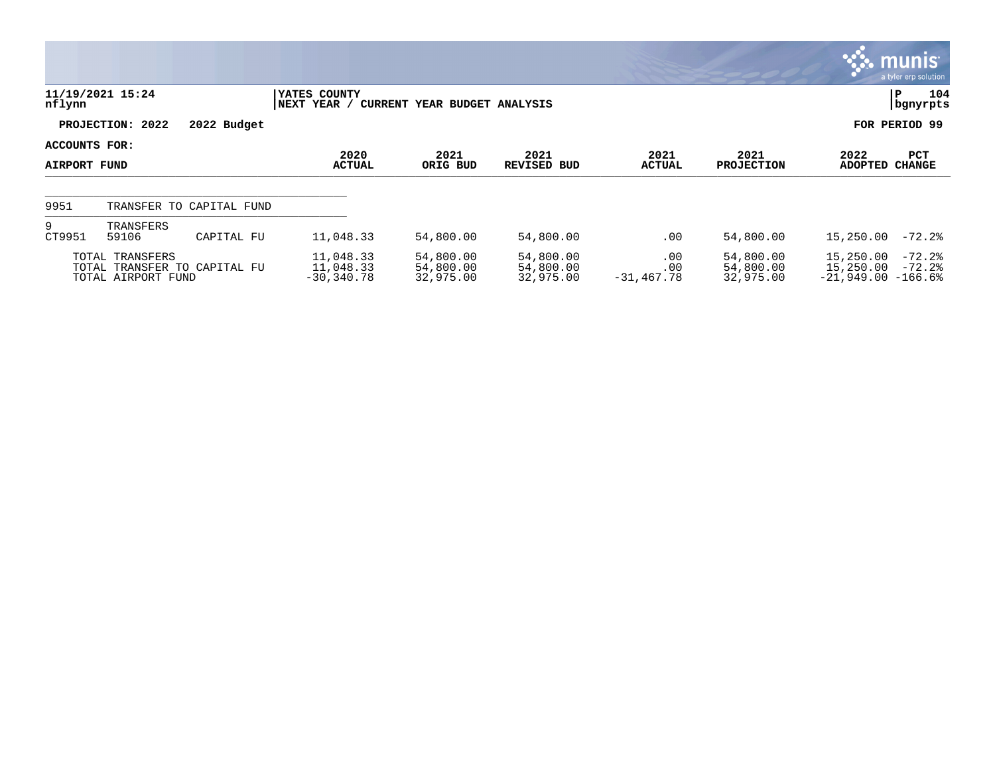|               |                                                                       |             |                                         |                                     |                                     |                            |                                     | <b>munis</b><br>a tyler erp solution                                   |     |
|---------------|-----------------------------------------------------------------------|-------------|-----------------------------------------|-------------------------------------|-------------------------------------|----------------------------|-------------------------------------|------------------------------------------------------------------------|-----|
| nflynn        | 11/19/2021 15:24                                                      |             | YATES COUNTY<br> NEXT YEAR /            | CURRENT YEAR BUDGET ANALYSIS        |                                     |                            |                                     | ΙP<br>  bgnyrpts                                                       | 104 |
|               | PROJECTION: 2022                                                      | 2022 Budget |                                         |                                     |                                     |                            |                                     | FOR PERIOD 99                                                          |     |
| ACCOUNTS FOR: |                                                                       |             | 2020                                    | 2021                                | 2021                                | 2021                       | 2021                                | 2022<br>PCT                                                            |     |
| AIRPORT FUND  |                                                                       |             | <b>ACTUAL</b>                           | ORIG BUD                            | <b>REVISED BUD</b>                  | <b>ACTUAL</b>              | <b>PROJECTION</b>                   | ADOPTED<br><b>CHANGE</b>                                               |     |
| 9951          | TRANSFER TO CAPITAL FUND                                              |             |                                         |                                     |                                     |                            |                                     |                                                                        |     |
| 9<br>CT9951   | TRANSFERS<br>59106                                                    | CAPITAL FU  | 11,048.33                               | 54,800.00                           | 54,800.00                           | .00                        | 54,800.00                           | 15,250.00<br>$-72.2$ °                                                 |     |
|               | TOTAL TRANSFERS<br>TOTAL TRANSFER TO CAPITAL FU<br>TOTAL AIRPORT FUND |             | 11,048.33<br>11,048.33<br>$-30, 340.78$ | 54,800.00<br>54,800.00<br>32,975.00 | 54,800.00<br>54,800.00<br>32,975.00 | .00<br>.00<br>$-31,467.78$ | 54,800.00<br>54,800.00<br>32,975.00 | $-72.2$<br>15,250.00<br>15,250.00<br>$-72.2$ °<br>$-21,949.00 -166.68$ |     |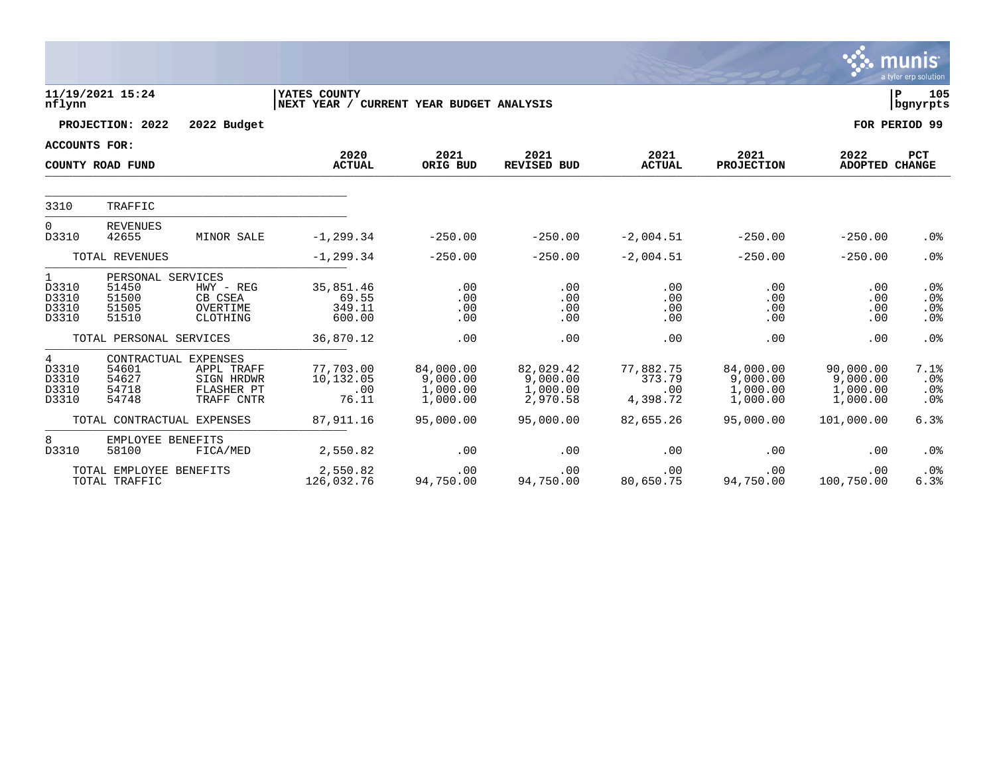|                                       |                                                       |                                                                              |                                                          |                                               |                                               |                                        |                                               |                                               | munis<br>a tyler erp solution                                |  |  |
|---------------------------------------|-------------------------------------------------------|------------------------------------------------------------------------------|----------------------------------------------------------|-----------------------------------------------|-----------------------------------------------|----------------------------------------|-----------------------------------------------|-----------------------------------------------|--------------------------------------------------------------|--|--|
| nflynn                                | 11/19/2021 15:24                                      |                                                                              | YATES COUNTY<br>NEXT YEAR / CURRENT YEAR BUDGET ANALYSIS |                                               |                                               |                                        |                                               |                                               | 105<br>P<br>bgnyrpts                                         |  |  |
|                                       | PROJECTION: 2022                                      | 2022 Budget                                                                  |                                                          |                                               |                                               |                                        |                                               |                                               | FOR PERIOD 99                                                |  |  |
| <b>ACCOUNTS FOR:</b>                  |                                                       |                                                                              |                                                          |                                               |                                               |                                        |                                               |                                               |                                                              |  |  |
|                                       | COUNTY ROAD FUND                                      |                                                                              | 2020<br><b>ACTUAL</b>                                    | 2021<br>ORIG BUD                              | 2021<br><b>REVISED BUD</b>                    | 2021<br><b>ACTUAL</b>                  | 2021<br><b>PROJECTION</b>                     | 2022<br><b>ADOPTED</b>                        | PCT<br><b>CHANGE</b>                                         |  |  |
| 3310                                  | TRAFFIC                                               |                                                                              |                                                          |                                               |                                               |                                        |                                               |                                               |                                                              |  |  |
| $\Omega$<br>D3310                     | <b>REVENUES</b><br>42655                              | MINOR SALE                                                                   | $-1, 299.34$                                             | $-250.00$                                     | $-250.00$                                     | $-2,004.51$                            | $-250.00$                                     | $-250.00$                                     | .0 <sub>8</sub>                                              |  |  |
|                                       | TOTAL REVENUES                                        |                                                                              | $-1, 299.34$                                             | $-250.00$                                     | $-250.00$                                     | $-2,004.51$                            | $-250.00$                                     | $-250.00$                                     | .0%                                                          |  |  |
| 1<br>D3310<br>D3310<br>D3310<br>D3310 | PERSONAL SERVICES<br>51450<br>51500<br>51505<br>51510 | HWY - REG<br>CB CSEA<br>OVERTIME<br>CLOTHING                                 | 35,851.46<br>69.55<br>349.11<br>600.00                   | .00<br>.00<br>.00<br>.00                      | .00<br>.00<br>.00<br>.00                      | .00<br>.00<br>.00<br>.00               | .00<br>.00<br>.00<br>.00                      | .00<br>.00<br>.00<br>.00                      | .0 <sub>8</sub><br>.0 <sub>8</sub><br>.0%<br>.0 <sub>8</sub> |  |  |
|                                       | TOTAL PERSONAL SERVICES                               |                                                                              | 36,870.12                                                | .00                                           | .00                                           | .00                                    | .00                                           | .00                                           | .0 <sup>8</sup>                                              |  |  |
| 4<br>D3310<br>D3310<br>D3310<br>D3310 | 54601<br>54627<br>54718<br>54748                      | CONTRACTUAL EXPENSES<br>APPL TRAFF<br>SIGN HRDWR<br>FLASHER PT<br>TRAFF CNTR | 77,703.00<br>10,132.05<br>.00<br>76.11                   | 84,000.00<br>9,000.00<br>1,000.00<br>1,000.00 | 82,029.42<br>9,000.00<br>1,000.00<br>2,970.58 | 77,882.75<br>373.79<br>.00<br>4,398.72 | 84,000.00<br>9,000.00<br>1,000.00<br>1,000.00 | 90,000.00<br>9,000.00<br>1,000.00<br>1,000.00 | 7.1%<br>.0%<br>.0%<br>.0%                                    |  |  |
|                                       | TOTAL CONTRACTUAL EXPENSES                            |                                                                              | 87, 911.16                                               | 95,000.00                                     | 95,000.00                                     | 82,655.26                              | 95,000.00                                     | 101,000.00                                    | 6.3%                                                         |  |  |
| 8<br>D3310                            | EMPLOYEE BENEFITS<br>58100                            | FICA/MED                                                                     | 2,550.82                                                 | .00                                           | .00                                           | .00                                    | .00                                           | .00                                           | .0%                                                          |  |  |
|                                       | TOTAL EMPLOYEE BENEFITS<br>TOTAL TRAFFIC              |                                                                              | 2,550.82<br>126,032.76                                   | .00<br>94,750.00                              | .00<br>94,750.00                              | .00<br>80,650.75                       | .00<br>94,750.00                              | .00<br>100,750.00                             | .0%<br>6.3%                                                  |  |  |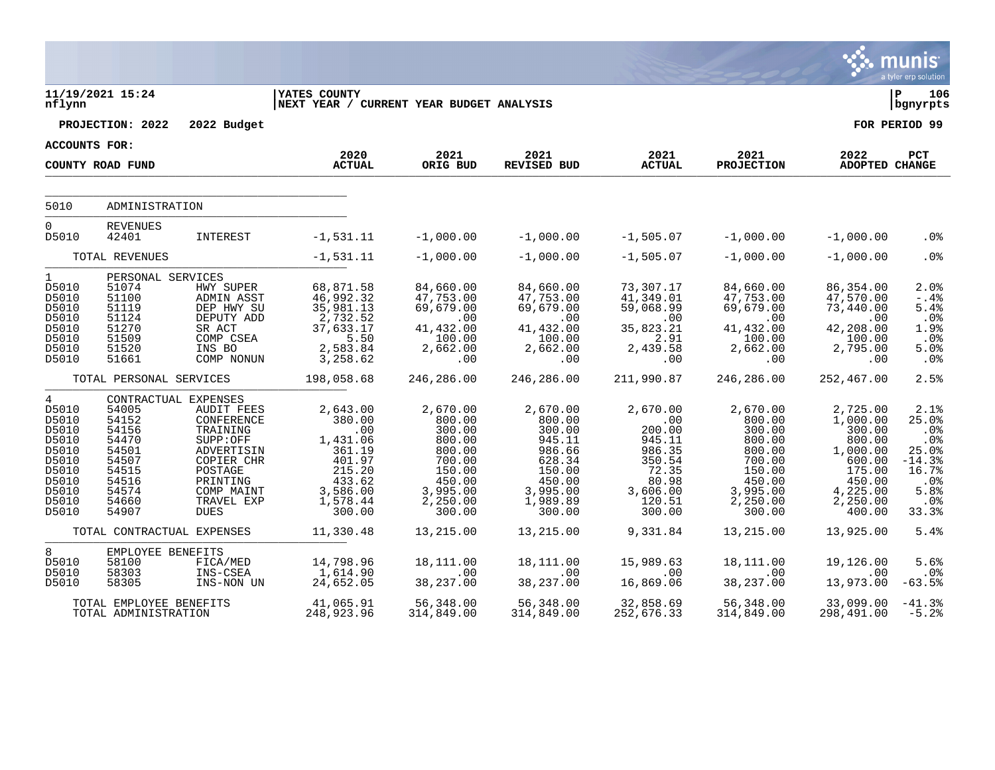|                                                                                                                   |                                                                                                 |                                                                                                                                                                        |                                                                                                                              |                                                                                                                  |                                                                                                                  |                                                                                                           |                                                                                                                  |                                                                                                                      | munis<br>a tyler erp solution                                                                  |
|-------------------------------------------------------------------------------------------------------------------|-------------------------------------------------------------------------------------------------|------------------------------------------------------------------------------------------------------------------------------------------------------------------------|------------------------------------------------------------------------------------------------------------------------------|------------------------------------------------------------------------------------------------------------------|------------------------------------------------------------------------------------------------------------------|-----------------------------------------------------------------------------------------------------------|------------------------------------------------------------------------------------------------------------------|----------------------------------------------------------------------------------------------------------------------|------------------------------------------------------------------------------------------------|
| nflynn                                                                                                            | 11/19/2021 15:24                                                                                |                                                                                                                                                                        | <b>YATES COUNTY</b><br>NEXT YEAR / CURRENT YEAR BUDGET ANALYSIS                                                              |                                                                                                                  |                                                                                                                  |                                                                                                           |                                                                                                                  |                                                                                                                      | l P<br>106<br>bgnyrpts                                                                         |
|                                                                                                                   | PROJECTION: 2022                                                                                | 2022 Budget                                                                                                                                                            |                                                                                                                              |                                                                                                                  |                                                                                                                  |                                                                                                           |                                                                                                                  |                                                                                                                      | FOR PERIOD 99                                                                                  |
| <b>ACCOUNTS FOR:</b>                                                                                              |                                                                                                 |                                                                                                                                                                        | 2020                                                                                                                         | 2021                                                                                                             | 2021                                                                                                             | 2021                                                                                                      | 2021                                                                                                             | 2022                                                                                                                 | PCT                                                                                            |
|                                                                                                                   | COUNTY ROAD FUND                                                                                |                                                                                                                                                                        | <b>ACTUAL</b>                                                                                                                | ORIG BUD                                                                                                         | <b>REVISED BUD</b>                                                                                               | <b>ACTUAL</b>                                                                                             | <b>PROJECTION</b>                                                                                                | ADOPTED CHANGE                                                                                                       |                                                                                                |
|                                                                                                                   |                                                                                                 |                                                                                                                                                                        |                                                                                                                              |                                                                                                                  |                                                                                                                  |                                                                                                           |                                                                                                                  |                                                                                                                      |                                                                                                |
| 5010                                                                                                              | ADMINISTRATION                                                                                  |                                                                                                                                                                        |                                                                                                                              |                                                                                                                  |                                                                                                                  |                                                                                                           |                                                                                                                  |                                                                                                                      |                                                                                                |
| $\mathbf 0$<br>D5010                                                                                              | <b>REVENUES</b><br>42401                                                                        | INTEREST                                                                                                                                                               | $-1,531.11$                                                                                                                  | $-1,000.00$                                                                                                      | $-1,000.00$                                                                                                      | $-1,505.07$                                                                                               | $-1,000.00$                                                                                                      | $-1,000.00$                                                                                                          | .0%                                                                                            |
|                                                                                                                   | TOTAL REVENUES                                                                                  |                                                                                                                                                                        | $-1,531.11$                                                                                                                  | $-1,000.00$                                                                                                      | $-1,000.00$                                                                                                      | $-1,505.07$                                                                                               | $-1,000.00$                                                                                                      | $-1,000.00$                                                                                                          | .0%                                                                                            |
| $\mathbf{1}$<br>D5010<br>D5010<br>D5010<br>D5010<br>D5010<br>D5010<br>D5010<br>D5010                              | PERSONAL SERVICES<br>51074<br>51100<br>51119<br>51124<br>51270<br>51509<br>51520<br>51661       | HWY SUPER<br>ADMIN ASST<br>DEP HWY SU<br>DEPUTY ADD<br>SR ACT<br>COMP CSEA<br>INS BO<br>COMP NONUN                                                                     | 68,871.58<br>46,992.32<br>35,981.13<br>2,732.52<br>37,633.17<br>5.50<br>2,583.84<br>3,258.62                                 | 84,660.00<br>47,753.00<br>69,679.00<br>.00<br>41,432.00<br>100.00<br>2,662.00<br>.00                             | 84,660.00<br>47,753.00<br>69,679.00<br>.00<br>41,432.00<br>100.00<br>2,662.00<br>.00                             | 73,307.17<br>41,349.01<br>59,068.99<br>.00<br>35,823.21<br>2.91<br>2,439.58<br>.00                        | 84,660.00<br>47,753.00<br>69,679.00<br>.00<br>41,432.00<br>100.00<br>2,662.00<br>$.00 \ \rm$                     | 86,354.00<br>47,570.00<br>73,440.00<br>.00<br>42,208.00<br>100.00<br>2,795.00<br>.00                                 | $2.0$ %<br>$-0.4\%$<br>5.4%<br>$.0\%$<br>1.9%<br>$.0\,$<br>5.0%<br>.0%                         |
|                                                                                                                   | TOTAL PERSONAL SERVICES                                                                         |                                                                                                                                                                        | 198,058.68                                                                                                                   | 246,286.00                                                                                                       | 246,286.00                                                                                                       | 211,990.87                                                                                                | 246,286.00                                                                                                       | 252,467.00                                                                                                           | 2.5%                                                                                           |
| $\overline{4}$<br>D5010<br>D5010<br>D5010<br>D5010<br>D5010<br>D5010<br>D5010<br>D5010<br>D5010<br>D5010<br>D5010 | 54005<br>54152<br>54156<br>54470<br>54501<br>54507<br>54515<br>54516<br>54574<br>54660<br>54907 | CONTRACTUAL EXPENSES<br>AUDIT FEES<br>CONFERENCE<br>TRAINING<br>SUPP:OFF<br>ADVERTISIN<br>COPIER CHR<br>POSTAGE<br>PRINTING<br>COMP MAINT<br>TRAVEL EXP<br><b>DUES</b> | 2,643.00<br>380.00<br>$\overline{100}$<br>1,431.06<br>361.19<br>401.97<br>215.20<br>433.62<br>3,586.00<br>1,578.44<br>300.00 | 2,670.00<br>800.00<br>300.00<br>800.00<br>800.00<br>700.00<br>150.00<br>450.00<br>3,995.00<br>2,250.00<br>300.00 | 2,670.00<br>800.00<br>300.00<br>945.11<br>986.66<br>628.34<br>150.00<br>450.00<br>3,995.00<br>1,989.89<br>300.00 | 2,670.00<br>.00<br>200.00<br>945.11<br>986.35<br>350.54<br>72.35<br>80.98<br>3,606.00<br>120.51<br>300.00 | 2,670.00<br>800.00<br>300.00<br>800.00<br>800.00<br>700.00<br>150.00<br>450.00<br>3,995.00<br>2,250.00<br>300.00 | 2,725.00<br>1,000.00<br>300.00<br>800.00<br>1,000.00<br>600.00<br>175.00<br>450.00<br>4,225.00<br>2,250.00<br>400.00 | 2.1%<br>25.0%<br>.0%<br>.0%<br>25.0%<br>$-14.3%$<br>16.7%<br>$.0\%$<br>5.8%<br>$.0\%$<br>33.3% |
|                                                                                                                   | TOTAL CONTRACTUAL EXPENSES                                                                      |                                                                                                                                                                        | 11,330.48                                                                                                                    | 13,215.00                                                                                                        | 13,215.00                                                                                                        | 9,331.84                                                                                                  | 13,215.00                                                                                                        | 13,925.00                                                                                                            | 5.4%                                                                                           |
| 8<br>D5010<br>D5010<br>D5010                                                                                      | EMPLOYEE BENEFITS<br>58100<br>58303<br>58305                                                    | FICA/MED<br>INS-CSEA<br>INS-NON UN                                                                                                                                     | 14,798.96<br>1,614.90<br>24,652.05                                                                                           | 18,111.00<br>.00<br>38,237.00                                                                                    | 18,111.00<br>.00<br>38, 237.00                                                                                   | 15,989.63<br>.00<br>16,869.06                                                                             | 18,111.00<br>.00<br>38,237.00                                                                                    | 19,126.00<br>.00<br>13,973.00                                                                                        | 5.6%<br>$.0\%$<br>$-63.5%$                                                                     |
|                                                                                                                   | TOTAL EMPLOYEE BENEFITS<br>TOTAL ADMINISTRATION                                                 |                                                                                                                                                                        | 41,065.91<br>248,923.96                                                                                                      | 56,348.00<br>314,849.00                                                                                          | 56,348.00<br>314,849.00                                                                                          | 32,858.69<br>252,676.33                                                                                   | 56,348.00<br>314,849.00                                                                                          | 33,099.00<br>298,491.00                                                                                              | $-41.3%$<br>$-5.2%$                                                                            |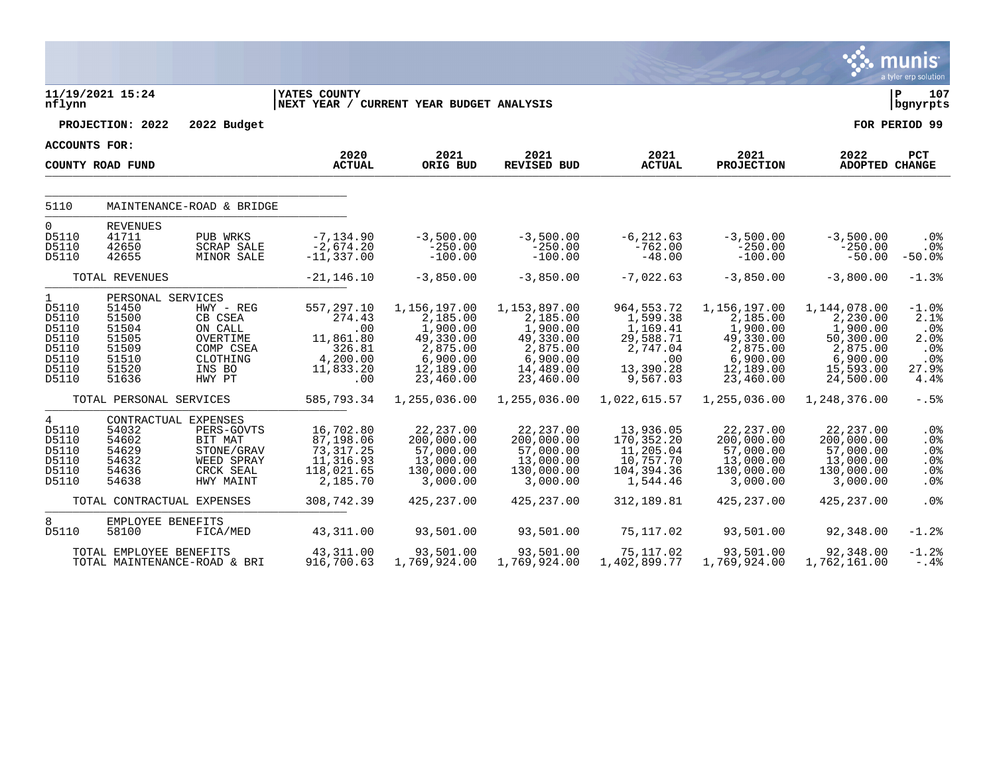|                                                                                      |                                                                                           |                                                                                                     |                                                                                    |                                                                                                     |                                                                                                     |                                                                                                |                                                                                                     |                                                                                                     | <b>munis</b><br>a tyler erp solution                                 |
|--------------------------------------------------------------------------------------|-------------------------------------------------------------------------------------------|-----------------------------------------------------------------------------------------------------|------------------------------------------------------------------------------------|-----------------------------------------------------------------------------------------------------|-----------------------------------------------------------------------------------------------------|------------------------------------------------------------------------------------------------|-----------------------------------------------------------------------------------------------------|-----------------------------------------------------------------------------------------------------|----------------------------------------------------------------------|
| nflynn                                                                               | 11/19/2021 15:24                                                                          |                                                                                                     | YATES COUNTY<br>NEXT YEAR / CURRENT YEAR BUDGET ANALYSIS                           |                                                                                                     |                                                                                                     |                                                                                                |                                                                                                     |                                                                                                     | P<br>107<br>bgnyrpts                                                 |
|                                                                                      | PROJECTION: 2022                                                                          | 2022 Budget                                                                                         |                                                                                    |                                                                                                     |                                                                                                     |                                                                                                |                                                                                                     |                                                                                                     | FOR PERIOD 99                                                        |
| ACCOUNTS FOR:                                                                        |                                                                                           |                                                                                                     |                                                                                    |                                                                                                     |                                                                                                     |                                                                                                |                                                                                                     |                                                                                                     |                                                                      |
|                                                                                      | COUNTY ROAD FUND                                                                          |                                                                                                     | 2020<br><b>ACTUAL</b>                                                              | 2021<br>ORIG BUD                                                                                    | 2021<br>REVISED BUD                                                                                 | 2021<br><b>ACTUAL</b>                                                                          | 2021<br><b>PROJECTION</b>                                                                           | 2022<br>ADOPTED CHANGE                                                                              | PCT                                                                  |
| 5110                                                                                 |                                                                                           | MAINTENANCE-ROAD & BRIDGE                                                                           |                                                                                    |                                                                                                     |                                                                                                     |                                                                                                |                                                                                                     |                                                                                                     |                                                                      |
| $\overline{0}$<br>D5110<br>D5110<br>D5110                                            | <b>REVENUES</b><br>41711<br>42650<br>42655                                                | PUB WRKS<br><b>SCRAP SALE</b><br><b>MINOR SALE</b>                                                  | $-7, 134.90$<br>$-2,674.20$<br>$-11, 337.00$                                       | $-3,500.00$<br>$-250.00$<br>$-100.00$                                                               | $-3,500.00$<br>$-250.00$<br>$-100.00$                                                               | $-6, 212.63$<br>$-762.00$<br>$-48.00$                                                          | $-3,500.00$<br>$-250.00$<br>$-100.00$                                                               | $-3,500.00$<br>$-250.00$<br>$-50.00$                                                                | .0%<br>.0 <sub>8</sub><br>$-50.0%$                                   |
|                                                                                      | TOTAL REVENUES                                                                            |                                                                                                     | $-21, 146.10$                                                                      | $-3,850.00$                                                                                         | $-3,850.00$                                                                                         | $-7,022.63$                                                                                    | $-3,850.00$                                                                                         | $-3,800.00$                                                                                         | $-1.3%$                                                              |
| $\mathbf{1}$<br>D5110<br>D5110<br>D5110<br>D5110<br>D5110<br>D5110<br>D5110<br>D5110 | PERSONAL SERVICES<br>51450<br>51500<br>51504<br>51505<br>51509<br>51510<br>51520<br>51636 | $HWY - REG$<br>CB CSEA<br>ON CALL<br>OVERTIME<br>COMP CSEA<br>CLOTHING<br>INS BO<br>HWY PT          | 557,297.10<br>274.43<br>.00<br>11,861.80<br>326.81<br>4,200.00<br>11,833.20<br>.00 | 1,156,197.00<br>2,185.00<br>1,900.00<br>49,330.00<br>2,875.00<br>6,900.00<br>12,189.00<br>23,460.00 | 1,153,897.00<br>2,185.00<br>1,900.00<br>49,330.00<br>2,875.00<br>6,900.00<br>14,489.00<br>23,460.00 | 964, 553. 72<br>1,599.38<br>1,169.41<br>29,588.71<br>2,747.04<br>.00.<br>13,390.28<br>9,567.03 | 1,156,197.00<br>2,185.00<br>1,900.00<br>49,330.00<br>2,875.00<br>6,900.00<br>12,189.00<br>23,460.00 | 1,144,078.00<br>2,230.00<br>1,900.00<br>50,300.00<br>2,875.00<br>6,900.00<br>15,593.00<br>24,500.00 | $-1.0$ %<br>2.1%<br>$.0\%$<br>2.0%<br>$.0\%$<br>.0%<br>27.9%<br>4.4% |
|                                                                                      | TOTAL PERSONAL SERVICES                                                                   |                                                                                                     | 585,793.34                                                                         | 1,255,036.00                                                                                        | 1,255,036.00                                                                                        | 1,022,615.57                                                                                   | 1,255,036.00                                                                                        | 1,248,376.00                                                                                        | $-.5%$                                                               |
| 4<br>D5110<br>D5110<br>D5110<br>D5110<br>D5110<br>D5110                              | 54032<br>54602<br>54629<br>54632<br>54636<br>54638                                        | CONTRACTUAL EXPENSES<br>PERS-GOVTS<br>BIT MAT<br>STONE/GRAV<br>WEED SPRAY<br>CRCK SEAL<br>HWY MAINT | 16,702.80<br>87,198.06<br>73, 317.25<br>11,316.93<br>118,021.65<br>2,185.70        | 22, 237.00<br>200,000.00<br>57,000.00<br>13,000.00<br>130,000.00<br>3,000.00                        | 22, 237.00<br>200,000.00<br>57,000.00<br>13,000.00<br>130,000.00<br>3,000.00                        | 13,936.05<br>170,352.20<br>11,205.04<br>10,757.70<br>104,394.36<br>1,544.46                    | 22, 237.00<br>200,000.00<br>57,000.00<br>13,000.00<br>130,000.00<br>3,000.00                        | 22, 237.00<br>200,000.00<br>57,000.00<br>13,000.00<br>130,000.00<br>3,000.00                        | .0%<br>.0%<br>.0%<br>.0%<br>.0%<br>$.0\%$                            |
|                                                                                      |                                                                                           | TOTAL CONTRACTUAL EXPENSES                                                                          | 308,742.39                                                                         | 425, 237.00                                                                                         | 425, 237.00                                                                                         | 312, 189.81                                                                                    | 425, 237.00                                                                                         | 425, 237.00                                                                                         | .0%                                                                  |
| 8<br>D5110                                                                           | EMPLOYEE BENEFITS<br>58100                                                                | FICA/MED                                                                                            | 43, 311.00                                                                         | 93,501.00                                                                                           | 93,501.00                                                                                           | 75,117.02                                                                                      | 93,501.00                                                                                           | 92,348.00                                                                                           | $-1.2$ %                                                             |
|                                                                                      | TOTAL EMPLOYEE BENEFITS                                                                   | TOTAL MAINTENANCE-ROAD & BRI                                                                        | 43,311.00<br>916,700.63                                                            | 93,501.00<br>1,769,924.00                                                                           | 93,501.00<br>1,769,924.00                                                                           | 75,117.02<br>1,402,899.77                                                                      | 93,501.00<br>1,769,924.00                                                                           | 92,348.00<br>1,762,161.00                                                                           | $-1.2$ .<br>$-.4%$                                                   |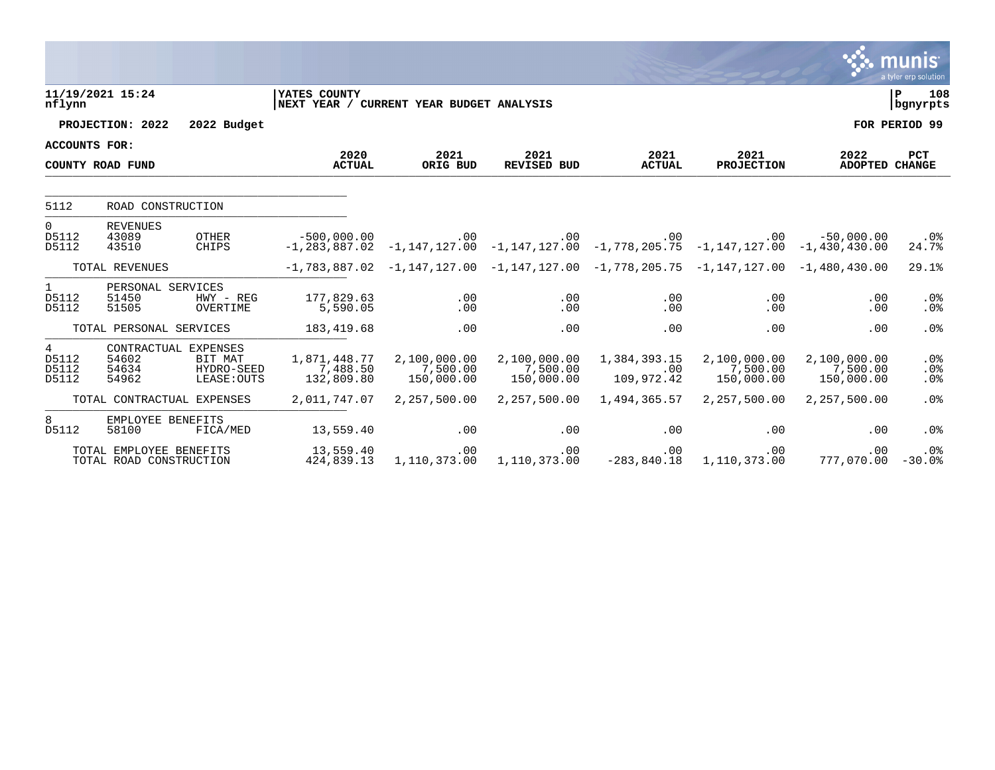|                                  |                                                    |                                                              |                                                          |                                        |                                                                                                                    |                                   |                                        |                                        | munıs<br>a tyler erp solution |
|----------------------------------|----------------------------------------------------|--------------------------------------------------------------|----------------------------------------------------------|----------------------------------------|--------------------------------------------------------------------------------------------------------------------|-----------------------------------|----------------------------------------|----------------------------------------|-------------------------------|
| nflynn                           | 11/19/2021 15:24                                   |                                                              | YATES COUNTY<br>NEXT YEAR / CURRENT YEAR BUDGET ANALYSIS |                                        |                                                                                                                    |                                   |                                        |                                        | lР<br>108<br>bgnyrpts         |
|                                  | PROJECTION: 2022                                   | 2022 Budget                                                  |                                                          |                                        |                                                                                                                    |                                   |                                        |                                        | FOR PERIOD 99                 |
| ACCOUNTS FOR:                    |                                                    |                                                              |                                                          |                                        |                                                                                                                    |                                   |                                        |                                        |                               |
|                                  | COUNTY ROAD FUND                                   |                                                              | 2020<br><b>ACTUAL</b>                                    | 2021<br>ORIG BUD                       | 2021<br><b>REVISED BUD</b>                                                                                         | 2021<br><b>ACTUAL</b>             | 2021<br><b>PROJECTION</b>              | 2022<br>ADOPTED CHANGE                 | <b>PCT</b>                    |
|                                  |                                                    |                                                              |                                                          |                                        |                                                                                                                    |                                   |                                        |                                        |                               |
| 5112                             | ROAD CONSTRUCTION                                  |                                                              |                                                          |                                        |                                                                                                                    |                                   |                                        |                                        |                               |
| $\overline{0}$<br>D5112<br>D5112 | <b>REVENUES</b><br>43089<br>43510                  | <b>OTHER</b><br>CHIPS                                        | $-500.000.00$                                            | $.00 \,$                               | .00<br>$-1, 283, 887.02$ $-1, 147, 127.00$ $-1, 147, 127.00$ $-1, 778, 205.75$ $-1, 147, 127.00$ $-1, 430, 430.00$ | $.00 \,$                          | .00                                    | $-50,000,00$                           | .0%<br>24.7%                  |
|                                  | TOTAL REVENUES                                     |                                                              |                                                          |                                        | $-1, 783, 887.02$ $-1, 147, 127.00$ $-1, 147, 127.00$ $-1, 778, 205.75$ $-1, 147, 127.00$ $-1, 480, 430.00$        |                                   |                                        |                                        | 29.1%                         |
| $\mathbf{1}$<br>D5112<br>D5112   | PERSONAL SERVICES<br>51450<br>51505                | $HWY - REG$<br>OVERTIME                                      | 177,829.63<br>5,590.05                                   | .00<br>.00                             | .00<br>.00                                                                                                         | .00<br>.00                        | .00<br>.00                             | .00<br>.00                             | .0%<br>.0%                    |
|                                  | TOTAL PERSONAL SERVICES                            |                                                              | 183,419.68                                               | .00                                    | .00                                                                                                                | .00                               | .00                                    | .00                                    | .0%                           |
| 4<br>D5112<br>D5112<br>D5112     | 54602<br>54634<br>54962                            | CONTRACTUAL EXPENSES<br>BIT MAT<br>HYDRO-SEED<br>LEASE: OUTS | 1,871,448.77<br>7,488.50<br>132,809.80                   | 2,100,000.00<br>7,500.00<br>150,000.00 | 2,100,000.00<br>7,500.00<br>150,000.00                                                                             | 1,384,393.15<br>.00<br>109,972.42 | 2,100,000.00<br>7,500.00<br>150,000.00 | 2,100,000.00<br>7,500.00<br>150,000.00 | .0%<br>.0%<br>.0%             |
|                                  | TOTAL CONTRACTUAL EXPENSES                         |                                                              | 2,011,747.07                                             | 2,257,500.00                           | 2,257,500.00                                                                                                       | 1,494,365.57                      | 2,257,500.00                           | 2,257,500.00                           | .0%                           |
| 8<br>D5112                       | EMPLOYEE BENEFITS<br>58100                         | FICA/MED                                                     | 13,559.40                                                | .00                                    | .00                                                                                                                | .00                               | .00                                    | .00                                    | .0 <sub>8</sub>               |
|                                  | TOTAL EMPLOYEE BENEFITS<br>TOTAL ROAD CONSTRUCTION |                                                              | 13,559.40<br>424,839.13                                  | .00<br>1,110,373.00                    | .00<br>1,110,373.00                                                                                                | .00<br>$-283, 840.18$             | .00<br>1,110,373.00                    | .00<br>777,070.00                      | $.0\%$<br>$-30.0%$            |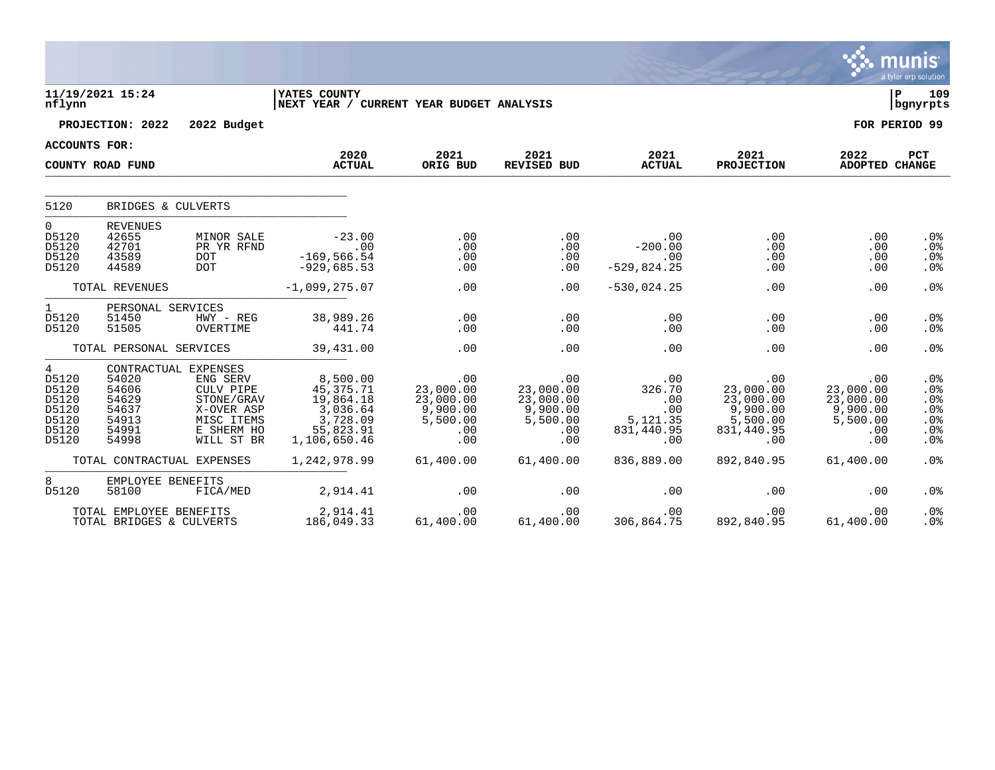|                                                                               |                                                                                     |                                                                                             |                                                                                         |                                                                     |                                                                     |                                                              |                                                                            |                                                                     | <b>munis</b><br>a tyler erp solution             |
|-------------------------------------------------------------------------------|-------------------------------------------------------------------------------------|---------------------------------------------------------------------------------------------|-----------------------------------------------------------------------------------------|---------------------------------------------------------------------|---------------------------------------------------------------------|--------------------------------------------------------------|----------------------------------------------------------------------------|---------------------------------------------------------------------|--------------------------------------------------|
| nflynn                                                                        | 11/19/2021 15:24                                                                    |                                                                                             | YATES COUNTY<br>NEXT YEAR / CURRENT YEAR BUDGET ANALYSIS                                |                                                                     |                                                                     |                                                              |                                                                            |                                                                     | 109<br>l P<br>  bgnyrpts                         |
|                                                                               | PROJECTION: 2022                                                                    | 2022 Budget                                                                                 |                                                                                         |                                                                     |                                                                     |                                                              |                                                                            |                                                                     | FOR PERIOD 99                                    |
| <b>ACCOUNTS FOR:</b>                                                          |                                                                                     |                                                                                             |                                                                                         |                                                                     |                                                                     |                                                              |                                                                            |                                                                     |                                                  |
|                                                                               | COUNTY ROAD FUND                                                                    |                                                                                             | 2020<br><b>ACTUAL</b>                                                                   | 2021<br>ORIG BUD                                                    | 2021<br>REVISED BUD                                                 | 2021<br><b>ACTUAL</b>                                        | 2021<br><b>PROJECTION</b>                                                  | 2022<br><b>ADOPTED CHANGE</b>                                       | PCT                                              |
| 5120                                                                          | BRIDGES & CULVERTS                                                                  |                                                                                             |                                                                                         |                                                                     |                                                                     |                                                              |                                                                            |                                                                     |                                                  |
| $\mathbf 0$<br>D5120<br>D5120<br>D5120<br>D5120                               | <b>REVENUES</b><br>42655<br>42701<br>43589<br>44589                                 | MINOR SALE<br>PR YR RFND<br><b>DOT</b><br><b>DOT</b>                                        | $-23.00$<br>.00<br>$-169, 566.54$<br>$-929,685.53$                                      | .00<br>.00<br>.00<br>.00                                            | .00<br>.00<br>.00<br>.00                                            | .00<br>$-200.00$<br>.00<br>$-529,824.25$                     | .00<br>.00<br>.00<br>.00                                                   | .00<br>.00<br>.00<br>.00                                            | .0 <sub>8</sub><br>.0 <sub>8</sub><br>.0%<br>.0% |
|                                                                               | TOTAL REVENUES                                                                      |                                                                                             | $-1,099,275.07$                                                                         | .00                                                                 | .00                                                                 | $-530,024.25$                                                | .00                                                                        | .00                                                                 | .0%                                              |
| $\mathbf{1}$<br>D5120<br>D5120                                                | PERSONAL SERVICES<br>51450<br>51505                                                 | HWY - REG<br>OVERTIME                                                                       | 38,989.26<br>441.74                                                                     | .00<br>.00                                                          | .00<br>.00                                                          | .00<br>.00                                                   | .00<br>.00                                                                 | .00<br>.00                                                          | .0%<br>.0%                                       |
|                                                                               | TOTAL PERSONAL SERVICES                                                             |                                                                                             | 39,431.00                                                                               | .00                                                                 | .00                                                                 | .00                                                          | .00                                                                        | .00                                                                 | .0%                                              |
| $\overline{4}$<br>D5120<br>D5120<br>D5120<br>D5120<br>D5120<br>D5120<br>D5120 | CONTRACTUAL EXPENSES<br>54020<br>54606<br>54629<br>54637<br>54913<br>54991<br>54998 | ENG SERV<br>CULV PIPE<br>STONE/GRAV<br>X-OVER ASP<br>MISC ITEMS<br>E SHERM HO<br>WILL ST BR | 8,500.00<br>45,375.71<br>19,864.18<br>3,036.64<br>3,728.09<br>55,823.91<br>1,106,650.46 | .00<br>23,000.00<br>23,000.00<br>9,900.00<br>5,500.00<br>.00<br>.00 | .00<br>23,000.00<br>23,000.00<br>9,900.00<br>5,500.00<br>.00<br>.00 | .00<br>326.70<br>.00<br>.00<br>5,121.35<br>831,440.95<br>.00 | .00<br>23,000.00<br>23,000.00<br>9,900.00<br>5,500.00<br>831,440.95<br>.00 | .00<br>23,000.00<br>23,000.00<br>9,900.00<br>5,500.00<br>.00<br>.00 | .0%<br>.0%<br>.0%<br>.0%<br>.0%<br>.0%<br>.0%    |
|                                                                               | TOTAL CONTRACTUAL EXPENSES                                                          |                                                                                             | 1,242,978.99                                                                            | 61,400.00                                                           | 61,400.00                                                           | 836,889.00                                                   | 892,840.95                                                                 | 61,400.00                                                           | .0%                                              |
| 8<br>D5120                                                                    | EMPLOYEE BENEFITS<br>58100                                                          | FICA/MED                                                                                    | 2,914.41                                                                                | .00                                                                 | .00                                                                 | .00                                                          | .00                                                                        | .00                                                                 | .0 <sub>8</sub>                                  |
|                                                                               | TOTAL EMPLOYEE BENEFITS<br>TOTAL BRIDGES & CULVERTS                                 |                                                                                             | 2,914.41<br>186,049.33                                                                  | .00<br>61,400.00                                                    | .00<br>61,400.00                                                    | .00<br>306,864.75                                            | .00<br>892,840.95                                                          | .00<br>61,400.00                                                    | .0%<br>.0%                                       |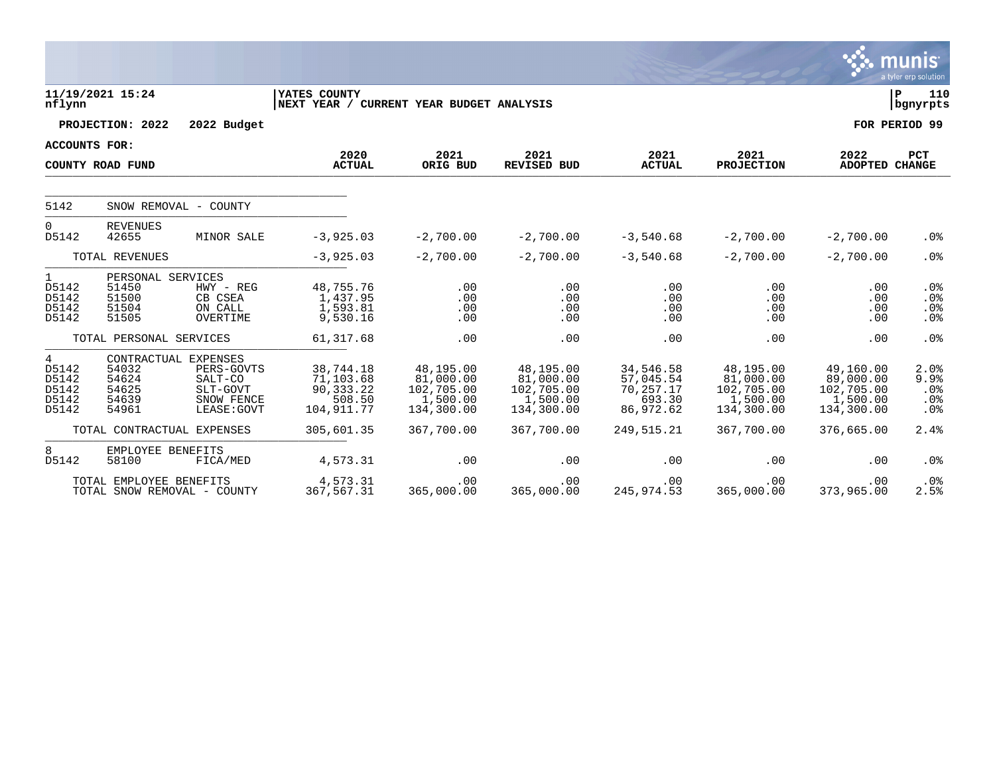|                                                  |                                                       |                                                                                        |                                                                 |                                                                |                                                                |                                                            |                                                                |                                                                | <b>munis</b><br>a tyler erp solution    |
|--------------------------------------------------|-------------------------------------------------------|----------------------------------------------------------------------------------------|-----------------------------------------------------------------|----------------------------------------------------------------|----------------------------------------------------------------|------------------------------------------------------------|----------------------------------------------------------------|----------------------------------------------------------------|-----------------------------------------|
| nflynn                                           | 11/19/2021 15:24                                      |                                                                                        | <b>YATES COUNTY</b><br>NEXT YEAR / CURRENT YEAR BUDGET ANALYSIS |                                                                |                                                                |                                                            |                                                                |                                                                | l P<br>110<br>  bgnyrpts                |
|                                                  | PROJECTION: 2022                                      | 2022 Budget                                                                            |                                                                 |                                                                |                                                                |                                                            |                                                                |                                                                | FOR PERIOD 99                           |
| <b>ACCOUNTS FOR:</b>                             |                                                       |                                                                                        |                                                                 |                                                                |                                                                |                                                            |                                                                |                                                                |                                         |
|                                                  | COUNTY ROAD FUND                                      |                                                                                        | 2020<br><b>ACTUAL</b>                                           | 2021<br>ORIG BUD                                               | 2021<br><b>REVISED BUD</b>                                     | 2021<br><b>ACTUAL</b>                                      | 2021<br><b>PROJECTION</b>                                      | 2022<br>ADOPTED CHANGE                                         | <b>PCT</b>                              |
| 5142                                             |                                                       | SNOW REMOVAL - COUNTY                                                                  |                                                                 |                                                                |                                                                |                                                            |                                                                |                                                                |                                         |
|                                                  |                                                       |                                                                                        |                                                                 |                                                                |                                                                |                                                            |                                                                |                                                                |                                         |
| 0<br>D5142                                       | <b>REVENUES</b><br>42655                              | MINOR SALE                                                                             | $-3,925.03$                                                     | $-2,700.00$                                                    | $-2,700.00$                                                    | $-3,540.68$                                                | $-2,700.00$                                                    | $-2,700.00$                                                    | .0%                                     |
|                                                  | TOTAL REVENUES                                        |                                                                                        | $-3,925.03$                                                     | $-2,700.00$                                                    | $-2,700.00$                                                    | $-3,540.68$                                                | $-2,700.00$                                                    | $-2,700.00$                                                    | .0%                                     |
| $\mathbf{1}$<br>D5142<br>D5142<br>D5142<br>D5142 | PERSONAL SERVICES<br>51450<br>51500<br>51504<br>51505 | $HWY - REG$<br>CB CSEA<br>ON CALL<br>OVERTIME                                          | 48,755.76<br>1,437.95<br>1,593.81<br>9,530.16                   | .00<br>.00<br>.00<br>.00                                       | .00<br>.00<br>.00<br>.00                                       | .00<br>.00<br>.00<br>.00                                   | .00<br>.00<br>.00<br>.00                                       | .00<br>.00<br>.00<br>.00                                       | $.0\%$<br>.0%<br>.0%<br>.0 <sub>8</sub> |
|                                                  | TOTAL PERSONAL SERVICES                               |                                                                                        | 61, 317.68                                                      | .00                                                            | .00                                                            | .00                                                        | .00                                                            | .00                                                            | .0%                                     |
| 4<br>D5142<br>D5142<br>D5142<br>D5142<br>D5142   | 54032<br>54624<br>54625<br>54639<br>54961             | CONTRACTUAL EXPENSES<br>PERS-GOVTS<br>SALT-CO<br>SLT-GOVT<br>SNOW FENCE<br>LEASE: GOVT | 38,744.18<br>71,103.68<br>90,333.22<br>508.50<br>104, 911.77    | 48,195.00<br>81,000.00<br>102,705.00<br>1,500.00<br>134,300.00 | 48,195.00<br>81,000.00<br>102,705.00<br>1,500.00<br>134,300.00 | 34,546.58<br>57,045.54<br>70,257.17<br>693.30<br>86,972.62 | 48,195.00<br>81,000.00<br>102,705.00<br>1,500.00<br>134,300.00 | 49,160.00<br>89,000.00<br>102,705.00<br>1,500.00<br>134,300.00 | 2.0%<br>9.9%<br>.0%<br>$.0\%$<br>.0%    |
|                                                  | TOTAL CONTRACTUAL EXPENSES                            |                                                                                        | 305,601.35                                                      | 367,700.00                                                     | 367,700.00                                                     | 249,515.21                                                 | 367,700.00                                                     | 376,665.00                                                     | 2.4%                                    |
| 8<br>D5142                                       | EMPLOYEE BENEFITS<br>58100                            | FICA/MED                                                                               | 4,573.31                                                        | .00                                                            | .00                                                            | .00                                                        | .00                                                            | .00                                                            | .0%                                     |
|                                                  | TOTAL EMPLOYEE BENEFITS                               | TOTAL SNOW REMOVAL - COUNTY                                                            | 4,573.31<br>367,567.31                                          | .00<br>365,000.00                                              | .00<br>365,000.00                                              | .00<br>245,974.53                                          | .00<br>365,000.00                                              | .00<br>373,965.00                                              | .0%<br>2.5%                             |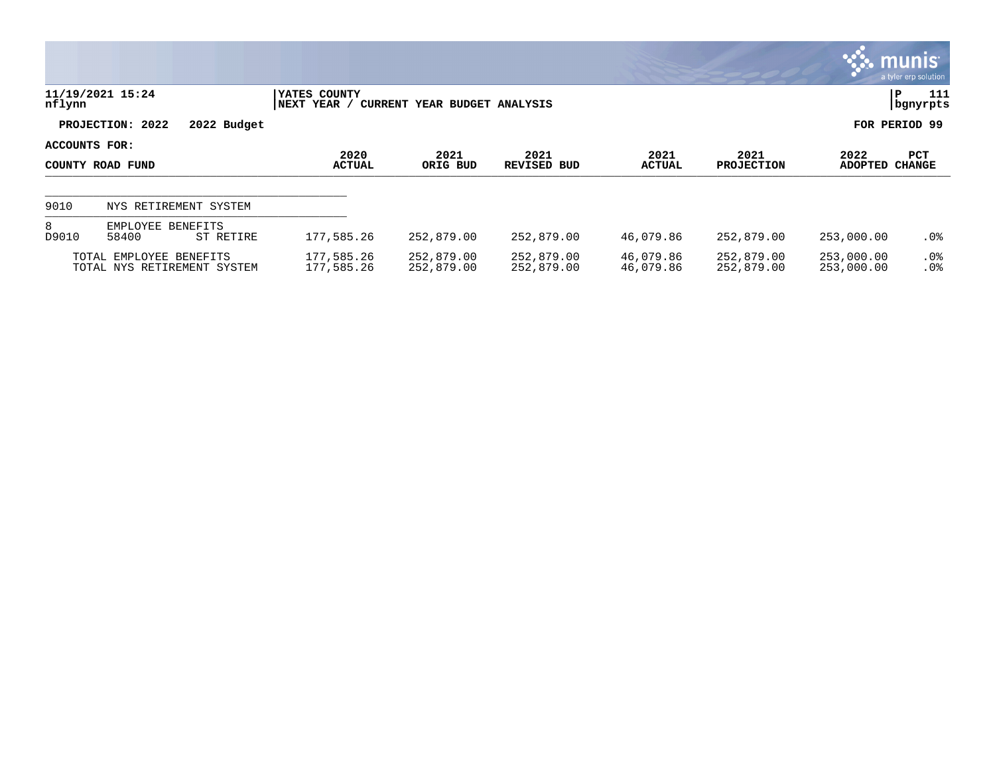|                                   |                                                        |                       |                                             |                            |                          |                           |                          |                          | munis <sup>®</sup><br>a tyler erp solution |
|-----------------------------------|--------------------------------------------------------|-----------------------|---------------------------------------------|----------------------------|--------------------------|---------------------------|--------------------------|--------------------------|--------------------------------------------|
| nflynn                            | 11/19/2021 15:24                                       |                       | YATES COUNTY<br><b>NEXT YEAR</b><br>CURRENT | YEAR BUDGET ANALYSIS       |                          |                           |                          |                          | P<br>111<br>  bgnyrpts                     |
|                                   | PROJECTION: 2022                                       | 2022 Budget           |                                             |                            |                          |                           |                          |                          | FOR PERIOD 99                              |
| ACCOUNTS FOR:<br>COUNTY ROAD FUND |                                                        | 2020<br><b>ACTUAL</b> | 2021<br>ORIG BUD                            | 2021<br><b>REVISED BUD</b> | 2021<br><b>ACTUAL</b>    | 2021<br><b>PROJECTION</b> | 2022<br>ADOPTED CHANGE   | PCT                      |                                            |
| 9010                              | NYS RETIREMENT SYSTEM                                  |                       |                                             |                            |                          |                           |                          |                          |                                            |
| 8<br>D9010                        | EMPLOYEE<br>58400                                      | BENEFITS<br>ST RETIRE | 177,585.26                                  | 252,879.00                 | 252,879.00               | 46,079.86                 | 252,879.00               | 253,000.00               | . 0 %                                      |
|                                   | TOTAL EMPLOYEE BENEFITS<br>TOTAL NYS RETIREMENT SYSTEM |                       | 177,585.26<br>177,585.26                    | 252,879.00<br>252,879.00   | 252,879.00<br>252,879.00 | 46,079.86<br>46,079.86    | 252,879.00<br>252,879.00 | 253,000.00<br>253,000.00 | .0%<br>.0 <sub>8</sub>                     |

 $\mathcal{L}$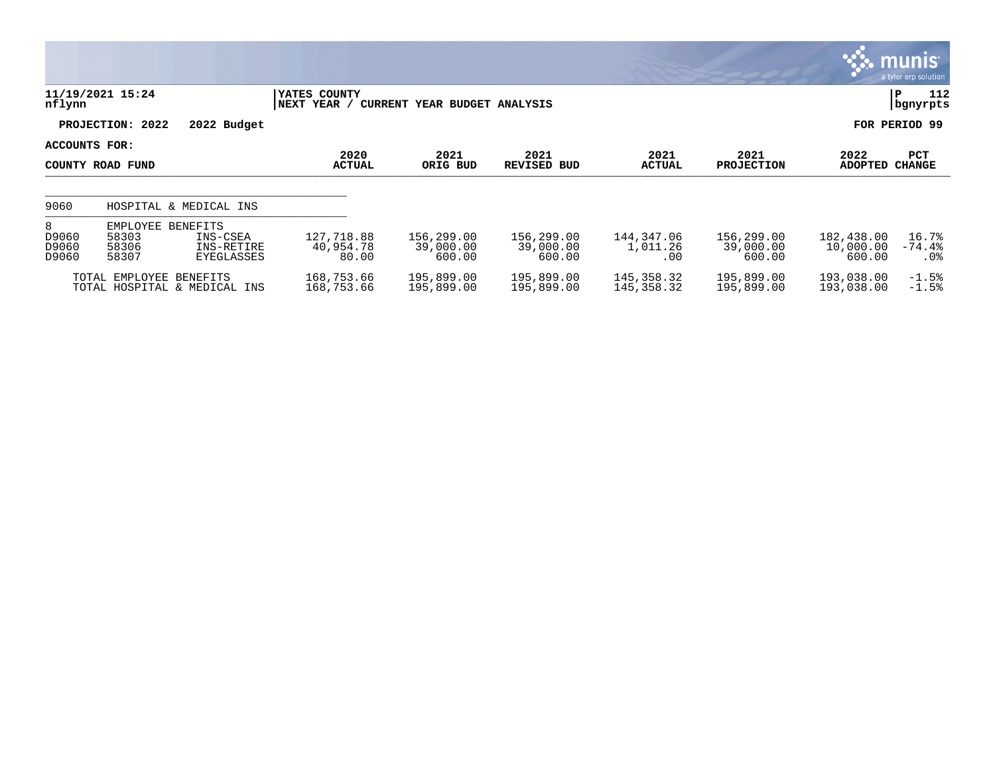|                              |                                                                                      |                                  |                                   |                                   |                               |                                   |                                   | <b>munis</b><br>a tyler erp solution |
|------------------------------|--------------------------------------------------------------------------------------|----------------------------------|-----------------------------------|-----------------------------------|-------------------------------|-----------------------------------|-----------------------------------|--------------------------------------|
| nflynn                       | 11/19/2021 15:24                                                                     | YATES COUNTY<br>NEXT YEAR /      | CURRENT YEAR BUDGET ANALYSIS      |                                   |                               |                                   |                                   | 112<br>ΙP<br>  bgnyrpts              |
|                              | PROJECTION: 2022<br>2022 Budget                                                      |                                  |                                   |                                   |                               |                                   |                                   | FOR PERIOD 99                        |
| ACCOUNTS FOR:                | COUNTY ROAD FUND                                                                     | 2020<br><b>ACTUAL</b>            | 2021<br>ORIG BUD                  | 2021<br><b>REVISED BUD</b>        | 2021<br><b>ACTUAL</b>         | 2021<br><b>PROJECTION</b>         | 2022<br><b>ADOPTED</b>            | PCT<br><b>CHANGE</b>                 |
| 9060                         | HOSPITAL & MEDICAL INS                                                               |                                  |                                   |                                   |                               |                                   |                                   |                                      |
| 8<br>D9060<br>D9060<br>D9060 | EMPLOYEE BENEFITS<br>58303<br>INS-CSEA<br>58306<br>INS-RETIRE<br>58307<br>EYEGLASSES | 127,718.88<br>40,954.78<br>80.00 | 156,299.00<br>39,000.00<br>600.00 | 156,299.00<br>39,000.00<br>600.00 | 144,347.06<br>1,011.26<br>.00 | 156,299.00<br>39,000.00<br>600.00 | 182,438.00<br>10,000.00<br>600.00 | 16.7%<br>$-74.4%$<br>.0%             |
|                              | TOTAL EMPLOYEE BENEFITS<br>TOTAL HOSPITAL & MEDICAL INS                              | 168,753.66<br>168,753.66         | 195,899.00<br>195,899.00          | 195,899.00<br>195,899.00          | 145,358.32<br>145,358.32      | 195,899.00<br>195,899.00          | 193,038.00<br>193,038.00          | $-1.5%$<br>$-1.5%$                   |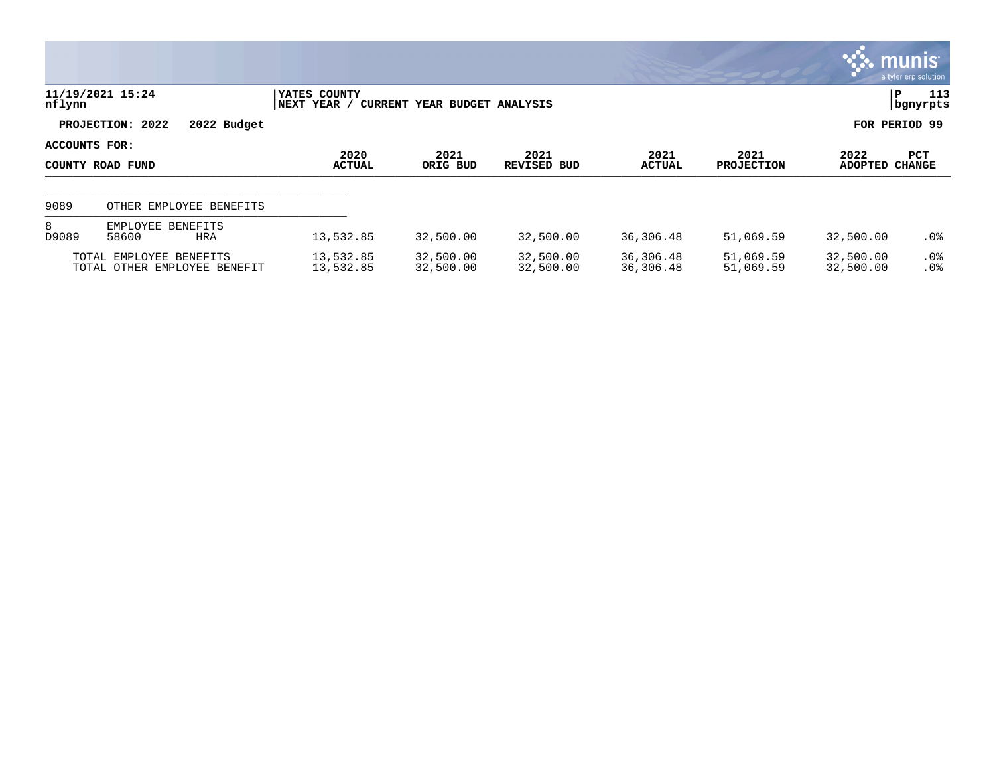|                                   |                                                         |                              |                              |                            |                        |                           |                        | munis <sup>.</sup><br>a tyler erp solution |
|-----------------------------------|---------------------------------------------------------|------------------------------|------------------------------|----------------------------|------------------------|---------------------------|------------------------|--------------------------------------------|
| nflynn                            | 11/19/2021 15:24                                        | YATES COUNTY<br> NEXT YEAR / | CURRENT YEAR BUDGET ANALYSIS |                            |                        |                           |                        | 113<br>P<br>  bgnyrpts                     |
|                                   | PROJECTION: 2022<br>2022 Budget                         |                              |                              |                            |                        |                           |                        | FOR PERIOD 99                              |
| ACCOUNTS FOR:<br>COUNTY ROAD FUND |                                                         | 2020<br><b>ACTUAL</b>        | 2021<br>ORIG BUD             | 2021<br><b>REVISED BUD</b> | 2021<br><b>ACTUAL</b>  | 2021<br><b>PROJECTION</b> | 2022<br><b>ADOPTED</b> | PCT<br><b>CHANGE</b>                       |
| 9089                              | OTHER EMPLOYEE BENEFITS                                 |                              |                              |                            |                        |                           |                        |                                            |
| 8<br>D9089                        | EMPLOYEE BENEFITS<br>58600<br><b>HRA</b>                | 13,532.85                    | 32,500.00                    | 32,500.00                  | 36,306.48              | 51,069.59                 | 32,500.00              | $.0\%$                                     |
|                                   | TOTAL EMPLOYEE BENEFITS<br>TOTAL OTHER EMPLOYEE BENEFIT | 13,532.85<br>13,532.85       | 32,500.00<br>32,500.00       | 32,500.00<br>32,500.00     | 36,306.48<br>36,306.48 | 51,069.59<br>51,069.59    | 32,500.00<br>32,500.00 | $.0\%$<br>.0%                              |

 $\bullet$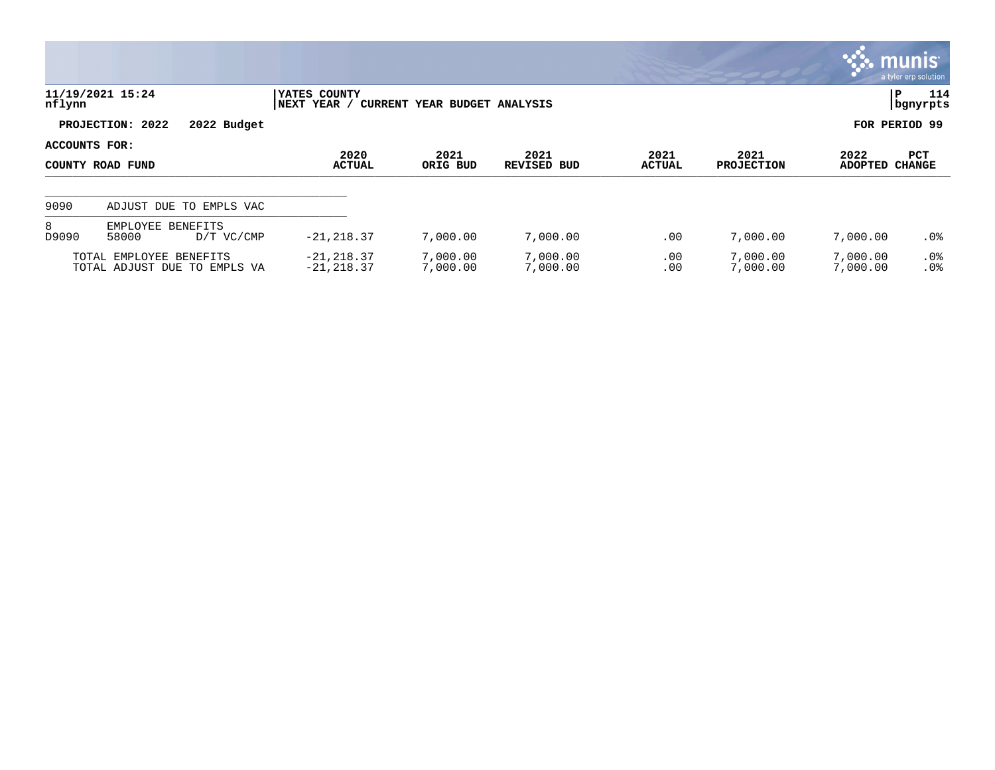|                                   |                                                         |                                |                                         |                      |                |                           |                      | $\mathbb{C}$ munis<br>a tyler erp solution |
|-----------------------------------|---------------------------------------------------------|--------------------------------|-----------------------------------------|----------------------|----------------|---------------------------|----------------------|--------------------------------------------|
| nflynn                            | 11/19/2021 15:24                                        | YATES COUNTY<br>NEXT YEAR /    | CURRENT YEAR BUDGET ANALYSIS            |                      |                |                           |                      | 114<br>P<br>  bgnyrpts                     |
|                                   | PROJECTION: 2022<br>2022 Budget                         |                                |                                         |                      |                |                           |                      | FOR PERIOD 99                              |
| ACCOUNTS FOR:<br>COUNTY ROAD FUND |                                                         | 2020<br><b>ACTUAL</b>          | 2021<br>2021<br>ORIG BUD<br>REVISED BUD |                      | 2021<br>ACTUAL | 2021<br><b>PROJECTION</b> | 2022<br>ADOPTED      | PCT<br><b>CHANGE</b>                       |
| 9090                              | ADJUST DUE TO EMPLS VAC                                 |                                |                                         |                      |                |                           |                      |                                            |
| 8<br>D9090                        | EMPLOYEE BENEFITS<br>58000<br>D/T VC/CMP                | $-21, 218.37$                  | 7,000.00                                | 7,000.00             | .00            | 7,000.00                  | 7,000.00             | $.0\%$                                     |
|                                   | TOTAL EMPLOYEE BENEFITS<br>TOTAL ADJUST DUE TO EMPLS VA | $-21, 218.37$<br>$-21, 218.37$ | 7,000.00<br>7,000.00                    | 7,000.00<br>7,000.00 | .00<br>.00     | 7,000.00<br>7,000.00      | 7,000.00<br>7,000.00 | $.0\%$<br>.0%                              |

 $\bullet$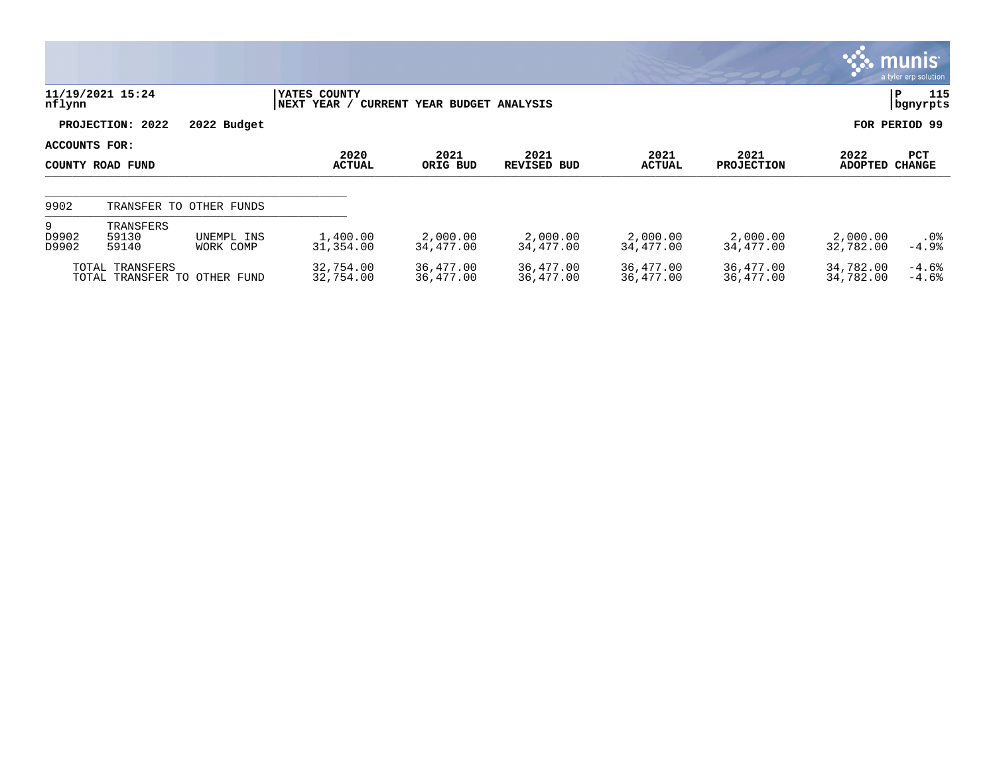|                     |                                                 |                         |                             |                              |                        |                        |                           |                        | <b>munis</b><br>a tyler erp solution |
|---------------------|-------------------------------------------------|-------------------------|-----------------------------|------------------------------|------------------------|------------------------|---------------------------|------------------------|--------------------------------------|
| nflynn              | 11/19/2021 15:24                                |                         | YATES COUNTY<br>NEXT YEAR / | CURRENT YEAR BUDGET ANALYSIS |                        |                        |                           |                        | 115<br> P<br>bgnyrpts                |
|                     | PROJECTION: 2022                                | 2022 Budget             |                             |                              |                        |                        |                           |                        | FOR PERIOD 99                        |
| ACCOUNTS FOR:       | COUNTY ROAD FUND                                |                         | 2020<br><b>ACTUAL</b>       | 2021<br>ORIG BUD             | 2021<br>REVISED BUD    | 2021<br><b>ACTUAL</b>  | 2021<br><b>PROJECTION</b> | 2022<br><b>ADOPTED</b> | <b>PCT</b><br><b>CHANGE</b>          |
| 9902                |                                                 | TRANSFER TO OTHER FUNDS |                             |                              |                        |                        |                           |                        |                                      |
| 9<br>D9902<br>D9902 | TRANSFERS<br>59130<br>59140                     | UNEMPL INS<br>WORK COMP | 1,400.00<br>31,354.00       | 2,000.00<br>34,477.00        | 2,000.00<br>34,477.00  | 2,000.00<br>34,477.00  | 2,000.00<br>34,477.00     | 2,000.00<br>32,782.00  | $.0\%$<br>$-4.9%$                    |
|                     | TOTAL TRANSFERS<br>TOTAL TRANSFER TO OTHER FUND |                         | 32,754.00<br>32,754.00      | 36,477.00<br>36,477.00       | 36,477.00<br>36,477.00 | 36,477.00<br>36,477.00 | 36,477.00<br>36,477.00    | 34,782.00<br>34,782.00 | $-4.6%$<br>$-4.6%$                   |

 $\bullet$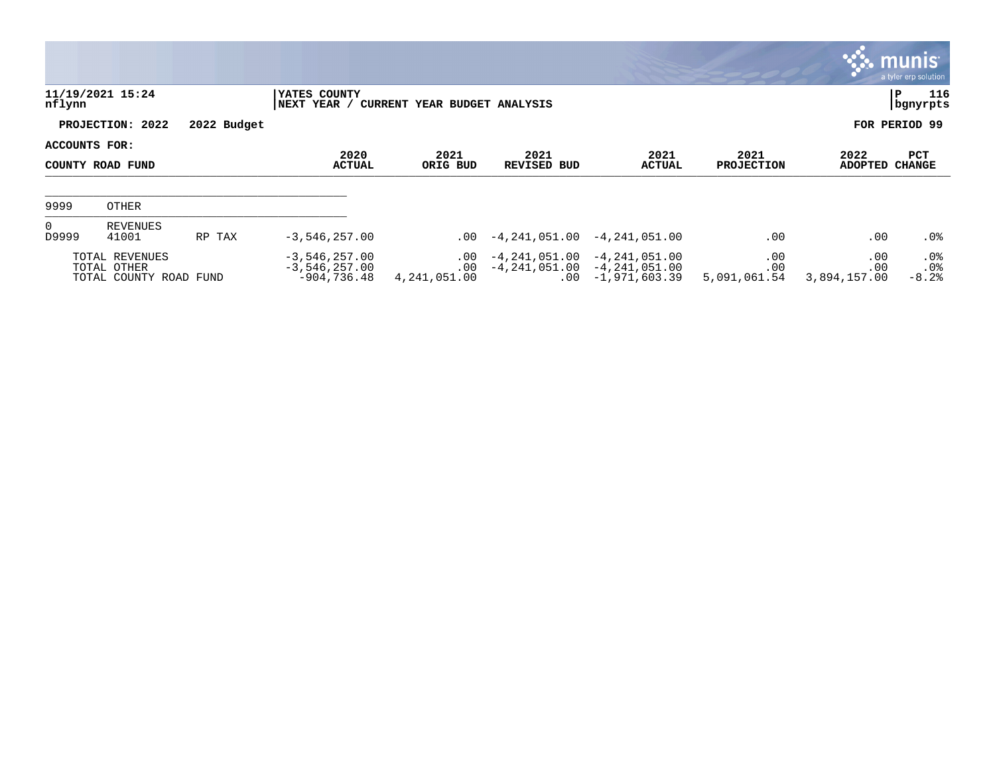|                                   |                                                         |                       |                                                     |                                      |                       |                                                                                                |                            |                            | <b>munis</b><br>a tyler erp solution |
|-----------------------------------|---------------------------------------------------------|-----------------------|-----------------------------------------------------|--------------------------------------|-----------------------|------------------------------------------------------------------------------------------------|----------------------------|----------------------------|--------------------------------------|
| nflynn                            | 11/19/2021 15:24                                        |                       | YATES COUNTY<br> NEXT YEAR /                        | <b>CURRENT YEAR BUDGET ANALYSIS</b>  |                       |                                                                                                |                            |                            | 116<br>P<br>  bgnyrpts               |
|                                   | PROJECTION: 2022                                        | 2022 Budget           |                                                     |                                      |                       |                                                                                                |                            |                            | FOR PERIOD 99                        |
| ACCOUNTS FOR:<br>COUNTY ROAD FUND |                                                         | 2020<br><b>ACTUAL</b> | 2021<br>ORIG BUD                                    | 2021<br>REVISED BUD                  | 2021<br><b>ACTUAL</b> | 2021<br><b>PROJECTION</b>                                                                      | 2022<br><b>ADOPTED</b>     | PCT<br><b>CHANGE</b>       |                                      |
| 9999                              | OTHER                                                   |                       |                                                     |                                      |                       |                                                                                                |                            |                            |                                      |
| $\overline{0}$<br>D9999           | <b>REVENUES</b><br>41001                                | RP TAX                | $-3,546,257.00$                                     |                                      | $.00 -4.241.051.00$   | $-4,241,051.00$                                                                                | .00                        | .00                        | $.0\%$                               |
|                                   | TOTAL REVENUES<br>TOTAL OTHER<br>TOTAL COUNTY ROAD FUND |                       | $-3,546,257.00$<br>$-3,546,257.00$<br>$-904,736.48$ | $.00 \,$<br>$.00 \,$<br>4,241,051.00 |                       | $-4, 241, 051.00 -4, 241, 051.00$<br>$-4, 241, 051.00 -4, 241, 051.00$<br>$.00 - 1,971,603.39$ | .00<br>.00<br>5,091,061.54 | .00<br>.00<br>3,894,157.00 | $.0\%$<br>.0%<br>$-8.2%$             |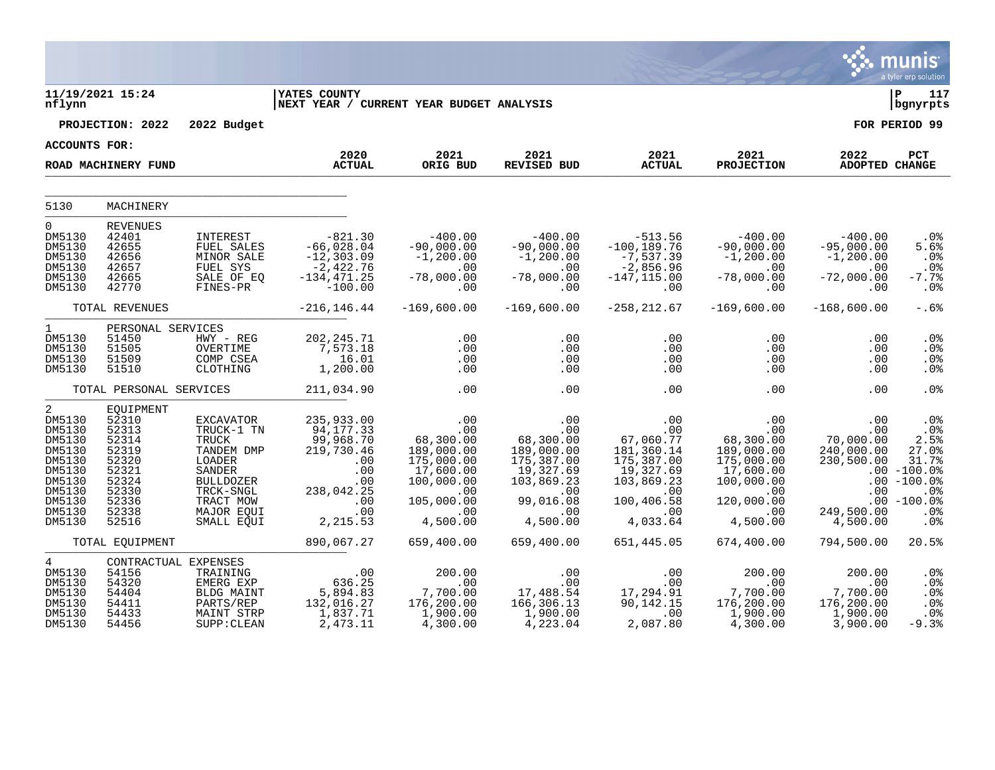|                                                                                                                              |                                                                                                              |                                                                                                                                       |                                                                                                                                                            |                                                                                                                                |                                                                                                                         |                                                                                                                                         |                                                                                                                                                    |                                                                                            | munis <sup>®</sup><br>a tyler erp solution                                                                         |
|------------------------------------------------------------------------------------------------------------------------------|--------------------------------------------------------------------------------------------------------------|---------------------------------------------------------------------------------------------------------------------------------------|------------------------------------------------------------------------------------------------------------------------------------------------------------|--------------------------------------------------------------------------------------------------------------------------------|-------------------------------------------------------------------------------------------------------------------------|-----------------------------------------------------------------------------------------------------------------------------------------|----------------------------------------------------------------------------------------------------------------------------------------------------|--------------------------------------------------------------------------------------------|--------------------------------------------------------------------------------------------------------------------|
| nflynn                                                                                                                       | 11/19/2021 15:24                                                                                             |                                                                                                                                       | <b>IYATES COUNTY</b><br>NEXT YEAR / CURRENT YEAR BUDGET ANALYSIS                                                                                           |                                                                                                                                |                                                                                                                         |                                                                                                                                         |                                                                                                                                                    |                                                                                            | l P<br>117<br>bgnyrpts                                                                                             |
|                                                                                                                              | PROJECTION: 2022                                                                                             | 2022 Budget                                                                                                                           |                                                                                                                                                            |                                                                                                                                |                                                                                                                         |                                                                                                                                         |                                                                                                                                                    |                                                                                            | FOR PERIOD 99                                                                                                      |
| <b>ACCOUNTS FOR:</b>                                                                                                         |                                                                                                              |                                                                                                                                       | 2020                                                                                                                                                       | 2021                                                                                                                           | 2021                                                                                                                    | 2021                                                                                                                                    | 2021                                                                                                                                               | 2022                                                                                       | PCT                                                                                                                |
|                                                                                                                              | ROAD MACHINERY FUND                                                                                          |                                                                                                                                       | <b>ACTUAL</b>                                                                                                                                              | ORIG BUD                                                                                                                       | REVISED BUD                                                                                                             | <b>ACTUAL</b>                                                                                                                           | <b>PROJECTION</b>                                                                                                                                  | ADOPTED CHANGE                                                                             |                                                                                                                    |
| 5130                                                                                                                         | MACHINERY                                                                                                    |                                                                                                                                       |                                                                                                                                                            |                                                                                                                                |                                                                                                                         |                                                                                                                                         |                                                                                                                                                    |                                                                                            |                                                                                                                    |
| $\overline{0}$<br>DM5130<br>DM5130<br>DM5130<br>DM5130<br>DM5130<br>DM5130                                                   | <b>REVENUES</b><br>42401<br>42655<br>42656<br>42657<br>42665<br>42770                                        | INTEREST<br>FUEL SALES<br>MINOR SALE<br>FUEL SYS<br>SALE OF EQ<br>FINES-PR                                                            | $-821.30$<br>$-66,028.04$<br>$-12,303.09$<br>$-2,422.76$<br>$-134,471.25$<br>$-134,471.25$<br>$-100.00$                                                    | $-400.00$<br>$-90,000.00$<br>$-1,200.00$<br>.00<br>$-78,000.00$<br>.00                                                         | $-400.00$<br>$-90,000.00$<br>$-1, 200.00$<br>00.<br>78,000.00-<br>.00                                                   | 513.56-<br>100,189.76-<br>$-7,537.39$<br>$-2,856.96$<br>$-147,115.00$<br>.00                                                            | $-400.00$<br>$-90,000.00$<br>$-1, 200.00$<br>$\sim$ 00<br>$-78,000.00$<br>$\sim 00$                                                                | $-400.00$<br>$-95,000.00$<br>$-1, 200.00$<br>$\sim 00$<br>$-72,000.00$<br>$\overline{00}$  | $.0\%$<br>5.6%<br>.0%<br>.0%<br>$-7.7%$<br>$.0\%$                                                                  |
|                                                                                                                              | TOTAL REVENUES                                                                                               |                                                                                                                                       | $-216, 146.44$                                                                                                                                             | $-169,600.00$                                                                                                                  | $-169,600.00$                                                                                                           | $-258, 212.67$                                                                                                                          | $-169,600.00$                                                                                                                                      | $-168,600.00$                                                                              | $-.6%$                                                                                                             |
| $1 \quad \blacksquare$<br>DM5130<br>DM5130<br>DM5130<br>DM5130                                                               | PERSONAL SERVICES<br>51450<br>51505<br>51509<br>51510                                                        | $HWY - REG$<br>OVERTIME<br>COMP CSEA<br>CLOTHING                                                                                      | 202,245.71<br>7,573.18<br>16.01<br>1,200.00                                                                                                                | .00<br>.00<br>.00<br>.00                                                                                                       | .00<br>.00<br>.00<br>.00                                                                                                | .00<br>.00<br>.00<br>.00                                                                                                                | .00<br>.00<br>$.00 \,$<br>.00                                                                                                                      | .00<br>.00<br>.00<br>.00                                                                   | $.0\%$<br>.0%<br>.0%<br>.0 <sub>8</sub>                                                                            |
|                                                                                                                              | TOTAL PERSONAL SERVICES                                                                                      |                                                                                                                                       | 211,034.90                                                                                                                                                 | .00                                                                                                                            | .00                                                                                                                     | .00                                                                                                                                     | .00                                                                                                                                                | .00                                                                                        | .0 <sup>8</sup>                                                                                                    |
| $\overline{a}$<br>DM5130<br>DM5130<br>DM5130<br>DM5130<br>DM5130<br>DM5130<br>DM5130<br>DM5130<br>DM5130<br>DM5130<br>DM5130 | EQUIPMENT<br>52310<br>52313<br>52314<br>52319<br>52320<br>52321<br>52324<br>52330<br>52336<br>52338<br>52516 | EXCAVATOR<br>TRUCK-1 TN<br>TRUCK<br>TANDEM DMP<br>LOADER<br>SANDER<br>BULLDOZER<br>TRCK-SNGL<br>TRACT MOW<br>MAJOR EQUI<br>SMALL EQUI | 235,933.00<br>94,177.33<br>99,968.70<br>219,730.46<br>$\begin{array}{c} 0.00 \\ -0.00 \\ 0.00 \end{array}$<br>.00<br>238,042.25<br>$00$<br>0.0<br>2,215.53 | 00.<br>00.<br>00.00.83<br>.00<br>189,000.00<br>175,000.00<br>17,600.00<br>100,000.00<br>.00<br>105,000.00<br>$.00$<br>4,500.00 | 00.<br>00.<br>00.00.83 -<br>189,000.00<br>175,387.00<br>19,327.69<br>103,869.23<br>00.<br>08.016,09<br>$00$<br>4,500.00 | .00<br>.00 .00 .07<br>.181 .260 .17<br>181,360.14<br>175,387.00<br>19,327.69<br>103,869.23<br>.00<br>100,406.58<br>4,033.64<br>4,033.64 | .00<br>.00<br>$68,300.\widetilde{00} \ 189,000.00$<br>175,000.00<br>17,600.00<br>100,000.00<br>00.<br>120,000.00<br>120,000.00<br>$00$<br>4,500.00 | ںں.<br>00.000,00<br>00.000.00<br>240,000.00<br>230,500.00<br>.00<br>249,500.00<br>4,500.00 | .0%<br>$.0\%$<br>2.5%<br>27.0%<br>31.7%<br>$.00 - 100.0$<br>$.00 - 100.0$<br>.0%<br>$.00 - 100.0$<br>.0%<br>$.0\%$ |
|                                                                                                                              | TOTAL EQUIPMENT                                                                                              |                                                                                                                                       | 890,067.27                                                                                                                                                 | 659,400.00                                                                                                                     | 659,400.00                                                                                                              | 651,445.05                                                                                                                              | 674,400.00                                                                                                                                         | 794,500.00                                                                                 | 20.5%                                                                                                              |
| 4<br>DM5130<br>DM5130<br>DM5130<br>DM5130<br>DM5130<br>DM5130                                                                | CONTRACTUAL EXPENSES<br>54156<br>54320<br>54404<br>54411<br>54433<br>54456                                   | TRAINING<br>EMERG EXP<br>BLDG MAINT<br>PARTS/REP<br>MAINT STRP<br>SUPP: CLEAN                                                         | 00 .<br>636.25<br>5,894.83<br>132,016.27<br>1,837.71<br>2,473.11                                                                                           | $200.00$<br>00.00<br>7,700.00<br>176.200.02<br>176,200.00<br>1,900.00<br>4,300.00                                              | .00<br>.00<br>17,488.54<br>166,306.13<br>1,900.00<br>4,223.04                                                           | .00<br>.00<br>$17, 294.91$<br>90,142.15<br>00.<br>2,087.80                                                                              | 200.00<br>00.<br>7,700.00<br>176,200.00<br>1,900.00<br>4,300.00                                                                                    | 200.00<br>.00<br>7,700.00<br>176,200.00<br>1,900.00<br>3,900.00                            | .0%<br>.0%<br>.0%<br>.0%<br>.0%<br>$-9.3%$                                                                         |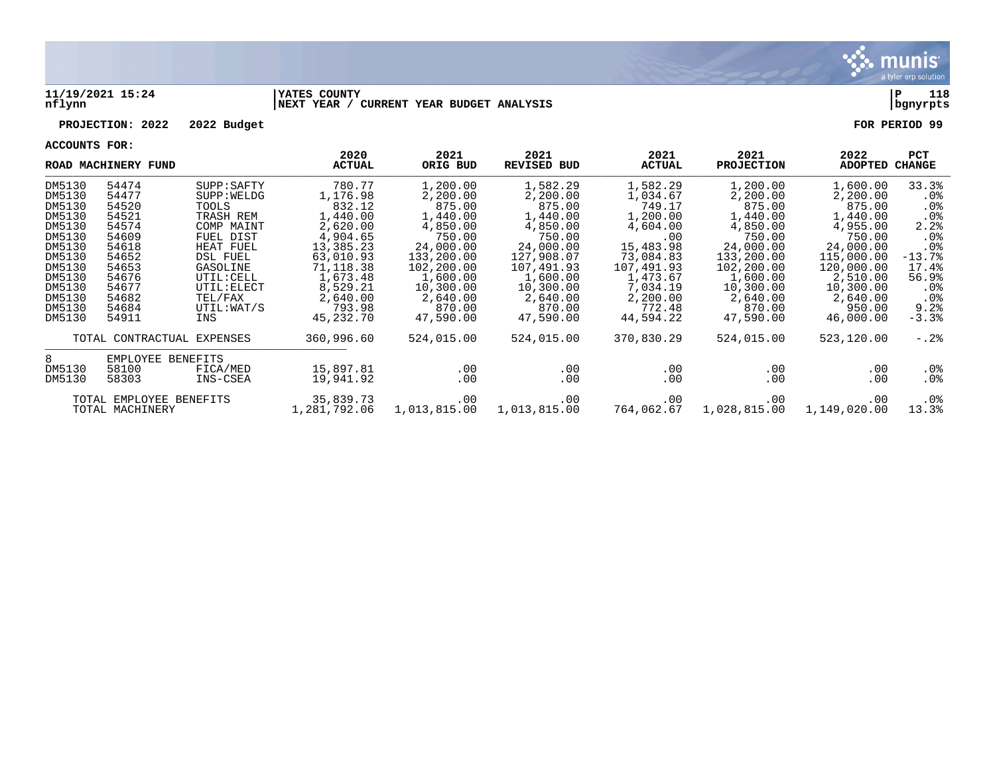

## **11/19/2021 15:24 |YATES COUNTY |P 118 nflynn |NEXT YEAR / CURRENT YEAR BUDGET ANALYSIS |bgnyrpts**

## **PROJECTION: 2022 2022 Budget FOR PERIOD 99**

**ACCOUNTS FOR:**

|        | ROAD MACHINERY FUND        |                 | 2020<br><b>ACTUAL</b> | 2021<br>ORIG BUD | 2021<br><b>REVISED BUD</b> | 2021<br><b>ACTUAL</b> | 2021<br><b>PROJECTION</b> | 2022<br>ADOPTED | <b>PCT</b><br>CHANGE |
|--------|----------------------------|-----------------|-----------------------|------------------|----------------------------|-----------------------|---------------------------|-----------------|----------------------|
| DM5130 | 54474                      | SUPP : SAPTY    | 780.77                | 1,200.00         | 1,582.29                   | 1,582.29              | 1,200.00                  | 1,600.00        | 33.3%                |
| DM5130 | 54477                      | SUPP: WELDG     | 1,176.98              | 2,200.00         | 2,200.00                   | 1,034.67              | 2,200.00                  | 2,200.00        | .0%                  |
| DM5130 | 54520                      | TOOLS           | 832.12                | 875.00           | 875.00                     | 749.17                | 875.00                    | 875.00          | .0%                  |
| DM5130 | 54521                      | TRASH REM       | 1,440.00              | 1,440.00         | 1,440.00                   | 1,200.00              | 1,440.00                  | 1,440.00        | .0 <sub>8</sub>      |
| DM5130 | 54574                      | COMP MAINT      | 2,620.00              | 4,850.00         | 4,850.00                   | 4,604.00              | 4,850.00                  | 4,955.00        | 2.2%                 |
| DM5130 | 54609                      | FUEL DIST       | 4,904.65              | 750.00           | 750.00                     | .00                   | 750.00                    | 750.00          | $.0\%$               |
| DM5130 | 54618                      | HEAT FUEL       | 13,385.23             | 24,000.00        | 24,000.00                  | 15,483.98             | 24,000.00                 | 24,000.00       | .0 <sub>8</sub>      |
| DM5130 | 54652                      | <b>DSL FUEL</b> | 63,010.93             | 133,200.00       | 127,908.07                 | 73,084.83             | 133,200.00                | 115,000.00      | $-13.7%$             |
| DM5130 | 54653                      | GASOLINE        | 71,118.38             | 102,200.00       | 107,491.93                 | 107,491.93            | 102,200.00                | 120,000.00      | 17.4%                |
| DM5130 | 54676                      | UTIL: CELL      | 1,673.48              | 1,600.00         | 1,600.00                   | 1,473.67              | 1,600.00                  | 2,510.00        | 56.9%                |
| DM5130 | 54677                      | UTIL: ELECT     | 8,529.21              | 10,300.00        | 10,300.00                  | 7,034.19              | 10,300.00                 | 10,300.00       | $.0\%$               |
| DM5130 | 54682                      | TEL/FAX         | 2,640.00              | 2,640.00         | 2,640.00                   | 2,200.00              | 2,640.00                  | 2,640.00        | .0%                  |
| DM5130 | 54684                      | UTIL: WAT/S     | 793.98                | 870.00           | 870.00                     | 772.48                | 870.00                    | 950.00          | 9.2%                 |
| DM5130 | 54911                      | INS             | 45,232.70             | 47,590.00        | 47,590.00                  | 44,594.22             | 47,590.00                 | 46,000.00       | $-3.3%$              |
|        |                            |                 |                       |                  |                            |                       |                           |                 |                      |
|        | TOTAL CONTRACTUAL EXPENSES |                 | 360,996.60            | 524,015.00       | 524,015.00                 | 370,830.29            | 524,015.00                | 523,120.00      | $-0.2\%$             |
| 8      | EMPLOYEE BENEFITS          |                 |                       |                  |                            |                       |                           |                 |                      |
| DM5130 | 58100                      | FICA/MED        | 15,897.81             | .00              | .00                        | .00                   | $.00 \,$                  | .00             | $.0\%$               |
| DM5130 | 58303                      | INS-CSEA        | 19,941.92             | .00              | .00                        | $.00 \,$              | .00                       | .00             | $.0\%$               |
|        |                            |                 |                       |                  |                            |                       |                           |                 |                      |
|        | TOTAL EMPLOYEE BENEFITS    |                 | 35,839.73             | .00              | $.00 \ \,$                 | $.00 \,$              | .00                       | .00             | $.0\%$               |
|        | TOTAL MACHINERY            |                 | 1,281,792.06          | 1,013,815.00     | 1,013,815.00               | 764,062.67            | 1,028,815.00              | 1,149,020.00    | 13.3%                |
|        |                            |                 |                       |                  |                            |                       |                           |                 |                      |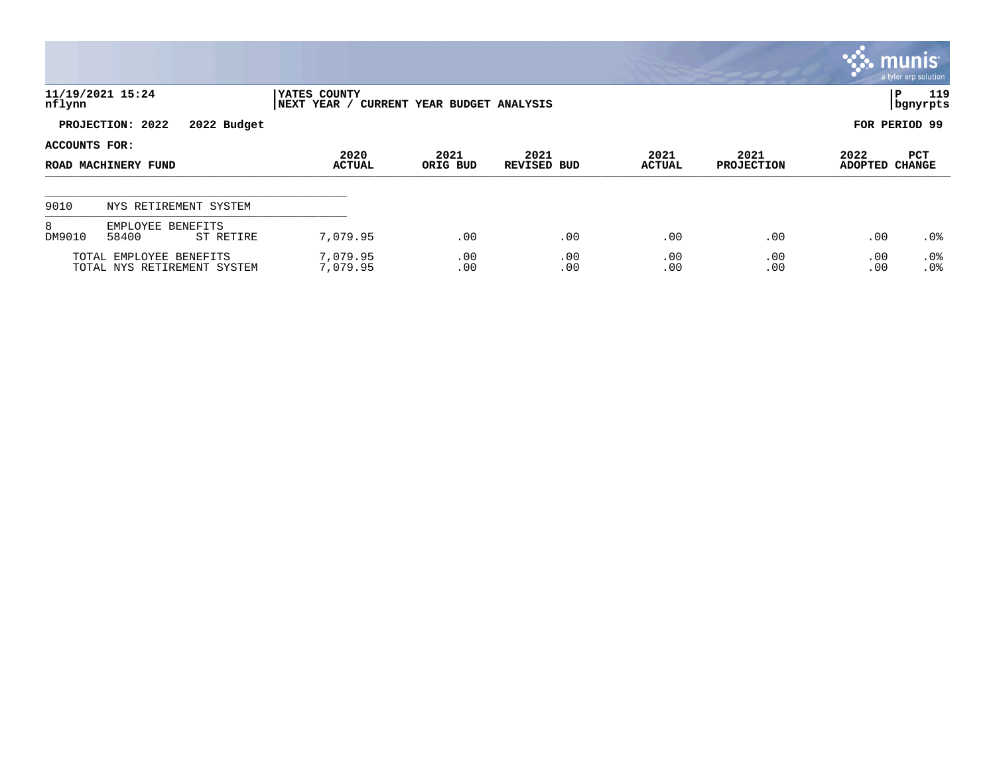|                                      |                                                        |                             |                              |                            |                       |                           |                        | munis <sup>®</sup><br>a tyler erp solution |
|--------------------------------------|--------------------------------------------------------|-----------------------------|------------------------------|----------------------------|-----------------------|---------------------------|------------------------|--------------------------------------------|
| nflynn                               | 11/19/2021 15:24                                       | YATES COUNTY<br>NEXT YEAR / | CURRENT YEAR BUDGET ANALYSIS |                            |                       |                           |                        | 119<br>IΡ<br>  bgnyrpts                    |
|                                      | PROJECTION: 2022<br>2022 Budget                        |                             |                              |                            |                       |                           |                        | FOR PERIOD 99                              |
| ACCOUNTS FOR:<br>ROAD MACHINERY FUND |                                                        | 2020<br><b>ACTUAL</b>       | 2021<br>ORIG BUD             | 2021<br><b>REVISED BUD</b> | 2021<br><b>ACTUAL</b> | 2021<br><b>PROJECTION</b> | 2022<br><b>ADOPTED</b> | PCT<br><b>CHANGE</b>                       |
| 9010                                 | NYS RETIREMENT SYSTEM                                  |                             |                              |                            |                       |                           |                        |                                            |
| 8<br>DM9010                          | EMPLOYEE BENEFITS<br>58400<br>ST RETIRE                | 7,079.95                    | .00                          | .00                        | .00                   | .00                       | .00                    | $.0\%$                                     |
|                                      | TOTAL EMPLOYEE BENEFITS<br>TOTAL NYS RETIREMENT SYSTEM | 7,079.95<br>7,079.95        | .00<br>.00                   | .00<br>.00                 | .00<br>.00            | .00<br>.00                | .00<br>.00             | .0%<br>.0%                                 |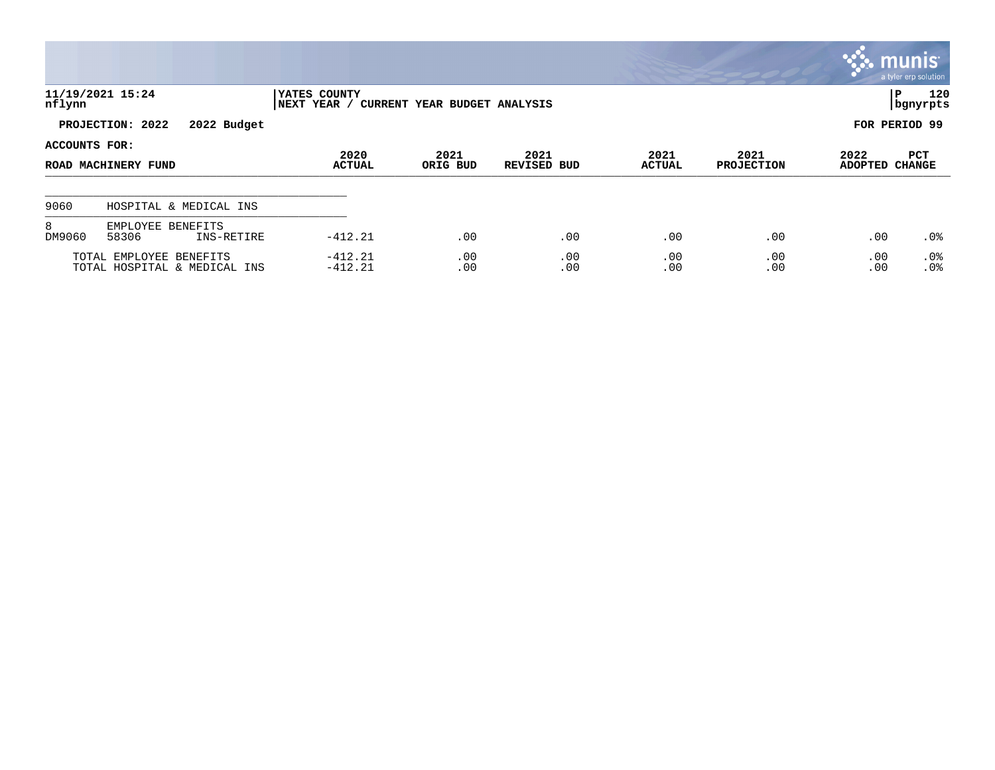|               |                                                         |                             |                              |                            |                       |                           |                        | munis <b>m</b><br>a tyler erp solution |
|---------------|---------------------------------------------------------|-----------------------------|------------------------------|----------------------------|-----------------------|---------------------------|------------------------|----------------------------------------|
| nflynn        | 11/19/2021 15:24                                        | YATES COUNTY<br>NEXT YEAR / | CURRENT YEAR BUDGET ANALYSIS |                            |                       |                           |                        | 120<br>l P<br>  bgnyrpts               |
|               | PROJECTION: 2022<br>2022 Budget                         |                             |                              |                            |                       |                           |                        | FOR PERIOD 99                          |
| ACCOUNTS FOR: | ROAD MACHINERY FUND                                     | 2020<br><b>ACTUAL</b>       | 2021<br>ORIG BUD             | 2021<br><b>REVISED BUD</b> | 2021<br><b>ACTUAL</b> | 2021<br><b>PROJECTION</b> | 2022<br><b>ADOPTED</b> | PCT<br><b>CHANGE</b>                   |
| 9060          | HOSPITAL & MEDICAL INS                                  |                             |                              |                            |                       |                           |                        |                                        |
| 8<br>DM9060   | EMPLOYEE BENEFITS<br>58306<br>INS-RETIRE                | $-412.21$                   | .00                          | .00                        | .00                   | .00                       | .00                    | $.0\%$                                 |
|               | TOTAL EMPLOYEE BENEFITS<br>TOTAL HOSPITAL & MEDICAL INS | $-412.21$<br>$-412.21$      | .00<br>.00                   | .00<br>.00                 | .00<br>.00            | .00<br>.00                | .00<br>.00             | .0%<br>.0%                             |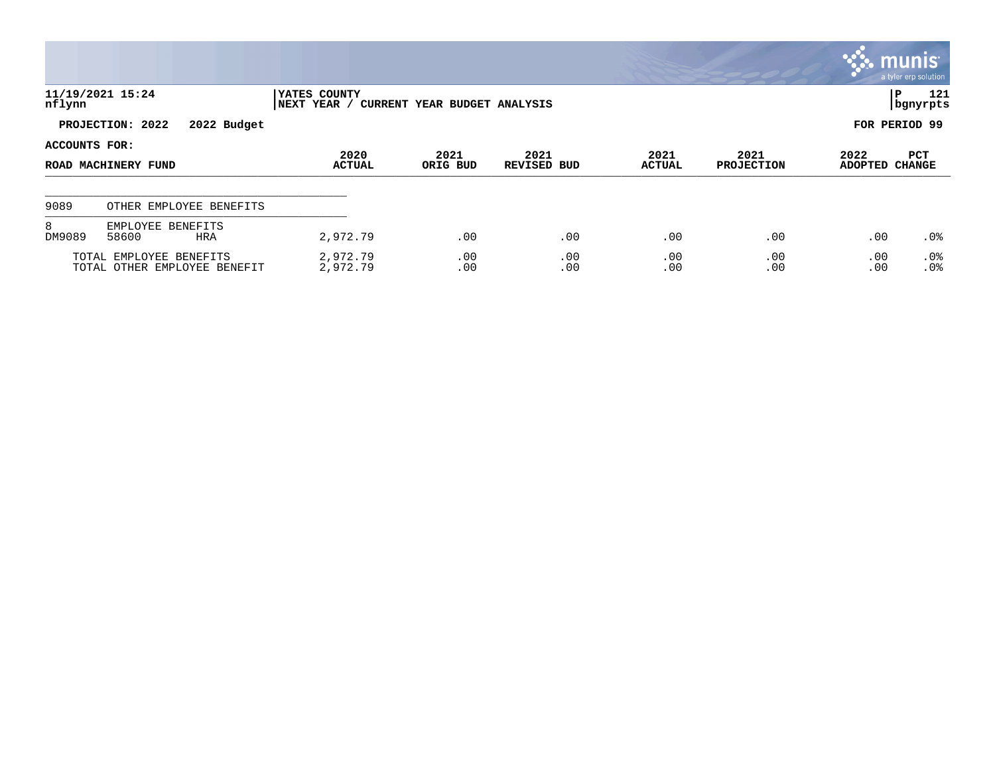|                                                         |                                          |                                                             |                  |                            |                       |                           |                        | munis <sup>®</sup><br>a tyler erp solution |
|---------------------------------------------------------|------------------------------------------|-------------------------------------------------------------|------------------|----------------------------|-----------------------|---------------------------|------------------------|--------------------------------------------|
| nflynn                                                  | 11/19/2021 15:24                         | YATES COUNTY<br>NEXT YEAR /<br>CURRENT YEAR BUDGET ANALYSIS |                  |                            |                       |                           |                        | IΡ<br>121<br>bgnyrpts                      |
|                                                         | PROJECTION: 2022<br>2022 Budget          |                                                             |                  |                            |                       |                           |                        | FOR PERIOD 99                              |
| ACCOUNTS FOR:<br>ROAD MACHINERY FUND                    |                                          | 2020<br><b>ACTUAL</b>                                       | 2021<br>ORIG BUD | 2021<br><b>REVISED BUD</b> | 2021<br><b>ACTUAL</b> | 2021<br><b>PROJECTION</b> | 2022<br><b>ADOPTED</b> | PCT<br><b>CHANGE</b>                       |
| 9089                                                    | OTHER EMPLOYEE BENEFITS                  |                                                             |                  |                            |                       |                           |                        |                                            |
| 8<br>DM9089                                             | EMPLOYEE BENEFITS<br>58600<br><b>HRA</b> | 2,972.79                                                    | .00              | .00                        | .00                   | .00                       | .00                    | $.0\%$                                     |
| TOTAL EMPLOYEE BENEFITS<br>TOTAL OTHER EMPLOYEE BENEFIT |                                          | 2,972.79<br>2,972.79                                        | .00<br>.00       | .00<br>.00                 | .00<br>.00            | .00<br>.00                | .00<br>.00             | .0%<br>.0%                                 |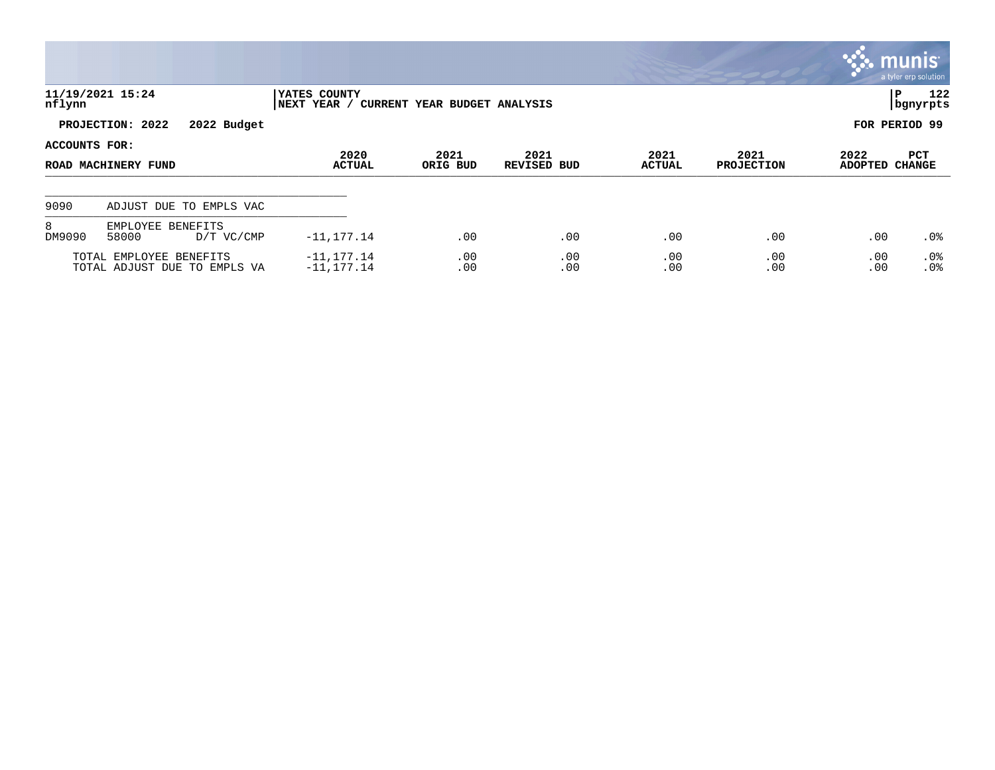|                                                         |                                            |                                                             |                  |                            |                       |                           |                        | <b>munis</b><br>a tyler erp solution |
|---------------------------------------------------------|--------------------------------------------|-------------------------------------------------------------|------------------|----------------------------|-----------------------|---------------------------|------------------------|--------------------------------------|
| nflynn                                                  | 11/19/2021 15:24                           | YATES COUNTY<br>NEXT YEAR /<br>CURRENT YEAR BUDGET ANALYSIS |                  |                            |                       |                           |                        | 122<br>lР<br>  bgnyrpts              |
|                                                         | PROJECTION: 2022<br>2022 Budget            |                                                             |                  |                            |                       |                           |                        | FOR PERIOD 99                        |
| ACCOUNTS FOR:<br>ROAD MACHINERY FUND                    |                                            | 2020<br><b>ACTUAL</b>                                       | 2021<br>ORIG BUD | 2021<br><b>REVISED BUD</b> | 2021<br><b>ACTUAL</b> | 2021<br><b>PROJECTION</b> | 2022<br><b>ADOPTED</b> | PCT<br><b>CHANGE</b>                 |
| 9090                                                    | ADJUST DUE TO EMPLS VAC                    |                                                             |                  |                            |                       |                           |                        |                                      |
| 8<br>DM9090                                             | EMPLOYEE BENEFITS<br>58000<br>$D/T$ VC/CMP | $-11, 177.14$                                               | .00              | .00                        | .00                   | .00                       | .00                    | $.0\%$                               |
| TOTAL EMPLOYEE BENEFITS<br>TOTAL ADJUST DUE TO EMPLS VA |                                            | $-11, 177.14$<br>$-11, 177.14$                              | .00<br>.00       | .00<br>.00                 | .00<br>.00            | .00<br>.00                | .00<br>.00             | $.0\%$<br>.0%                        |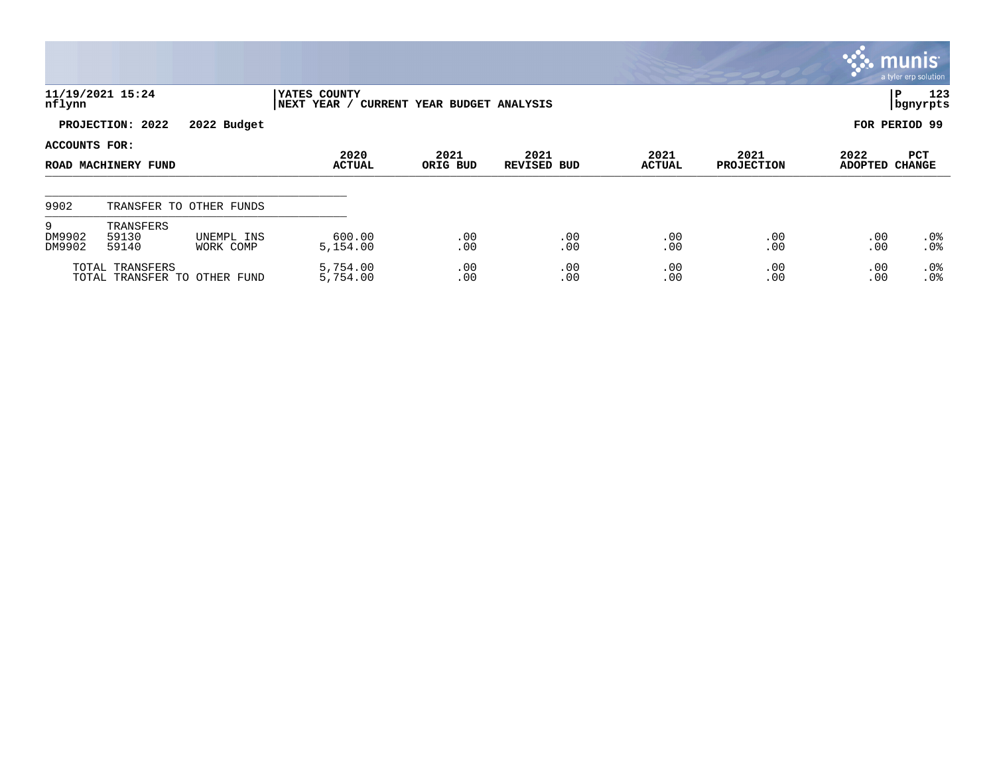|                                                 |                             |                         |                                                             |            |                    |               |                   |                | , munis <sup>.</sup><br>a tyler erp solution |  |  |
|-------------------------------------------------|-----------------------------|-------------------------|-------------------------------------------------------------|------------|--------------------|---------------|-------------------|----------------|----------------------------------------------|--|--|
| nflynn                                          | 11/19/2021 15:24            |                         | YATES COUNTY<br>NEXT YEAR /<br>CURRENT YEAR BUDGET ANALYSIS |            |                    |               |                   |                | 123<br>P<br>  bgnyrpts                       |  |  |
| PROJECTION: 2022<br>2022 Budget                 |                             |                         |                                                             |            |                    |               |                   |                | FOR PERIOD 99                                |  |  |
| ACCOUNTS FOR:                                   |                             |                         | 2020                                                        | 2021       | 2021               | 2021          | 2021              | 2022           | PCT                                          |  |  |
|                                                 | ROAD MACHINERY FUND         |                         | <b>ACTUAL</b>                                               | ORIG BUD   | <b>REVISED BUD</b> | <b>ACTUAL</b> | <b>PROJECTION</b> | <b>ADOPTED</b> | <b>CHANGE</b>                                |  |  |
| 9902                                            |                             | TRANSFER TO OTHER FUNDS |                                                             |            |                    |               |                   |                |                                              |  |  |
| 9<br>DM9902<br>DM9902                           | TRANSFERS<br>59130<br>59140 | UNEMPL INS<br>WORK COMP | 600.00<br>5,154.00                                          | .00<br>.00 | .00<br>.00         | .00<br>.00    | .00<br>.00        | .00<br>.00     | $.0\%$<br>.0%                                |  |  |
| TOTAL TRANSFERS<br>TOTAL TRANSFER TO OTHER FUND |                             |                         | 5,754.00<br>5,754.00                                        | .00<br>.00 | .00<br>.00         | .00<br>.00    | .00<br>.00        | .00<br>.00     | $.0\%$<br>.0%                                |  |  |

**Tara**